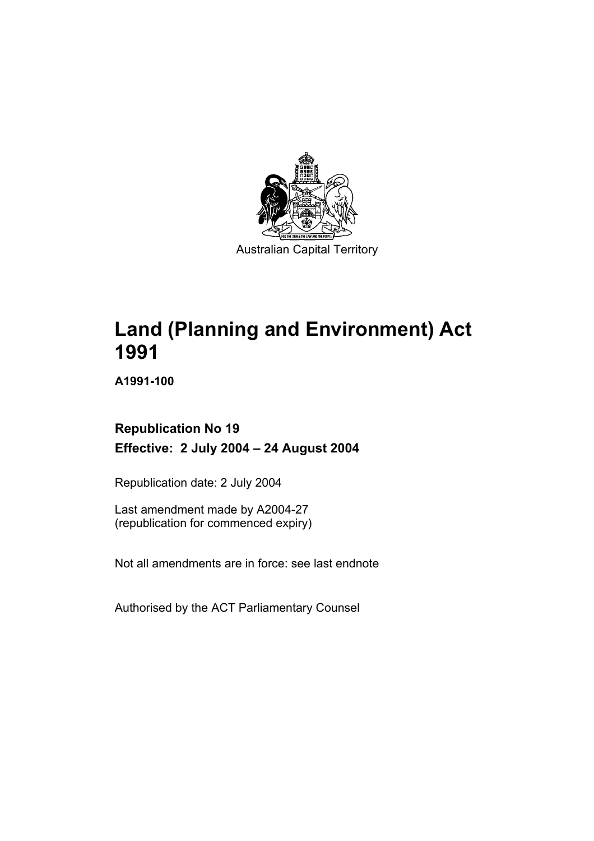

Australian Capital Territory

# **Land (Planning and Environment) Act 1991**

**A1991-100** 

## **Republication No 19 Effective: 2 July 2004 – 24 August 2004**

Republication date: 2 July 2004

Last amendment made by A2004-27 (republication for commenced expiry)

Not all amendments are in force: see last endnote

Authorised by the ACT Parliamentary Counsel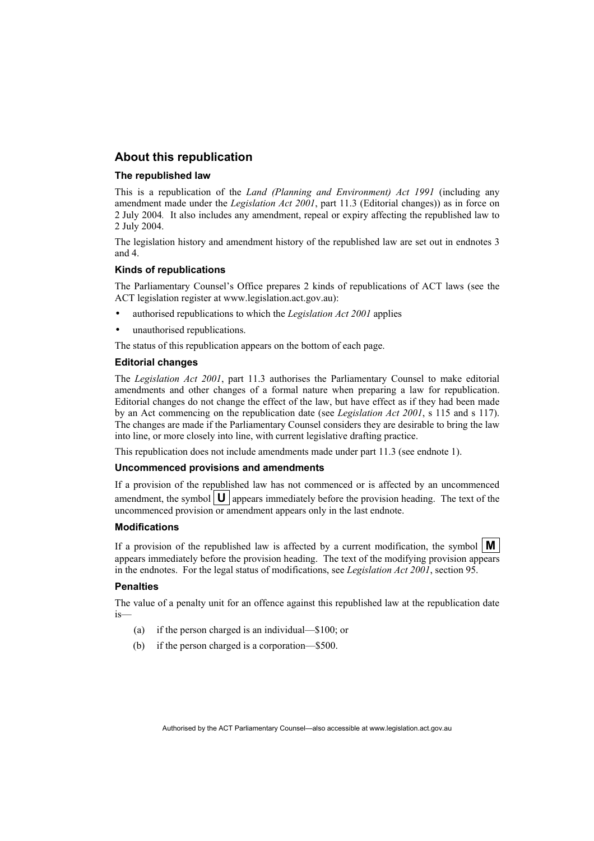#### **About this republication**

#### **The republished law**

This is a republication of the *Land (Planning and Environment) Act 1991* (including any amendment made under the *Legislation Act 2001*, part 11.3 (Editorial changes)) as in force on 2 July 2004*.* It also includes any amendment, repeal or expiry affecting the republished law to 2 July 2004.

The legislation history and amendment history of the republished law are set out in endnotes 3 and 4.

#### **Kinds of republications**

The Parliamentary Counsel's Office prepares 2 kinds of republications of ACT laws (see the ACT legislation register at www.legislation.act.gov.au):

- authorised republications to which the *Legislation Act 2001* applies
- unauthorised republications.

The status of this republication appears on the bottom of each page.

#### **Editorial changes**

The *Legislation Act 2001*, part 11.3 authorises the Parliamentary Counsel to make editorial amendments and other changes of a formal nature when preparing a law for republication. Editorial changes do not change the effect of the law, but have effect as if they had been made by an Act commencing on the republication date (see *Legislation Act 2001*, s 115 and s 117). The changes are made if the Parliamentary Counsel considers they are desirable to bring the law into line, or more closely into line, with current legislative drafting practice.

This republication does not include amendments made under part 11.3 (see endnote 1).

#### **Uncommenced provisions and amendments**

If a provision of the republished law has not commenced or is affected by an uncommenced amendment, the symbol  $\mathbf{U}$  appears immediately before the provision heading. The text of the uncommenced provision or amendment appears only in the last endnote.

#### **Modifications**

If a provision of the republished law is affected by a current modification, the symbol  $\mathbf{M}$ appears immediately before the provision heading. The text of the modifying provision appears in the endnotes. For the legal status of modifications, see *Legislation Act 2001*, section 95.

#### **Penalties**

The value of a penalty unit for an offence against this republished law at the republication date is—

- (a) if the person charged is an individual—\$100; or
- (b) if the person charged is a corporation—\$500.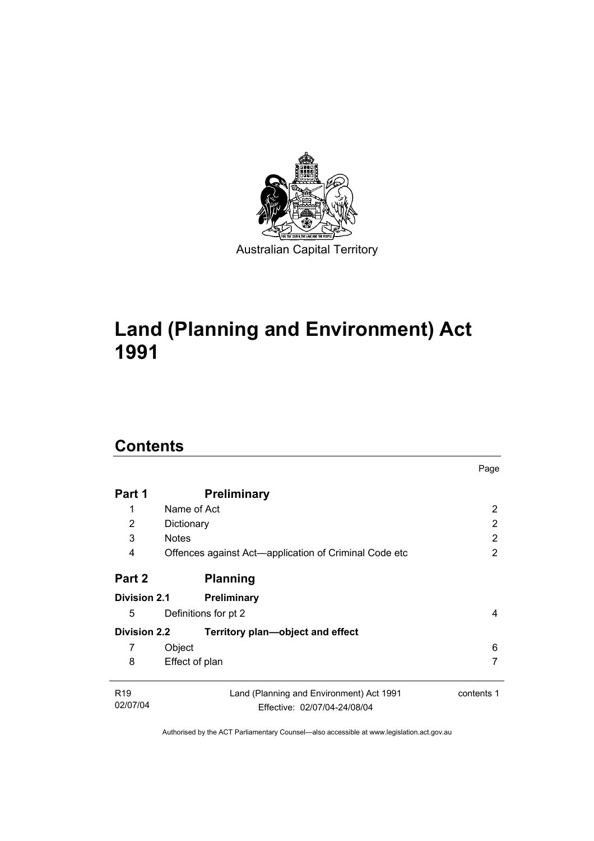

# **Land (Planning and Environment) Act 1991**

## **Contents**

| <b>Preliminary</b>                                                       |                                     |
|--------------------------------------------------------------------------|-------------------------------------|
| Name of Act                                                              | 2                                   |
| Dictionary                                                               | 2                                   |
| <b>Notes</b>                                                             | 2                                   |
| Offences against Act—application of Criminal Code etc                    | 2                                   |
| <b>Planning</b>                                                          |                                     |
| Preliminary                                                              |                                     |
| Definitions for pt 2                                                     | 4                                   |
| Territory plan—object and effect                                         |                                     |
| Object                                                                   | 6                                   |
| Effect of plan                                                           | 7                                   |
| Land (Planning and Environment) Act 1991<br>Effective: 02/07/04-24/08/04 | contents 1                          |
|                                                                          | Division 2.1<br><b>Division 2.2</b> |

Page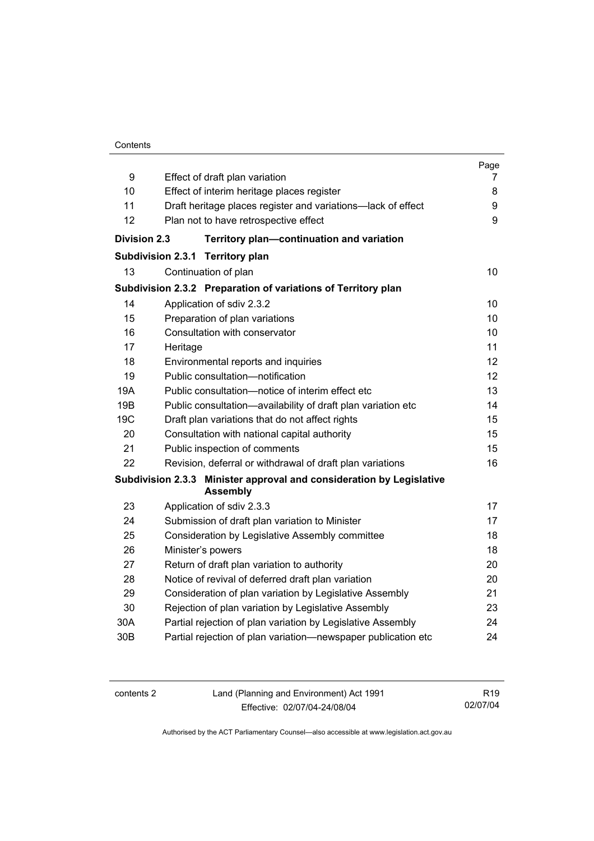#### **Contents**

|                     |                                                                                         | Page |
|---------------------|-----------------------------------------------------------------------------------------|------|
| 9                   | Effect of draft plan variation                                                          | 7    |
| 10                  | Effect of interim heritage places register                                              | 8    |
| 11                  | Draft heritage places register and variations-lack of effect                            | 9    |
| 12                  | Plan not to have retrospective effect                                                   | 9    |
| <b>Division 2.3</b> | Territory plan-continuation and variation                                               |      |
|                     | <b>Subdivision 2.3.1</b><br><b>Territory plan</b>                                       |      |
| 13                  | Continuation of plan                                                                    | 10   |
|                     | Subdivision 2.3.2 Preparation of variations of Territory plan                           |      |
| 14                  | Application of sdiv 2.3.2                                                               | 10   |
| 15                  | Preparation of plan variations                                                          | 10   |
| 16                  | Consultation with conservator                                                           | 10   |
| 17                  | Heritage                                                                                | 11   |
| 18                  | Environmental reports and inquiries                                                     | 12   |
| 19                  | Public consultation-notification                                                        | 12   |
| 19A                 | Public consultation—notice of interim effect etc                                        | 13   |
| 19B                 | Public consultation-availability of draft plan variation etc                            | 14   |
| 19C                 | Draft plan variations that do not affect rights                                         | 15   |
| 20                  | Consultation with national capital authority                                            | 15   |
| 21                  | Public inspection of comments                                                           | 15   |
| 22                  | Revision, deferral or withdrawal of draft plan variations                               | 16   |
|                     | Subdivision 2.3.3 Minister approval and consideration by Legislative<br><b>Assembly</b> |      |
| 23                  | Application of sdiv 2.3.3                                                               | 17   |
| 24                  | Submission of draft plan variation to Minister                                          | 17   |
| 25                  | Consideration by Legislative Assembly committee                                         | 18   |
| 26                  | Minister's powers                                                                       | 18   |
| 27                  | Return of draft plan variation to authority                                             | 20   |
| 28                  | Notice of revival of deferred draft plan variation                                      | 20   |
| 29                  | Consideration of plan variation by Legislative Assembly                                 | 21   |
| 30                  | Rejection of plan variation by Legislative Assembly                                     | 23   |
| 30A                 | Partial rejection of plan variation by Legislative Assembly                             | 24   |
| 30 <sub>B</sub>     | Partial rejection of plan variation-newspaper publication etc                           | 24   |
|                     |                                                                                         |      |

contents 2 Land (Planning and Environment) Act 1991 Effective: 02/07/04-24/08/04

R19 02/07/04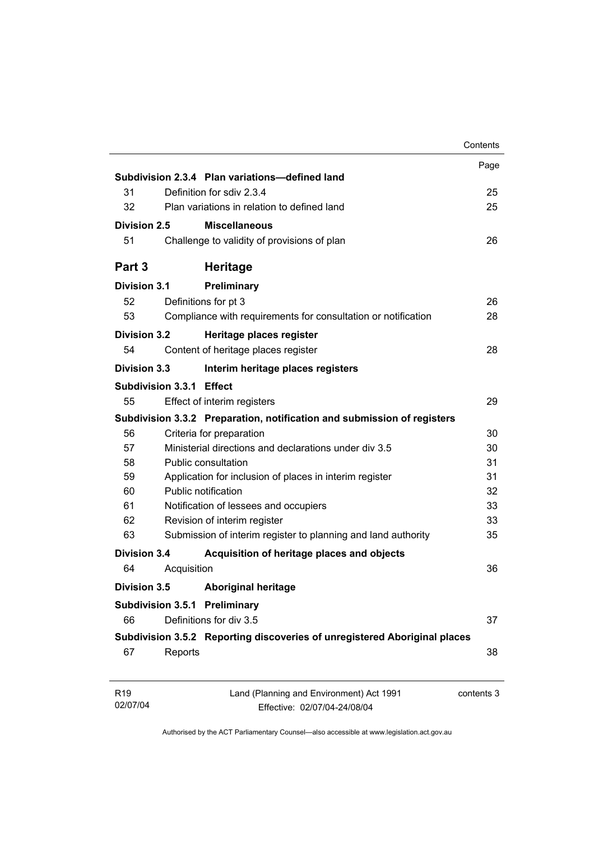|                             |                           |                                                                           | Contents   |
|-----------------------------|---------------------------|---------------------------------------------------------------------------|------------|
|                             |                           |                                                                           | Page       |
|                             |                           | Subdivision 2.3.4 Plan variations-defined land                            |            |
| 31                          | Definition for sdiv 2.3.4 |                                                                           | 25         |
| 32                          |                           | Plan variations in relation to defined land                               | 25         |
| Division 2.5                |                           | <b>Miscellaneous</b>                                                      |            |
| 51                          |                           | Challenge to validity of provisions of plan                               | 26         |
| Part 3                      |                           | <b>Heritage</b>                                                           |            |
| <b>Division 3.1</b>         |                           | Preliminary                                                               |            |
| 52                          |                           | Definitions for pt 3                                                      | 26         |
| 53                          |                           | Compliance with requirements for consultation or notification             | 28         |
| <b>Division 3.2</b>         |                           | Heritage places register                                                  |            |
| 54                          |                           | Content of heritage places register                                       | 28         |
| Division 3.3                |                           | Interim heritage places registers                                         |            |
|                             | Subdivision 3.3.1 Effect  |                                                                           |            |
| 55                          |                           | Effect of interim registers                                               | 29         |
|                             |                           | Subdivision 3.3.2 Preparation, notification and submission of registers   |            |
| 56                          |                           | Criteria for preparation                                                  | 30         |
| 57                          |                           | Ministerial directions and declarations under div 3.5                     | 30         |
| 58                          |                           | Public consultation                                                       | 31         |
| 59                          |                           | Application for inclusion of places in interim register                   | 31         |
| 60                          |                           | Public notification                                                       | 32         |
| 61                          |                           | Notification of lessees and occupiers                                     | 33         |
| 62                          |                           | Revision of interim register                                              | 33         |
| 63                          |                           | Submission of interim register to planning and land authority             | 35         |
| Division 3.4                |                           | Acquisition of heritage places and objects                                |            |
| 64                          | Acquisition               |                                                                           | 36         |
| <b>Division 3.5</b>         |                           | <b>Aboriginal heritage</b>                                                |            |
|                             |                           | <b>Subdivision 3.5.1 Preliminary</b>                                      |            |
| 66                          |                           | Definitions for div 3.5                                                   | 37         |
|                             |                           | Subdivision 3.5.2 Reporting discoveries of unregistered Aboriginal places |            |
| 67                          | Reports                   |                                                                           | 38         |
| R <sub>19</sub><br>02/07/04 |                           | Land (Planning and Environment) Act 1991                                  | contents 3 |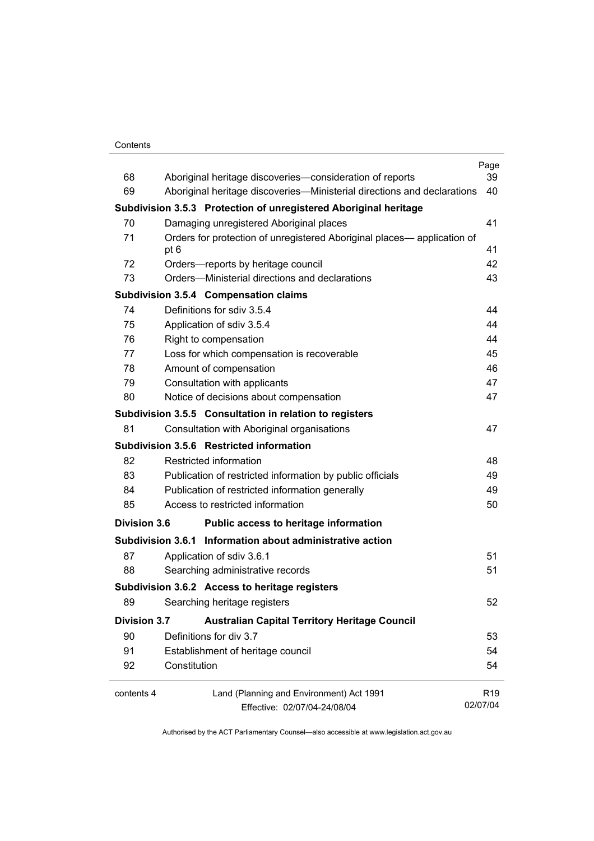#### **Contents**

| 68                  |                                                           |                                                                         | Page<br>39      |
|---------------------|-----------------------------------------------------------|-------------------------------------------------------------------------|-----------------|
| 69                  |                                                           | Aboriginal heritage discoveries-consideration of reports                | 40              |
|                     |                                                           | Aboriginal heritage discoveries—Ministerial directions and declarations |                 |
|                     |                                                           | Subdivision 3.5.3 Protection of unregistered Aboriginal heritage        |                 |
| 70                  | Damaging unregistered Aboriginal places                   |                                                                         | 41              |
| 71                  | pt 6                                                      | Orders for protection of unregistered Aboriginal places— application of | 41              |
| 72                  | Orders-reports by heritage council                        |                                                                         | 42              |
| 73                  | Orders—Ministerial directions and declarations            |                                                                         | 43              |
|                     | <b>Subdivision 3.5.4 Compensation claims</b>              |                                                                         |                 |
| 74                  | Definitions for sdiv 3.5.4                                |                                                                         | 44              |
| 75                  | Application of sdiv 3.5.4                                 |                                                                         | 44              |
| 76                  | Right to compensation                                     |                                                                         | 44              |
| 77                  | Loss for which compensation is recoverable                |                                                                         | 45              |
| 78                  | Amount of compensation                                    |                                                                         | 46              |
| 79                  | Consultation with applicants                              |                                                                         | 47              |
| 80                  | Notice of decisions about compensation                    |                                                                         | 47              |
|                     | Subdivision 3.5.5 Consultation in relation to registers   |                                                                         |                 |
| 81                  | Consultation with Aboriginal organisations                |                                                                         | 47              |
|                     | Subdivision 3.5.6 Restricted information                  |                                                                         |                 |
| 82                  | Restricted information                                    |                                                                         | 48              |
| 83                  |                                                           | Publication of restricted information by public officials               | 49              |
| 84                  | Publication of restricted information generally           |                                                                         | 49              |
| 85                  | Access to restricted information                          |                                                                         | 50              |
| <b>Division 3.6</b> |                                                           | Public access to heritage information                                   |                 |
|                     | Subdivision 3.6.1 Information about administrative action |                                                                         |                 |
| 87                  | Application of sdiv 3.6.1                                 |                                                                         | 51              |
| 88                  | Searching administrative records                          |                                                                         | 51              |
|                     | Subdivision 3.6.2 Access to heritage registers            |                                                                         |                 |
| 89                  | Searching heritage registers                              |                                                                         | 52              |
| <b>Division 3.7</b> |                                                           | <b>Australian Capital Territory Heritage Council</b>                    |                 |
| 90                  | Definitions for div 3.7                                   |                                                                         | 53              |
| 91                  | Establishment of heritage council                         |                                                                         | 54              |
| 92                  | Constitution                                              |                                                                         | 54              |
| contents 4          |                                                           | Land (Planning and Environment) Act 1991                                | R <sub>19</sub> |
|                     |                                                           | Effective: 02/07/04-24/08/04                                            | 02/07/04        |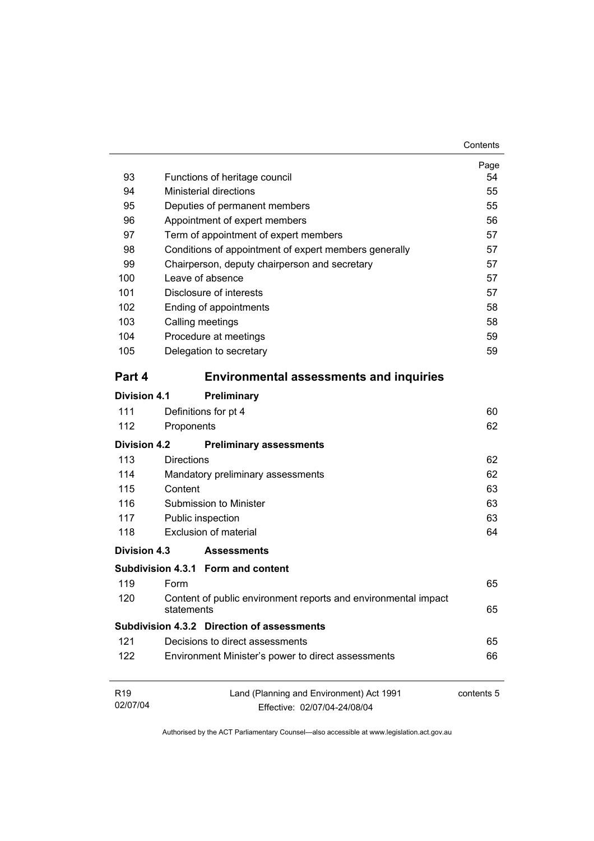| 93                          | Functions of heritage council                                                | Page<br>54 |
|-----------------------------|------------------------------------------------------------------------------|------------|
| 94                          | <b>Ministerial directions</b>                                                | 55         |
| 95                          | Deputies of permanent members                                                | 55         |
| 96                          | Appointment of expert members                                                | 56         |
| 97                          | Term of appointment of expert members                                        | 57         |
| 98                          | Conditions of appointment of expert members generally                        | 57         |
| 99                          | Chairperson, deputy chairperson and secretary                                | 57         |
| 100                         | Leave of absence                                                             | 57         |
| 101                         | Disclosure of interests                                                      | 57         |
| 102                         | Ending of appointments                                                       | 58         |
| 103                         | Calling meetings                                                             | 58         |
| 104                         | Procedure at meetings                                                        | 59         |
| 105                         | Delegation to secretary                                                      | 59         |
| Part 4                      | <b>Environmental assessments and inquiries</b>                               |            |
| <b>Division 4.1</b>         | Preliminary                                                                  |            |
| 111                         | Definitions for pt 4                                                         | 60         |
| 112                         | Proponents                                                                   | 62         |
|                             |                                                                              |            |
| Division 4.2                | <b>Preliminary assessments</b>                                               |            |
| 113                         | <b>Directions</b>                                                            | 62         |
| 114                         | Mandatory preliminary assessments                                            | 62         |
| 115                         | Content                                                                      | 63         |
| 116                         | Submission to Minister                                                       | 63         |
| 117                         | Public inspection                                                            | 63         |
| 118                         | Exclusion of material                                                        | 64         |
| Division 4.3                | <b>Assessments</b>                                                           |            |
|                             | Subdivision 4.3.1 Form and content                                           |            |
| 119                         | Form                                                                         | 65         |
| 120                         | Content of public environment reports and environmental impact<br>statements | 65         |
|                             | <b>Subdivision 4.3.2 Direction of assessments</b>                            |            |
| 121                         | Decisions to direct assessments                                              | 65         |
| 122                         | Environment Minister's power to direct assessments                           | 66         |
| R <sub>19</sub><br>02/07/04 | Land (Planning and Environment) Act 1991<br>Effective: 02/07/04-24/08/04     | contents 5 |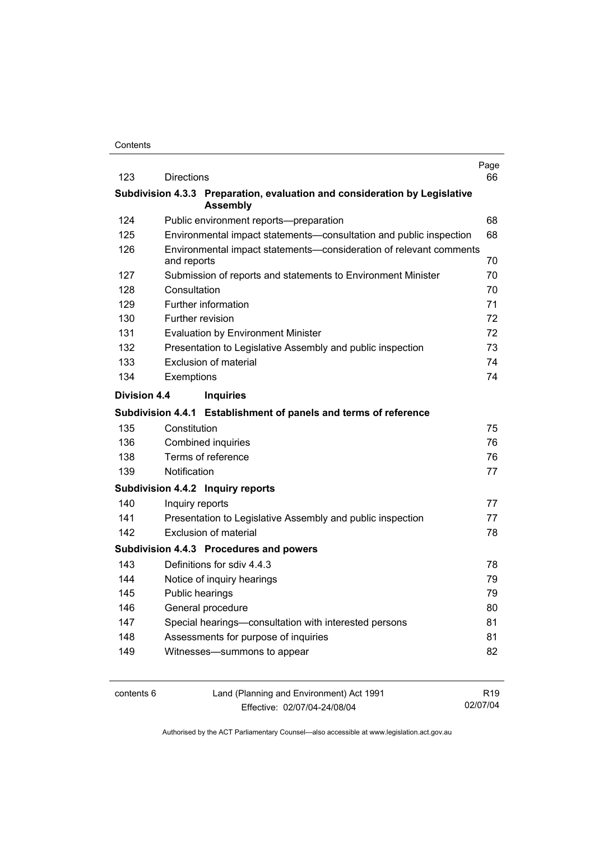| 123                 | <b>Directions</b> |                                                                            | Page<br>66 |
|---------------------|-------------------|----------------------------------------------------------------------------|------------|
|                     |                   | Subdivision 4.3.3 Preparation, evaluation and consideration by Legislative |            |
|                     |                   | <b>Assembly</b>                                                            |            |
| 124                 |                   | Public environment reports--preparation                                    | 68         |
| 125                 |                   | Environmental impact statements-consultation and public inspection         | 68         |
| 126                 | and reports       | Environmental impact statements-consideration of relevant comments         | 70         |
| 127                 |                   | Submission of reports and statements to Environment Minister               | 70         |
| 128                 | Consultation      |                                                                            | 70         |
| 129                 |                   | Further information                                                        | 71         |
| 130                 |                   | Further revision                                                           | 72         |
| 131                 |                   | <b>Evaluation by Environment Minister</b>                                  | 72         |
| 132                 |                   | Presentation to Legislative Assembly and public inspection                 | 73         |
| 133                 |                   | Exclusion of material                                                      | 74         |
| 134                 | Exemptions        |                                                                            | 74         |
| <b>Division 4.4</b> |                   | <b>Inquiries</b>                                                           |            |
|                     |                   | Subdivision 4.4.1 Establishment of panels and terms of reference           |            |
| 135                 | Constitution      |                                                                            | 75         |
| 136                 |                   | <b>Combined inquiries</b>                                                  | 76         |
| 138                 |                   | Terms of reference                                                         | 76         |
| 139                 | Notification      |                                                                            | 77         |
|                     |                   | Subdivision 4.4.2 Inquiry reports                                          |            |
| 140                 | Inquiry reports   |                                                                            | 77         |
| 141                 |                   | Presentation to Legislative Assembly and public inspection                 | 77         |
| 142                 |                   | <b>Exclusion of material</b>                                               | 78         |
|                     |                   | Subdivision 4.4.3 Procedures and powers                                    |            |
| 143                 |                   | Definitions for sdiv 4.4.3                                                 | 78         |
| 144                 |                   | Notice of inquiry hearings                                                 | 79         |
| 145                 |                   | Public hearings                                                            | 79         |
| 146                 |                   | General procedure                                                          | 80         |
| 147                 |                   | Special hearings-consultation with interested persons                      | 81         |
| 148                 |                   | Assessments for purpose of inquiries                                       | 81         |
| 149                 |                   | Witnesses-summons to appear                                                | 82         |
|                     |                   |                                                                            |            |
|                     |                   |                                                                            |            |

contents 6 Land (Planning and Environment) Act 1991 Effective: 02/07/04-24/08/04

R19 02/07/04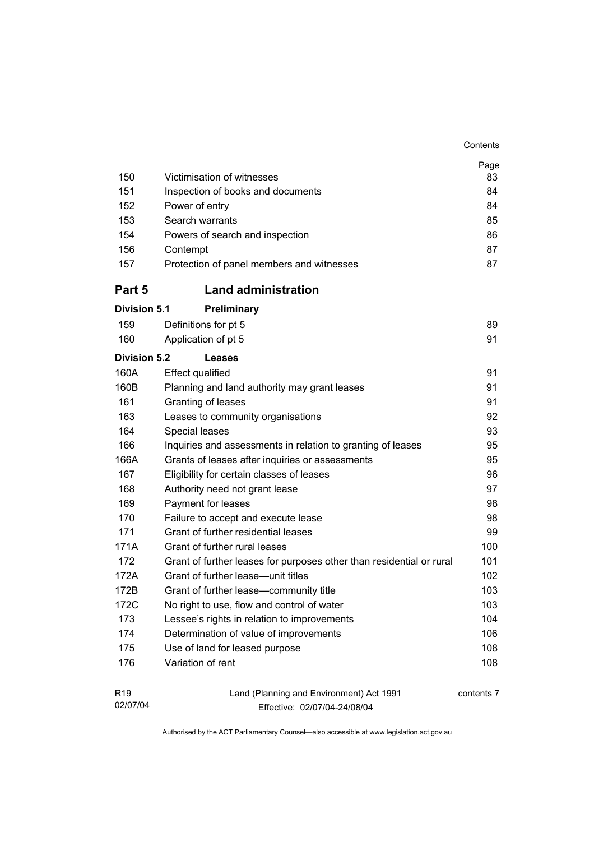| Contents |
|----------|
|----------|

| 150                         | Victimisation of witnesses                                               | Page<br>83 |
|-----------------------------|--------------------------------------------------------------------------|------------|
| 151                         | Inspection of books and documents                                        | 84         |
| 152                         | Power of entry                                                           | 84         |
| 153                         | Search warrants                                                          | 85         |
| 154                         | Powers of search and inspection                                          | 86         |
| 156                         | Contempt                                                                 | 87         |
| 157                         | Protection of panel members and witnesses                                | 87         |
| Part 5                      | <b>Land administration</b>                                               |            |
| <b>Division 5.1</b>         | Preliminary                                                              |            |
| 159                         | Definitions for pt 5                                                     | 89         |
| 160                         | Application of pt 5                                                      | 91         |
| <b>Division 5.2</b>         | Leases                                                                   |            |
| 160A                        | <b>Effect qualified</b>                                                  | 91         |
| 160B                        | Planning and land authority may grant leases                             | 91         |
| 161                         | Granting of leases                                                       | 91         |
| 163                         | Leases to community organisations                                        | 92         |
| 164                         | Special leases                                                           | 93         |
| 166                         | Inquiries and assessments in relation to granting of leases              | 95         |
| 166A                        | Grants of leases after inquiries or assessments                          | 95         |
| 167                         | Eligibility for certain classes of leases                                | 96         |
| 168                         | Authority need not grant lease                                           | 97         |
| 169                         | Payment for leases                                                       | 98         |
| 170                         | Failure to accept and execute lease                                      | 98         |
| 171                         | Grant of further residential leases                                      | 99         |
| 171A                        | Grant of further rural leases                                            | 100        |
| 172                         | Grant of further leases for purposes other than residential or rural     | 101        |
| 172A                        | Grant of further lease-unit titles                                       | 102        |
| 172B                        | Grant of further lease-community title                                   | 103        |
| 172C                        | No right to use, flow and control of water                               | 103        |
| 173                         | Lessee's rights in relation to improvements                              | 104        |
| 174                         | Determination of value of improvements                                   | 106        |
| 175                         | Use of land for leased purpose                                           | 108        |
| 176                         | Variation of rent                                                        | 108        |
| R <sub>19</sub><br>02/07/04 | Land (Planning and Environment) Act 1991<br>Fffective: 02/07/04-24/08/04 | contents 7 |

Effective: 02/07/04-24/08/04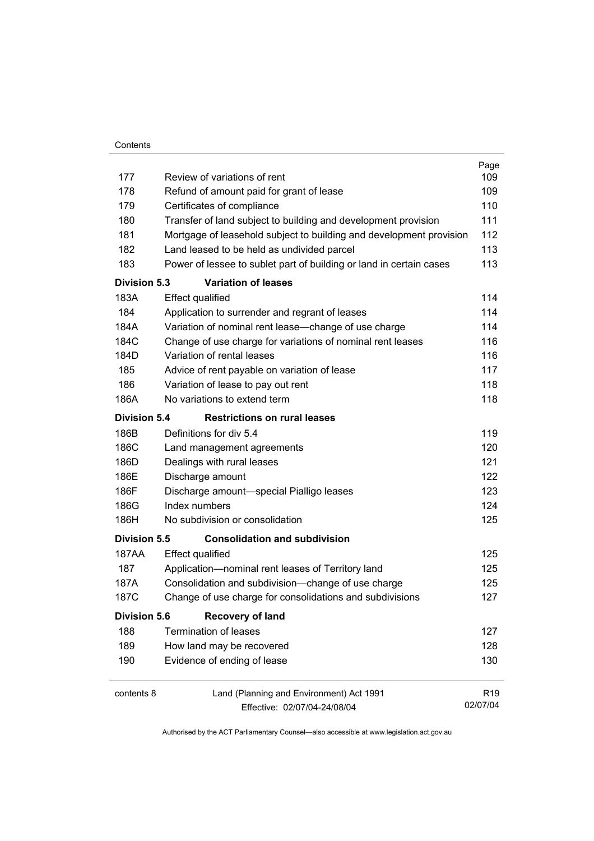| Contents |
|----------|
|          |

|                     |                                                                     | Page            |
|---------------------|---------------------------------------------------------------------|-----------------|
| 177                 | Review of variations of rent                                        | 109             |
| 178                 | Refund of amount paid for grant of lease                            | 109             |
| 179                 | Certificates of compliance                                          | 110             |
| 180                 | Transfer of land subject to building and development provision      | 111             |
| 181                 | Mortgage of leasehold subject to building and development provision | 112             |
| 182                 | Land leased to be held as undivided parcel                          | 113             |
| 183                 | Power of lessee to sublet part of building or land in certain cases | 113             |
| <b>Division 5.3</b> | <b>Variation of leases</b>                                          |                 |
| 183A                | <b>Effect qualified</b>                                             | 114             |
| 184                 | Application to surrender and regrant of leases                      | 114             |
| 184A                | Variation of nominal rent lease-change of use charge                | 114             |
| 184C                | Change of use charge for variations of nominal rent leases          | 116             |
| 184D                | Variation of rental leases                                          | 116             |
| 185                 | Advice of rent payable on variation of lease                        | 117             |
| 186                 | Variation of lease to pay out rent                                  | 118             |
| 186A                | No variations to extend term                                        | 118             |
| <b>Division 5.4</b> | <b>Restrictions on rural leases</b>                                 |                 |
| 186B                | Definitions for div 5.4                                             | 119             |
| 186C                | Land management agreements                                          | 120             |
| 186D                | Dealings with rural leases                                          | 121             |
| 186E                | Discharge amount                                                    | 122             |
| 186F                | Discharge amount-special Pialligo leases                            | 123             |
| 186G                | Index numbers                                                       | 124             |
| 186H                | No subdivision or consolidation                                     | 125             |
| Division 5.5        | <b>Consolidation and subdivision</b>                                |                 |
| 187AA               | <b>Effect qualified</b>                                             | 125             |
| 187                 | Application-nominal rent leases of Territory land                   | 125             |
| 187A                | Consolidation and subdivision--change of use charge                 | 125             |
| 187C                | Change of use charge for consolidations and subdivisions            | 127             |
| <b>Division 5.6</b> | <b>Recovery of land</b>                                             |                 |
| 188                 | <b>Termination of leases</b>                                        | 127             |
| 189                 | How land may be recovered                                           | 128             |
| 190                 | Evidence of ending of lease                                         | 130             |
| contents 8          | Land (Planning and Environment) Act 1991                            | R <sub>19</sub> |
|                     | Effective: 02/07/04-24/08/04                                        | 02/07/04        |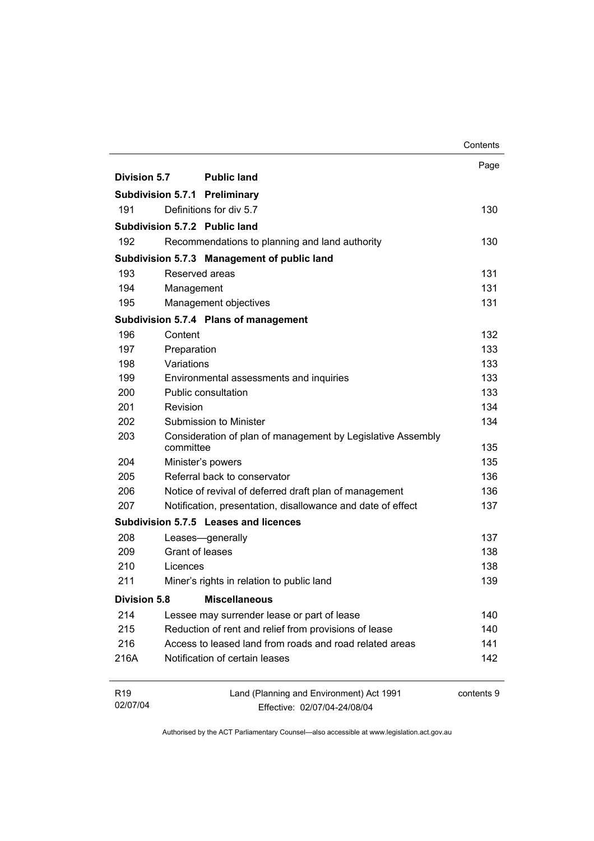|                                      |                                                                    |                                                                          | Contents   |
|--------------------------------------|--------------------------------------------------------------------|--------------------------------------------------------------------------|------------|
|                                      |                                                                    |                                                                          | Page       |
| Division 5.7                         |                                                                    | <b>Public land</b>                                                       |            |
| <b>Subdivision 5.7.1 Preliminary</b> |                                                                    |                                                                          |            |
| 191                                  |                                                                    | Definitions for div 5.7                                                  | 130        |
|                                      |                                                                    | Subdivision 5.7.2 Public land                                            |            |
| 192                                  |                                                                    | Recommendations to planning and land authority                           | 130        |
|                                      |                                                                    | Subdivision 5.7.3 Management of public land                              |            |
| 193                                  | Reserved areas                                                     |                                                                          | 131        |
| 194                                  | Management                                                         |                                                                          | 131        |
| 195                                  |                                                                    | Management objectives                                                    | 131        |
|                                      |                                                                    | Subdivision 5.7.4 Plans of management                                    |            |
| 196                                  | Content                                                            |                                                                          | 132        |
| 197                                  | Preparation                                                        |                                                                          | 133        |
| 198                                  | Variations                                                         |                                                                          | 133        |
| 199                                  |                                                                    | Environmental assessments and inquiries                                  | 133        |
| 200                                  |                                                                    | Public consultation                                                      | 133        |
| 201                                  | Revision                                                           |                                                                          | 134        |
| 202                                  | Submission to Minister                                             |                                                                          | 134        |
| 203                                  | committee                                                          | Consideration of plan of management by Legislative Assembly              | 135        |
| 204                                  |                                                                    | Minister's powers                                                        | 135        |
| 205                                  |                                                                    | Referral back to conservator                                             | 136        |
| 206                                  | Notice of revival of deferred draft plan of management             |                                                                          | 136        |
| 207                                  | Notification, presentation, disallowance and date of effect<br>137 |                                                                          |            |
|                                      |                                                                    | Subdivision 5.7.5 Leases and licences                                    |            |
| 208                                  |                                                                    | Leases-generally                                                         | 137        |
| 209                                  | Grant of leases                                                    |                                                                          | 138        |
| 210                                  | Licences                                                           |                                                                          | 138        |
| 211                                  |                                                                    | Miner's rights in relation to public land                                | 139        |
| <b>Division 5.8</b>                  |                                                                    | <b>Miscellaneous</b>                                                     |            |
| 214                                  |                                                                    | Lessee may surrender lease or part of lease                              | 140        |
| 215                                  |                                                                    | Reduction of rent and relief from provisions of lease                    | 140        |
| 216                                  |                                                                    | Access to leased land from roads and road related areas                  | 141        |
| 216A                                 |                                                                    | Notification of certain leases                                           | 142        |
| R <sub>19</sub><br>02/07/04          |                                                                    | Land (Planning and Environment) Act 1991<br>Effective: 02/07/04-24/08/04 | contents 9 |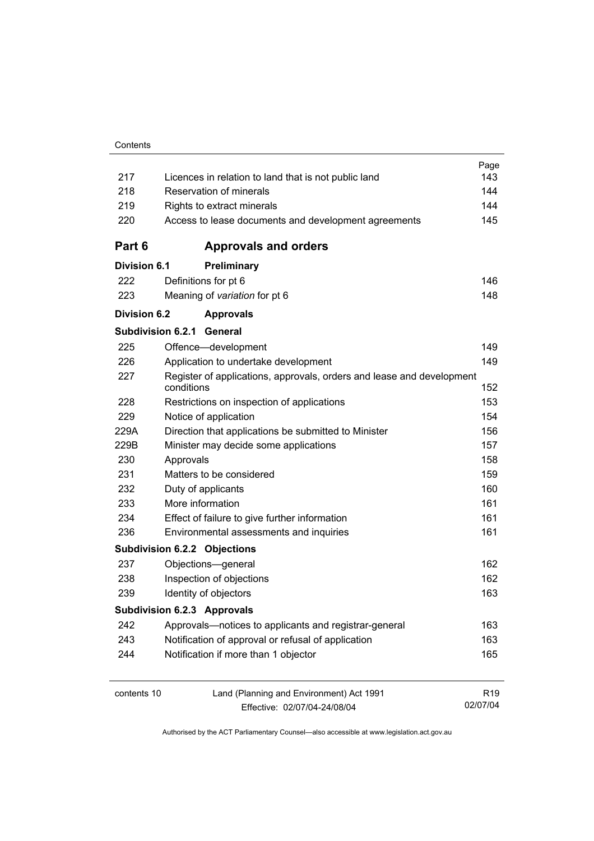|                                                             |                                                                                     | Page            |
|-------------------------------------------------------------|-------------------------------------------------------------------------------------|-----------------|
| 217<br>Licences in relation to land that is not public land |                                                                                     | 143             |
| 218                                                         | Reservation of minerals                                                             |                 |
| 219                                                         | Rights to extract minerals                                                          |                 |
| 220                                                         | Access to lease documents and development agreements                                |                 |
| Part 6                                                      | <b>Approvals and orders</b>                                                         |                 |
| <b>Division 6.1</b>                                         | <b>Preliminary</b>                                                                  |                 |
| 222                                                         | Definitions for pt 6                                                                | 146             |
| 223                                                         | Meaning of variation for pt 6                                                       | 148             |
| <b>Division 6.2</b>                                         | <b>Approvals</b>                                                                    |                 |
|                                                             | <b>Subdivision 6.2.1 General</b>                                                    |                 |
| 225                                                         | Offence-development                                                                 | 149             |
| 226                                                         | Application to undertake development                                                | 149             |
| 227                                                         | Register of applications, approvals, orders and lease and development<br>conditions | 152             |
| 228                                                         | Restrictions on inspection of applications                                          | 153             |
| 229                                                         | Notice of application                                                               | 154             |
| 229A                                                        | Direction that applications be submitted to Minister                                | 156             |
| 229B                                                        | Minister may decide some applications                                               | 157             |
| 230                                                         | Approvals                                                                           | 158             |
| 231                                                         | Matters to be considered                                                            | 159             |
| 232                                                         | Duty of applicants                                                                  | 160             |
| 233                                                         | More information                                                                    | 161             |
| 234                                                         | Effect of failure to give further information                                       | 161             |
| 236                                                         | Environmental assessments and inquiries                                             |                 |
|                                                             | <b>Subdivision 6.2.2 Objections</b>                                                 |                 |
| 237                                                         | Objections-general                                                                  | 162             |
| 238                                                         | Inspection of objections                                                            | 162             |
| 239                                                         | Identity of objectors                                                               | 163             |
|                                                             | <b>Subdivision 6.2.3 Approvals</b>                                                  |                 |
| 242                                                         | Approvals—notices to applicants and registrar-general                               | 163             |
| 243                                                         | Notification of approval or refusal of application                                  | 163             |
| 244                                                         | Notification if more than 1 objector                                                | 165             |
| contents 10                                                 | Land (Planning and Environment) Act 1991                                            | R <sub>19</sub> |
|                                                             | Effective: 02/07/04-24/08/04                                                        | 02/07/04        |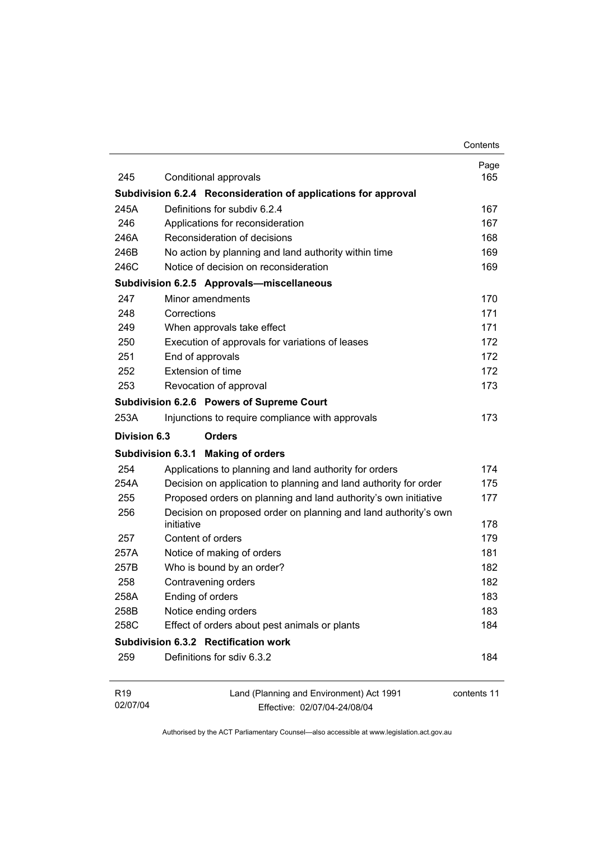|                             |                                                                               | Contents    |
|-----------------------------|-------------------------------------------------------------------------------|-------------|
| 245                         |                                                                               | Page<br>165 |
|                             | Conditional approvals                                                         |             |
|                             | Subdivision 6.2.4 Reconsideration of applications for approval                |             |
| 245A                        | Definitions for subdiv 6.2.4                                                  | 167         |
| 246                         | Applications for reconsideration                                              | 167         |
| 246A                        | Reconsideration of decisions                                                  | 168         |
| 246B                        | No action by planning and land authority within time                          | 169         |
| 246C                        | Notice of decision on reconsideration                                         | 169         |
|                             | Subdivision 6.2.5 Approvals-miscellaneous                                     |             |
| 247                         | Minor amendments                                                              | 170         |
| 248                         | Corrections                                                                   | 171         |
| 249                         | When approvals take effect                                                    | 171         |
| 250                         | Execution of approvals for variations of leases                               | 172         |
| 251                         | End of approvals                                                              | 172         |
| 252                         | Extension of time                                                             | 172         |
| 253                         | Revocation of approval                                                        | 173         |
|                             | Subdivision 6.2.6 Powers of Supreme Court                                     |             |
| 253A                        | Injunctions to require compliance with approvals                              | 173         |
| Division 6.3                | <b>Orders</b>                                                                 |             |
|                             | Subdivision 6.3.1 Making of orders                                            |             |
| 254                         | Applications to planning and land authority for orders                        | 174         |
| 254A                        | Decision on application to planning and land authority for order              | 175         |
| 255                         | Proposed orders on planning and land authority's own initiative               | 177         |
| 256                         | Decision on proposed order on planning and land authority's own<br>initiative | 178         |
| 257                         | Content of orders                                                             | 179         |
| 257A                        | Notice of making of orders                                                    | 181         |
| 257B                        | Who is bound by an order?                                                     | 182         |
| 258                         | Contravening orders                                                           | 182         |
| 258A                        | Ending of orders                                                              | 183         |
| 258B                        | Notice ending orders                                                          | 183         |
| 258C                        | Effect of orders about pest animals or plants                                 | 184         |
|                             | Subdivision 6.3.2 Rectification work                                          |             |
| 259                         | Definitions for sdiv 6.3.2                                                    | 184         |
| R <sub>19</sub><br>02/07/04 | Land (Planning and Environment) Act 1991<br>Effective: 02/07/04-24/08/04      | contents 11 |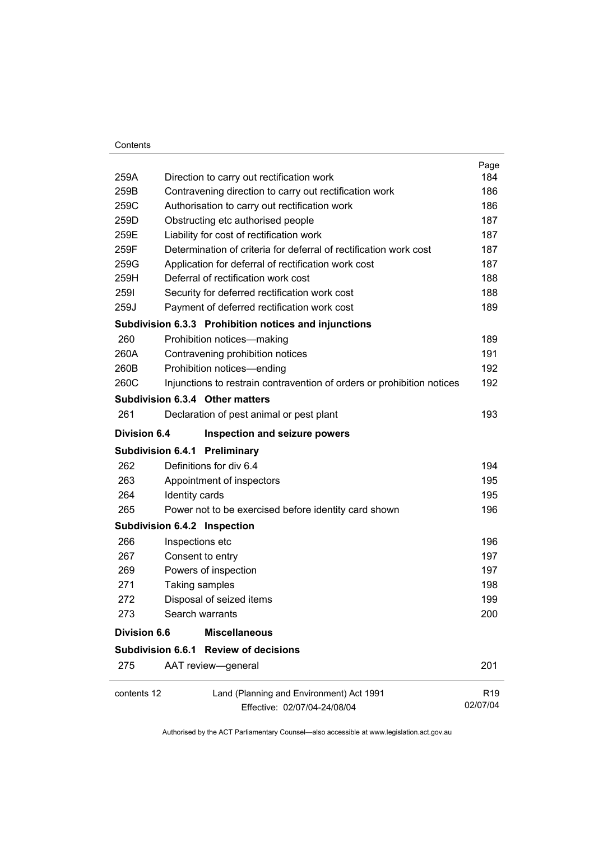#### **Contents**

|                     |                                                                        | Page            |
|---------------------|------------------------------------------------------------------------|-----------------|
| 259A                | Direction to carry out rectification work                              | 184             |
| 259B                | Contravening direction to carry out rectification work                 | 186             |
| 259C                | Authorisation to carry out rectification work                          | 186             |
| 259D                | Obstructing etc authorised people                                      | 187             |
| 259E                | Liability for cost of rectification work                               | 187             |
| 259F                | Determination of criteria for deferral of rectification work cost      | 187             |
| 259G                | Application for deferral of rectification work cost                    | 187             |
| 259H                | Deferral of rectification work cost                                    | 188             |
| 2591                | Security for deferred rectification work cost                          | 188             |
| 259J                | Payment of deferred rectification work cost                            | 189             |
|                     | Subdivision 6.3.3 Prohibition notices and injunctions                  |                 |
| 260                 | Prohibition notices-making                                             | 189             |
| 260A                | Contravening prohibition notices                                       | 191             |
| 260B                | Prohibition notices-ending                                             | 192             |
| 260C                | Injunctions to restrain contravention of orders or prohibition notices | 192             |
|                     | Subdivision 6.3.4 Other matters                                        |                 |
| 261                 | Declaration of pest animal or pest plant                               | 193             |
| <b>Division 6.4</b> | Inspection and seizure powers                                          |                 |
|                     | <b>Subdivision 6.4.1 Preliminary</b>                                   |                 |
| 262                 | Definitions for div 6.4                                                | 194             |
| 263                 | Appointment of inspectors                                              | 195             |
| 264                 | Identity cards                                                         | 195             |
| 265                 | Power not to be exercised before identity card shown                   | 196             |
|                     | Subdivision 6.4.2 Inspection                                           |                 |
| 266                 | Inspections etc                                                        | 196             |
| 267                 | Consent to entry                                                       | 197             |
| 269                 | Powers of inspection                                                   | 197             |
| 271                 | Taking samples                                                         | 198             |
| 272                 | Disposal of seized items                                               | 199             |
| 273                 | Search warrants                                                        | 200             |
| <b>Division 6.6</b> | <b>Miscellaneous</b>                                                   |                 |
|                     | Subdivision 6.6.1 Review of decisions                                  |                 |
| 275                 | AAT review-general                                                     | 201             |
| contents 12         | Land (Planning and Environment) Act 1991                               | R <sub>19</sub> |
|                     | Effective: 02/07/04-24/08/04                                           | 02/07/04        |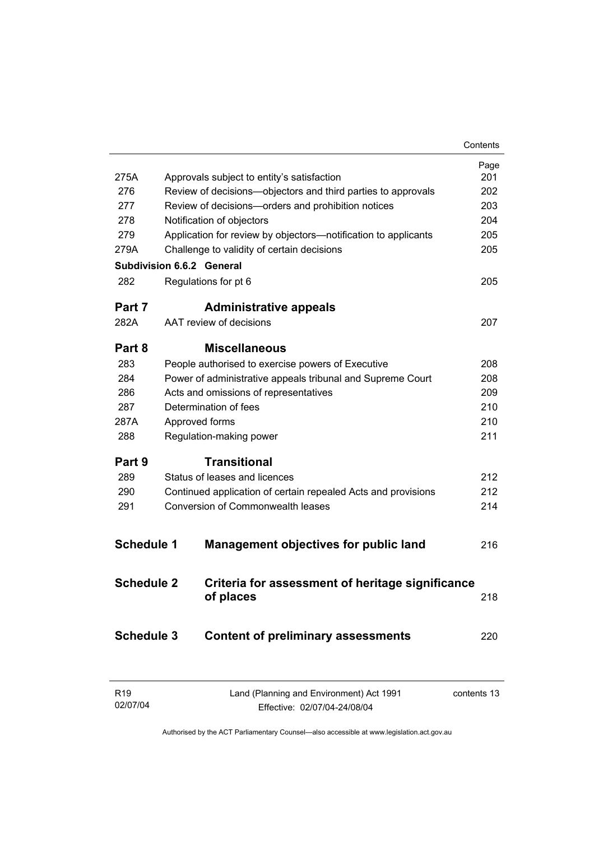|                   |                                  |                                                                | Contents    |
|-------------------|----------------------------------|----------------------------------------------------------------|-------------|
|                   |                                  |                                                                | Page        |
| 275A              |                                  | Approvals subject to entity's satisfaction                     | 201         |
| 276               |                                  | Review of decisions-objectors and third parties to approvals   | 202         |
| 277               |                                  | Review of decisions-orders and prohibition notices             | 203         |
| 278               | Notification of objectors        |                                                                | 204         |
| 279               |                                  | Application for review by objectors-notification to applicants | 205         |
| 279A              |                                  | Challenge to validity of certain decisions                     | 205         |
|                   | <b>Subdivision 6.6.2 General</b> |                                                                |             |
| 282               | Regulations for pt 6             |                                                                | 205         |
| Part 7            |                                  | <b>Administrative appeals</b>                                  |             |
| 282A              | AAT review of decisions          |                                                                | 207         |
| Part 8            |                                  | <b>Miscellaneous</b>                                           |             |
| 283               |                                  | People authorised to exercise powers of Executive              | 208         |
| 284               |                                  | Power of administrative appeals tribunal and Supreme Court     | 208         |
| 286               |                                  | Acts and omissions of representatives                          | 209         |
| 287               | Determination of fees            |                                                                | 210         |
| 287A              | Approved forms                   |                                                                | 210         |
| 288               | Regulation-making power          |                                                                | 211         |
| Part 9            |                                  | <b>Transitional</b>                                            |             |
| 289               |                                  | Status of leases and licences                                  | 212         |
| 290               |                                  | Continued application of certain repealed Acts and provisions  | 212         |
| 291               |                                  | <b>Conversion of Commonwealth leases</b>                       | 214         |
|                   |                                  |                                                                |             |
| <b>Schedule 1</b> |                                  | <b>Management objectives for public land</b>                   | 216         |
| <b>Schedule 2</b> |                                  | Criteria for assessment of heritage significance               |             |
|                   |                                  | of places                                                      | 218         |
|                   |                                  |                                                                |             |
| <b>Schedule 3</b> |                                  | <b>Content of preliminary assessments</b>                      | 220         |
|                   |                                  |                                                                |             |
| R <sub>19</sub>   |                                  | Land (Planning and Environment) Act 1991                       | contents 13 |

Effective: 02/07/04-24/08/04

02/07/04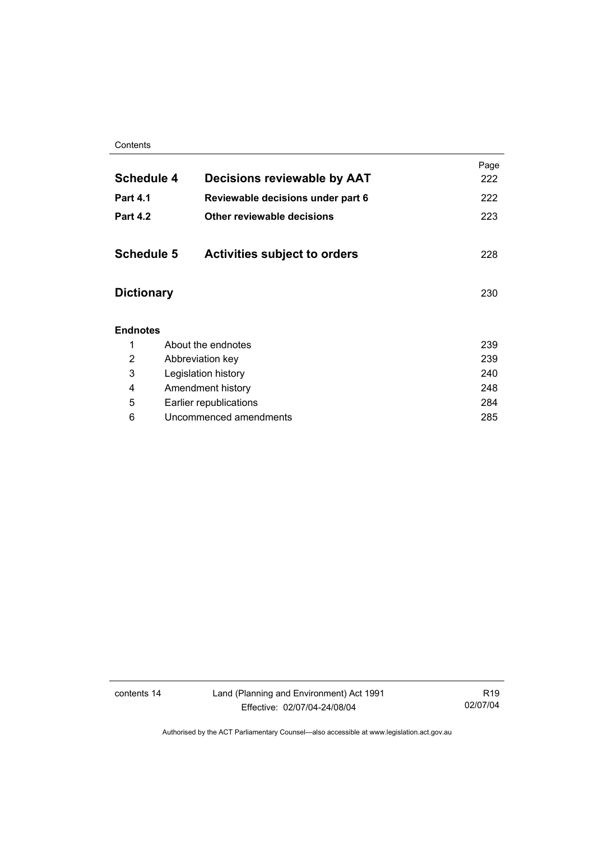#### **Contents**

| <b>Schedule 4</b> | Decisions reviewable by AAT         | Page<br>222 |
|-------------------|-------------------------------------|-------------|
| Part 4.1          | Reviewable decisions under part 6   | 222         |
| <b>Part 4.2</b>   | Other reviewable decisions          | 223         |
| <b>Schedule 5</b> | <b>Activities subject to orders</b> | 228         |
| <b>Dictionary</b> |                                     | 230         |
| <b>Endnotes</b>   |                                     |             |
| 1                 | About the endnotes                  | 239         |
| 2                 | Abbreviation key                    | 239         |
| 3                 | Legislation history                 | 240         |
| 4                 | Amendment history                   | 248         |
| 5                 | Earlier republications              | 284         |
| 6                 | Uncommenced amendments              | 285         |
|                   |                                     |             |

contents 14 Land (Planning and Environment) Act 1991 Effective: 02/07/04-24/08/04

R19 02/07/04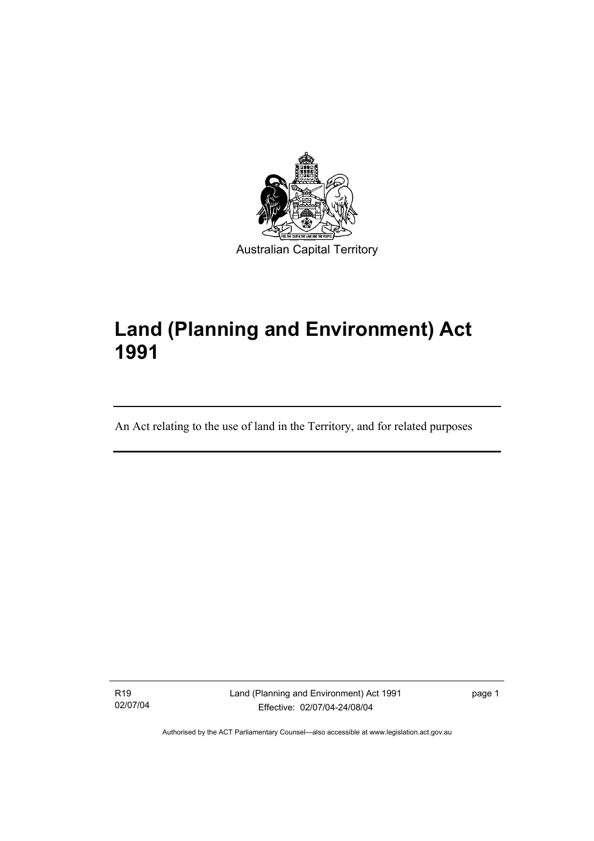

# **Land (Planning and Environment) Act 1991**

An Act relating to the use of land in the Territory, and for related purposes

R19 02/07/04

I

Land (Planning and Environment) Act 1991 Effective: 02/07/04-24/08/04

page 1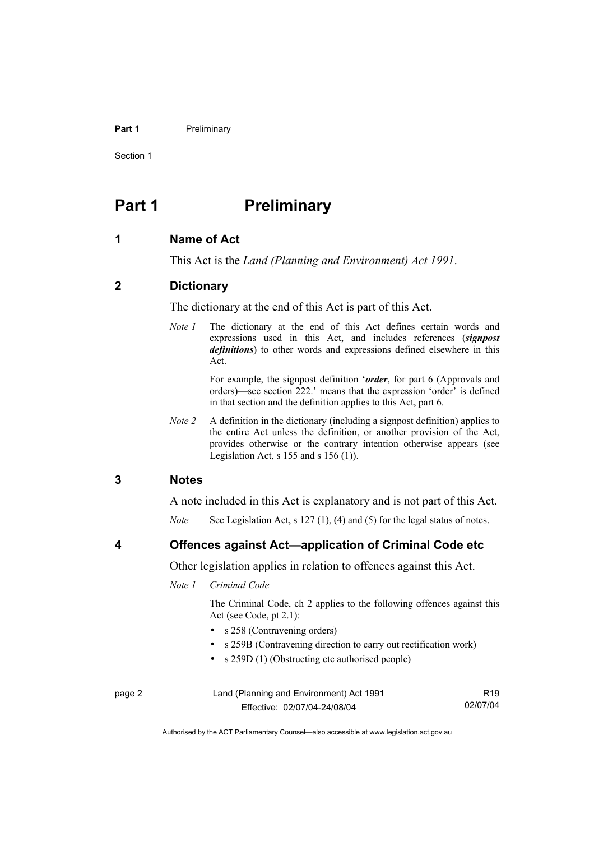#### **Part 1** Preliminary

Section 1

## **Part 1** Preliminary

#### **1 Name of Act**

This Act is the *Land (Planning and Environment) Act 1991*.

#### **2 Dictionary**

The dictionary at the end of this Act is part of this Act.

*Note 1* The dictionary at the end of this Act defines certain words and expressions used in this Act, and includes references (*signpost definitions*) to other words and expressions defined elsewhere in this Act.

> For example, the signpost definition '*order*, for part 6 (Approvals and orders)—see section 222.' means that the expression 'order' is defined in that section and the definition applies to this Act, part 6.

*Note 2* A definition in the dictionary (including a signpost definition) applies to the entire Act unless the definition, or another provision of the Act, provides otherwise or the contrary intention otherwise appears (see Legislation Act, s  $155$  and s  $156$  (1)).

#### **3 Notes**

A note included in this Act is explanatory and is not part of this Act.

*Note* See Legislation Act, s 127 (1), (4) and (5) for the legal status of notes.

**4 Offences against Act—application of Criminal Code etc** 

Other legislation applies in relation to offences against this Act.

*Note 1 Criminal Code* 

 The Criminal Code, ch 2 applies to the following offences against this Act (see Code, pt 2.1):

- s 258 (Contravening orders)
- s 259B (Contravening direction to carry out rectification work)
- s 259D (1) (Obstructing etc authorised people)

| page 2 | Land (Planning and Environment) Act 1991 | R <sub>19</sub> |
|--------|------------------------------------------|-----------------|
|        | Effective: 02/07/04-24/08/04             | 02/07/04        |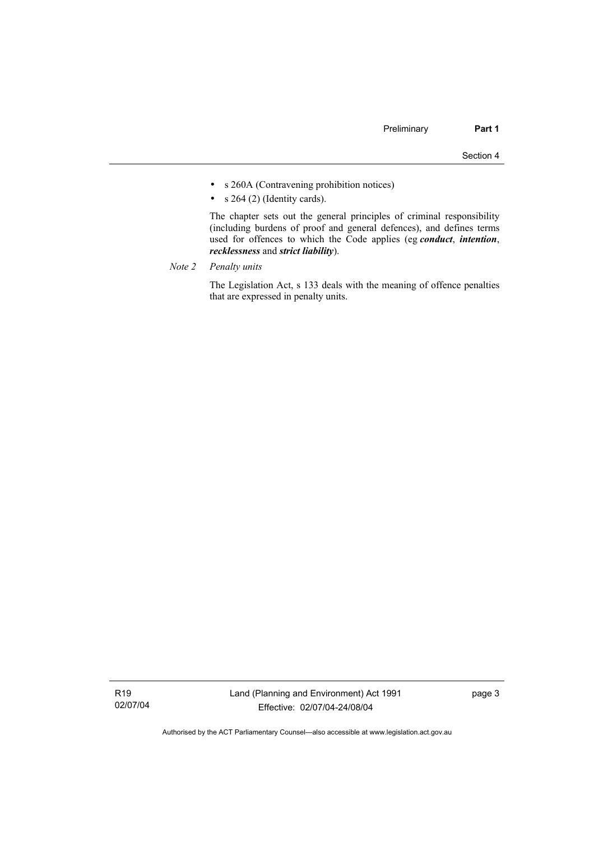- s 260A (Contravening prohibition notices)
- $s$  264 (2) (Identity cards).

 The chapter sets out the general principles of criminal responsibility (including burdens of proof and general defences), and defines terms used for offences to which the Code applies (eg *conduct*, *intention*, *recklessness* and *strict liability*).

*Note 2 Penalty units*

 The Legislation Act, s 133 deals with the meaning of offence penalties that are expressed in penalty units.

R19 02/07/04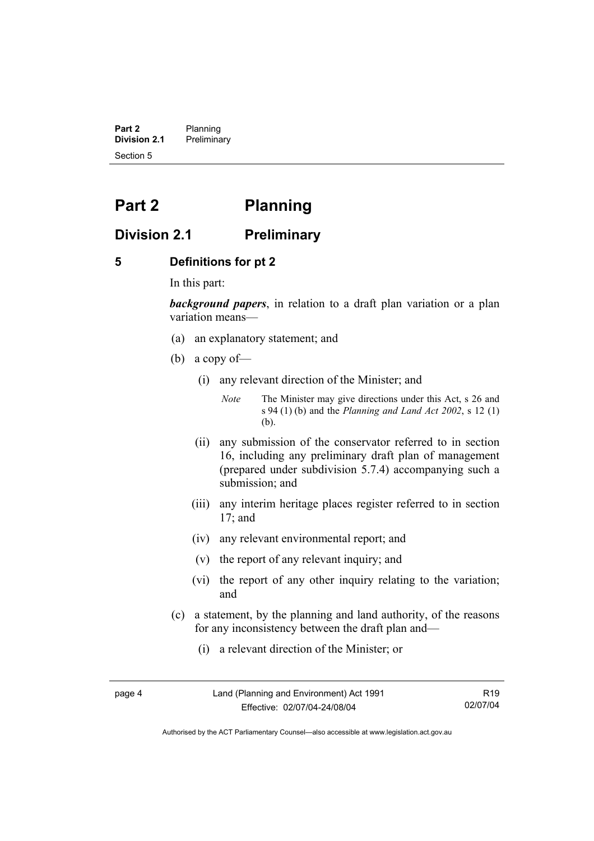**Part 2** Planning<br>**Division 2.1** Prelimina **Division 2.1** Preliminary Section 5

## **Part 2 Planning**

### **Division 2.1 Preliminary**

#### **5 Definitions for pt 2**

In this part:

*background papers*, in relation to a draft plan variation or a plan variation means—

- (a) an explanatory statement; and
- (b) a copy of—
	- (i) any relevant direction of the Minister; and

*Note* The Minister may give directions under this Act, s 26 and s 94 (1) (b) and the *Planning and Land Act 2002*, s 12 (1) (b).

- (ii) any submission of the conservator referred to in section 16, including any preliminary draft plan of management (prepared under subdivision 5.7.4) accompanying such a submission; and
- (iii) any interim heritage places register referred to in section 17; and
- (iv) any relevant environmental report; and
- (v) the report of any relevant inquiry; and
- (vi) the report of any other inquiry relating to the variation; and
- (c) a statement, by the planning and land authority, of the reasons for any inconsistency between the draft plan and—
	- (i) a relevant direction of the Minister; or

page 4 Land (Planning and Environment) Act 1991 Effective: 02/07/04-24/08/04

R19 02/07/04

Authorised by the ACT Parliamentary Counsel—also accessible at www.legislation.act.gov.au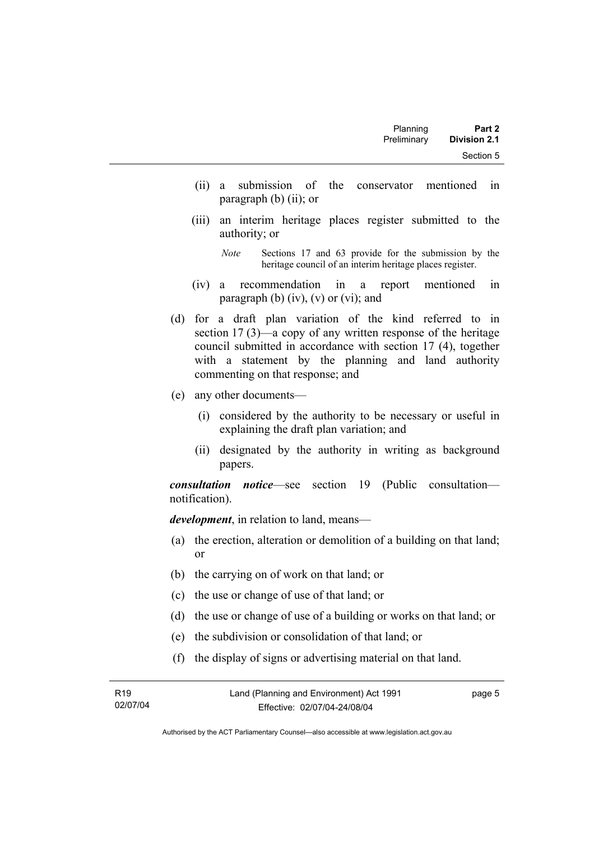- (ii) a submission of the conservator mentioned in paragraph (b) (ii); or
- (iii) an interim heritage places register submitted to the authority; or

*Note* Sections 17 and 63 provide for the submission by the heritage council of an interim heritage places register.

- (iv) a recommendation in a report mentioned in paragraph (b)  $(iv)$ ,  $(v)$  or  $(vi)$ ; and
- (d) for a draft plan variation of the kind referred to in section 17 (3)—a copy of any written response of the heritage council submitted in accordance with section 17 (4), together with a statement by the planning and land authority commenting on that response; and
- (e) any other documents—
	- (i) considered by the authority to be necessary or useful in explaining the draft plan variation; and
	- (ii) designated by the authority in writing as background papers.

*consultation notice*—see section 19 (Public consultation notification).

*development*, in relation to land, means—

- (a) the erection, alteration or demolition of a building on that land; or
- (b) the carrying on of work on that land; or
- (c) the use or change of use of that land; or
- (d) the use or change of use of a building or works on that land; or
- (e) the subdivision or consolidation of that land; or
- (f) the display of signs or advertising material on that land.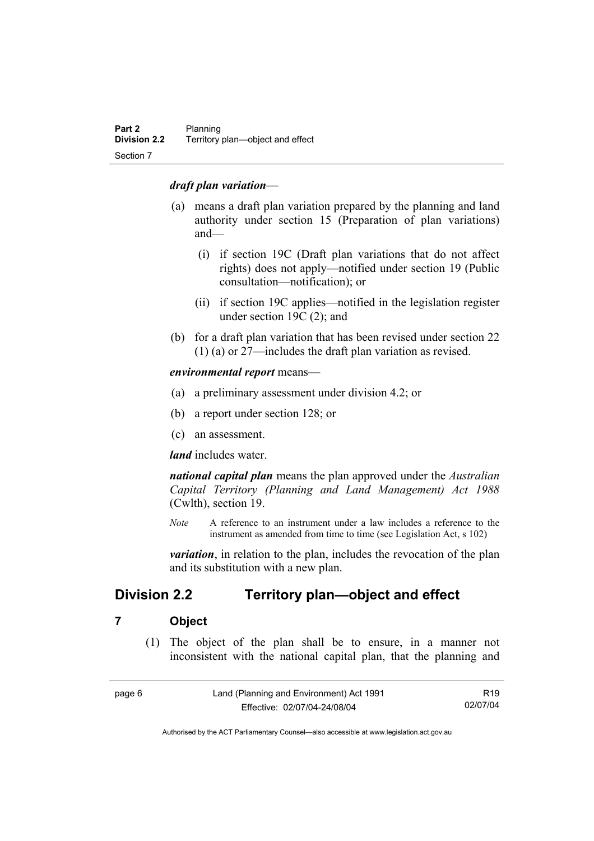#### *draft plan variation*—

- (a) means a draft plan variation prepared by the planning and land authority under section 15 (Preparation of plan variations) and—
	- (i) if section 19C (Draft plan variations that do not affect rights) does not apply—notified under section 19 (Public consultation—notification); or
	- (ii) if section 19C applies—notified in the legislation register under section 19C (2); and
- (b) for a draft plan variation that has been revised under section 22 (1) (a) or 27—includes the draft plan variation as revised.

*environmental report* means—

- (a) a preliminary assessment under division 4.2; or
- (b) a report under section 128; or
- (c) an assessment.

*land* includes water.

*national capital plan* means the plan approved under the *Australian Capital Territory (Planning and Land Management) Act 1988* (Cwlth), section 19.

*Note* A reference to an instrument under a law includes a reference to the instrument as amended from time to time (see Legislation Act, s 102)

*variation*, in relation to the plan, includes the revocation of the plan and its substitution with a new plan.

## **Division 2.2 Territory plan—object and effect**

#### **7 Object**

 (1) The object of the plan shall be to ensure, in a manner not inconsistent with the national capital plan, that the planning and

| page 6 | Land (Planning and Environment) Act 1991 | R <sub>19</sub> |
|--------|------------------------------------------|-----------------|
|        | Effective: 02/07/04-24/08/04             | 02/07/04        |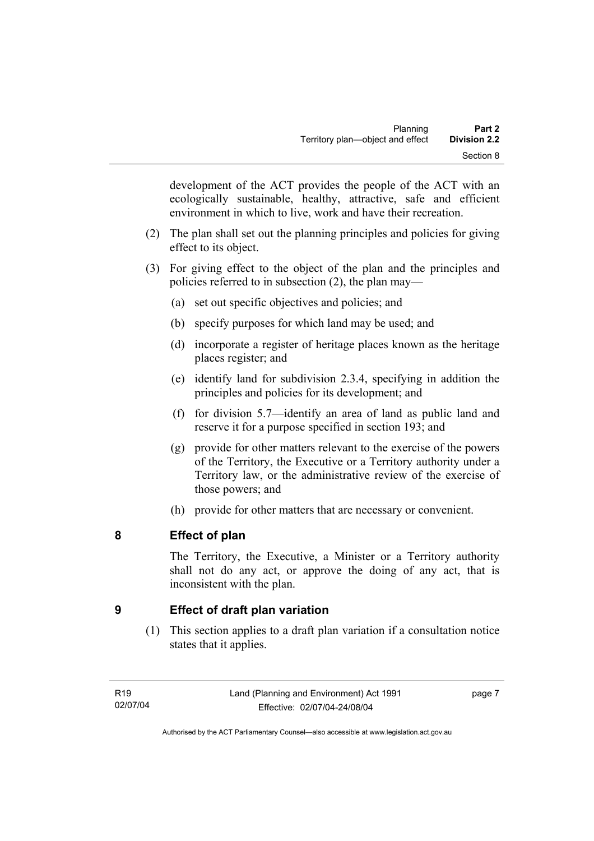development of the ACT provides the people of the ACT with an ecologically sustainable, healthy, attractive, safe and efficient environment in which to live, work and have their recreation.

- (2) The plan shall set out the planning principles and policies for giving effect to its object.
- (3) For giving effect to the object of the plan and the principles and policies referred to in subsection (2), the plan may—
	- (a) set out specific objectives and policies; and
	- (b) specify purposes for which land may be used; and
	- (d) incorporate a register of heritage places known as the heritage places register; and
	- (e) identify land for subdivision 2.3.4, specifying in addition the principles and policies for its development; and
	- (f) for division 5.7—identify an area of land as public land and reserve it for a purpose specified in section 193; and
	- (g) provide for other matters relevant to the exercise of the powers of the Territory, the Executive or a Territory authority under a Territory law, or the administrative review of the exercise of those powers; and
	- (h) provide for other matters that are necessary or convenient.

## **8 Effect of plan**

The Territory, the Executive, a Minister or a Territory authority shall not do any act, or approve the doing of any act, that is inconsistent with the plan.

## **9 Effect of draft plan variation**

 (1) This section applies to a draft plan variation if a consultation notice states that it applies.

page 7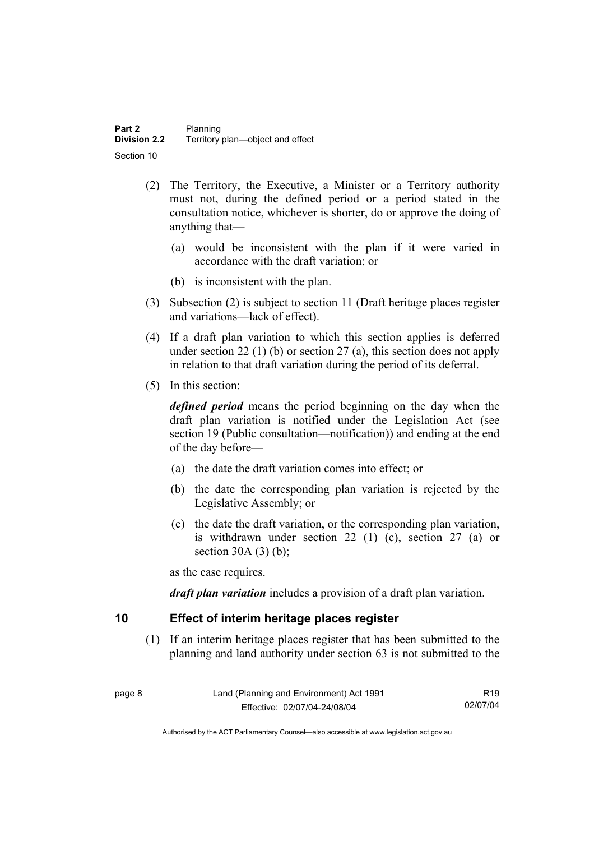- (2) The Territory, the Executive, a Minister or a Territory authority must not, during the defined period or a period stated in the consultation notice, whichever is shorter, do or approve the doing of anything that—
	- (a) would be inconsistent with the plan if it were varied in accordance with the draft variation; or
	- (b) is inconsistent with the plan.
- (3) Subsection (2) is subject to section 11 (Draft heritage places register and variations—lack of effect).
- (4) If a draft plan variation to which this section applies is deferred under section 22 (1) (b) or section 27 (a), this section does not apply in relation to that draft variation during the period of its deferral.
- (5) In this section:

*defined period* means the period beginning on the day when the draft plan variation is notified under the Legislation Act (see section 19 (Public consultation—notification)) and ending at the end of the day before—

- (a) the date the draft variation comes into effect; or
- (b) the date the corresponding plan variation is rejected by the Legislative Assembly; or
- (c) the date the draft variation, or the corresponding plan variation, is withdrawn under section 22 (1) (c), section 27 (a) or section  $30A(3)(b)$ ;

as the case requires.

*draft plan variation* includes a provision of a draft plan variation.

#### **10 Effect of interim heritage places register**

 (1) If an interim heritage places register that has been submitted to the planning and land authority under section 63 is not submitted to the

| page 8 | Land (Planning and Environment) Act 1991 | R19      |
|--------|------------------------------------------|----------|
|        | Effective: 02/07/04-24/08/04             | 02/07/04 |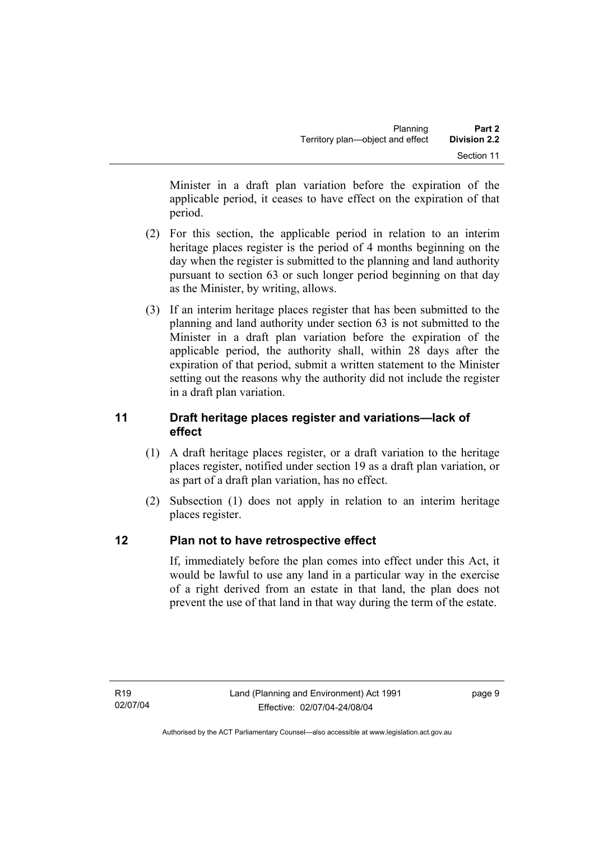Minister in a draft plan variation before the expiration of the applicable period, it ceases to have effect on the expiration of that period.

- (2) For this section, the applicable period in relation to an interim heritage places register is the period of 4 months beginning on the day when the register is submitted to the planning and land authority pursuant to section 63 or such longer period beginning on that day as the Minister, by writing, allows.
- (3) If an interim heritage places register that has been submitted to the planning and land authority under section 63 is not submitted to the Minister in a draft plan variation before the expiration of the applicable period, the authority shall, within 28 days after the expiration of that period, submit a written statement to the Minister setting out the reasons why the authority did not include the register in a draft plan variation.

### **11 Draft heritage places register and variations—lack of effect**

- (1) A draft heritage places register, or a draft variation to the heritage places register, notified under section 19 as a draft plan variation, or as part of a draft plan variation, has no effect.
- (2) Subsection (1) does not apply in relation to an interim heritage places register.

## **12 Plan not to have retrospective effect**

If, immediately before the plan comes into effect under this Act, it would be lawful to use any land in a particular way in the exercise of a right derived from an estate in that land, the plan does not prevent the use of that land in that way during the term of the estate.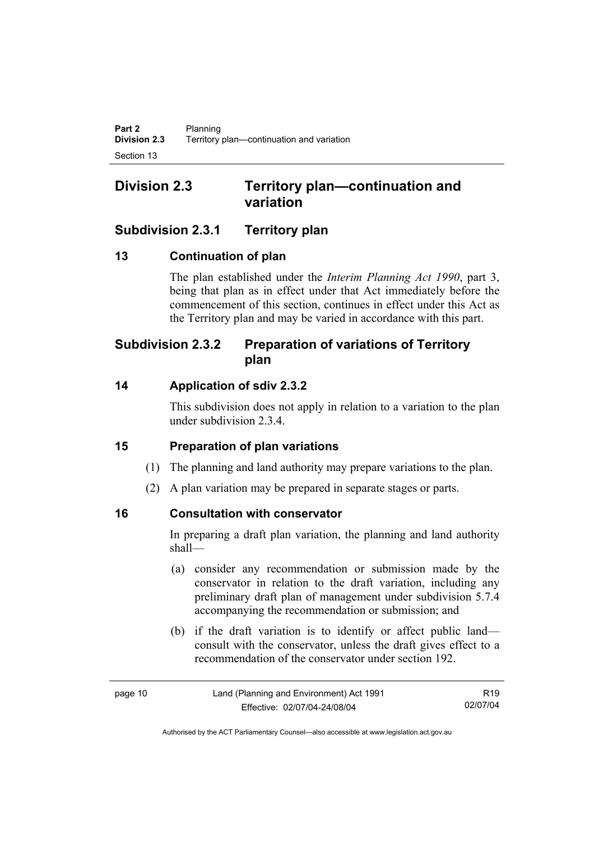## **Division 2.3 Territory plan—continuation and variation**

## **Subdivision 2.3.1 Territory plan**

## **13 Continuation of plan**

The plan established under the *Interim Planning Act 1990*, part 3, being that plan as in effect under that Act immediately before the commencement of this section, continues in effect under this Act as the Territory plan and may be varied in accordance with this part.

## **Subdivision 2.3.2 Preparation of variations of Territory plan**

## **14 Application of sdiv 2.3.2**

This subdivision does not apply in relation to a variation to the plan under subdivision 2.3.4.

## **15 Preparation of plan variations**

- (1) The planning and land authority may prepare variations to the plan.
- (2) A plan variation may be prepared in separate stages or parts.

## **16 Consultation with conservator**

In preparing a draft plan variation, the planning and land authority shall—

- (a) consider any recommendation or submission made by the conservator in relation to the draft variation, including any preliminary draft plan of management under subdivision 5.7.4 accompanying the recommendation or submission; and
- (b) if the draft variation is to identify or affect public land consult with the conservator, unless the draft gives effect to a recommendation of the conservator under section 192.

| page 10 |  |
|---------|--|
|---------|--|

R19 02/07/04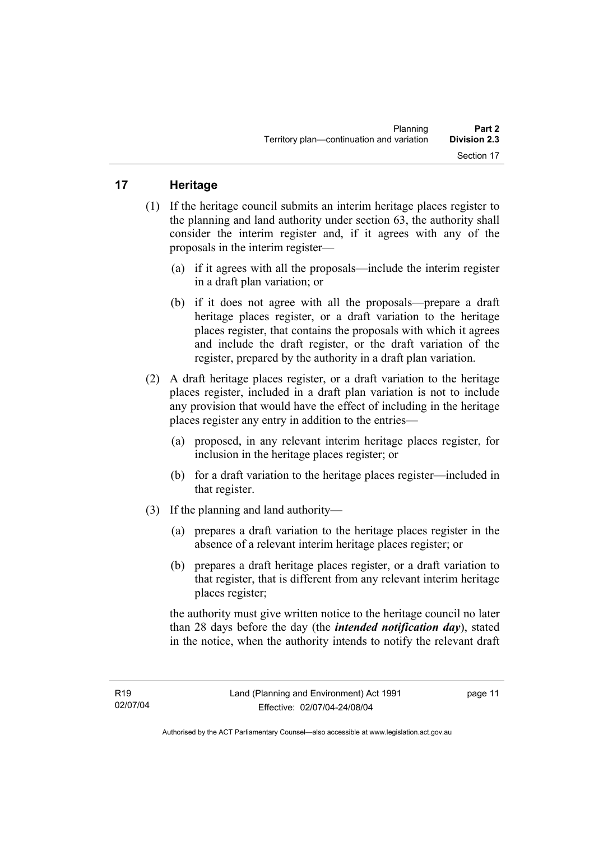## **17 Heritage**

- (1) If the heritage council submits an interim heritage places register to the planning and land authority under section 63, the authority shall consider the interim register and, if it agrees with any of the proposals in the interim register—
	- (a) if it agrees with all the proposals—include the interim register in a draft plan variation; or
	- (b) if it does not agree with all the proposals—prepare a draft heritage places register, or a draft variation to the heritage places register, that contains the proposals with which it agrees and include the draft register, or the draft variation of the register, prepared by the authority in a draft plan variation.
- (2) A draft heritage places register, or a draft variation to the heritage places register, included in a draft plan variation is not to include any provision that would have the effect of including in the heritage places register any entry in addition to the entries—
	- (a) proposed, in any relevant interim heritage places register, for inclusion in the heritage places register; or
	- (b) for a draft variation to the heritage places register—included in that register.
- (3) If the planning and land authority—
	- (a) prepares a draft variation to the heritage places register in the absence of a relevant interim heritage places register; or
	- (b) prepares a draft heritage places register, or a draft variation to that register, that is different from any relevant interim heritage places register;

the authority must give written notice to the heritage council no later than 28 days before the day (the *intended notification day*), stated in the notice, when the authority intends to notify the relevant draft

page 11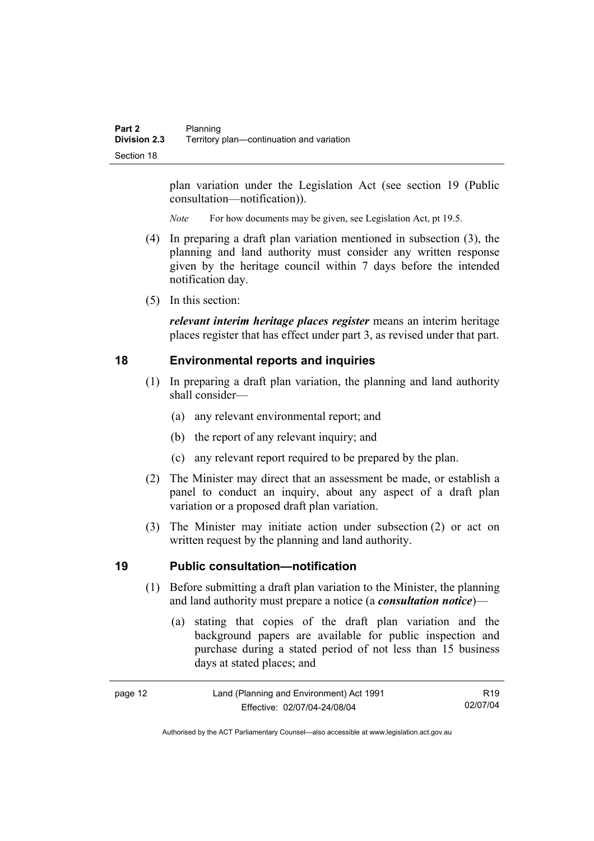plan variation under the Legislation Act (see section 19 (Public consultation—notification)).

*Note* For how documents may be given, see Legislation Act, pt 19.5.

- (4) In preparing a draft plan variation mentioned in subsection (3), the planning and land authority must consider any written response given by the heritage council within 7 days before the intended notification day.
- (5) In this section:

*relevant interim heritage places register* means an interim heritage places register that has effect under part 3, as revised under that part.

#### **18 Environmental reports and inquiries**

- (1) In preparing a draft plan variation, the planning and land authority shall consider—
	- (a) any relevant environmental report; and
	- (b) the report of any relevant inquiry; and
	- (c) any relevant report required to be prepared by the plan.
- (2) The Minister may direct that an assessment be made, or establish a panel to conduct an inquiry, about any aspect of a draft plan variation or a proposed draft plan variation.
- (3) The Minister may initiate action under subsection (2) or act on written request by the planning and land authority.

#### **19 Public consultation—notification**

- (1) Before submitting a draft plan variation to the Minister, the planning and land authority must prepare a notice (a *consultation notice*)—
	- (a) stating that copies of the draft plan variation and the background papers are available for public inspection and purchase during a stated period of not less than 15 business days at stated places; and

| page 12 | Land (Planning and Environment) Act 1991 | R <sub>19</sub> |
|---------|------------------------------------------|-----------------|
|         | Effective: 02/07/04-24/08/04             | 02/07/04        |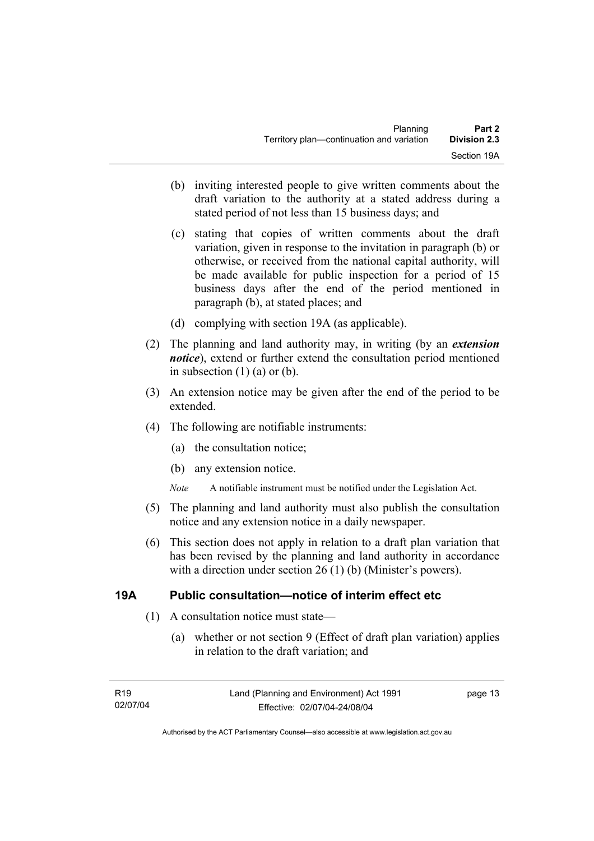- (b) inviting interested people to give written comments about the draft variation to the authority at a stated address during a stated period of not less than 15 business days; and
- (c) stating that copies of written comments about the draft variation, given in response to the invitation in paragraph (b) or otherwise, or received from the national capital authority, will be made available for public inspection for a period of 15 business days after the end of the period mentioned in paragraph (b), at stated places; and
- (d) complying with section 19A (as applicable).
- (2) The planning and land authority may, in writing (by an *extension notice*), extend or further extend the consultation period mentioned in subsection  $(1)$   $(a)$  or  $(b)$ .
- (3) An extension notice may be given after the end of the period to be extended.
- (4) The following are notifiable instruments:
	- (a) the consultation notice;
	- (b) any extension notice.
	- *Note* A notifiable instrument must be notified under the Legislation Act.
- (5) The planning and land authority must also publish the consultation notice and any extension notice in a daily newspaper.
- (6) This section does not apply in relation to a draft plan variation that has been revised by the planning and land authority in accordance with a direction under section 26 (1) (b) (Minister's powers).

#### **19A Public consultation—notice of interim effect etc**

- (1) A consultation notice must state—
	- (a) whether or not section 9 (Effect of draft plan variation) applies in relation to the draft variation; and

page 13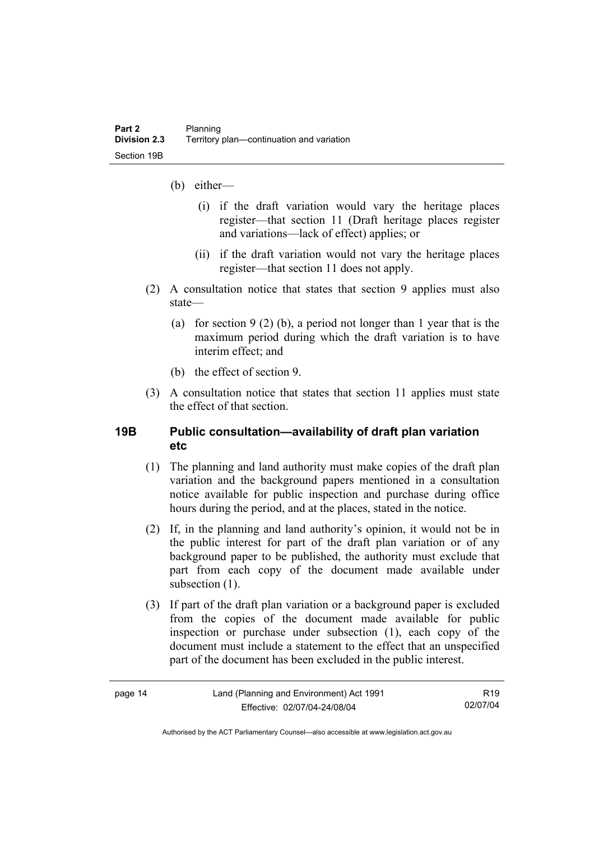- (b) either—
	- (i) if the draft variation would vary the heritage places register—that section 11 (Draft heritage places register and variations—lack of effect) applies; or
	- (ii) if the draft variation would not vary the heritage places register—that section 11 does not apply.
- (2) A consultation notice that states that section 9 applies must also state—
	- (a) for section 9 (2) (b), a period not longer than 1 year that is the maximum period during which the draft variation is to have interim effect; and
	- (b) the effect of section 9.
- (3) A consultation notice that states that section 11 applies must state the effect of that section.

#### **19B Public consultation—availability of draft plan variation etc**

- (1) The planning and land authority must make copies of the draft plan variation and the background papers mentioned in a consultation notice available for public inspection and purchase during office hours during the period, and at the places, stated in the notice.
- (2) If, in the planning and land authority's opinion, it would not be in the public interest for part of the draft plan variation or of any background paper to be published, the authority must exclude that part from each copy of the document made available under subsection  $(1)$ .
- (3) If part of the draft plan variation or a background paper is excluded from the copies of the document made available for public inspection or purchase under subsection (1), each copy of the document must include a statement to the effect that an unspecified part of the document has been excluded in the public interest.

| c |  |
|---|--|
|---|--|

R19 02/07/04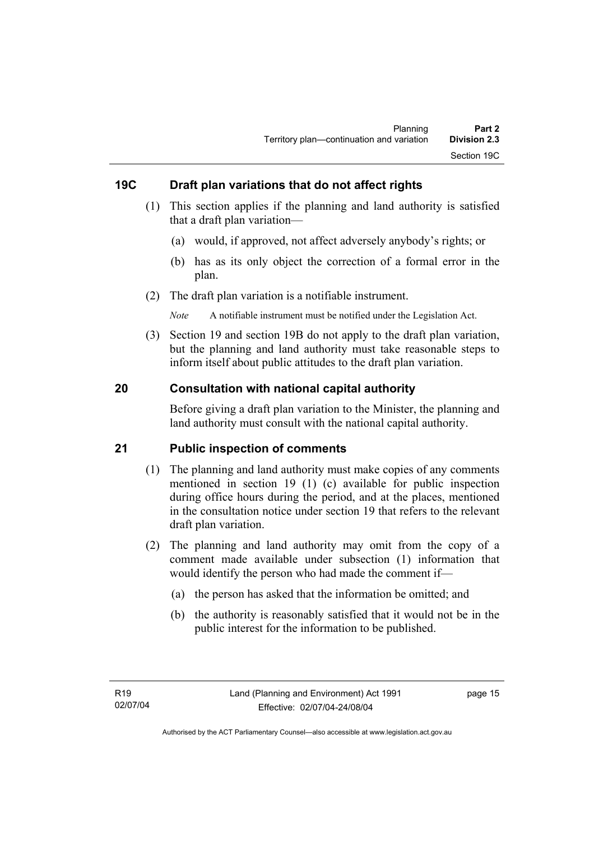### **19C Draft plan variations that do not affect rights**

- (1) This section applies if the planning and land authority is satisfied that a draft plan variation—
	- (a) would, if approved, not affect adversely anybody's rights; or
	- (b) has as its only object the correction of a formal error in the plan.
- (2) The draft plan variation is a notifiable instrument.

*Note* A notifiable instrument must be notified under the Legislation Act.

 (3) Section 19 and section 19B do not apply to the draft plan variation, but the planning and land authority must take reasonable steps to inform itself about public attitudes to the draft plan variation.

#### **20 Consultation with national capital authority**

Before giving a draft plan variation to the Minister, the planning and land authority must consult with the national capital authority.

#### **21 Public inspection of comments**

- (1) The planning and land authority must make copies of any comments mentioned in section 19 (1) (c) available for public inspection during office hours during the period, and at the places, mentioned in the consultation notice under section 19 that refers to the relevant draft plan variation.
- (2) The planning and land authority may omit from the copy of a comment made available under subsection (1) information that would identify the person who had made the comment if—
	- (a) the person has asked that the information be omitted; and
	- (b) the authority is reasonably satisfied that it would not be in the public interest for the information to be published.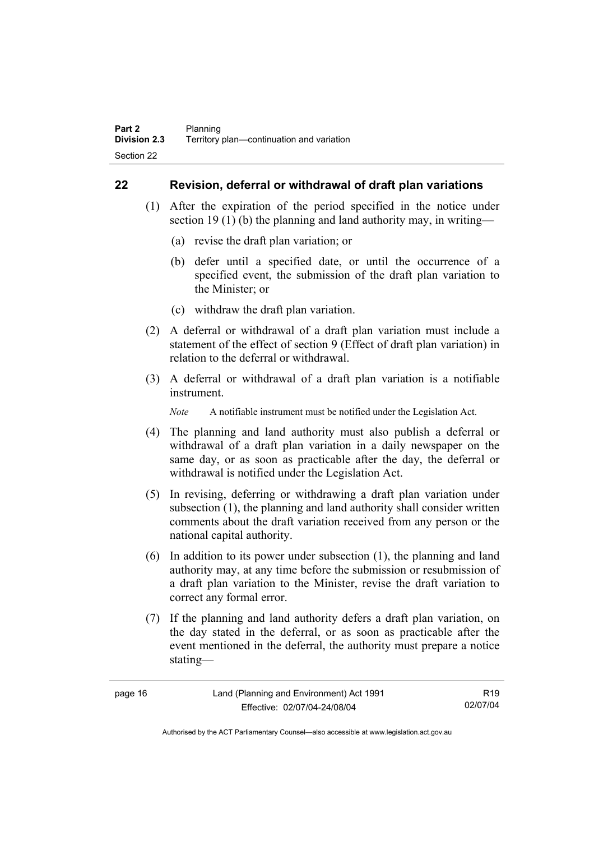#### **22 Revision, deferral or withdrawal of draft plan variations**

- (1) After the expiration of the period specified in the notice under section 19 (1) (b) the planning and land authority may, in writing—
	- (a) revise the draft plan variation; or
	- (b) defer until a specified date, or until the occurrence of a specified event, the submission of the draft plan variation to the Minister; or
	- (c) withdraw the draft plan variation.
- (2) A deferral or withdrawal of a draft plan variation must include a statement of the effect of section 9 (Effect of draft plan variation) in relation to the deferral or withdrawal.
- (3) A deferral or withdrawal of a draft plan variation is a notifiable instrument.

*Note* A notifiable instrument must be notified under the Legislation Act.

- (4) The planning and land authority must also publish a deferral or withdrawal of a draft plan variation in a daily newspaper on the same day, or as soon as practicable after the day, the deferral or withdrawal is notified under the Legislation Act.
- (5) In revising, deferring or withdrawing a draft plan variation under subsection (1), the planning and land authority shall consider written comments about the draft variation received from any person or the national capital authority.
- (6) In addition to its power under subsection (1), the planning and land authority may, at any time before the submission or resubmission of a draft plan variation to the Minister, revise the draft variation to correct any formal error.
- (7) If the planning and land authority defers a draft plan variation, on the day stated in the deferral, or as soon as practicable after the event mentioned in the deferral, the authority must prepare a notice stating—

| page |  |
|------|--|
|------|--|

R19 02/07/04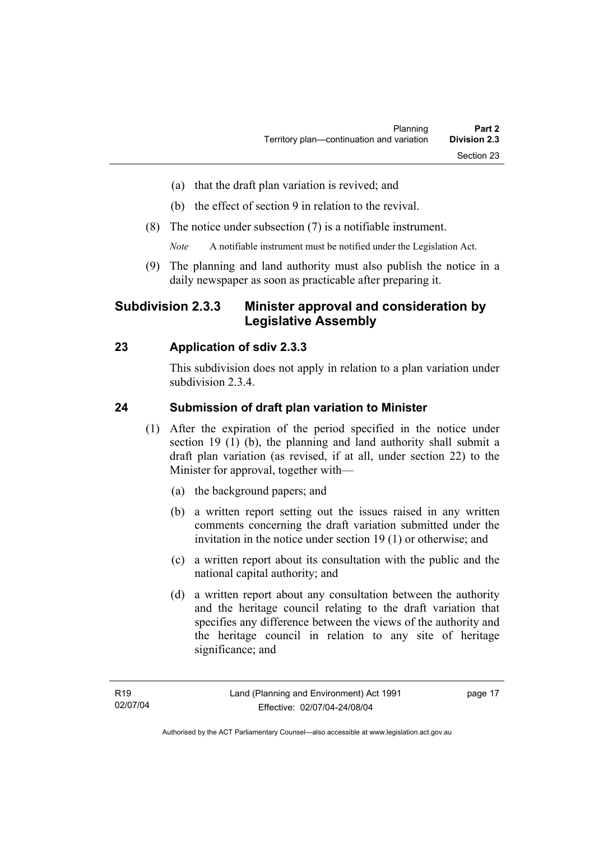- (a) that the draft plan variation is revived; and
- (b) the effect of section 9 in relation to the revival.
- (8) The notice under subsection (7) is a notifiable instrument.

*Note* A notifiable instrument must be notified under the Legislation Act.

(9) The planning and land authority must also publish the notice in a daily newspaper as soon as practicable after preparing it.

## **Subdivision 2.3.3 Minister approval and consideration by Legislative Assembly**

### **23 Application of sdiv 2.3.3**

This subdivision does not apply in relation to a plan variation under subdivision 2.3.4.

#### **24 Submission of draft plan variation to Minister**

- (1) After the expiration of the period specified in the notice under section 19 (1) (b), the planning and land authority shall submit a draft plan variation (as revised, if at all, under section 22) to the Minister for approval, together with—
	- (a) the background papers; and
	- (b) a written report setting out the issues raised in any written comments concerning the draft variation submitted under the invitation in the notice under section 19 (1) or otherwise; and
	- (c) a written report about its consultation with the public and the national capital authority; and
	- (d) a written report about any consultation between the authority and the heritage council relating to the draft variation that specifies any difference between the views of the authority and the heritage council in relation to any site of heritage significance; and

page 17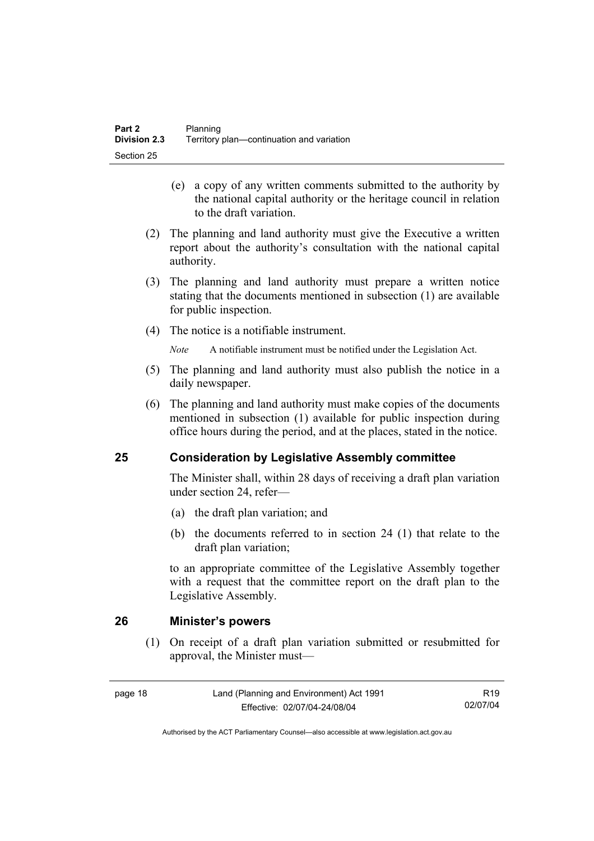- (e) a copy of any written comments submitted to the authority by the national capital authority or the heritage council in relation to the draft variation.
- (2) The planning and land authority must give the Executive a written report about the authority's consultation with the national capital authority.
- (3) The planning and land authority must prepare a written notice stating that the documents mentioned in subsection (1) are available for public inspection.
- (4) The notice is a notifiable instrument.

*Note* A notifiable instrument must be notified under the Legislation Act.

- (5) The planning and land authority must also publish the notice in a daily newspaper.
- (6) The planning and land authority must make copies of the documents mentioned in subsection (1) available for public inspection during office hours during the period, and at the places, stated in the notice.

### **25 Consideration by Legislative Assembly committee**

The Minister shall, within 28 days of receiving a draft plan variation under section 24, refer—

- (a) the draft plan variation; and
- (b) the documents referred to in section 24 (1) that relate to the draft plan variation;

to an appropriate committee of the Legislative Assembly together with a request that the committee report on the draft plan to the Legislative Assembly.

#### **26 Minister's powers**

 (1) On receipt of a draft plan variation submitted or resubmitted for approval, the Minister must—

R19 02/07/04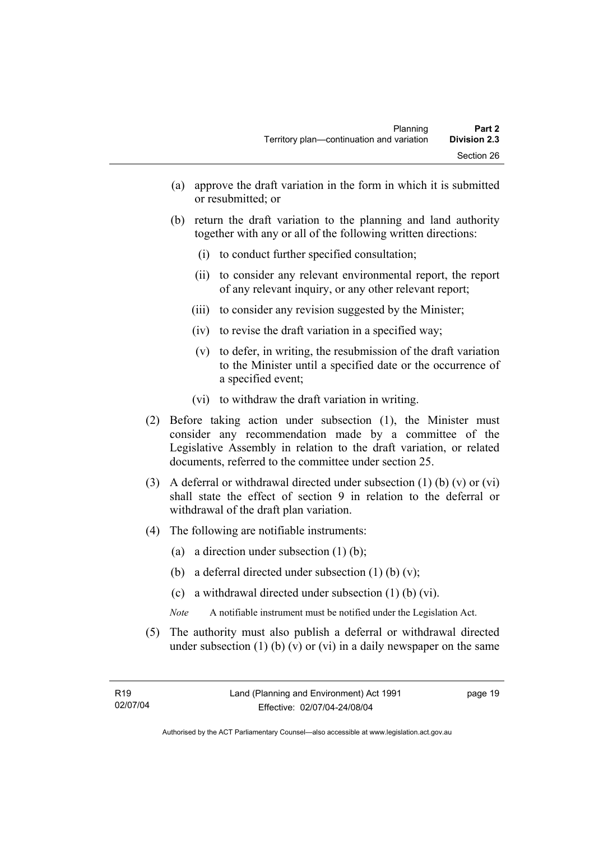- (a) approve the draft variation in the form in which it is submitted or resubmitted; or
- (b) return the draft variation to the planning and land authority together with any or all of the following written directions:
	- (i) to conduct further specified consultation;
	- (ii) to consider any relevant environmental report, the report of any relevant inquiry, or any other relevant report;
	- (iii) to consider any revision suggested by the Minister;
	- (iv) to revise the draft variation in a specified way;
	- (v) to defer, in writing, the resubmission of the draft variation to the Minister until a specified date or the occurrence of a specified event;
	- (vi) to withdraw the draft variation in writing.
- (2) Before taking action under subsection (1), the Minister must consider any recommendation made by a committee of the Legislative Assembly in relation to the draft variation, or related documents, referred to the committee under section 25.
- (3) A deferral or withdrawal directed under subsection (1) (b) (v) or (vi) shall state the effect of section 9 in relation to the deferral or withdrawal of the draft plan variation.
- (4) The following are notifiable instruments:
	- (a) a direction under subsection (1) (b);
	- (b) a deferral directed under subsection  $(1)$  (b)  $(v)$ ;
	- (c) a withdrawal directed under subsection (1) (b) (vi).
	- *Note* A notifiable instrument must be notified under the Legislation Act.
- (5) The authority must also publish a deferral or withdrawal directed under subsection  $(1)$  (b)  $(v)$  or  $(vi)$  in a daily newspaper on the same

page 19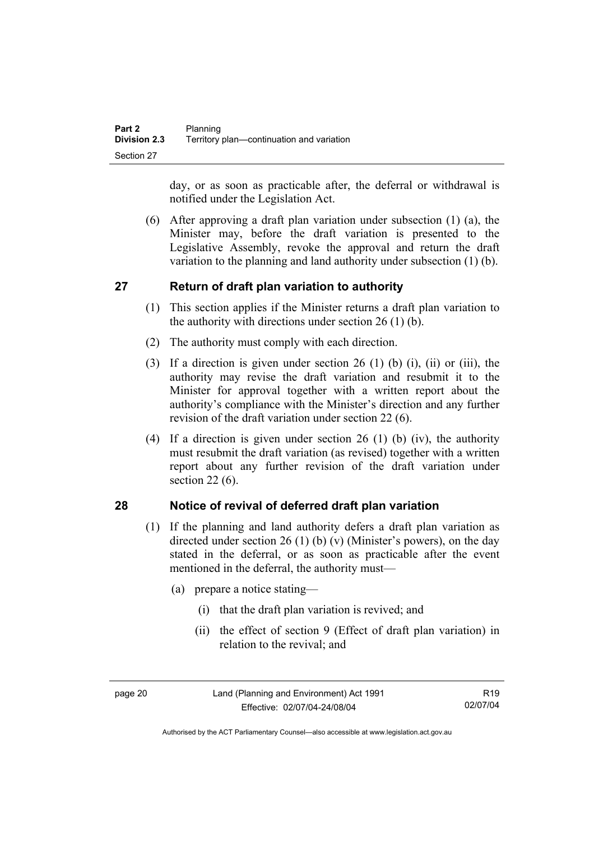day, or as soon as practicable after, the deferral or withdrawal is notified under the Legislation Act.

 (6) After approving a draft plan variation under subsection (1) (a), the Minister may, before the draft variation is presented to the Legislative Assembly, revoke the approval and return the draft variation to the planning and land authority under subsection (1) (b).

## **27 Return of draft plan variation to authority**

- (1) This section applies if the Minister returns a draft plan variation to the authority with directions under section  $26(1)(b)$ .
- (2) The authority must comply with each direction.
- (3) If a direction is given under section 26 (1) (b) (i), (ii) or (iii), the authority may revise the draft variation and resubmit it to the Minister for approval together with a written report about the authority's compliance with the Minister's direction and any further revision of the draft variation under section 22 (6).
- (4) If a direction is given under section 26 (1) (b) (iv), the authority must resubmit the draft variation (as revised) together with a written report about any further revision of the draft variation under section 22 (6).

### **28 Notice of revival of deferred draft plan variation**

- (1) If the planning and land authority defers a draft plan variation as directed under section 26 (1) (b) (v) (Minister's powers), on the day stated in the deferral, or as soon as practicable after the event mentioned in the deferral, the authority must—
	- (a) prepare a notice stating—
		- (i) that the draft plan variation is revived; and
		- (ii) the effect of section 9 (Effect of draft plan variation) in relation to the revival; and

Authorised by the ACT Parliamentary Counsel—also accessible at www.legislation.act.gov.au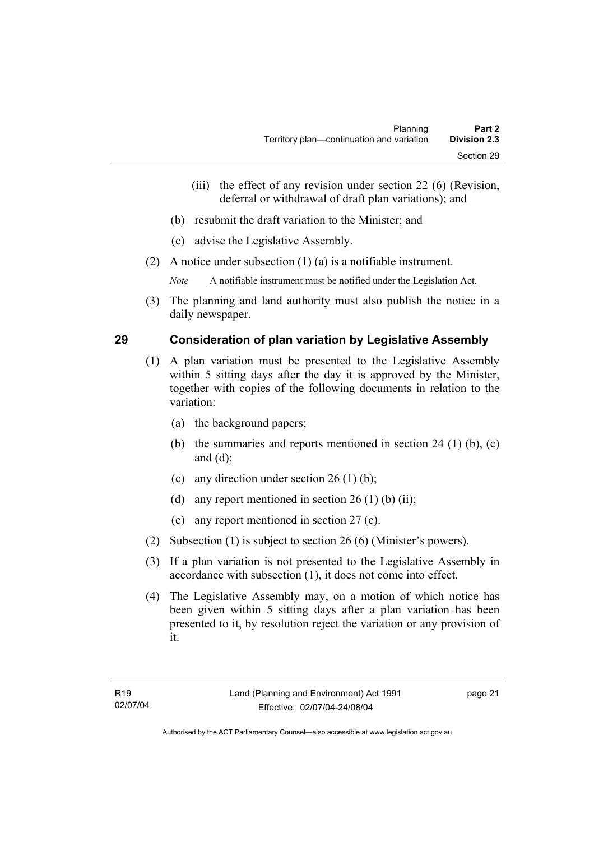- (iii) the effect of any revision under section 22 (6) (Revision, deferral or withdrawal of draft plan variations); and
- (b) resubmit the draft variation to the Minister; and
- (c) advise the Legislative Assembly.
- (2) A notice under subsection (1) (a) is a notifiable instrument.

*Note* A notifiable instrument must be notified under the Legislation Act.

(3) The planning and land authority must also publish the notice in a daily newspaper.

## **29 Consideration of plan variation by Legislative Assembly**

- (1) A plan variation must be presented to the Legislative Assembly within 5 sitting days after the day it is approved by the Minister, together with copies of the following documents in relation to the variation:
	- (a) the background papers;
	- (b) the summaries and reports mentioned in section 24 (1) (b), (c) and (d);
	- (c) any direction under section  $26 (1) (b)$ ;
	- (d) any report mentioned in section  $26(1)$  (b) (ii);
	- (e) any report mentioned in section 27 (c).
- (2) Subsection (1) is subject to section 26 (6) (Minister's powers).
- (3) If a plan variation is not presented to the Legislative Assembly in accordance with subsection (1), it does not come into effect.
- (4) The Legislative Assembly may, on a motion of which notice has been given within 5 sitting days after a plan variation has been presented to it, by resolution reject the variation or any provision of it.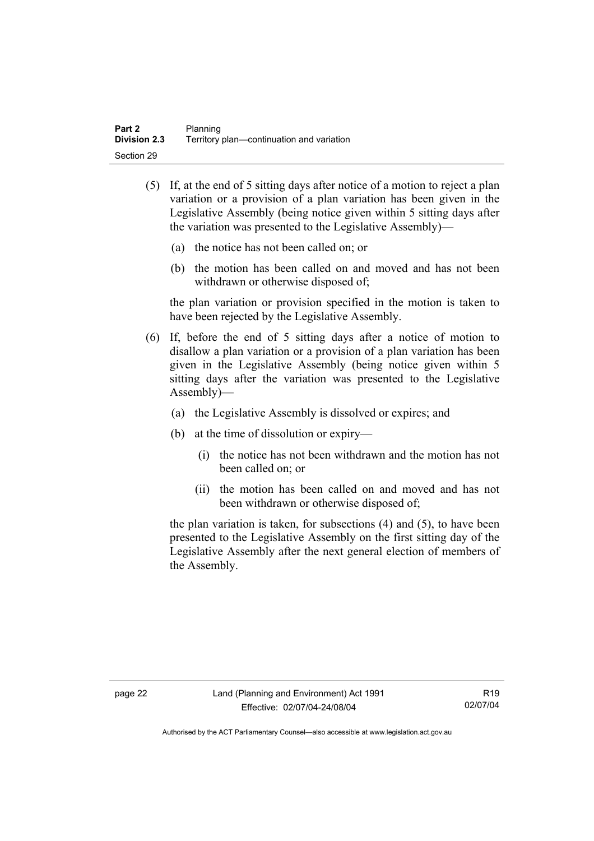- (5) If, at the end of 5 sitting days after notice of a motion to reject a plan variation or a provision of a plan variation has been given in the Legislative Assembly (being notice given within 5 sitting days after the variation was presented to the Legislative Assembly)—
	- (a) the notice has not been called on; or
	- (b) the motion has been called on and moved and has not been withdrawn or otherwise disposed of;

the plan variation or provision specified in the motion is taken to have been rejected by the Legislative Assembly.

- (6) If, before the end of 5 sitting days after a notice of motion to disallow a plan variation or a provision of a plan variation has been given in the Legislative Assembly (being notice given within 5 sitting days after the variation was presented to the Legislative Assembly)—
	- (a) the Legislative Assembly is dissolved or expires; and
	- (b) at the time of dissolution or expiry—
		- (i) the notice has not been withdrawn and the motion has not been called on; or
		- (ii) the motion has been called on and moved and has not been withdrawn or otherwise disposed of;

the plan variation is taken, for subsections (4) and (5), to have been presented to the Legislative Assembly on the first sitting day of the Legislative Assembly after the next general election of members of the Assembly.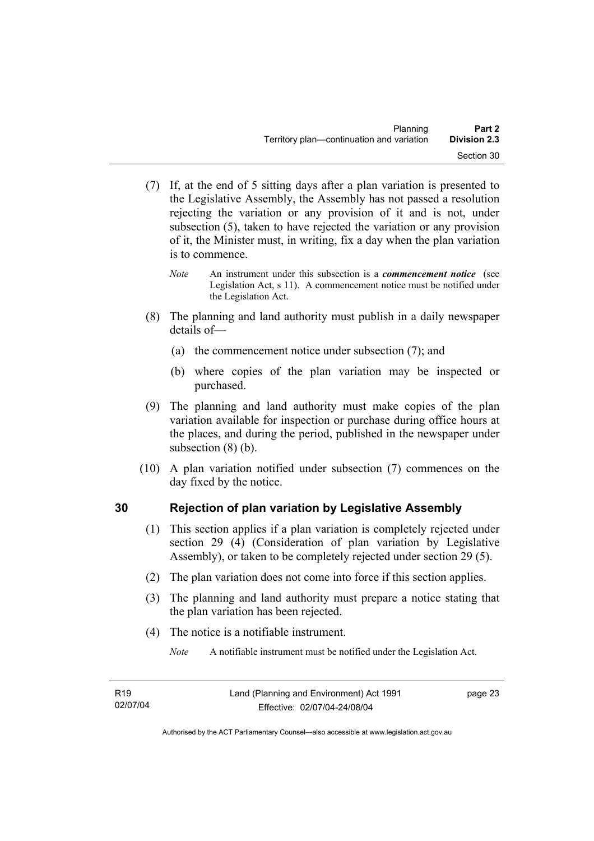- (7) If, at the end of 5 sitting days after a plan variation is presented to the Legislative Assembly, the Assembly has not passed a resolution rejecting the variation or any provision of it and is not, under subsection (5), taken to have rejected the variation or any provision of it, the Minister must, in writing, fix a day when the plan variation is to commence.
	- *Note* An instrument under this subsection is a *commencement notice* (see Legislation Act, s 11). A commencement notice must be notified under the Legislation Act.
- (8) The planning and land authority must publish in a daily newspaper details of—
	- (a) the commencement notice under subsection (7); and
	- (b) where copies of the plan variation may be inspected or purchased.
- (9) The planning and land authority must make copies of the plan variation available for inspection or purchase during office hours at the places, and during the period, published in the newspaper under subsection (8) (b).
- (10) A plan variation notified under subsection (7) commences on the day fixed by the notice.

# **30 Rejection of plan variation by Legislative Assembly**

- (1) This section applies if a plan variation is completely rejected under section 29 (4) (Consideration of plan variation by Legislative Assembly), or taken to be completely rejected under section 29 (5).
- (2) The plan variation does not come into force if this section applies.
- (3) The planning and land authority must prepare a notice stating that the plan variation has been rejected.
- (4) The notice is a notifiable instrument.

*Note* A notifiable instrument must be notified under the Legislation Act.

page 23

Authorised by the ACT Parliamentary Counsel—also accessible at www.legislation.act.gov.au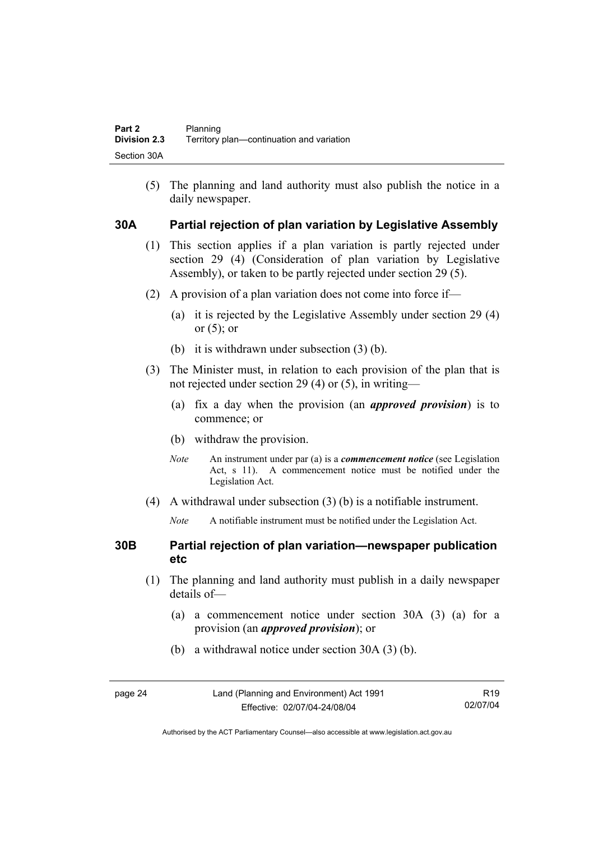(5) The planning and land authority must also publish the notice in a daily newspaper.

## **30A Partial rejection of plan variation by Legislative Assembly**

- (1) This section applies if a plan variation is partly rejected under section 29 (4) (Consideration of plan variation by Legislative Assembly), or taken to be partly rejected under section 29 (5).
- (2) A provision of a plan variation does not come into force if—
	- (a) it is rejected by the Legislative Assembly under section 29 (4) or  $(5)$ ; or
	- (b) it is withdrawn under subsection (3) (b).
- (3) The Minister must, in relation to each provision of the plan that is not rejected under section 29 (4) or (5), in writing—
	- (a) fix a day when the provision (an *approved provision*) is to commence; or
	- (b) withdraw the provision.
	- *Note* An instrument under par (a) is a *commencement notice* (see Legislation Act, s 11). A commencement notice must be notified under the Legislation Act.
- (4) A withdrawal under subsection (3) (b) is a notifiable instrument.
	- *Note* A notifiable instrument must be notified under the Legislation Act.

## **30B Partial rejection of plan variation—newspaper publication etc**

- (1) The planning and land authority must publish in a daily newspaper details of—
	- (a) a commencement notice under section 30A (3) (a) for a provision (an *approved provision*); or
	- (b) a withdrawal notice under section 30A (3) (b).

| page 2 |
|--------|
|--------|

Authorised by the ACT Parliamentary Counsel—also accessible at www.legislation.act.gov.au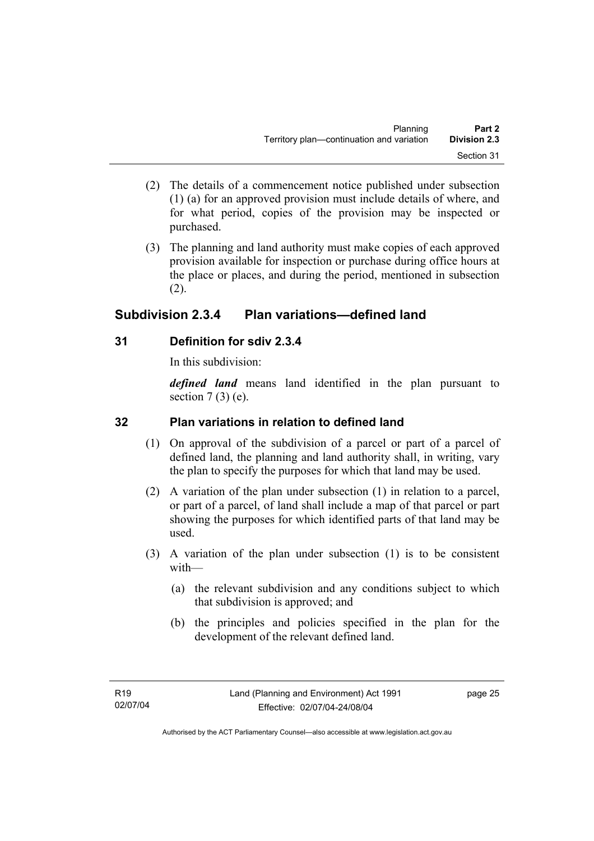- (2) The details of a commencement notice published under subsection (1) (a) for an approved provision must include details of where, and for what period, copies of the provision may be inspected or purchased.
- (3) The planning and land authority must make copies of each approved provision available for inspection or purchase during office hours at the place or places, and during the period, mentioned in subsection (2).

# **Subdivision 2.3.4 Plan variations—defined land**

## **31 Definition for sdiv 2.3.4**

In this subdivision:

*defined land* means land identified in the plan pursuant to section  $7(3)$  (e).

# **32 Plan variations in relation to defined land**

- (1) On approval of the subdivision of a parcel or part of a parcel of defined land, the planning and land authority shall, in writing, vary the plan to specify the purposes for which that land may be used.
- (2) A variation of the plan under subsection (1) in relation to a parcel, or part of a parcel, of land shall include a map of that parcel or part showing the purposes for which identified parts of that land may be used.
- (3) A variation of the plan under subsection (1) is to be consistent with—
	- (a) the relevant subdivision and any conditions subject to which that subdivision is approved; and
	- (b) the principles and policies specified in the plan for the development of the relevant defined land.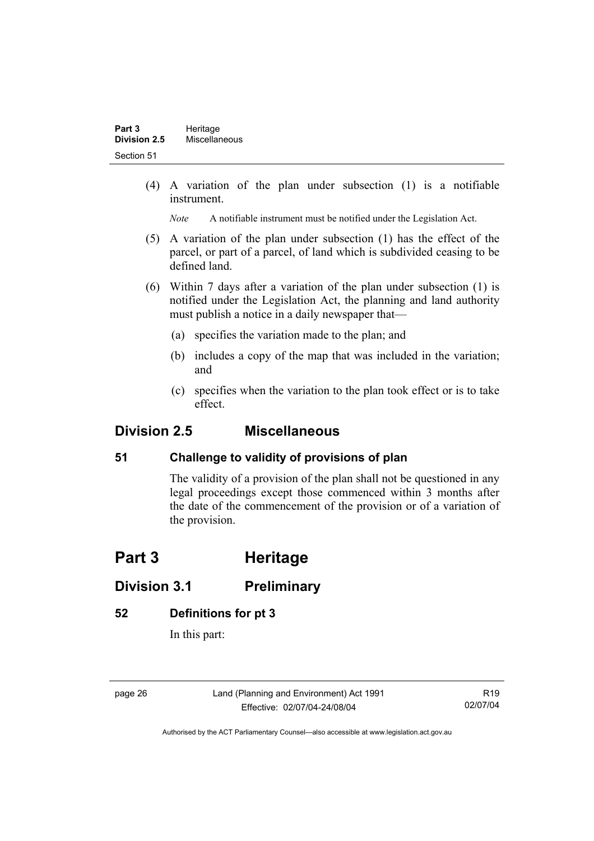(4) A variation of the plan under subsection (1) is a notifiable instrument.

*Note* A notifiable instrument must be notified under the Legislation Act.

- (5) A variation of the plan under subsection (1) has the effect of the parcel, or part of a parcel, of land which is subdivided ceasing to be defined land.
- (6) Within 7 days after a variation of the plan under subsection (1) is notified under the Legislation Act, the planning and land authority must publish a notice in a daily newspaper that—
	- (a) specifies the variation made to the plan; and
	- (b) includes a copy of the map that was included in the variation; and
	- (c) specifies when the variation to the plan took effect or is to take effect.

# **Division 2.5 Miscellaneous**

# **51 Challenge to validity of provisions of plan**

The validity of a provision of the plan shall not be questioned in any legal proceedings except those commenced within 3 months after the date of the commencement of the provision or of a variation of the provision.

# **Part 3 Heritage**

# **Division 3.1 Preliminary**

## **52 Definitions for pt 3**

In this part:

page 26 Land (Planning and Environment) Act 1991 Effective: 02/07/04-24/08/04

R19 02/07/04

Authorised by the ACT Parliamentary Counsel—also accessible at www.legislation.act.gov.au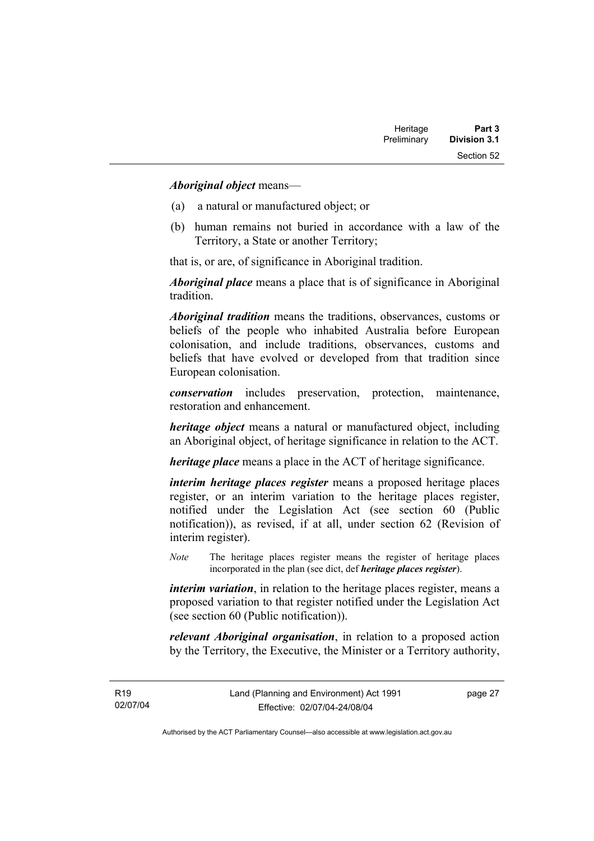#### *Aboriginal object* means—

- (a) a natural or manufactured object; or
- (b) human remains not buried in accordance with a law of the Territory, a State or another Territory;

that is, or are, of significance in Aboriginal tradition.

*Aboriginal place* means a place that is of significance in Aboriginal tradition.

*Aboriginal tradition* means the traditions, observances, customs or beliefs of the people who inhabited Australia before European colonisation, and include traditions, observances, customs and beliefs that have evolved or developed from that tradition since European colonisation.

*conservation* includes preservation, protection, maintenance, restoration and enhancement.

*heritage object* means a natural or manufactured object, including an Aboriginal object, of heritage significance in relation to the ACT.

*heritage place* means a place in the ACT of heritage significance.

*interim heritage places register* means a proposed heritage places register, or an interim variation to the heritage places register, notified under the Legislation Act (see section 60 (Public notification)), as revised, if at all, under section 62 (Revision of interim register).

*Note* The heritage places register means the register of heritage places incorporated in the plan (see dict, def *heritage places register*).

*interim variation*, in relation to the heritage places register, means a proposed variation to that register notified under the Legislation Act (see section 60 (Public notification)).

*relevant Aboriginal organisation*, in relation to a proposed action by the Territory, the Executive, the Minister or a Territory authority,

R19 02/07/04 page 27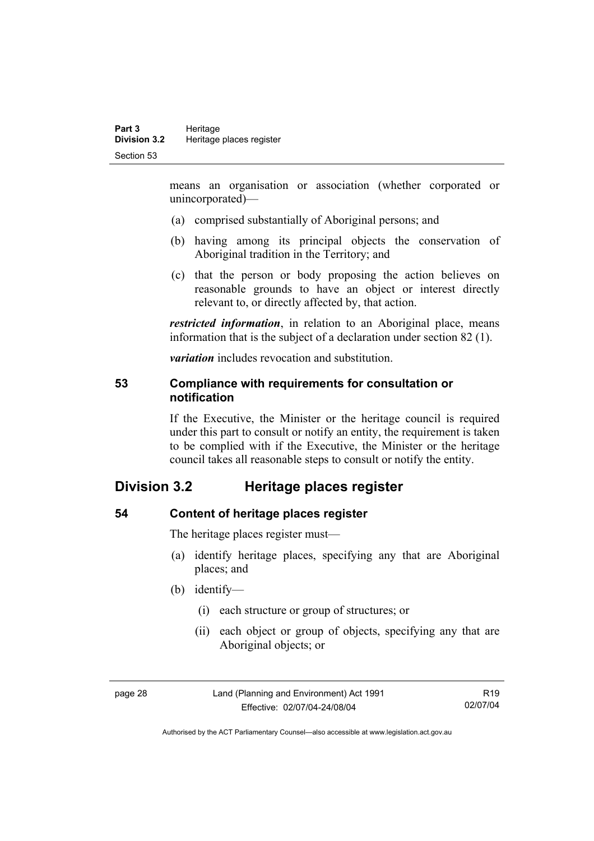means an organisation or association (whether corporated or unincorporated)—

- (a) comprised substantially of Aboriginal persons; and
- (b) having among its principal objects the conservation of Aboriginal tradition in the Territory; and
- (c) that the person or body proposing the action believes on reasonable grounds to have an object or interest directly relevant to, or directly affected by, that action.

*restricted information*, in relation to an Aboriginal place, means information that is the subject of a declaration under section 82 (1).

*variation* includes revocation and substitution.

#### **53 Compliance with requirements for consultation or notification**

If the Executive, the Minister or the heritage council is required under this part to consult or notify an entity, the requirement is taken to be complied with if the Executive, the Minister or the heritage council takes all reasonable steps to consult or notify the entity.

# **Division 3.2 Heritage places register**

### **54 Content of heritage places register**

The heritage places register must—

- (a) identify heritage places, specifying any that are Aboriginal places; and
- (b) identify—
	- (i) each structure or group of structures; or
	- (ii) each object or group of objects, specifying any that are Aboriginal objects; or

page 28 Land (Planning and Environment) Act 1991 Effective: 02/07/04-24/08/04

R19 02/07/04

Authorised by the ACT Parliamentary Counsel—also accessible at www.legislation.act.gov.au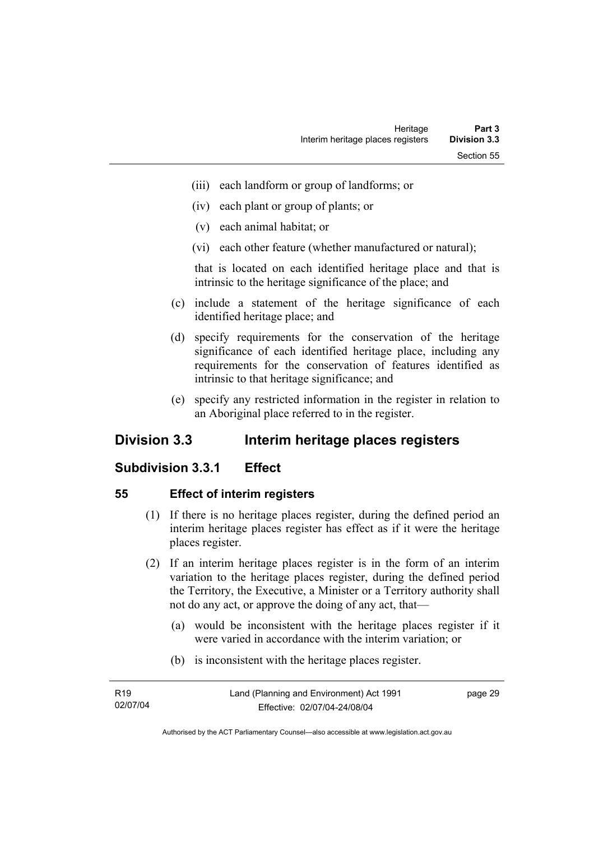- (iii) each landform or group of landforms; or
- (iv) each plant or group of plants; or
- (v) each animal habitat; or
- (vi) each other feature (whether manufactured or natural);

that is located on each identified heritage place and that is intrinsic to the heritage significance of the place; and

- (c) include a statement of the heritage significance of each identified heritage place; and
- (d) specify requirements for the conservation of the heritage significance of each identified heritage place, including any requirements for the conservation of features identified as intrinsic to that heritage significance; and
- (e) specify any restricted information in the register in relation to an Aboriginal place referred to in the register.

# **Division 3.3 Interim heritage places registers**

## **Subdivision 3.3.1 Effect**

#### **55 Effect of interim registers**

- (1) If there is no heritage places register, during the defined period an interim heritage places register has effect as if it were the heritage places register.
- (2) If an interim heritage places register is in the form of an interim variation to the heritage places register, during the defined period the Territory, the Executive, a Minister or a Territory authority shall not do any act, or approve the doing of any act, that—
	- (a) would be inconsistent with the heritage places register if it were varied in accordance with the interim variation; or
	- (b) is inconsistent with the heritage places register.

| R19      | Land (Planning and Environment) Act 1991 | page 29 |
|----------|------------------------------------------|---------|
| 02/07/04 | Effective: 02/07/04-24/08/04             |         |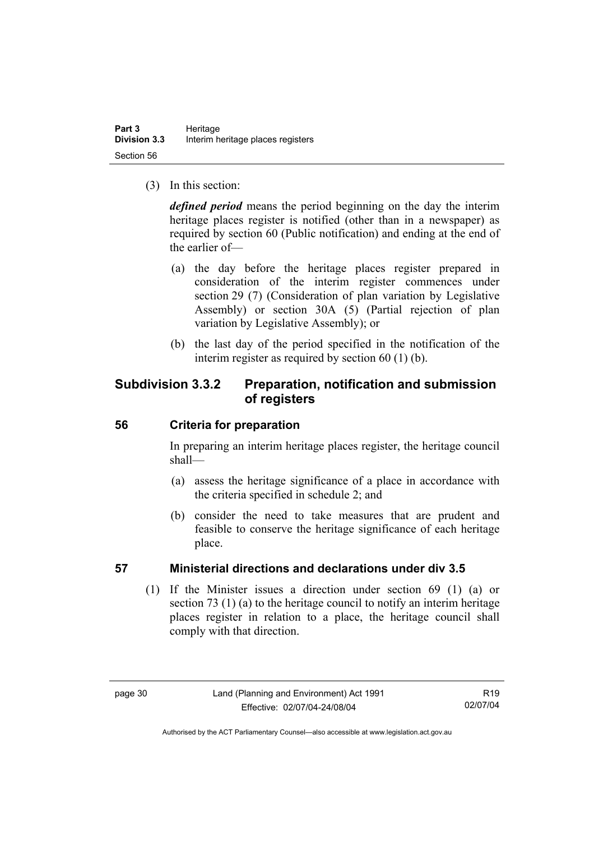(3) In this section:

*defined period* means the period beginning on the day the interim heritage places register is notified (other than in a newspaper) as required by section 60 (Public notification) and ending at the end of the earlier of—

- (a) the day before the heritage places register prepared in consideration of the interim register commences under section 29 (7) (Consideration of plan variation by Legislative Assembly) or section 30A (5) (Partial rejection of plan variation by Legislative Assembly); or
- (b) the last day of the period specified in the notification of the interim register as required by section 60 (1) (b).

# **Subdivision 3.3.2 Preparation, notification and submission of registers**

## **56 Criteria for preparation**

In preparing an interim heritage places register, the heritage council shall—

- (a) assess the heritage significance of a place in accordance with the criteria specified in schedule 2; and
- (b) consider the need to take measures that are prudent and feasible to conserve the heritage significance of each heritage place.

## **57 Ministerial directions and declarations under div 3.5**

 (1) If the Minister issues a direction under section 69 (1) (a) or section 73 (1) (a) to the heritage council to notify an interim heritage places register in relation to a place, the heritage council shall comply with that direction.

R19 02/07/04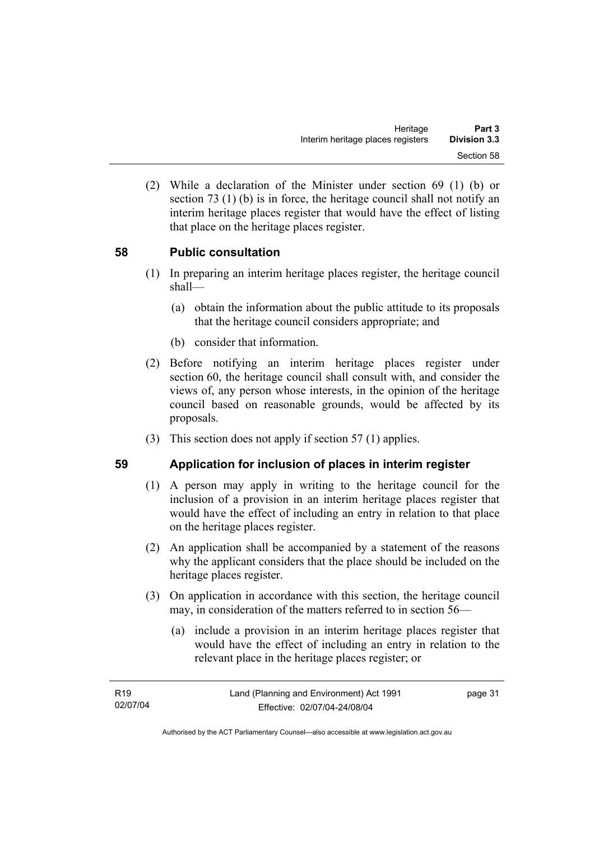(2) While a declaration of the Minister under section 69 (1) (b) or section 73 (1) (b) is in force, the heritage council shall not notify an interim heritage places register that would have the effect of listing that place on the heritage places register.

## **58 Public consultation**

- (1) In preparing an interim heritage places register, the heritage council shall—
	- (a) obtain the information about the public attitude to its proposals that the heritage council considers appropriate; and
	- (b) consider that information.
- (2) Before notifying an interim heritage places register under section 60, the heritage council shall consult with, and consider the views of, any person whose interests, in the opinion of the heritage council based on reasonable grounds, would be affected by its proposals.
- (3) This section does not apply if section 57 (1) applies.

#### **59 Application for inclusion of places in interim register**

- (1) A person may apply in writing to the heritage council for the inclusion of a provision in an interim heritage places register that would have the effect of including an entry in relation to that place on the heritage places register.
- (2) An application shall be accompanied by a statement of the reasons why the applicant considers that the place should be included on the heritage places register.
- (3) On application in accordance with this section, the heritage council may, in consideration of the matters referred to in section 56—
	- (a) include a provision in an interim heritage places register that would have the effect of including an entry in relation to the relevant place in the heritage places register; or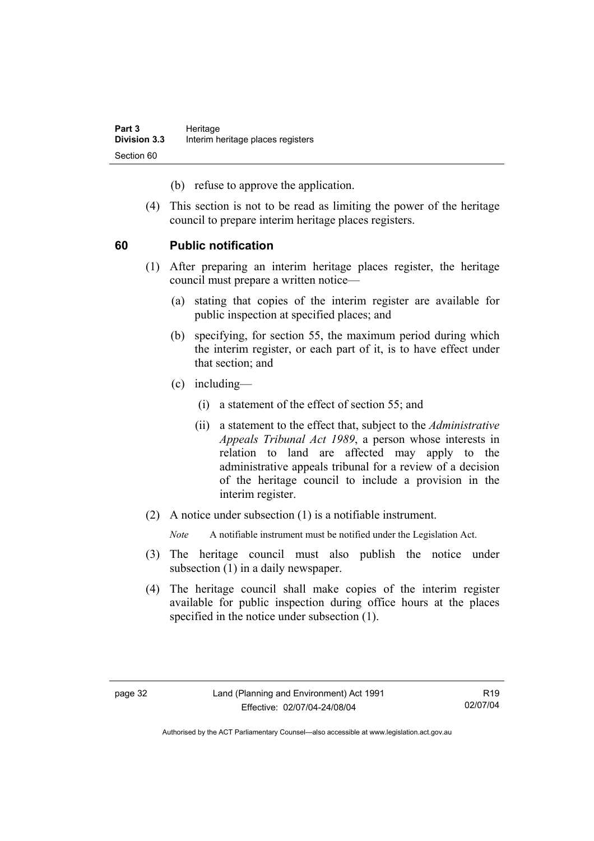(b) refuse to approve the application.

 (4) This section is not to be read as limiting the power of the heritage council to prepare interim heritage places registers.

## **60 Public notification**

- (1) After preparing an interim heritage places register, the heritage council must prepare a written notice—
	- (a) stating that copies of the interim register are available for public inspection at specified places; and
	- (b) specifying, for section 55, the maximum period during which the interim register, or each part of it, is to have effect under that section; and
	- (c) including—
		- (i) a statement of the effect of section 55; and
		- (ii) a statement to the effect that, subject to the *Administrative Appeals Tribunal Act 1989*, a person whose interests in relation to land are affected may apply to the administrative appeals tribunal for a review of a decision of the heritage council to include a provision in the interim register.
- (2) A notice under subsection (1) is a notifiable instrument.

*Note* A notifiable instrument must be notified under the Legislation Act.

- (3) The heritage council must also publish the notice under subsection (1) in a daily newspaper.
- (4) The heritage council shall make copies of the interim register available for public inspection during office hours at the places specified in the notice under subsection (1).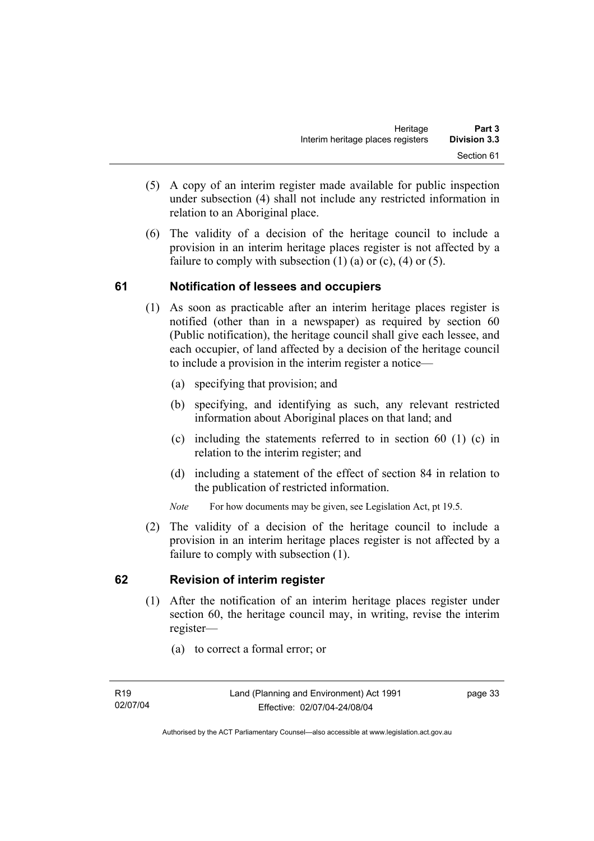- (5) A copy of an interim register made available for public inspection under subsection (4) shall not include any restricted information in relation to an Aboriginal place.
- (6) The validity of a decision of the heritage council to include a provision in an interim heritage places register is not affected by a failure to comply with subsection  $(1)$   $(a)$  or  $(c)$ ,  $(4)$  or  $(5)$ .

## **61 Notification of lessees and occupiers**

- (1) As soon as practicable after an interim heritage places register is notified (other than in a newspaper) as required by section 60 (Public notification), the heritage council shall give each lessee, and each occupier, of land affected by a decision of the heritage council to include a provision in the interim register a notice—
	- (a) specifying that provision; and
	- (b) specifying, and identifying as such, any relevant restricted information about Aboriginal places on that land; and
	- (c) including the statements referred to in section 60 (1) (c) in relation to the interim register; and
	- (d) including a statement of the effect of section 84 in relation to the publication of restricted information.
	- *Note* For how documents may be given, see Legislation Act, pt 19.5.
- (2) The validity of a decision of the heritage council to include a provision in an interim heritage places register is not affected by a failure to comply with subsection (1).

## **62 Revision of interim register**

- (1) After the notification of an interim heritage places register under section 60, the heritage council may, in writing, revise the interim register—
	- (a) to correct a formal error; or

page 33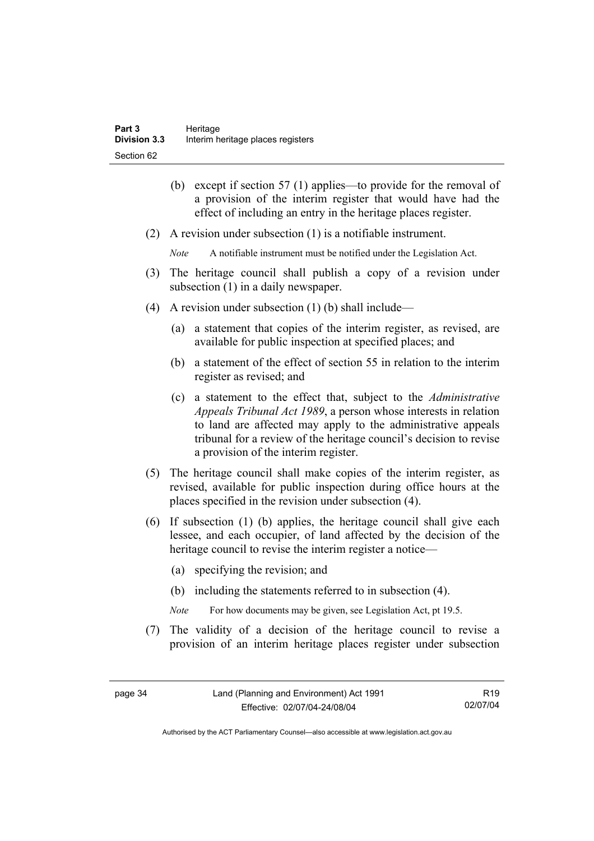- (b) except if section 57 (1) applies—to provide for the removal of a provision of the interim register that would have had the effect of including an entry in the heritage places register.
- (2) A revision under subsection (1) is a notifiable instrument.
	- *Note* A notifiable instrument must be notified under the Legislation Act.
- (3) The heritage council shall publish a copy of a revision under subsection  $(1)$  in a daily newspaper.
- (4) A revision under subsection (1) (b) shall include—
	- (a) a statement that copies of the interim register, as revised, are available for public inspection at specified places; and
	- (b) a statement of the effect of section 55 in relation to the interim register as revised; and
	- (c) a statement to the effect that, subject to the *Administrative Appeals Tribunal Act 1989*, a person whose interests in relation to land are affected may apply to the administrative appeals tribunal for a review of the heritage council's decision to revise a provision of the interim register.
- (5) The heritage council shall make copies of the interim register, as revised, available for public inspection during office hours at the places specified in the revision under subsection (4).
- (6) If subsection (1) (b) applies, the heritage council shall give each lessee, and each occupier, of land affected by the decision of the heritage council to revise the interim register a notice—
	- (a) specifying the revision; and
	- (b) including the statements referred to in subsection (4).
	- *Note* For how documents may be given, see Legislation Act, pt 19.5.
- (7) The validity of a decision of the heritage council to revise a provision of an interim heritage places register under subsection

R19 02/07/04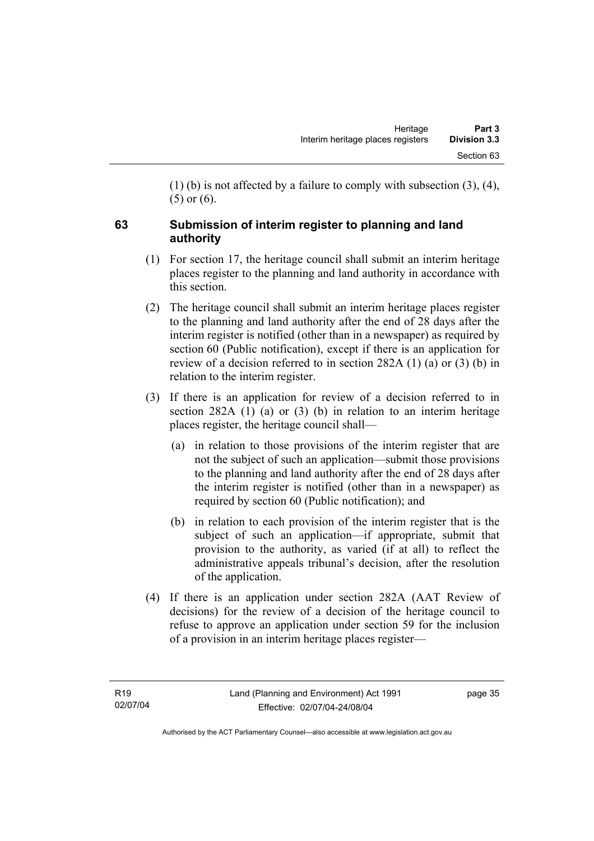(1) (b) is not affected by a failure to comply with subsection (3), (4), (5) or (6).

# **63 Submission of interim register to planning and land authority**

- (1) For section 17, the heritage council shall submit an interim heritage places register to the planning and land authority in accordance with this section.
- (2) The heritage council shall submit an interim heritage places register to the planning and land authority after the end of 28 days after the interim register is notified (other than in a newspaper) as required by section 60 (Public notification), except if there is an application for review of a decision referred to in section 282A (1) (a) or (3) (b) in relation to the interim register.
- (3) If there is an application for review of a decision referred to in section 282A (1) (a) or (3) (b) in relation to an interim heritage places register, the heritage council shall—
	- (a) in relation to those provisions of the interim register that are not the subject of such an application—submit those provisions to the planning and land authority after the end of 28 days after the interim register is notified (other than in a newspaper) as required by section 60 (Public notification); and
	- (b) in relation to each provision of the interim register that is the subject of such an application—if appropriate, submit that provision to the authority, as varied (if at all) to reflect the administrative appeals tribunal's decision, after the resolution of the application.
- (4) If there is an application under section 282A (AAT Review of decisions) for the review of a decision of the heritage council to refuse to approve an application under section 59 for the inclusion of a provision in an interim heritage places register—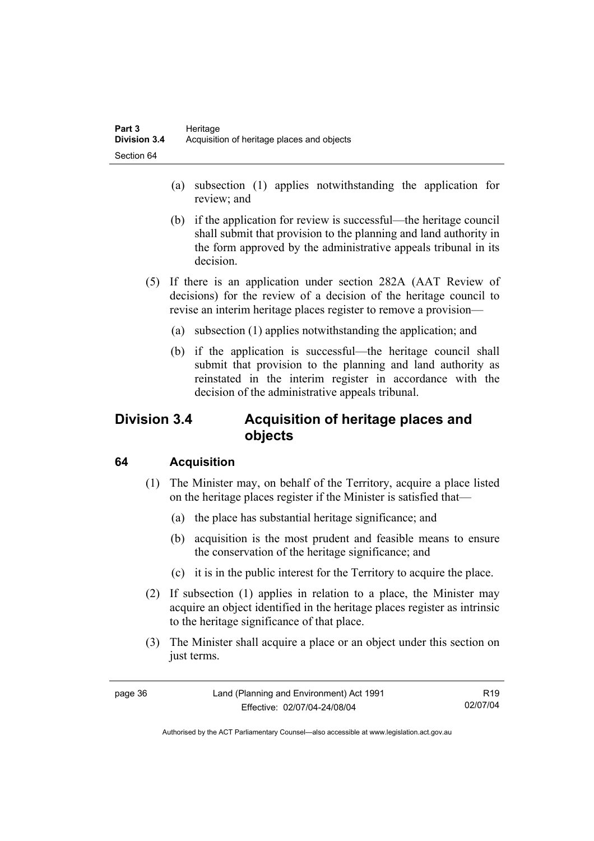- (a) subsection (1) applies notwithstanding the application for review; and
- (b) if the application for review is successful—the heritage council shall submit that provision to the planning and land authority in the form approved by the administrative appeals tribunal in its decision.
- (5) If there is an application under section 282A (AAT Review of decisions) for the review of a decision of the heritage council to revise an interim heritage places register to remove a provision—
	- (a) subsection (1) applies notwithstanding the application; and
	- (b) if the application is successful—the heritage council shall submit that provision to the planning and land authority as reinstated in the interim register in accordance with the decision of the administrative appeals tribunal.

# **Division 3.4 Acquisition of heritage places and objects**

# **64 Acquisition**

- (1) The Minister may, on behalf of the Territory, acquire a place listed on the heritage places register if the Minister is satisfied that—
	- (a) the place has substantial heritage significance; and
	- (b) acquisition is the most prudent and feasible means to ensure the conservation of the heritage significance; and
	- (c) it is in the public interest for the Territory to acquire the place.
- (2) If subsection (1) applies in relation to a place, the Minister may acquire an object identified in the heritage places register as intrinsic to the heritage significance of that place.
- (3) The Minister shall acquire a place or an object under this section on just terms.

| page - | 36 |
|--------|----|
|--------|----|

R19 02/07/04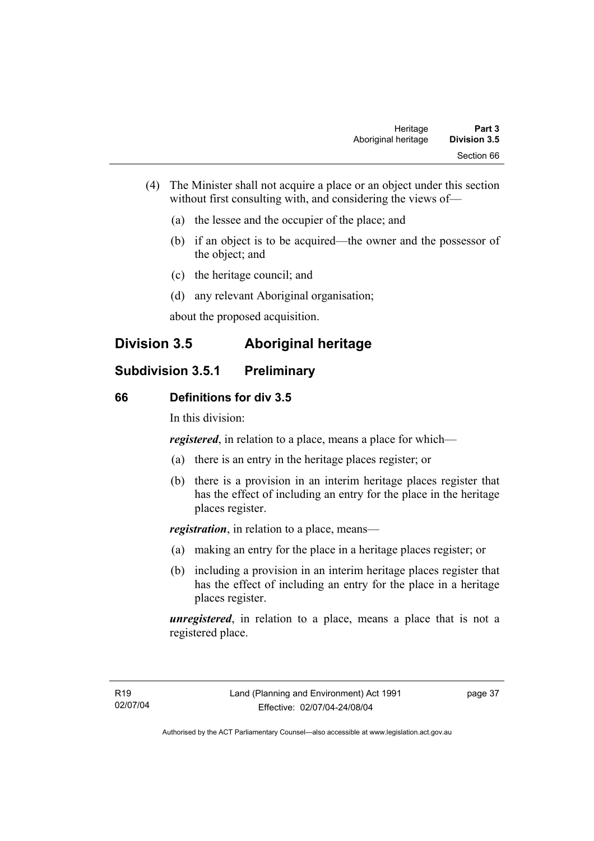- (4) The Minister shall not acquire a place or an object under this section without first consulting with, and considering the views of—
	- (a) the lessee and the occupier of the place; and
	- (b) if an object is to be acquired—the owner and the possessor of the object; and
	- (c) the heritage council; and
	- (d) any relevant Aboriginal organisation;

about the proposed acquisition.

# **Division 3.5 Aboriginal heritage**

# **Subdivision 3.5.1 Preliminary**

#### **66 Definitions for div 3.5**

In this division:

*registered*, in relation to a place, means a place for which—

- (a) there is an entry in the heritage places register; or
- (b) there is a provision in an interim heritage places register that has the effect of including an entry for the place in the heritage places register.

*registration*, in relation to a place, means—

- (a) making an entry for the place in a heritage places register; or
- (b) including a provision in an interim heritage places register that has the effect of including an entry for the place in a heritage places register.

*unregistered*, in relation to a place, means a place that is not a registered place.

page 37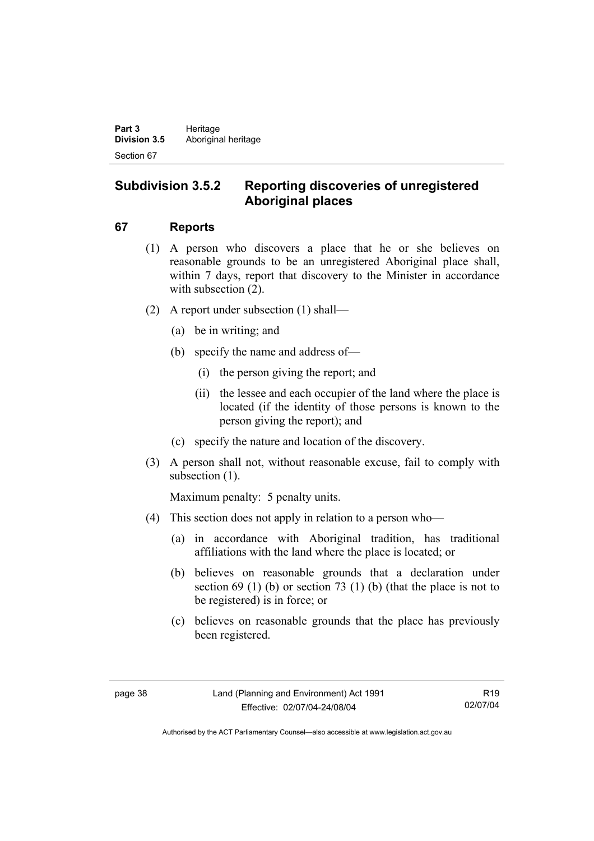# **Subdivision 3.5.2 Reporting discoveries of unregistered Aboriginal places**

## **67 Reports**

- (1) A person who discovers a place that he or she believes on reasonable grounds to be an unregistered Aboriginal place shall, within 7 days, report that discovery to the Minister in accordance with subsection  $(2)$ .
- (2) A report under subsection (1) shall—
	- (a) be in writing; and
	- (b) specify the name and address of—
		- (i) the person giving the report; and
		- (ii) the lessee and each occupier of the land where the place is located (if the identity of those persons is known to the person giving the report); and
	- (c) specify the nature and location of the discovery.
- (3) A person shall not, without reasonable excuse, fail to comply with subsection  $(1)$ .

Maximum penalty: 5 penalty units.

- (4) This section does not apply in relation to a person who—
	- (a) in accordance with Aboriginal tradition, has traditional affiliations with the land where the place is located; or
	- (b) believes on reasonable grounds that a declaration under section  $69$  (1) (b) or section  $73$  (1) (b) (that the place is not to be registered) is in force; or
	- (c) believes on reasonable grounds that the place has previously been registered.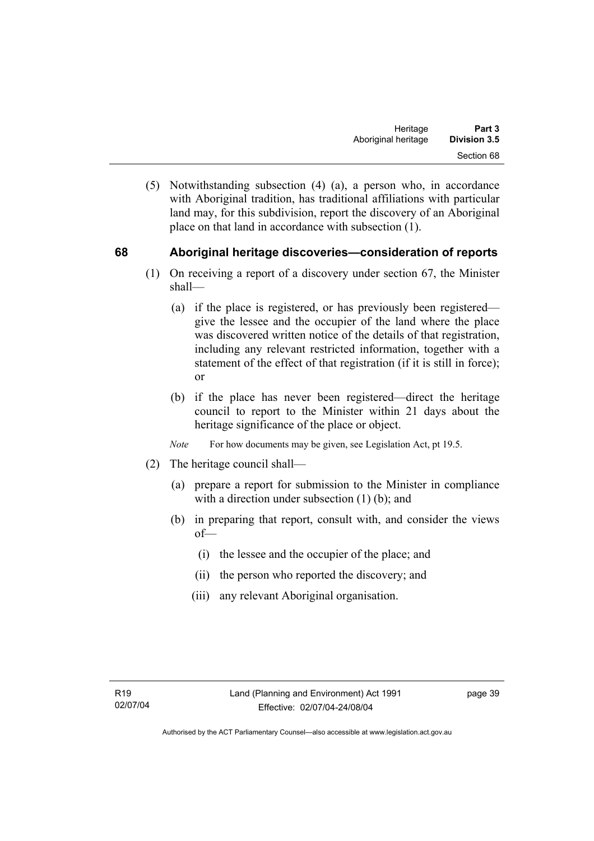(5) Notwithstanding subsection (4) (a), a person who, in accordance with Aboriginal tradition, has traditional affiliations with particular land may, for this subdivision, report the discovery of an Aboriginal place on that land in accordance with subsection (1).

## **68 Aboriginal heritage discoveries—consideration of reports**

- (1) On receiving a report of a discovery under section 67, the Minister shall—
	- (a) if the place is registered, or has previously been registered give the lessee and the occupier of the land where the place was discovered written notice of the details of that registration, including any relevant restricted information, together with a statement of the effect of that registration (if it is still in force); or
	- (b) if the place has never been registered—direct the heritage council to report to the Minister within 21 days about the heritage significance of the place or object.
	- *Note* For how documents may be given, see Legislation Act, pt 19.5.
- (2) The heritage council shall—
	- (a) prepare a report for submission to the Minister in compliance with a direction under subsection (1) (b); and
	- (b) in preparing that report, consult with, and consider the views of—
		- (i) the lessee and the occupier of the place; and
		- (ii) the person who reported the discovery; and
		- (iii) any relevant Aboriginal organisation.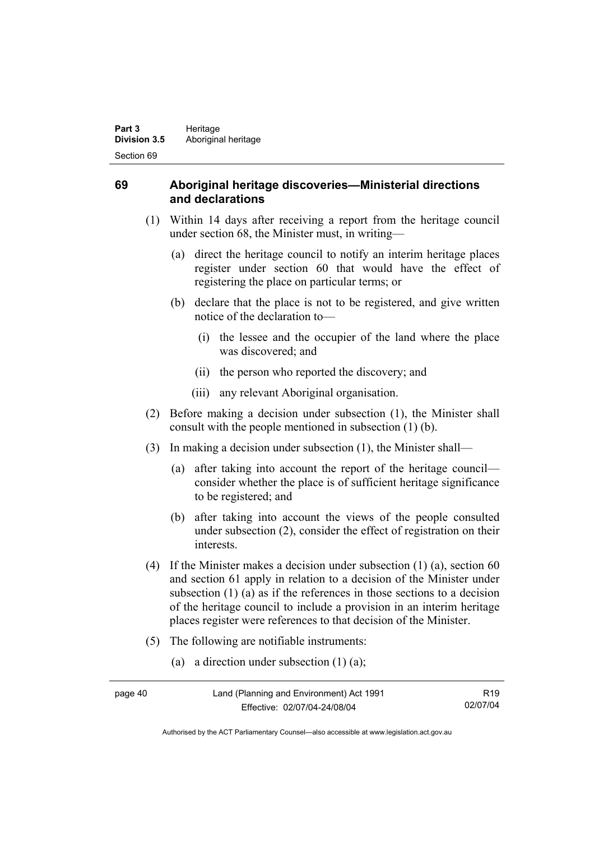## **69 Aboriginal heritage discoveries—Ministerial directions and declarations**

- (1) Within 14 days after receiving a report from the heritage council under section 68, the Minister must, in writing—
	- (a) direct the heritage council to notify an interim heritage places register under section 60 that would have the effect of registering the place on particular terms; or
	- (b) declare that the place is not to be registered, and give written notice of the declaration to—
		- (i) the lessee and the occupier of the land where the place was discovered; and
		- (ii) the person who reported the discovery; and
		- (iii) any relevant Aboriginal organisation.
- (2) Before making a decision under subsection (1), the Minister shall consult with the people mentioned in subsection (1) (b).
- (3) In making a decision under subsection (1), the Minister shall—
	- (a) after taking into account the report of the heritage council consider whether the place is of sufficient heritage significance to be registered; and
	- (b) after taking into account the views of the people consulted under subsection (2), consider the effect of registration on their interests.
- (4) If the Minister makes a decision under subsection (1) (a), section 60 and section 61 apply in relation to a decision of the Minister under subsection (1) (a) as if the references in those sections to a decision of the heritage council to include a provision in an interim heritage places register were references to that decision of the Minister.
- (5) The following are notifiable instruments:
	- (a) a direction under subsection (1) (a);

| page 40 | Land (Planning and Environment) Act 1991 | R <sub>19</sub> |
|---------|------------------------------------------|-----------------|
|         | Effective: 02/07/04-24/08/04             | 02/07/04        |

Authorised by the ACT Parliamentary Counsel—also accessible at www.legislation.act.gov.au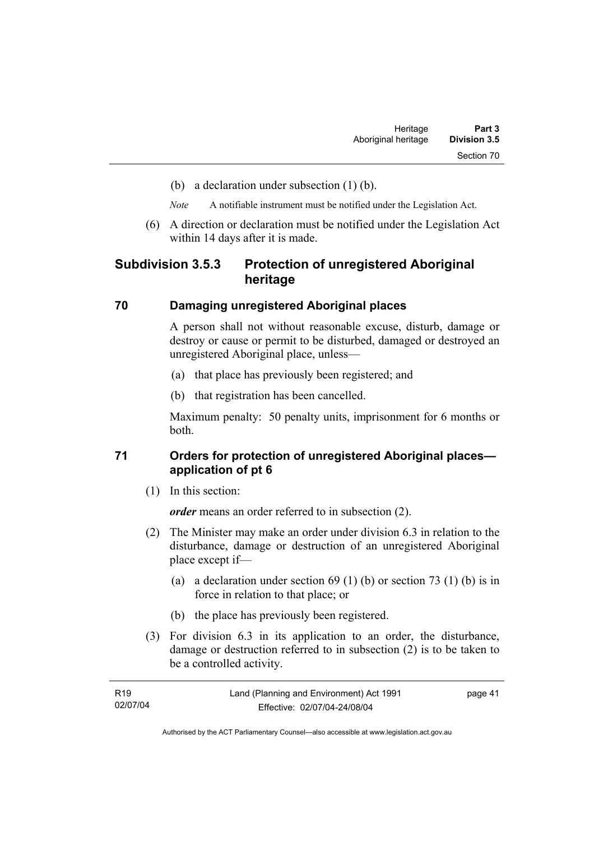- (b) a declaration under subsection (1) (b).
- *Note* A notifiable instrument must be notified under the Legislation Act.
- (6) A direction or declaration must be notified under the Legislation Act within 14 days after it is made.

## **Subdivision 3.5.3 Protection of unregistered Aboriginal heritage**

#### **70 Damaging unregistered Aboriginal places**

A person shall not without reasonable excuse, disturb, damage or destroy or cause or permit to be disturbed, damaged or destroyed an unregistered Aboriginal place, unless—

- (a) that place has previously been registered; and
- (b) that registration has been cancelled.

Maximum penalty: 50 penalty units, imprisonment for 6 months or both.

## **71 Orders for protection of unregistered Aboriginal places application of pt 6**

(1) In this section:

*order* means an order referred to in subsection (2).

- (2) The Minister may make an order under division 6.3 in relation to the disturbance, damage or destruction of an unregistered Aboriginal place except if—
	- (a) a declaration under section  $69 (1) (b)$  or section  $73 (1) (b)$  is in force in relation to that place; or
	- (b) the place has previously been registered.
- (3) For division 6.3 in its application to an order, the disturbance, damage or destruction referred to in subsection (2) is to be taken to be a controlled activity.

| R19      | Land (Planning and Environment) Act 1991 | page 41 |
|----------|------------------------------------------|---------|
| 02/07/04 | Effective: 02/07/04-24/08/04             |         |

Authorised by the ACT Parliamentary Counsel—also accessible at www.legislation.act.gov.au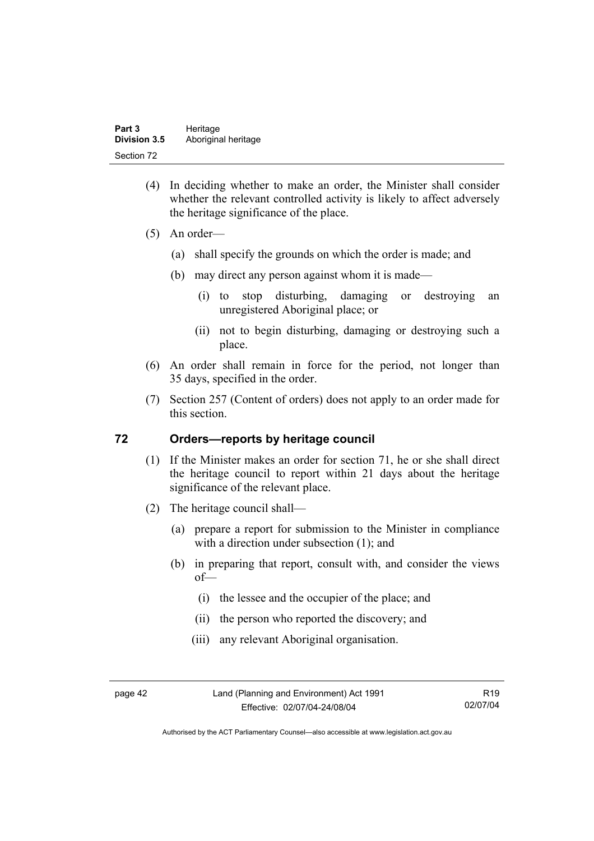- (4) In deciding whether to make an order, the Minister shall consider whether the relevant controlled activity is likely to affect adversely the heritage significance of the place.
- (5) An order—
	- (a) shall specify the grounds on which the order is made; and
	- (b) may direct any person against whom it is made—
		- (i) to stop disturbing, damaging or destroying an unregistered Aboriginal place; or
		- (ii) not to begin disturbing, damaging or destroying such a place.
- (6) An order shall remain in force for the period, not longer than 35 days, specified in the order.
- (7) Section 257 (Content of orders) does not apply to an order made for this section.

#### **72 Orders—reports by heritage council**

- (1) If the Minister makes an order for section 71, he or she shall direct the heritage council to report within 21 days about the heritage significance of the relevant place.
- (2) The heritage council shall—
	- (a) prepare a report for submission to the Minister in compliance with a direction under subsection (1); and
	- (b) in preparing that report, consult with, and consider the views of—
		- (i) the lessee and the occupier of the place; and
		- (ii) the person who reported the discovery; and
		- (iii) any relevant Aboriginal organisation.

page 42 Land (Planning and Environment) Act 1991 Effective: 02/07/04-24/08/04

R19 02/07/04

Authorised by the ACT Parliamentary Counsel—also accessible at www.legislation.act.gov.au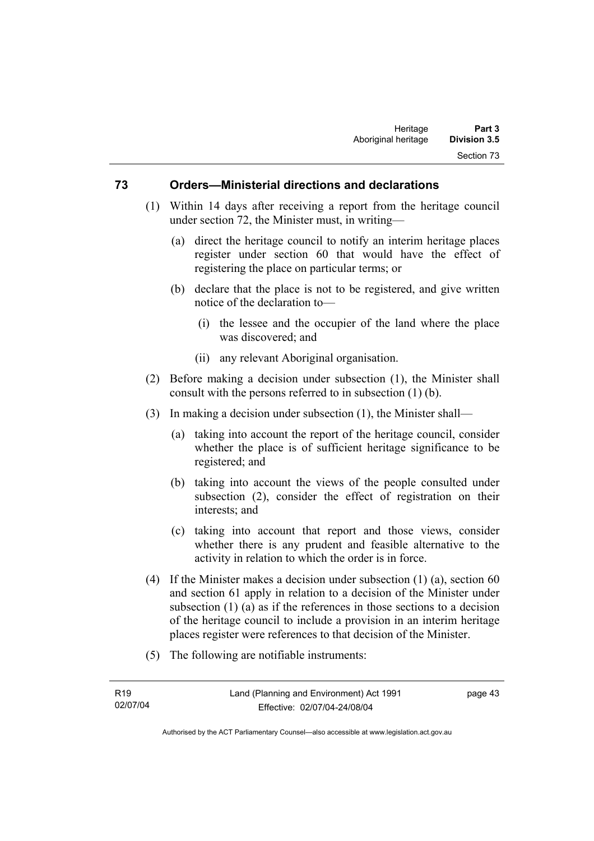#### **73 Orders—Ministerial directions and declarations**

- (1) Within 14 days after receiving a report from the heritage council under section 72, the Minister must, in writing—
	- (a) direct the heritage council to notify an interim heritage places register under section 60 that would have the effect of registering the place on particular terms; or
	- (b) declare that the place is not to be registered, and give written notice of the declaration to—
		- (i) the lessee and the occupier of the land where the place was discovered; and
		- (ii) any relevant Aboriginal organisation.
- (2) Before making a decision under subsection (1), the Minister shall consult with the persons referred to in subsection (1) (b).
- (3) In making a decision under subsection (1), the Minister shall—
	- (a) taking into account the report of the heritage council, consider whether the place is of sufficient heritage significance to be registered; and
	- (b) taking into account the views of the people consulted under subsection (2), consider the effect of registration on their interests; and
	- (c) taking into account that report and those views, consider whether there is any prudent and feasible alternative to the activity in relation to which the order is in force.
- (4) If the Minister makes a decision under subsection  $(1)$  (a), section 60 and section 61 apply in relation to a decision of the Minister under subsection (1) (a) as if the references in those sections to a decision of the heritage council to include a provision in an interim heritage places register were references to that decision of the Minister.
- (5) The following are notifiable instruments:

page 43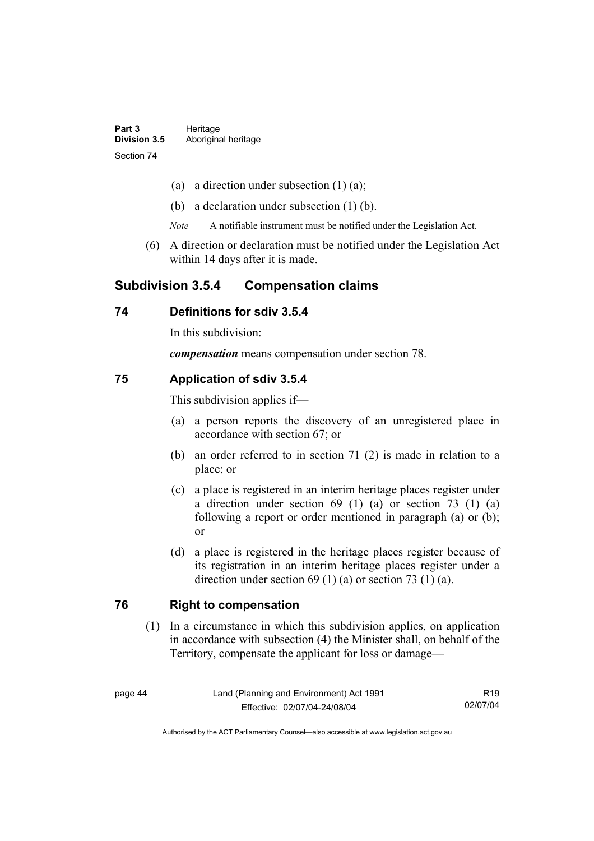- (a) a direction under subsection  $(1)$   $(a)$ ;
- (b) a declaration under subsection (1) (b).
- *Note* A notifiable instrument must be notified under the Legislation Act.
- (6) A direction or declaration must be notified under the Legislation Act within 14 days after it is made.

## **Subdivision 3.5.4 Compensation claims**

#### **74 Definitions for sdiv 3.5.4**

In this subdivision:

*compensation* means compensation under section 78.

#### **75 Application of sdiv 3.5.4**

This subdivision applies if—

- (a) a person reports the discovery of an unregistered place in accordance with section 67; or
- (b) an order referred to in section 71 (2) is made in relation to a place; or
- (c) a place is registered in an interim heritage places register under a direction under section 69 (1) (a) or section 73 (1) (a) following a report or order mentioned in paragraph (a) or (b); or
- (d) a place is registered in the heritage places register because of its registration in an interim heritage places register under a direction under section 69 (1) (a) or section 73 (1) (a).

#### **76 Right to compensation**

 (1) In a circumstance in which this subdivision applies, on application in accordance with subsection (4) the Minister shall, on behalf of the Territory, compensate the applicant for loss or damage—

R19 02/07/04

Authorised by the ACT Parliamentary Counsel—also accessible at www.legislation.act.gov.au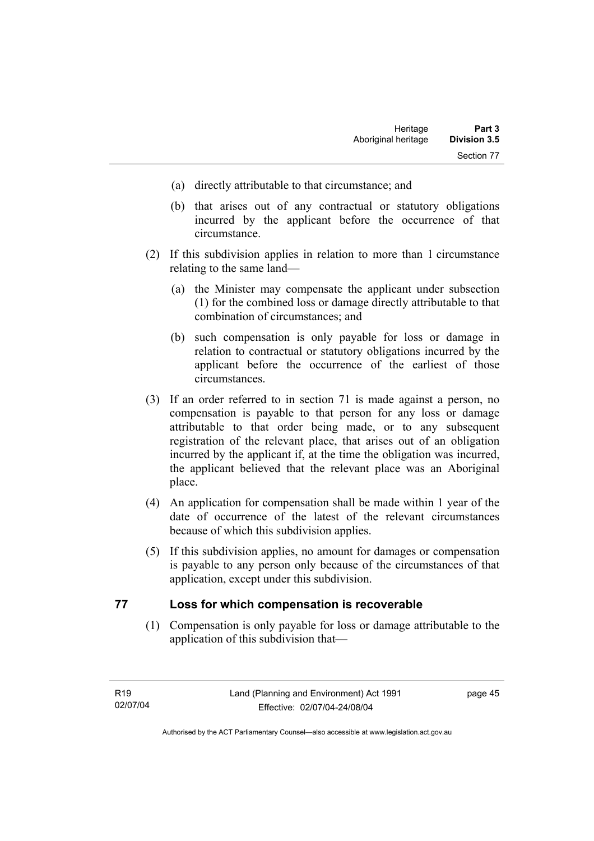- (a) directly attributable to that circumstance; and
- (b) that arises out of any contractual or statutory obligations incurred by the applicant before the occurrence of that circumstance.
- (2) If this subdivision applies in relation to more than 1 circumstance relating to the same land—
	- (a) the Minister may compensate the applicant under subsection (1) for the combined loss or damage directly attributable to that combination of circumstances; and
	- (b) such compensation is only payable for loss or damage in relation to contractual or statutory obligations incurred by the applicant before the occurrence of the earliest of those circumstances.
- (3) If an order referred to in section 71 is made against a person, no compensation is payable to that person for any loss or damage attributable to that order being made, or to any subsequent registration of the relevant place, that arises out of an obligation incurred by the applicant if, at the time the obligation was incurred, the applicant believed that the relevant place was an Aboriginal place.
- (4) An application for compensation shall be made within 1 year of the date of occurrence of the latest of the relevant circumstances because of which this subdivision applies.
- (5) If this subdivision applies, no amount for damages or compensation is payable to any person only because of the circumstances of that application, except under this subdivision.

#### **77 Loss for which compensation is recoverable**

 (1) Compensation is only payable for loss or damage attributable to the application of this subdivision that—

page 45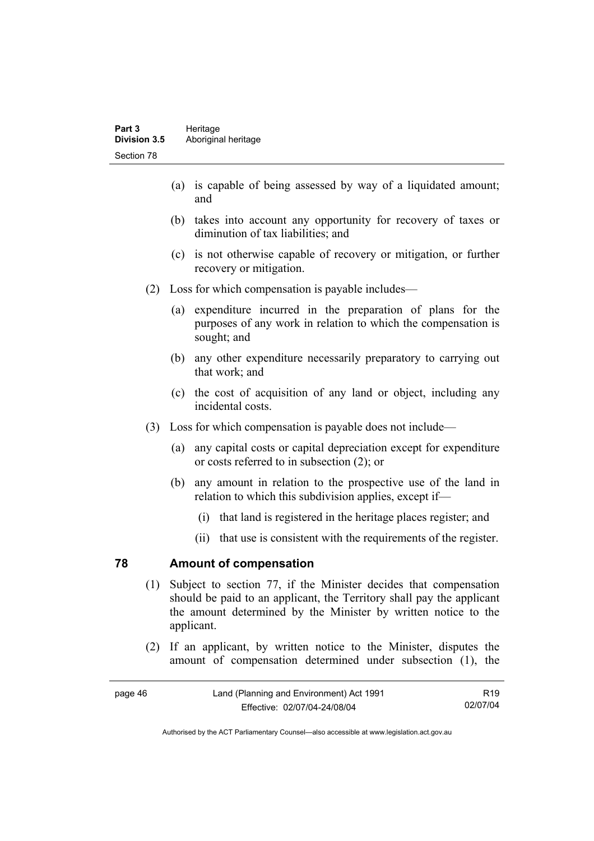- (a) is capable of being assessed by way of a liquidated amount; and
- (b) takes into account any opportunity for recovery of taxes or diminution of tax liabilities; and
- (c) is not otherwise capable of recovery or mitigation, or further recovery or mitigation.
- (2) Loss for which compensation is payable includes—
	- (a) expenditure incurred in the preparation of plans for the purposes of any work in relation to which the compensation is sought; and
	- (b) any other expenditure necessarily preparatory to carrying out that work; and
	- (c) the cost of acquisition of any land or object, including any incidental costs.
- (3) Loss for which compensation is payable does not include—
	- (a) any capital costs or capital depreciation except for expenditure or costs referred to in subsection (2); or
	- (b) any amount in relation to the prospective use of the land in relation to which this subdivision applies, except if—
		- (i) that land is registered in the heritage places register; and
		- (ii) that use is consistent with the requirements of the register.

#### **78 Amount of compensation**

- (1) Subject to section 77, if the Minister decides that compensation should be paid to an applicant, the Territory shall pay the applicant the amount determined by the Minister by written notice to the applicant.
- (2) If an applicant, by written notice to the Minister, disputes the amount of compensation determined under subsection (1), the

| Land (Planning and Environment) Act 1991<br>page 46 |                              | R <sub>19</sub> |
|-----------------------------------------------------|------------------------------|-----------------|
|                                                     | Effective: 02/07/04-24/08/04 | 02/07/04        |

Authorised by the ACT Parliamentary Counsel—also accessible at www.legislation.act.gov.au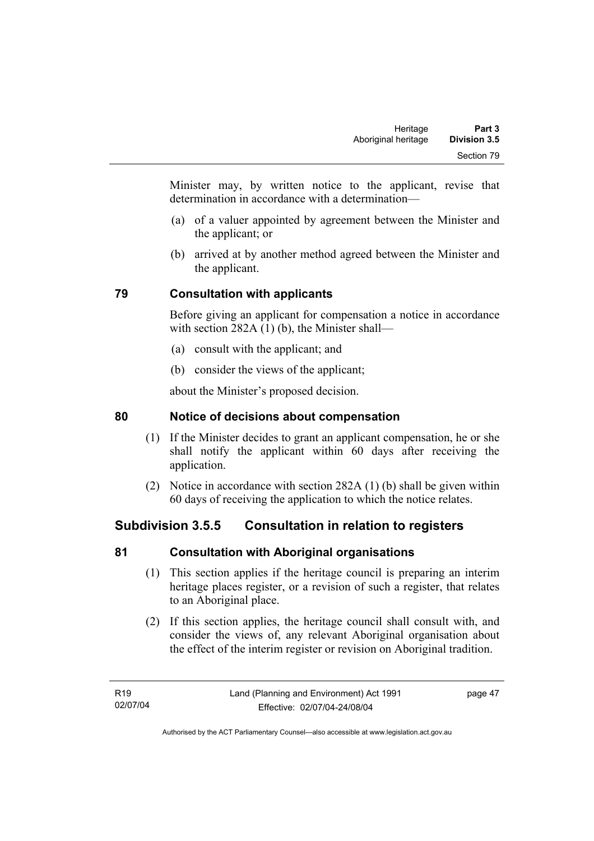Minister may, by written notice to the applicant, revise that determination in accordance with a determination—

- (a) of a valuer appointed by agreement between the Minister and the applicant; or
- (b) arrived at by another method agreed between the Minister and the applicant.

# **79 Consultation with applicants**

Before giving an applicant for compensation a notice in accordance with section 282A (1) (b), the Minister shall—

- (a) consult with the applicant; and
- (b) consider the views of the applicant;

about the Minister's proposed decision.

# **80 Notice of decisions about compensation**

- (1) If the Minister decides to grant an applicant compensation, he or she shall notify the applicant within 60 days after receiving the application.
- (2) Notice in accordance with section 282A (1) (b) shall be given within 60 days of receiving the application to which the notice relates.

# **Subdivision 3.5.5 Consultation in relation to registers**

# **81 Consultation with Aboriginal organisations**

- (1) This section applies if the heritage council is preparing an interim heritage places register, or a revision of such a register, that relates to an Aboriginal place.
- (2) If this section applies, the heritage council shall consult with, and consider the views of, any relevant Aboriginal organisation about the effect of the interim register or revision on Aboriginal tradition.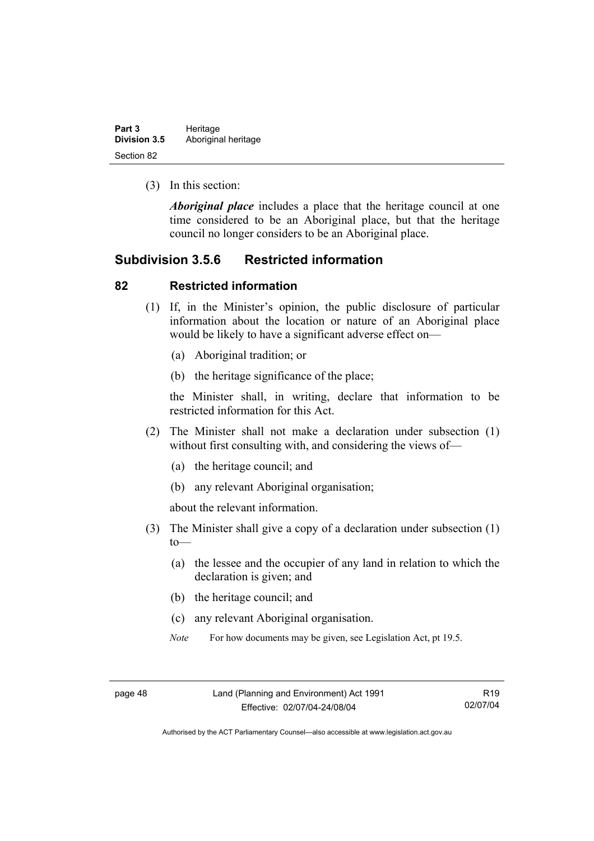| Part 3              | Heritage            |  |
|---------------------|---------------------|--|
| <b>Division 3.5</b> | Aboriginal heritage |  |
| Section 82          |                     |  |

(3) In this section:

*Aboriginal place* includes a place that the heritage council at one time considered to be an Aboriginal place, but that the heritage council no longer considers to be an Aboriginal place.

## **Subdivision 3.5.6 Restricted information**

#### **82 Restricted information**

- (1) If, in the Minister's opinion, the public disclosure of particular information about the location or nature of an Aboriginal place would be likely to have a significant adverse effect on—
	- (a) Aboriginal tradition; or
	- (b) the heritage significance of the place;

the Minister shall, in writing, declare that information to be restricted information for this Act.

- (2) The Minister shall not make a declaration under subsection (1) without first consulting with, and considering the views of—
	- (a) the heritage council; and
	- (b) any relevant Aboriginal organisation;

about the relevant information.

- (3) The Minister shall give a copy of a declaration under subsection (1)  $to$ —
	- (a) the lessee and the occupier of any land in relation to which the declaration is given; and
	- (b) the heritage council; and
	- (c) any relevant Aboriginal organisation.
	- *Note* For how documents may be given, see Legislation Act, pt 19.5.

R19 02/07/04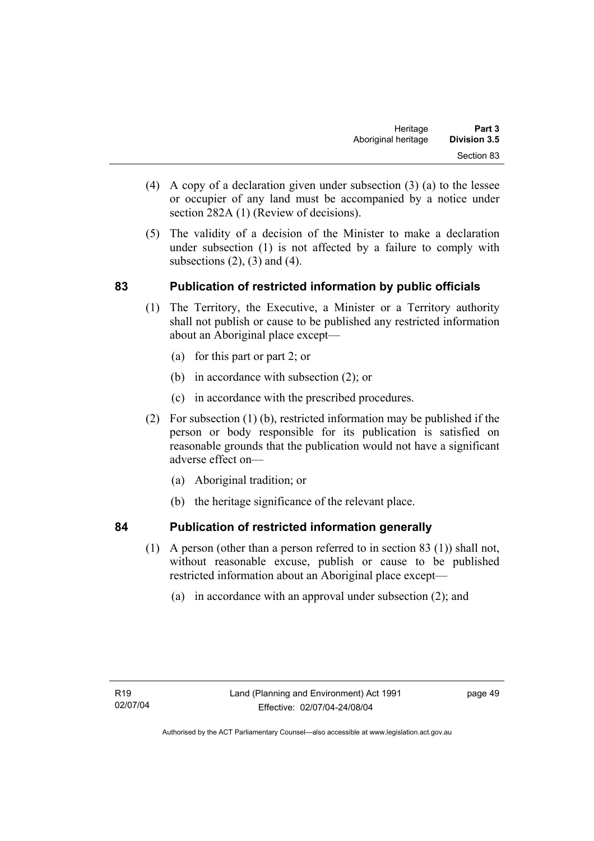- (4) A copy of a declaration given under subsection (3) (a) to the lessee or occupier of any land must be accompanied by a notice under section 282A (1) (Review of decisions).
- (5) The validity of a decision of the Minister to make a declaration under subsection (1) is not affected by a failure to comply with subsections  $(2)$ ,  $(3)$  and  $(4)$ .

## **83 Publication of restricted information by public officials**

- (1) The Territory, the Executive, a Minister or a Territory authority shall not publish or cause to be published any restricted information about an Aboriginal place except—
	- (a) for this part or part 2; or
	- (b) in accordance with subsection (2); or
	- (c) in accordance with the prescribed procedures.
- (2) For subsection (1) (b), restricted information may be published if the person or body responsible for its publication is satisfied on reasonable grounds that the publication would not have a significant adverse effect on—
	- (a) Aboriginal tradition; or
	- (b) the heritage significance of the relevant place.

## **84 Publication of restricted information generally**

- (1) A person (other than a person referred to in section 83 (1)) shall not, without reasonable excuse, publish or cause to be published
	- restricted information about an Aboriginal place except—
		- (a) in accordance with an approval under subsection (2); and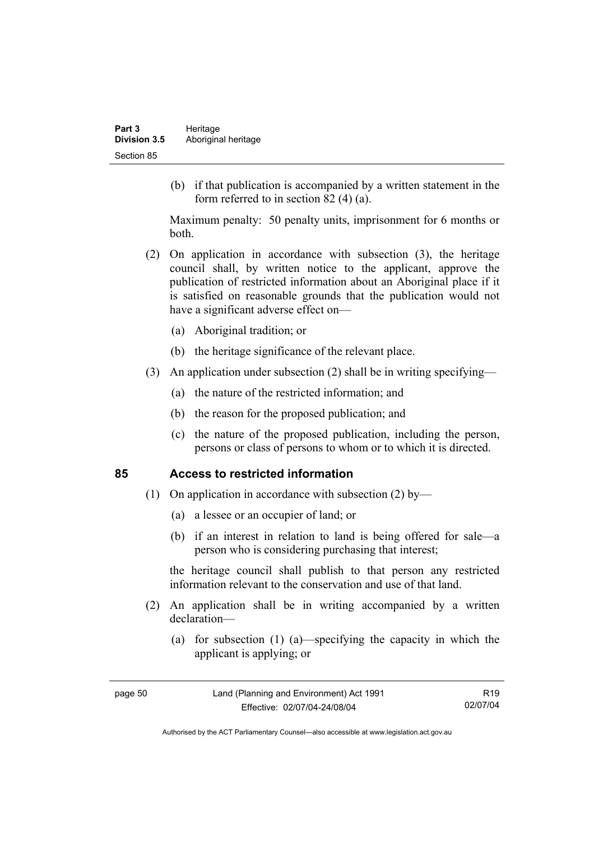(b) if that publication is accompanied by a written statement in the form referred to in section 82 (4) (a).

Maximum penalty: 50 penalty units, imprisonment for 6 months or both.

- (2) On application in accordance with subsection (3), the heritage council shall, by written notice to the applicant, approve the publication of restricted information about an Aboriginal place if it is satisfied on reasonable grounds that the publication would not have a significant adverse effect on—
	- (a) Aboriginal tradition; or
	- (b) the heritage significance of the relevant place.
- (3) An application under subsection (2) shall be in writing specifying—
	- (a) the nature of the restricted information; and
	- (b) the reason for the proposed publication; and
	- (c) the nature of the proposed publication, including the person, persons or class of persons to whom or to which it is directed.

#### **85 Access to restricted information**

- (1) On application in accordance with subsection (2) by—
	- (a) a lessee or an occupier of land; or
	- (b) if an interest in relation to land is being offered for sale—a person who is considering purchasing that interest;

the heritage council shall publish to that person any restricted information relevant to the conservation and use of that land.

- (2) An application shall be in writing accompanied by a written declaration—
	- (a) for subsection (1) (a)—specifying the capacity in which the applicant is applying; or

R19 02/07/04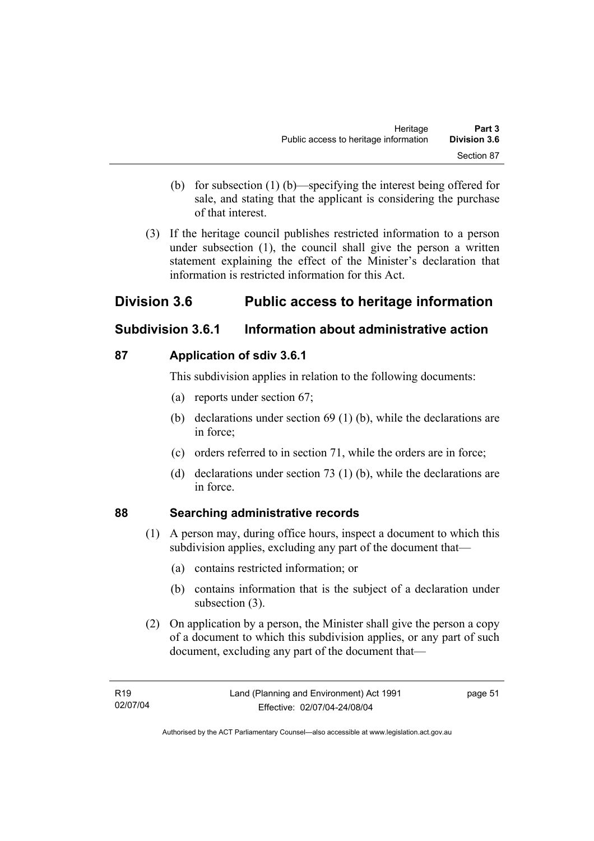- (b) for subsection (1) (b)—specifying the interest being offered for sale, and stating that the applicant is considering the purchase of that interest.
- (3) If the heritage council publishes restricted information to a person under subsection (1), the council shall give the person a written statement explaining the effect of the Minister's declaration that information is restricted information for this Act.

# **Division 3.6 Public access to heritage information**

# **Subdivision 3.6.1 Information about administrative action**

# **87 Application of sdiv 3.6.1**

This subdivision applies in relation to the following documents:

- (a) reports under section 67;
- (b) declarations under section 69 (1) (b), while the declarations are in force;
- (c) orders referred to in section 71, while the orders are in force;
- (d) declarations under section 73 (1) (b), while the declarations are in force.

# **88 Searching administrative records**

- (1) A person may, during office hours, inspect a document to which this subdivision applies, excluding any part of the document that—
	- (a) contains restricted information; or
	- (b) contains information that is the subject of a declaration under subsection (3).
- (2) On application by a person, the Minister shall give the person a copy of a document to which this subdivision applies, or any part of such document, excluding any part of the document that—

page 51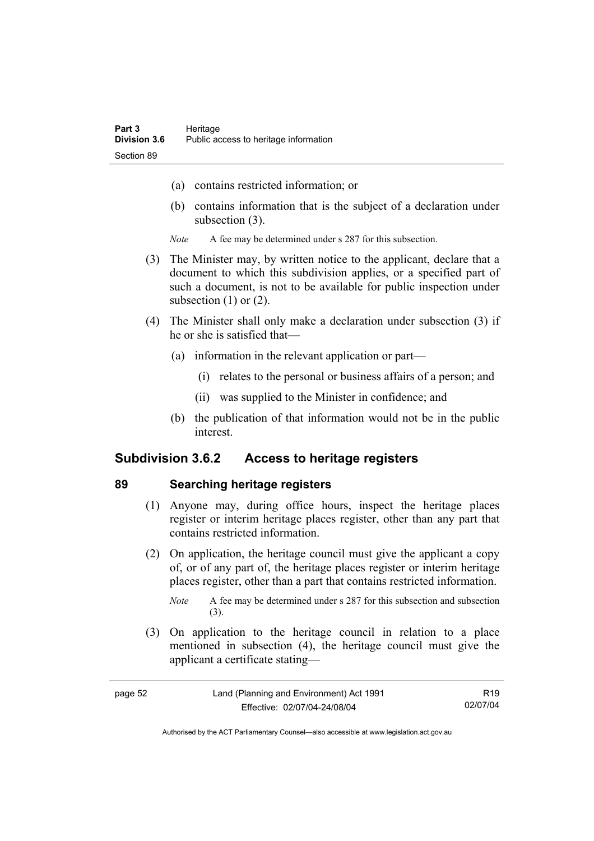- (a) contains restricted information; or
- (b) contains information that is the subject of a declaration under subsection (3).
- *Note* A fee may be determined under s 287 for this subsection.
- (3) The Minister may, by written notice to the applicant, declare that a document to which this subdivision applies, or a specified part of such a document, is not to be available for public inspection under subsection  $(1)$  or  $(2)$ .
- (4) The Minister shall only make a declaration under subsection (3) if he or she is satisfied that—
	- (a) information in the relevant application or part—
		- (i) relates to the personal or business affairs of a person; and
		- (ii) was supplied to the Minister in confidence; and
	- (b) the publication of that information would not be in the public interest.

## **Subdivision 3.6.2 Access to heritage registers**

#### **89 Searching heritage registers**

- (1) Anyone may, during office hours, inspect the heritage places register or interim heritage places register, other than any part that contains restricted information.
- (2) On application, the heritage council must give the applicant a copy of, or of any part of, the heritage places register or interim heritage places register, other than a part that contains restricted information.

 (3) On application to the heritage council in relation to a place mentioned in subsection (4), the heritage council must give the applicant a certificate stating—

| Land (Planning and Environment) Act 1991<br>page 52 |                              | R19      |
|-----------------------------------------------------|------------------------------|----------|
|                                                     | Effective: 02/07/04-24/08/04 | 02/07/04 |

*Note* A fee may be determined under s 287 for this subsection and subsection (3).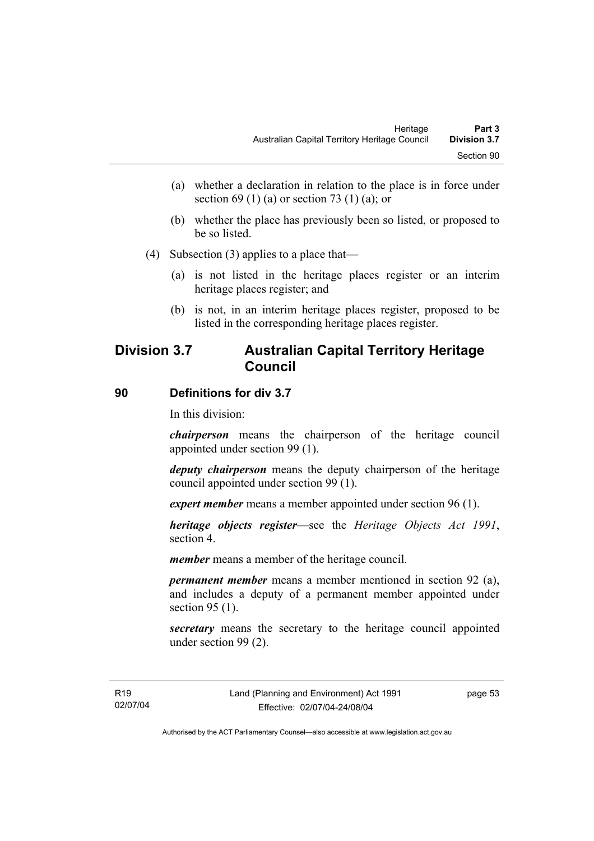- (a) whether a declaration in relation to the place is in force under section 69 (1) (a) or section 73 (1) (a); or
- (b) whether the place has previously been so listed, or proposed to be so listed.
- (4) Subsection (3) applies to a place that—
	- (a) is not listed in the heritage places register or an interim heritage places register; and
	- (b) is not, in an interim heritage places register, proposed to be listed in the corresponding heritage places register.

# **Division 3.7 Australian Capital Territory Heritage Council**

#### **90 Definitions for div 3.7**

In this division:

*chairperson* means the chairperson of the heritage council appointed under section 99 (1).

*deputy chairperson* means the deputy chairperson of the heritage council appointed under section 99 (1).

*expert member* means a member appointed under section 96 (1).

*heritage objects register*—see the *Heritage Objects Act 1991*, section 4.

*member* means a member of the heritage council.

*permanent member* means a member mentioned in section 92 (a), and includes a deputy of a permanent member appointed under section 95 (1).

*secretary* means the secretary to the heritage council appointed under section 99 (2).

page 53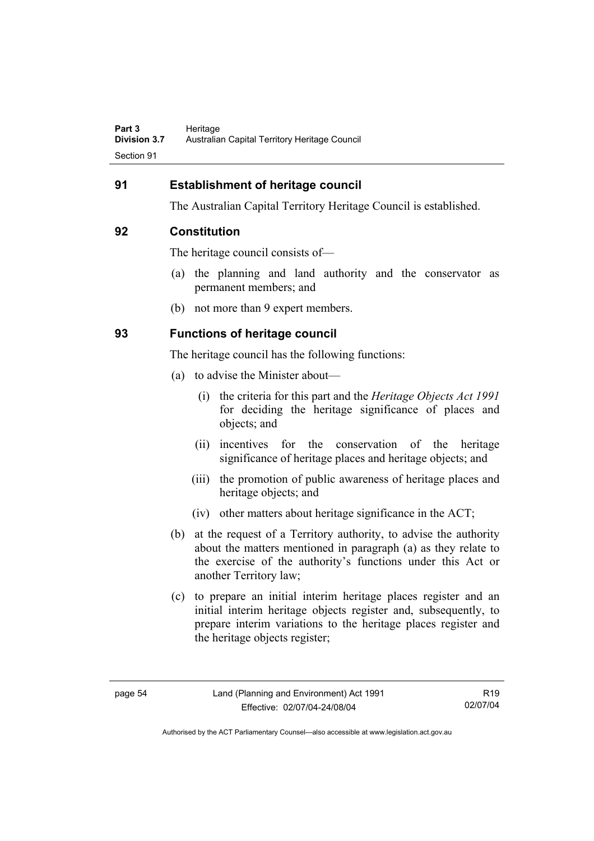## **91 Establishment of heritage council**

The Australian Capital Territory Heritage Council is established.

#### **92 Constitution**

The heritage council consists of—

- (a) the planning and land authority and the conservator as permanent members; and
- (b) not more than 9 expert members.

## **93 Functions of heritage council**

The heritage council has the following functions:

- (a) to advise the Minister about—
	- (i) the criteria for this part and the *Heritage Objects Act 1991* for deciding the heritage significance of places and objects; and
	- (ii) incentives for the conservation of the heritage significance of heritage places and heritage objects; and
	- (iii) the promotion of public awareness of heritage places and heritage objects; and
	- (iv) other matters about heritage significance in the ACT;
- (b) at the request of a Territory authority, to advise the authority about the matters mentioned in paragraph (a) as they relate to the exercise of the authority's functions under this Act or another Territory law;
- (c) to prepare an initial interim heritage places register and an initial interim heritage objects register and, subsequently, to prepare interim variations to the heritage places register and the heritage objects register;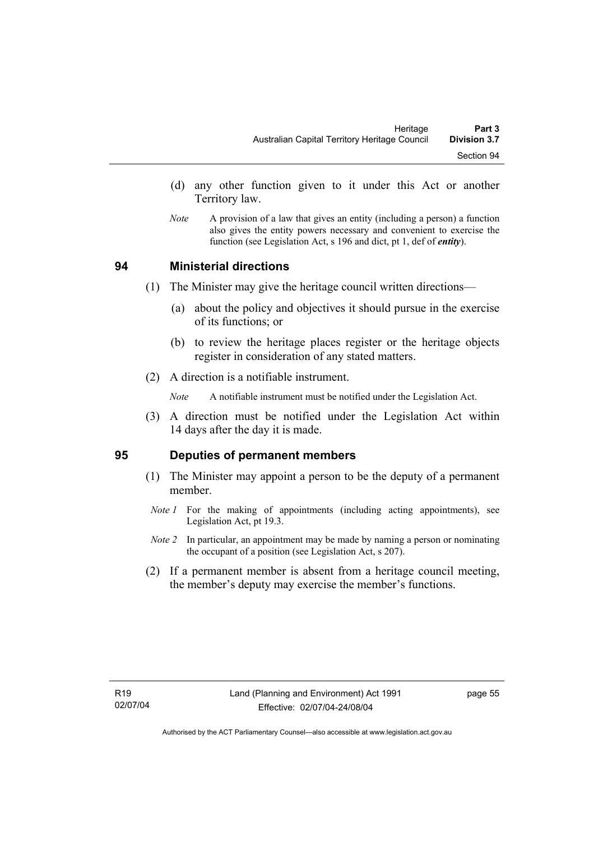- (d) any other function given to it under this Act or another Territory law.
- *Note* A provision of a law that gives an entity (including a person) a function also gives the entity powers necessary and convenient to exercise the function (see Legislation Act, s 196 and dict, pt 1, def of *entity*).

#### **94 Ministerial directions**

- (1) The Minister may give the heritage council written directions—
	- (a) about the policy and objectives it should pursue in the exercise of its functions; or
	- (b) to review the heritage places register or the heritage objects register in consideration of any stated matters.
- (2) A direction is a notifiable instrument.

*Note* A notifiable instrument must be notified under the Legislation Act.

 (3) A direction must be notified under the Legislation Act within 14 days after the day it is made.

#### **95 Deputies of permanent members**

- (1) The Minister may appoint a person to be the deputy of a permanent member.
- *Note 1* For the making of appointments (including acting appointments), see Legislation Act, pt 19.3.
- *Note 2* In particular, an appointment may be made by naming a person or nominating the occupant of a position (see Legislation Act, s 207).
- (2) If a permanent member is absent from a heritage council meeting, the member's deputy may exercise the member's functions.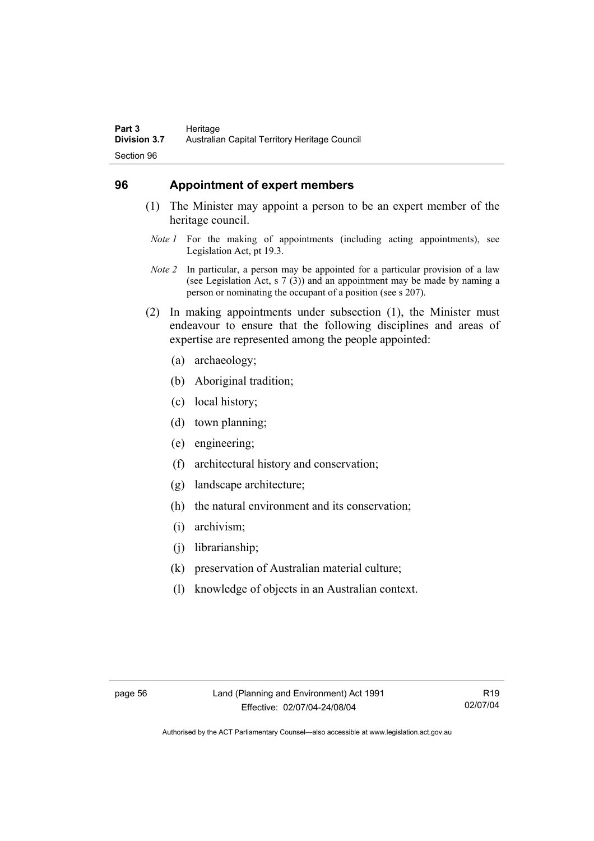## **96 Appointment of expert members**

- (1) The Minister may appoint a person to be an expert member of the heritage council.
	- *Note 1* For the making of appointments (including acting appointments), see Legislation Act, pt 19.3.
- *Note 2* In particular, a person may be appointed for a particular provision of a law (see Legislation Act, s 7 (3)) and an appointment may be made by naming a person or nominating the occupant of a position (see s 207).
- (2) In making appointments under subsection (1), the Minister must endeavour to ensure that the following disciplines and areas of expertise are represented among the people appointed:
	- (a) archaeology;
	- (b) Aboriginal tradition;
	- (c) local history;
	- (d) town planning;
	- (e) engineering;
	- (f) architectural history and conservation;
	- (g) landscape architecture;
	- (h) the natural environment and its conservation;
	- (i) archivism;
	- (j) librarianship;
	- (k) preservation of Australian material culture;
	- (l) knowledge of objects in an Australian context.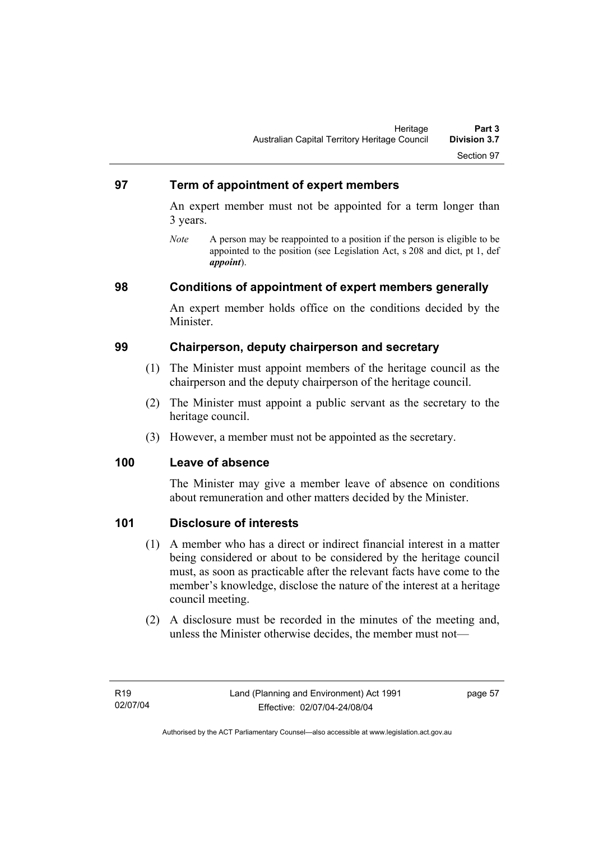### **97 Term of appointment of expert members**

An expert member must not be appointed for a term longer than 3 years.

*Note* A person may be reappointed to a position if the person is eligible to be appointed to the position (see Legislation Act, s 208 and dict, pt 1, def *appoint*).

### **98 Conditions of appointment of expert members generally**

An expert member holds office on the conditions decided by the Minister.

### **99 Chairperson, deputy chairperson and secretary**

- (1) The Minister must appoint members of the heritage council as the chairperson and the deputy chairperson of the heritage council.
- (2) The Minister must appoint a public servant as the secretary to the heritage council.
- (3) However, a member must not be appointed as the secretary.

#### **100 Leave of absence**

The Minister may give a member leave of absence on conditions about remuneration and other matters decided by the Minister.

### **101 Disclosure of interests**

- (1) A member who has a direct or indirect financial interest in a matter being considered or about to be considered by the heritage council must, as soon as practicable after the relevant facts have come to the member's knowledge, disclose the nature of the interest at a heritage council meeting.
- (2) A disclosure must be recorded in the minutes of the meeting and, unless the Minister otherwise decides, the member must not—

page 57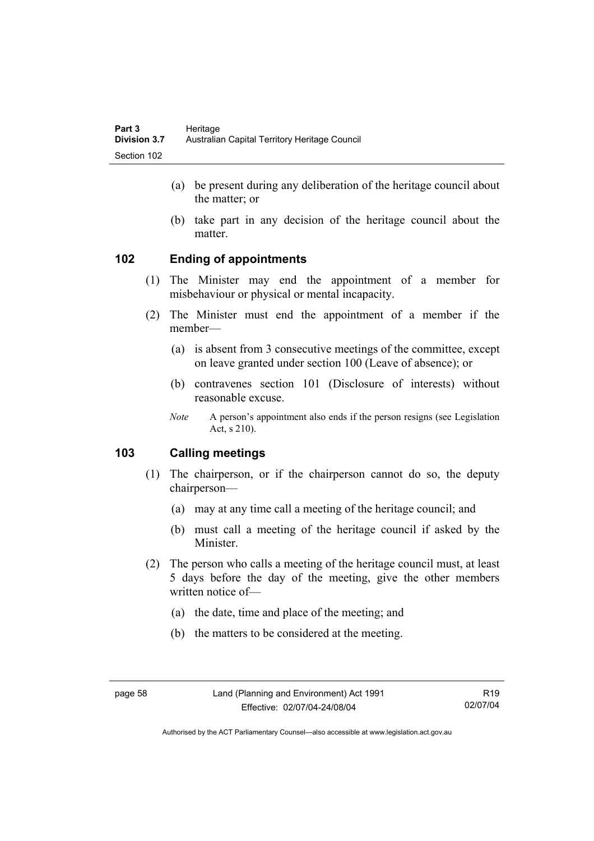- (a) be present during any deliberation of the heritage council about the matter; or
- (b) take part in any decision of the heritage council about the matter.

# **102 Ending of appointments**

- (1) The Minister may end the appointment of a member for misbehaviour or physical or mental incapacity.
- (2) The Minister must end the appointment of a member if the member—
	- (a) is absent from 3 consecutive meetings of the committee, except on leave granted under section 100 (Leave of absence); or
	- (b) contravenes section 101 (Disclosure of interests) without reasonable excuse.
	- *Note* A person's appointment also ends if the person resigns (see Legislation Act, s 210).

# **103 Calling meetings**

- (1) The chairperson, or if the chairperson cannot do so, the deputy chairperson—
	- (a) may at any time call a meeting of the heritage council; and
	- (b) must call a meeting of the heritage council if asked by the Minister.
- (2) The person who calls a meeting of the heritage council must, at least 5 days before the day of the meeting, give the other members written notice of—
	- (a) the date, time and place of the meeting; and
	- (b) the matters to be considered at the meeting.

R19 02/07/04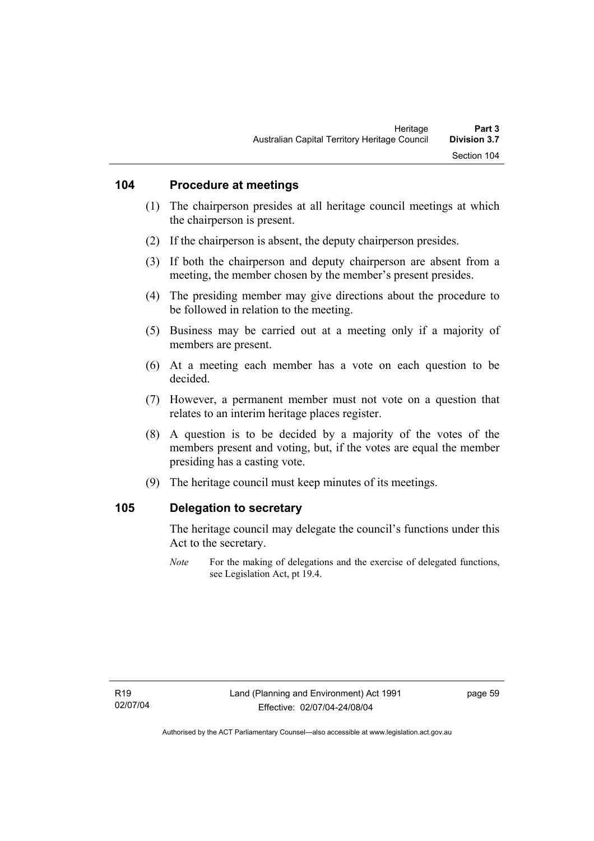### **104 Procedure at meetings**

- (1) The chairperson presides at all heritage council meetings at which the chairperson is present.
- (2) If the chairperson is absent, the deputy chairperson presides.
- (3) If both the chairperson and deputy chairperson are absent from a meeting, the member chosen by the member's present presides.
- (4) The presiding member may give directions about the procedure to be followed in relation to the meeting.
- (5) Business may be carried out at a meeting only if a majority of members are present.
- (6) At a meeting each member has a vote on each question to be decided.
- (7) However, a permanent member must not vote on a question that relates to an interim heritage places register.
- (8) A question is to be decided by a majority of the votes of the members present and voting, but, if the votes are equal the member presiding has a casting vote.
- (9) The heritage council must keep minutes of its meetings.

#### **105 Delegation to secretary**

The heritage council may delegate the council's functions under this Act to the secretary.

*Note* For the making of delegations and the exercise of delegated functions, see Legislation Act, pt 19.4.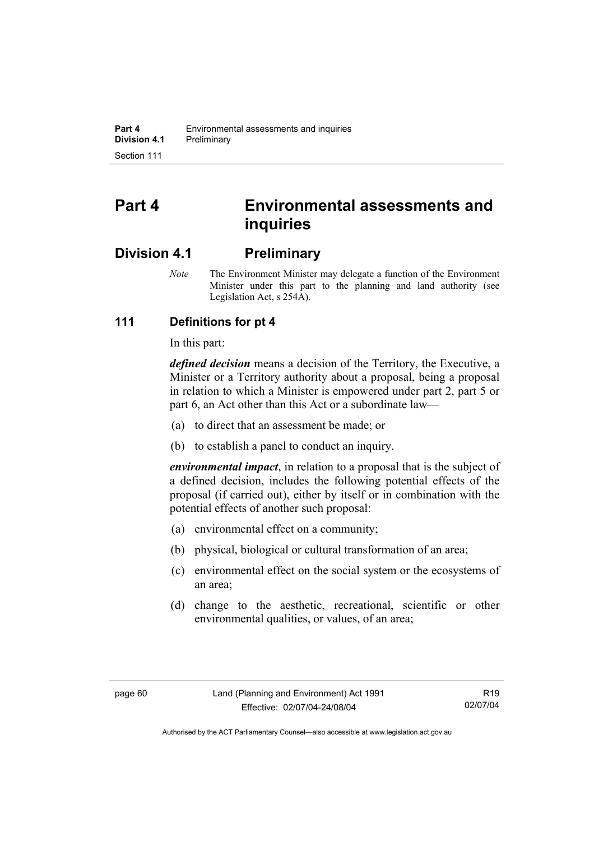# **Part 4 Environmental assessments and inquiries**

# **Division 4.1 Preliminary**

*Note* The Environment Minister may delegate a function of the Environment Minister under this part to the planning and land authority (see Legislation Act, s 254A).

# **111 Definitions for pt 4**

In this part:

*defined decision* means a decision of the Territory, the Executive, a Minister or a Territory authority about a proposal, being a proposal in relation to which a Minister is empowered under part 2, part 5 or part 6, an Act other than this Act or a subordinate law—

- (a) to direct that an assessment be made; or
- (b) to establish a panel to conduct an inquiry.

*environmental impact*, in relation to a proposal that is the subject of a defined decision, includes the following potential effects of the proposal (if carried out), either by itself or in combination with the potential effects of another such proposal:

- (a) environmental effect on a community;
- (b) physical, biological or cultural transformation of an area;
- (c) environmental effect on the social system or the ecosystems of an area;
- (d) change to the aesthetic, recreational, scientific or other environmental qualities, or values, of an area;

R19 02/07/04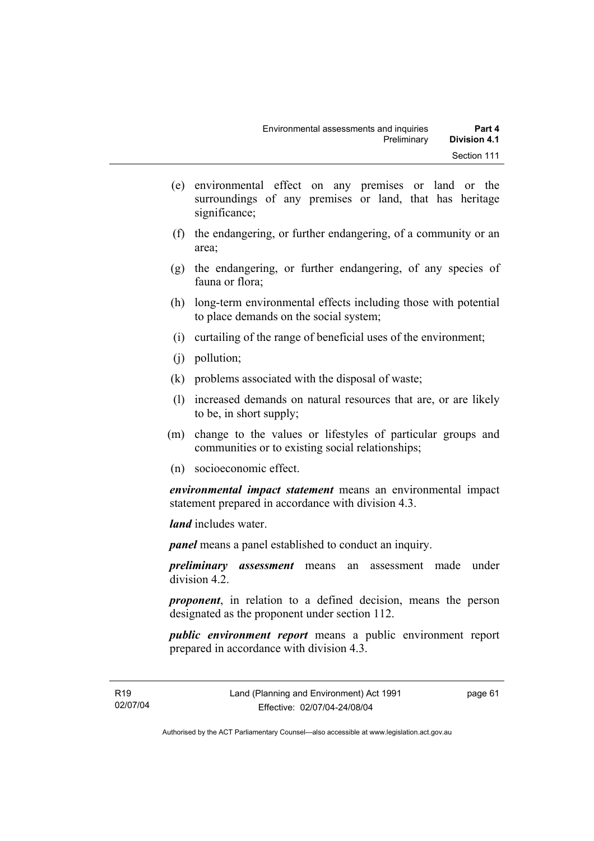- (e) environmental effect on any premises or land or the surroundings of any premises or land, that has heritage significance;
- (f) the endangering, or further endangering, of a community or an area;
- (g) the endangering, or further endangering, of any species of fauna or flora;
- (h) long-term environmental effects including those with potential to place demands on the social system;
- (i) curtailing of the range of beneficial uses of the environment;
- (j) pollution;
- (k) problems associated with the disposal of waste;
- (l) increased demands on natural resources that are, or are likely to be, in short supply;
- (m) change to the values or lifestyles of particular groups and communities or to existing social relationships;
- (n) socioeconomic effect.

*environmental impact statement* means an environmental impact statement prepared in accordance with division 4.3.

*land* includes water.

*panel* means a panel established to conduct an inquiry.

*preliminary assessment* means an assessment made under division 4.2.

*proponent*, in relation to a defined decision, means the person designated as the proponent under section 112.

*public environment report* means a public environment report prepared in accordance with division 4.3.

page 61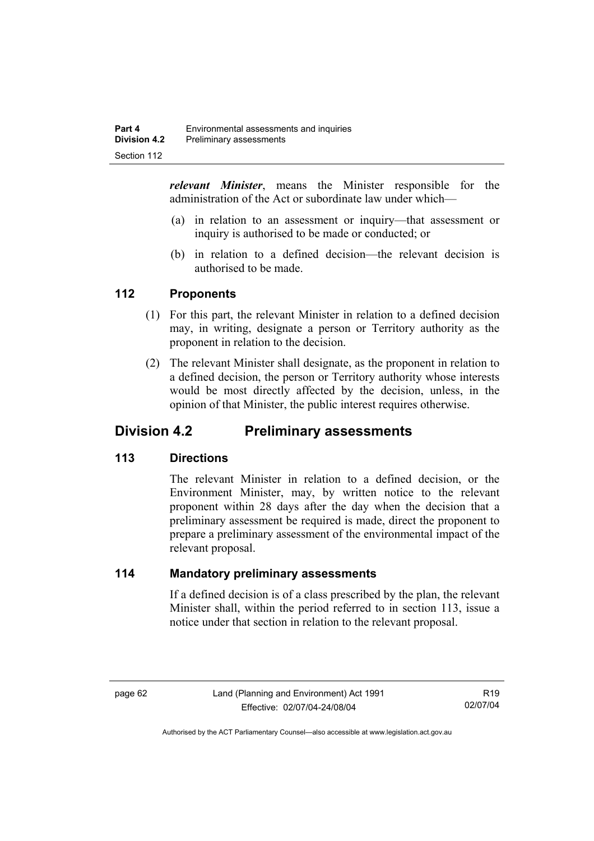*relevant Minister*, means the Minister responsible for the administration of the Act or subordinate law under which—

- (a) in relation to an assessment or inquiry—that assessment or inquiry is authorised to be made or conducted; or
- (b) in relation to a defined decision—the relevant decision is authorised to be made.

### **112 Proponents**

- (1) For this part, the relevant Minister in relation to a defined decision may, in writing, designate a person or Territory authority as the proponent in relation to the decision.
- (2) The relevant Minister shall designate, as the proponent in relation to a defined decision, the person or Territory authority whose interests would be most directly affected by the decision, unless, in the opinion of that Minister, the public interest requires otherwise.

# **Division 4.2 Preliminary assessments**

# **113 Directions**

The relevant Minister in relation to a defined decision, or the Environment Minister, may, by written notice to the relevant proponent within 28 days after the day when the decision that a preliminary assessment be required is made, direct the proponent to prepare a preliminary assessment of the environmental impact of the relevant proposal.

### **114 Mandatory preliminary assessments**

If a defined decision is of a class prescribed by the plan, the relevant Minister shall, within the period referred to in section 113, issue a notice under that section in relation to the relevant proposal.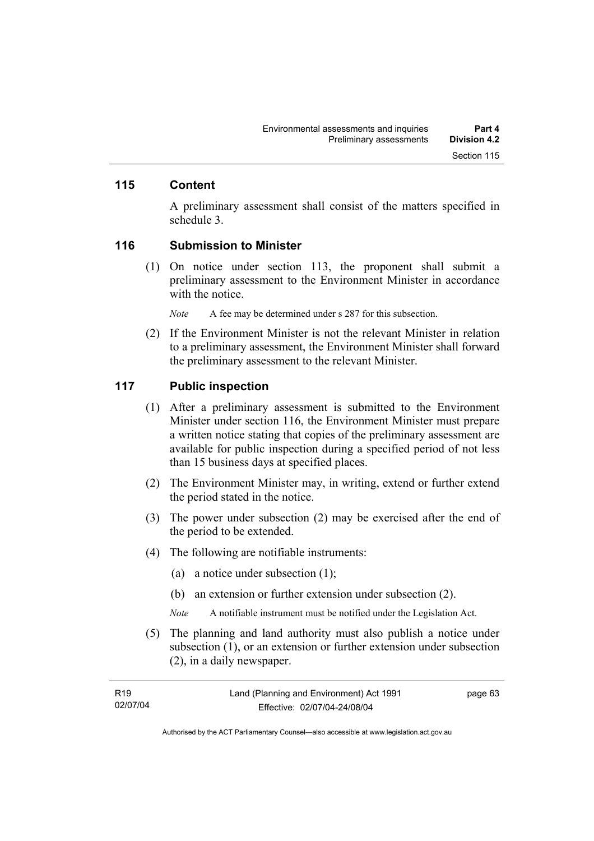### **115 Content**

A preliminary assessment shall consist of the matters specified in schedule 3.

#### **116 Submission to Minister**

 (1) On notice under section 113, the proponent shall submit a preliminary assessment to the Environment Minister in accordance with the notice.

*Note* A fee may be determined under s 287 for this subsection.

 (2) If the Environment Minister is not the relevant Minister in relation to a preliminary assessment, the Environment Minister shall forward the preliminary assessment to the relevant Minister.

#### **117 Public inspection**

- (1) After a preliminary assessment is submitted to the Environment Minister under section 116, the Environment Minister must prepare a written notice stating that copies of the preliminary assessment are available for public inspection during a specified period of not less than 15 business days at specified places.
- (2) The Environment Minister may, in writing, extend or further extend the period stated in the notice.
- (3) The power under subsection (2) may be exercised after the end of the period to be extended.
- (4) The following are notifiable instruments:
	- (a) a notice under subsection (1);
	- (b) an extension or further extension under subsection (2).
	- *Note* A notifiable instrument must be notified under the Legislation Act.
- (5) The planning and land authority must also publish a notice under subsection (1), or an extension or further extension under subsection (2), in a daily newspaper.

| R <sub>19</sub> | Land (Planning and Environment) Act 1991 | page 63 |
|-----------------|------------------------------------------|---------|
| 02/07/04        | Effective: 02/07/04-24/08/04             |         |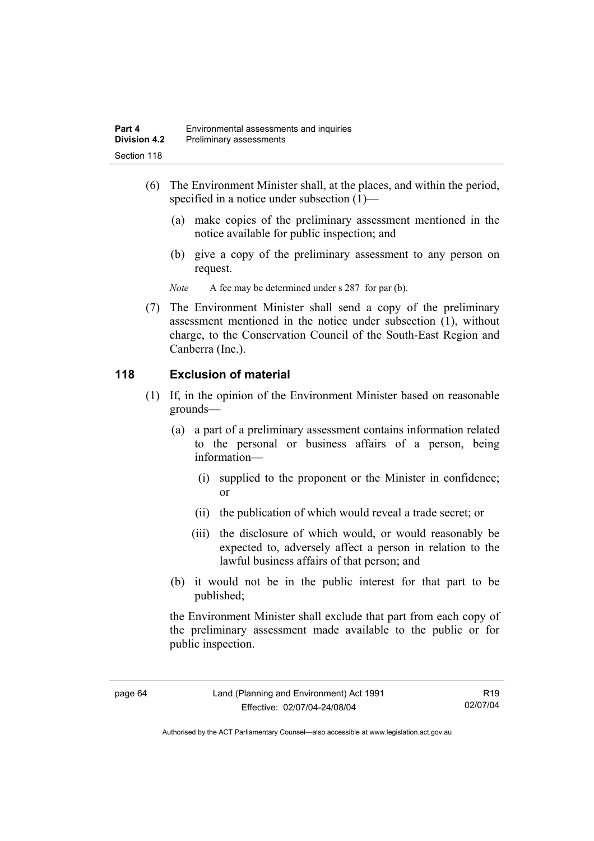- (6) The Environment Minister shall, at the places, and within the period, specified in a notice under subsection (1)—
	- (a) make copies of the preliminary assessment mentioned in the notice available for public inspection; and
	- (b) give a copy of the preliminary assessment to any person on request.

*Note* A fee may be determined under s 287 for par (b).

 (7) The Environment Minister shall send a copy of the preliminary assessment mentioned in the notice under subsection (1), without charge, to the Conservation Council of the South-East Region and Canberra (Inc.).

# **118 Exclusion of material**

- (1) If, in the opinion of the Environment Minister based on reasonable grounds—
	- (a) a part of a preliminary assessment contains information related to the personal or business affairs of a person, being information—
		- (i) supplied to the proponent or the Minister in confidence; or
		- (ii) the publication of which would reveal a trade secret; or
		- (iii) the disclosure of which would, or would reasonably be expected to, adversely affect a person in relation to the lawful business affairs of that person; and
	- (b) it would not be in the public interest for that part to be published;

the Environment Minister shall exclude that part from each copy of the preliminary assessment made available to the public or for public inspection.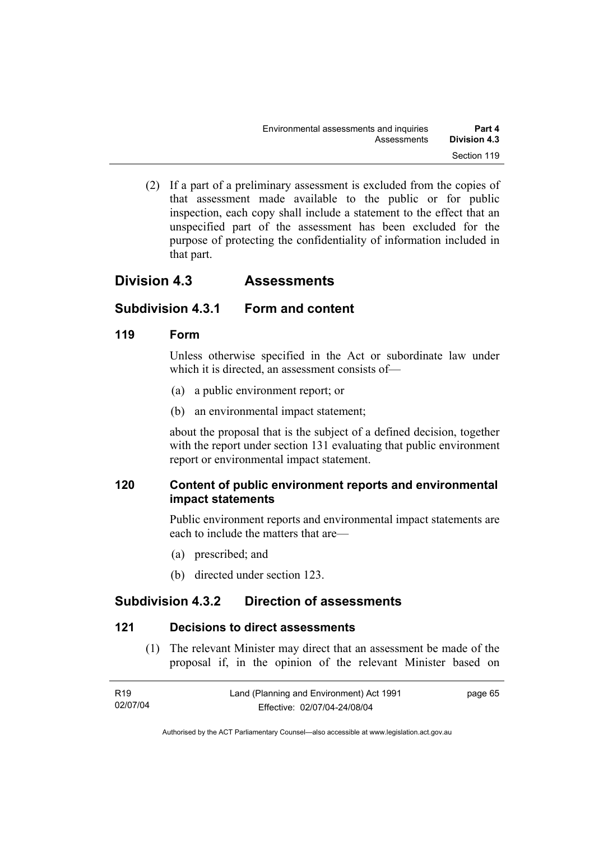(2) If a part of a preliminary assessment is excluded from the copies of that assessment made available to the public or for public inspection, each copy shall include a statement to the effect that an unspecified part of the assessment has been excluded for the purpose of protecting the confidentiality of information included in that part.

# **Division 4.3 Assessments**

# **Subdivision 4.3.1 Form and content**

# **119 Form**

Unless otherwise specified in the Act or subordinate law under which it is directed, an assessment consists of—

- (a) a public environment report; or
- (b) an environmental impact statement;

about the proposal that is the subject of a defined decision, together with the report under section 131 evaluating that public environment report or environmental impact statement.

# **120 Content of public environment reports and environmental impact statements**

Public environment reports and environmental impact statements are each to include the matters that are—

- (a) prescribed; and
- (b) directed under section 123.

# **Subdivision 4.3.2 Direction of assessments**

# **121 Decisions to direct assessments**

 (1) The relevant Minister may direct that an assessment be made of the proposal if, in the opinion of the relevant Minister based on

| R <sub>19</sub> | Land (Planning and Environment) Act 1991 | page 65 |
|-----------------|------------------------------------------|---------|
| 02/07/04        | Effective: 02/07/04-24/08/04             |         |

Authorised by the ACT Parliamentary Counsel—also accessible at www.legislation.act.gov.au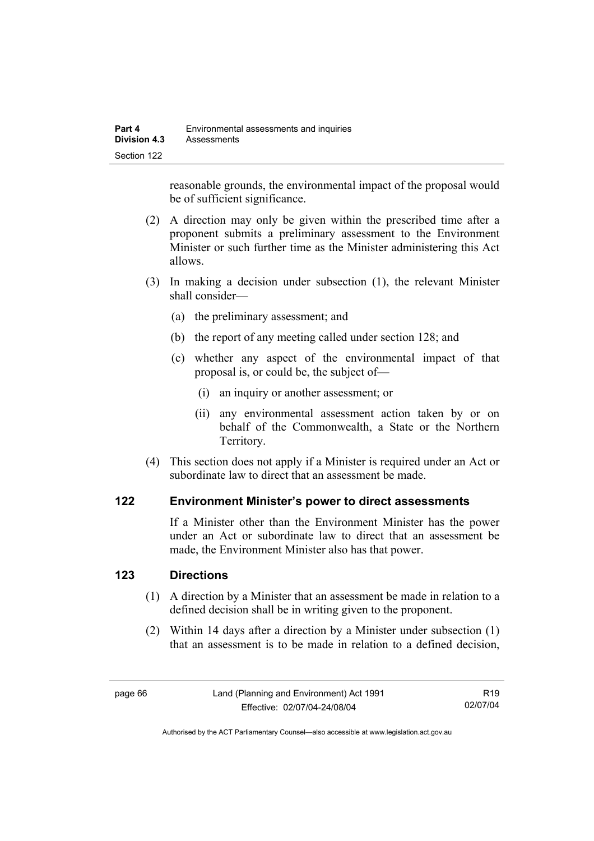reasonable grounds, the environmental impact of the proposal would be of sufficient significance.

- (2) A direction may only be given within the prescribed time after a proponent submits a preliminary assessment to the Environment Minister or such further time as the Minister administering this Act allows.
- (3) In making a decision under subsection (1), the relevant Minister shall consider—
	- (a) the preliminary assessment; and
	- (b) the report of any meeting called under section 128; and
	- (c) whether any aspect of the environmental impact of that proposal is, or could be, the subject of—
		- (i) an inquiry or another assessment; or
		- (ii) any environmental assessment action taken by or on behalf of the Commonwealth, a State or the Northern Territory.
- (4) This section does not apply if a Minister is required under an Act or subordinate law to direct that an assessment be made.

### **122 Environment Minister's power to direct assessments**

If a Minister other than the Environment Minister has the power under an Act or subordinate law to direct that an assessment be made, the Environment Minister also has that power.

### **123 Directions**

- (1) A direction by a Minister that an assessment be made in relation to a defined decision shall be in writing given to the proponent.
- (2) Within 14 days after a direction by a Minister under subsection (1) that an assessment is to be made in relation to a defined decision,

R19 02/07/04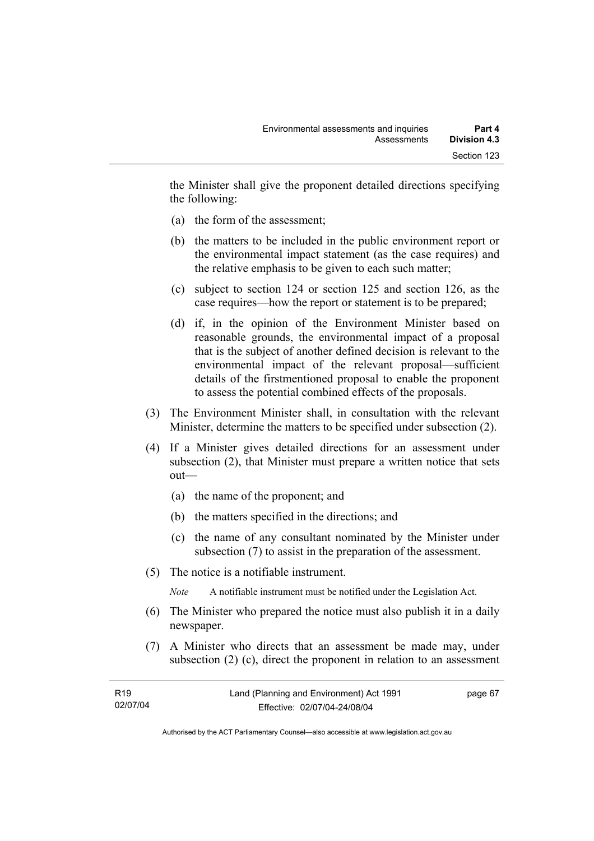the Minister shall give the proponent detailed directions specifying the following:

- (a) the form of the assessment;
- (b) the matters to be included in the public environment report or the environmental impact statement (as the case requires) and the relative emphasis to be given to each such matter;
- (c) subject to section 124 or section 125 and section 126, as the case requires—how the report or statement is to be prepared;
- (d) if, in the opinion of the Environment Minister based on reasonable grounds, the environmental impact of a proposal that is the subject of another defined decision is relevant to the environmental impact of the relevant proposal—sufficient details of the firstmentioned proposal to enable the proponent to assess the potential combined effects of the proposals.
- (3) The Environment Minister shall, in consultation with the relevant Minister, determine the matters to be specified under subsection (2).
- (4) If a Minister gives detailed directions for an assessment under subsection (2), that Minister must prepare a written notice that sets out—
	- (a) the name of the proponent; and
	- (b) the matters specified in the directions; and
	- (c) the name of any consultant nominated by the Minister under subsection (7) to assist in the preparation of the assessment.
- (5) The notice is a notifiable instrument.

*Note* A notifiable instrument must be notified under the Legislation Act.

- (6) The Minister who prepared the notice must also publish it in a daily newspaper.
- (7) A Minister who directs that an assessment be made may, under subsection (2) (c), direct the proponent in relation to an assessment

| R <sub>19</sub> | Land (Planning and Environment) Act 1991 | page 67 |
|-----------------|------------------------------------------|---------|
| 02/07/04        | Effective: 02/07/04-24/08/04             |         |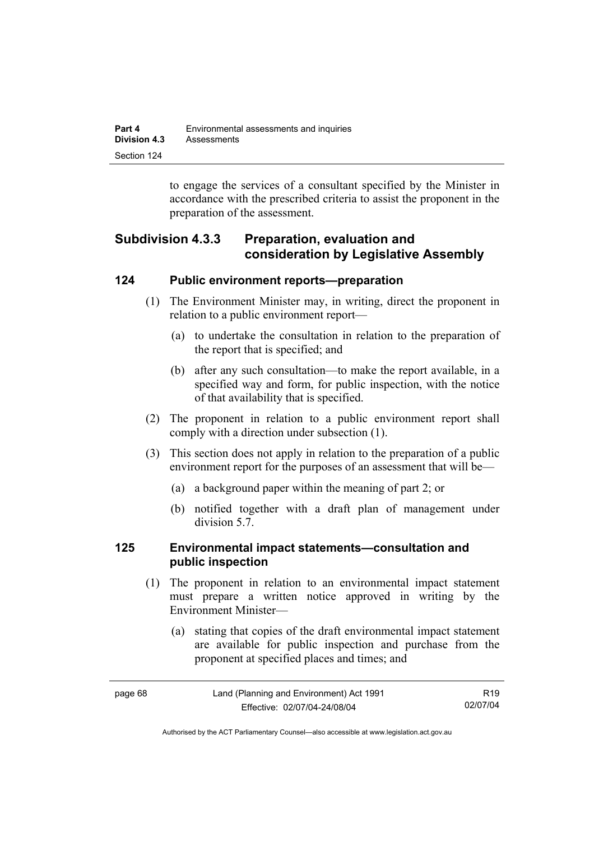| Part 4       | Environmental assessments and inquiries |  |
|--------------|-----------------------------------------|--|
| Division 4.3 | Assessments                             |  |
| Section 124  |                                         |  |

to engage the services of a consultant specified by the Minister in accordance with the prescribed criteria to assist the proponent in the preparation of the assessment.

# **Subdivision 4.3.3 Preparation, evaluation and consideration by Legislative Assembly**

### **124 Public environment reports—preparation**

- (1) The Environment Minister may, in writing, direct the proponent in relation to a public environment report—
	- (a) to undertake the consultation in relation to the preparation of the report that is specified; and
	- (b) after any such consultation—to make the report available, in a specified way and form, for public inspection, with the notice of that availability that is specified.
- (2) The proponent in relation to a public environment report shall comply with a direction under subsection (1).
- (3) This section does not apply in relation to the preparation of a public environment report for the purposes of an assessment that will be—
	- (a) a background paper within the meaning of part 2; or
	- (b) notified together with a draft plan of management under division 5.7.

### **125 Environmental impact statements—consultation and public inspection**

- (1) The proponent in relation to an environmental impact statement must prepare a written notice approved in writing by the Environment Minister—
	- (a) stating that copies of the draft environmental impact statement are available for public inspection and purchase from the proponent at specified places and times; and

| page 68 | Land (Planning and Environment) Act 1991 | R <sub>19</sub> |
|---------|------------------------------------------|-----------------|
|         | Effective: 02/07/04-24/08/04             | 02/07/04        |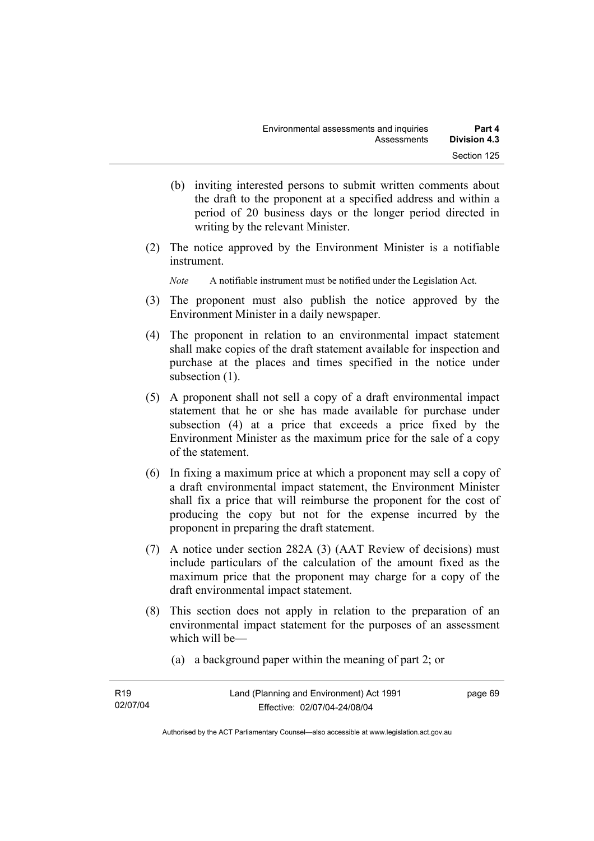- (b) inviting interested persons to submit written comments about the draft to the proponent at a specified address and within a period of 20 business days or the longer period directed in writing by the relevant Minister.
- (2) The notice approved by the Environment Minister is a notifiable instrument.

*Note* A notifiable instrument must be notified under the Legislation Act.

- (3) The proponent must also publish the notice approved by the Environment Minister in a daily newspaper.
- (4) The proponent in relation to an environmental impact statement shall make copies of the draft statement available for inspection and purchase at the places and times specified in the notice under subsection  $(1)$ .
- (5) A proponent shall not sell a copy of a draft environmental impact statement that he or she has made available for purchase under subsection (4) at a price that exceeds a price fixed by the Environment Minister as the maximum price for the sale of a copy of the statement.
- (6) In fixing a maximum price at which a proponent may sell a copy of a draft environmental impact statement, the Environment Minister shall fix a price that will reimburse the proponent for the cost of producing the copy but not for the expense incurred by the proponent in preparing the draft statement.
- (7) A notice under section 282A (3) (AAT Review of decisions) must include particulars of the calculation of the amount fixed as the maximum price that the proponent may charge for a copy of the draft environmental impact statement.
- (8) This section does not apply in relation to the preparation of an environmental impact statement for the purposes of an assessment which will be—
	- (a) a background paper within the meaning of part 2; or

| R <sub>19</sub> | Land (Planning and Environment) Act 1991 | page 69 |
|-----------------|------------------------------------------|---------|
| 02/07/04        | Effective: 02/07/04-24/08/04             |         |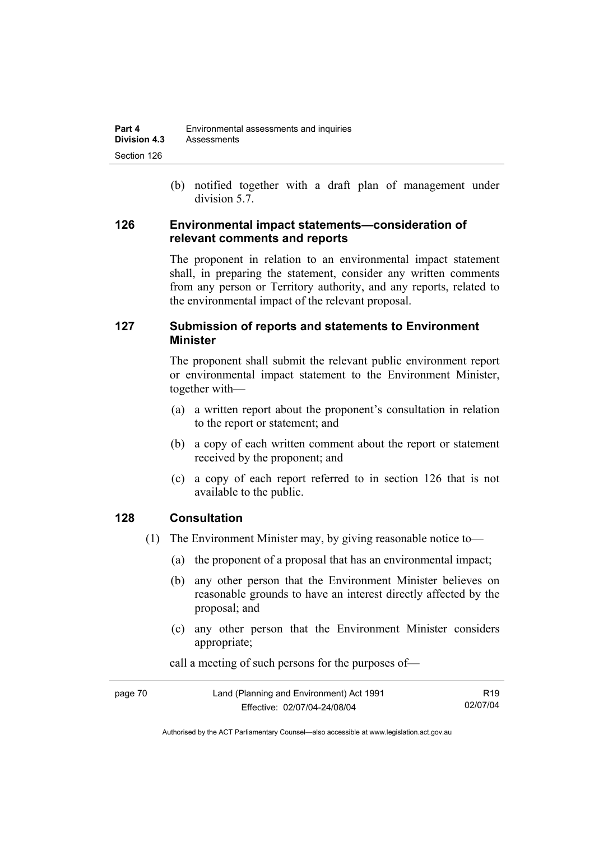(b) notified together with a draft plan of management under division 5.7.

### **126 Environmental impact statements—consideration of relevant comments and reports**

The proponent in relation to an environmental impact statement shall, in preparing the statement, consider any written comments from any person or Territory authority, and any reports, related to the environmental impact of the relevant proposal.

# **127 Submission of reports and statements to Environment Minister**

The proponent shall submit the relevant public environment report or environmental impact statement to the Environment Minister, together with—

- (a) a written report about the proponent's consultation in relation to the report or statement; and
- (b) a copy of each written comment about the report or statement received by the proponent; and
- (c) a copy of each report referred to in section 126 that is not available to the public.

# **128 Consultation**

- (1) The Environment Minister may, by giving reasonable notice to—
	- (a) the proponent of a proposal that has an environmental impact;
	- (b) any other person that the Environment Minister believes on reasonable grounds to have an interest directly affected by the proposal; and
	- (c) any other person that the Environment Minister considers appropriate;

| page 70 | Land (Planning and Environment) Act 1991 | R19.     |
|---------|------------------------------------------|----------|
|         | Effective: 02/07/04-24/08/04             | 02/07/04 |

call a meeting of such persons for the purposes of—

Authorised by the ACT Parliamentary Counsel—also accessible at www.legislation.act.gov.au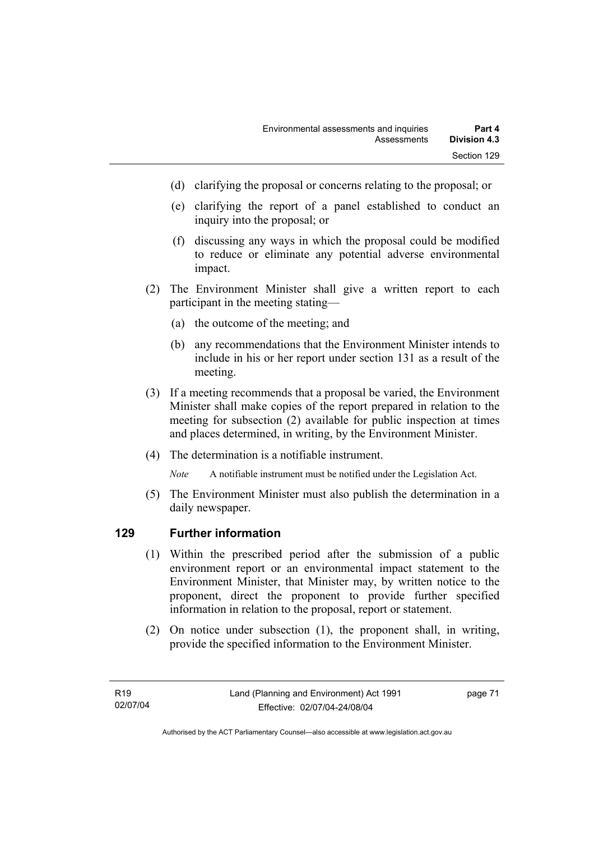- (d) clarifying the proposal or concerns relating to the proposal; or
- (e) clarifying the report of a panel established to conduct an inquiry into the proposal; or
- (f) discussing any ways in which the proposal could be modified to reduce or eliminate any potential adverse environmental impact.
- (2) The Environment Minister shall give a written report to each participant in the meeting stating—
	- (a) the outcome of the meeting; and
	- (b) any recommendations that the Environment Minister intends to include in his or her report under section 131 as a result of the meeting.
- (3) If a meeting recommends that a proposal be varied, the Environment Minister shall make copies of the report prepared in relation to the meeting for subsection (2) available for public inspection at times and places determined, in writing, by the Environment Minister.
- (4) The determination is a notifiable instrument.

*Note* A notifiable instrument must be notified under the Legislation Act.

(5) The Environment Minister must also publish the determination in a daily newspaper.

### **129 Further information**

- (1) Within the prescribed period after the submission of a public environment report or an environmental impact statement to the Environment Minister, that Minister may, by written notice to the proponent, direct the proponent to provide further specified information in relation to the proposal, report or statement.
- (2) On notice under subsection (1), the proponent shall, in writing, provide the specified information to the Environment Minister.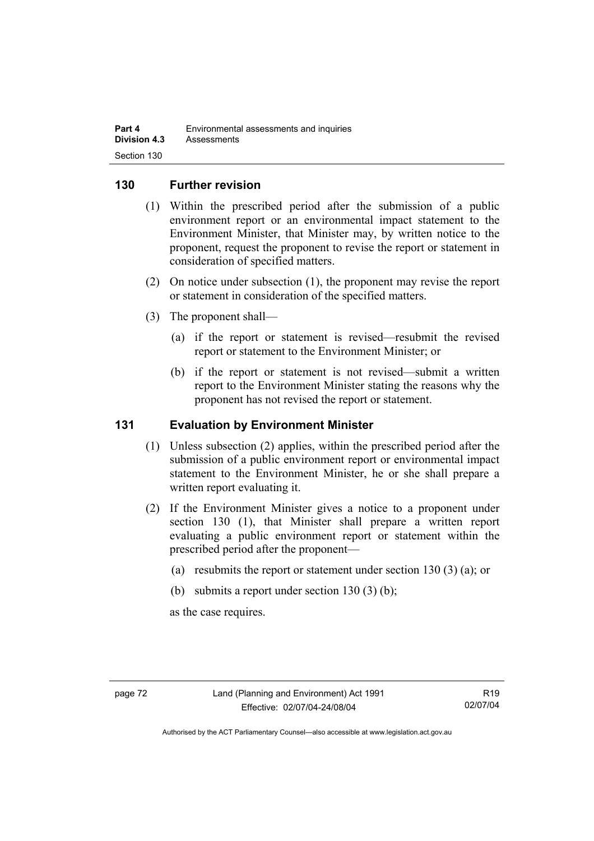### **130 Further revision**

- (1) Within the prescribed period after the submission of a public environment report or an environmental impact statement to the Environment Minister, that Minister may, by written notice to the proponent, request the proponent to revise the report or statement in consideration of specified matters.
- (2) On notice under subsection (1), the proponent may revise the report or statement in consideration of the specified matters.
- (3) The proponent shall—
	- (a) if the report or statement is revised—resubmit the revised report or statement to the Environment Minister; or
	- (b) if the report or statement is not revised—submit a written report to the Environment Minister stating the reasons why the proponent has not revised the report or statement.

### **131 Evaluation by Environment Minister**

- (1) Unless subsection (2) applies, within the prescribed period after the submission of a public environment report or environmental impact statement to the Environment Minister, he or she shall prepare a written report evaluating it.
- (2) If the Environment Minister gives a notice to a proponent under section 130 (1), that Minister shall prepare a written report evaluating a public environment report or statement within the prescribed period after the proponent—
	- (a) resubmits the report or statement under section 130 (3) (a); or
	- (b) submits a report under section  $130(3)$  (b);

as the case requires.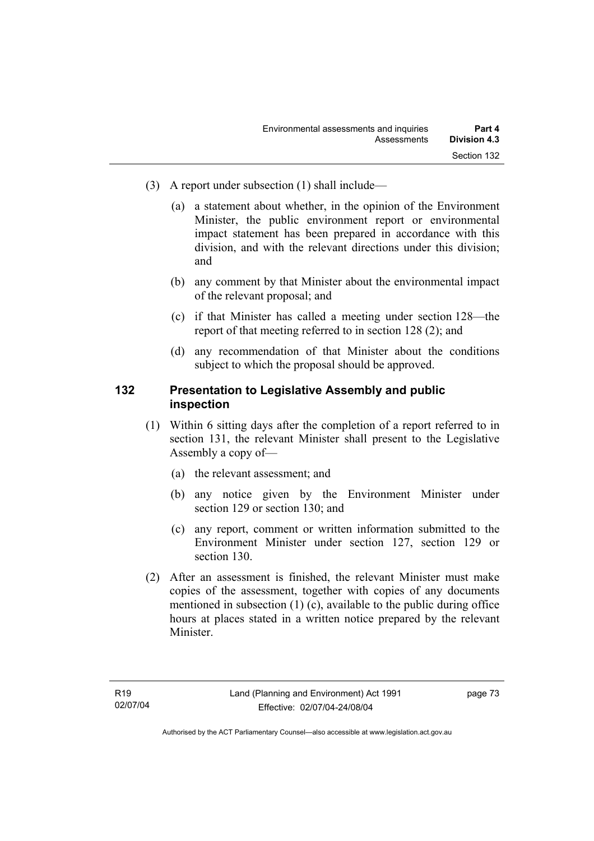- (3) A report under subsection (1) shall include—
	- (a) a statement about whether, in the opinion of the Environment Minister, the public environment report or environmental impact statement has been prepared in accordance with this division, and with the relevant directions under this division; and
	- (b) any comment by that Minister about the environmental impact of the relevant proposal; and
	- (c) if that Minister has called a meeting under section 128—the report of that meeting referred to in section 128 (2); and
	- (d) any recommendation of that Minister about the conditions subject to which the proposal should be approved.

### **132 Presentation to Legislative Assembly and public inspection**

- (1) Within 6 sitting days after the completion of a report referred to in section 131, the relevant Minister shall present to the Legislative Assembly a copy of—
	- (a) the relevant assessment; and
	- (b) any notice given by the Environment Minister under section 129 or section 130; and
	- (c) any report, comment or written information submitted to the Environment Minister under section 127, section 129 or section 130.
- (2) After an assessment is finished, the relevant Minister must make copies of the assessment, together with copies of any documents mentioned in subsection (1) (c), available to the public during office hours at places stated in a written notice prepared by the relevant Minister.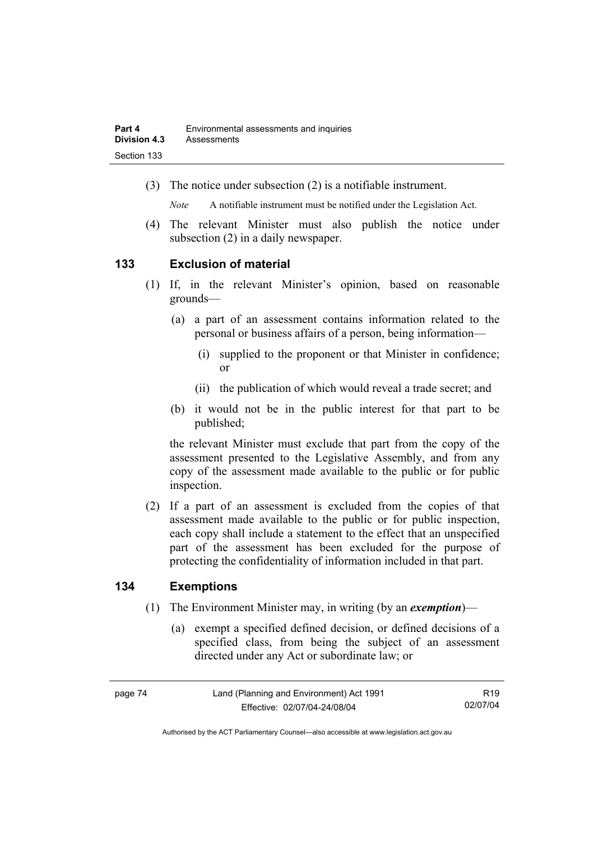(3) The notice under subsection (2) is a notifiable instrument.

*Note* A notifiable instrument must be notified under the Legislation Act.

(4) The relevant Minister must also publish the notice under subsection (2) in a daily newspaper.

### **133 Exclusion of material**

- (1) If, in the relevant Minister's opinion, based on reasonable grounds—
	- (a) a part of an assessment contains information related to the personal or business affairs of a person, being information—
		- (i) supplied to the proponent or that Minister in confidence; or
		- (ii) the publication of which would reveal a trade secret; and
	- (b) it would not be in the public interest for that part to be published;

the relevant Minister must exclude that part from the copy of the assessment presented to the Legislative Assembly, and from any copy of the assessment made available to the public or for public inspection.

 (2) If a part of an assessment is excluded from the copies of that assessment made available to the public or for public inspection, each copy shall include a statement to the effect that an unspecified part of the assessment has been excluded for the purpose of protecting the confidentiality of information included in that part.

### **134 Exemptions**

- (1) The Environment Minister may, in writing (by an *exemption*)—
	- (a) exempt a specified defined decision, or defined decisions of a specified class, from being the subject of an assessment directed under any Act or subordinate law; or

R19 02/07/04

Authorised by the ACT Parliamentary Counsel—also accessible at www.legislation.act.gov.au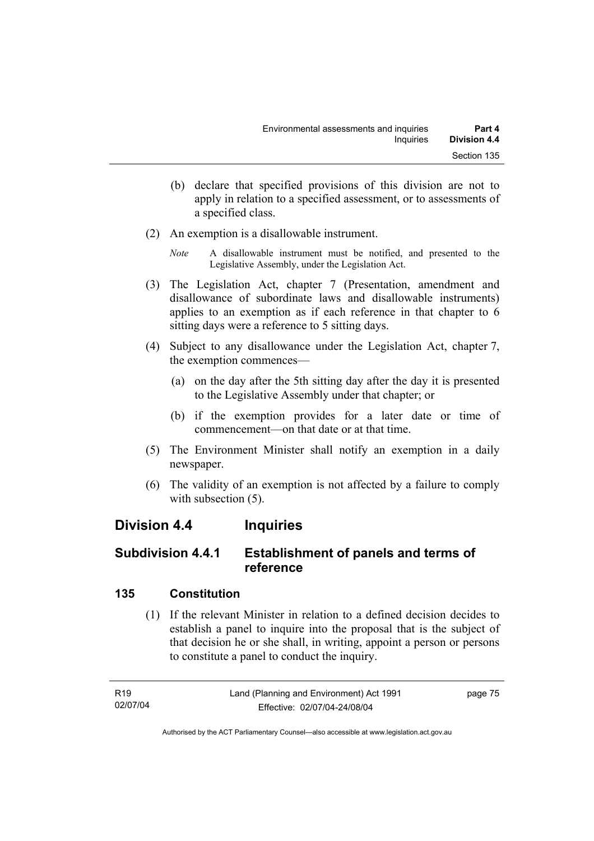- (b) declare that specified provisions of this division are not to apply in relation to a specified assessment, or to assessments of a specified class.
- (2) An exemption is a disallowable instrument.
	- *Note* A disallowable instrument must be notified, and presented to the Legislative Assembly, under the Legislation Act.
- (3) The Legislation Act, chapter 7 (Presentation, amendment and disallowance of subordinate laws and disallowable instruments) applies to an exemption as if each reference in that chapter to 6 sitting days were a reference to 5 sitting days.
- (4) Subject to any disallowance under the Legislation Act, chapter 7, the exemption commences—
	- (a) on the day after the 5th sitting day after the day it is presented to the Legislative Assembly under that chapter; or
	- (b) if the exemption provides for a later date or time of commencement—on that date or at that time.
- (5) The Environment Minister shall notify an exemption in a daily newspaper.
- (6) The validity of an exemption is not affected by a failure to comply with subsection  $(5)$ .

# **Division 4.4 Inquiries**

# **Subdivision 4.4.1 Establishment of panels and terms of reference**

# **135 Constitution**

 (1) If the relevant Minister in relation to a defined decision decides to establish a panel to inquire into the proposal that is the subject of that decision he or she shall, in writing, appoint a person or persons to constitute a panel to conduct the inquiry.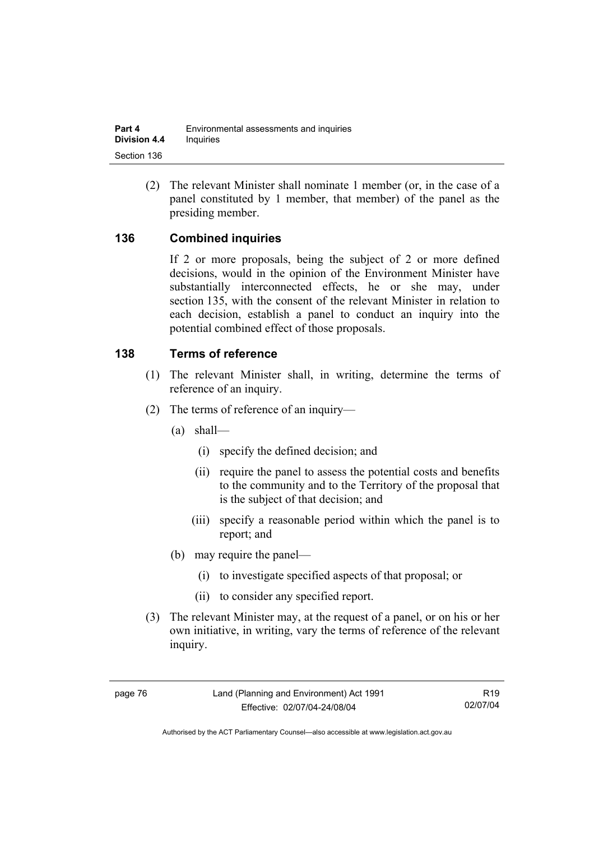(2) The relevant Minister shall nominate 1 member (or, in the case of a panel constituted by 1 member, that member) of the panel as the presiding member.

# **136 Combined inquiries**

If 2 or more proposals, being the subject of 2 or more defined decisions, would in the opinion of the Environment Minister have substantially interconnected effects, he or she may, under section 135, with the consent of the relevant Minister in relation to each decision, establish a panel to conduct an inquiry into the potential combined effect of those proposals.

### **138 Terms of reference**

- (1) The relevant Minister shall, in writing, determine the terms of reference of an inquiry.
- (2) The terms of reference of an inquiry—
	- (a) shall—
		- (i) specify the defined decision; and
		- (ii) require the panel to assess the potential costs and benefits to the community and to the Territory of the proposal that is the subject of that decision; and
		- (iii) specify a reasonable period within which the panel is to report; and
	- (b) may require the panel—
		- (i) to investigate specified aspects of that proposal; or
		- (ii) to consider any specified report.
- (3) The relevant Minister may, at the request of a panel, or on his or her own initiative, in writing, vary the terms of reference of the relevant inquiry.

R19 02/07/04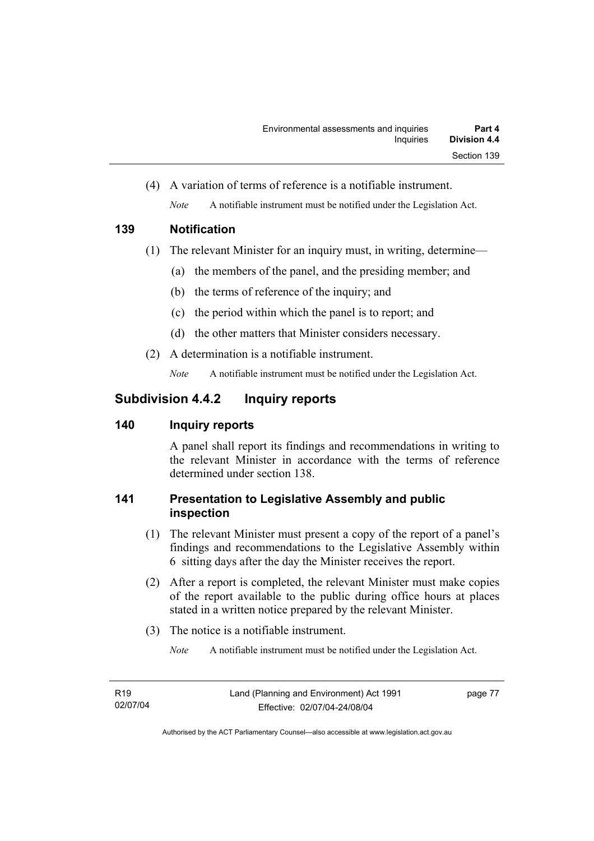(4) A variation of terms of reference is a notifiable instrument. *Note* A notifiable instrument must be notified under the Legislation Act.

# **139 Notification**

- (1) The relevant Minister for an inquiry must, in writing, determine—
	- (a) the members of the panel, and the presiding member; and
	- (b) the terms of reference of the inquiry; and
	- (c) the period within which the panel is to report; and
	- (d) the other matters that Minister considers necessary.
- (2) A determination is a notifiable instrument.

*Note* A notifiable instrument must be notified under the Legislation Act.

# **Subdivision 4.4.2 Inquiry reports**

# **140 Inquiry reports**

A panel shall report its findings and recommendations in writing to the relevant Minister in accordance with the terms of reference determined under section 138.

# **141 Presentation to Legislative Assembly and public inspection**

- (1) The relevant Minister must present a copy of the report of a panel's findings and recommendations to the Legislative Assembly within 6 sitting days after the day the Minister receives the report.
- (2) After a report is completed, the relevant Minister must make copies of the report available to the public during office hours at places stated in a written notice prepared by the relevant Minister.
- (3) The notice is a notifiable instrument.

*Note* A notifiable instrument must be notified under the Legislation Act.

page 77

Authorised by the ACT Parliamentary Counsel—also accessible at www.legislation.act.gov.au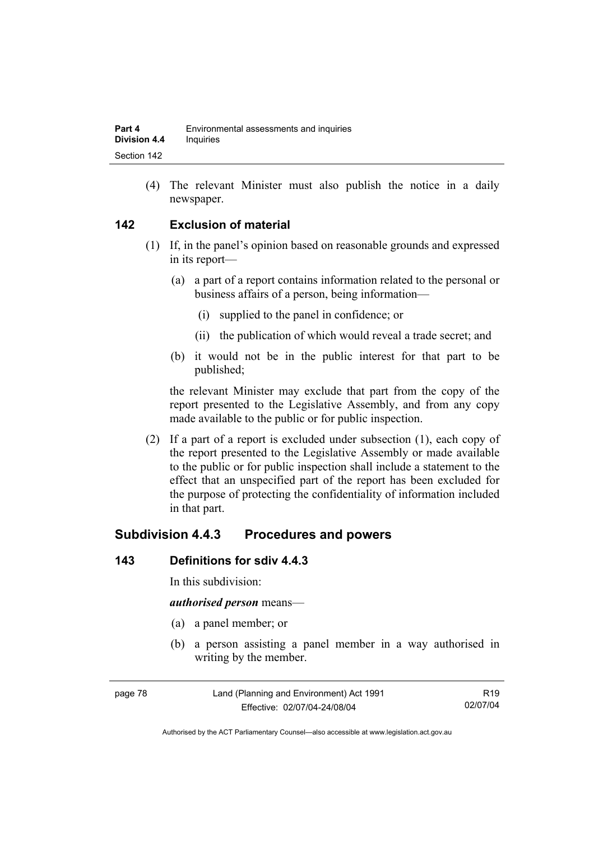(4) The relevant Minister must also publish the notice in a daily newspaper.

# **142 Exclusion of material**

- (1) If, in the panel's opinion based on reasonable grounds and expressed in its report—
	- (a) a part of a report contains information related to the personal or business affairs of a person, being information—
		- (i) supplied to the panel in confidence; or
		- (ii) the publication of which would reveal a trade secret; and
	- (b) it would not be in the public interest for that part to be published;

the relevant Minister may exclude that part from the copy of the report presented to the Legislative Assembly, and from any copy made available to the public or for public inspection.

 (2) If a part of a report is excluded under subsection (1), each copy of the report presented to the Legislative Assembly or made available to the public or for public inspection shall include a statement to the effect that an unspecified part of the report has been excluded for the purpose of protecting the confidentiality of information included in that part.

# **Subdivision 4.4.3 Procedures and powers**

### **143 Definitions for sdiv 4.4.3**

In this subdivision:

#### *authorised person* means—

- (a) a panel member; or
- (b) a person assisting a panel member in a way authorised in writing by the member.

| page 78 | Land (Planning and Environment) Act 1991 | R <sub>19</sub> |
|---------|------------------------------------------|-----------------|
|         | Effective: 02/07/04-24/08/04             | 02/07/04        |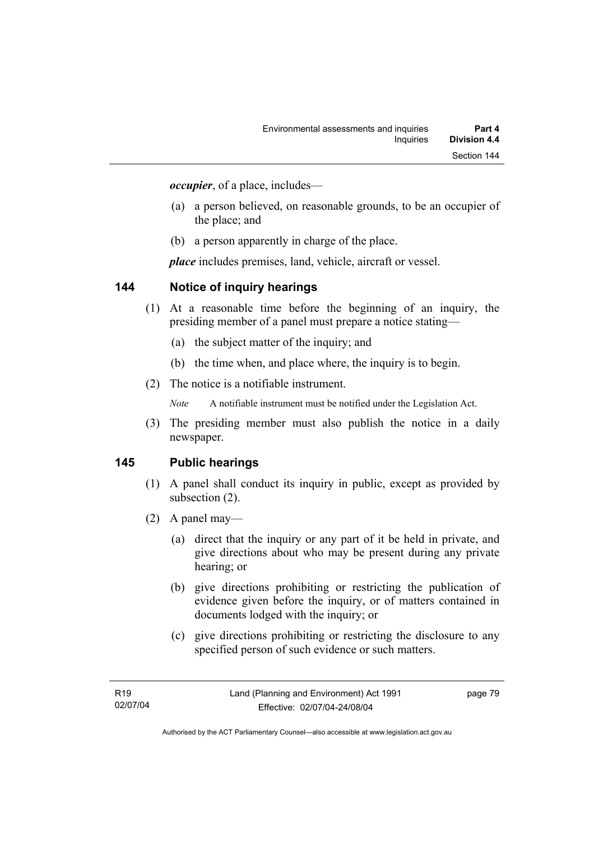*occupier*, of a place, includes—

- (a) a person believed, on reasonable grounds, to be an occupier of the place; and
- (b) a person apparently in charge of the place.

*place* includes premises, land, vehicle, aircraft or vessel.

### **144 Notice of inquiry hearings**

- (1) At a reasonable time before the beginning of an inquiry, the presiding member of a panel must prepare a notice stating—
	- (a) the subject matter of the inquiry; and
	- (b) the time when, and place where, the inquiry is to begin.
- (2) The notice is a notifiable instrument.

*Note* A notifiable instrument must be notified under the Legislation Act.

(3) The presiding member must also publish the notice in a daily newspaper.

### **145 Public hearings**

- (1) A panel shall conduct its inquiry in public, except as provided by subsection (2).
- (2) A panel may—
	- (a) direct that the inquiry or any part of it be held in private, and give directions about who may be present during any private hearing; or
	- (b) give directions prohibiting or restricting the publication of evidence given before the inquiry, or of matters contained in documents lodged with the inquiry; or
	- (c) give directions prohibiting or restricting the disclosure to any specified person of such evidence or such matters.

page 79

Authorised by the ACT Parliamentary Counsel—also accessible at www.legislation.act.gov.au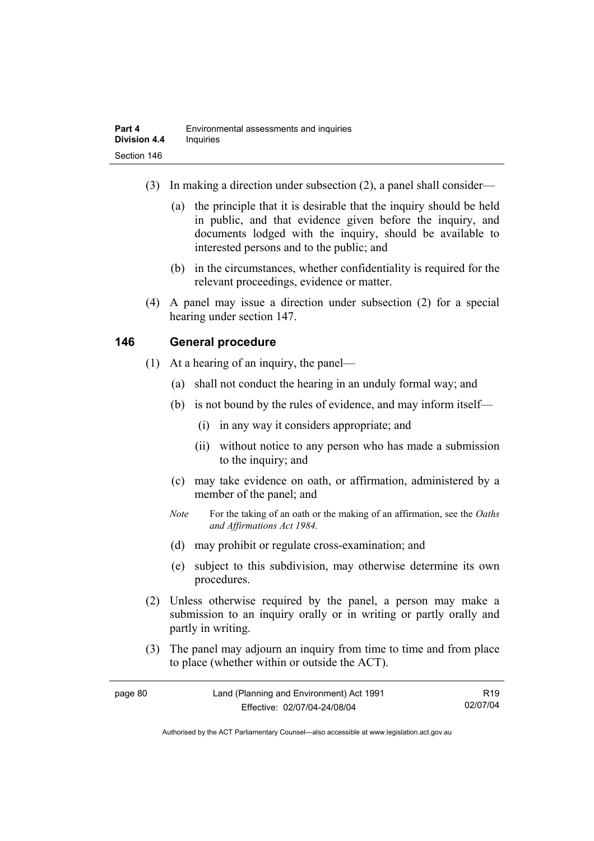- (3) In making a direction under subsection (2), a panel shall consider—
	- (a) the principle that it is desirable that the inquiry should be held in public, and that evidence given before the inquiry, and documents lodged with the inquiry, should be available to interested persons and to the public; and
	- (b) in the circumstances, whether confidentiality is required for the relevant proceedings, evidence or matter.
- (4) A panel may issue a direction under subsection (2) for a special hearing under section 147.

# **146 General procedure**

- (1) At a hearing of an inquiry, the panel—
	- (a) shall not conduct the hearing in an unduly formal way; and
	- (b) is not bound by the rules of evidence, and may inform itself—
		- (i) in any way it considers appropriate; and
		- (ii) without notice to any person who has made a submission to the inquiry; and
	- (c) may take evidence on oath, or affirmation, administered by a member of the panel; and
	- *Note* For the taking of an oath or the making of an affirmation, see the *Oaths and Affirmations Act 1984.*
	- (d) may prohibit or regulate cross-examination; and
	- (e) subject to this subdivision, may otherwise determine its own procedures.
- (2) Unless otherwise required by the panel, a person may make a submission to an inquiry orally or in writing or partly orally and partly in writing.
- (3) The panel may adjourn an inquiry from time to time and from place to place (whether within or outside the ACT).

| page 80 | Land (Planning and Environment) Act 1991 | R <sub>19</sub> |
|---------|------------------------------------------|-----------------|
|         | Effective: 02/07/04-24/08/04             | 02/07/04        |

Authorised by the ACT Parliamentary Counsel—also accessible at www.legislation.act.gov.au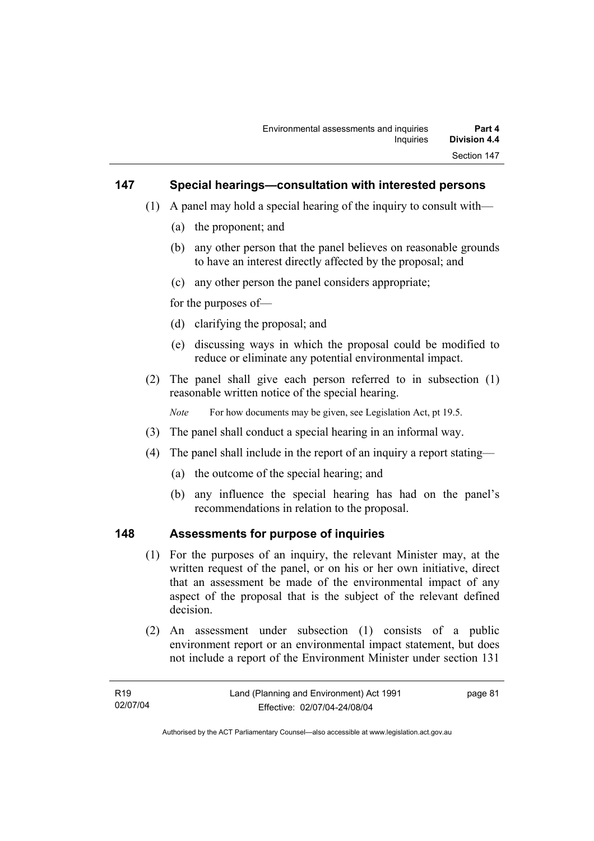### **147 Special hearings—consultation with interested persons**

- (1) A panel may hold a special hearing of the inquiry to consult with—
	- (a) the proponent; and
	- (b) any other person that the panel believes on reasonable grounds to have an interest directly affected by the proposal; and
	- (c) any other person the panel considers appropriate;

for the purposes of—

- (d) clarifying the proposal; and
- (e) discussing ways in which the proposal could be modified to reduce or eliminate any potential environmental impact.
- (2) The panel shall give each person referred to in subsection (1) reasonable written notice of the special hearing.

*Note* For how documents may be given, see Legislation Act, pt 19.5.

- (3) The panel shall conduct a special hearing in an informal way.
- (4) The panel shall include in the report of an inquiry a report stating—
	- (a) the outcome of the special hearing; and
	- (b) any influence the special hearing has had on the panel's recommendations in relation to the proposal.

#### **148 Assessments for purpose of inquiries**

- (1) For the purposes of an inquiry, the relevant Minister may, at the written request of the panel, or on his or her own initiative, direct that an assessment be made of the environmental impact of any aspect of the proposal that is the subject of the relevant defined decision.
- (2) An assessment under subsection (1) consists of a public environment report or an environmental impact statement, but does not include a report of the Environment Minister under section 131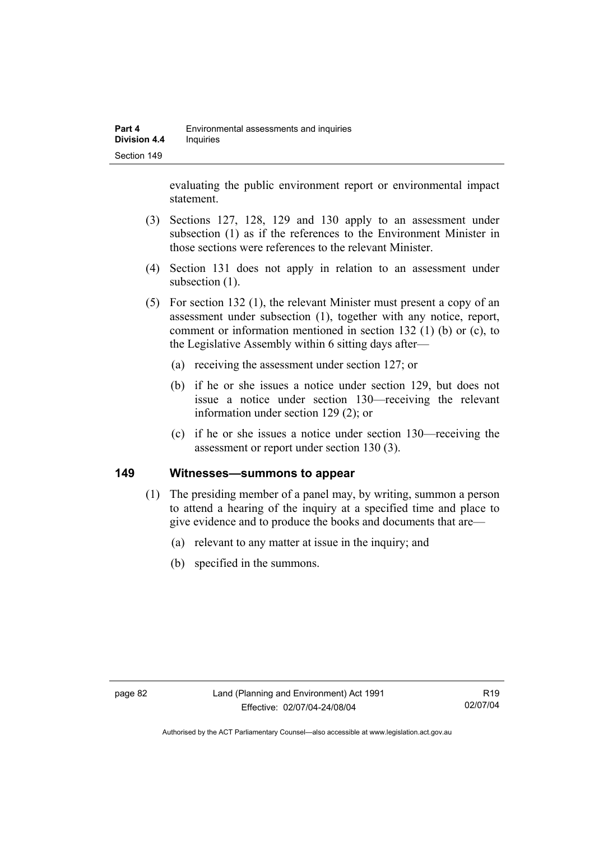evaluating the public environment report or environmental impact statement.

- (3) Sections 127, 128, 129 and 130 apply to an assessment under subsection (1) as if the references to the Environment Minister in those sections were references to the relevant Minister.
- (4) Section 131 does not apply in relation to an assessment under subsection  $(1)$ .
- (5) For section 132 (1), the relevant Minister must present a copy of an assessment under subsection (1), together with any notice, report, comment or information mentioned in section 132 (1) (b) or (c), to the Legislative Assembly within 6 sitting days after—
	- (a) receiving the assessment under section 127; or
	- (b) if he or she issues a notice under section 129, but does not issue a notice under section 130—receiving the relevant information under section 129 (2); or
	- (c) if he or she issues a notice under section 130—receiving the assessment or report under section 130 (3).

### **149 Witnesses—summons to appear**

- (1) The presiding member of a panel may, by writing, summon a person to attend a hearing of the inquiry at a specified time and place to give evidence and to produce the books and documents that are—
	- (a) relevant to any matter at issue in the inquiry; and
	- (b) specified in the summons.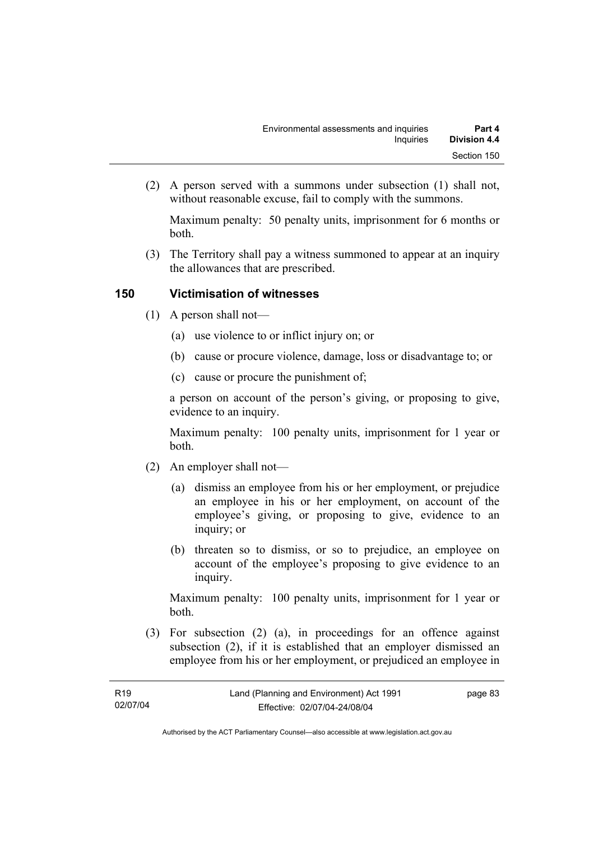(2) A person served with a summons under subsection (1) shall not, without reasonable excuse, fail to comply with the summons.

Maximum penalty: 50 penalty units, imprisonment for 6 months or both.

 (3) The Territory shall pay a witness summoned to appear at an inquiry the allowances that are prescribed.

# **150 Victimisation of witnesses**

- (1) A person shall not—
	- (a) use violence to or inflict injury on; or
	- (b) cause or procure violence, damage, loss or disadvantage to; or
	- (c) cause or procure the punishment of;

a person on account of the person's giving, or proposing to give, evidence to an inquiry.

Maximum penalty: 100 penalty units, imprisonment for 1 year or both.

- (2) An employer shall not—
	- (a) dismiss an employee from his or her employment, or prejudice an employee in his or her employment, on account of the employee's giving, or proposing to give, evidence to an inquiry; or
	- (b) threaten so to dismiss, or so to prejudice, an employee on account of the employee's proposing to give evidence to an inquiry.

Maximum penalty: 100 penalty units, imprisonment for 1 year or both.

 (3) For subsection (2) (a), in proceedings for an offence against subsection (2), if it is established that an employer dismissed an employee from his or her employment, or prejudiced an employee in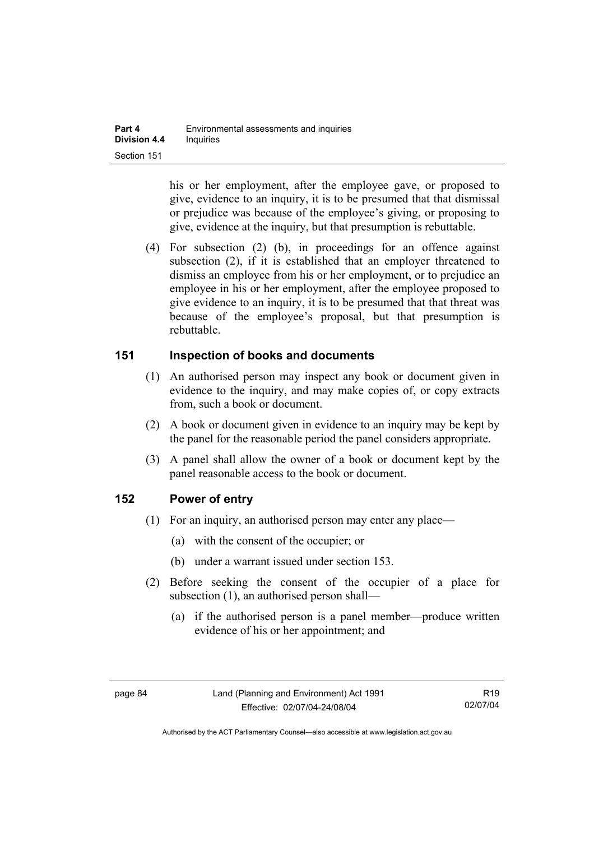his or her employment, after the employee gave, or proposed to give, evidence to an inquiry, it is to be presumed that that dismissal or prejudice was because of the employee's giving, or proposing to give, evidence at the inquiry, but that presumption is rebuttable.

 (4) For subsection (2) (b), in proceedings for an offence against subsection (2), if it is established that an employer threatened to dismiss an employee from his or her employment, or to prejudice an employee in his or her employment, after the employee proposed to give evidence to an inquiry, it is to be presumed that that threat was because of the employee's proposal, but that presumption is rebuttable.

### **151 Inspection of books and documents**

- (1) An authorised person may inspect any book or document given in evidence to the inquiry, and may make copies of, or copy extracts from, such a book or document.
- (2) A book or document given in evidence to an inquiry may be kept by the panel for the reasonable period the panel considers appropriate.
- (3) A panel shall allow the owner of a book or document kept by the panel reasonable access to the book or document.

# **152 Power of entry**

- (1) For an inquiry, an authorised person may enter any place—
	- (a) with the consent of the occupier; or
	- (b) under a warrant issued under section 153.
- (2) Before seeking the consent of the occupier of a place for subsection (1), an authorised person shall—
	- (a) if the authorised person is a panel member—produce written evidence of his or her appointment; and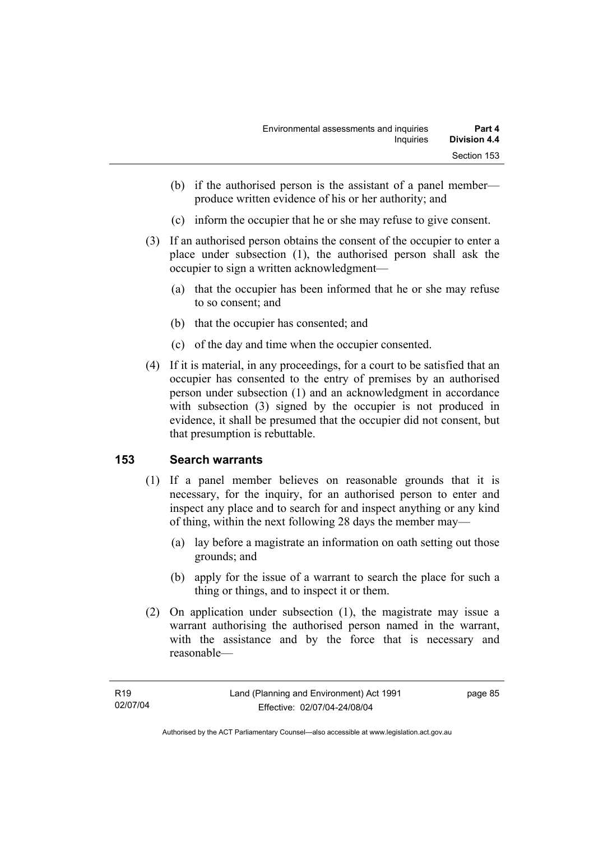- (b) if the authorised person is the assistant of a panel member produce written evidence of his or her authority; and
- (c) inform the occupier that he or she may refuse to give consent.
- (3) If an authorised person obtains the consent of the occupier to enter a place under subsection (1), the authorised person shall ask the occupier to sign a written acknowledgment—
	- (a) that the occupier has been informed that he or she may refuse to so consent; and
	- (b) that the occupier has consented; and
	- (c) of the day and time when the occupier consented.
- (4) If it is material, in any proceedings, for a court to be satisfied that an occupier has consented to the entry of premises by an authorised person under subsection (1) and an acknowledgment in accordance with subsection (3) signed by the occupier is not produced in evidence, it shall be presumed that the occupier did not consent, but that presumption is rebuttable.

# **153 Search warrants**

- (1) If a panel member believes on reasonable grounds that it is necessary, for the inquiry, for an authorised person to enter and inspect any place and to search for and inspect anything or any kind of thing, within the next following 28 days the member may—
	- (a) lay before a magistrate an information on oath setting out those grounds; and
	- (b) apply for the issue of a warrant to search the place for such a thing or things, and to inspect it or them.
- (2) On application under subsection (1), the magistrate may issue a warrant authorising the authorised person named in the warrant, with the assistance and by the force that is necessary and reasonable—

page 85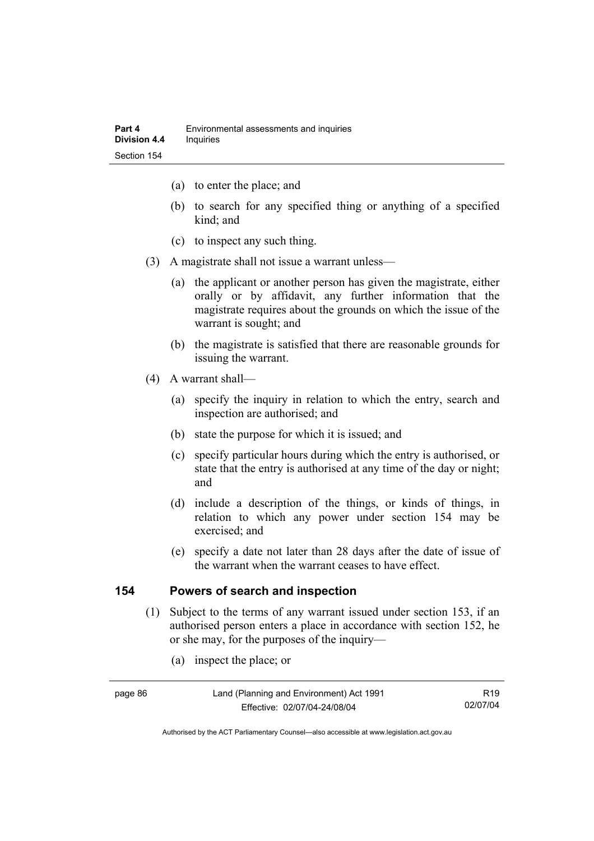- (a) to enter the place; and
- (b) to search for any specified thing or anything of a specified kind; and
- (c) to inspect any such thing.
- (3) A magistrate shall not issue a warrant unless—
	- (a) the applicant or another person has given the magistrate, either orally or by affidavit, any further information that the magistrate requires about the grounds on which the issue of the warrant is sought; and
	- (b) the magistrate is satisfied that there are reasonable grounds for issuing the warrant.
- (4) A warrant shall—
	- (a) specify the inquiry in relation to which the entry, search and inspection are authorised; and
	- (b) state the purpose for which it is issued; and
	- (c) specify particular hours during which the entry is authorised, or state that the entry is authorised at any time of the day or night; and
	- (d) include a description of the things, or kinds of things, in relation to which any power under section 154 may be exercised; and
	- (e) specify a date not later than 28 days after the date of issue of the warrant when the warrant ceases to have effect.

### **154 Powers of search and inspection**

- (1) Subject to the terms of any warrant issued under section 153, if an authorised person enters a place in accordance with section 152, he or she may, for the purposes of the inquiry—
	- (a) inspect the place; or

R19 02/07/04

Authorised by the ACT Parliamentary Counsel—also accessible at www.legislation.act.gov.au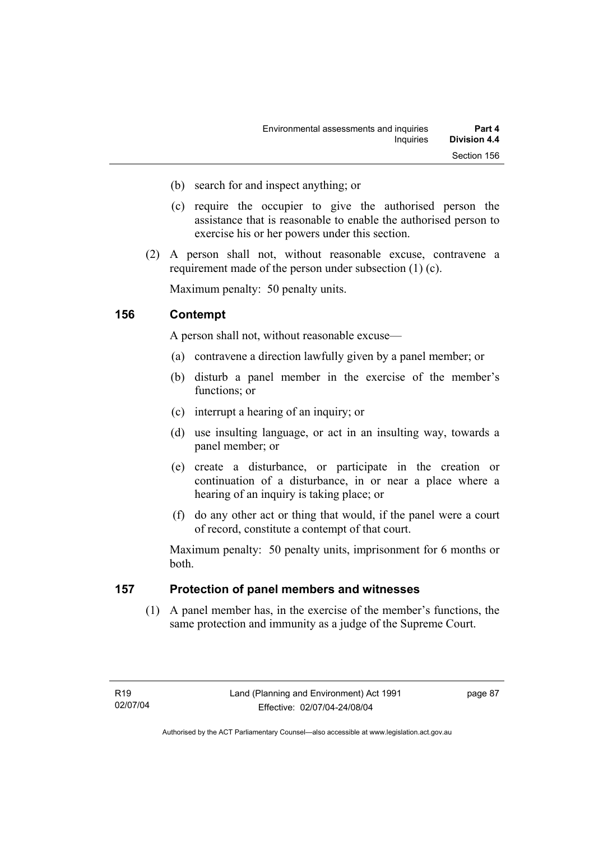- (b) search for and inspect anything; or
- (c) require the occupier to give the authorised person the assistance that is reasonable to enable the authorised person to exercise his or her powers under this section.
- (2) A person shall not, without reasonable excuse, contravene a requirement made of the person under subsection (1) (c).

Maximum penalty: 50 penalty units.

### **156 Contempt**

A person shall not, without reasonable excuse—

- (a) contravene a direction lawfully given by a panel member; or
- (b) disturb a panel member in the exercise of the member's functions; or
- (c) interrupt a hearing of an inquiry; or
- (d) use insulting language, or act in an insulting way, towards a panel member; or
- (e) create a disturbance, or participate in the creation or continuation of a disturbance, in or near a place where a hearing of an inquiry is taking place; or
- (f) do any other act or thing that would, if the panel were a court of record, constitute a contempt of that court.

Maximum penalty: 50 penalty units, imprisonment for 6 months or both.

### **157 Protection of panel members and witnesses**

 (1) A panel member has, in the exercise of the member's functions, the same protection and immunity as a judge of the Supreme Court.

page 87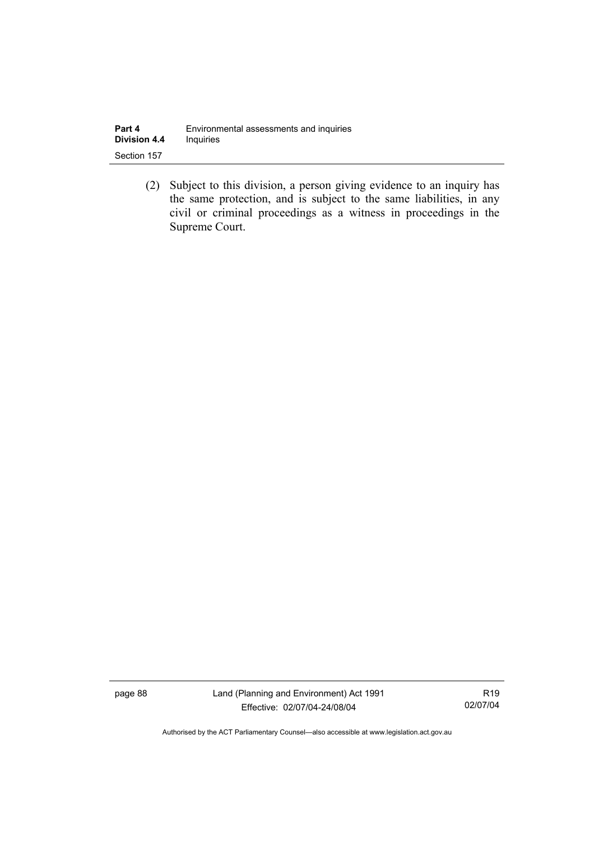| Part 4              | Environmental assessments and inquiries |  |
|---------------------|-----------------------------------------|--|
| <b>Division 4.4</b> | <b>Inquiries</b>                        |  |
| Section 157         |                                         |  |

 (2) Subject to this division, a person giving evidence to an inquiry has the same protection, and is subject to the same liabilities, in any civil or criminal proceedings as a witness in proceedings in the Supreme Court.

page 88 Land (Planning and Environment) Act 1991 Effective: 02/07/04-24/08/04

R19 02/07/04

Authorised by the ACT Parliamentary Counsel—also accessible at www.legislation.act.gov.au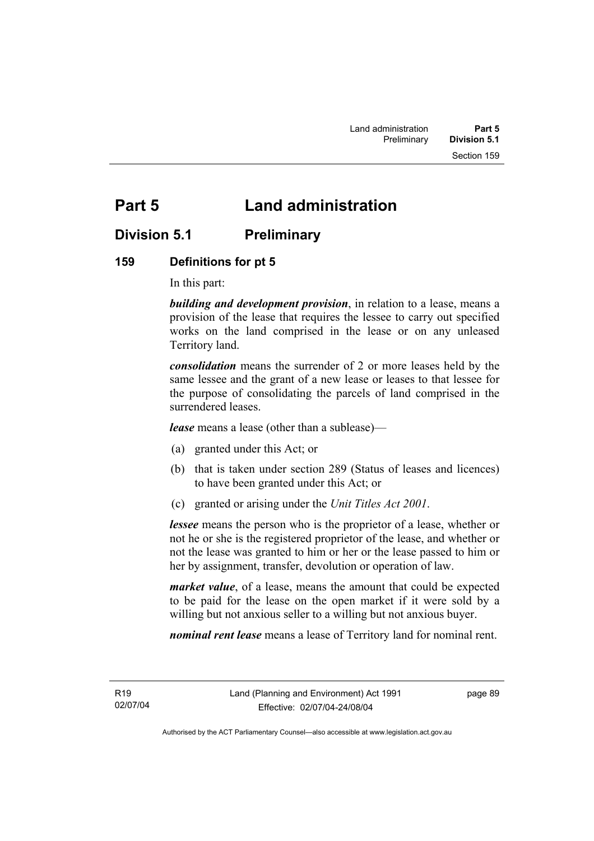# **Part 5 Land administration**

# **Division 5.1 Preliminary**

# **159 Definitions for pt 5**

In this part:

*building and development provision*, in relation to a lease, means a provision of the lease that requires the lessee to carry out specified works on the land comprised in the lease or on any unleased Territory land.

*consolidation* means the surrender of 2 or more leases held by the same lessee and the grant of a new lease or leases to that lessee for the purpose of consolidating the parcels of land comprised in the surrendered leases.

*lease* means a lease (other than a sublease)—

- (a) granted under this Act; or
- (b) that is taken under section 289 (Status of leases and licences) to have been granted under this Act; or
- (c) granted or arising under the *Unit Titles Act 2001*.

*lessee* means the person who is the proprietor of a lease, whether or not he or she is the registered proprietor of the lease, and whether or not the lease was granted to him or her or the lease passed to him or her by assignment, transfer, devolution or operation of law.

*market value*, of a lease, means the amount that could be expected to be paid for the lease on the open market if it were sold by a willing but not anxious seller to a willing but not anxious buyer.

*nominal rent lease* means a lease of Territory land for nominal rent.

R19 02/07/04 page 89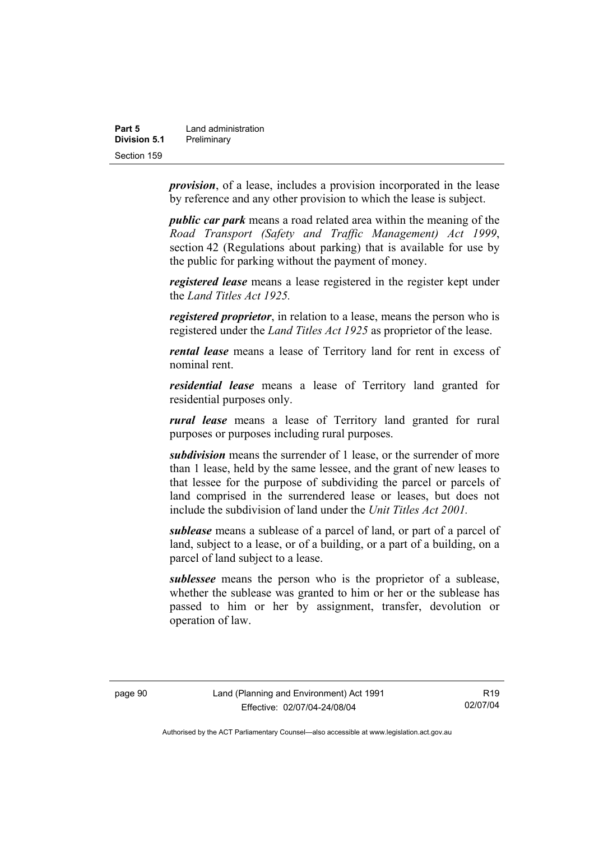| Part 5       | Land administration |
|--------------|---------------------|
| Division 5.1 | Preliminary         |
| Section 159  |                     |

*provision*, of a lease, includes a provision incorporated in the lease by reference and any other provision to which the lease is subject.

*public car park* means a road related area within the meaning of the *Road Transport (Safety and Traffic Management) Act 1999*, section 42 (Regulations about parking) that is available for use by the public for parking without the payment of money.

*registered lease* means a lease registered in the register kept under the *Land Titles Act 1925.*

*registered proprietor*, in relation to a lease, means the person who is registered under the *Land Titles Act 1925* as proprietor of the lease.

*rental lease* means a lease of Territory land for rent in excess of nominal rent.

*residential lease* means a lease of Territory land granted for residential purposes only.

*rural lease* means a lease of Territory land granted for rural purposes or purposes including rural purposes.

*subdivision* means the surrender of 1 lease, or the surrender of more than 1 lease, held by the same lessee, and the grant of new leases to that lessee for the purpose of subdividing the parcel or parcels of land comprised in the surrendered lease or leases, but does not include the subdivision of land under the *Unit Titles Act 2001.* 

*sublease* means a sublease of a parcel of land, or part of a parcel of land, subject to a lease, or of a building, or a part of a building, on a parcel of land subject to a lease.

*sublessee* means the person who is the proprietor of a sublease, whether the sublease was granted to him or her or the sublease has passed to him or her by assignment, transfer, devolution or operation of law.

R19 02/07/04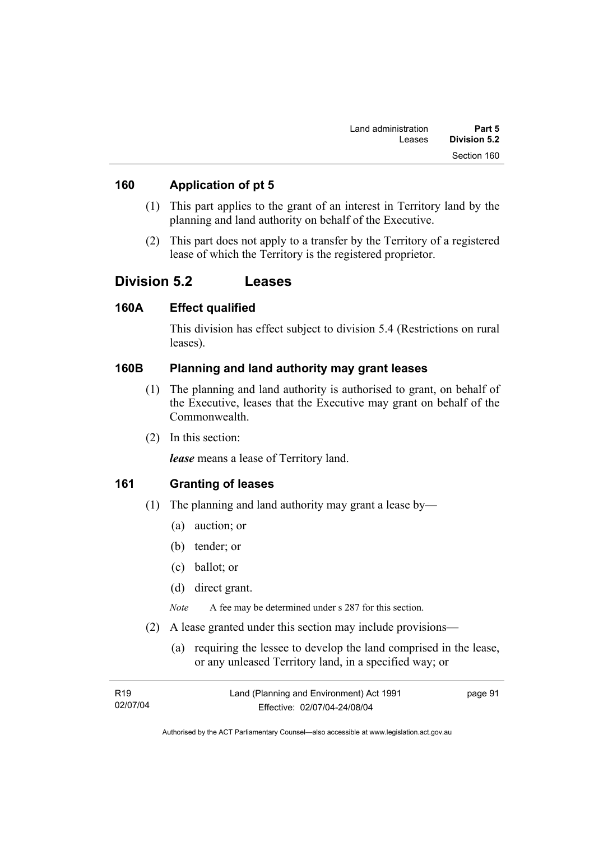### **160 Application of pt 5**

- (1) This part applies to the grant of an interest in Territory land by the planning and land authority on behalf of the Executive.
- (2) This part does not apply to a transfer by the Territory of a registered lease of which the Territory is the registered proprietor.

# **Division 5.2 Leases**

### **160A Effect qualified**

This division has effect subject to division 5.4 (Restrictions on rural leases).

### **160B Planning and land authority may grant leases**

- (1) The planning and land authority is authorised to grant, on behalf of the Executive, leases that the Executive may grant on behalf of the Commonwealth.
- (2) In this section:

*lease* means a lease of Territory land.

### **161 Granting of leases**

- (1) The planning and land authority may grant a lease by—
	- (a) auction; or
	- (b) tender; or
	- (c) ballot; or
	- (d) direct grant.

*Note* A fee may be determined under s 287 for this section.

- (2) A lease granted under this section may include provisions—
	- (a) requiring the lessee to develop the land comprised in the lease, or any unleased Territory land, in a specified way; or

| R19      | Land (Planning and Environment) Act 1991 | page 91 |
|----------|------------------------------------------|---------|
| 02/07/04 | Effective: 02/07/04-24/08/04             |         |

Authorised by the ACT Parliamentary Counsel—also accessible at www.legislation.act.gov.au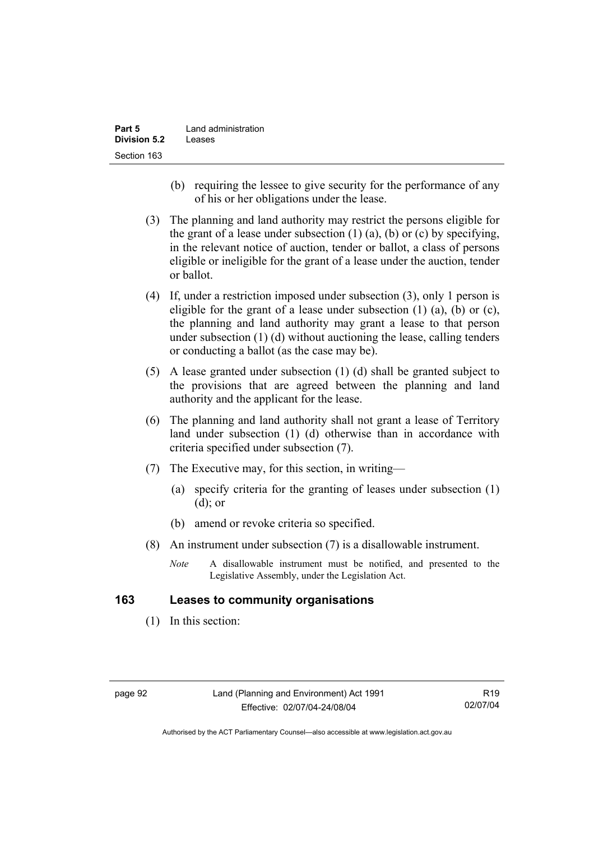| Part 5              | Land administration |
|---------------------|---------------------|
| <b>Division 5.2</b> | Leases              |
| Section 163         |                     |

- (b) requiring the lessee to give security for the performance of any of his or her obligations under the lease.
- (3) The planning and land authority may restrict the persons eligible for the grant of a lease under subsection  $(1)$   $(a)$ ,  $(b)$  or  $(c)$  by specifying, in the relevant notice of auction, tender or ballot, a class of persons eligible or ineligible for the grant of a lease under the auction, tender or ballot.
- (4) If, under a restriction imposed under subsection (3), only 1 person is eligible for the grant of a lease under subsection  $(1)$   $(a)$ ,  $(b)$  or  $(c)$ , the planning and land authority may grant a lease to that person under subsection (1) (d) without auctioning the lease, calling tenders or conducting a ballot (as the case may be).
- (5) A lease granted under subsection (1) (d) shall be granted subject to the provisions that are agreed between the planning and land authority and the applicant for the lease.
- (6) The planning and land authority shall not grant a lease of Territory land under subsection (1) (d) otherwise than in accordance with criteria specified under subsection (7).
- (7) The Executive may, for this section, in writing—
	- (a) specify criteria for the granting of leases under subsection (1) (d); or
	- (b) amend or revoke criteria so specified.
- (8) An instrument under subsection (7) is a disallowable instrument.
	- *Note* A disallowable instrument must be notified, and presented to the Legislative Assembly, under the Legislation Act.

### **163 Leases to community organisations**

(1) In this section: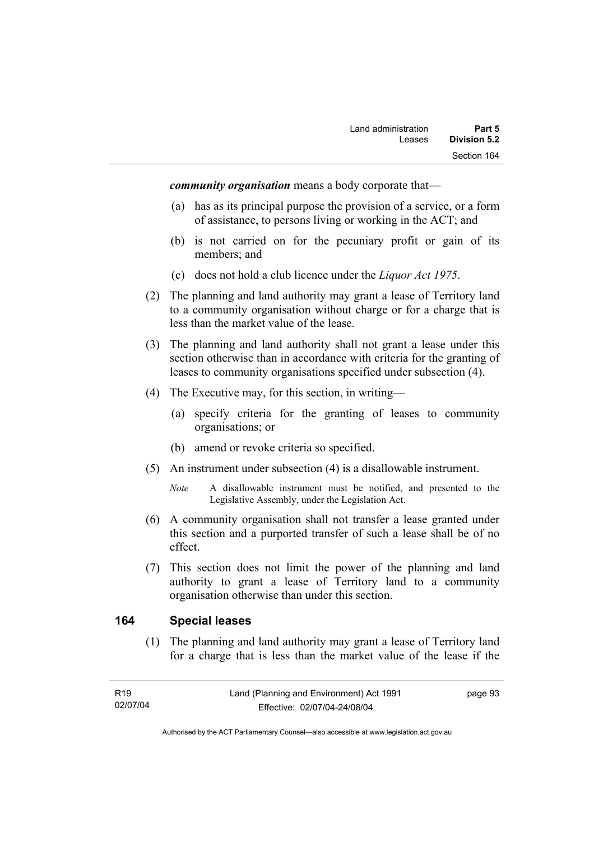*community organisation* means a body corporate that—

- (a) has as its principal purpose the provision of a service, or a form of assistance, to persons living or working in the ACT; and
- (b) is not carried on for the pecuniary profit or gain of its members; and
- (c) does not hold a club licence under the *Liquor Act 1975*.
- (2) The planning and land authority may grant a lease of Territory land to a community organisation without charge or for a charge that is less than the market value of the lease.
- (3) The planning and land authority shall not grant a lease under this section otherwise than in accordance with criteria for the granting of leases to community organisations specified under subsection (4).
- (4) The Executive may, for this section, in writing—
	- (a) specify criteria for the granting of leases to community organisations; or
	- (b) amend or revoke criteria so specified.
- (5) An instrument under subsection (4) is a disallowable instrument.
	- *Note* A disallowable instrument must be notified, and presented to the Legislative Assembly, under the Legislation Act.
- (6) A community organisation shall not transfer a lease granted under this section and a purported transfer of such a lease shall be of no effect.
- (7) This section does not limit the power of the planning and land authority to grant a lease of Territory land to a community organisation otherwise than under this section.

#### **164 Special leases**

 (1) The planning and land authority may grant a lease of Territory land for a charge that is less than the market value of the lease if the

page 93

Authorised by the ACT Parliamentary Counsel—also accessible at www.legislation.act.gov.au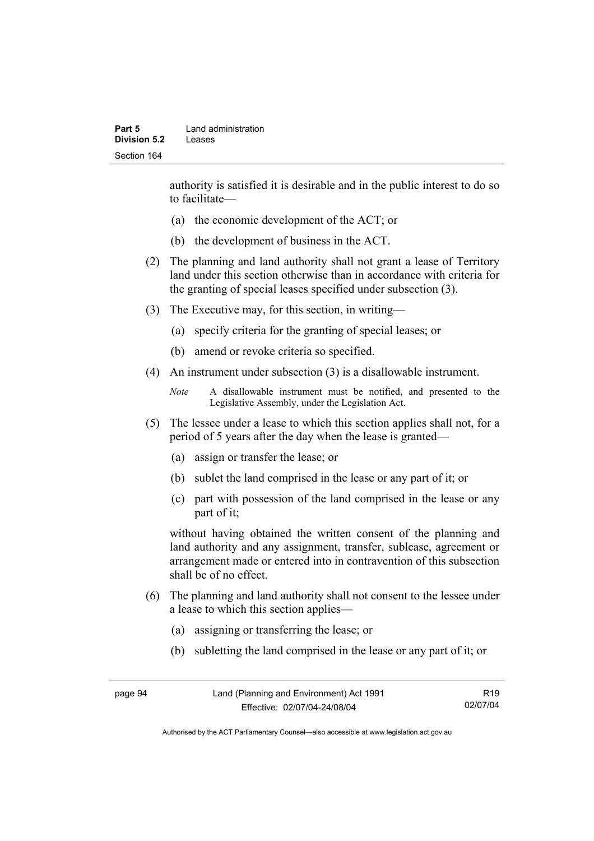authority is satisfied it is desirable and in the public interest to do so to facilitate—

- (a) the economic development of the ACT; or
- (b) the development of business in the ACT.
- (2) The planning and land authority shall not grant a lease of Territory land under this section otherwise than in accordance with criteria for the granting of special leases specified under subsection (3).
- (3) The Executive may, for this section, in writing—
	- (a) specify criteria for the granting of special leases; or
	- (b) amend or revoke criteria so specified.
- (4) An instrument under subsection (3) is a disallowable instrument.

```
Note A disallowable instrument must be notified, and presented to the 
Legislative Assembly, under the Legislation Act.
```
- (5) The lessee under a lease to which this section applies shall not, for a period of 5 years after the day when the lease is granted—
	- (a) assign or transfer the lease; or
	- (b) sublet the land comprised in the lease or any part of it; or
	- (c) part with possession of the land comprised in the lease or any part of it;

without having obtained the written consent of the planning and land authority and any assignment, transfer, sublease, agreement or arrangement made or entered into in contravention of this subsection shall be of no effect.

- (6) The planning and land authority shall not consent to the lessee under a lease to which this section applies—
	- (a) assigning or transferring the lease; or
	- (b) subletting the land comprised in the lease or any part of it; or

page 94 Land (Planning and Environment) Act 1991 Effective: 02/07/04-24/08/04 R19 02/07/04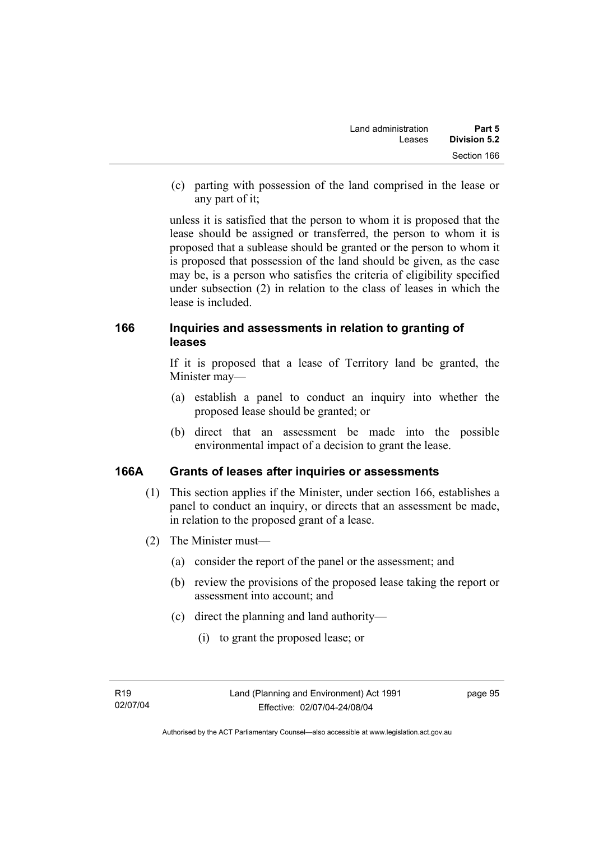(c) parting with possession of the land comprised in the lease or any part of it;

unless it is satisfied that the person to whom it is proposed that the lease should be assigned or transferred, the person to whom it is proposed that a sublease should be granted or the person to whom it is proposed that possession of the land should be given, as the case may be, is a person who satisfies the criteria of eligibility specified under subsection (2) in relation to the class of leases in which the lease is included.

## **166 Inquiries and assessments in relation to granting of leases**

If it is proposed that a lease of Territory land be granted, the Minister may—

- (a) establish a panel to conduct an inquiry into whether the proposed lease should be granted; or
- (b) direct that an assessment be made into the possible environmental impact of a decision to grant the lease.

## **166A Grants of leases after inquiries or assessments**

- (1) This section applies if the Minister, under section 166, establishes a panel to conduct an inquiry, or directs that an assessment be made, in relation to the proposed grant of a lease.
- (2) The Minister must—
	- (a) consider the report of the panel or the assessment; and
	- (b) review the provisions of the proposed lease taking the report or assessment into account; and
	- (c) direct the planning and land authority—
		- (i) to grant the proposed lease; or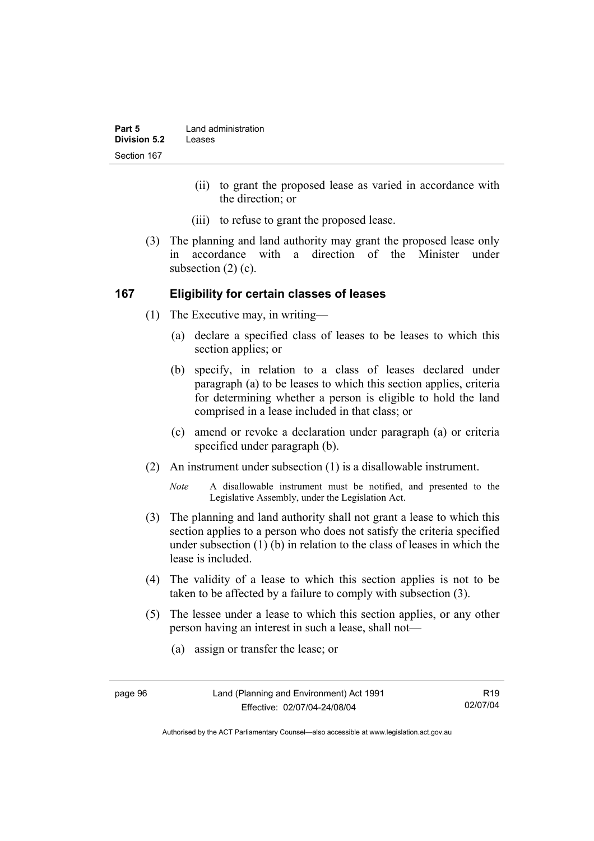| Part 5       | Land administration |
|--------------|---------------------|
| Division 5.2 | Leases              |
| Section 167  |                     |

- (ii) to grant the proposed lease as varied in accordance with the direction; or
- (iii) to refuse to grant the proposed lease.
- (3) The planning and land authority may grant the proposed lease only in accordance with a direction of the Minister under subsection (2) (c).

#### **167 Eligibility for certain classes of leases**

- (1) The Executive may, in writing—
	- (a) declare a specified class of leases to be leases to which this section applies; or
	- (b) specify, in relation to a class of leases declared under paragraph (a) to be leases to which this section applies, criteria for determining whether a person is eligible to hold the land comprised in a lease included in that class; or
	- (c) amend or revoke a declaration under paragraph (a) or criteria specified under paragraph (b).
- (2) An instrument under subsection (1) is a disallowable instrument.

*Note* A disallowable instrument must be notified, and presented to the Legislative Assembly, under the Legislation Act.

- (3) The planning and land authority shall not grant a lease to which this section applies to a person who does not satisfy the criteria specified under subsection (1) (b) in relation to the class of leases in which the lease is included.
- (4) The validity of a lease to which this section applies is not to be taken to be affected by a failure to comply with subsection (3).
- (5) The lessee under a lease to which this section applies, or any other person having an interest in such a lease, shall not—
	- (a) assign or transfer the lease; or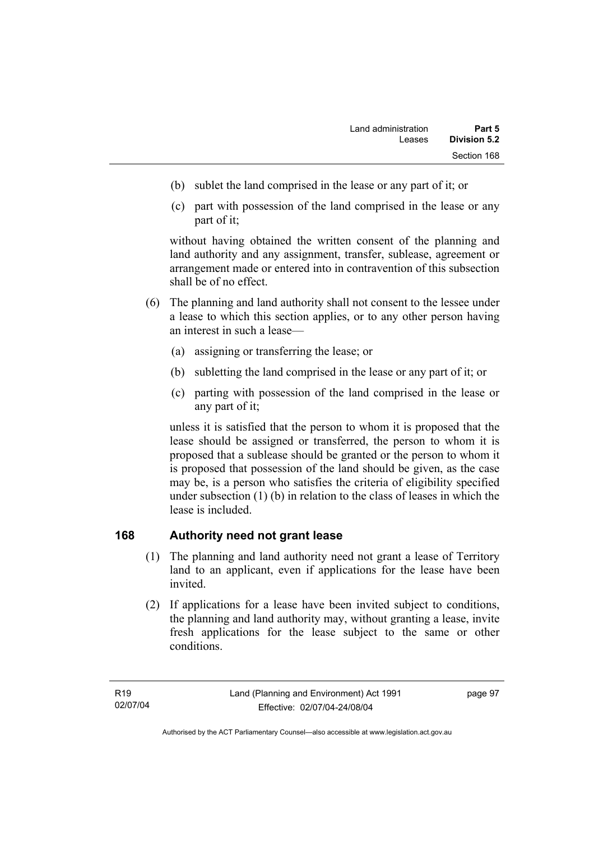- (b) sublet the land comprised in the lease or any part of it; or
- (c) part with possession of the land comprised in the lease or any part of it;

without having obtained the written consent of the planning and land authority and any assignment, transfer, sublease, agreement or arrangement made or entered into in contravention of this subsection shall be of no effect.

- (6) The planning and land authority shall not consent to the lessee under a lease to which this section applies, or to any other person having an interest in such a lease—
	- (a) assigning or transferring the lease; or
	- (b) subletting the land comprised in the lease or any part of it; or
	- (c) parting with possession of the land comprised in the lease or any part of it;

unless it is satisfied that the person to whom it is proposed that the lease should be assigned or transferred, the person to whom it is proposed that a sublease should be granted or the person to whom it is proposed that possession of the land should be given, as the case may be, is a person who satisfies the criteria of eligibility specified under subsection (1) (b) in relation to the class of leases in which the lease is included.

## **168 Authority need not grant lease**

- (1) The planning and land authority need not grant a lease of Territory land to an applicant, even if applications for the lease have been invited.
- (2) If applications for a lease have been invited subject to conditions, the planning and land authority may, without granting a lease, invite fresh applications for the lease subject to the same or other conditions.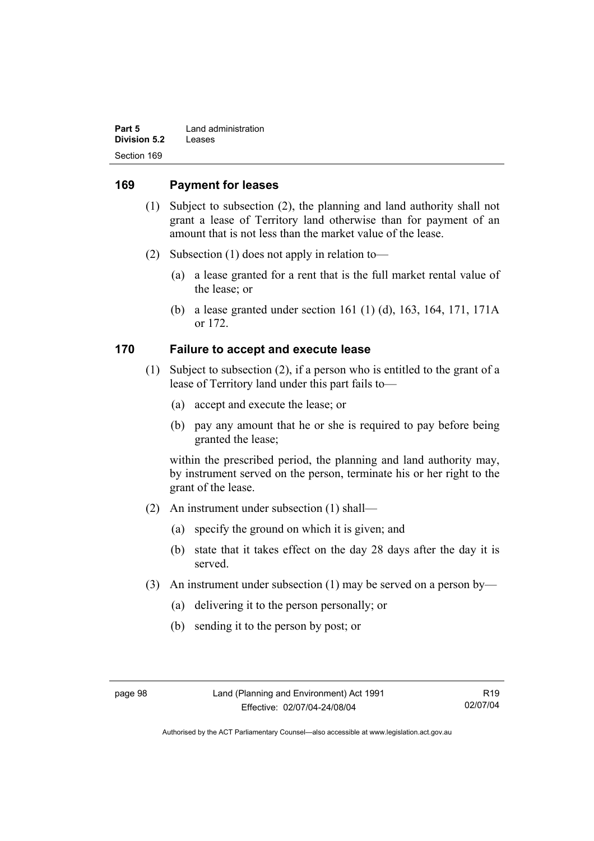| Part 5       | Land administration |
|--------------|---------------------|
| Division 5.2 | Leases              |
| Section 169  |                     |

#### **169 Payment for leases**

- (1) Subject to subsection (2), the planning and land authority shall not grant a lease of Territory land otherwise than for payment of an amount that is not less than the market value of the lease.
- (2) Subsection (1) does not apply in relation to—
	- (a) a lease granted for a rent that is the full market rental value of the lease; or
	- (b) a lease granted under section 161 (1) (d), 163, 164, 171, 171A or 172.

#### **170 Failure to accept and execute lease**

- (1) Subject to subsection (2), if a person who is entitled to the grant of a lease of Territory land under this part fails to—
	- (a) accept and execute the lease; or
	- (b) pay any amount that he or she is required to pay before being granted the lease;

within the prescribed period, the planning and land authority may, by instrument served on the person, terminate his or her right to the grant of the lease.

- (2) An instrument under subsection (1) shall—
	- (a) specify the ground on which it is given; and
	- (b) state that it takes effect on the day 28 days after the day it is served.
- (3) An instrument under subsection (1) may be served on a person by—
	- (a) delivering it to the person personally; or
	- (b) sending it to the person by post; or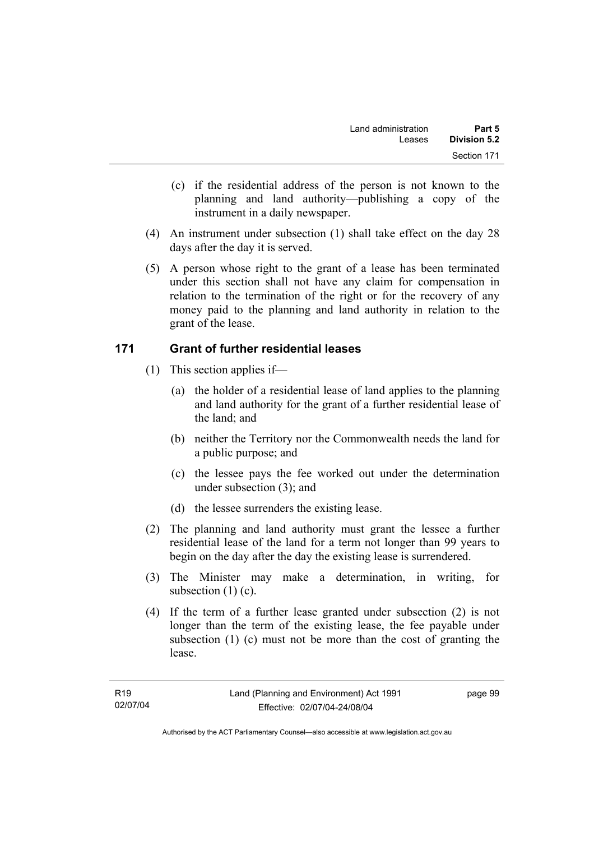- (c) if the residential address of the person is not known to the planning and land authority—publishing a copy of the instrument in a daily newspaper.
- (4) An instrument under subsection (1) shall take effect on the day 28 days after the day it is served.
- (5) A person whose right to the grant of a lease has been terminated under this section shall not have any claim for compensation in relation to the termination of the right or for the recovery of any money paid to the planning and land authority in relation to the grant of the lease.

## **171 Grant of further residential leases**

- (1) This section applies if—
	- (a) the holder of a residential lease of land applies to the planning and land authority for the grant of a further residential lease of the land; and
	- (b) neither the Territory nor the Commonwealth needs the land for a public purpose; and
	- (c) the lessee pays the fee worked out under the determination under subsection (3); and
	- (d) the lessee surrenders the existing lease.
- (2) The planning and land authority must grant the lessee a further residential lease of the land for a term not longer than 99 years to begin on the day after the day the existing lease is surrendered.
- (3) The Minister may make a determination, in writing, for subsection (1) (c).
- (4) If the term of a further lease granted under subsection (2) is not longer than the term of the existing lease, the fee payable under subsection (1) (c) must not be more than the cost of granting the lease.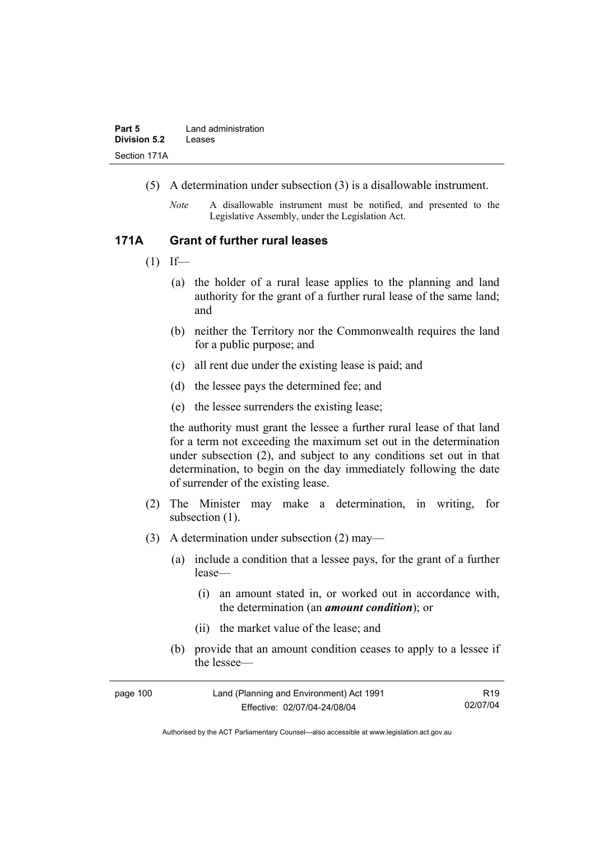- (5) A determination under subsection (3) is a disallowable instrument.
	- *Note* A disallowable instrument must be notified, and presented to the Legislative Assembly, under the Legislation Act.

#### **171A Grant of further rural leases**

- $(1)$  If—
	- (a) the holder of a rural lease applies to the planning and land authority for the grant of a further rural lease of the same land; and
	- (b) neither the Territory nor the Commonwealth requires the land for a public purpose; and
	- (c) all rent due under the existing lease is paid; and
	- (d) the lessee pays the determined fee; and
	- (e) the lessee surrenders the existing lease;

the authority must grant the lessee a further rural lease of that land for a term not exceeding the maximum set out in the determination under subsection (2), and subject to any conditions set out in that determination, to begin on the day immediately following the date of surrender of the existing lease.

- (2) The Minister may make a determination, in writing, for subsection  $(1)$ .
- (3) A determination under subsection (2) may—
	- (a) include a condition that a lessee pays, for the grant of a further lease—
		- (i) an amount stated in, or worked out in accordance with, the determination (an *amount condition*); or
		- (ii) the market value of the lease; and
	- (b) provide that an amount condition ceases to apply to a lessee if the lessee—

| page 100 | Land (Planning and Environment) Act 1991 | R19      |
|----------|------------------------------------------|----------|
|          | Effective: 02/07/04-24/08/04             | 02/07/04 |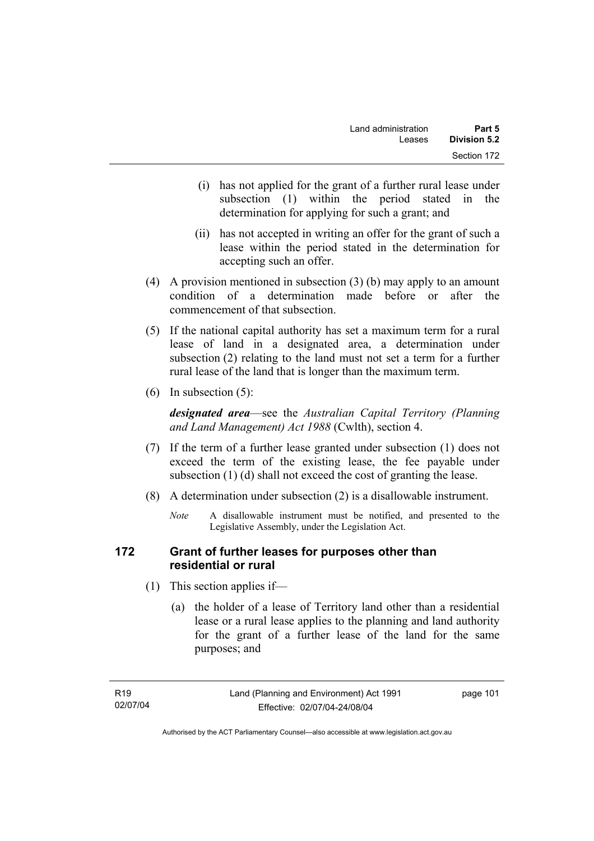- (i) has not applied for the grant of a further rural lease under subsection (1) within the period stated in the determination for applying for such a grant; and
- (ii) has not accepted in writing an offer for the grant of such a lease within the period stated in the determination for accepting such an offer.
- (4) A provision mentioned in subsection (3) (b) may apply to an amount condition of a determination made before or after the commencement of that subsection.
- (5) If the national capital authority has set a maximum term for a rural lease of land in a designated area, a determination under subsection (2) relating to the land must not set a term for a further rural lease of the land that is longer than the maximum term.
- (6) In subsection (5):

*designated area*—see the *Australian Capital Territory (Planning and Land Management) Act 1988* (Cwlth), section 4.

- (7) If the term of a further lease granted under subsection (1) does not exceed the term of the existing lease, the fee payable under subsection (1) (d) shall not exceed the cost of granting the lease.
- (8) A determination under subsection (2) is a disallowable instrument.
	- *Note* A disallowable instrument must be notified, and presented to the Legislative Assembly, under the Legislation Act.

## **172 Grant of further leases for purposes other than residential or rural**

- (1) This section applies if—
	- (a) the holder of a lease of Territory land other than a residential lease or a rural lease applies to the planning and land authority for the grant of a further lease of the land for the same purposes; and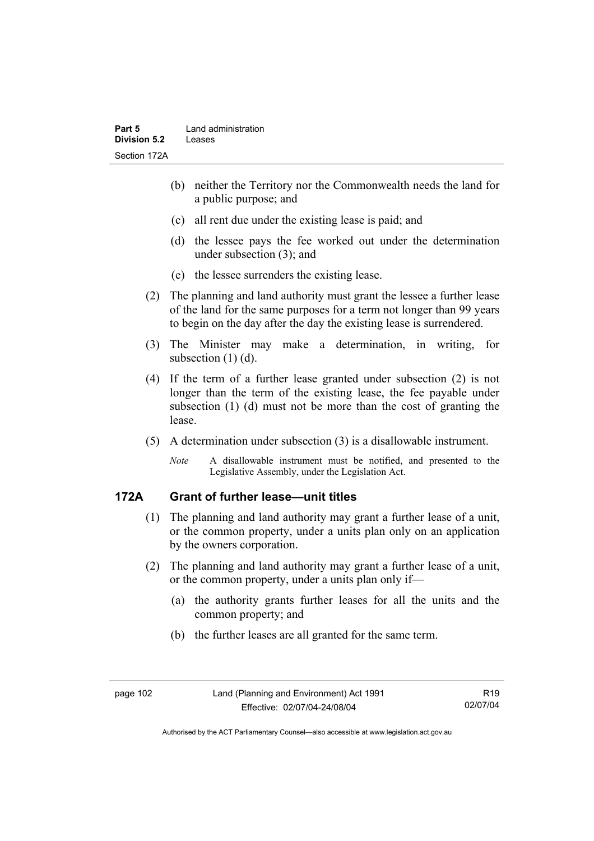- (b) neither the Territory nor the Commonwealth needs the land for a public purpose; and
- (c) all rent due under the existing lease is paid; and
- (d) the lessee pays the fee worked out under the determination under subsection (3); and
- (e) the lessee surrenders the existing lease.
- (2) The planning and land authority must grant the lessee a further lease of the land for the same purposes for a term not longer than 99 years to begin on the day after the day the existing lease is surrendered.
- (3) The Minister may make a determination, in writing, for subsection (1) (d).
- (4) If the term of a further lease granted under subsection (2) is not longer than the term of the existing lease, the fee payable under subsection (1) (d) must not be more than the cost of granting the lease.
- (5) A determination under subsection (3) is a disallowable instrument.
	- *Note* A disallowable instrument must be notified, and presented to the Legislative Assembly, under the Legislation Act.

# **172A Grant of further lease—unit titles**

- (1) The planning and land authority may grant a further lease of a unit, or the common property, under a units plan only on an application by the owners corporation.
- (2) The planning and land authority may grant a further lease of a unit, or the common property, under a units plan only if—
	- (a) the authority grants further leases for all the units and the common property; and
	- (b) the further leases are all granted for the same term.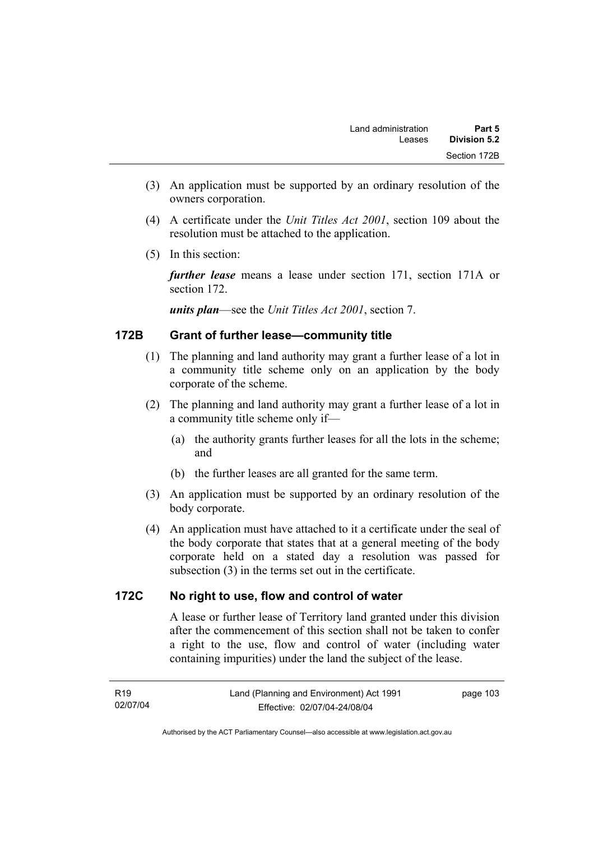- (3) An application must be supported by an ordinary resolution of the owners corporation.
- (4) A certificate under the *Unit Titles Act 2001*, section 109 about the resolution must be attached to the application.
- (5) In this section:

*further lease* means a lease under section 171, section 171A or section 172.

*units plan*—see the *Unit Titles Act 2001*, section 7.

## **172B Grant of further lease—community title**

- (1) The planning and land authority may grant a further lease of a lot in a community title scheme only on an application by the body corporate of the scheme.
- (2) The planning and land authority may grant a further lease of a lot in a community title scheme only if—
	- (a) the authority grants further leases for all the lots in the scheme; and
	- (b) the further leases are all granted for the same term.
- (3) An application must be supported by an ordinary resolution of the body corporate.
- (4) An application must have attached to it a certificate under the seal of the body corporate that states that at a general meeting of the body corporate held on a stated day a resolution was passed for subsection (3) in the terms set out in the certificate.

## **172C No right to use, flow and control of water**

A lease or further lease of Territory land granted under this division after the commencement of this section shall not be taken to confer a right to the use, flow and control of water (including water containing impurities) under the land the subject of the lease.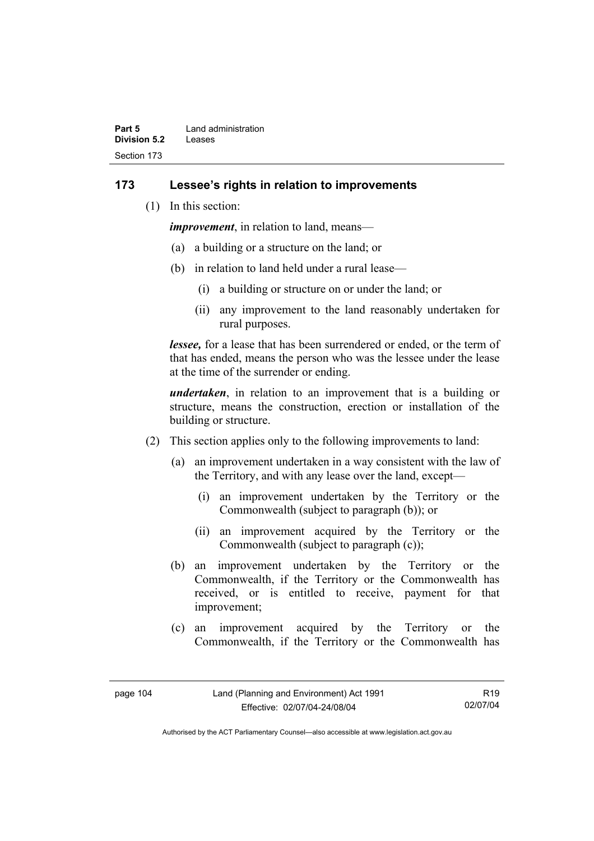| Part 5       | Land administration |
|--------------|---------------------|
| Division 5.2 | Leases              |
| Section 173  |                     |

#### **173 Lessee's rights in relation to improvements**

(1) In this section:

*improvement*, in relation to land, means—

- (a) a building or a structure on the land; or
- (b) in relation to land held under a rural lease—
	- (i) a building or structure on or under the land; or
	- (ii) any improvement to the land reasonably undertaken for rural purposes.

*lessee,* for a lease that has been surrendered or ended, or the term of that has ended, means the person who was the lessee under the lease at the time of the surrender or ending.

*undertaken*, in relation to an improvement that is a building or structure, means the construction, erection or installation of the building or structure.

- (2) This section applies only to the following improvements to land:
	- (a) an improvement undertaken in a way consistent with the law of the Territory, and with any lease over the land, except—
		- (i) an improvement undertaken by the Territory or the Commonwealth (subject to paragraph (b)); or
		- (ii) an improvement acquired by the Territory or the Commonwealth (subject to paragraph (c));
	- (b) an improvement undertaken by the Territory or the Commonwealth, if the Territory or the Commonwealth has received, or is entitled to receive, payment for that improvement;
	- (c) an improvement acquired by the Territory or the Commonwealth, if the Territory or the Commonwealth has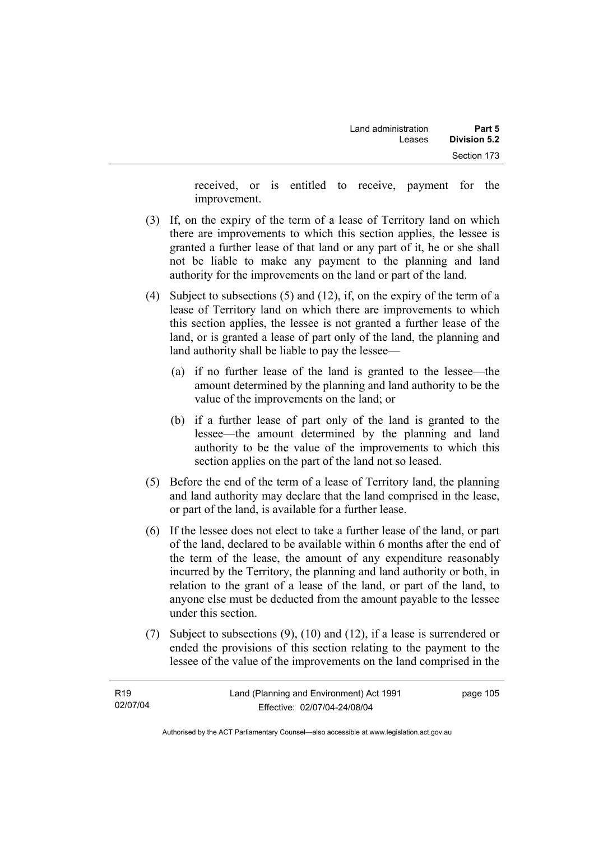received, or is entitled to receive, payment for the improvement.

- (3) If, on the expiry of the term of a lease of Territory land on which there are improvements to which this section applies, the lessee is granted a further lease of that land or any part of it, he or she shall not be liable to make any payment to the planning and land authority for the improvements on the land or part of the land.
- (4) Subject to subsections (5) and (12), if, on the expiry of the term of a lease of Territory land on which there are improvements to which this section applies, the lessee is not granted a further lease of the land, or is granted a lease of part only of the land, the planning and land authority shall be liable to pay the lessee—
	- (a) if no further lease of the land is granted to the lessee—the amount determined by the planning and land authority to be the value of the improvements on the land; or
	- (b) if a further lease of part only of the land is granted to the lessee—the amount determined by the planning and land authority to be the value of the improvements to which this section applies on the part of the land not so leased.
- (5) Before the end of the term of a lease of Territory land, the planning and land authority may declare that the land comprised in the lease, or part of the land, is available for a further lease.
- (6) If the lessee does not elect to take a further lease of the land, or part of the land, declared to be available within 6 months after the end of the term of the lease, the amount of any expenditure reasonably incurred by the Territory, the planning and land authority or both, in relation to the grant of a lease of the land, or part of the land, to anyone else must be deducted from the amount payable to the lessee under this section.
- (7) Subject to subsections (9), (10) and (12), if a lease is surrendered or ended the provisions of this section relating to the payment to the lessee of the value of the improvements on the land comprised in the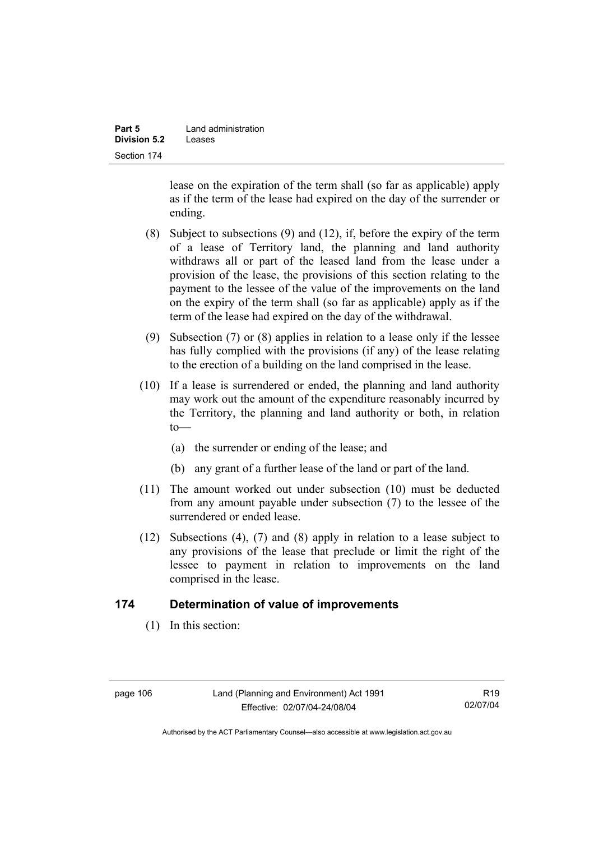| Part 5              | Land administration |
|---------------------|---------------------|
| <b>Division 5.2</b> | Leases              |
| Section 174         |                     |

lease on the expiration of the term shall (so far as applicable) apply as if the term of the lease had expired on the day of the surrender or ending.

- (8) Subject to subsections (9) and (12), if, before the expiry of the term of a lease of Territory land, the planning and land authority withdraws all or part of the leased land from the lease under a provision of the lease, the provisions of this section relating to the payment to the lessee of the value of the improvements on the land on the expiry of the term shall (so far as applicable) apply as if the term of the lease had expired on the day of the withdrawal.
- (9) Subsection (7) or (8) applies in relation to a lease only if the lessee has fully complied with the provisions (if any) of the lease relating to the erection of a building on the land comprised in the lease.
- (10) If a lease is surrendered or ended, the planning and land authority may work out the amount of the expenditure reasonably incurred by the Territory, the planning and land authority or both, in relation  $to$ —
	- (a) the surrender or ending of the lease; and
	- (b) any grant of a further lease of the land or part of the land.
- (11) The amount worked out under subsection (10) must be deducted from any amount payable under subsection (7) to the lessee of the surrendered or ended lease.
- (12) Subsections (4), (7) and (8) apply in relation to a lease subject to any provisions of the lease that preclude or limit the right of the lessee to payment in relation to improvements on the land comprised in the lease.

### **174 Determination of value of improvements**

(1) In this section:

| page 106 |  |
|----------|--|
|----------|--|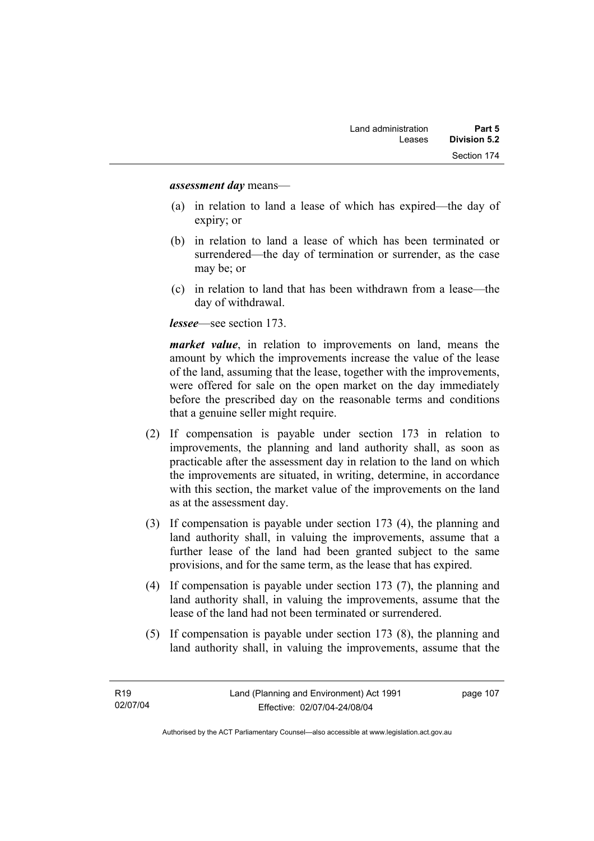#### *assessment day* means—

- (a) in relation to land a lease of which has expired—the day of expiry; or
- (b) in relation to land a lease of which has been terminated or surrendered—the day of termination or surrender, as the case may be; or
- (c) in relation to land that has been withdrawn from a lease—the day of withdrawal.

*lessee*—see section 173.

*market value*, in relation to improvements on land, means the amount by which the improvements increase the value of the lease of the land, assuming that the lease, together with the improvements, were offered for sale on the open market on the day immediately before the prescribed day on the reasonable terms and conditions that a genuine seller might require.

- (2) If compensation is payable under section 173 in relation to improvements, the planning and land authority shall, as soon as practicable after the assessment day in relation to the land on which the improvements are situated, in writing, determine, in accordance with this section, the market value of the improvements on the land as at the assessment day.
- (3) If compensation is payable under section 173 (4), the planning and land authority shall, in valuing the improvements, assume that a further lease of the land had been granted subject to the same provisions, and for the same term, as the lease that has expired.
- (4) If compensation is payable under section 173 (7), the planning and land authority shall, in valuing the improvements, assume that the lease of the land had not been terminated or surrendered.
- (5) If compensation is payable under section 173 (8), the planning and land authority shall, in valuing the improvements, assume that the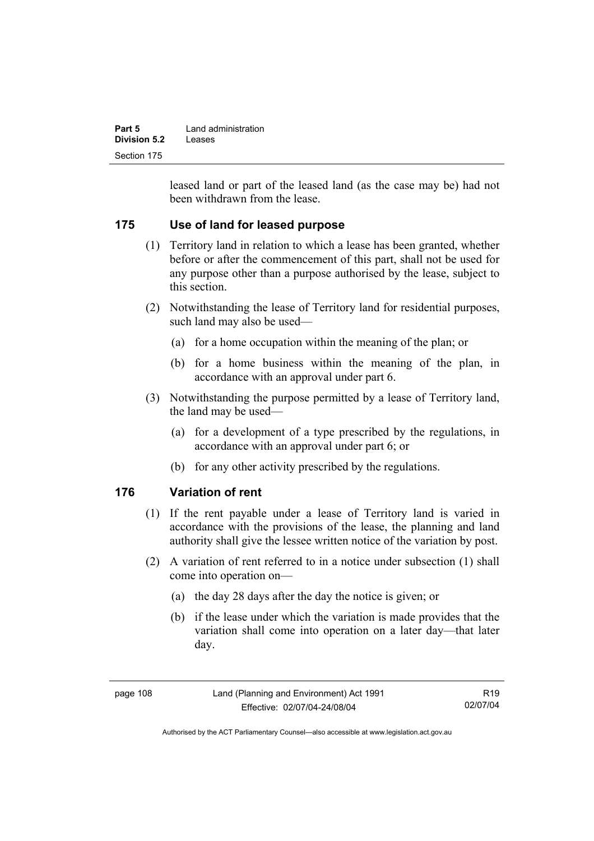| Part 5       | Land administration |
|--------------|---------------------|
| Division 5.2 | Leases              |
| Section 175  |                     |

leased land or part of the leased land (as the case may be) had not been withdrawn from the lease.

## **175 Use of land for leased purpose**

- (1) Territory land in relation to which a lease has been granted, whether before or after the commencement of this part, shall not be used for any purpose other than a purpose authorised by the lease, subject to this section.
- (2) Notwithstanding the lease of Territory land for residential purposes, such land may also be used—
	- (a) for a home occupation within the meaning of the plan; or
	- (b) for a home business within the meaning of the plan, in accordance with an approval under part 6.
- (3) Notwithstanding the purpose permitted by a lease of Territory land, the land may be used—
	- (a) for a development of a type prescribed by the regulations, in accordance with an approval under part 6; or
	- (b) for any other activity prescribed by the regulations.

## **176 Variation of rent**

- (1) If the rent payable under a lease of Territory land is varied in accordance with the provisions of the lease, the planning and land authority shall give the lessee written notice of the variation by post.
- (2) A variation of rent referred to in a notice under subsection (1) shall come into operation on—
	- (a) the day 28 days after the day the notice is given; or
	- (b) if the lease under which the variation is made provides that the variation shall come into operation on a later day—that later day.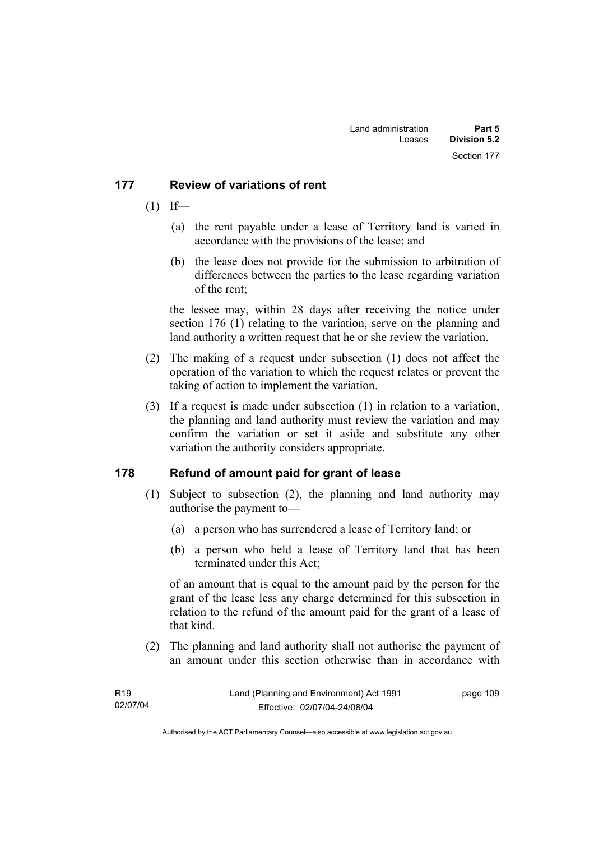### **177 Review of variations of rent**

- $(1)$  If—
	- (a) the rent payable under a lease of Territory land is varied in accordance with the provisions of the lease; and
	- (b) the lease does not provide for the submission to arbitration of differences between the parties to the lease regarding variation of the rent;

the lessee may, within 28 days after receiving the notice under section 176 (1) relating to the variation, serve on the planning and land authority a written request that he or she review the variation.

- (2) The making of a request under subsection (1) does not affect the operation of the variation to which the request relates or prevent the taking of action to implement the variation.
- (3) If a request is made under subsection (1) in relation to a variation, the planning and land authority must review the variation and may confirm the variation or set it aside and substitute any other variation the authority considers appropriate.

## **178 Refund of amount paid for grant of lease**

- (1) Subject to subsection (2), the planning and land authority may authorise the payment to—
	- (a) a person who has surrendered a lease of Territory land; or
	- (b) a person who held a lease of Territory land that has been terminated under this Act;

of an amount that is equal to the amount paid by the person for the grant of the lease less any charge determined for this subsection in relation to the refund of the amount paid for the grant of a lease of that kind.

 (2) The planning and land authority shall not authorise the payment of an amount under this section otherwise than in accordance with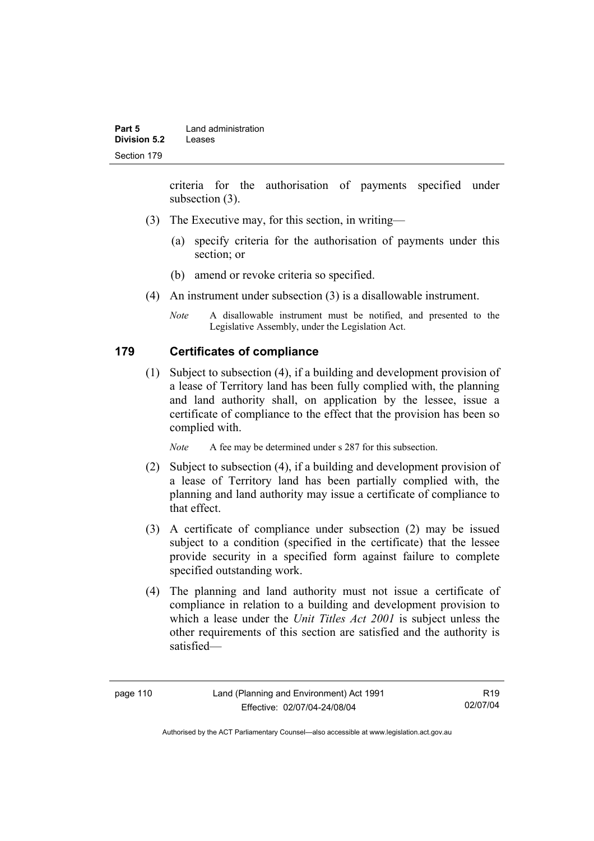criteria for the authorisation of payments specified under subsection (3).

- (3) The Executive may, for this section, in writing—
	- (a) specify criteria for the authorisation of payments under this section; or
	- (b) amend or revoke criteria so specified.
- (4) An instrument under subsection (3) is a disallowable instrument.
	- *Note* A disallowable instrument must be notified, and presented to the Legislative Assembly, under the Legislation Act.

### **179 Certificates of compliance**

 (1) Subject to subsection (4), if a building and development provision of a lease of Territory land has been fully complied with, the planning and land authority shall, on application by the lessee, issue a certificate of compliance to the effect that the provision has been so complied with.

*Note* A fee may be determined under s 287 for this subsection.

- (2) Subject to subsection (4), if a building and development provision of a lease of Territory land has been partially complied with, the planning and land authority may issue a certificate of compliance to that effect.
- (3) A certificate of compliance under subsection (2) may be issued subject to a condition (specified in the certificate) that the lessee provide security in a specified form against failure to complete specified outstanding work.
- (4) The planning and land authority must not issue a certificate of compliance in relation to a building and development provision to which a lease under the *Unit Titles Act 2001* is subject unless the other requirements of this section are satisfied and the authority is satisfied—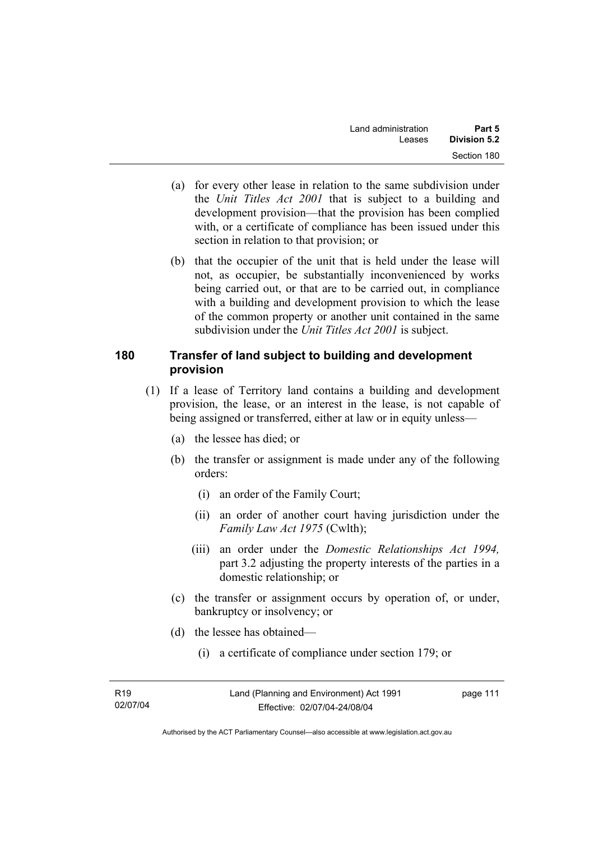- (a) for every other lease in relation to the same subdivision under the *Unit Titles Act 2001* that is subject to a building and development provision—that the provision has been complied with, or a certificate of compliance has been issued under this section in relation to that provision; or
- (b) that the occupier of the unit that is held under the lease will not, as occupier, be substantially inconvenienced by works being carried out, or that are to be carried out, in compliance with a building and development provision to which the lease of the common property or another unit contained in the same subdivision under the *Unit Titles Act 2001* is subject.

### **180 Transfer of land subject to building and development provision**

- (1) If a lease of Territory land contains a building and development provision, the lease, or an interest in the lease, is not capable of being assigned or transferred, either at law or in equity unless—
	- (a) the lessee has died; or
	- (b) the transfer or assignment is made under any of the following orders:
		- (i) an order of the Family Court;
		- (ii) an order of another court having jurisdiction under the *Family Law Act 1975* (Cwlth);
		- (iii) an order under the *Domestic Relationships Act 1994,*  part 3.2 adjusting the property interests of the parties in a domestic relationship; or
	- (c) the transfer or assignment occurs by operation of, or under, bankruptcy or insolvency; or
	- (d) the lessee has obtained—
		- (i) a certificate of compliance under section 179; or

| R <sub>19</sub> | Land (Planning and Environment) Act 1991 | page 111 |
|-----------------|------------------------------------------|----------|
| 02/07/04        | Effective: 02/07/04-24/08/04             |          |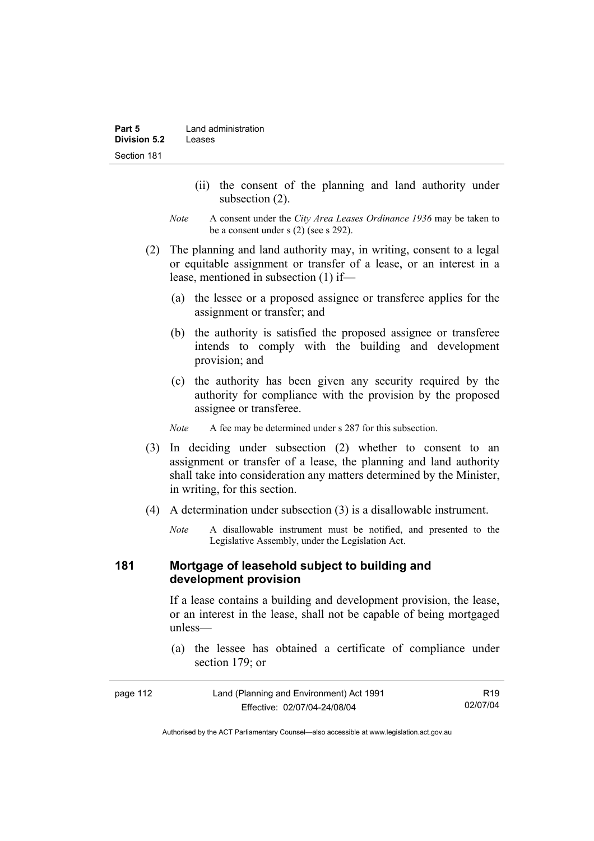- (ii) the consent of the planning and land authority under subsection (2).
- *Note* A consent under the *City Area Leases Ordinance 1936* may be taken to be a consent under s (2) (see s 292).
- (2) The planning and land authority may, in writing, consent to a legal or equitable assignment or transfer of a lease, or an interest in a lease, mentioned in subsection (1) if—
	- (a) the lessee or a proposed assignee or transferee applies for the assignment or transfer; and
	- (b) the authority is satisfied the proposed assignee or transferee intends to comply with the building and development provision; and
	- (c) the authority has been given any security required by the authority for compliance with the provision by the proposed assignee or transferee.

*Note* A fee may be determined under s 287 for this subsection.

- (3) In deciding under subsection (2) whether to consent to an assignment or transfer of a lease, the planning and land authority shall take into consideration any matters determined by the Minister, in writing, for this section.
- (4) A determination under subsection (3) is a disallowable instrument.
	- *Note* A disallowable instrument must be notified, and presented to the Legislative Assembly, under the Legislation Act.

#### **181 Mortgage of leasehold subject to building and development provision**

If a lease contains a building and development provision, the lease, or an interest in the lease, shall not be capable of being mortgaged unless—

 (a) the lessee has obtained a certificate of compliance under section 179; or

| page 112 | Land (Planning and Environment) Act 1991 | R19      |
|----------|------------------------------------------|----------|
|          | Effective: 02/07/04-24/08/04             | 02/07/04 |

Authorised by the ACT Parliamentary Counsel—also accessible at www.legislation.act.gov.au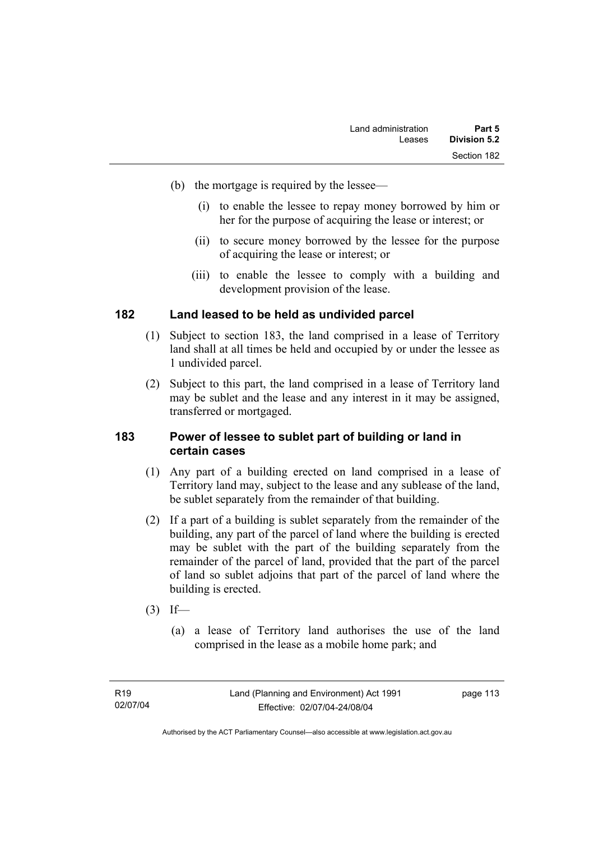- (b) the mortgage is required by the lessee—
	- (i) to enable the lessee to repay money borrowed by him or her for the purpose of acquiring the lease or interest; or
	- (ii) to secure money borrowed by the lessee for the purpose of acquiring the lease or interest; or
	- (iii) to enable the lessee to comply with a building and development provision of the lease.

### **182 Land leased to be held as undivided parcel**

- (1) Subject to section 183, the land comprised in a lease of Territory land shall at all times be held and occupied by or under the lessee as 1 undivided parcel.
- (2) Subject to this part, the land comprised in a lease of Territory land may be sublet and the lease and any interest in it may be assigned, transferred or mortgaged.

#### **183 Power of lessee to sublet part of building or land in certain cases**

- (1) Any part of a building erected on land comprised in a lease of Territory land may, subject to the lease and any sublease of the land, be sublet separately from the remainder of that building.
- (2) If a part of a building is sublet separately from the remainder of the building, any part of the parcel of land where the building is erected may be sublet with the part of the building separately from the remainder of the parcel of land, provided that the part of the parcel of land so sublet adjoins that part of the parcel of land where the building is erected.
- $(3)$  If—
	- (a) a lease of Territory land authorises the use of the land comprised in the lease as a mobile home park; and

Authorised by the ACT Parliamentary Counsel—also accessible at www.legislation.act.gov.au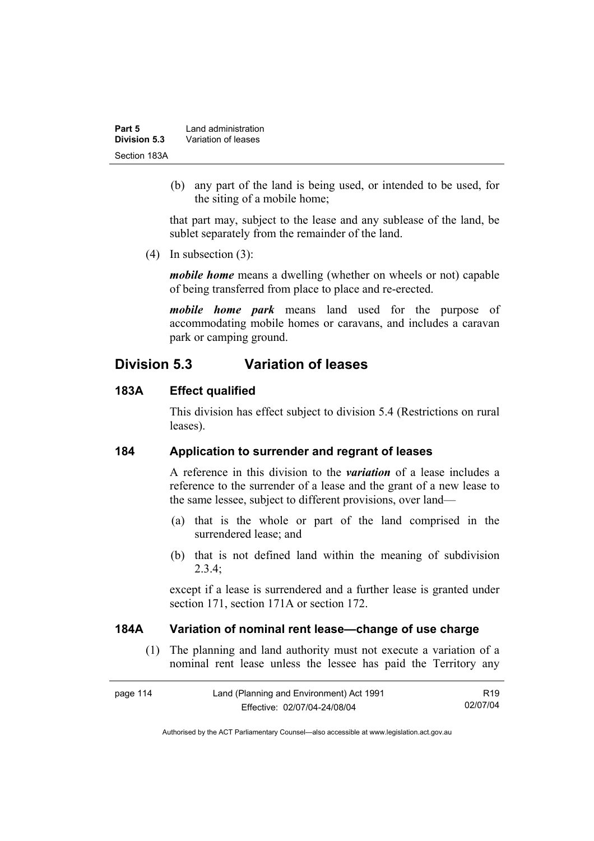| Part 5       | Land administration |
|--------------|---------------------|
| Division 5.3 | Variation of leases |
| Section 183A |                     |

 (b) any part of the land is being used, or intended to be used, for the siting of a mobile home;

that part may, subject to the lease and any sublease of the land, be sublet separately from the remainder of the land.

(4) In subsection (3):

*mobile home* means a dwelling (whether on wheels or not) capable of being transferred from place to place and re-erected.

*mobile home park* means land used for the purpose of accommodating mobile homes or caravans, and includes a caravan park or camping ground.

# **Division 5.3 Variation of leases**

#### **183A Effect qualified**

This division has effect subject to division 5.4 (Restrictions on rural leases).

#### **184 Application to surrender and regrant of leases**

A reference in this division to the *variation* of a lease includes a reference to the surrender of a lease and the grant of a new lease to the same lessee, subject to different provisions, over land—

- (a) that is the whole or part of the land comprised in the surrendered lease; and
- (b) that is not defined land within the meaning of subdivision 2.3.4;

except if a lease is surrendered and a further lease is granted under section 171, section 171A or section 172.

#### **184A Variation of nominal rent lease—change of use charge**

 (1) The planning and land authority must not execute a variation of a nominal rent lease unless the lessee has paid the Territory any

| page 114 | Land (Planning and Environment) Act 1991 | R <sub>19</sub> |
|----------|------------------------------------------|-----------------|
|          | Effective: 02/07/04-24/08/04             | 02/07/04        |

Authorised by the ACT Parliamentary Counsel—also accessible at www.legislation.act.gov.au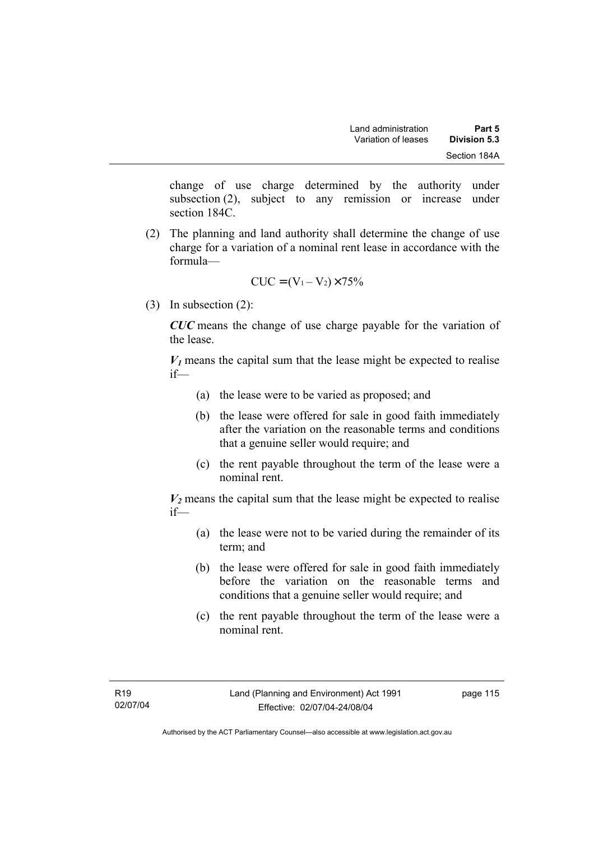change of use charge determined by the authority under subsection (2), subject to any remission or increase under section 184C.

 (2) The planning and land authority shall determine the change of use charge for a variation of a nominal rent lease in accordance with the formula—

$$
CUC = (V_1 - V_2) \times 75\%
$$

(3) In subsection (2):

*CUC* means the change of use charge payable for the variation of the lease.

 $V_1$  means the capital sum that the lease might be expected to realise if—

- (a) the lease were to be varied as proposed; and
- (b) the lease were offered for sale in good faith immediately after the variation on the reasonable terms and conditions that a genuine seller would require; and
- (c) the rent payable throughout the term of the lease were a nominal rent.

 $V_2$  means the capital sum that the lease might be expected to realise if—

- (a) the lease were not to be varied during the remainder of its term; and
- (b) the lease were offered for sale in good faith immediately before the variation on the reasonable terms and conditions that a genuine seller would require; and
- (c) the rent payable throughout the term of the lease were a nominal rent.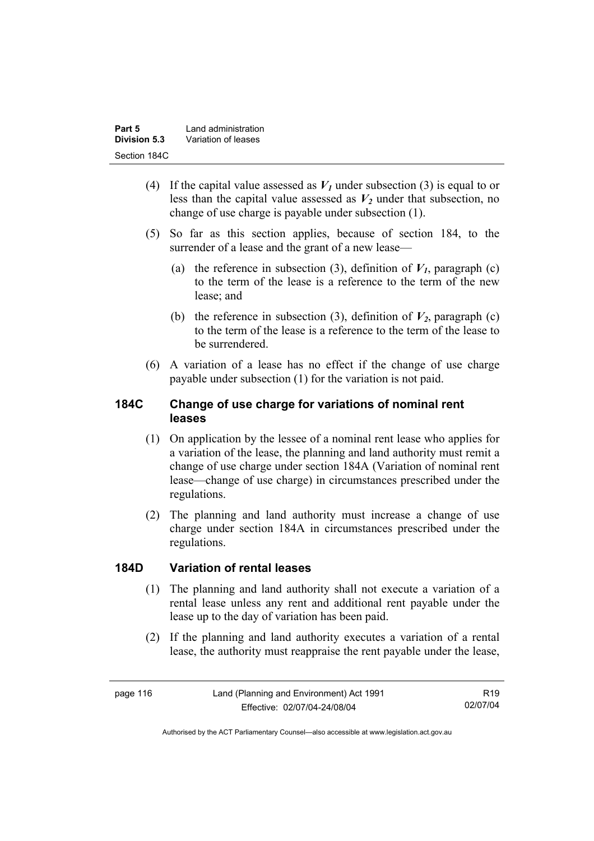| Part 5       | Land administration |
|--------------|---------------------|
| Division 5.3 | Variation of leases |
| Section 184C |                     |

- (4) If the capital value assessed as  $V_I$  under subsection (3) is equal to or less than the capital value assessed as  $V_2$  under that subsection, no change of use charge is payable under subsection (1).
- (5) So far as this section applies, because of section 184, to the surrender of a lease and the grant of a new lease—
	- (a) the reference in subsection (3), definition of  $V_I$ , paragraph (c) to the term of the lease is a reference to the term of the new lease; and
	- (b) the reference in subsection (3), definition of  $V_2$ , paragraph (c) to the term of the lease is a reference to the term of the lease to be surrendered.
- (6) A variation of a lease has no effect if the change of use charge payable under subsection (1) for the variation is not paid.

## **184C Change of use charge for variations of nominal rent leases**

- (1) On application by the lessee of a nominal rent lease who applies for a variation of the lease, the planning and land authority must remit a change of use charge under section 184A (Variation of nominal rent lease—change of use charge) in circumstances prescribed under the regulations.
- (2) The planning and land authority must increase a change of use charge under section 184A in circumstances prescribed under the regulations.

## **184D Variation of rental leases**

- (1) The planning and land authority shall not execute a variation of a rental lease unless any rent and additional rent payable under the lease up to the day of variation has been paid.
- (2) If the planning and land authority executes a variation of a rental lease, the authority must reappraise the rent payable under the lease,

R19 02/07/04

Authorised by the ACT Parliamentary Counsel—also accessible at www.legislation.act.gov.au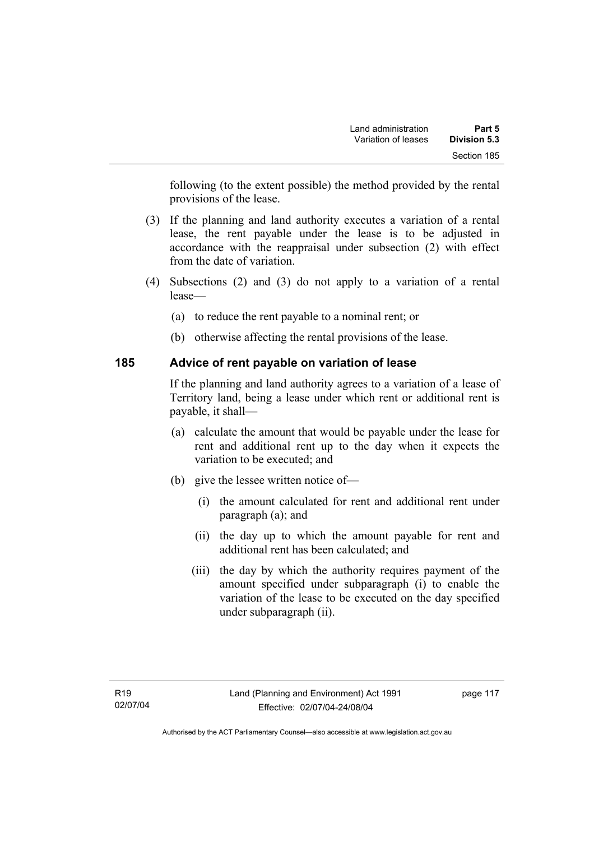following (to the extent possible) the method provided by the rental provisions of the lease.

- (3) If the planning and land authority executes a variation of a rental lease, the rent payable under the lease is to be adjusted in accordance with the reappraisal under subsection (2) with effect from the date of variation.
- (4) Subsections (2) and (3) do not apply to a variation of a rental lease—
	- (a) to reduce the rent payable to a nominal rent; or
	- (b) otherwise affecting the rental provisions of the lease.

## **185 Advice of rent payable on variation of lease**

If the planning and land authority agrees to a variation of a lease of Territory land, being a lease under which rent or additional rent is payable, it shall—

- (a) calculate the amount that would be payable under the lease for rent and additional rent up to the day when it expects the variation to be executed; and
- (b) give the lessee written notice of—
	- (i) the amount calculated for rent and additional rent under paragraph (a); and
	- (ii) the day up to which the amount payable for rent and additional rent has been calculated; and
	- (iii) the day by which the authority requires payment of the amount specified under subparagraph (i) to enable the variation of the lease to be executed on the day specified under subparagraph (ii).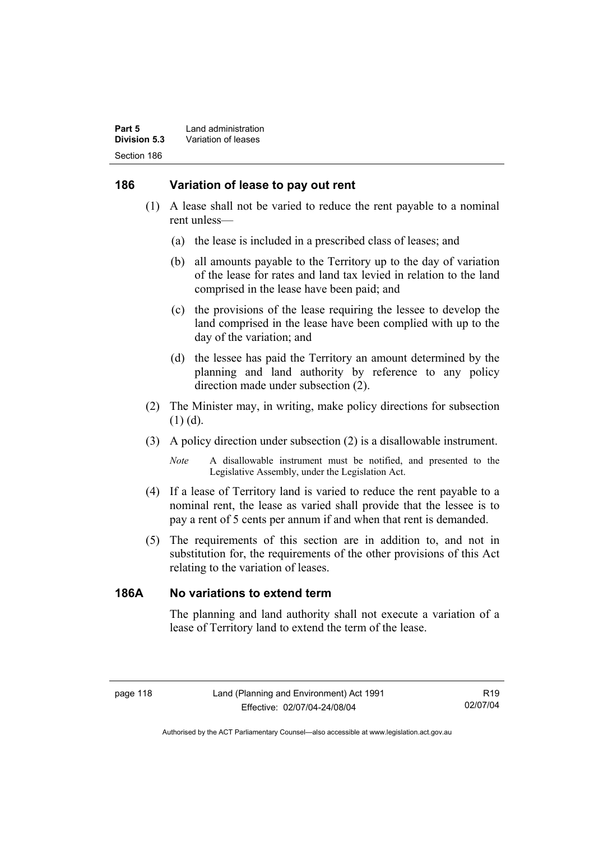### **186 Variation of lease to pay out rent**

- (1) A lease shall not be varied to reduce the rent payable to a nominal rent unless—
	- (a) the lease is included in a prescribed class of leases; and
	- (b) all amounts payable to the Territory up to the day of variation of the lease for rates and land tax levied in relation to the land comprised in the lease have been paid; and
	- (c) the provisions of the lease requiring the lessee to develop the land comprised in the lease have been complied with up to the day of the variation; and
	- (d) the lessee has paid the Territory an amount determined by the planning and land authority by reference to any policy direction made under subsection (2).
- (2) The Minister may, in writing, make policy directions for subsection (1) (d).
- (3) A policy direction under subsection (2) is a disallowable instrument.

*Note* A disallowable instrument must be notified, and presented to the Legislative Assembly, under the Legislation Act.

- (4) If a lease of Territory land is varied to reduce the rent payable to a nominal rent, the lease as varied shall provide that the lessee is to pay a rent of 5 cents per annum if and when that rent is demanded.
- (5) The requirements of this section are in addition to, and not in substitution for, the requirements of the other provisions of this Act relating to the variation of leases.

### **186A No variations to extend term**

The planning and land authority shall not execute a variation of a lease of Territory land to extend the term of the lease.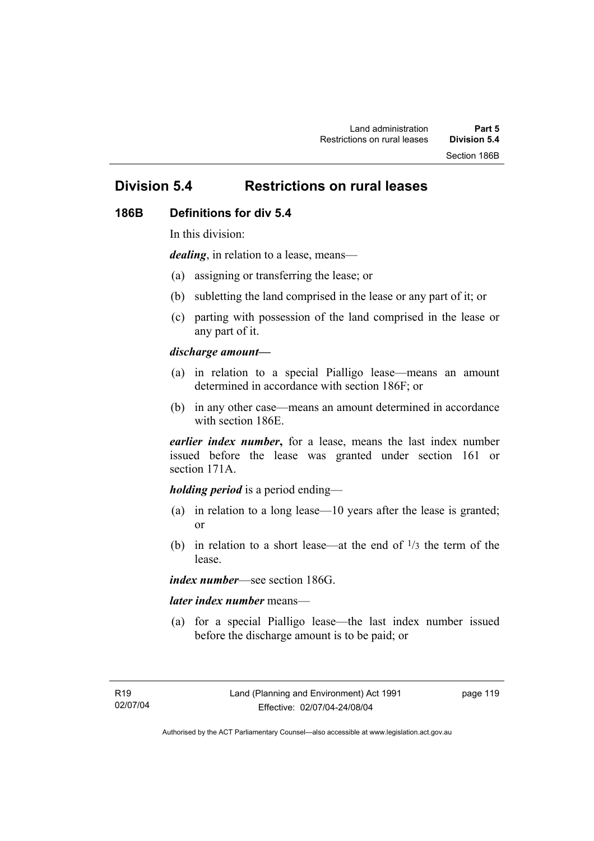# **Division 5.4 Restrictions on rural leases**

#### **186B Definitions for div 5.4**

In this division:

*dealing*, in relation to a lease, means—

- (a) assigning or transferring the lease; or
- (b) subletting the land comprised in the lease or any part of it; or
- (c) parting with possession of the land comprised in the lease or any part of it.

#### *discharge amount—*

- (a) in relation to a special Pialligo lease—means an amount determined in accordance with section 186F; or
- (b) in any other case—means an amount determined in accordance with section 186E.

*earlier index number***,** for a lease, means the last index number issued before the lease was granted under section 161 or section 171A.

#### *holding period* is a period ending—

- (a) in relation to a long lease—10 years after the lease is granted; or
- (b) in relation to a short lease—at the end of  $\frac{1}{3}$  the term of the lease.

*index number*—see section 186G.

#### *later index number* means—

 (a) for a special Pialligo lease—the last index number issued before the discharge amount is to be paid; or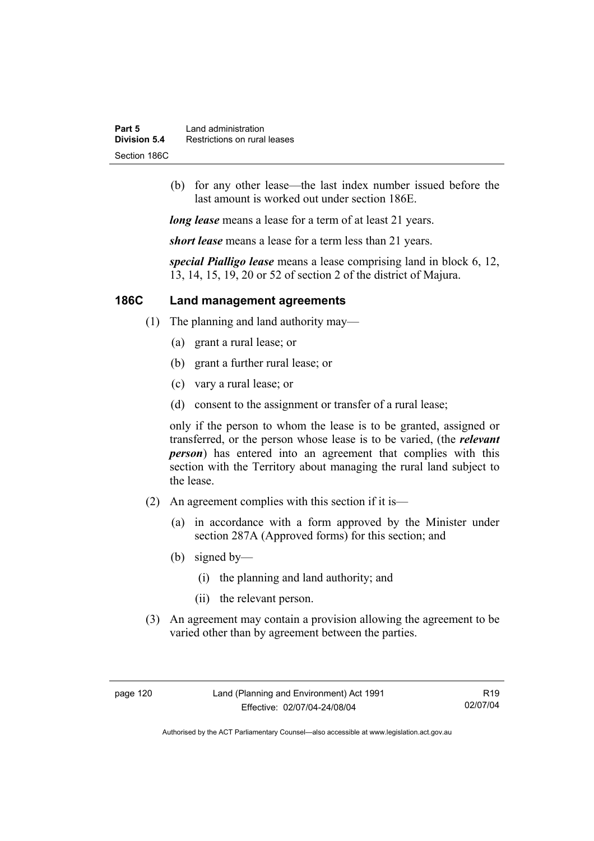| Part 5       | Land administration          |
|--------------|------------------------------|
| Division 5.4 | Restrictions on rural leases |
| Section 186C |                              |

 (b) for any other lease—the last index number issued before the last amount is worked out under section 186E.

*long lease* means a lease for a term of at least 21 years.

*short lease* means a lease for a term less than 21 years.

*special Pialligo lease* means a lease comprising land in block 6, 12, 13, 14, 15, 19, 20 or 52 of section 2 of the district of Majura.

### **186C Land management agreements**

- (1) The planning and land authority may—
	- (a) grant a rural lease; or
	- (b) grant a further rural lease; or
	- (c) vary a rural lease; or
	- (d) consent to the assignment or transfer of a rural lease;

only if the person to whom the lease is to be granted, assigned or transferred, or the person whose lease is to be varied, (the *relevant person*) has entered into an agreement that complies with this section with the Territory about managing the rural land subject to the lease.

- (2) An agreement complies with this section if it is—
	- (a) in accordance with a form approved by the Minister under section 287A (Approved forms) for this section; and
	- (b) signed by—
		- (i) the planning and land authority; and
		- (ii) the relevant person.
- (3) An agreement may contain a provision allowing the agreement to be varied other than by agreement between the parties.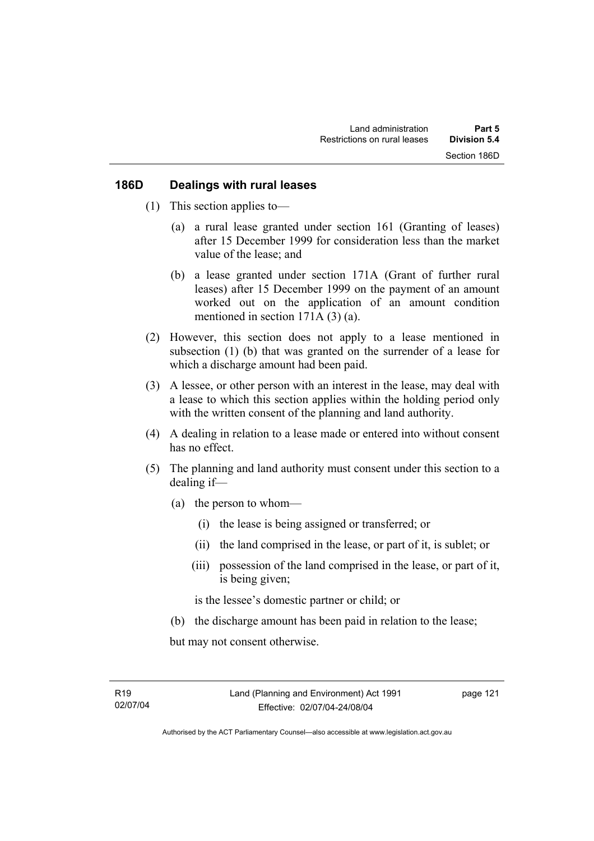#### **186D Dealings with rural leases**

- (1) This section applies to—
	- (a) a rural lease granted under section 161 (Granting of leases) after 15 December 1999 for consideration less than the market value of the lease; and
	- (b) a lease granted under section 171A (Grant of further rural leases) after 15 December 1999 on the payment of an amount worked out on the application of an amount condition mentioned in section 171A (3) (a).
- (2) However, this section does not apply to a lease mentioned in subsection (1) (b) that was granted on the surrender of a lease for which a discharge amount had been paid.
- (3) A lessee, or other person with an interest in the lease, may deal with a lease to which this section applies within the holding period only with the written consent of the planning and land authority.
- (4) A dealing in relation to a lease made or entered into without consent has no effect.
- (5) The planning and land authority must consent under this section to a dealing if—
	- (a) the person to whom—
		- (i) the lease is being assigned or transferred; or
		- (ii) the land comprised in the lease, or part of it, is sublet; or
		- (iii) possession of the land comprised in the lease, or part of it, is being given;

is the lessee's domestic partner or child; or

(b) the discharge amount has been paid in relation to the lease;

but may not consent otherwise.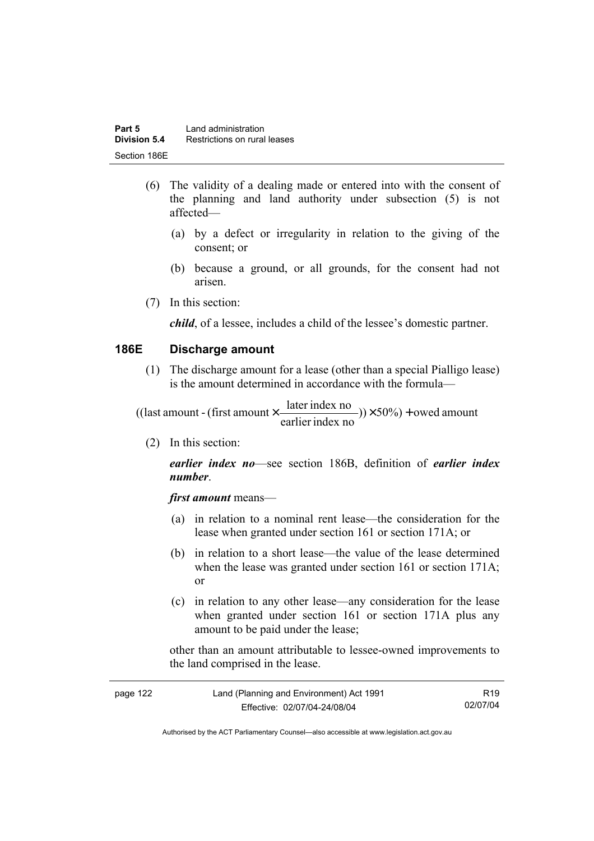- (6) The validity of a dealing made or entered into with the consent of the planning and land authority under subsection (5) is not affected—
	- (a) by a defect or irregularity in relation to the giving of the consent; or
	- (b) because a ground, or all grounds, for the consent had not arisen.
- (7) In this section:

*child*, of a lessee, includes a child of the lessee's domestic partner.

### **186E Discharge amount**

 (1) The discharge amount for a lease (other than a special Pialligo lease) is the amount determined in accordance with the formula—

 $(y) \times 50\%$  + owed amount earlier index no ((last amount - (first amount  $\times \frac{\text{later index no}}{\text{inter index}}$ )) $\times$  50%) +

(2) In this section:

*earlier index no*—see section 186B, definition of *earlier index number*.

*first amount* means—

- (a) in relation to a nominal rent lease—the consideration for the lease when granted under section 161 or section 171A; or
- (b) in relation to a short lease—the value of the lease determined when the lease was granted under section 161 or section 171A; or
- (c) in relation to any other lease—any consideration for the lease when granted under section 161 or section 171A plus any amount to be paid under the lease;

other than an amount attributable to lessee-owned improvements to the land comprised in the lease.

| page 122 | Land (Planning and Environment) Act 1991 | R <sub>19</sub> |
|----------|------------------------------------------|-----------------|
|          | Effective: 02/07/04-24/08/04             | 02/07/04        |

Authorised by the ACT Parliamentary Counsel—also accessible at www.legislation.act.gov.au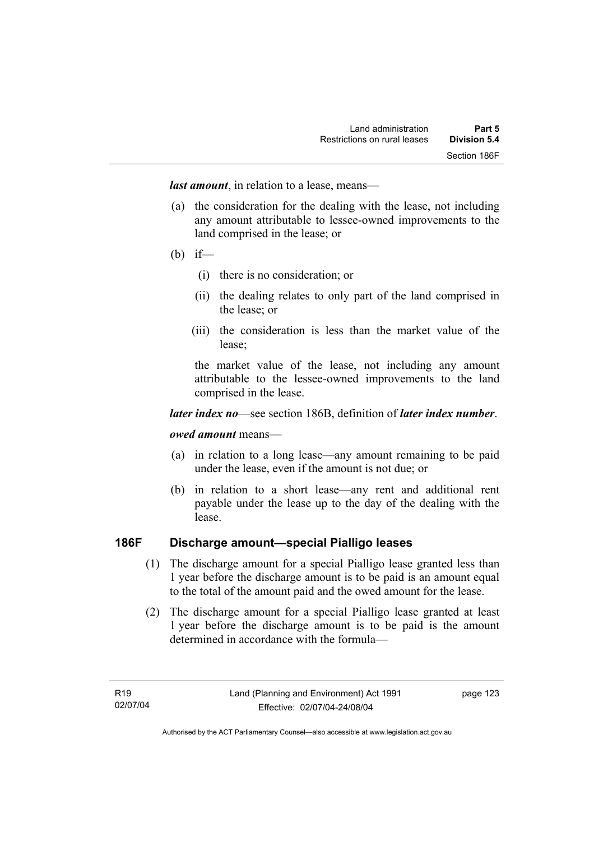*last amount*, in relation to a lease, means—

- (a) the consideration for the dealing with the lease, not including any amount attributable to lessee-owned improvements to the land comprised in the lease; or
- (b) if—
	- (i) there is no consideration; or
	- (ii) the dealing relates to only part of the land comprised in the lease; or
	- (iii) the consideration is less than the market value of the lease;

the market value of the lease, not including any amount attributable to the lessee-owned improvements to the land comprised in the lease.

#### *later index no*—see section 186B, definition of *later index number*.

#### *owed amount* means—

- (a) in relation to a long lease—any amount remaining to be paid under the lease, even if the amount is not due; or
- (b) in relation to a short lease—any rent and additional rent payable under the lease up to the day of the dealing with the lease.

## **186F Discharge amount—special Pialligo leases**

- (1) The discharge amount for a special Pialligo lease granted less than 1 year before the discharge amount is to be paid is an amount equal to the total of the amount paid and the owed amount for the lease.
- (2) The discharge amount for a special Pialligo lease granted at least 1 year before the discharge amount is to be paid is the amount determined in accordance with the formula—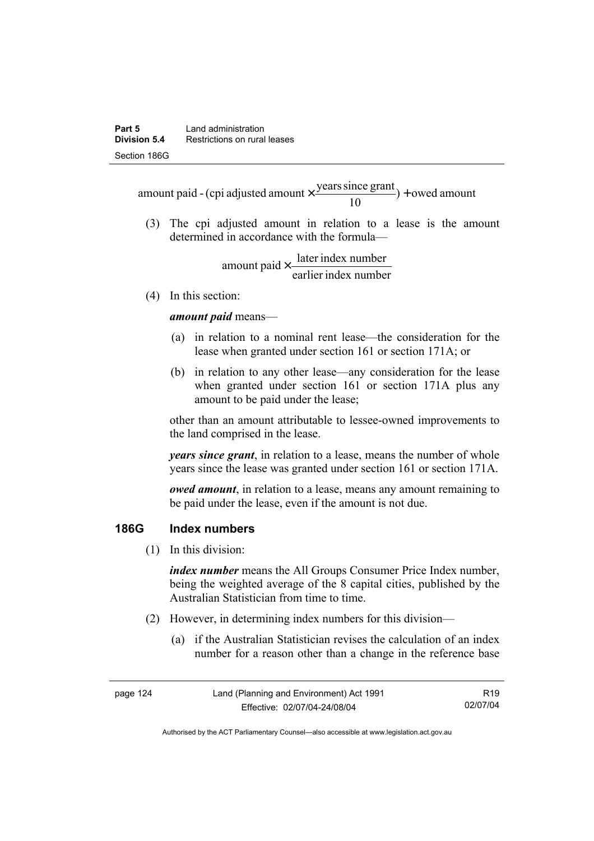$) +$  owed amount 10 amount paid - (cpi adjusted amount  $\times \frac{\text{years since grant}}{10}$ ) +

 (3) The cpi adjusted amount in relation to a lease is the amount determined in accordance with the formula—

> earlier index number amount paid  $\times \frac{\text{later index number}}{\text{lintermax}}$

(4) In this section:

*amount paid* means—

- (a) in relation to a nominal rent lease—the consideration for the lease when granted under section 161 or section 171A; or
- (b) in relation to any other lease—any consideration for the lease when granted under section 161 or section 171A plus any amount to be paid under the lease;

other than an amount attributable to lessee-owned improvements to the land comprised in the lease.

*years since grant*, in relation to a lease, means the number of whole years since the lease was granted under section 161 or section 171A.

*owed amount*, in relation to a lease, means any amount remaining to be paid under the lease, even if the amount is not due.

## **186G Index numbers**

(1) In this division:

*index number* means the All Groups Consumer Price Index number, being the weighted average of the 8 capital cities, published by the Australian Statistician from time to time.

- (2) However, in determining index numbers for this division—
	- (a) if the Australian Statistician revises the calculation of an index number for a reason other than a change in the reference base

| page 124 | Land (Planning and Environment) Act 1991 | R19.     |
|----------|------------------------------------------|----------|
|          | Effective: 02/07/04-24/08/04             | 02/07/04 |

Authorised by the ACT Parliamentary Counsel—also accessible at www.legislation.act.gov.au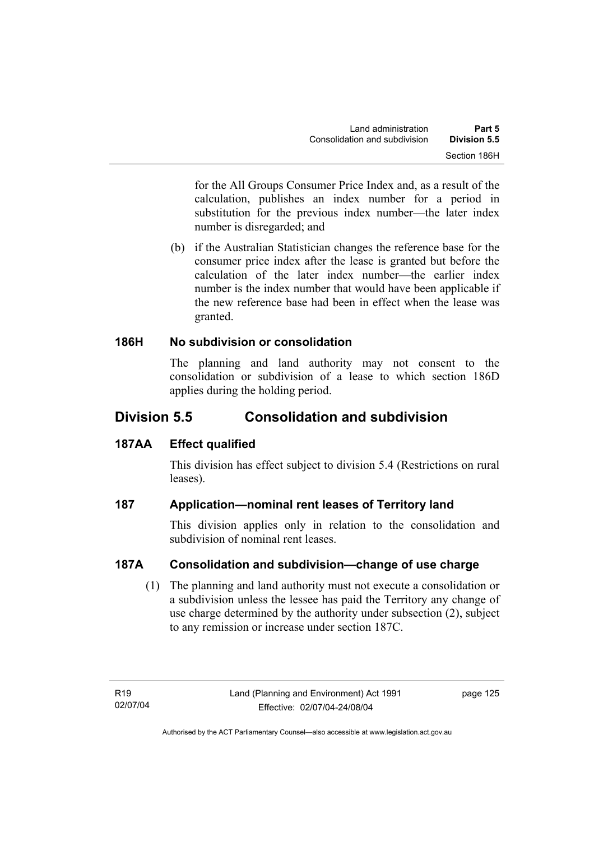for the All Groups Consumer Price Index and, as a result of the calculation, publishes an index number for a period in substitution for the previous index number—the later index number is disregarded; and

 (b) if the Australian Statistician changes the reference base for the consumer price index after the lease is granted but before the calculation of the later index number—the earlier index number is the index number that would have been applicable if the new reference base had been in effect when the lease was granted.

## **186H No subdivision or consolidation**

The planning and land authority may not consent to the consolidation or subdivision of a lease to which section 186D applies during the holding period.

# **Division 5.5 Consolidation and subdivision**

# **187AA Effect qualified**

This division has effect subject to division 5.4 (Restrictions on rural leases).

# **187 Application—nominal rent leases of Territory land**

This division applies only in relation to the consolidation and subdivision of nominal rent leases.

# **187A Consolidation and subdivision—change of use charge**

 (1) The planning and land authority must not execute a consolidation or a subdivision unless the lessee has paid the Territory any change of use charge determined by the authority under subsection (2), subject to any remission or increase under section 187C.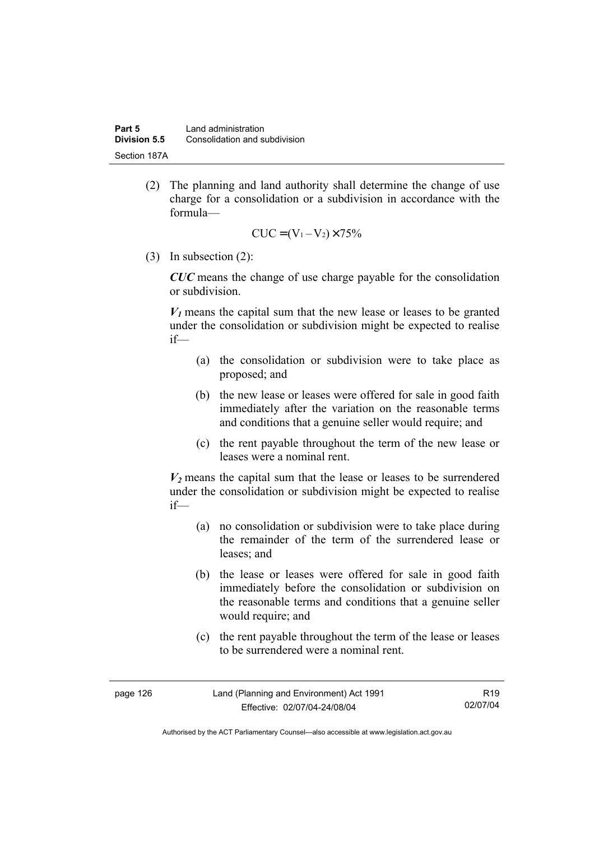(2) The planning and land authority shall determine the change of use charge for a consolidation or a subdivision in accordance with the formula—

$$
CUC = (V_1 - V_2) \times 75\%
$$

(3) In subsection (2):

*CUC* means the change of use charge payable for the consolidation or subdivision.

 $V_1$  means the capital sum that the new lease or leases to be granted under the consolidation or subdivision might be expected to realise if—

- (a) the consolidation or subdivision were to take place as proposed; and
- (b) the new lease or leases were offered for sale in good faith immediately after the variation on the reasonable terms and conditions that a genuine seller would require; and
- (c) the rent payable throughout the term of the new lease or leases were a nominal rent.

 $V_2$  means the capital sum that the lease or leases to be surrendered under the consolidation or subdivision might be expected to realise if—

- (a) no consolidation or subdivision were to take place during the remainder of the term of the surrendered lease or leases; and
- (b) the lease or leases were offered for sale in good faith immediately before the consolidation or subdivision on the reasonable terms and conditions that a genuine seller would require; and
- (c) the rent payable throughout the term of the lease or leases to be surrendered were a nominal rent.

| page 126 | Land (Planning and Environment) Act 1991 | R <sub>19</sub> |
|----------|------------------------------------------|-----------------|
|          | Effective: 02/07/04-24/08/04             | 02/07/04        |

Authorised by the ACT Parliamentary Counsel—also accessible at www.legislation.act.gov.au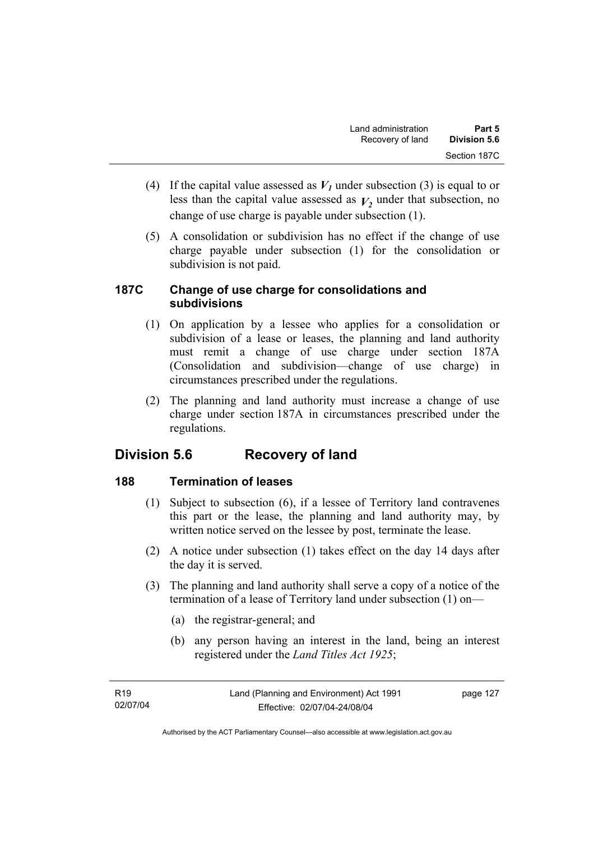- (4) If the capital value assessed as  $V_I$  under subsection (3) is equal to or less than the capital value assessed as  $V_2$  under that subsection, no change of use charge is payable under subsection (1).
- (5) A consolidation or subdivision has no effect if the change of use charge payable under subsection (1) for the consolidation or subdivision is not paid.

## **187C Change of use charge for consolidations and subdivisions**

- (1) On application by a lessee who applies for a consolidation or subdivision of a lease or leases, the planning and land authority must remit a change of use charge under section 187A (Consolidation and subdivision—change of use charge) in circumstances prescribed under the regulations.
- (2) The planning and land authority must increase a change of use charge under section 187A in circumstances prescribed under the regulations.

# **Division 5.6 Recovery of land**

# **188 Termination of leases**

- (1) Subject to subsection (6), if a lessee of Territory land contravenes this part or the lease, the planning and land authority may, by written notice served on the lessee by post, terminate the lease.
- (2) A notice under subsection (1) takes effect on the day 14 days after the day it is served.
- (3) The planning and land authority shall serve a copy of a notice of the termination of a lease of Territory land under subsection (1) on—
	- (a) the registrar-general; and
	- (b) any person having an interest in the land, being an interest registered under the *Land Titles Act 1925*;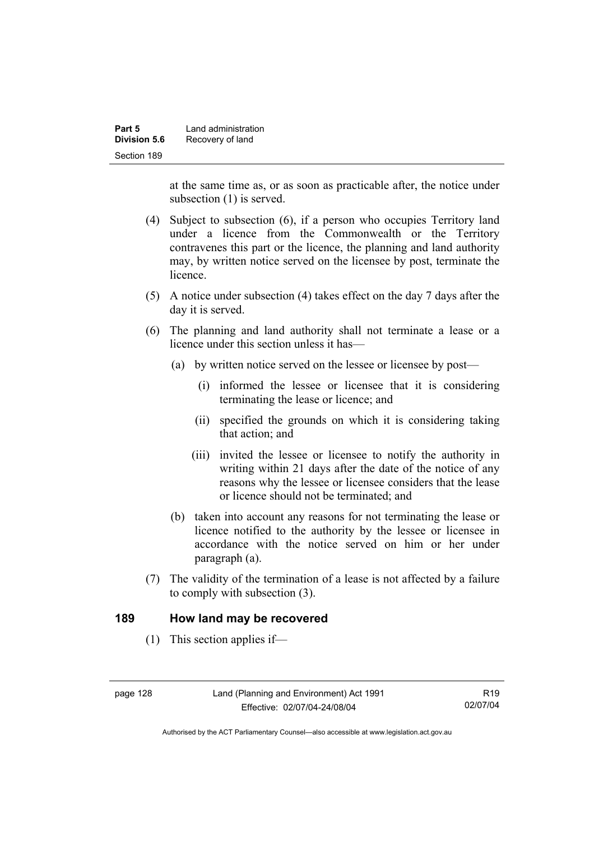| Part 5       | Land administration |
|--------------|---------------------|
| Division 5.6 | Recovery of land    |
| Section 189  |                     |

at the same time as, or as soon as practicable after, the notice under subsection (1) is served.

- (4) Subject to subsection (6), if a person who occupies Territory land under a licence from the Commonwealth or the Territory contravenes this part or the licence, the planning and land authority may, by written notice served on the licensee by post, terminate the licence.
- (5) A notice under subsection (4) takes effect on the day 7 days after the day it is served.
- (6) The planning and land authority shall not terminate a lease or a licence under this section unless it has—
	- (a) by written notice served on the lessee or licensee by post—
		- (i) informed the lessee or licensee that it is considering terminating the lease or licence; and
		- (ii) specified the grounds on which it is considering taking that action; and
		- (iii) invited the lessee or licensee to notify the authority in writing within 21 days after the date of the notice of any reasons why the lessee or licensee considers that the lease or licence should not be terminated; and
	- (b) taken into account any reasons for not terminating the lease or licence notified to the authority by the lessee or licensee in accordance with the notice served on him or her under paragraph (a).
- (7) The validity of the termination of a lease is not affected by a failure to comply with subsection (3).

#### **189 How land may be recovered**

(1) This section applies if—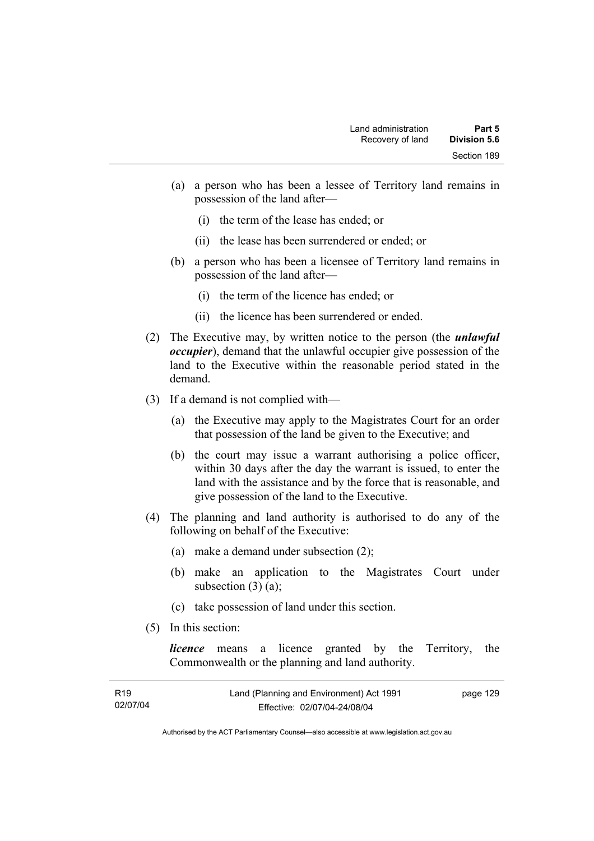- (a) a person who has been a lessee of Territory land remains in possession of the land after—
	- (i) the term of the lease has ended; or
	- (ii) the lease has been surrendered or ended; or
- (b) a person who has been a licensee of Territory land remains in possession of the land after—
	- (i) the term of the licence has ended; or
	- (ii) the licence has been surrendered or ended.
- (2) The Executive may, by written notice to the person (the *unlawful occupier*), demand that the unlawful occupier give possession of the land to the Executive within the reasonable period stated in the demand.
- (3) If a demand is not complied with—
	- (a) the Executive may apply to the Magistrates Court for an order that possession of the land be given to the Executive; and
	- (b) the court may issue a warrant authorising a police officer, within 30 days after the day the warrant is issued, to enter the land with the assistance and by the force that is reasonable, and give possession of the land to the Executive.
- (4) The planning and land authority is authorised to do any of the following on behalf of the Executive:
	- (a) make a demand under subsection (2);
	- (b) make an application to the Magistrates Court under subsection  $(3)$   $(a)$ ;
	- (c) take possession of land under this section.
- (5) In this section:

*licence* means a licence granted by the Territory, the Commonwealth or the planning and land authority.

| R19      | Land (Planning and Environment) Act 1991 | page 129 |
|----------|------------------------------------------|----------|
| 02/07/04 | Effective: 02/07/04-24/08/04             |          |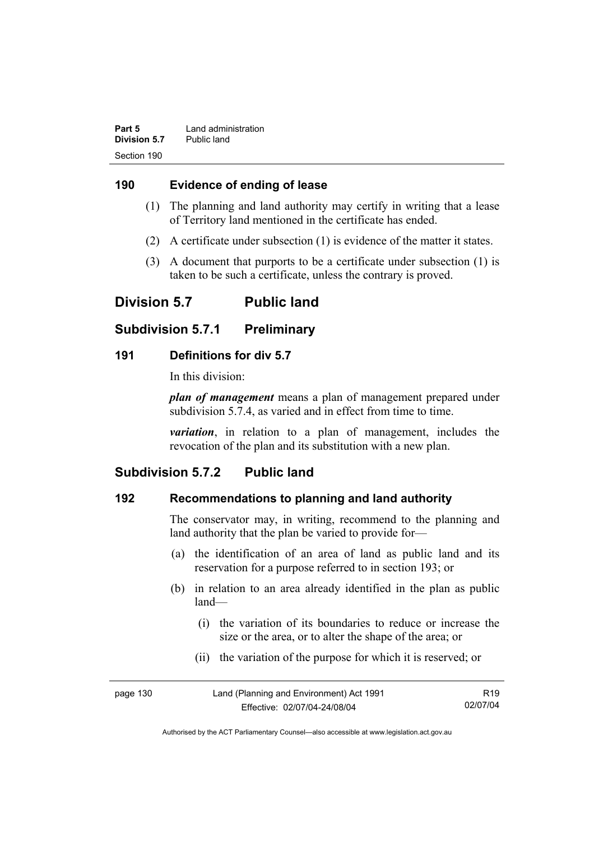| Part 5       | Land administration |
|--------------|---------------------|
| Division 5.7 | Public land         |
| Section 190  |                     |

### **190 Evidence of ending of lease**

- (1) The planning and land authority may certify in writing that a lease of Territory land mentioned in the certificate has ended.
- (2) A certificate under subsection (1) is evidence of the matter it states.
- (3) A document that purports to be a certificate under subsection (1) is taken to be such a certificate, unless the contrary is proved.

# **Division 5.7 Public land**

# **Subdivision 5.7.1 Preliminary**

### **191 Definitions for div 5.7**

In this division:

*plan of management* means a plan of management prepared under subdivision 5.7.4, as varied and in effect from time to time.

*variation*, in relation to a plan of management, includes the revocation of the plan and its substitution with a new plan.

# **Subdivision 5.7.2 Public land**

# **192 Recommendations to planning and land authority**

The conservator may, in writing, recommend to the planning and land authority that the plan be varied to provide for—

- (a) the identification of an area of land as public land and its reservation for a purpose referred to in section 193; or
- (b) in relation to an area already identified in the plan as public land—
	- (i) the variation of its boundaries to reduce or increase the size or the area, or to alter the shape of the area; or
	- (ii) the variation of the purpose for which it is reserved; or

| page 130 | Land (Planning and Environment) Act 1991 | R <sub>19</sub> |
|----------|------------------------------------------|-----------------|
|          | Effective: 02/07/04-24/08/04             | 02/07/04        |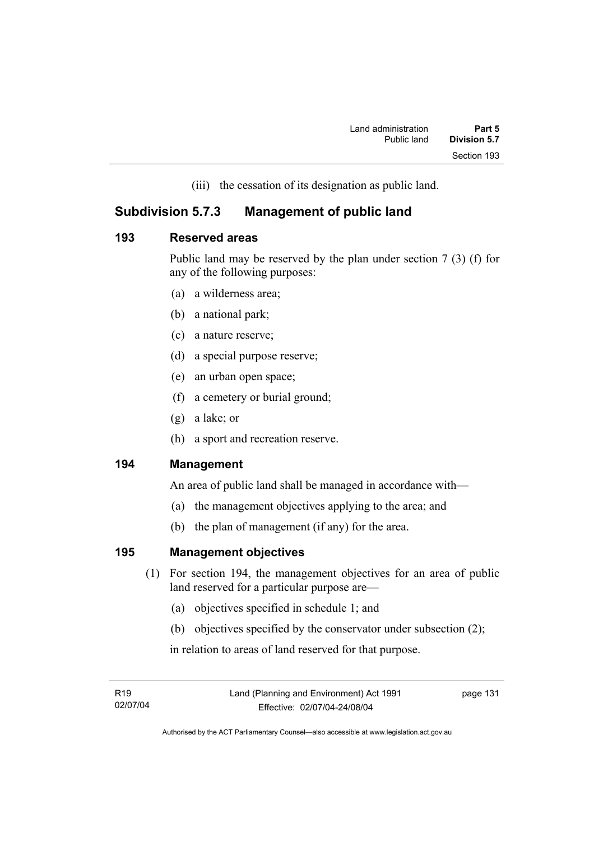(iii) the cessation of its designation as public land.

# **Subdivision 5.7.3 Management of public land**

### **193 Reserved areas**

Public land may be reserved by the plan under section 7 (3) (f) for any of the following purposes:

- (a) a wilderness area;
- (b) a national park;
- (c) a nature reserve;
- (d) a special purpose reserve;
- (e) an urban open space;
- (f) a cemetery or burial ground;
- (g) a lake; or
- (h) a sport and recreation reserve.

# **194 Management**

An area of public land shall be managed in accordance with—

- (a) the management objectives applying to the area; and
- (b) the plan of management (if any) for the area.

# **195 Management objectives**

- (1) For section 194, the management objectives for an area of public land reserved for a particular purpose are—
	- (a) objectives specified in schedule 1; and
	- (b) objectives specified by the conservator under subsection (2);

in relation to areas of land reserved for that purpose.

R19 02/07/04 page 131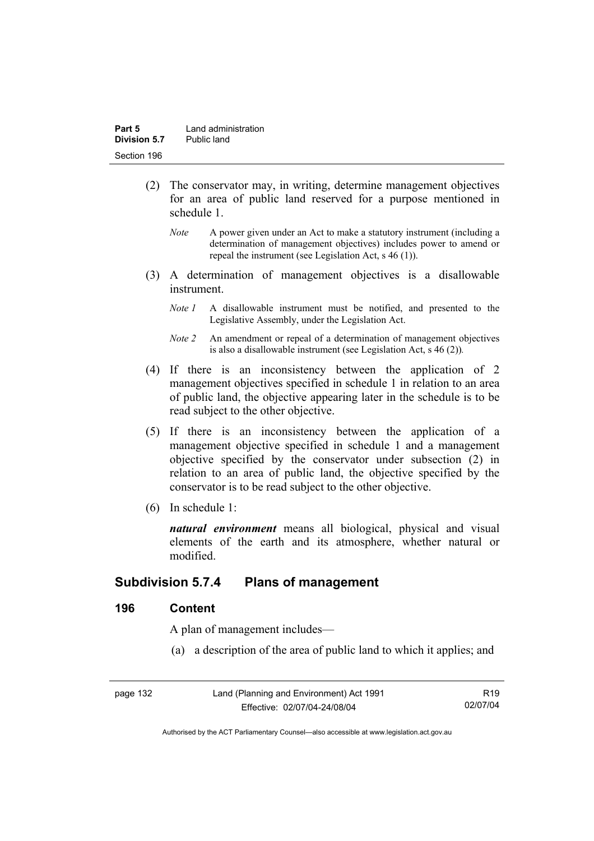- (2) The conservator may, in writing, determine management objectives for an area of public land reserved for a purpose mentioned in schedule 1.
	- *Note* A power given under an Act to make a statutory instrument (including a determination of management objectives) includes power to amend or repeal the instrument (see Legislation Act, s 46 (1)).
- (3) A determination of management objectives is a disallowable instrument.
	- *Note 1* A disallowable instrument must be notified, and presented to the Legislative Assembly, under the Legislation Act.
	- *Note 2* An amendment or repeal of a determination of management objectives is also a disallowable instrument (see Legislation Act, s 46 (2))*.*
- (4) If there is an inconsistency between the application of 2 management objectives specified in schedule 1 in relation to an area of public land, the objective appearing later in the schedule is to be read subject to the other objective.
- (5) If there is an inconsistency between the application of a management objective specified in schedule 1 and a management objective specified by the conservator under subsection (2) in relation to an area of public land, the objective specified by the conservator is to be read subject to the other objective.
- (6) In schedule 1:

*natural environment* means all biological, physical and visual elements of the earth and its atmosphere, whether natural or modified.

# **Subdivision 5.7.4 Plans of management**

### **196 Content**

A plan of management includes—

(a) a description of the area of public land to which it applies; and

| page 132 | Land (Planning and Environment) Act 1991 | R19      |
|----------|------------------------------------------|----------|
|          | Effective: 02/07/04-24/08/04             | 02/07/04 |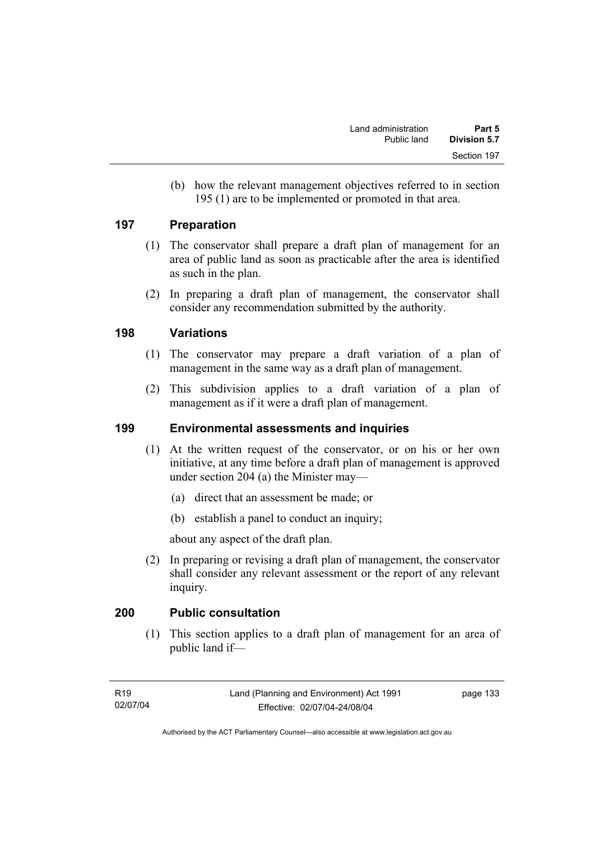(b) how the relevant management objectives referred to in section 195 (1) are to be implemented or promoted in that area.

### **197 Preparation**

- (1) The conservator shall prepare a draft plan of management for an area of public land as soon as practicable after the area is identified as such in the plan.
- (2) In preparing a draft plan of management, the conservator shall consider any recommendation submitted by the authority.

### **198 Variations**

- (1) The conservator may prepare a draft variation of a plan of management in the same way as a draft plan of management.
- (2) This subdivision applies to a draft variation of a plan of management as if it were a draft plan of management.

# **199 Environmental assessments and inquiries**

- (1) At the written request of the conservator, or on his or her own initiative, at any time before a draft plan of management is approved under section 204 (a) the Minister may—
	- (a) direct that an assessment be made; or
	- (b) establish a panel to conduct an inquiry;

about any aspect of the draft plan.

 (2) In preparing or revising a draft plan of management, the conservator shall consider any relevant assessment or the report of any relevant inquiry.

# **200 Public consultation**

 (1) This section applies to a draft plan of management for an area of public land if—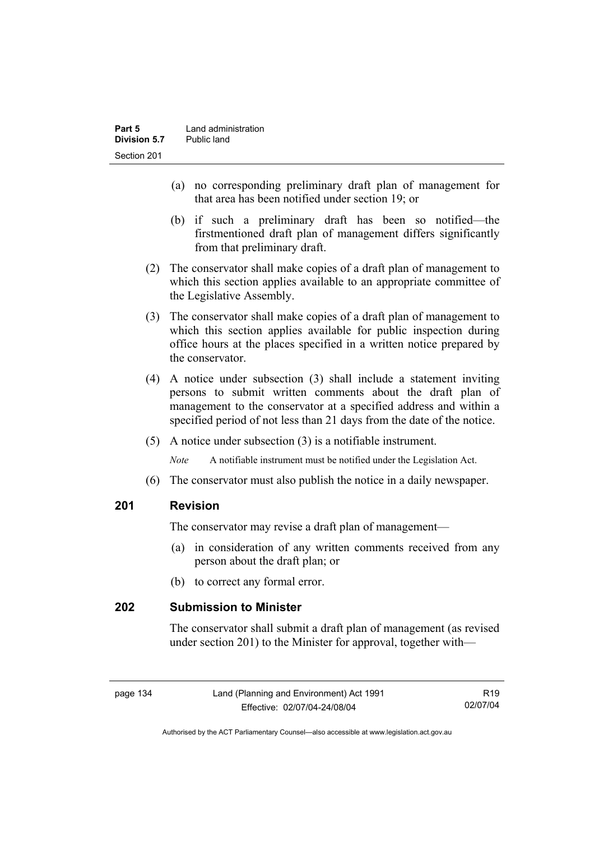- (a) no corresponding preliminary draft plan of management for that area has been notified under section 19; or
- (b) if such a preliminary draft has been so notified—the firstmentioned draft plan of management differs significantly from that preliminary draft.
- (2) The conservator shall make copies of a draft plan of management to which this section applies available to an appropriate committee of the Legislative Assembly.
- (3) The conservator shall make copies of a draft plan of management to which this section applies available for public inspection during office hours at the places specified in a written notice prepared by the conservator.
- (4) A notice under subsection (3) shall include a statement inviting persons to submit written comments about the draft plan of management to the conservator at a specified address and within a specified period of not less than 21 days from the date of the notice.
- (5) A notice under subsection (3) is a notifiable instrument.

*Note* A notifiable instrument must be notified under the Legislation Act.

(6) The conservator must also publish the notice in a daily newspaper.

# **201 Revision**

The conservator may revise a draft plan of management—

- (a) in consideration of any written comments received from any person about the draft plan; or
- (b) to correct any formal error.

# **202 Submission to Minister**

The conservator shall submit a draft plan of management (as revised under section 201) to the Minister for approval, together with—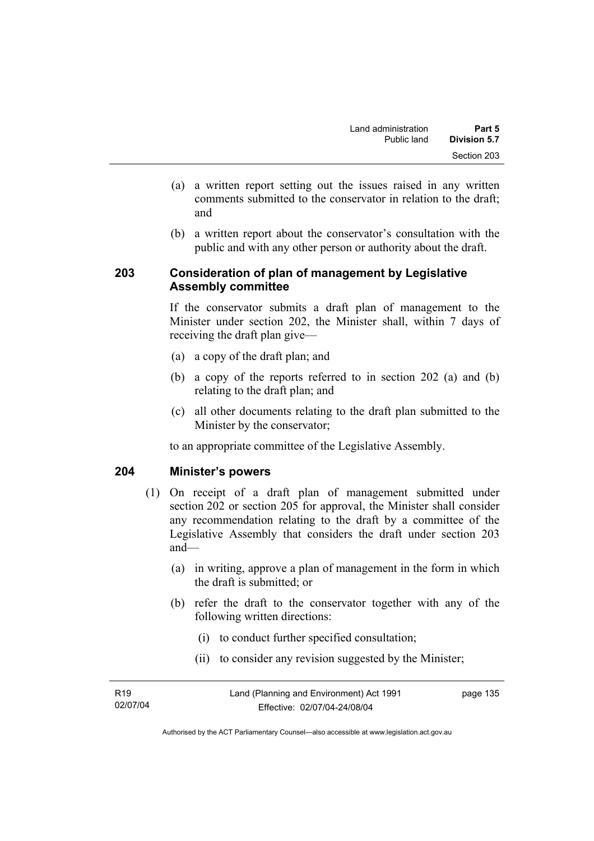- (a) a written report setting out the issues raised in any written comments submitted to the conservator in relation to the draft; and
- (b) a written report about the conservator's consultation with the public and with any other person or authority about the draft.

## **203 Consideration of plan of management by Legislative Assembly committee**

If the conservator submits a draft plan of management to the Minister under section 202, the Minister shall, within 7 days of receiving the draft plan give—

- (a) a copy of the draft plan; and
- (b) a copy of the reports referred to in section 202 (a) and (b) relating to the draft plan; and
- (c) all other documents relating to the draft plan submitted to the Minister by the conservator;

to an appropriate committee of the Legislative Assembly.

# **204 Minister's powers**

- (1) On receipt of a draft plan of management submitted under section 202 or section 205 for approval, the Minister shall consider any recommendation relating to the draft by a committee of the Legislative Assembly that considers the draft under section 203 and—
	- (a) in writing, approve a plan of management in the form in which the draft is submitted; or
	- (b) refer the draft to the conservator together with any of the following written directions:
		- (i) to conduct further specified consultation;
		- (ii) to consider any revision suggested by the Minister;

| R <sub>19</sub> | Land (Planning and Environment) Act 1991 | page 135 |
|-----------------|------------------------------------------|----------|
| 02/07/04        | Effective: 02/07/04-24/08/04             |          |
|                 |                                          |          |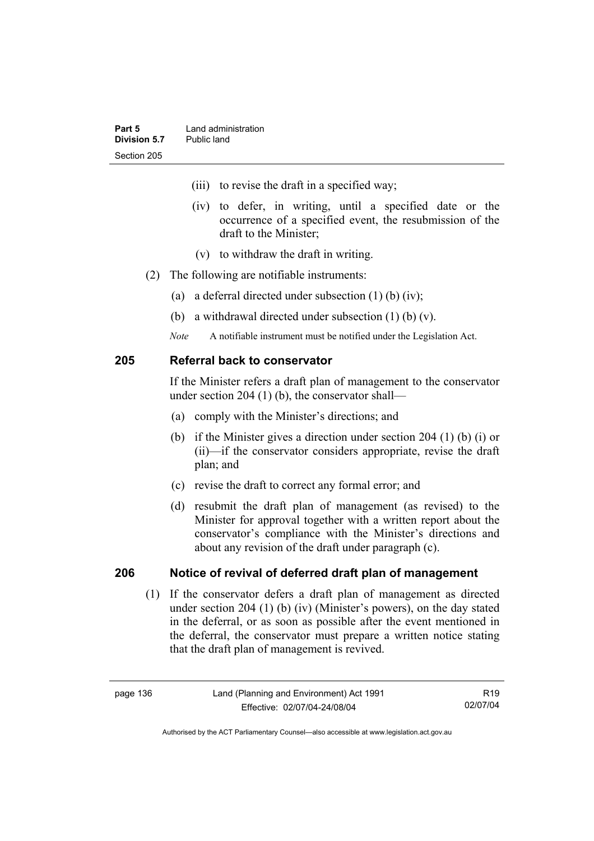- (iii) to revise the draft in a specified way;
- (iv) to defer, in writing, until a specified date or the occurrence of a specified event, the resubmission of the draft to the Minister;
- (v) to withdraw the draft in writing.
- (2) The following are notifiable instruments:
	- (a) a deferral directed under subsection (1) (b) (iv);
	- (b) a withdrawal directed under subsection (1) (b) (v).
	- *Note* A notifiable instrument must be notified under the Legislation Act.

### **205 Referral back to conservator**

If the Minister refers a draft plan of management to the conservator under section 204 (1) (b), the conservator shall—

- (a) comply with the Minister's directions; and
- (b) if the Minister gives a direction under section 204 (1) (b) (i) or (ii)—if the conservator considers appropriate, revise the draft plan; and
- (c) revise the draft to correct any formal error; and
- (d) resubmit the draft plan of management (as revised) to the Minister for approval together with a written report about the conservator's compliance with the Minister's directions and about any revision of the draft under paragraph (c).

### **206 Notice of revival of deferred draft plan of management**

(1) If the conservator defers a draft plan of management as directed under section 204 (1) (b) (iv) (Minister's powers), on the day stated in the deferral, or as soon as possible after the event mentioned in the deferral, the conservator must prepare a written notice stating that the draft plan of management is revived.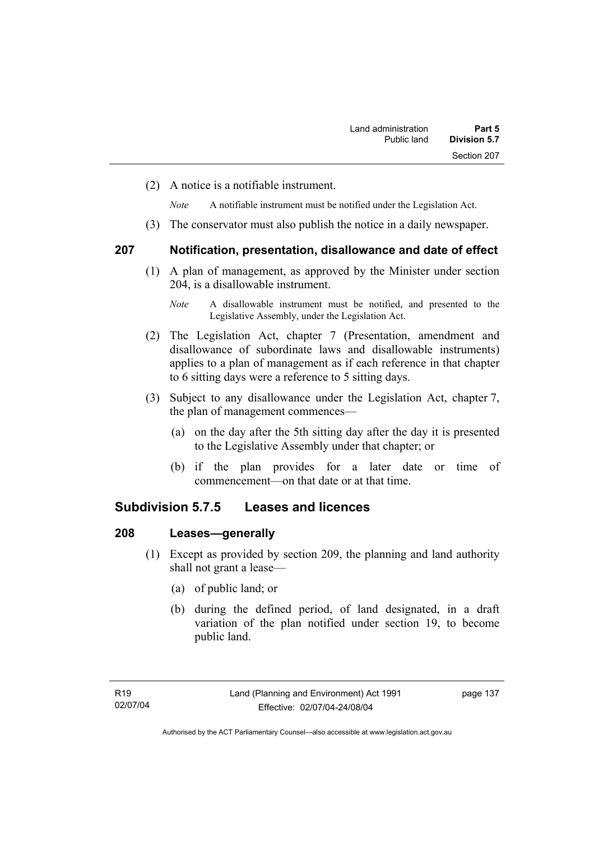(2) A notice is a notifiable instrument.

*Note* A notifiable instrument must be notified under the Legislation Act.

(3) The conservator must also publish the notice in a daily newspaper.

### **207 Notification, presentation, disallowance and date of effect**

 (1) A plan of management, as approved by the Minister under section 204, is a disallowable instrument.

- (2) The Legislation Act, chapter 7 (Presentation, amendment and disallowance of subordinate laws and disallowable instruments) applies to a plan of management as if each reference in that chapter to 6 sitting days were a reference to 5 sitting days.
- (3) Subject to any disallowance under the Legislation Act, chapter 7, the plan of management commences—
	- (a) on the day after the 5th sitting day after the day it is presented to the Legislative Assembly under that chapter; or
	- (b) if the plan provides for a later date or time of commencement—on that date or at that time.

# **Subdivision 5.7.5 Leases and licences**

### **208 Leases—generally**

- (1) Except as provided by section 209, the planning and land authority shall not grant a lease—
	- (a) of public land; or
	- (b) during the defined period, of land designated, in a draft variation of the plan notified under section 19, to become public land.

*Note* A disallowable instrument must be notified, and presented to the Legislative Assembly, under the Legislation Act.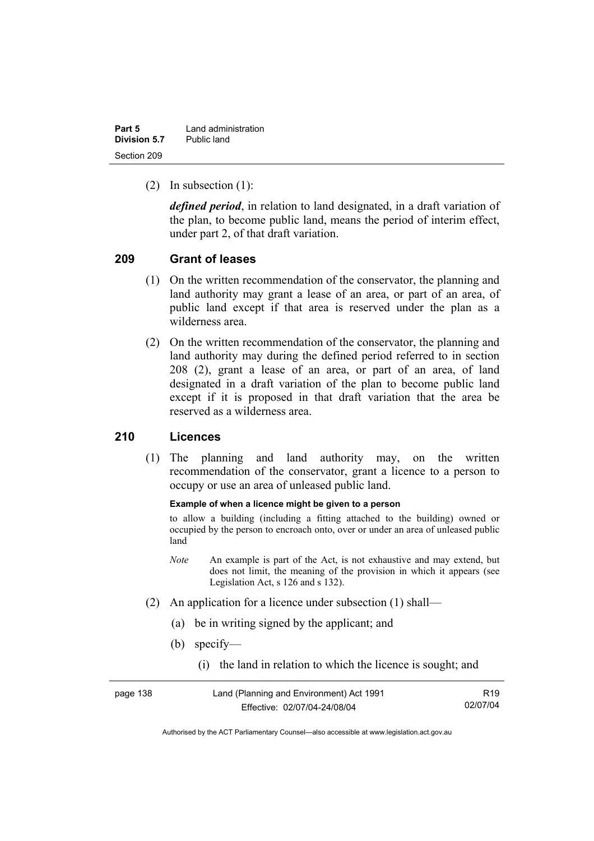| Part 5       | Land administration |
|--------------|---------------------|
| Division 5.7 | Public land         |
| Section 209  |                     |

(2) In subsection (1):

*defined period*, in relation to land designated, in a draft variation of the plan, to become public land, means the period of interim effect, under part 2, of that draft variation.

### **209 Grant of leases**

- (1) On the written recommendation of the conservator, the planning and land authority may grant a lease of an area, or part of an area, of public land except if that area is reserved under the plan as a wilderness area.
- (2) On the written recommendation of the conservator, the planning and land authority may during the defined period referred to in section 208 (2), grant a lease of an area, or part of an area, of land designated in a draft variation of the plan to become public land except if it is proposed in that draft variation that the area be reserved as a wilderness area.

### **210 Licences**

 (1) The planning and land authority may, on the written recommendation of the conservator, grant a licence to a person to occupy or use an area of unleased public land.

#### **Example of when a licence might be given to a person**

to allow a building (including a fitting attached to the building) owned or occupied by the person to encroach onto, over or under an area of unleased public land

- *Note* An example is part of the Act, is not exhaustive and may extend, but does not limit, the meaning of the provision in which it appears (see Legislation Act, s 126 and s 132).
- (2) An application for a licence under subsection (1) shall—
	- (a) be in writing signed by the applicant; and
	- (b) specify—
		- (i) the land in relation to which the licence is sought; and

| Land (Planning and Environment) Act 1991<br>page 138 |                              | R <sub>19</sub> |
|------------------------------------------------------|------------------------------|-----------------|
|                                                      | Effective: 02/07/04-24/08/04 | 02/07/04        |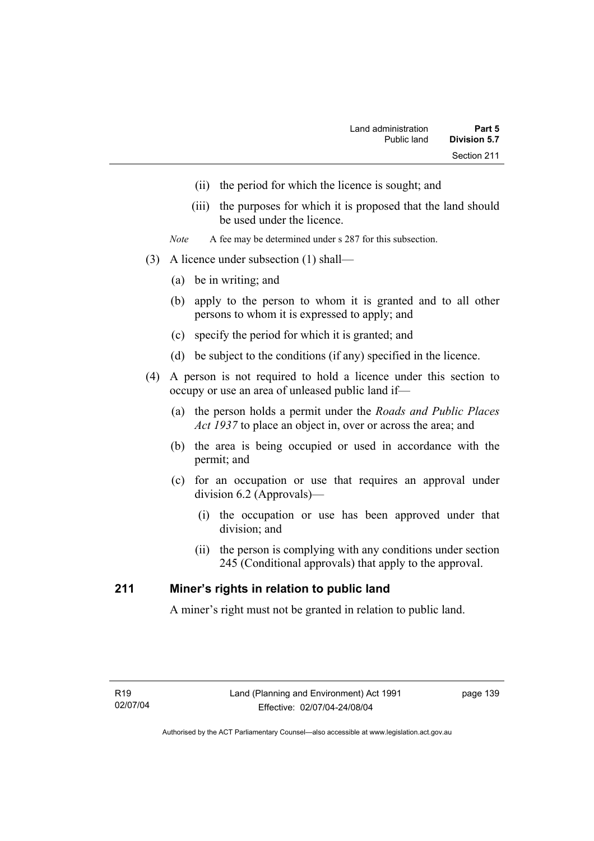- (ii) the period for which the licence is sought; and
- (iii) the purposes for which it is proposed that the land should be used under the licence.
- *Note* A fee may be determined under s 287 for this subsection.
- (3) A licence under subsection (1) shall—
	- (a) be in writing; and
	- (b) apply to the person to whom it is granted and to all other persons to whom it is expressed to apply; and
	- (c) specify the period for which it is granted; and
	- (d) be subject to the conditions (if any) specified in the licence.
- (4) A person is not required to hold a licence under this section to occupy or use an area of unleased public land if—
	- (a) the person holds a permit under the *Roads and Public Places Act 1937* to place an object in, over or across the area; and
	- (b) the area is being occupied or used in accordance with the permit; and
	- (c) for an occupation or use that requires an approval under division 6.2 (Approvals)—
		- (i) the occupation or use has been approved under that division; and
		- (ii) the person is complying with any conditions under section 245 (Conditional approvals) that apply to the approval.

### **211 Miner's rights in relation to public land**

A miner's right must not be granted in relation to public land.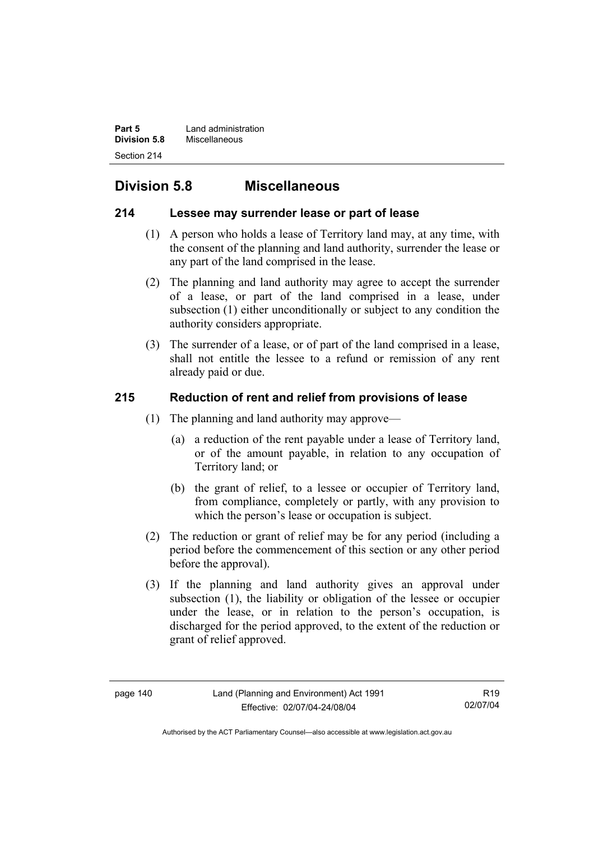**Part 5 Land administration Division 5.8** Miscellaneous Section 214

# **Division 5.8 Miscellaneous**

# **214 Lessee may surrender lease or part of lease**

- (1) A person who holds a lease of Territory land may, at any time, with the consent of the planning and land authority, surrender the lease or any part of the land comprised in the lease.
- (2) The planning and land authority may agree to accept the surrender of a lease, or part of the land comprised in a lease, under subsection (1) either unconditionally or subject to any condition the authority considers appropriate.
- (3) The surrender of a lease, or of part of the land comprised in a lease, shall not entitle the lessee to a refund or remission of any rent already paid or due.

# **215 Reduction of rent and relief from provisions of lease**

- (1) The planning and land authority may approve—
	- (a) a reduction of the rent payable under a lease of Territory land, or of the amount payable, in relation to any occupation of Territory land; or
	- (b) the grant of relief, to a lessee or occupier of Territory land, from compliance, completely or partly, with any provision to which the person's lease or occupation is subject.
- (2) The reduction or grant of relief may be for any period (including a period before the commencement of this section or any other period before the approval).
- (3) If the planning and land authority gives an approval under subsection (1), the liability or obligation of the lessee or occupier under the lease, or in relation to the person's occupation, is discharged for the period approved, to the extent of the reduction or grant of relief approved.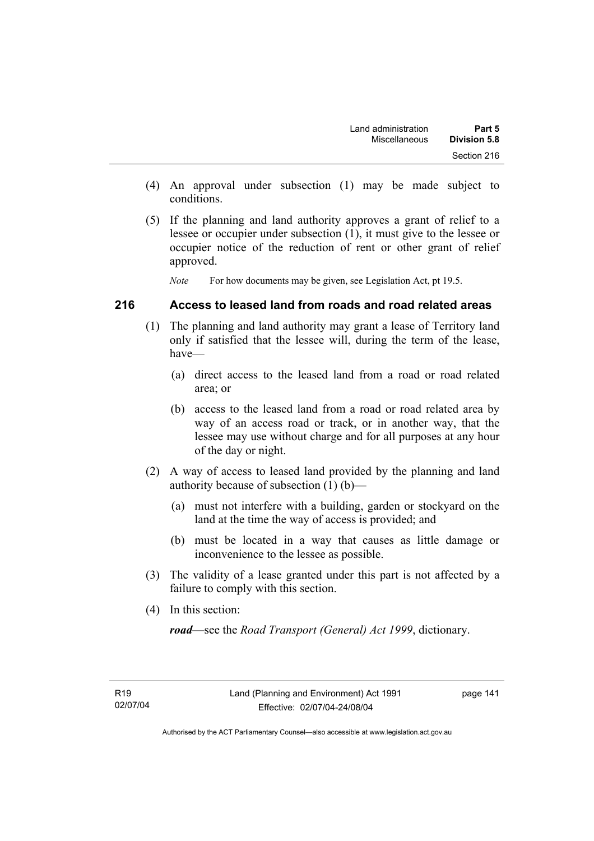- (4) An approval under subsection (1) may be made subject to conditions.
- (5) If the planning and land authority approves a grant of relief to a lessee or occupier under subsection (1), it must give to the lessee or occupier notice of the reduction of rent or other grant of relief approved.

*Note* For how documents may be given, see Legislation Act, pt 19.5.

### **216 Access to leased land from roads and road related areas**

- (1) The planning and land authority may grant a lease of Territory land only if satisfied that the lessee will, during the term of the lease, have—
	- (a) direct access to the leased land from a road or road related area; or
	- (b) access to the leased land from a road or road related area by way of an access road or track, or in another way, that the lessee may use without charge and for all purposes at any hour of the day or night.
- (2) A way of access to leased land provided by the planning and land authority because of subsection (1) (b)—
	- (a) must not interfere with a building, garden or stockyard on the land at the time the way of access is provided; and
	- (b) must be located in a way that causes as little damage or inconvenience to the lessee as possible.
- (3) The validity of a lease granted under this part is not affected by a failure to comply with this section.
- (4) In this section:

*road*—see the *Road Transport (General) Act 1999*, dictionary.

page 141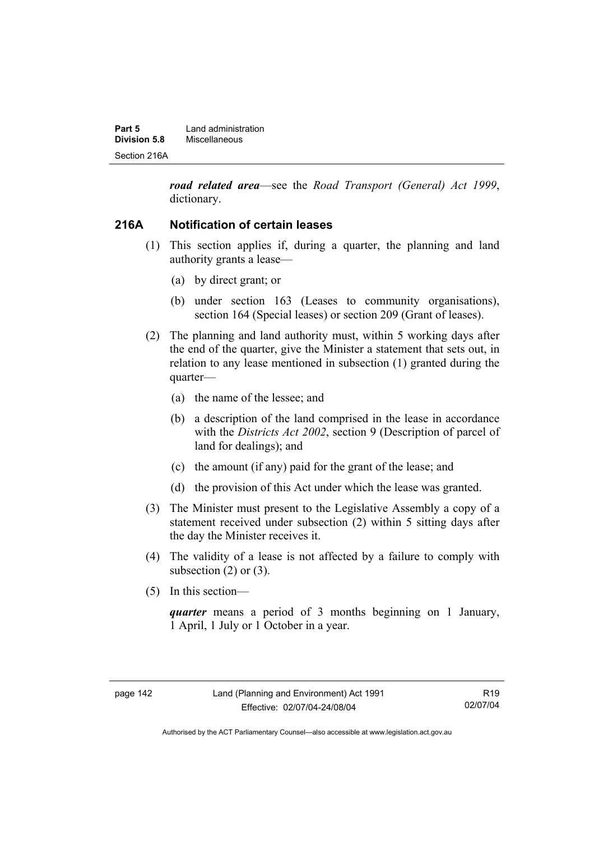| Part 5       | Land administration |
|--------------|---------------------|
| Division 5.8 | Miscellaneous       |
| Section 216A |                     |

*road related area*—see the *Road Transport (General) Act 1999*, dictionary.

### **216A Notification of certain leases**

- (1) This section applies if, during a quarter, the planning and land authority grants a lease—
	- (a) by direct grant; or
	- (b) under section 163 (Leases to community organisations), section 164 (Special leases) or section 209 (Grant of leases).
- (2) The planning and land authority must, within 5 working days after the end of the quarter, give the Minister a statement that sets out, in relation to any lease mentioned in subsection (1) granted during the quarter—
	- (a) the name of the lessee; and
	- (b) a description of the land comprised in the lease in accordance with the *Districts Act 2002*, section 9 (Description of parcel of land for dealings); and
	- (c) the amount (if any) paid for the grant of the lease; and
	- (d) the provision of this Act under which the lease was granted.
- (3) The Minister must present to the Legislative Assembly a copy of a statement received under subsection (2) within 5 sitting days after the day the Minister receives it.
- (4) The validity of a lease is not affected by a failure to comply with subsection  $(2)$  or  $(3)$ .
- (5) In this section—

*quarter* means a period of 3 months beginning on 1 January, 1 April, 1 July or 1 October in a year.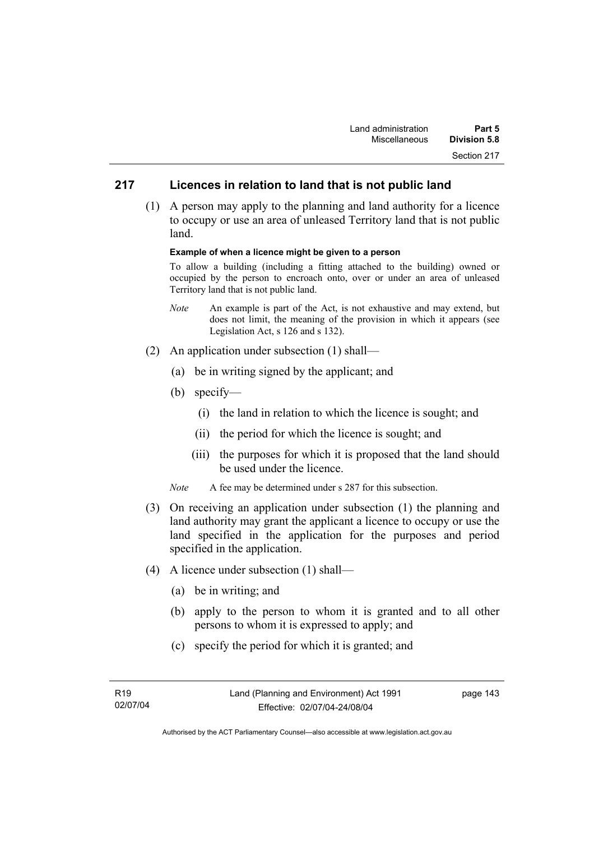# **217 Licences in relation to land that is not public land**

 (1) A person may apply to the planning and land authority for a licence to occupy or use an area of unleased Territory land that is not public land.

#### **Example of when a licence might be given to a person**

To allow a building (including a fitting attached to the building) owned or occupied by the person to encroach onto, over or under an area of unleased Territory land that is not public land.

- *Note* An example is part of the Act, is not exhaustive and may extend, but does not limit, the meaning of the provision in which it appears (see Legislation Act, s 126 and s 132).
- (2) An application under subsection (1) shall—
	- (a) be in writing signed by the applicant; and
	- (b) specify—
		- (i) the land in relation to which the licence is sought; and
		- (ii) the period for which the licence is sought; and
		- (iii) the purposes for which it is proposed that the land should be used under the licence.
	- *Note* A fee may be determined under s 287 for this subsection.
- (3) On receiving an application under subsection (1) the planning and land authority may grant the applicant a licence to occupy or use the land specified in the application for the purposes and period specified in the application.
- (4) A licence under subsection (1) shall—
	- (a) be in writing; and
	- (b) apply to the person to whom it is granted and to all other persons to whom it is expressed to apply; and
	- (c) specify the period for which it is granted; and

page 143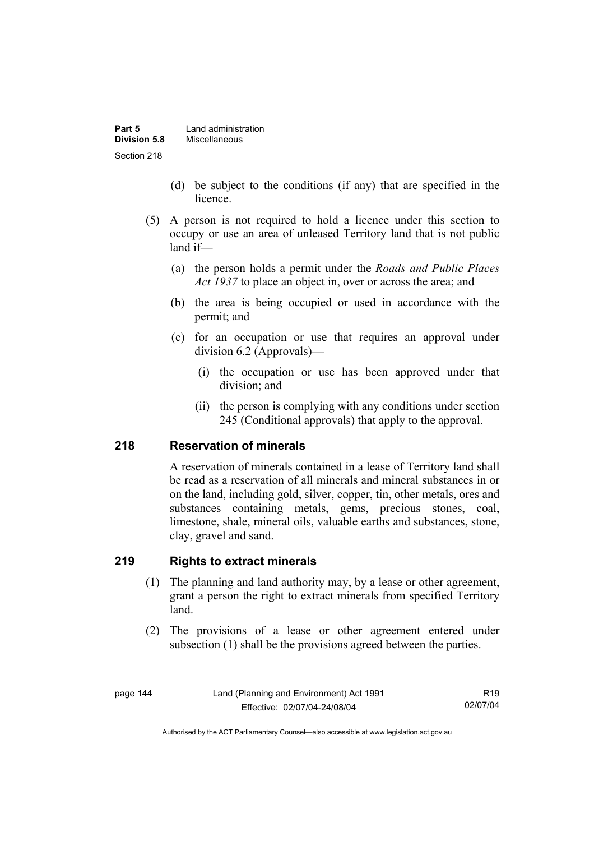| Part 5       | Land administration |  |
|--------------|---------------------|--|
| Division 5.8 | Miscellaneous       |  |
| Section 218  |                     |  |

- (d) be subject to the conditions (if any) that are specified in the licence.
- (5) A person is not required to hold a licence under this section to occupy or use an area of unleased Territory land that is not public land if—
	- (a) the person holds a permit under the *Roads and Public Places Act 1937* to place an object in, over or across the area; and
	- (b) the area is being occupied or used in accordance with the permit; and
	- (c) for an occupation or use that requires an approval under division 6.2 (Approvals)—
		- (i) the occupation or use has been approved under that division; and
		- (ii) the person is complying with any conditions under section 245 (Conditional approvals) that apply to the approval.

### **218 Reservation of minerals**

A reservation of minerals contained in a lease of Territory land shall be read as a reservation of all minerals and mineral substances in or on the land, including gold, silver, copper, tin, other metals, ores and substances containing metals, gems, precious stones, coal, limestone, shale, mineral oils, valuable earths and substances, stone, clay, gravel and sand.

### **219 Rights to extract minerals**

- (1) The planning and land authority may, by a lease or other agreement, grant a person the right to extract minerals from specified Territory land.
- (2) The provisions of a lease or other agreement entered under subsection (1) shall be the provisions agreed between the parties.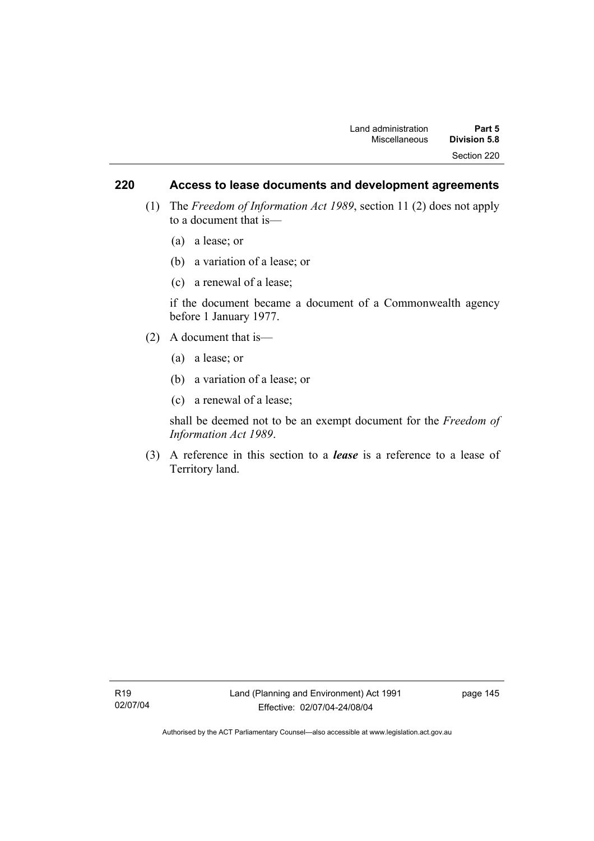### **220 Access to lease documents and development agreements**

- (1) The *Freedom of Information Act 1989*, section 11 (2) does not apply to a document that is—
	- (a) a lease; or
	- (b) a variation of a lease; or
	- (c) a renewal of a lease;

if the document became a document of a Commonwealth agency before 1 January 1977.

- (2) A document that is—
	- (a) a lease; or
	- (b) a variation of a lease; or
	- (c) a renewal of a lease;

shall be deemed not to be an exempt document for the *Freedom of Information Act 1989*.

 (3) A reference in this section to a *lease* is a reference to a lease of Territory land.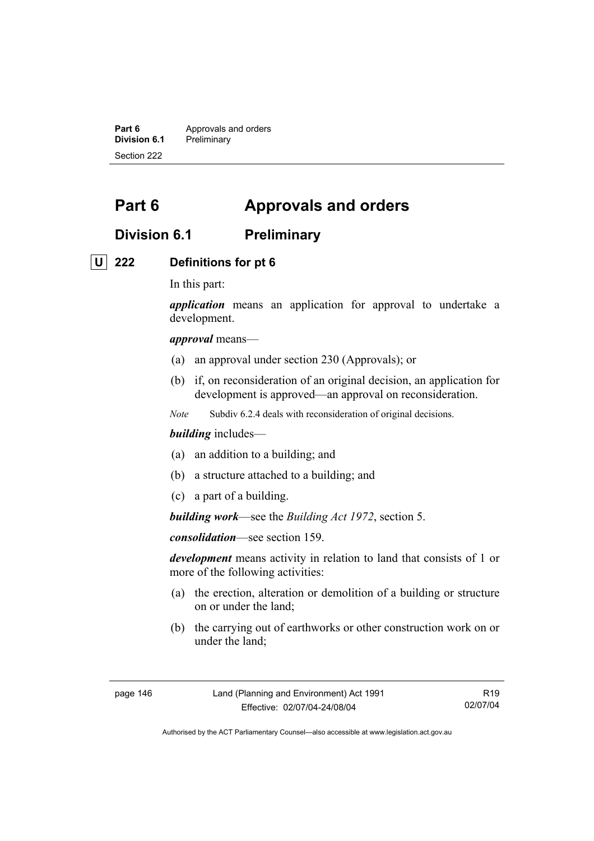**Part 6 Approvals and orders**<br>**Division 6.1 Preliminary Division 6.1** Preliminary Section 222

# **Part 6 Approvals and orders**

# **Division 6.1 Preliminary**

### **U 222 Definitions for pt 6**

In this part:

*application* means an application for approval to undertake a development.

*approval* means—

- (a) an approval under section 230 (Approvals); or
- (b) if, on reconsideration of an original decision, an application for development is approved—an approval on reconsideration.
- *Note* Subdiv 6.2.4 deals with reconsideration of original decisions.

### *building* includes—

- (a) an addition to a building; and
- (b) a structure attached to a building; and
- (c) a part of a building.

*building work*—see the *Building Act 1972*, section 5.

*consolidation*—see section 159.

*development* means activity in relation to land that consists of 1 or more of the following activities:

- (a) the erection, alteration or demolition of a building or structure on or under the land;
- (b) the carrying out of earthworks or other construction work on or under the land;

page 146 Land (Planning and Environment) Act 1991 Effective: 02/07/04-24/08/04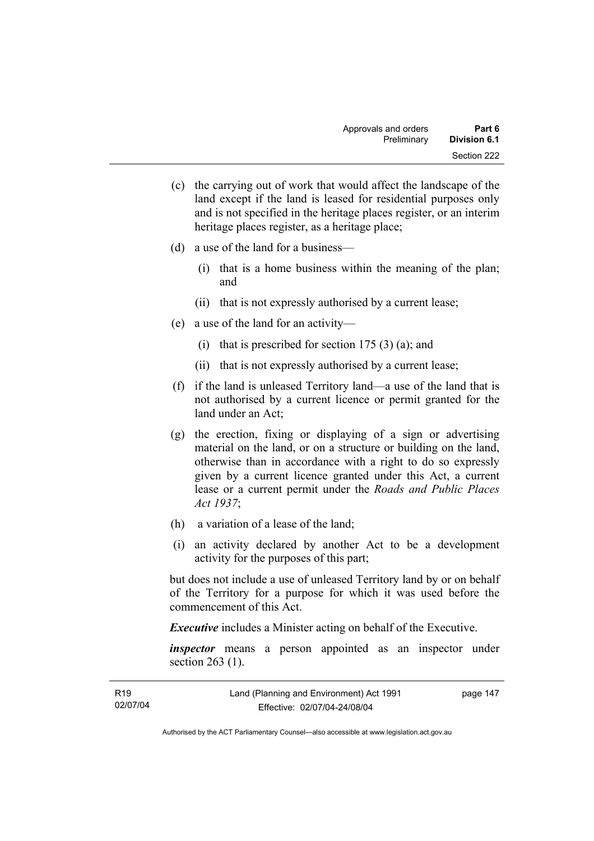- (c) the carrying out of work that would affect the landscape of the land except if the land is leased for residential purposes only and is not specified in the heritage places register, or an interim heritage places register, as a heritage place;
- (d) a use of the land for a business—
	- (i) that is a home business within the meaning of the plan; and
	- (ii) that is not expressly authorised by a current lease;
- (e) a use of the land for an activity—
	- (i) that is prescribed for section  $175(3)(a)$ ; and
	- (ii) that is not expressly authorised by a current lease;
- (f) if the land is unleased Territory land—a use of the land that is not authorised by a current licence or permit granted for the land under an Act;
- (g) the erection, fixing or displaying of a sign or advertising material on the land, or on a structure or building on the land, otherwise than in accordance with a right to do so expressly given by a current licence granted under this Act, a current lease or a current permit under the *Roads and Public Places Act 1937*;
- (h) a variation of a lease of the land;
- (i) an activity declared by another Act to be a development activity for the purposes of this part;

but does not include a use of unleased Territory land by or on behalf of the Territory for a purpose for which it was used before the commencement of this Act.

*Executive* includes a Minister acting on behalf of the Executive.

*inspector* means a person appointed as an inspector under section 263 (1).

| R <sub>19</sub> | Land (Planning and Environment) Act 1991 | page 147 |
|-----------------|------------------------------------------|----------|
| 02/07/04        | Effective: 02/07/04-24/08/04             |          |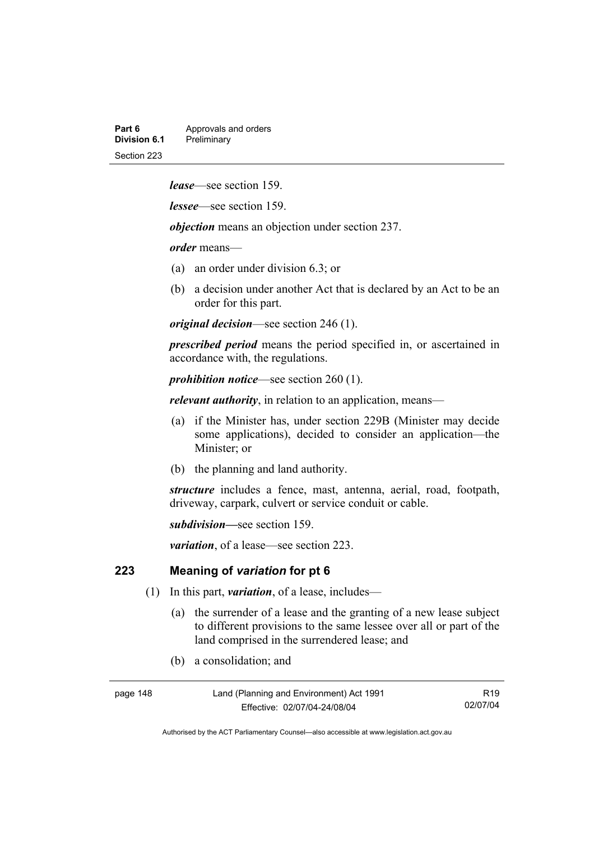| Part 6       | Approvals and orders |  |
|--------------|----------------------|--|
| Division 6.1 | Preliminary          |  |
| Section 223  |                      |  |

*lease*—see section 159.

*lessee*—see section 159.

*objection* means an objection under section 237.

*order* means—

- (a) an order under division 6.3; or
- (b) a decision under another Act that is declared by an Act to be an order for this part.

*original decision*—see section 246 (1).

*prescribed period* means the period specified in, or ascertained in accordance with, the regulations.

*prohibition notice*—see section 260 (1).

*relevant authority*, in relation to an application, means—

- (a) if the Minister has, under section 229B (Minister may decide some applications), decided to consider an application—the Minister; or
- (b) the planning and land authority.

*structure* includes a fence, mast, antenna, aerial, road, footpath, driveway, carpark, culvert or service conduit or cable.

*subdivision—*see section 159.

*variation*, of a lease—see section 223.

### **223 Meaning of** *variation* **for pt 6**

- (1) In this part, *variation*, of a lease, includes—
	- (a) the surrender of a lease and the granting of a new lease subject to different provisions to the same lessee over all or part of the land comprised in the surrendered lease; and
	- (b) a consolidation; and

page 148 Land (Planning and Environment) Act 1991 Effective: 02/07/04-24/08/04

R19 02/07/04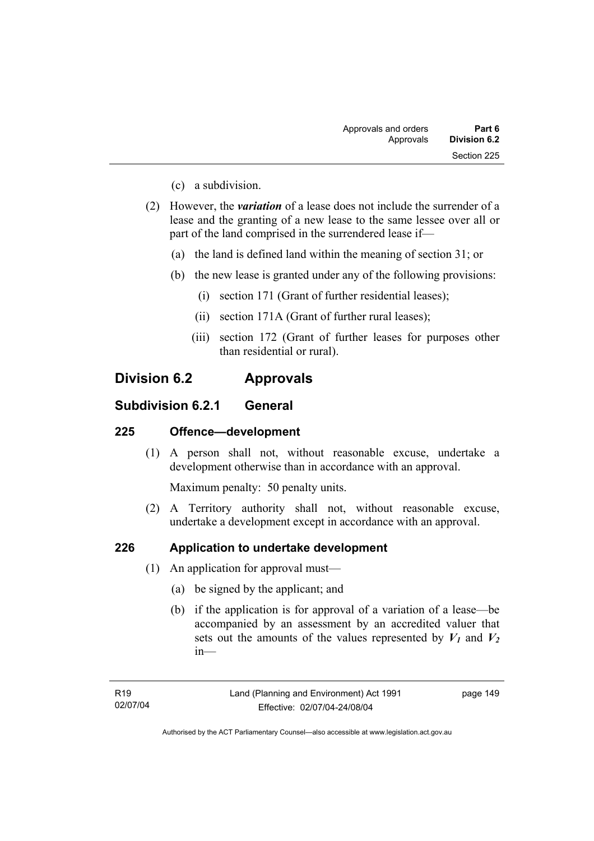- (c) a subdivision.
- (2) However, the *variation* of a lease does not include the surrender of a lease and the granting of a new lease to the same lessee over all or part of the land comprised in the surrendered lease if—
	- (a) the land is defined land within the meaning of section 31; or
	- (b) the new lease is granted under any of the following provisions:
		- (i) section 171 (Grant of further residential leases);
		- (ii) section 171A (Grant of further rural leases);
		- (iii) section 172 (Grant of further leases for purposes other than residential or rural).

# **Division 6.2 Approvals**

### **Subdivision 6.2.1 General**

### **225 Offence—development**

 (1) A person shall not, without reasonable excuse, undertake a development otherwise than in accordance with an approval.

Maximum penalty: 50 penalty units.

 (2) A Territory authority shall not, without reasonable excuse, undertake a development except in accordance with an approval.

### **226 Application to undertake development**

- (1) An application for approval must—
	- (a) be signed by the applicant; and
	- (b) if the application is for approval of a variation of a lease—be accompanied by an assessment by an accredited valuer that sets out the amounts of the values represented by  $V_1$  and  $V_2$ in—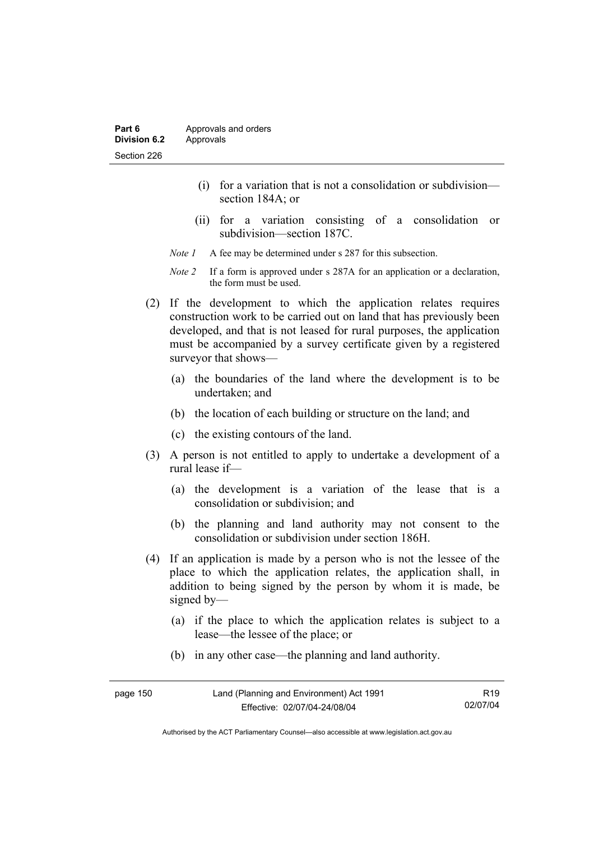- (i) for a variation that is not a consolidation or subdivision section 184A; or
- (ii) for a variation consisting of a consolidation or subdivision—section 187C.
- *Note 1* A fee may be determined under s 287 for this subsection.
- *Note 2* If a form is approved under s 287A for an application or a declaration, the form must be used.
- (2) If the development to which the application relates requires construction work to be carried out on land that has previously been developed, and that is not leased for rural purposes, the application must be accompanied by a survey certificate given by a registered surveyor that shows—
	- (a) the boundaries of the land where the development is to be undertaken; and
	- (b) the location of each building or structure on the land; and
	- (c) the existing contours of the land.
- (3) A person is not entitled to apply to undertake a development of a rural lease if—
	- (a) the development is a variation of the lease that is a consolidation or subdivision; and
	- (b) the planning and land authority may not consent to the consolidation or subdivision under section 186H.
- (4) If an application is made by a person who is not the lessee of the place to which the application relates, the application shall, in addition to being signed by the person by whom it is made, be signed by—
	- (a) if the place to which the application relates is subject to a lease—the lessee of the place; or
	- (b) in any other case—the planning and land authority.

| page 150 | Land (Planning and Environment) Act 1991 | R <sub>19</sub> |
|----------|------------------------------------------|-----------------|
|          | Effective: 02/07/04-24/08/04             | 02/07/04        |

Authorised by the ACT Parliamentary Counsel—also accessible at www.legislation.act.gov.au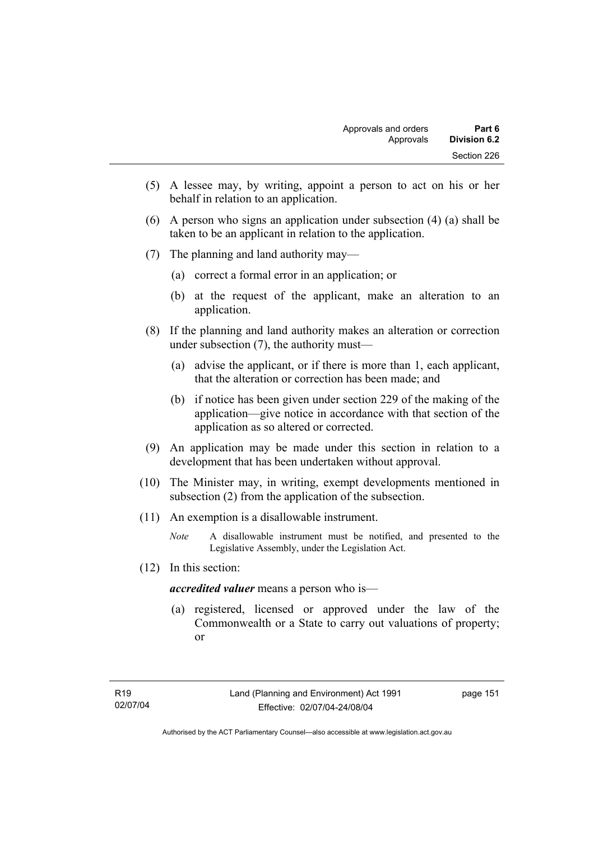- (5) A lessee may, by writing, appoint a person to act on his or her behalf in relation to an application.
- (6) A person who signs an application under subsection (4) (a) shall be taken to be an applicant in relation to the application.
- (7) The planning and land authority may—
	- (a) correct a formal error in an application; or
	- (b) at the request of the applicant, make an alteration to an application.
- (8) If the planning and land authority makes an alteration or correction under subsection (7), the authority must—
	- (a) advise the applicant, or if there is more than 1, each applicant, that the alteration or correction has been made; and
	- (b) if notice has been given under section 229 of the making of the application—give notice in accordance with that section of the application as so altered or corrected.
- (9) An application may be made under this section in relation to a development that has been undertaken without approval.
- (10) The Minister may, in writing, exempt developments mentioned in subsection (2) from the application of the subsection.
- (11) An exemption is a disallowable instrument.
	- *Note* A disallowable instrument must be notified, and presented to the Legislative Assembly, under the Legislation Act.
- (12) In this section:

*accredited valuer* means a person who is—

 (a) registered, licensed or approved under the law of the Commonwealth or a State to carry out valuations of property; or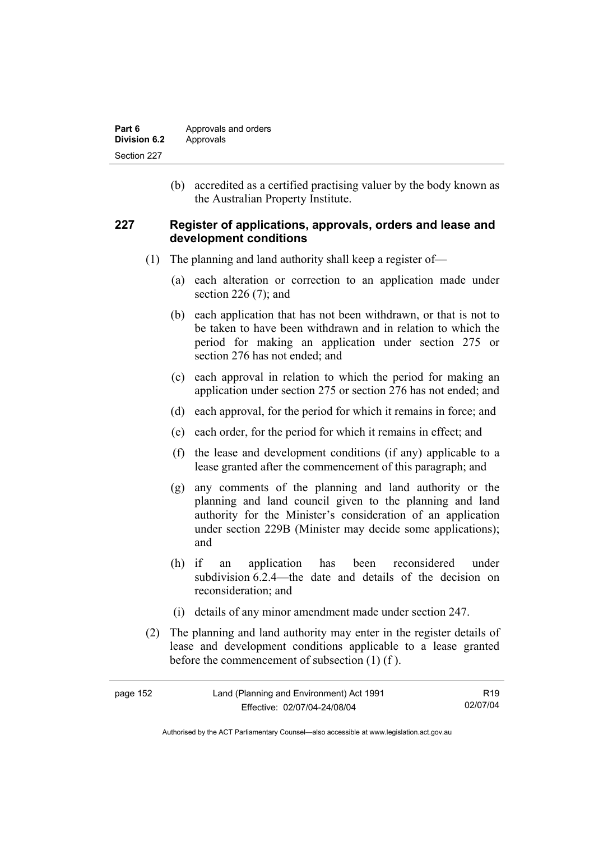| Part 6       | Approvals and orders |
|--------------|----------------------|
| Division 6.2 | Approvals            |
| Section 227  |                      |

 (b) accredited as a certified practising valuer by the body known as the Australian Property Institute.

### **227 Register of applications, approvals, orders and lease and development conditions**

- (1) The planning and land authority shall keep a register of—
	- (a) each alteration or correction to an application made under section 226 (7); and
	- (b) each application that has not been withdrawn, or that is not to be taken to have been withdrawn and in relation to which the period for making an application under section 275 or section 276 has not ended; and
	- (c) each approval in relation to which the period for making an application under section 275 or section 276 has not ended; and
	- (d) each approval, for the period for which it remains in force; and
	- (e) each order, for the period for which it remains in effect; and
	- (f) the lease and development conditions (if any) applicable to a lease granted after the commencement of this paragraph; and
	- (g) any comments of the planning and land authority or the planning and land council given to the planning and land authority for the Minister's consideration of an application under section 229B (Minister may decide some applications); and
	- (h) if an application has been reconsidered under subdivision 6.2.4—the date and details of the decision on reconsideration; and
	- (i) details of any minor amendment made under section 247.
- (2) The planning and land authority may enter in the register details of lease and development conditions applicable to a lease granted before the commencement of subsection (1) (f ).

| page 152 | Land (Planning and Environment) Act 1991 | R <sub>19</sub> |
|----------|------------------------------------------|-----------------|
|          | Effective: 02/07/04-24/08/04             | 02/07/04        |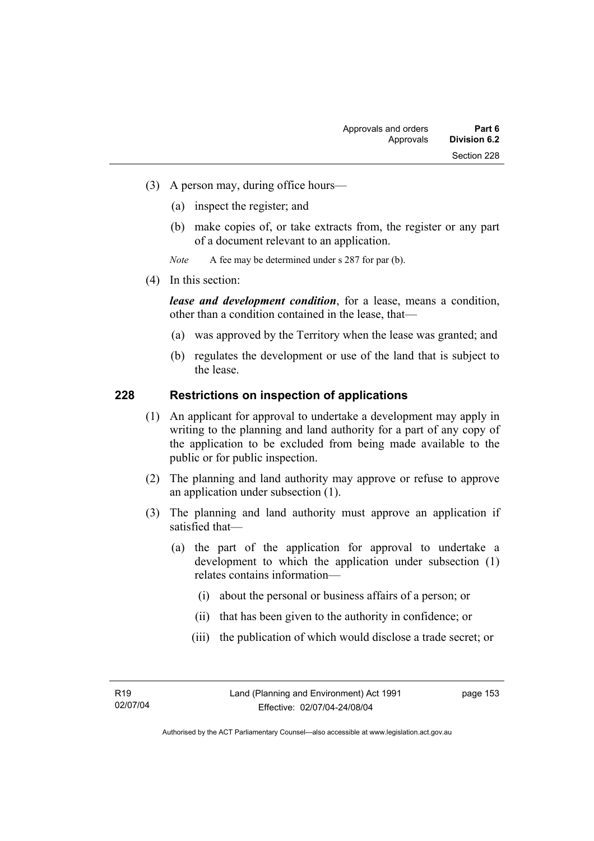- (3) A person may, during office hours—
	- (a) inspect the register; and
	- (b) make copies of, or take extracts from, the register or any part of a document relevant to an application.
	- *Note* A fee may be determined under s 287 for par (b).
- (4) In this section:

*lease and development condition*, for a lease, means a condition, other than a condition contained in the lease, that—

- (a) was approved by the Territory when the lease was granted; and
- (b) regulates the development or use of the land that is subject to the lease.

### **228 Restrictions on inspection of applications**

- (1) An applicant for approval to undertake a development may apply in writing to the planning and land authority for a part of any copy of the application to be excluded from being made available to the public or for public inspection.
- (2) The planning and land authority may approve or refuse to approve an application under subsection (1).
- (3) The planning and land authority must approve an application if satisfied that—
	- (a) the part of the application for approval to undertake a development to which the application under subsection (1) relates contains information—
		- (i) about the personal or business affairs of a person; or
		- (ii) that has been given to the authority in confidence; or
		- (iii) the publication of which would disclose a trade secret; or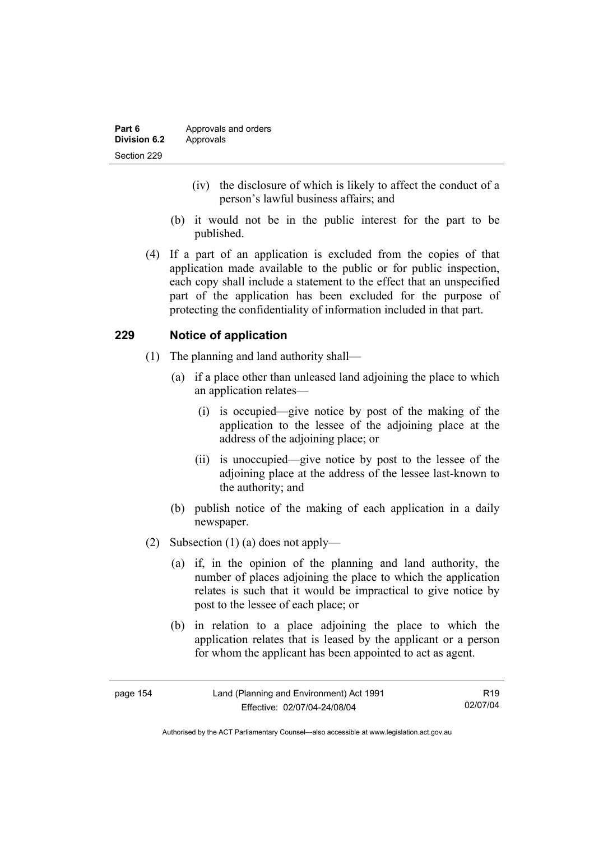- (iv) the disclosure of which is likely to affect the conduct of a person's lawful business affairs; and
- (b) it would not be in the public interest for the part to be published.
- (4) If a part of an application is excluded from the copies of that application made available to the public or for public inspection, each copy shall include a statement to the effect that an unspecified part of the application has been excluded for the purpose of protecting the confidentiality of information included in that part.

# **229 Notice of application**

- (1) The planning and land authority shall—
	- (a) if a place other than unleased land adjoining the place to which an application relates—
		- (i) is occupied—give notice by post of the making of the application to the lessee of the adjoining place at the address of the adjoining place; or
		- (ii) is unoccupied—give notice by post to the lessee of the adjoining place at the address of the lessee last-known to the authority; and
	- (b) publish notice of the making of each application in a daily newspaper.
- (2) Subsection (1) (a) does not apply—
	- (a) if, in the opinion of the planning and land authority, the number of places adjoining the place to which the application relates is such that it would be impractical to give notice by post to the lessee of each place; or
	- (b) in relation to a place adjoining the place to which the application relates that is leased by the applicant or a person for whom the applicant has been appointed to act as agent.

| page 154 | Land (Planning and Environment) Act 1991 | R <sub>19</sub> |
|----------|------------------------------------------|-----------------|
|          | Effective: 02/07/04-24/08/04             | 02/07/04        |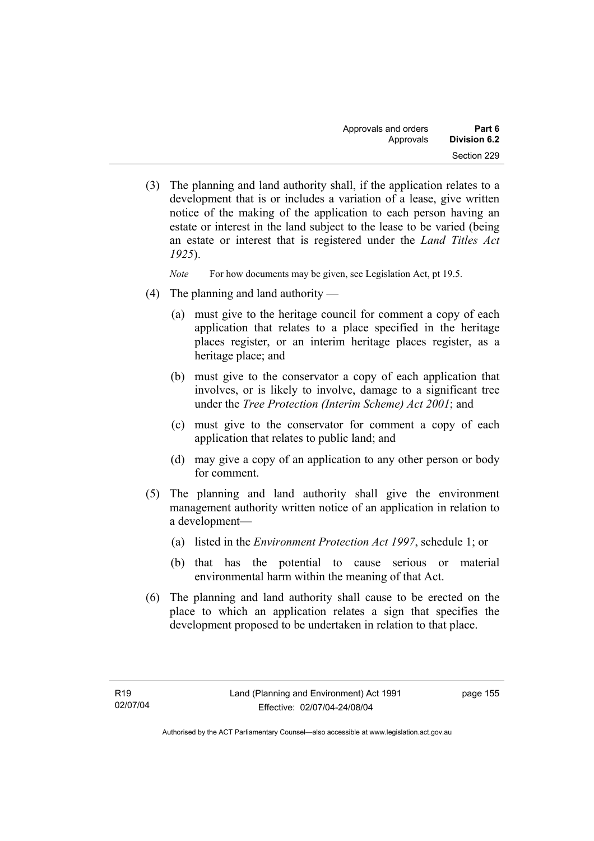(3) The planning and land authority shall, if the application relates to a development that is or includes a variation of a lease, give written notice of the making of the application to each person having an estate or interest in the land subject to the lease to be varied (being an estate or interest that is registered under the *Land Titles Act 1925*).

*Note* For how documents may be given, see Legislation Act, pt 19.5.

- (4) The planning and land authority
	- (a) must give to the heritage council for comment a copy of each application that relates to a place specified in the heritage places register, or an interim heritage places register, as a heritage place; and
	- (b) must give to the conservator a copy of each application that involves, or is likely to involve, damage to a significant tree under the *Tree Protection (Interim Scheme) Act 2001*; and
	- (c) must give to the conservator for comment a copy of each application that relates to public land; and
	- (d) may give a copy of an application to any other person or body for comment.
- (5) The planning and land authority shall give the environment management authority written notice of an application in relation to a development—
	- (a) listed in the *Environment Protection Act 1997*, schedule 1; or
	- (b) that has the potential to cause serious or material environmental harm within the meaning of that Act.
- (6) The planning and land authority shall cause to be erected on the place to which an application relates a sign that specifies the development proposed to be undertaken in relation to that place.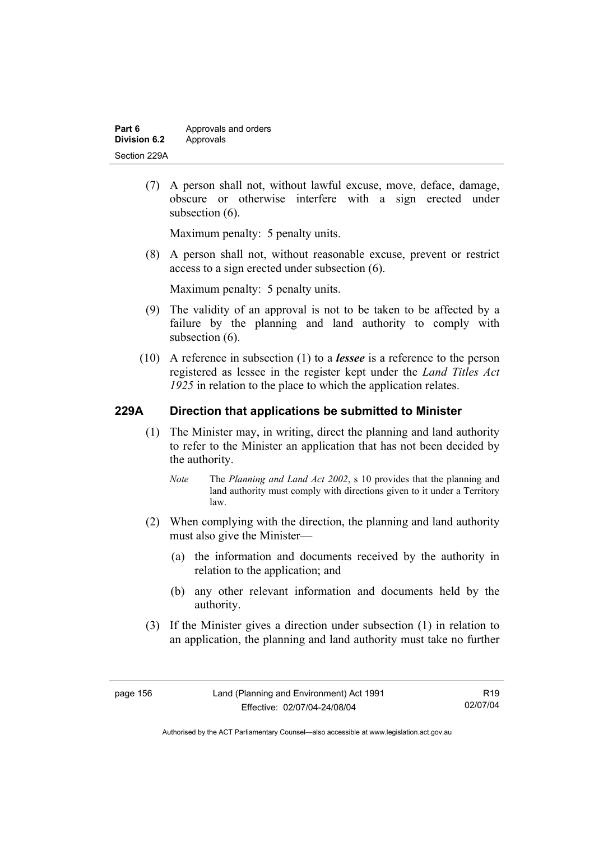| Part 6       | Approvals and orders |
|--------------|----------------------|
| Division 6.2 | Approvals            |
| Section 229A |                      |

 (7) A person shall not, without lawful excuse, move, deface, damage, obscure or otherwise interfere with a sign erected under subsection  $(6)$ .

Maximum penalty: 5 penalty units.

 (8) A person shall not, without reasonable excuse, prevent or restrict access to a sign erected under subsection (6).

Maximum penalty: 5 penalty units.

- (9) The validity of an approval is not to be taken to be affected by a failure by the planning and land authority to comply with subsection  $(6)$ .
- (10) A reference in subsection (1) to a *lessee* is a reference to the person registered as lessee in the register kept under the *Land Titles Act 1925* in relation to the place to which the application relates.

### **229A Direction that applications be submitted to Minister**

- (1) The Minister may, in writing, direct the planning and land authority to refer to the Minister an application that has not been decided by the authority.
	- *Note* The *Planning and Land Act 2002*, s 10 provides that the planning and land authority must comply with directions given to it under a Territory law.
- (2) When complying with the direction, the planning and land authority must also give the Minister—
	- (a) the information and documents received by the authority in relation to the application; and
	- (b) any other relevant information and documents held by the authority.
- (3) If the Minister gives a direction under subsection (1) in relation to an application, the planning and land authority must take no further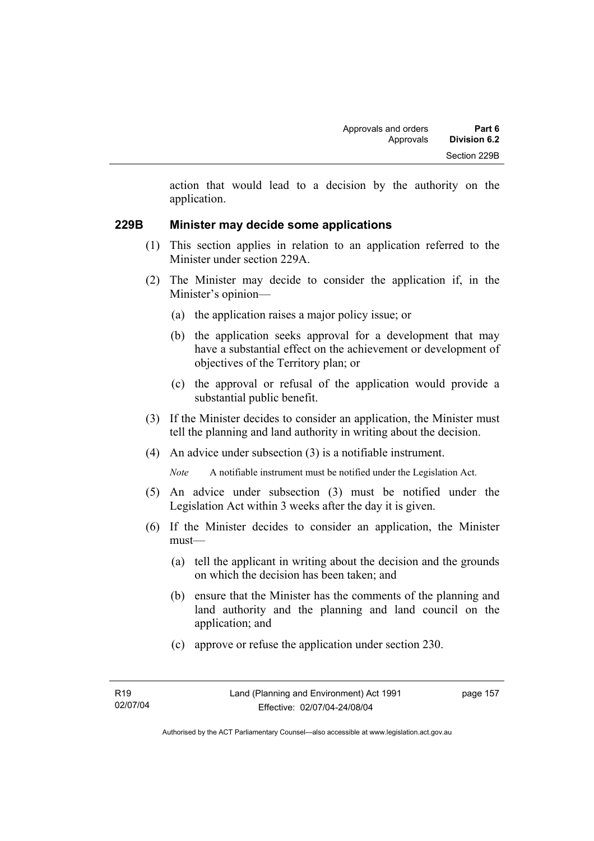action that would lead to a decision by the authority on the application.

### **229B Minister may decide some applications**

- (1) This section applies in relation to an application referred to the Minister under section 229A.
- (2) The Minister may decide to consider the application if, in the Minister's opinion—
	- (a) the application raises a major policy issue; or
	- (b) the application seeks approval for a development that may have a substantial effect on the achievement or development of objectives of the Territory plan; or
	- (c) the approval or refusal of the application would provide a substantial public benefit.
- (3) If the Minister decides to consider an application, the Minister must tell the planning and land authority in writing about the decision.
- (4) An advice under subsection (3) is a notifiable instrument.

*Note* A notifiable instrument must be notified under the Legislation Act.

- (5) An advice under subsection (3) must be notified under the Legislation Act within 3 weeks after the day it is given.
- (6) If the Minister decides to consider an application, the Minister must—
	- (a) tell the applicant in writing about the decision and the grounds on which the decision has been taken; and
	- (b) ensure that the Minister has the comments of the planning and land authority and the planning and land council on the application; and
	- (c) approve or refuse the application under section 230.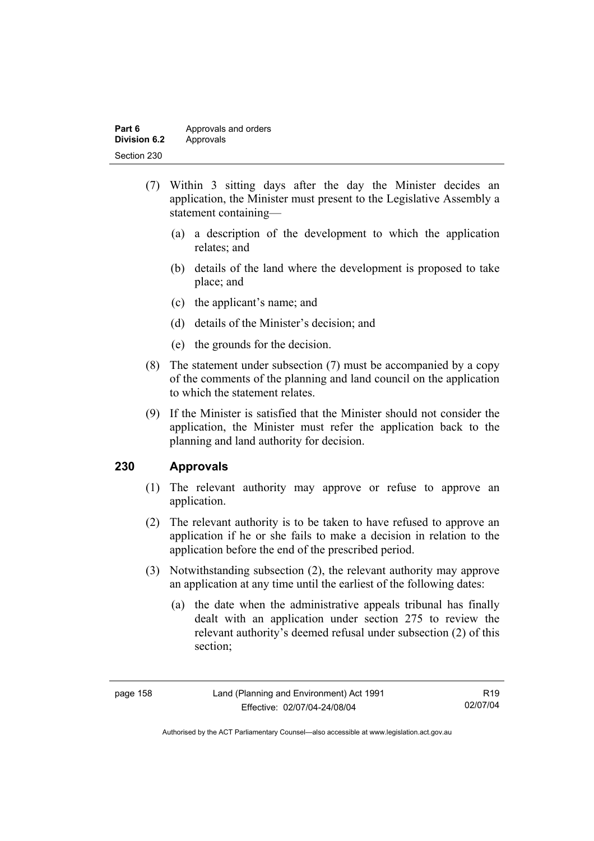| Part 6       | Approvals and orders |
|--------------|----------------------|
| Division 6.2 | Approvals            |
| Section 230  |                      |

- (7) Within 3 sitting days after the day the Minister decides an application, the Minister must present to the Legislative Assembly a statement containing—
	- (a) a description of the development to which the application relates; and
	- (b) details of the land where the development is proposed to take place; and
	- (c) the applicant's name; and
	- (d) details of the Minister's decision; and
	- (e) the grounds for the decision.
- (8) The statement under subsection (7) must be accompanied by a copy of the comments of the planning and land council on the application to which the statement relates.
- (9) If the Minister is satisfied that the Minister should not consider the application, the Minister must refer the application back to the planning and land authority for decision.

### **230 Approvals**

- (1) The relevant authority may approve or refuse to approve an application.
- (2) The relevant authority is to be taken to have refused to approve an application if he or she fails to make a decision in relation to the application before the end of the prescribed period.
- (3) Notwithstanding subsection (2), the relevant authority may approve an application at any time until the earliest of the following dates:
	- (a) the date when the administrative appeals tribunal has finally dealt with an application under section 275 to review the relevant authority's deemed refusal under subsection (2) of this section;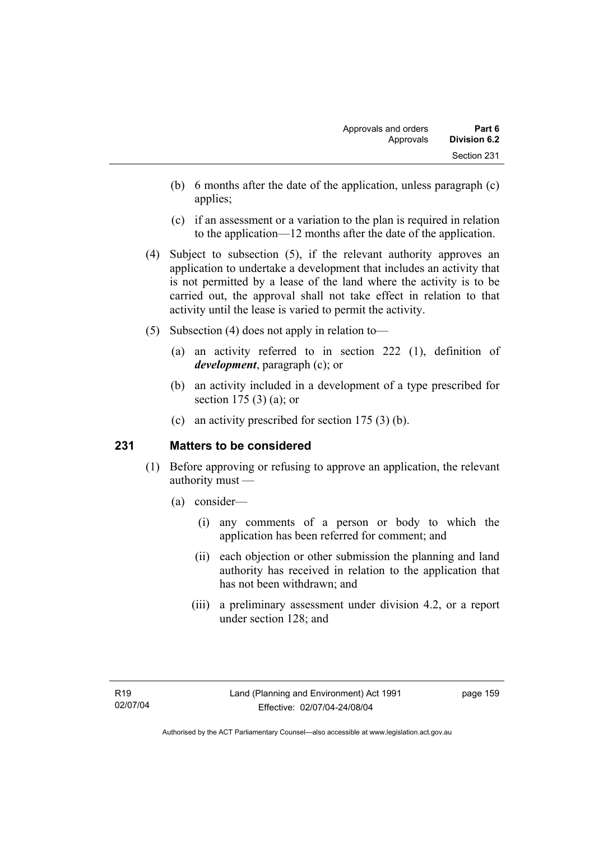- (b) 6 months after the date of the application, unless paragraph (c) applies;
- (c) if an assessment or a variation to the plan is required in relation to the application—12 months after the date of the application.
- (4) Subject to subsection (5), if the relevant authority approves an application to undertake a development that includes an activity that is not permitted by a lease of the land where the activity is to be carried out, the approval shall not take effect in relation to that activity until the lease is varied to permit the activity.
- (5) Subsection (4) does not apply in relation to—
	- (a) an activity referred to in section 222 (1), definition of *development*, paragraph (c); or
	- (b) an activity included in a development of a type prescribed for section 175 (3) (a); or
	- (c) an activity prescribed for section 175 (3) (b).

# **231 Matters to be considered**

- (1) Before approving or refusing to approve an application, the relevant authority must —
	- (a) consider—
		- (i) any comments of a person or body to which the application has been referred for comment; and
		- (ii) each objection or other submission the planning and land authority has received in relation to the application that has not been withdrawn; and
		- (iii) a preliminary assessment under division 4.2, or a report under section 128; and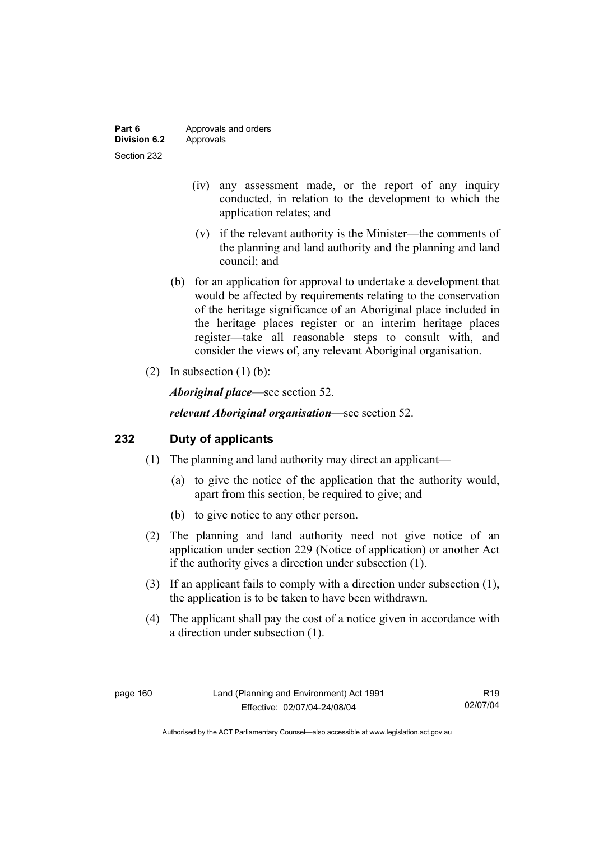| Part 6       | Approvals and orders |
|--------------|----------------------|
| Division 6.2 | Approvals            |
| Section 232  |                      |

- (iv) any assessment made, or the report of any inquiry conducted, in relation to the development to which the application relates; and
- (v) if the relevant authority is the Minister—the comments of the planning and land authority and the planning and land council; and
- (b) for an application for approval to undertake a development that would be affected by requirements relating to the conservation of the heritage significance of an Aboriginal place included in the heritage places register or an interim heritage places register—take all reasonable steps to consult with, and consider the views of, any relevant Aboriginal organisation.
- (2) In subsection  $(1)$  (b):

*Aboriginal place*—see section 52.

*relevant Aboriginal organisation*—see section 52.

### **232 Duty of applicants**

- (1) The planning and land authority may direct an applicant—
	- (a) to give the notice of the application that the authority would, apart from this section, be required to give; and
	- (b) to give notice to any other person.
- (2) The planning and land authority need not give notice of an application under section 229 (Notice of application) or another Act if the authority gives a direction under subsection (1).
- (3) If an applicant fails to comply with a direction under subsection (1), the application is to be taken to have been withdrawn.
- (4) The applicant shall pay the cost of a notice given in accordance with a direction under subsection (1).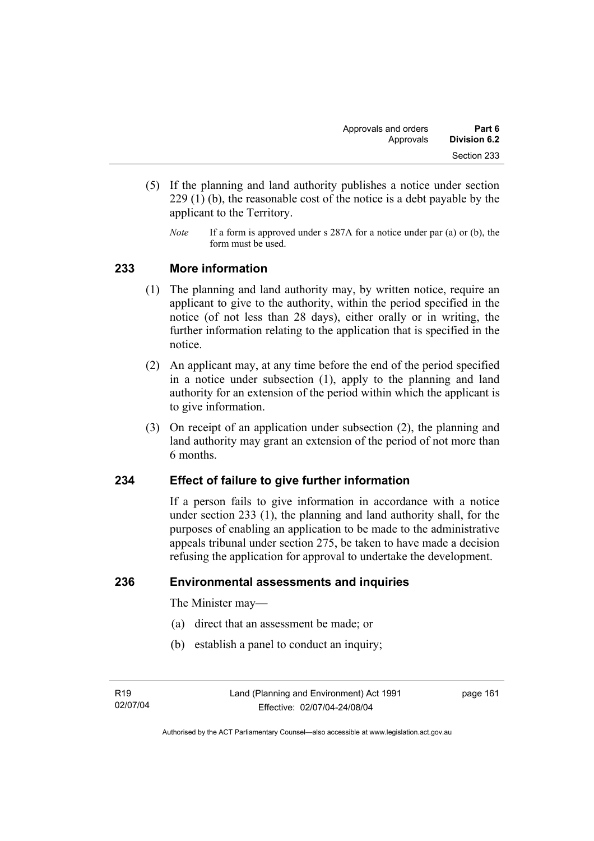- (5) If the planning and land authority publishes a notice under section 229 (1) (b), the reasonable cost of the notice is a debt payable by the applicant to the Territory.
	- *Note* If a form is approved under s 287A for a notice under par (a) or (b), the form must be used.

### **233 More information**

- (1) The planning and land authority may, by written notice, require an applicant to give to the authority, within the period specified in the notice (of not less than 28 days), either orally or in writing, the further information relating to the application that is specified in the notice.
- (2) An applicant may, at any time before the end of the period specified in a notice under subsection (1), apply to the planning and land authority for an extension of the period within which the applicant is to give information.
- (3) On receipt of an application under subsection (2), the planning and land authority may grant an extension of the period of not more than 6 months.

# **234 Effect of failure to give further information**

If a person fails to give information in accordance with a notice under section 233 (1), the planning and land authority shall, for the purposes of enabling an application to be made to the administrative appeals tribunal under section 275, be taken to have made a decision refusing the application for approval to undertake the development.

### **236 Environmental assessments and inquiries**

The Minister may—

- (a) direct that an assessment be made; or
- (b) establish a panel to conduct an inquiry;

Authorised by the ACT Parliamentary Counsel—also accessible at www.legislation.act.gov.au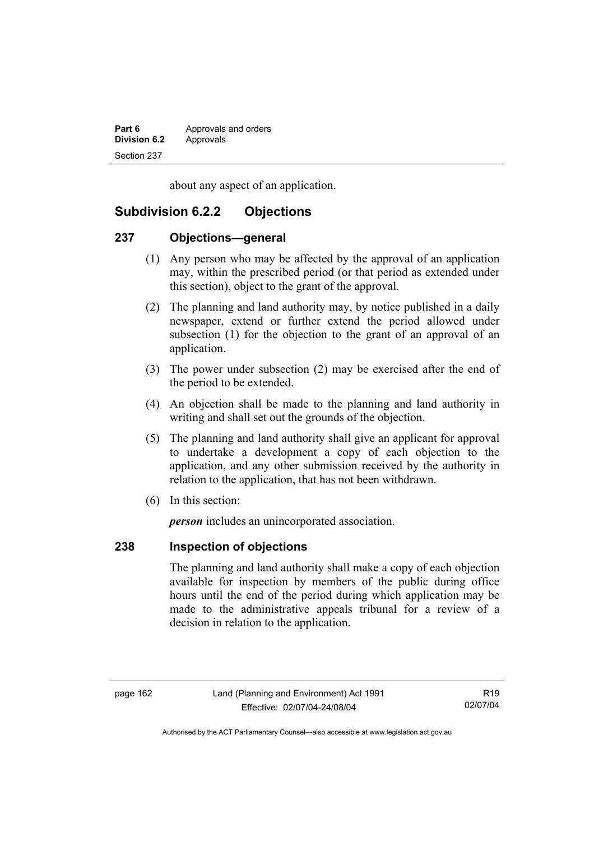| Part 6              | Approvals and orders |
|---------------------|----------------------|
| <b>Division 6.2</b> | Approvals            |
| Section 237         |                      |

about any aspect of an application.

# **Subdivision 6.2.2 Objections**

### **237 Objections—general**

- (1) Any person who may be affected by the approval of an application may, within the prescribed period (or that period as extended under this section), object to the grant of the approval.
- (2) The planning and land authority may, by notice published in a daily newspaper, extend or further extend the period allowed under subsection (1) for the objection to the grant of an approval of an application.
- (3) The power under subsection (2) may be exercised after the end of the period to be extended.
- (4) An objection shall be made to the planning and land authority in writing and shall set out the grounds of the objection.
- (5) The planning and land authority shall give an applicant for approval to undertake a development a copy of each objection to the application, and any other submission received by the authority in relation to the application, that has not been withdrawn.
- (6) In this section:

*person* includes an unincorporated association.

# **238 Inspection of objections**

The planning and land authority shall make a copy of each objection available for inspection by members of the public during office hours until the end of the period during which application may be made to the administrative appeals tribunal for a review of a decision in relation to the application.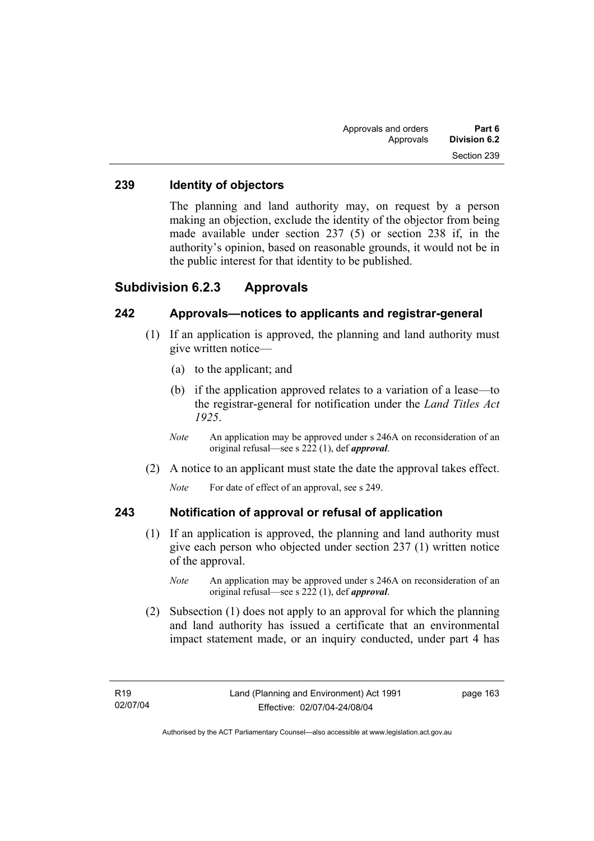### **239 Identity of objectors**

The planning and land authority may, on request by a person making an objection, exclude the identity of the objector from being made available under section 237 (5) or section 238 if, in the authority's opinion, based on reasonable grounds, it would not be in the public interest for that identity to be published.

### **Subdivision 6.2.3 Approvals**

## **242 Approvals—notices to applicants and registrar-general**

- (1) If an application is approved, the planning and land authority must give written notice—
	- (a) to the applicant; and
	- (b) if the application approved relates to a variation of a lease—to the registrar-general for notification under the *Land Titles Act 1925*.
	- *Note* An application may be approved under s 246A on reconsideration of an original refusal—see s 222 (1), def *approval*.
- (2) A notice to an applicant must state the date the approval takes effect.

*Note* For date of effect of an approval, see s 249.

### **243 Notification of approval or refusal of application**

- (1) If an application is approved, the planning and land authority must give each person who objected under section 237 (1) written notice of the approval.
	- *Note* An application may be approved under s 246A on reconsideration of an original refusal—see s 222 (1), def *approval*.
- (2) Subsection (1) does not apply to an approval for which the planning and land authority has issued a certificate that an environmental impact statement made, or an inquiry conducted, under part 4 has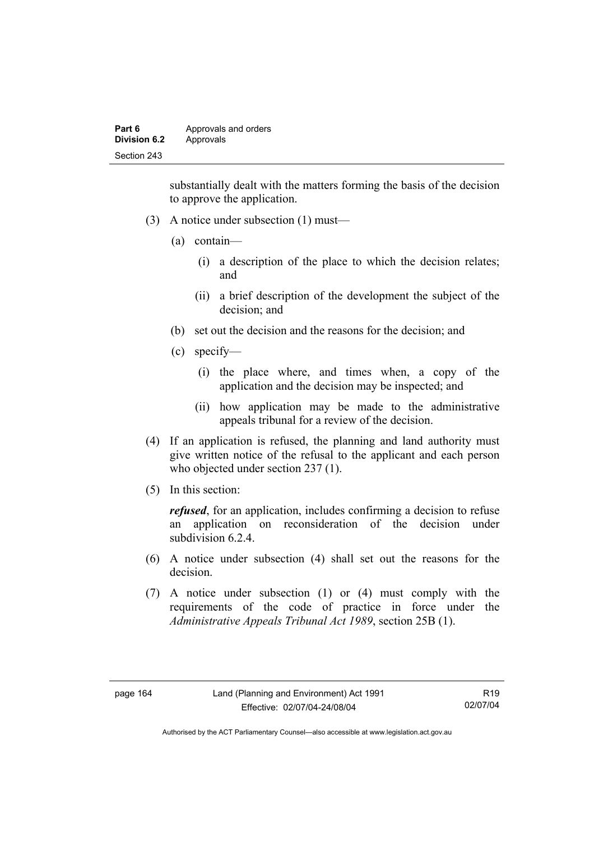| Part 6              | Approvals and orders |
|---------------------|----------------------|
| <b>Division 6.2</b> | Approvals            |
| Section 243         |                      |

substantially dealt with the matters forming the basis of the decision to approve the application.

- (3) A notice under subsection (1) must—
	- (a) contain—
		- (i) a description of the place to which the decision relates; and
		- (ii) a brief description of the development the subject of the decision; and
	- (b) set out the decision and the reasons for the decision; and
	- (c) specify—
		- (i) the place where, and times when, a copy of the application and the decision may be inspected; and
		- (ii) how application may be made to the administrative appeals tribunal for a review of the decision.
- (4) If an application is refused, the planning and land authority must give written notice of the refusal to the applicant and each person who objected under section 237 (1).
- (5) In this section:

*refused*, for an application, includes confirming a decision to refuse an application on reconsideration of the decision under subdivision 6.2.4

- (6) A notice under subsection (4) shall set out the reasons for the decision.
- (7) A notice under subsection (1) or (4) must comply with the requirements of the code of practice in force under the *Administrative Appeals Tribunal Act 1989*, section 25B (1).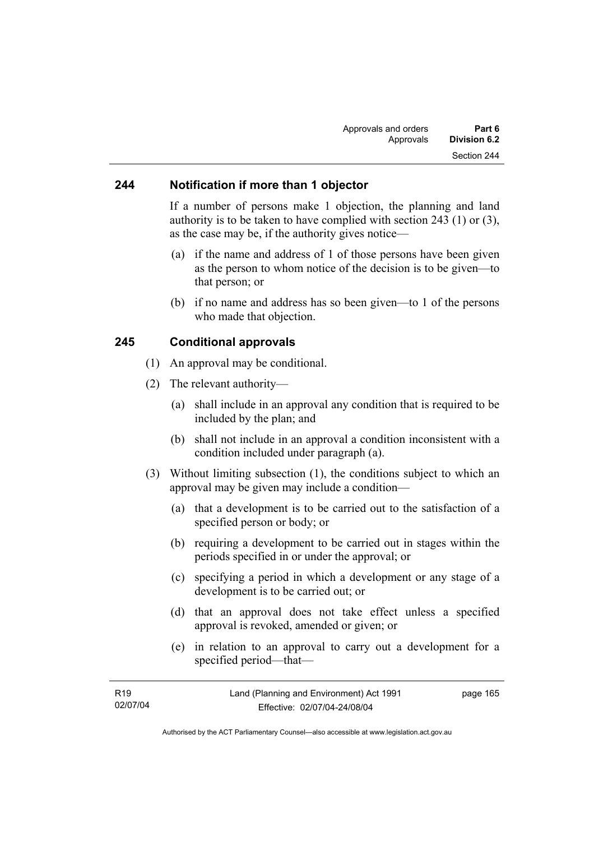### **244 Notification if more than 1 objector**

If a number of persons make 1 objection, the planning and land authority is to be taken to have complied with section 243 (1) or (3), as the case may be, if the authority gives notice—

- (a) if the name and address of 1 of those persons have been given as the person to whom notice of the decision is to be given—to that person; or
- (b) if no name and address has so been given—to 1 of the persons who made that objection.

### **245 Conditional approvals**

- (1) An approval may be conditional.
- (2) The relevant authority—
	- (a) shall include in an approval any condition that is required to be included by the plan; and
	- (b) shall not include in an approval a condition inconsistent with a condition included under paragraph (a).
- (3) Without limiting subsection (1), the conditions subject to which an approval may be given may include a condition—
	- (a) that a development is to be carried out to the satisfaction of a specified person or body; or
	- (b) requiring a development to be carried out in stages within the periods specified in or under the approval; or
	- (c) specifying a period in which a development or any stage of a development is to be carried out; or
	- (d) that an approval does not take effect unless a specified approval is revoked, amended or given; or
	- (e) in relation to an approval to carry out a development for a specified period—that—

| R <sub>19</sub> | Land (Planning and Environment) Act 1991 | page 165 |
|-----------------|------------------------------------------|----------|
| 02/07/04        | Effective: 02/07/04-24/08/04             |          |
|                 |                                          |          |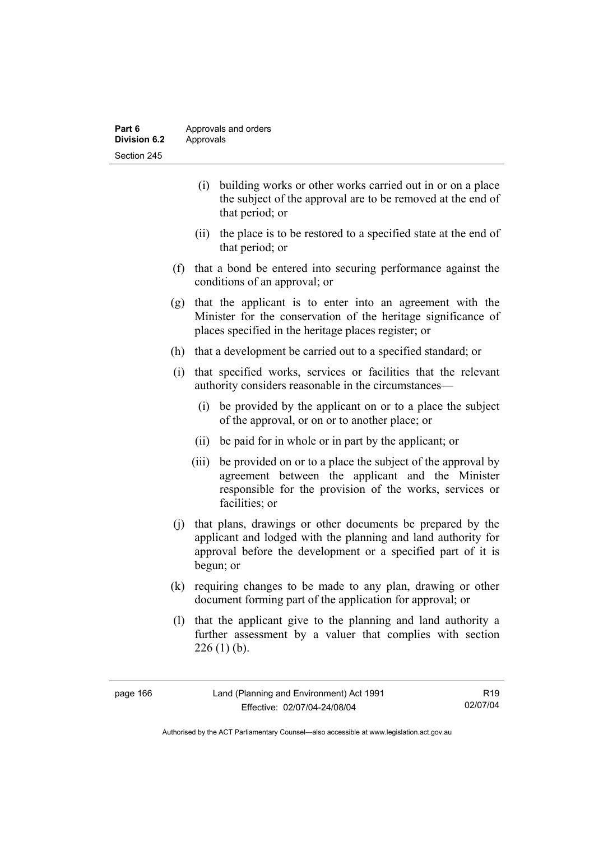| Part 6       | Approvals and orders |
|--------------|----------------------|
| Division 6.2 | Approvals            |
| Section 245  |                      |

- (i) building works or other works carried out in or on a place the subject of the approval are to be removed at the end of that period; or
- (ii) the place is to be restored to a specified state at the end of that period; or
- (f) that a bond be entered into securing performance against the conditions of an approval; or
- (g) that the applicant is to enter into an agreement with the Minister for the conservation of the heritage significance of places specified in the heritage places register; or
- (h) that a development be carried out to a specified standard; or
- (i) that specified works, services or facilities that the relevant authority considers reasonable in the circumstances—
	- (i) be provided by the applicant on or to a place the subject of the approval, or on or to another place; or
	- (ii) be paid for in whole or in part by the applicant; or
	- (iii) be provided on or to a place the subject of the approval by agreement between the applicant and the Minister responsible for the provision of the works, services or facilities; or
- (j) that plans, drawings or other documents be prepared by the applicant and lodged with the planning and land authority for approval before the development or a specified part of it is begun; or
- (k) requiring changes to be made to any plan, drawing or other document forming part of the application for approval; or
- (l) that the applicant give to the planning and land authority a further assessment by a valuer that complies with section  $226$  (1) (b).

| page 166 |  |
|----------|--|
|----------|--|

R19 02/07/04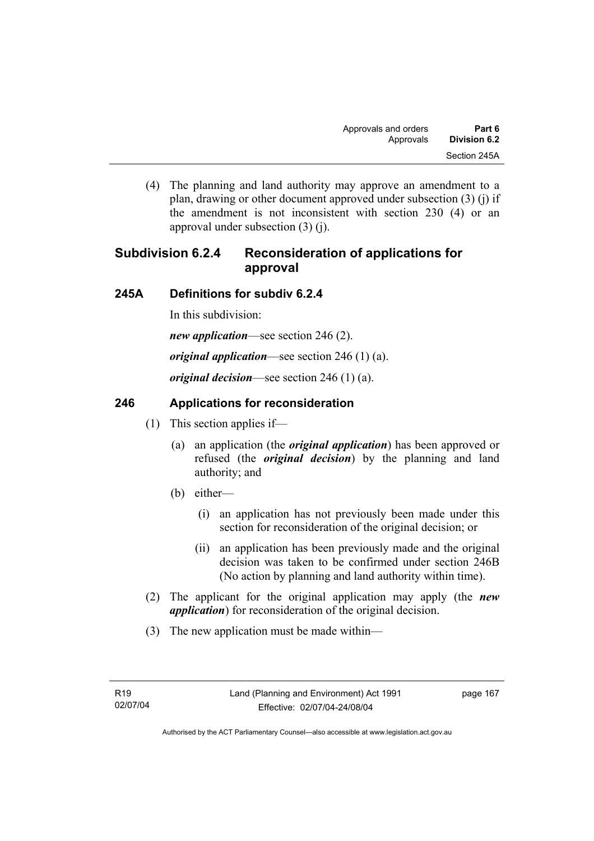(4) The planning and land authority may approve an amendment to a plan, drawing or other document approved under subsection (3) (j) if the amendment is not inconsistent with section 230 (4) or an approval under subsection (3) (j).

# **Subdivision 6.2.4 Reconsideration of applications for approval**

# **245A Definitions for subdiv 6.2.4**

In this subdivision:

*new application*—see section 246 (2).

*original application*—see section 246 (1) (a).

*original decision*—see section 246 (1) (a).

# **246 Applications for reconsideration**

- (1) This section applies if—
	- (a) an application (the *original application*) has been approved or refused (the *original decision*) by the planning and land authority; and
	- (b) either—
		- (i) an application has not previously been made under this section for reconsideration of the original decision; or
		- (ii) an application has been previously made and the original decision was taken to be confirmed under section 246B (No action by planning and land authority within time).
- (2) The applicant for the original application may apply (the *new application*) for reconsideration of the original decision.
- (3) The new application must be made within—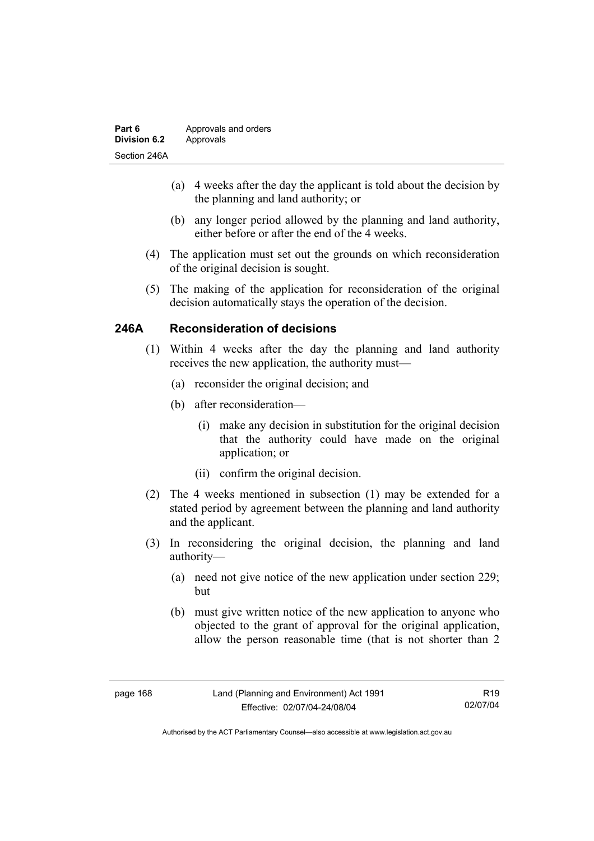| Part 6              | Approvals and orders |
|---------------------|----------------------|
| <b>Division 6.2</b> | Approvals            |
| Section 246A        |                      |

- (a) 4 weeks after the day the applicant is told about the decision by the planning and land authority; or
- (b) any longer period allowed by the planning and land authority, either before or after the end of the 4 weeks.
- (4) The application must set out the grounds on which reconsideration of the original decision is sought.
- (5) The making of the application for reconsideration of the original decision automatically stays the operation of the decision.

# **246A Reconsideration of decisions**

- (1) Within 4 weeks after the day the planning and land authority receives the new application, the authority must—
	- (a) reconsider the original decision; and
	- (b) after reconsideration—
		- (i) make any decision in substitution for the original decision that the authority could have made on the original application; or
		- (ii) confirm the original decision.
- (2) The 4 weeks mentioned in subsection (1) may be extended for a stated period by agreement between the planning and land authority and the applicant.
- (3) In reconsidering the original decision, the planning and land authority—
	- (a) need not give notice of the new application under section 229; but
	- (b) must give written notice of the new application to anyone who objected to the grant of approval for the original application, allow the person reasonable time (that is not shorter than 2

R19 02/07/04

Authorised by the ACT Parliamentary Counsel—also accessible at www.legislation.act.gov.au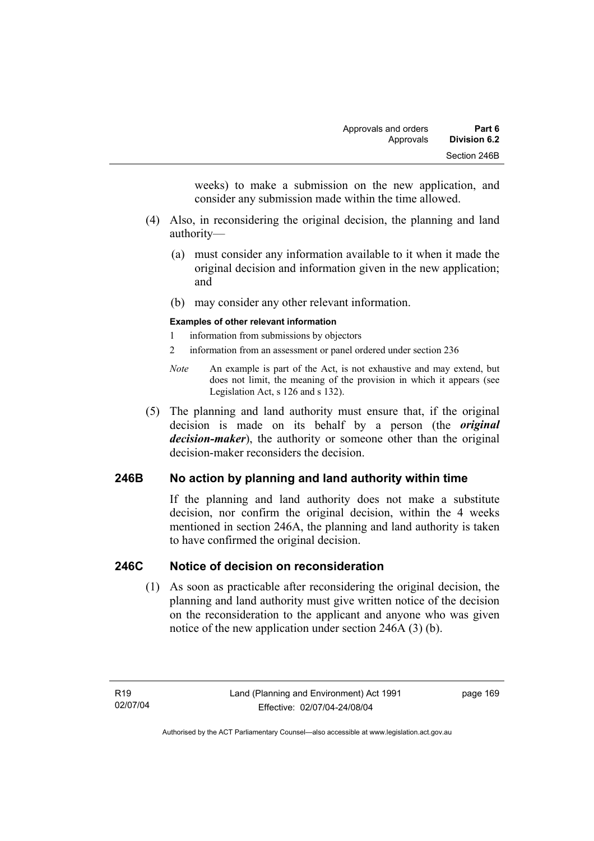weeks) to make a submission on the new application, and consider any submission made within the time allowed.

- (4) Also, in reconsidering the original decision, the planning and land authority—
	- (a) must consider any information available to it when it made the original decision and information given in the new application; and
	- (b) may consider any other relevant information.

#### **Examples of other relevant information**

- 1 information from submissions by objectors
- 2 information from an assessment or panel ordered under section 236
- *Note* An example is part of the Act, is not exhaustive and may extend, but does not limit, the meaning of the provision in which it appears (see Legislation Act, s 126 and s 132).
- (5) The planning and land authority must ensure that, if the original decision is made on its behalf by a person (the *original decision-maker*), the authority or someone other than the original decision-maker reconsiders the decision.

# **246B No action by planning and land authority within time**

If the planning and land authority does not make a substitute decision, nor confirm the original decision, within the 4 weeks mentioned in section 246A, the planning and land authority is taken to have confirmed the original decision.

### **246C Notice of decision on reconsideration**

 (1) As soon as practicable after reconsidering the original decision, the planning and land authority must give written notice of the decision on the reconsideration to the applicant and anyone who was given notice of the new application under section 246A (3) (b).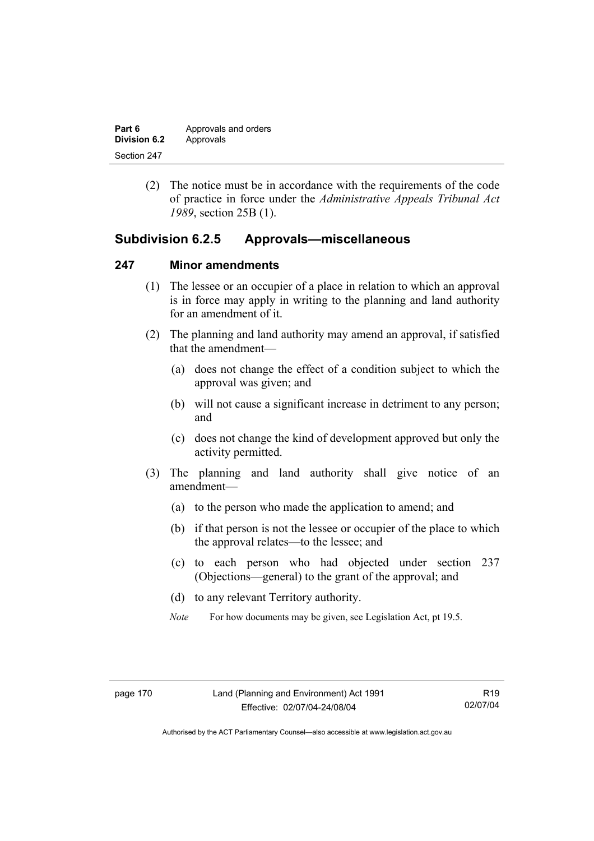| Part 6       | Approvals and orders |
|--------------|----------------------|
| Division 6.2 | Approvals            |
| Section 247  |                      |

 (2) The notice must be in accordance with the requirements of the code of practice in force under the *Administrative Appeals Tribunal Act 1989*, section 25B (1).

# **Subdivision 6.2.5 Approvals—miscellaneous**

### **247 Minor amendments**

- (1) The lessee or an occupier of a place in relation to which an approval is in force may apply in writing to the planning and land authority for an amendment of it.
- (2) The planning and land authority may amend an approval, if satisfied that the amendment—
	- (a) does not change the effect of a condition subject to which the approval was given; and
	- (b) will not cause a significant increase in detriment to any person; and
	- (c) does not change the kind of development approved but only the activity permitted.
- (3) The planning and land authority shall give notice of an amendment—
	- (a) to the person who made the application to amend; and
	- (b) if that person is not the lessee or occupier of the place to which the approval relates—to the lessee; and
	- (c) to each person who had objected under section 237 (Objections—general) to the grant of the approval; and
	- (d) to any relevant Territory authority.
	- *Note* For how documents may be given, see Legislation Act, pt 19.5.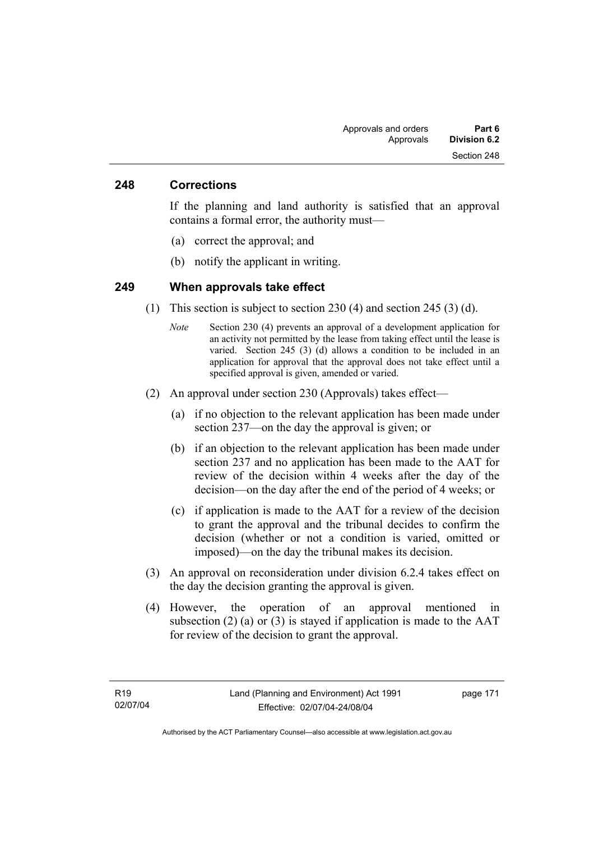### **248 Corrections**

If the planning and land authority is satisfied that an approval contains a formal error, the authority must—

- (a) correct the approval; and
- (b) notify the applicant in writing.

### **249 When approvals take effect**

- (1) This section is subject to section 230 (4) and section 245 (3) (d).
	- *Note* Section 230 (4) prevents an approval of a development application for an activity not permitted by the lease from taking effect until the lease is varied. Section 245 (3) (d) allows a condition to be included in an application for approval that the approval does not take effect until a specified approval is given, amended or varied.
- (2) An approval under section 230 (Approvals) takes effect—
	- (a) if no objection to the relevant application has been made under section 237—on the day the approval is given; or
	- (b) if an objection to the relevant application has been made under section 237 and no application has been made to the AAT for review of the decision within 4 weeks after the day of the decision—on the day after the end of the period of 4 weeks; or
	- (c) if application is made to the AAT for a review of the decision to grant the approval and the tribunal decides to confirm the decision (whether or not a condition is varied, omitted or imposed)—on the day the tribunal makes its decision.
- (3) An approval on reconsideration under division 6.2.4 takes effect on the day the decision granting the approval is given.
- (4) However, the operation of an approval mentioned in subsection (2) (a) or (3) is stayed if application is made to the  $AAT$ for review of the decision to grant the approval.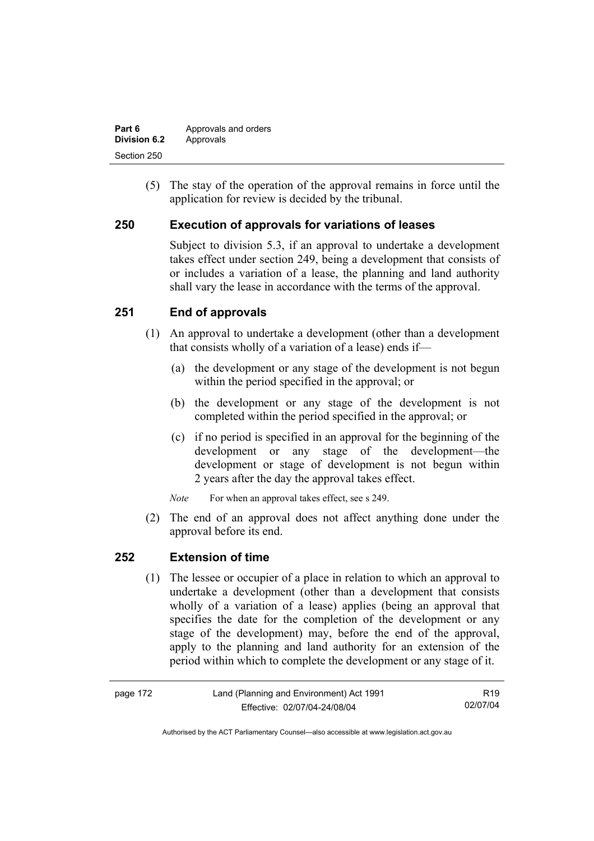| Part 6       | Approvals and orders |
|--------------|----------------------|
| Division 6.2 | Approvals            |
| Section 250  |                      |

 (5) The stay of the operation of the approval remains in force until the application for review is decided by the tribunal.

# **250 Execution of approvals for variations of leases**

Subject to division 5.3, if an approval to undertake a development takes effect under section 249, being a development that consists of or includes a variation of a lease, the planning and land authority shall vary the lease in accordance with the terms of the approval.

# **251 End of approvals**

- (1) An approval to undertake a development (other than a development that consists wholly of a variation of a lease) ends if—
	- (a) the development or any stage of the development is not begun within the period specified in the approval; or
	- (b) the development or any stage of the development is not completed within the period specified in the approval; or
	- (c) if no period is specified in an approval for the beginning of the development or any stage of the development—the development or stage of development is not begun within 2 years after the day the approval takes effect.

*Note* For when an approval takes effect, see s 249.

 (2) The end of an approval does not affect anything done under the approval before its end.

### **252 Extension of time**

 (1) The lessee or occupier of a place in relation to which an approval to undertake a development (other than a development that consists wholly of a variation of a lease) applies (being an approval that specifies the date for the completion of the development or any stage of the development) may, before the end of the approval, apply to the planning and land authority for an extension of the period within which to complete the development or any stage of it.

| page 172 | Land (Planning and Environment) Act 1991 | R19      |
|----------|------------------------------------------|----------|
|          | Effective: 02/07/04-24/08/04             | 02/07/04 |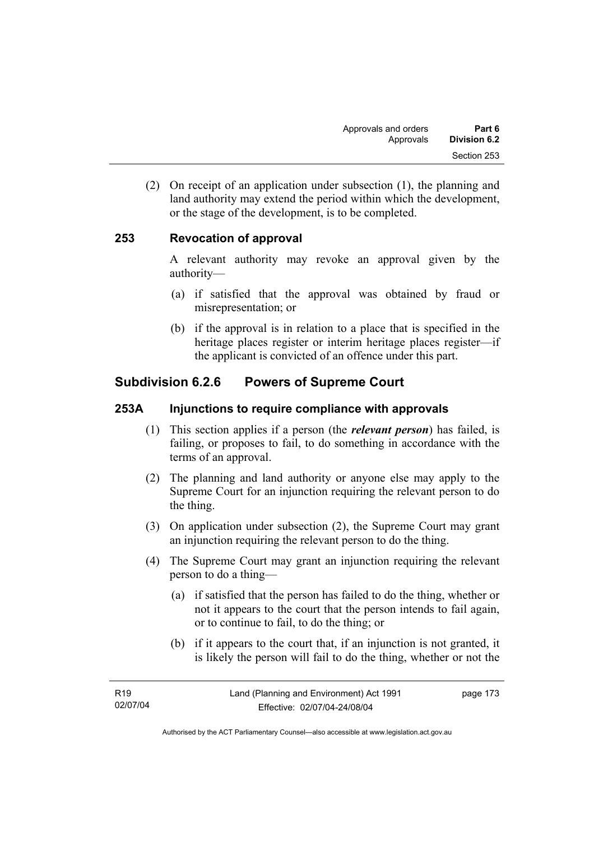(2) On receipt of an application under subsection (1), the planning and land authority may extend the period within which the development, or the stage of the development, is to be completed.

# **253 Revocation of approval**

A relevant authority may revoke an approval given by the authority—

- (a) if satisfied that the approval was obtained by fraud or misrepresentation; or
- (b) if the approval is in relation to a place that is specified in the heritage places register or interim heritage places register—if the applicant is convicted of an offence under this part.

# **Subdivision 6.2.6 Powers of Supreme Court**

# **253A Injunctions to require compliance with approvals**

- (1) This section applies if a person (the *relevant person*) has failed, is failing, or proposes to fail, to do something in accordance with the terms of an approval.
- (2) The planning and land authority or anyone else may apply to the Supreme Court for an injunction requiring the relevant person to do the thing.
- (3) On application under subsection (2), the Supreme Court may grant an injunction requiring the relevant person to do the thing.
- (4) The Supreme Court may grant an injunction requiring the relevant person to do a thing—
	- (a) if satisfied that the person has failed to do the thing, whether or not it appears to the court that the person intends to fail again, or to continue to fail, to do the thing; or
	- (b) if it appears to the court that, if an injunction is not granted, it is likely the person will fail to do the thing, whether or not the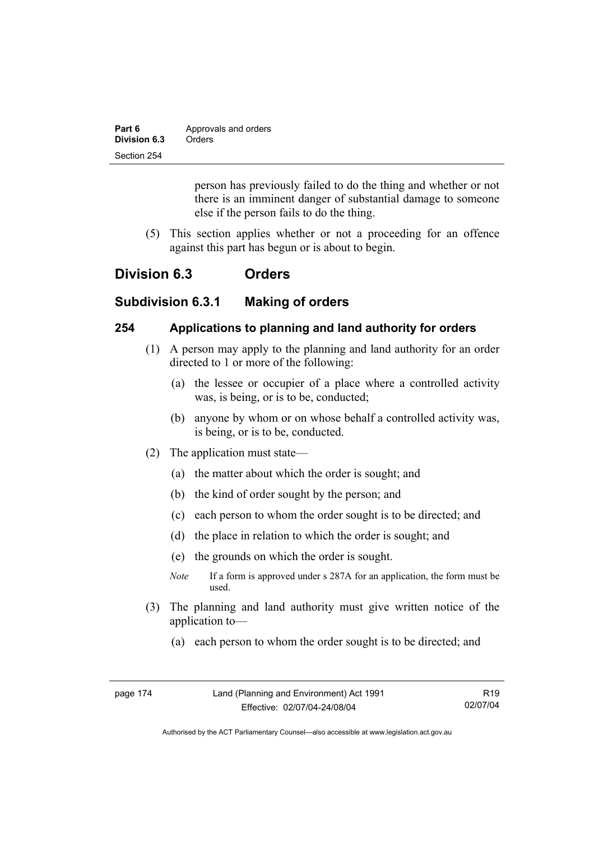| Part 6       | Approvals and orders |
|--------------|----------------------|
| Division 6.3 | Orders               |
| Section 254  |                      |

person has previously failed to do the thing and whether or not there is an imminent danger of substantial damage to someone else if the person fails to do the thing.

 (5) This section applies whether or not a proceeding for an offence against this part has begun or is about to begin.

# **Division 6.3 Orders**

# **Subdivision 6.3.1 Making of orders**

### **254 Applications to planning and land authority for orders**

- (1) A person may apply to the planning and land authority for an order directed to 1 or more of the following:
	- (a) the lessee or occupier of a place where a controlled activity was, is being, or is to be, conducted;
	- (b) anyone by whom or on whose behalf a controlled activity was, is being, or is to be, conducted.
- (2) The application must state—
	- (a) the matter about which the order is sought; and
	- (b) the kind of order sought by the person; and
	- (c) each person to whom the order sought is to be directed; and
	- (d) the place in relation to which the order is sought; and
	- (e) the grounds on which the order is sought.
	- *Note* If a form is approved under s 287A for an application, the form must be used.
- (3) The planning and land authority must give written notice of the application to—
	- (a) each person to whom the order sought is to be directed; and

| page 174 | Land (Planning and Environment) Act 1991 | R <sub>19</sub> |
|----------|------------------------------------------|-----------------|
|          | Effective: 02/07/04-24/08/04             | 02/07/04        |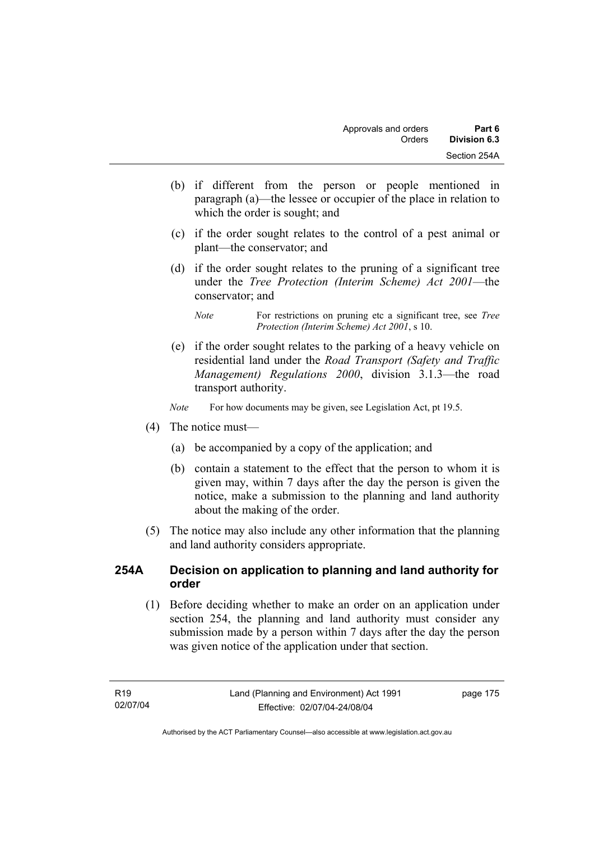- (b) if different from the person or people mentioned in paragraph (a)—the lessee or occupier of the place in relation to which the order is sought; and
- (c) if the order sought relates to the control of a pest animal or plant—the conservator; and
- (d) if the order sought relates to the pruning of a significant tree under the *Tree Protection (Interim Scheme) Act 2001*—the conservator; and

 (e) if the order sought relates to the parking of a heavy vehicle on residential land under the *Road Transport (Safety and Traffic Management) Regulations 2000*, division 3.1.3—the road transport authority.

*Note* For how documents may be given, see Legislation Act, pt 19.5.

- (4) The notice must—
	- (a) be accompanied by a copy of the application; and
	- (b) contain a statement to the effect that the person to whom it is given may, within 7 days after the day the person is given the notice, make a submission to the planning and land authority about the making of the order.
- (5) The notice may also include any other information that the planning and land authority considers appropriate.

# **254A Decision on application to planning and land authority for order**

 (1) Before deciding whether to make an order on an application under section 254, the planning and land authority must consider any submission made by a person within 7 days after the day the person was given notice of the application under that section.

*Note* For restrictions on pruning etc a significant tree, see *Tree Protection (Interim Scheme) Act 2001*, s 10.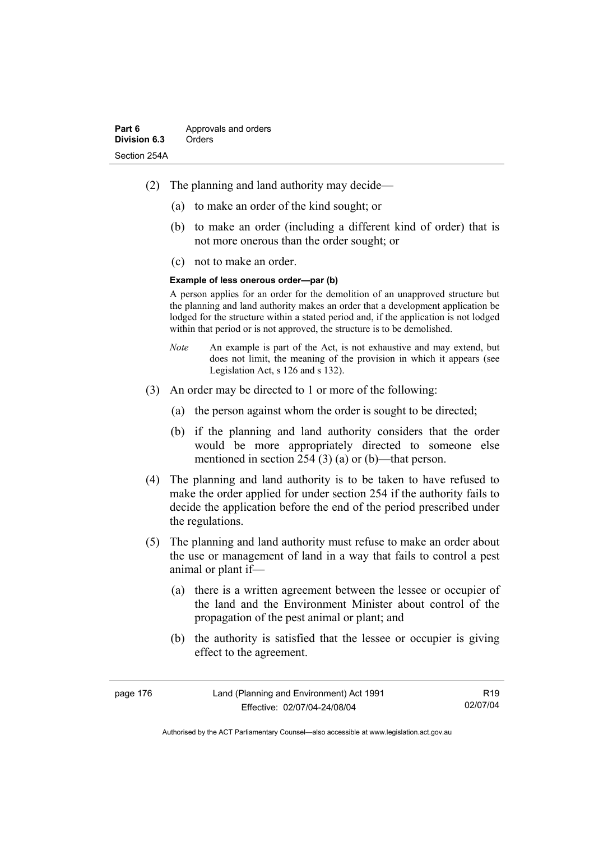- (2) The planning and land authority may decide—
	- (a) to make an order of the kind sought; or
	- (b) to make an order (including a different kind of order) that is not more onerous than the order sought; or
	- (c) not to make an order.

#### **Example of less onerous order—par (b)**

A person applies for an order for the demolition of an unapproved structure but the planning and land authority makes an order that a development application be lodged for the structure within a stated period and, if the application is not lodged within that period or is not approved, the structure is to be demolished.

- *Note* An example is part of the Act, is not exhaustive and may extend, but does not limit, the meaning of the provision in which it appears (see Legislation Act, s 126 and s 132).
- (3) An order may be directed to 1 or more of the following:
	- (a) the person against whom the order is sought to be directed;
	- (b) if the planning and land authority considers that the order would be more appropriately directed to someone else mentioned in section 254 (3) (a) or (b)—that person.
- (4) The planning and land authority is to be taken to have refused to make the order applied for under section 254 if the authority fails to decide the application before the end of the period prescribed under the regulations.
- (5) The planning and land authority must refuse to make an order about the use or management of land in a way that fails to control a pest animal or plant if—
	- (a) there is a written agreement between the lessee or occupier of the land and the Environment Minister about control of the propagation of the pest animal or plant; and
	- (b) the authority is satisfied that the lessee or occupier is giving effect to the agreement.

| page 176 | Land (Planning and Environment) Act 1991 | R <sub>19</sub> |
|----------|------------------------------------------|-----------------|
|          | Effective: 02/07/04-24/08/04             | 02/07/04        |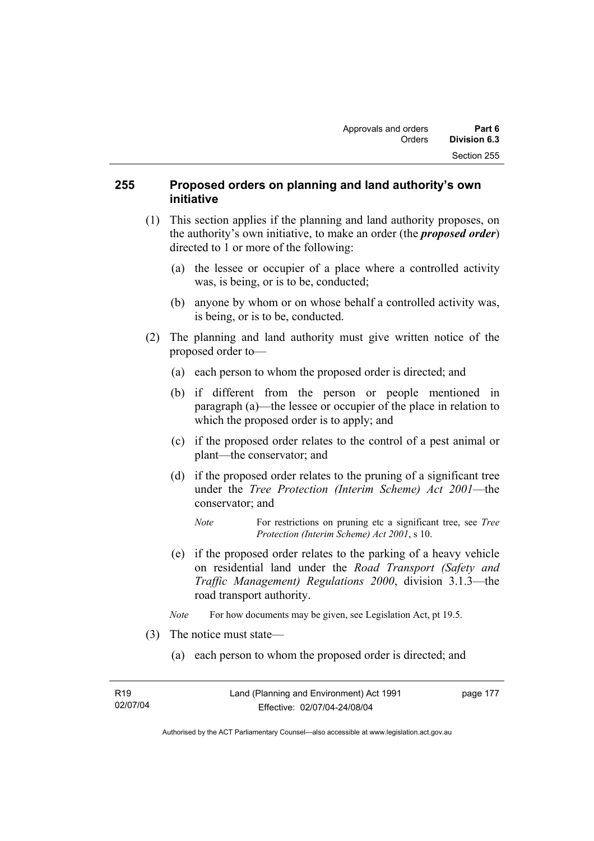# **255 Proposed orders on planning and land authority's own initiative**

- (1) This section applies if the planning and land authority proposes, on the authority's own initiative, to make an order (the *proposed order*) directed to 1 or more of the following:
	- (a) the lessee or occupier of a place where a controlled activity was, is being, or is to be, conducted;
	- (b) anyone by whom or on whose behalf a controlled activity was, is being, or is to be, conducted.
- (2) The planning and land authority must give written notice of the proposed order to—
	- (a) each person to whom the proposed order is directed; and
	- (b) if different from the person or people mentioned in paragraph (a)—the lessee or occupier of the place in relation to which the proposed order is to apply; and
	- (c) if the proposed order relates to the control of a pest animal or plant—the conservator; and
	- (d) if the proposed order relates to the pruning of a significant tree under the *Tree Protection (Interim Scheme) Act 2001*—the conservator; and
		- *Note* For restrictions on pruning etc a significant tree, see *Tree Protection (Interim Scheme) Act 2001*, s 10.
	- (e) if the proposed order relates to the parking of a heavy vehicle on residential land under the *Road Transport (Safety and Traffic Management) Regulations 2000*, division 3.1.3—the road transport authority.
	- *Note* For how documents may be given, see Legislation Act, pt 19.5.
- (3) The notice must state—
	- (a) each person to whom the proposed order is directed; and

page 177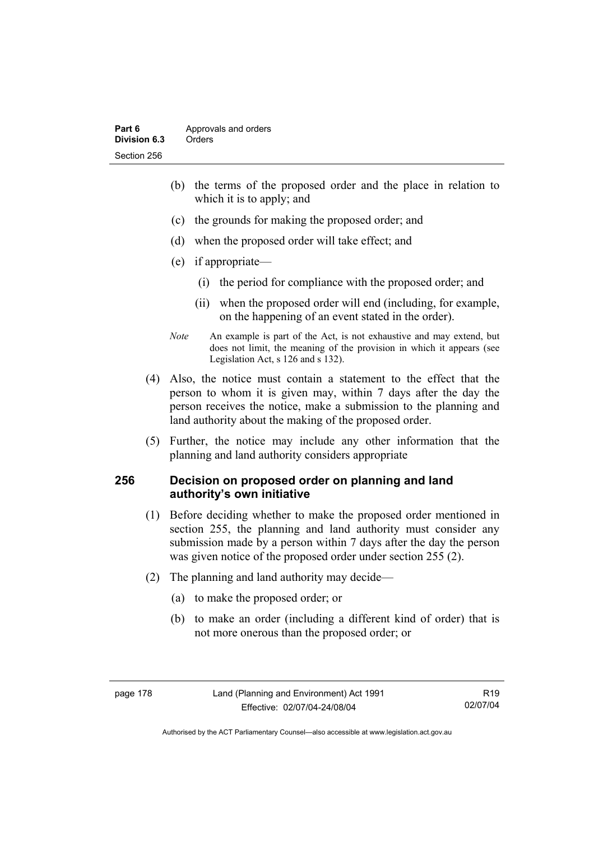- (b) the terms of the proposed order and the place in relation to which it is to apply; and
- (c) the grounds for making the proposed order; and
- (d) when the proposed order will take effect; and
- (e) if appropriate—
	- (i) the period for compliance with the proposed order; and
	- (ii) when the proposed order will end (including, for example, on the happening of an event stated in the order).
- *Note* An example is part of the Act, is not exhaustive and may extend, but does not limit, the meaning of the provision in which it appears (see Legislation Act, s 126 and s 132).
- (4) Also, the notice must contain a statement to the effect that the person to whom it is given may, within 7 days after the day the person receives the notice, make a submission to the planning and land authority about the making of the proposed order.
- (5) Further, the notice may include any other information that the planning and land authority considers appropriate

## **256 Decision on proposed order on planning and land authority's own initiative**

- (1) Before deciding whether to make the proposed order mentioned in section 255, the planning and land authority must consider any submission made by a person within 7 days after the day the person was given notice of the proposed order under section 255 (2).
- (2) The planning and land authority may decide—
	- (a) to make the proposed order; or
	- (b) to make an order (including a different kind of order) that is not more onerous than the proposed order; or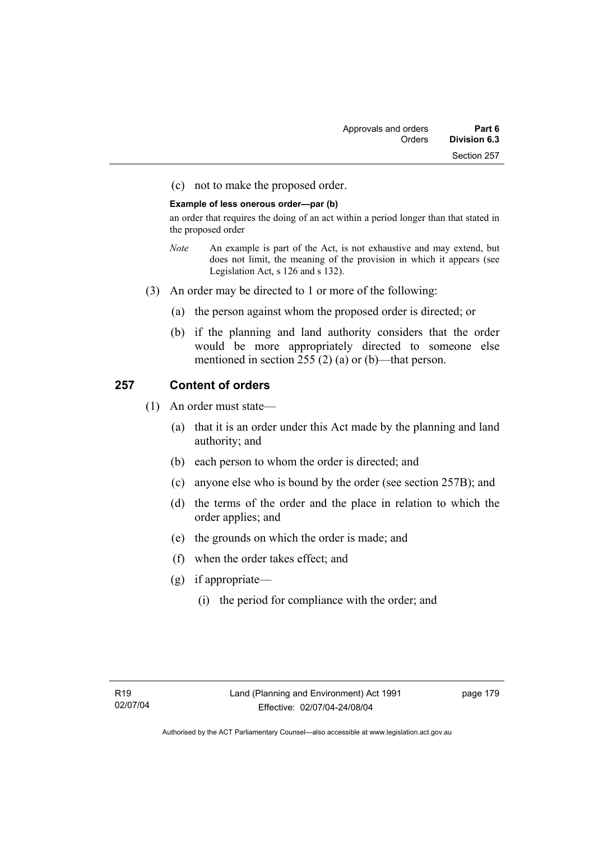(c) not to make the proposed order.

#### **Example of less onerous order—par (b)**

an order that requires the doing of an act within a period longer than that stated in the proposed order

- *Note* An example is part of the Act, is not exhaustive and may extend, but does not limit, the meaning of the provision in which it appears (see Legislation Act, s 126 and s 132).
- (3) An order may be directed to 1 or more of the following:
	- (a) the person against whom the proposed order is directed; or
	- (b) if the planning and land authority considers that the order would be more appropriately directed to someone else mentioned in section 255 (2) (a) or (b)—that person.

# **257 Content of orders**

- (1) An order must state—
	- (a) that it is an order under this Act made by the planning and land authority; and
	- (b) each person to whom the order is directed; and
	- (c) anyone else who is bound by the order (see section 257B); and
	- (d) the terms of the order and the place in relation to which the order applies; and
	- (e) the grounds on which the order is made; and
	- (f) when the order takes effect; and
	- (g) if appropriate—
		- (i) the period for compliance with the order; and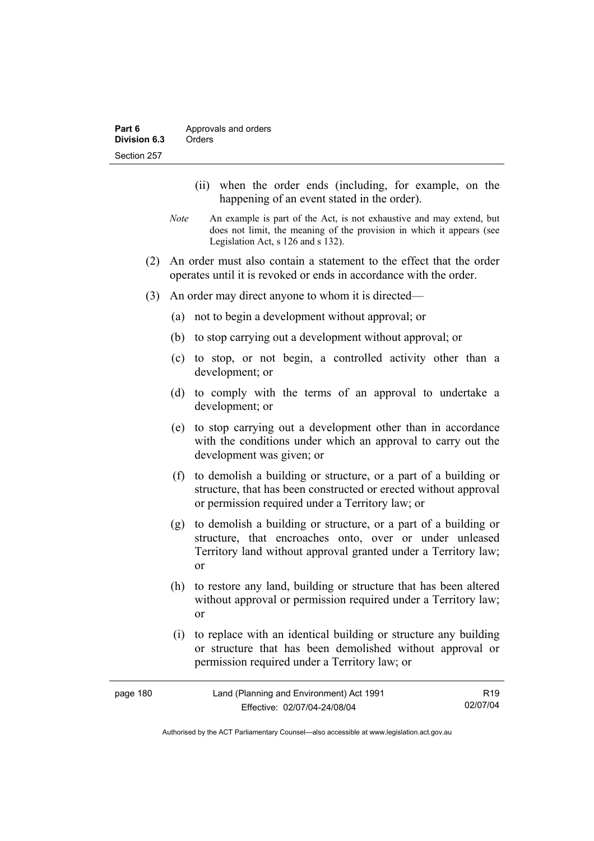- (ii) when the order ends (including, for example, on the happening of an event stated in the order).
- *Note* An example is part of the Act, is not exhaustive and may extend, but does not limit, the meaning of the provision in which it appears (see Legislation Act, s 126 and s 132).
- (2) An order must also contain a statement to the effect that the order operates until it is revoked or ends in accordance with the order.
- (3) An order may direct anyone to whom it is directed—
	- (a) not to begin a development without approval; or
	- (b) to stop carrying out a development without approval; or
	- (c) to stop, or not begin, a controlled activity other than a development; or
	- (d) to comply with the terms of an approval to undertake a development; or
	- (e) to stop carrying out a development other than in accordance with the conditions under which an approval to carry out the development was given; or
	- (f) to demolish a building or structure, or a part of a building or structure, that has been constructed or erected without approval or permission required under a Territory law; or
	- (g) to demolish a building or structure, or a part of a building or structure, that encroaches onto, over or under unleased Territory land without approval granted under a Territory law; or
	- (h) to restore any land, building or structure that has been altered without approval or permission required under a Territory law; or
	- (i) to replace with an identical building or structure any building or structure that has been demolished without approval or permission required under a Territory law; or

| page 180 | Land (Planning and Environment) Act 1991 | R <sub>19</sub> |
|----------|------------------------------------------|-----------------|
|          | Effective: 02/07/04-24/08/04             | 02/07/04        |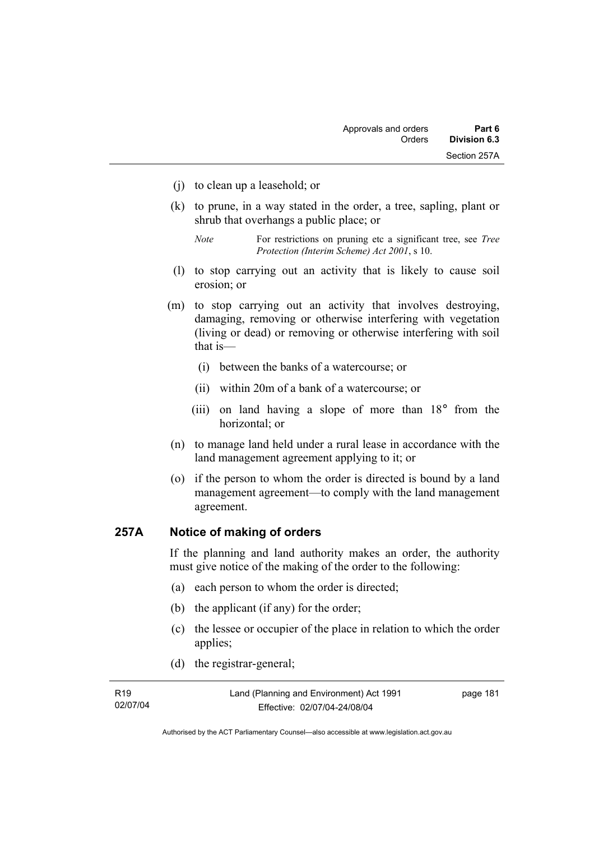- (j) to clean up a leasehold; or
- (k) to prune, in a way stated in the order, a tree, sapling, plant or shrub that overhangs a public place; or
	- *Note* For restrictions on pruning etc a significant tree, see *Tree Protection (Interim Scheme) Act 2001*, s 10.
- (l) to stop carrying out an activity that is likely to cause soil erosion; or
- (m) to stop carrying out an activity that involves destroying, damaging, removing or otherwise interfering with vegetation (living or dead) or removing or otherwise interfering with soil that is—
	- (i) between the banks of a watercourse; or
	- (ii) within 20m of a bank of a watercourse; or
	- (iii) on land having a slope of more than 18° from the horizontal; or
- (n) to manage land held under a rural lease in accordance with the land management agreement applying to it; or
- (o) if the person to whom the order is directed is bound by a land management agreement—to comply with the land management agreement.

# **257A Notice of making of orders**

If the planning and land authority makes an order, the authority must give notice of the making of the order to the following:

- (a) each person to whom the order is directed;
- (b) the applicant (if any) for the order;
- (c) the lessee or occupier of the place in relation to which the order applies;
- (d) the registrar-general;

| R <sub>19</sub> | Land (Planning and Environment) Act 1991 | page 181 |
|-----------------|------------------------------------------|----------|
| 02/07/04        | Effective: 02/07/04-24/08/04             |          |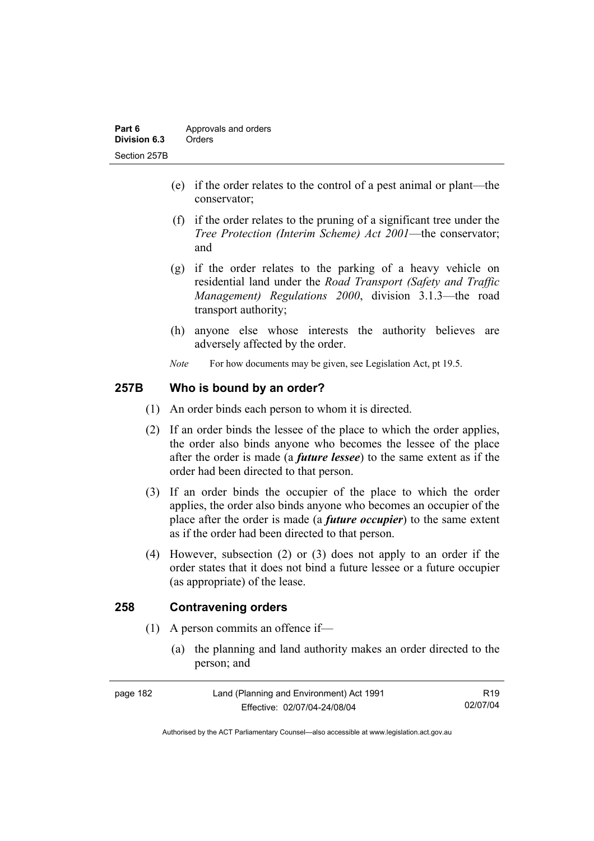- (e) if the order relates to the control of a pest animal or plant—the conservator;
- (f) if the order relates to the pruning of a significant tree under the *Tree Protection (Interim Scheme) Act 2001*—the conservator; and
- (g) if the order relates to the parking of a heavy vehicle on residential land under the *Road Transport (Safety and Traffic Management) Regulations 2000*, division 3.1.3—the road transport authority;
- (h) anyone else whose interests the authority believes are adversely affected by the order.
- *Note* For how documents may be given, see Legislation Act, pt 19.5.

# **257B Who is bound by an order?**

- (1) An order binds each person to whom it is directed.
- (2) If an order binds the lessee of the place to which the order applies, the order also binds anyone who becomes the lessee of the place after the order is made (a *future lessee*) to the same extent as if the order had been directed to that person.
- (3) If an order binds the occupier of the place to which the order applies, the order also binds anyone who becomes an occupier of the place after the order is made (a *future occupier*) to the same extent as if the order had been directed to that person.
- (4) However, subsection (2) or (3) does not apply to an order if the order states that it does not bind a future lessee or a future occupier (as appropriate) of the lease.

# **258 Contravening orders**

- (1) A person commits an offence if—
	- (a) the planning and land authority makes an order directed to the person; and

| page 182 | Land (Planning and Environment) Act 1991 | R <sub>19</sub> |
|----------|------------------------------------------|-----------------|
|          | Effective: 02/07/04-24/08/04             | 02/07/04        |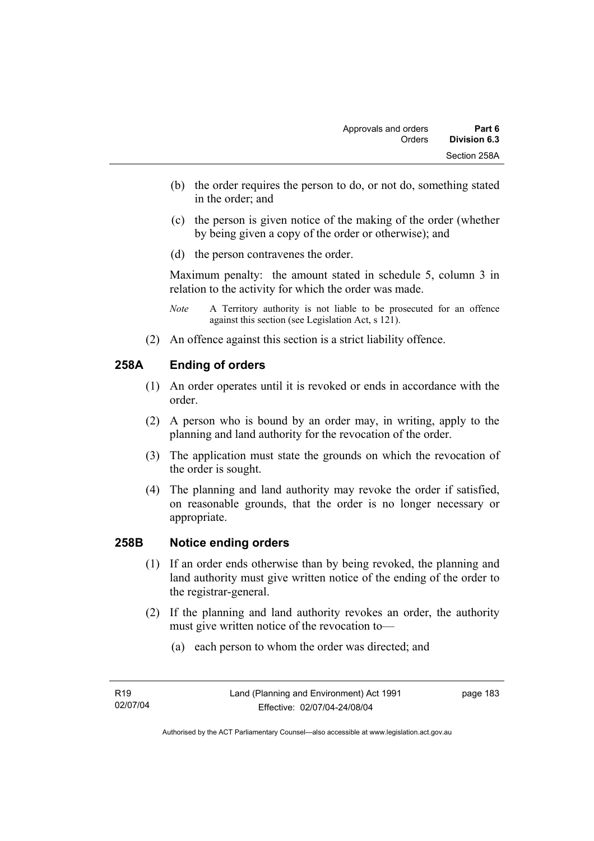- (b) the order requires the person to do, or not do, something stated in the order; and
- (c) the person is given notice of the making of the order (whether by being given a copy of the order or otherwise); and
- (d) the person contravenes the order.

Maximum penalty: the amount stated in schedule 5, column 3 in relation to the activity for which the order was made.

- *Note* A Territory authority is not liable to be prosecuted for an offence against this section (see Legislation Act, s 121).
- (2) An offence against this section is a strict liability offence.

# **258A Ending of orders**

- (1) An order operates until it is revoked or ends in accordance with the order.
- (2) A person who is bound by an order may, in writing, apply to the planning and land authority for the revocation of the order.
- (3) The application must state the grounds on which the revocation of the order is sought.
- (4) The planning and land authority may revoke the order if satisfied, on reasonable grounds, that the order is no longer necessary or appropriate.

### **258B Notice ending orders**

- (1) If an order ends otherwise than by being revoked, the planning and land authority must give written notice of the ending of the order to the registrar-general.
- (2) If the planning and land authority revokes an order, the authority must give written notice of the revocation to—
	- (a) each person to whom the order was directed; and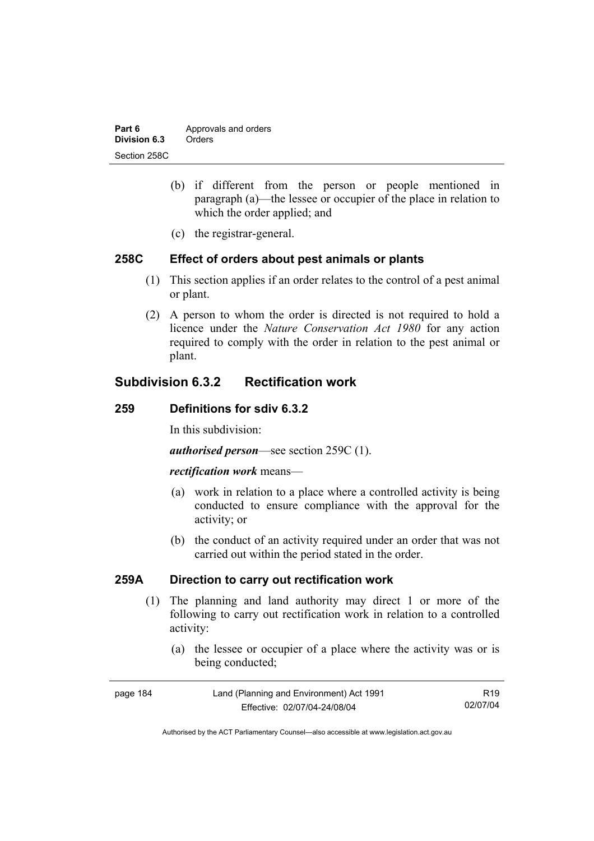| Part 6       | Approvals and orders |  |
|--------------|----------------------|--|
| Division 6.3 | Orders               |  |
| Section 258C |                      |  |

- (b) if different from the person or people mentioned in paragraph (a)—the lessee or occupier of the place in relation to which the order applied; and
- (c) the registrar-general.

### **258C Effect of orders about pest animals or plants**

- (1) This section applies if an order relates to the control of a pest animal or plant.
- (2) A person to whom the order is directed is not required to hold a licence under the *Nature Conservation Act 1980* for any action required to comply with the order in relation to the pest animal or plant.

# **Subdivision 6.3.2 Rectification work**

### **259 Definitions for sdiv 6.3.2**

In this subdivision:

*authorised person*—see section 259C (1).

#### *rectification work* means—

- (a) work in relation to a place where a controlled activity is being conducted to ensure compliance with the approval for the activity; or
- (b) the conduct of an activity required under an order that was not carried out within the period stated in the order.

# **259A Direction to carry out rectification work**

- (1) The planning and land authority may direct 1 or more of the following to carry out rectification work in relation to a controlled activity:
	- (a) the lessee or occupier of a place where the activity was or is being conducted;

| page 184 | Land (Planning and Environment) Act 1991 | R19.     |
|----------|------------------------------------------|----------|
|          | Effective: 02/07/04-24/08/04             | 02/07/04 |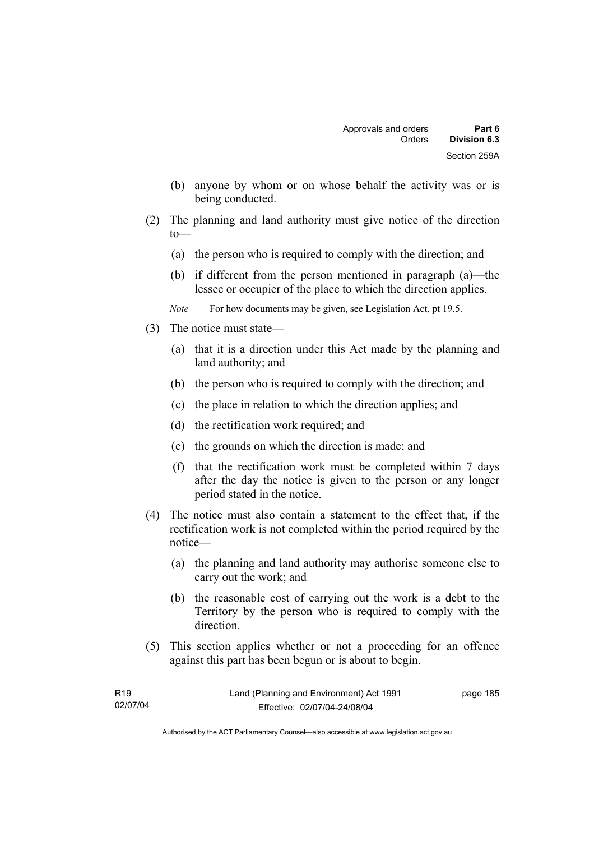- (b) anyone by whom or on whose behalf the activity was or is being conducted.
- (2) The planning and land authority must give notice of the direction to—
	- (a) the person who is required to comply with the direction; and
	- (b) if different from the person mentioned in paragraph (a)—the lessee or occupier of the place to which the direction applies.
	- *Note* For how documents may be given, see Legislation Act, pt 19.5.
- (3) The notice must state—
	- (a) that it is a direction under this Act made by the planning and land authority; and
	- (b) the person who is required to comply with the direction; and
	- (c) the place in relation to which the direction applies; and
	- (d) the rectification work required; and
	- (e) the grounds on which the direction is made; and
	- (f) that the rectification work must be completed within 7 days after the day the notice is given to the person or any longer period stated in the notice.
- (4) The notice must also contain a statement to the effect that, if the rectification work is not completed within the period required by the notice—
	- (a) the planning and land authority may authorise someone else to carry out the work; and
	- (b) the reasonable cost of carrying out the work is a debt to the Territory by the person who is required to comply with the direction.
- (5) This section applies whether or not a proceeding for an offence against this part has been begun or is about to begin.

| R19      | Land (Planning and Environment) Act 1991 | page 185 |
|----------|------------------------------------------|----------|
| 02/07/04 | Effective: 02/07/04-24/08/04             |          |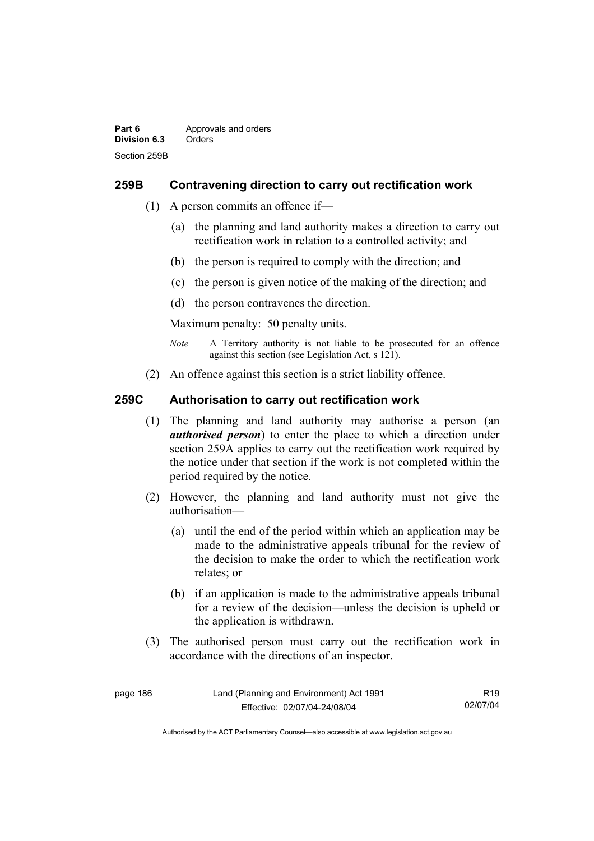# **259B Contravening direction to carry out rectification work**

- (1) A person commits an offence if—
	- (a) the planning and land authority makes a direction to carry out rectification work in relation to a controlled activity; and
	- (b) the person is required to comply with the direction; and
	- (c) the person is given notice of the making of the direction; and
	- (d) the person contravenes the direction.

Maximum penalty: 50 penalty units.

- *Note* A Territory authority is not liable to be prosecuted for an offence against this section (see Legislation Act, s 121).
- (2) An offence against this section is a strict liability offence.

# **259C Authorisation to carry out rectification work**

- (1) The planning and land authority may authorise a person (an *authorised person*) to enter the place to which a direction under section 259A applies to carry out the rectification work required by the notice under that section if the work is not completed within the period required by the notice.
- (2) However, the planning and land authority must not give the authorisation—
	- (a) until the end of the period within which an application may be made to the administrative appeals tribunal for the review of the decision to make the order to which the rectification work relates; or
	- (b) if an application is made to the administrative appeals tribunal for a review of the decision—unless the decision is upheld or the application is withdrawn.
- (3) The authorised person must carry out the rectification work in accordance with the directions of an inspector.

| page 186 | Land (Planning and Environment) Act 1991 | R19      |
|----------|------------------------------------------|----------|
|          | Effective: 02/07/04-24/08/04             | 02/07/04 |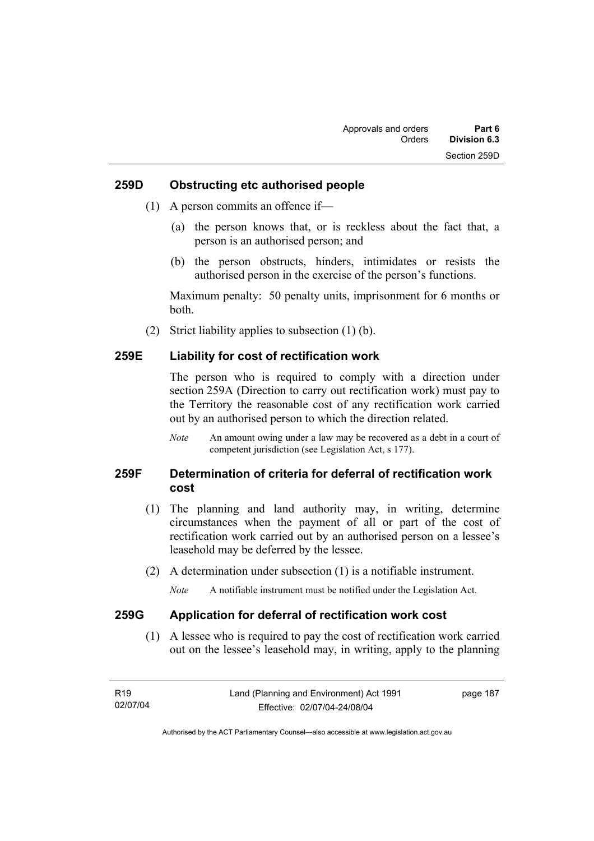### **259D Obstructing etc authorised people**

- (1) A person commits an offence if—
	- (a) the person knows that, or is reckless about the fact that, a person is an authorised person; and
	- (b) the person obstructs, hinders, intimidates or resists the authorised person in the exercise of the person's functions.

Maximum penalty: 50 penalty units, imprisonment for 6 months or both.

(2) Strict liability applies to subsection (1) (b).

### **259E Liability for cost of rectification work**

The person who is required to comply with a direction under section 259A (Direction to carry out rectification work) must pay to the Territory the reasonable cost of any rectification work carried out by an authorised person to which the direction related.

*Note* An amount owing under a law may be recovered as a debt in a court of competent jurisdiction (see Legislation Act, s 177).

# **259F Determination of criteria for deferral of rectification work cost**

- (1) The planning and land authority may, in writing, determine circumstances when the payment of all or part of the cost of rectification work carried out by an authorised person on a lessee's leasehold may be deferred by the lessee.
- (2) A determination under subsection (1) is a notifiable instrument.

*Note* A notifiable instrument must be notified under the Legislation Act.

### **259G Application for deferral of rectification work cost**

 (1) A lessee who is required to pay the cost of rectification work carried out on the lessee's leasehold may, in writing, apply to the planning

| R19      | Land (Planning and Environment) Act 1991 | page 187 |
|----------|------------------------------------------|----------|
| 02/07/04 | Effective: 02/07/04-24/08/04             |          |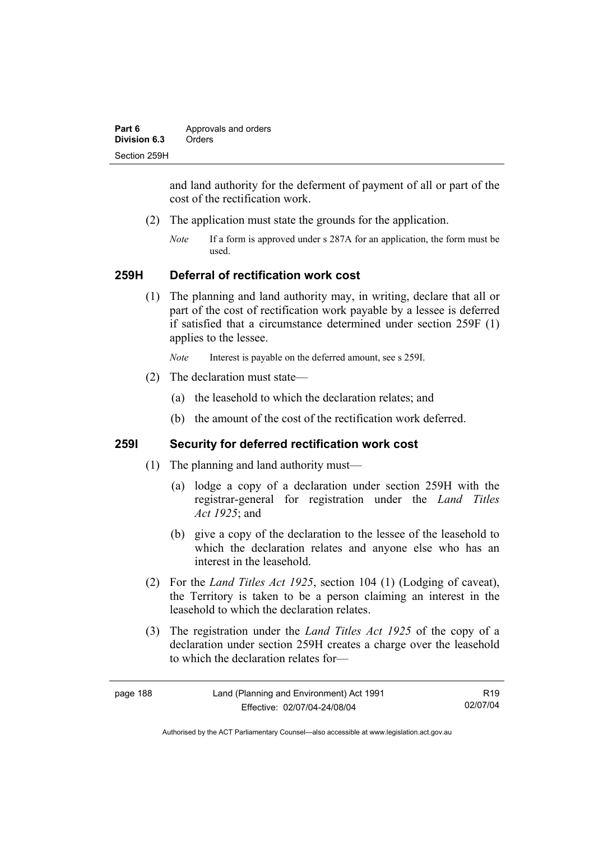| Part 6       | Approvals and orders |  |
|--------------|----------------------|--|
| Division 6.3 | Orders               |  |
| Section 259H |                      |  |

and land authority for the deferment of payment of all or part of the cost of the rectification work.

- (2) The application must state the grounds for the application.
	- *Note* If a form is approved under s 287A for an application, the form must be used.

### **259H Deferral of rectification work cost**

 (1) The planning and land authority may, in writing, declare that all or part of the cost of rectification work payable by a lessee is deferred if satisfied that a circumstance determined under section 259F (1) applies to the lessee.

*Note* Interest is payable on the deferred amount, see s 259I.

- (2) The declaration must state—
	- (a) the leasehold to which the declaration relates; and
	- (b) the amount of the cost of the rectification work deferred.

# **259I Security for deferred rectification work cost**

- (1) The planning and land authority must—
	- (a) lodge a copy of a declaration under section 259H with the registrar-general for registration under the *Land Titles Act 1925*; and
	- (b) give a copy of the declaration to the lessee of the leasehold to which the declaration relates and anyone else who has an interest in the leasehold.
- (2) For the *Land Titles Act 1925*, section 104 (1) (Lodging of caveat), the Territory is taken to be a person claiming an interest in the leasehold to which the declaration relates.
- (3) The registration under the *Land Titles Act 1925* of the copy of a declaration under section 259H creates a charge over the leasehold to which the declaration relates for—

| page 188 | Land (Planning and Environment) Act 1991 | R <sub>19</sub> |
|----------|------------------------------------------|-----------------|
|          | Effective: 02/07/04-24/08/04             | 02/07/04        |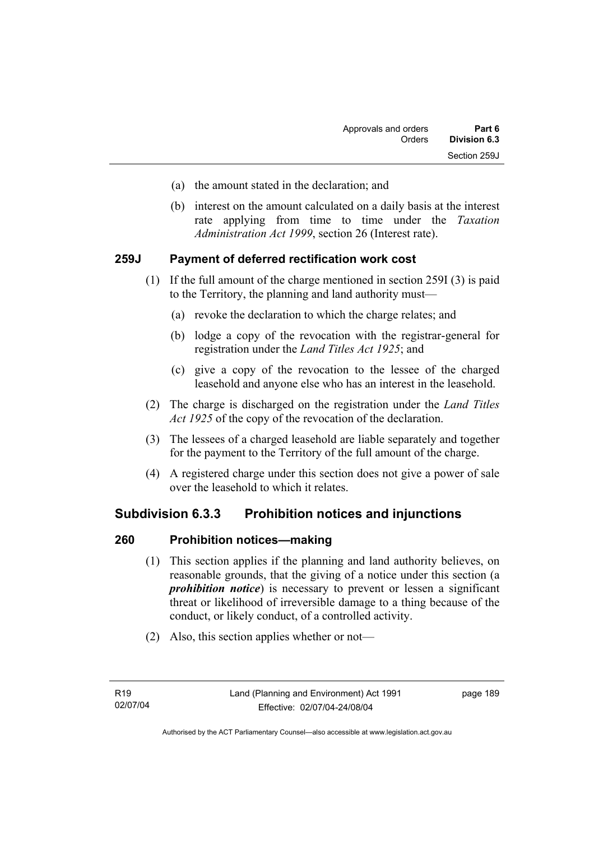- (a) the amount stated in the declaration; and
- (b) interest on the amount calculated on a daily basis at the interest rate applying from time to time under the *Taxation Administration Act 1999*, section 26 (Interest rate).

# **259J Payment of deferred rectification work cost**

- (1) If the full amount of the charge mentioned in section 259I (3) is paid to the Territory, the planning and land authority must—
	- (a) revoke the declaration to which the charge relates; and
	- (b) lodge a copy of the revocation with the registrar-general for registration under the *Land Titles Act 1925*; and
	- (c) give a copy of the revocation to the lessee of the charged leasehold and anyone else who has an interest in the leasehold.
- (2) The charge is discharged on the registration under the *Land Titles Act 1925* of the copy of the revocation of the declaration.
- (3) The lessees of a charged leasehold are liable separately and together for the payment to the Territory of the full amount of the charge.
- (4) A registered charge under this section does not give a power of sale over the leasehold to which it relates.

# **Subdivision 6.3.3 Prohibition notices and injunctions**

### **260 Prohibition notices—making**

- (1) This section applies if the planning and land authority believes, on reasonable grounds, that the giving of a notice under this section (a *prohibition notice*) is necessary to prevent or lessen a significant threat or likelihood of irreversible damage to a thing because of the conduct, or likely conduct, of a controlled activity.
- (2) Also, this section applies whether or not—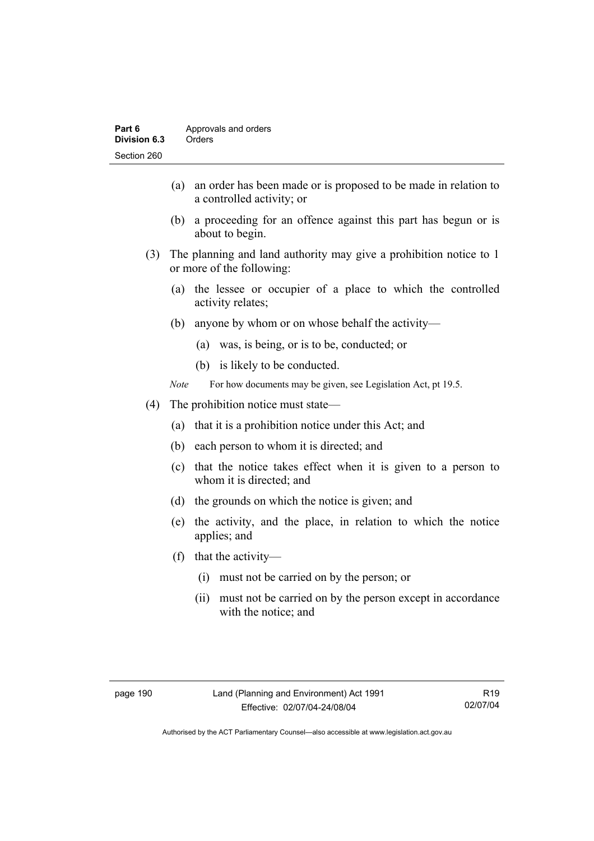- (a) an order has been made or is proposed to be made in relation to a controlled activity; or
- (b) a proceeding for an offence against this part has begun or is about to begin.
- (3) The planning and land authority may give a prohibition notice to 1 or more of the following:
	- (a) the lessee or occupier of a place to which the controlled activity relates;
	- (b) anyone by whom or on whose behalf the activity—
		- (a) was, is being, or is to be, conducted; or
		- (b) is likely to be conducted.
	- *Note* For how documents may be given, see Legislation Act, pt 19.5.
- (4) The prohibition notice must state—
	- (a) that it is a prohibition notice under this Act; and
	- (b) each person to whom it is directed; and
	- (c) that the notice takes effect when it is given to a person to whom it is directed; and
	- (d) the grounds on which the notice is given; and
	- (e) the activity, and the place, in relation to which the notice applies; and
	- (f) that the activity—
		- (i) must not be carried on by the person; or
		- (ii) must not be carried on by the person except in accordance with the notice; and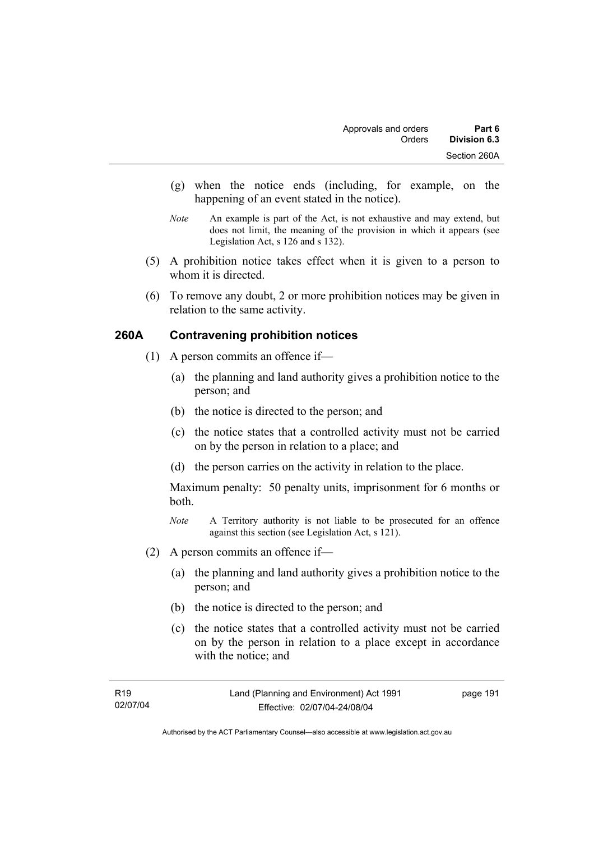- (g) when the notice ends (including, for example, on the happening of an event stated in the notice).
- *Note* An example is part of the Act, is not exhaustive and may extend, but does not limit, the meaning of the provision in which it appears (see Legislation Act, s 126 and s 132).
- (5) A prohibition notice takes effect when it is given to a person to whom it is directed.
- (6) To remove any doubt, 2 or more prohibition notices may be given in relation to the same activity.

# **260A Contravening prohibition notices**

- (1) A person commits an offence if—
	- (a) the planning and land authority gives a prohibition notice to the person; and
	- (b) the notice is directed to the person; and
	- (c) the notice states that a controlled activity must not be carried on by the person in relation to a place; and
	- (d) the person carries on the activity in relation to the place.

Maximum penalty: 50 penalty units, imprisonment for 6 months or both.

- *Note* A Territory authority is not liable to be prosecuted for an offence against this section (see Legislation Act, s 121).
- (2) A person commits an offence if—
	- (a) the planning and land authority gives a prohibition notice to the person; and
	- (b) the notice is directed to the person; and
	- (c) the notice states that a controlled activity must not be carried on by the person in relation to a place except in accordance with the notice; and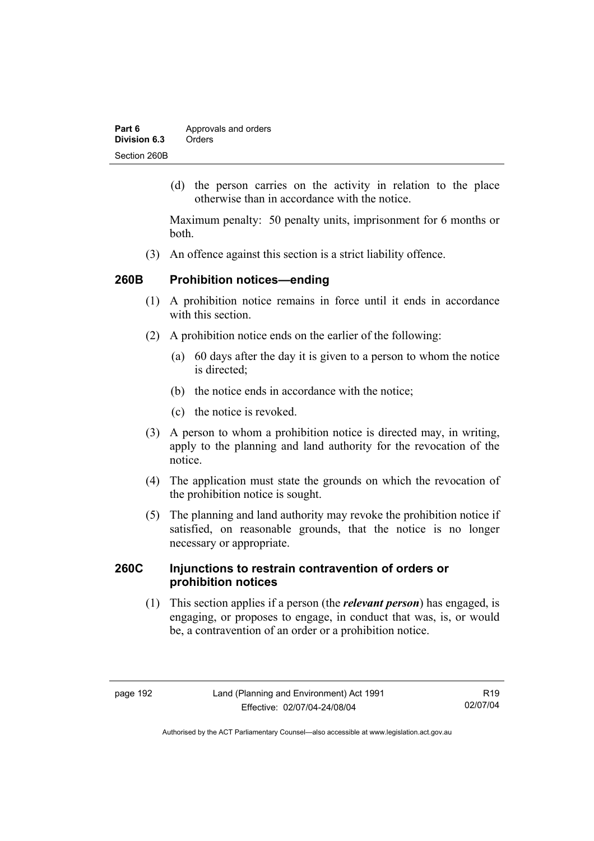| Part 6       | Approvals and orders |  |
|--------------|----------------------|--|
| Division 6.3 | Orders               |  |
| Section 260B |                      |  |

 (d) the person carries on the activity in relation to the place otherwise than in accordance with the notice.

Maximum penalty: 50 penalty units, imprisonment for 6 months or both.

(3) An offence against this section is a strict liability offence.

## **260B Prohibition notices—ending**

- (1) A prohibition notice remains in force until it ends in accordance with this section
- (2) A prohibition notice ends on the earlier of the following:
	- (a) 60 days after the day it is given to a person to whom the notice is directed:
	- (b) the notice ends in accordance with the notice;
	- (c) the notice is revoked.
- (3) A person to whom a prohibition notice is directed may, in writing, apply to the planning and land authority for the revocation of the notice.
- (4) The application must state the grounds on which the revocation of the prohibition notice is sought.
- (5) The planning and land authority may revoke the prohibition notice if satisfied, on reasonable grounds, that the notice is no longer necessary or appropriate.

# **260C Injunctions to restrain contravention of orders or prohibition notices**

 (1) This section applies if a person (the *relevant person*) has engaged, is engaging, or proposes to engage, in conduct that was, is, or would be, a contravention of an order or a prohibition notice.

R19 02/07/04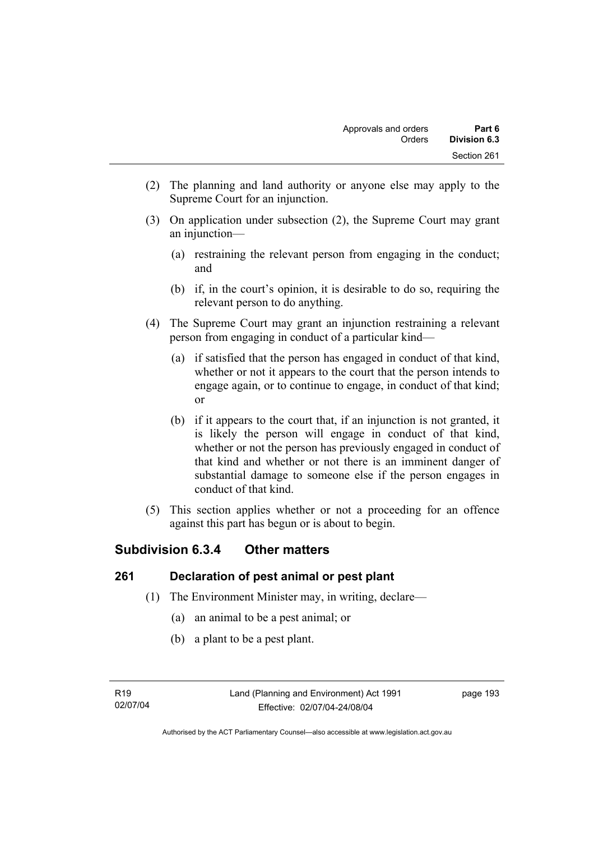- (2) The planning and land authority or anyone else may apply to the Supreme Court for an injunction.
- (3) On application under subsection (2), the Supreme Court may grant an injunction—
	- (a) restraining the relevant person from engaging in the conduct; and
	- (b) if, in the court's opinion, it is desirable to do so, requiring the relevant person to do anything.
- (4) The Supreme Court may grant an injunction restraining a relevant person from engaging in conduct of a particular kind—
	- (a) if satisfied that the person has engaged in conduct of that kind, whether or not it appears to the court that the person intends to engage again, or to continue to engage, in conduct of that kind; or
	- (b) if it appears to the court that, if an injunction is not granted, it is likely the person will engage in conduct of that kind, whether or not the person has previously engaged in conduct of that kind and whether or not there is an imminent danger of substantial damage to someone else if the person engages in conduct of that kind.
- (5) This section applies whether or not a proceeding for an offence against this part has begun or is about to begin.

# **Subdivision 6.3.4 Other matters**

# **261 Declaration of pest animal or pest plant**

- (1) The Environment Minister may, in writing, declare—
	- (a) an animal to be a pest animal; or
	- (b) a plant to be a pest plant.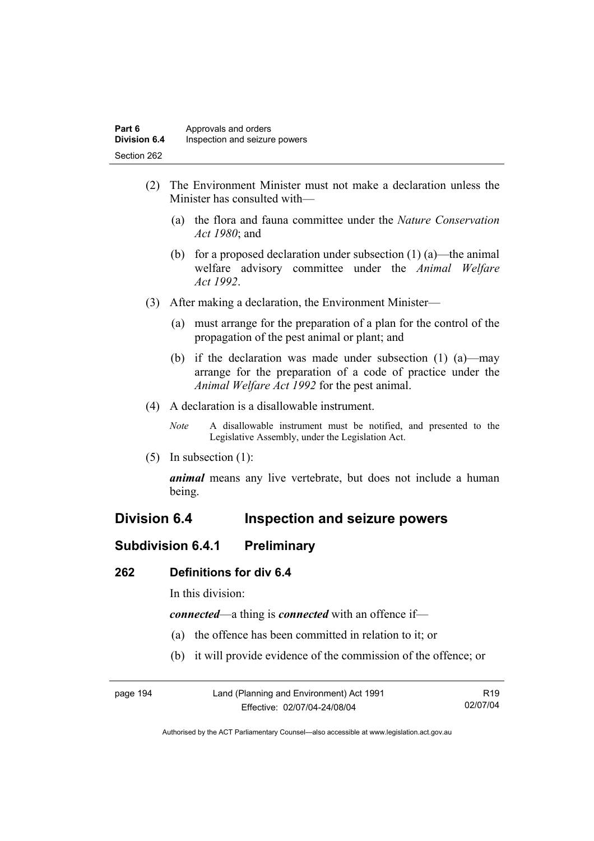- (2) The Environment Minister must not make a declaration unless the Minister has consulted with—
	- (a) the flora and fauna committee under the *Nature Conservation Act 1980*; and
	- (b) for a proposed declaration under subsection  $(1)$  (a)—the animal welfare advisory committee under the *Animal Welfare Act 1992*.
- (3) After making a declaration, the Environment Minister—
	- (a) must arrange for the preparation of a plan for the control of the propagation of the pest animal or plant; and
	- (b) if the declaration was made under subsection (1) (a)—may arrange for the preparation of a code of practice under the *Animal Welfare Act 1992* for the pest animal.
- (4) A declaration is a disallowable instrument.
	- *Note* A disallowable instrument must be notified, and presented to the Legislative Assembly, under the Legislation Act.
- (5) In subsection (1):

*animal* means any live vertebrate, but does not include a human being.

# **Division 6.4 Inspection and seizure powers**

# **Subdivision 6.4.1 Preliminary**

### **262 Definitions for div 6.4**

In this division:

*connected*—a thing is *connected* with an offence if—

- (a) the offence has been committed in relation to it; or
- (b) it will provide evidence of the commission of the offence; or

| page 194 | Land (Planning and Environment) Act 1991 | R <sub>19</sub> |
|----------|------------------------------------------|-----------------|
|          | Effective: 02/07/04-24/08/04             | 02/07/04        |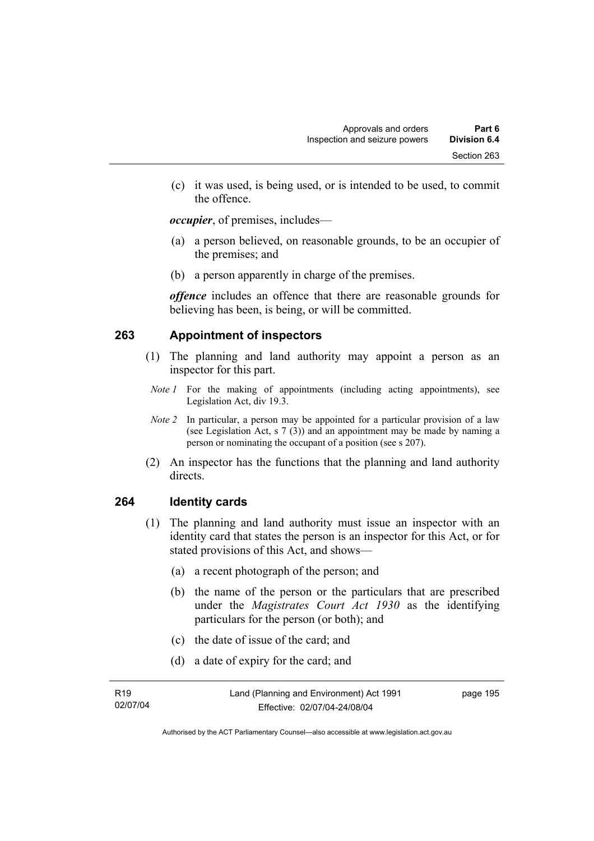(c) it was used, is being used, or is intended to be used, to commit the offence.

*occupier*, of premises, includes—

- (a) a person believed, on reasonable grounds, to be an occupier of the premises; and
- (b) a person apparently in charge of the premises.

*offence* includes an offence that there are reasonable grounds for believing has been, is being, or will be committed.

# **263 Appointment of inspectors**

- (1) The planning and land authority may appoint a person as an inspector for this part.
- *Note 1* For the making of appointments (including acting appointments), see Legislation Act, div 19.3.
- *Note 2* In particular, a person may be appointed for a particular provision of a law (see Legislation Act, s 7 (3)) and an appointment may be made by naming a person or nominating the occupant of a position (see s 207).
- (2) An inspector has the functions that the planning and land authority directs.

### **264 Identity cards**

- (1) The planning and land authority must issue an inspector with an identity card that states the person is an inspector for this Act, or for stated provisions of this Act, and shows—
	- (a) a recent photograph of the person; and
	- (b) the name of the person or the particulars that are prescribed under the *Magistrates Court Act 1930* as the identifying particulars for the person (or both); and
	- (c) the date of issue of the card; and
	- (d) a date of expiry for the card; and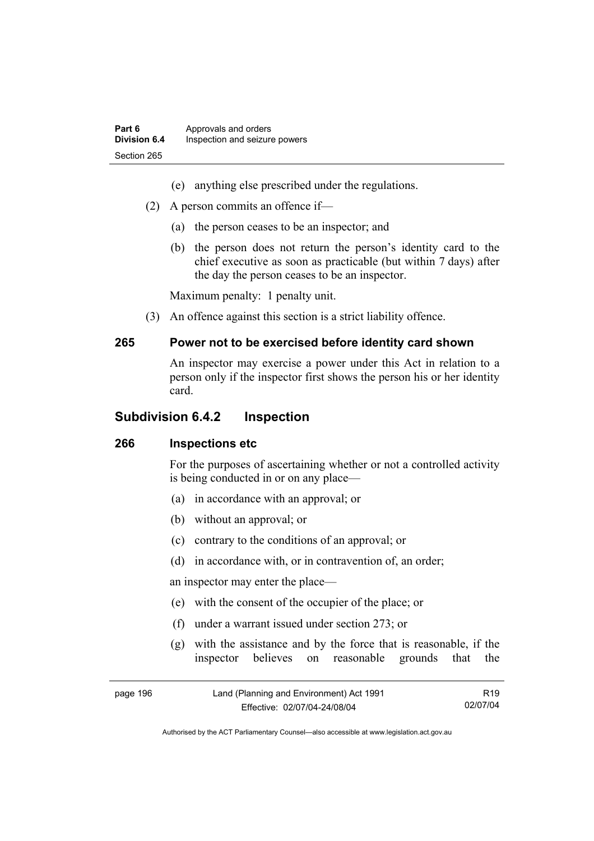- (e) anything else prescribed under the regulations.
- (2) A person commits an offence if—
	- (a) the person ceases to be an inspector; and
	- (b) the person does not return the person's identity card to the chief executive as soon as practicable (but within 7 days) after the day the person ceases to be an inspector.

Maximum penalty: 1 penalty unit.

(3) An offence against this section is a strict liability offence.

#### **265 Power not to be exercised before identity card shown**

An inspector may exercise a power under this Act in relation to a person only if the inspector first shows the person his or her identity card.

# **Subdivision 6.4.2 Inspection**

### **266 Inspections etc**

For the purposes of ascertaining whether or not a controlled activity is being conducted in or on any place—

- (a) in accordance with an approval; or
- (b) without an approval; or
- (c) contrary to the conditions of an approval; or
- (d) in accordance with, or in contravention of, an order;

an inspector may enter the place—

- (e) with the consent of the occupier of the place; or
- (f) under a warrant issued under section 273; or
- (g) with the assistance and by the force that is reasonable, if the inspector believes on reasonable grounds that the

| page 196 | Land (Planning and Environment) Act 1991 | R19      |
|----------|------------------------------------------|----------|
|          | Effective: 02/07/04-24/08/04             | 02/07/04 |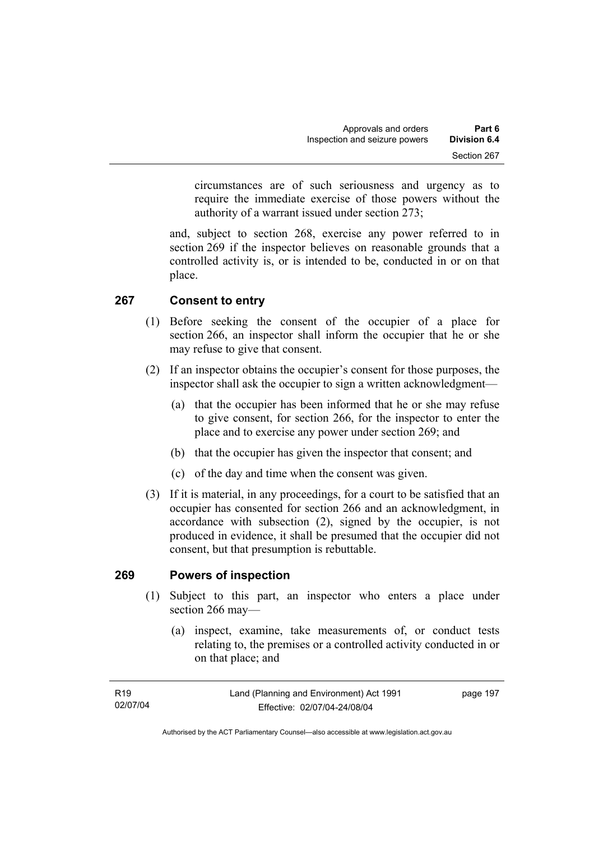circumstances are of such seriousness and urgency as to require the immediate exercise of those powers without the authority of a warrant issued under section 273;

and, subject to section 268, exercise any power referred to in section 269 if the inspector believes on reasonable grounds that a controlled activity is, or is intended to be, conducted in or on that place.

# **267 Consent to entry**

- (1) Before seeking the consent of the occupier of a place for section 266, an inspector shall inform the occupier that he or she may refuse to give that consent.
- (2) If an inspector obtains the occupier's consent for those purposes, the inspector shall ask the occupier to sign a written acknowledgment—
	- (a) that the occupier has been informed that he or she may refuse to give consent, for section 266, for the inspector to enter the place and to exercise any power under section 269; and
	- (b) that the occupier has given the inspector that consent; and
	- (c) of the day and time when the consent was given.
- (3) If it is material, in any proceedings, for a court to be satisfied that an occupier has consented for section 266 and an acknowledgment, in accordance with subsection (2), signed by the occupier, is not produced in evidence, it shall be presumed that the occupier did not consent, but that presumption is rebuttable.

### **269 Powers of inspection**

- (1) Subject to this part, an inspector who enters a place under section 266 may—
	- (a) inspect, examine, take measurements of, or conduct tests relating to, the premises or a controlled activity conducted in or on that place; and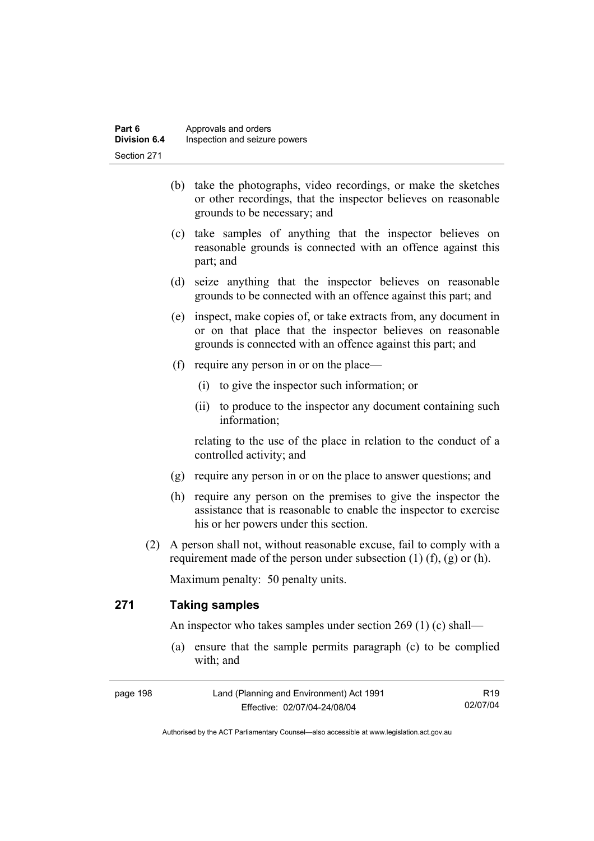- (b) take the photographs, video recordings, or make the sketches or other recordings, that the inspector believes on reasonable grounds to be necessary; and
- (c) take samples of anything that the inspector believes on reasonable grounds is connected with an offence against this part; and
- (d) seize anything that the inspector believes on reasonable grounds to be connected with an offence against this part; and
- (e) inspect, make copies of, or take extracts from, any document in or on that place that the inspector believes on reasonable grounds is connected with an offence against this part; and
- (f) require any person in or on the place—
	- (i) to give the inspector such information; or
	- (ii) to produce to the inspector any document containing such information;

relating to the use of the place in relation to the conduct of a controlled activity; and

- (g) require any person in or on the place to answer questions; and
- (h) require any person on the premises to give the inspector the assistance that is reasonable to enable the inspector to exercise his or her powers under this section.
- (2) A person shall not, without reasonable excuse, fail to comply with a requirement made of the person under subsection  $(1)$   $(f)$ ,  $(g)$  or  $(h)$ .

Maximum penalty: 50 penalty units.

# **271 Taking samples**

An inspector who takes samples under section 269 (1) (c) shall—

 (a) ensure that the sample permits paragraph (c) to be complied with; and

| page 198 | Land (Planning and Environment) Act 1991 | R <sub>19</sub> |
|----------|------------------------------------------|-----------------|
|          | Effective: 02/07/04-24/08/04             | 02/07/04        |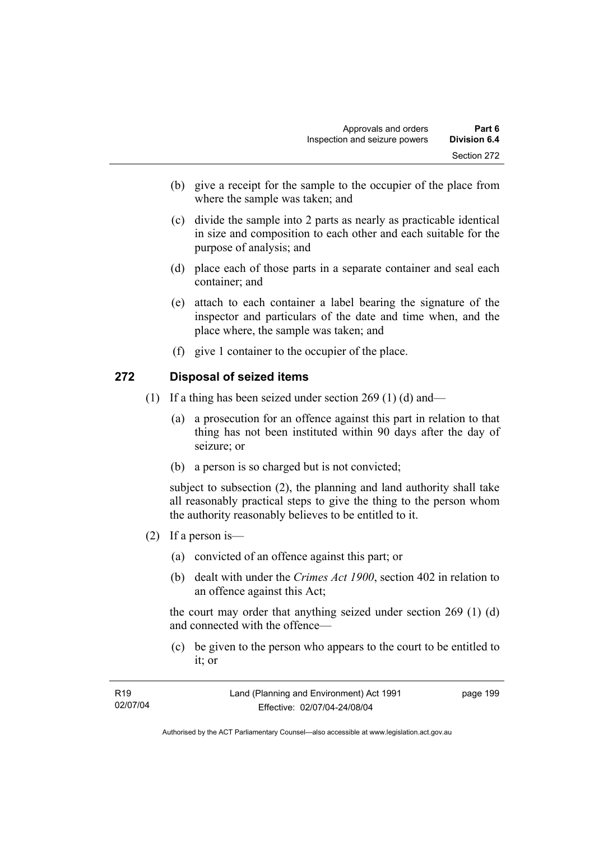- (b) give a receipt for the sample to the occupier of the place from where the sample was taken; and
- (c) divide the sample into 2 parts as nearly as practicable identical in size and composition to each other and each suitable for the purpose of analysis; and
- (d) place each of those parts in a separate container and seal each container; and
- (e) attach to each container a label bearing the signature of the inspector and particulars of the date and time when, and the place where, the sample was taken; and
- (f) give 1 container to the occupier of the place.

### **272 Disposal of seized items**

- (1) If a thing has been seized under section 269 (1) (d) and—
	- (a) a prosecution for an offence against this part in relation to that thing has not been instituted within 90 days after the day of seizure; or
	- (b) a person is so charged but is not convicted;

subject to subsection (2), the planning and land authority shall take all reasonably practical steps to give the thing to the person whom the authority reasonably believes to be entitled to it.

- (2) If a person is—
	- (a) convicted of an offence against this part; or
	- (b) dealt with under the *Crimes Act 1900*, section 402 in relation to an offence against this Act;

the court may order that anything seized under section 269 (1) (d) and connected with the offence—

 (c) be given to the person who appears to the court to be entitled to it; or

| R <sub>19</sub> | Land (Planning and Environment) Act 1991 | page 199 |
|-----------------|------------------------------------------|----------|
| 02/07/04        | Effective: 02/07/04-24/08/04             |          |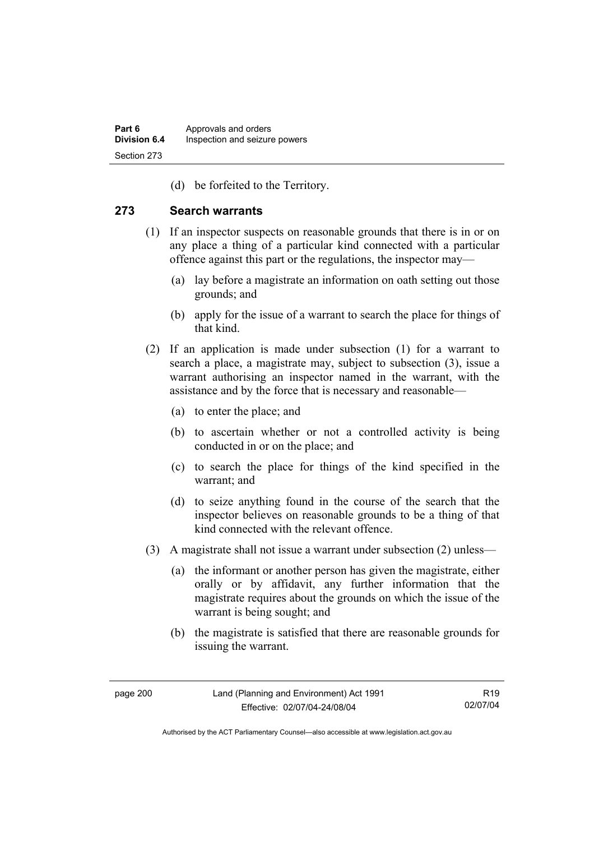(d) be forfeited to the Territory.

### **273 Search warrants**

- (1) If an inspector suspects on reasonable grounds that there is in or on any place a thing of a particular kind connected with a particular offence against this part or the regulations, the inspector may—
	- (a) lay before a magistrate an information on oath setting out those grounds; and
	- (b) apply for the issue of a warrant to search the place for things of that kind.
- (2) If an application is made under subsection (1) for a warrant to search a place, a magistrate may, subject to subsection (3), issue a warrant authorising an inspector named in the warrant, with the assistance and by the force that is necessary and reasonable—
	- (a) to enter the place; and
	- (b) to ascertain whether or not a controlled activity is being conducted in or on the place; and
	- (c) to search the place for things of the kind specified in the warrant; and
	- (d) to seize anything found in the course of the search that the inspector believes on reasonable grounds to be a thing of that kind connected with the relevant offence.
- (3) A magistrate shall not issue a warrant under subsection (2) unless—
	- (a) the informant or another person has given the magistrate, either orally or by affidavit, any further information that the magistrate requires about the grounds on which the issue of the warrant is being sought; and
	- (b) the magistrate is satisfied that there are reasonable grounds for issuing the warrant.

R19 02/07/04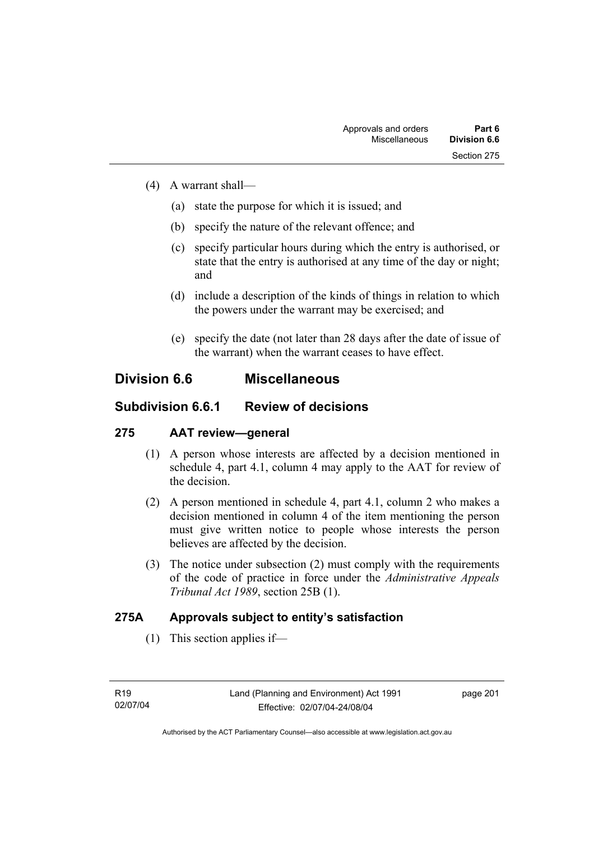- (4) A warrant shall—
	- (a) state the purpose for which it is issued; and
	- (b) specify the nature of the relevant offence; and
	- (c) specify particular hours during which the entry is authorised, or state that the entry is authorised at any time of the day or night; and
	- (d) include a description of the kinds of things in relation to which the powers under the warrant may be exercised; and
	- (e) specify the date (not later than 28 days after the date of issue of the warrant) when the warrant ceases to have effect.

## **Division 6.6 Miscellaneous**

## **Subdivision 6.6.1 Review of decisions**

### **275 AAT review—general**

- (1) A person whose interests are affected by a decision mentioned in schedule 4, part 4.1, column 4 may apply to the AAT for review of the decision.
- (2) A person mentioned in schedule 4, part 4.1, column 2 who makes a decision mentioned in column 4 of the item mentioning the person must give written notice to people whose interests the person believes are affected by the decision.
- (3) The notice under subsection (2) must comply with the requirements of the code of practice in force under the *Administrative Appeals Tribunal Act 1989*, section 25B (1).

## **275A Approvals subject to entity's satisfaction**

(1) This section applies if—

page 201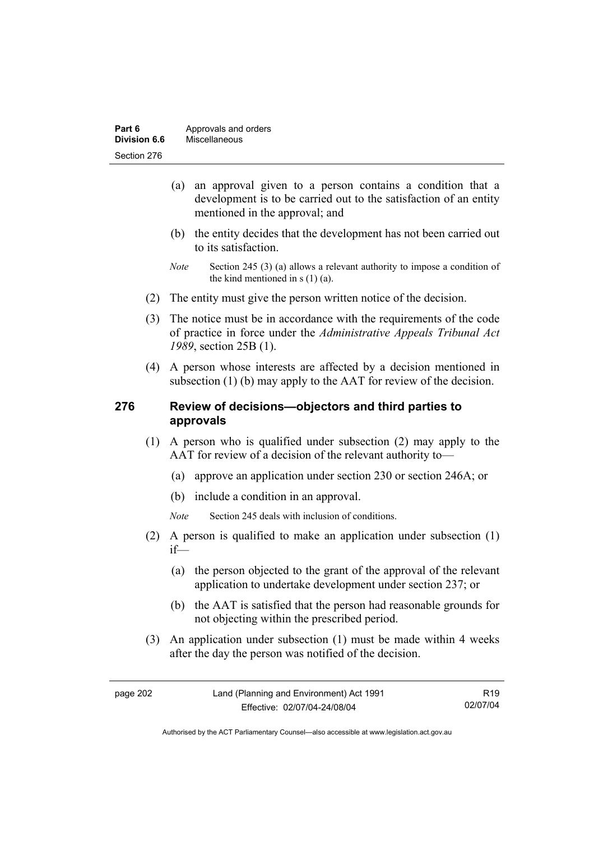| Part 6       | Approvals and orders |
|--------------|----------------------|
| Division 6.6 | Miscellaneous        |
| Section 276  |                      |

- (a) an approval given to a person contains a condition that a development is to be carried out to the satisfaction of an entity mentioned in the approval; and
- (b) the entity decides that the development has not been carried out to its satisfaction.
- *Note* Section 245 (3) (a) allows a relevant authority to impose a condition of the kind mentioned in s (1) (a).
- (2) The entity must give the person written notice of the decision.
- (3) The notice must be in accordance with the requirements of the code of practice in force under the *Administrative Appeals Tribunal Act 1989*, section 25B (1).
- (4) A person whose interests are affected by a decision mentioned in subsection (1) (b) may apply to the AAT for review of the decision.

#### **276 Review of decisions—objectors and third parties to approvals**

- (1) A person who is qualified under subsection (2) may apply to the AAT for review of a decision of the relevant authority to—
	- (a) approve an application under section 230 or section 246A; or
	- (b) include a condition in an approval.
	- *Note* Section 245 deals with inclusion of conditions.
- (2) A person is qualified to make an application under subsection (1) if—
	- (a) the person objected to the grant of the approval of the relevant application to undertake development under section 237; or
	- (b) the AAT is satisfied that the person had reasonable grounds for not objecting within the prescribed period.
- (3) An application under subsection (1) must be made within 4 weeks after the day the person was notified of the decision.

R19 02/07/04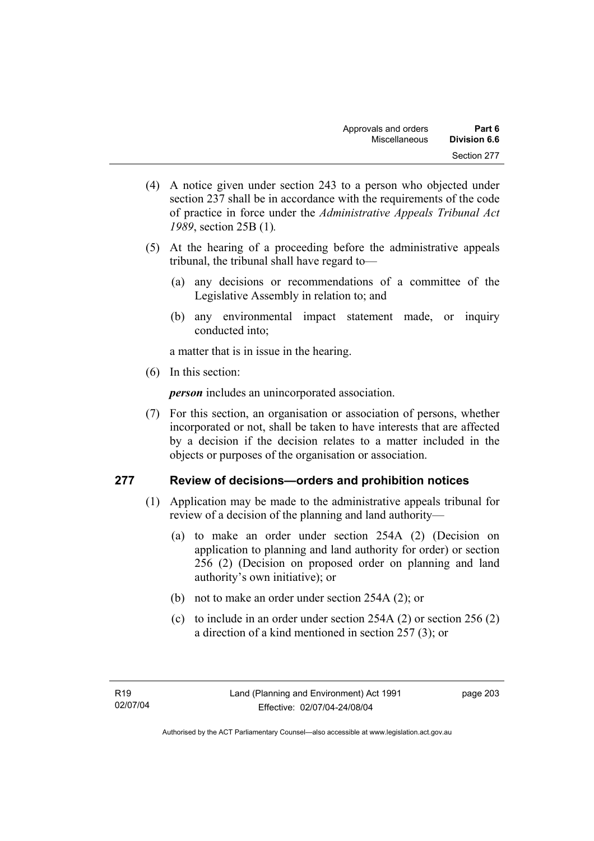- (4) A notice given under section 243 to a person who objected under section 237 shall be in accordance with the requirements of the code of practice in force under the *Administrative Appeals Tribunal Act 1989*, section 25B (1)*.*
- (5) At the hearing of a proceeding before the administrative appeals tribunal, the tribunal shall have regard to—
	- (a) any decisions or recommendations of a committee of the Legislative Assembly in relation to; and
	- (b) any environmental impact statement made, or inquiry conducted into;

a matter that is in issue in the hearing.

(6) In this section:

*person* includes an unincorporated association.

 (7) For this section, an organisation or association of persons, whether incorporated or not, shall be taken to have interests that are affected by a decision if the decision relates to a matter included in the objects or purposes of the organisation or association.

### **277 Review of decisions—orders and prohibition notices**

- (1) Application may be made to the administrative appeals tribunal for review of a decision of the planning and land authority—
	- (a) to make an order under section 254A (2) (Decision on application to planning and land authority for order) or section 256 (2) (Decision on proposed order on planning and land authority's own initiative); or
	- (b) not to make an order under section 254A (2); or
	- (c) to include in an order under section 254A (2) or section 256 (2) a direction of a kind mentioned in section 257 (3); or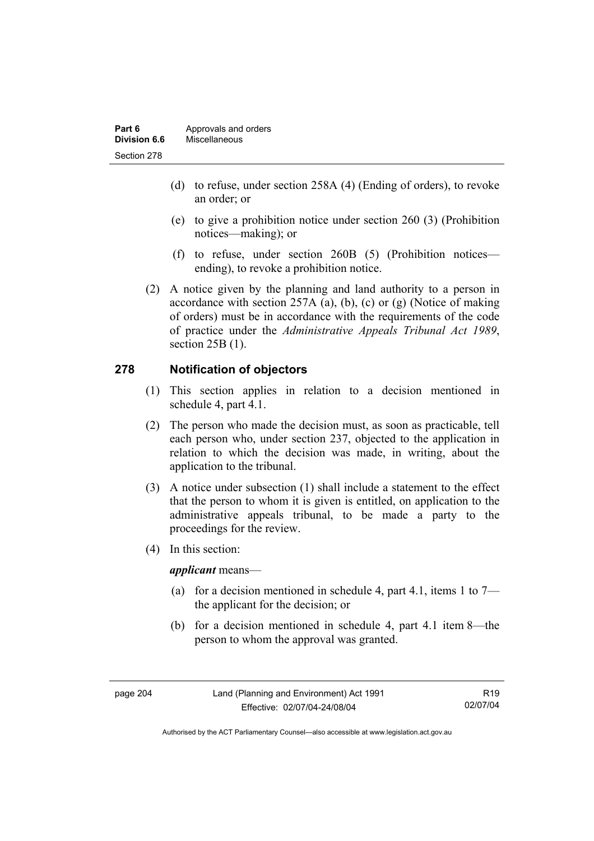| Part 6       | Approvals and orders |
|--------------|----------------------|
| Division 6.6 | Miscellaneous        |
| Section 278  |                      |

- (d) to refuse, under section 258A (4) (Ending of orders), to revoke an order; or
- (e) to give a prohibition notice under section 260 (3) (Prohibition notices—making); or
- (f) to refuse, under section 260B (5) (Prohibition notices ending), to revoke a prohibition notice.
- (2) A notice given by the planning and land authority to a person in accordance with section 257A (a), (b), (c) or  $(g)$  (Notice of making of orders) must be in accordance with the requirements of the code of practice under the *Administrative Appeals Tribunal Act 1989*, section 25B (1).

#### **278 Notification of objectors**

- (1) This section applies in relation to a decision mentioned in schedule 4, part 4.1.
- (2) The person who made the decision must, as soon as practicable, tell each person who, under section 237, objected to the application in relation to which the decision was made, in writing, about the application to the tribunal.
- (3) A notice under subsection (1) shall include a statement to the effect that the person to whom it is given is entitled, on application to the administrative appeals tribunal, to be made a party to the proceedings for the review.
- (4) In this section:

*applicant* means—

- (a) for a decision mentioned in schedule 4, part 4.1, items 1 to  $7$ the applicant for the decision; or
- (b) for a decision mentioned in schedule 4, part 4.1 item 8—the person to whom the approval was granted.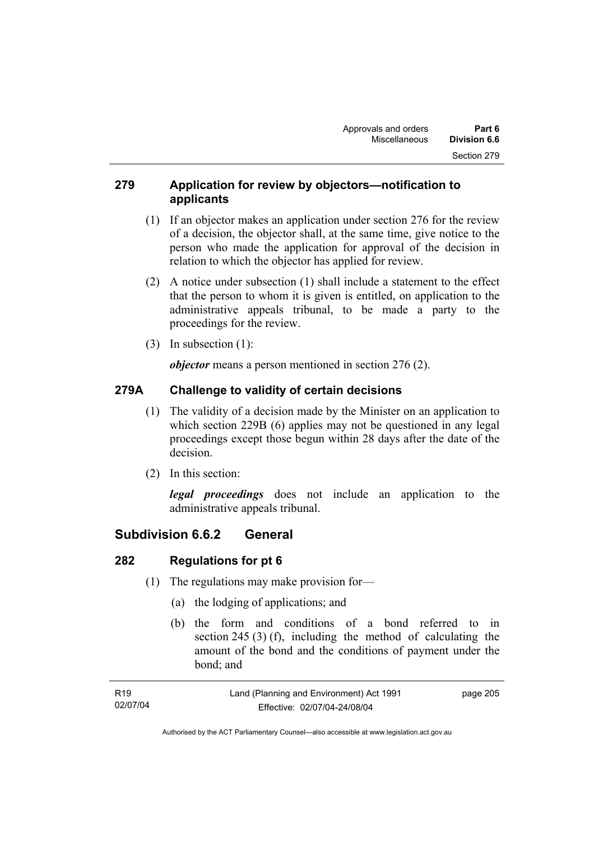### **279 Application for review by objectors—notification to applicants**

- (1) If an objector makes an application under section 276 for the review of a decision, the objector shall, at the same time, give notice to the person who made the application for approval of the decision in relation to which the objector has applied for review.
- (2) A notice under subsection (1) shall include a statement to the effect that the person to whom it is given is entitled, on application to the administrative appeals tribunal, to be made a party to the proceedings for the review.
- (3) In subsection (1):

*objector* means a person mentioned in section 276 (2).

## **279A Challenge to validity of certain decisions**

- (1) The validity of a decision made by the Minister on an application to which section 229B (6) applies may not be questioned in any legal proceedings except those begun within 28 days after the date of the decision.
- (2) In this section:

*legal proceedings* does not include an application to the administrative appeals tribunal.

## **Subdivision 6.6.2 General**

### **282 Regulations for pt 6**

- (1) The regulations may make provision for—
	- (a) the lodging of applications; and
	- (b) the form and conditions of a bond referred to in section 245 (3) (f), including the method of calculating the amount of the bond and the conditions of payment under the bond; and

| R19      | Land (Planning and Environment) Act 1991 | page 205 |
|----------|------------------------------------------|----------|
| 02/07/04 | Effective: 02/07/04-24/08/04             |          |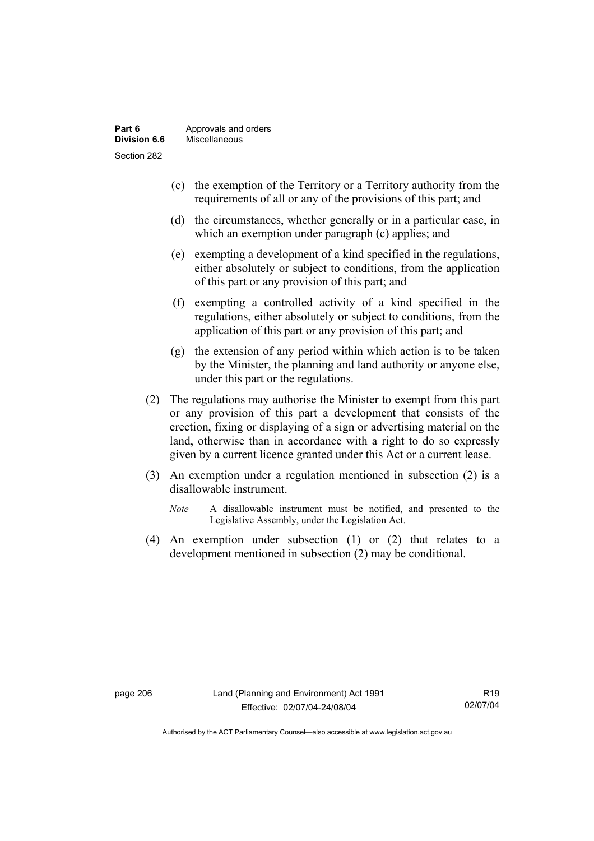- (c) the exemption of the Territory or a Territory authority from the requirements of all or any of the provisions of this part; and
- (d) the circumstances, whether generally or in a particular case, in which an exemption under paragraph (c) applies; and
- (e) exempting a development of a kind specified in the regulations, either absolutely or subject to conditions, from the application of this part or any provision of this part; and
- (f) exempting a controlled activity of a kind specified in the regulations, either absolutely or subject to conditions, from the application of this part or any provision of this part; and
- (g) the extension of any period within which action is to be taken by the Minister, the planning and land authority or anyone else, under this part or the regulations.
- (2) The regulations may authorise the Minister to exempt from this part or any provision of this part a development that consists of the erection, fixing or displaying of a sign or advertising material on the land, otherwise than in accordance with a right to do so expressly given by a current licence granted under this Act or a current lease.
- (3) An exemption under a regulation mentioned in subsection (2) is a disallowable instrument.
	- *Note* A disallowable instrument must be notified, and presented to the Legislative Assembly, under the Legislation Act.
- (4) An exemption under subsection (1) or (2) that relates to a development mentioned in subsection (2) may be conditional.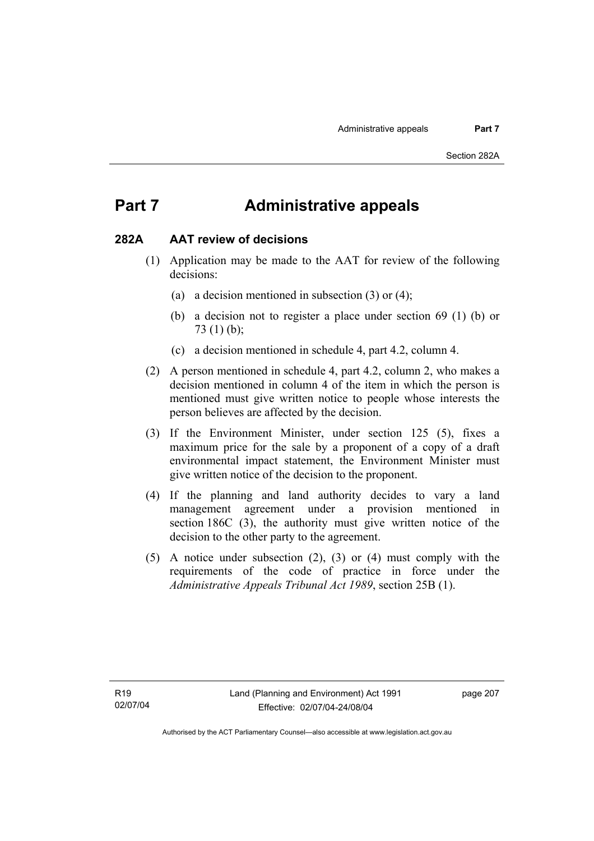## **Part 7 Administrative appeals**

#### **282A AAT review of decisions**

- (1) Application may be made to the AAT for review of the following decisions:
	- (a) a decision mentioned in subsection (3) or (4);
	- (b) a decision not to register a place under section 69 (1) (b) or 73 (1) (b);
	- (c) a decision mentioned in schedule 4, part 4.2, column 4.
- (2) A person mentioned in schedule 4, part 4.2, column 2, who makes a decision mentioned in column 4 of the item in which the person is mentioned must give written notice to people whose interests the person believes are affected by the decision.
- (3) If the Environment Minister, under section 125 (5), fixes a maximum price for the sale by a proponent of a copy of a draft environmental impact statement, the Environment Minister must give written notice of the decision to the proponent.
- (4) If the planning and land authority decides to vary a land management agreement under a provision mentioned in section 186C (3), the authority must give written notice of the decision to the other party to the agreement.
- (5) A notice under subsection (2), (3) or (4) must comply with the requirements of the code of practice in force under the *Administrative Appeals Tribunal Act 1989*, section 25B (1).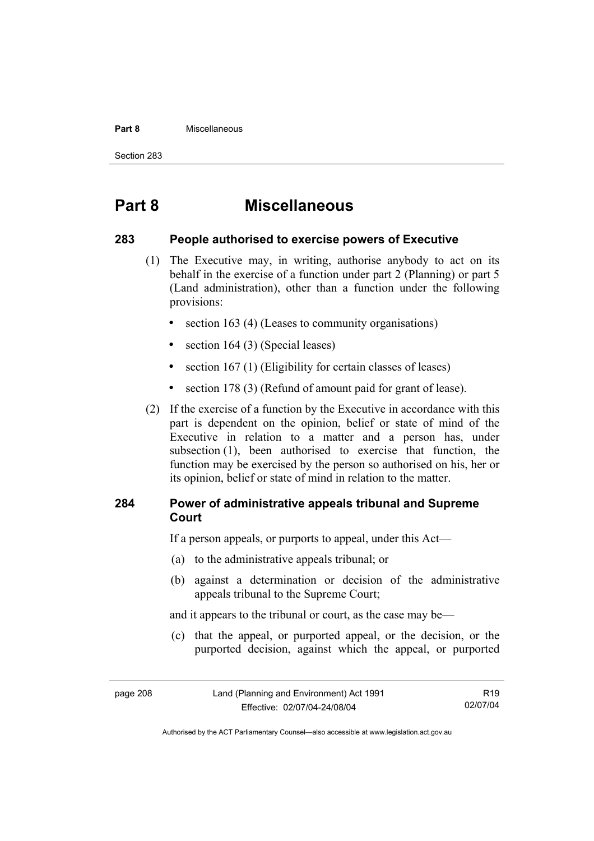#### **Part 8** Miscellaneous

Section 283

## **Part 8 Miscellaneous**

#### **283 People authorised to exercise powers of Executive**

- (1) The Executive may, in writing, authorise anybody to act on its behalf in the exercise of a function under part 2 (Planning) or part 5 (Land administration), other than a function under the following provisions:
	- section 163 (4) (Leases to community organisations)
	- section 164 (3) (Special leases)
	- section 167 (1) (Eligibility for certain classes of leases)
	- section 178 (3) (Refund of amount paid for grant of lease).
- (2) If the exercise of a function by the Executive in accordance with this part is dependent on the opinion, belief or state of mind of the Executive in relation to a matter and a person has, under subsection (1), been authorised to exercise that function, the function may be exercised by the person so authorised on his, her or its opinion, belief or state of mind in relation to the matter.

### **284 Power of administrative appeals tribunal and Supreme Court**

If a person appeals, or purports to appeal, under this Act—

- (a) to the administrative appeals tribunal; or
- (b) against a determination or decision of the administrative appeals tribunal to the Supreme Court;

and it appears to the tribunal or court, as the case may be—

 (c) that the appeal, or purported appeal, or the decision, or the purported decision, against which the appeal, or purported

R19 02/07/04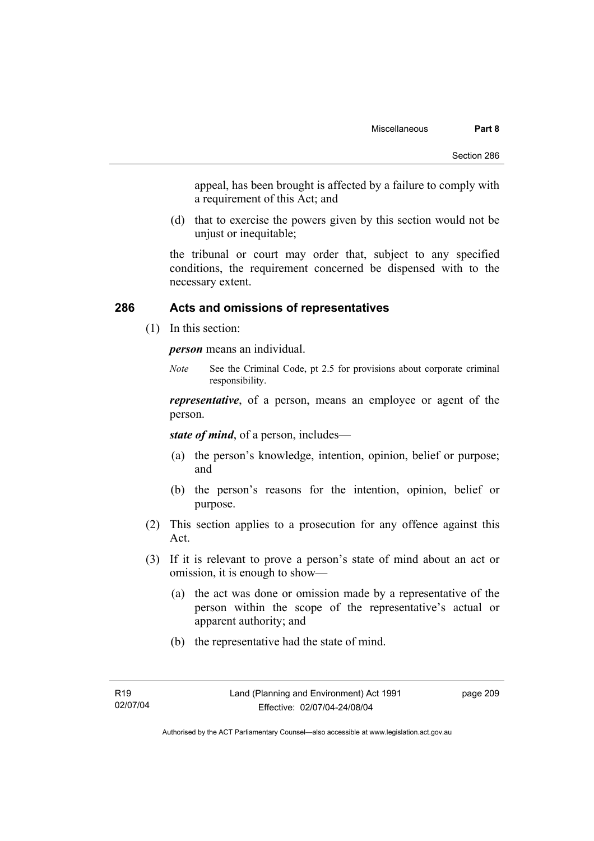appeal, has been brought is affected by a failure to comply with a requirement of this Act; and

 (d) that to exercise the powers given by this section would not be unjust or inequitable;

the tribunal or court may order that, subject to any specified conditions, the requirement concerned be dispensed with to the necessary extent.

#### **286 Acts and omissions of representatives**

(1) In this section:

*person* means an individual.

*Note* See the Criminal Code, pt 2.5 for provisions about corporate criminal responsibility.

*representative*, of a person, means an employee or agent of the person.

*state of mind*, of a person, includes—

- (a) the person's knowledge, intention, opinion, belief or purpose; and
- (b) the person's reasons for the intention, opinion, belief or purpose.
- (2) This section applies to a prosecution for any offence against this Act.
- (3) If it is relevant to prove a person's state of mind about an act or omission, it is enough to show—
	- (a) the act was done or omission made by a representative of the person within the scope of the representative's actual or apparent authority; and
	- (b) the representative had the state of mind.

page 209

Authorised by the ACT Parliamentary Counsel—also accessible at www.legislation.act.gov.au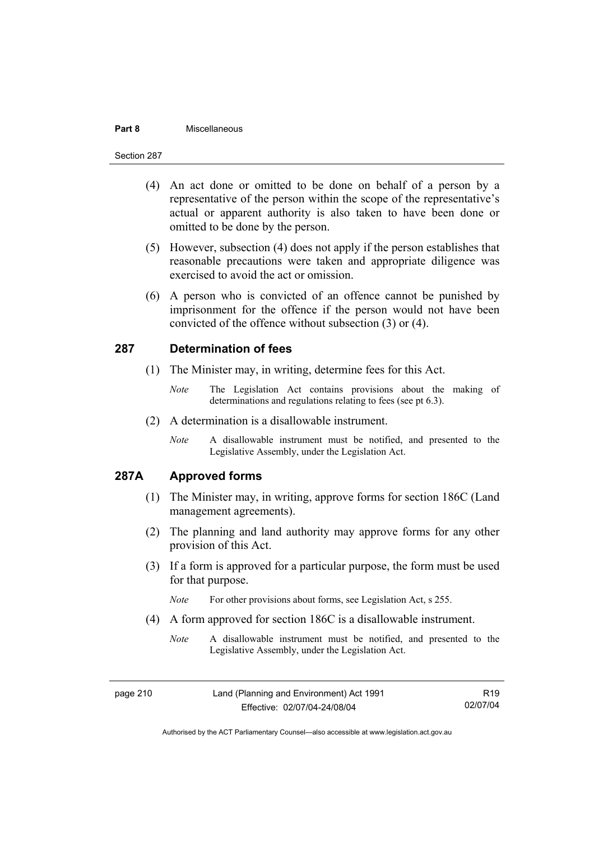#### **Part 8** Miscellaneous

#### Section 287

- (4) An act done or omitted to be done on behalf of a person by a representative of the person within the scope of the representative's actual or apparent authority is also taken to have been done or omitted to be done by the person.
- (5) However, subsection (4) does not apply if the person establishes that reasonable precautions were taken and appropriate diligence was exercised to avoid the act or omission.
- (6) A person who is convicted of an offence cannot be punished by imprisonment for the offence if the person would not have been convicted of the offence without subsection (3) or (4).

#### **287 Determination of fees**

- (1) The Minister may, in writing, determine fees for this Act.
	- *Note* The Legislation Act contains provisions about the making of determinations and regulations relating to fees (see pt 6.3).
- (2) A determination is a disallowable instrument.
	- *Note* A disallowable instrument must be notified, and presented to the Legislative Assembly, under the Legislation Act.

### **287A Approved forms**

- (1) The Minister may, in writing, approve forms for section 186C (Land management agreements).
- (2) The planning and land authority may approve forms for any other provision of this Act.
- (3) If a form is approved for a particular purpose, the form must be used for that purpose.

*Note* For other provisions about forms, see Legislation Act, s 255.

- (4) A form approved for section 186C is a disallowable instrument.
	- *Note* A disallowable instrument must be notified, and presented to the Legislative Assembly, under the Legislation Act.

page 210 Land (Planning and Environment) Act 1991 Effective: 02/07/04-24/08/04 R19 02/07/04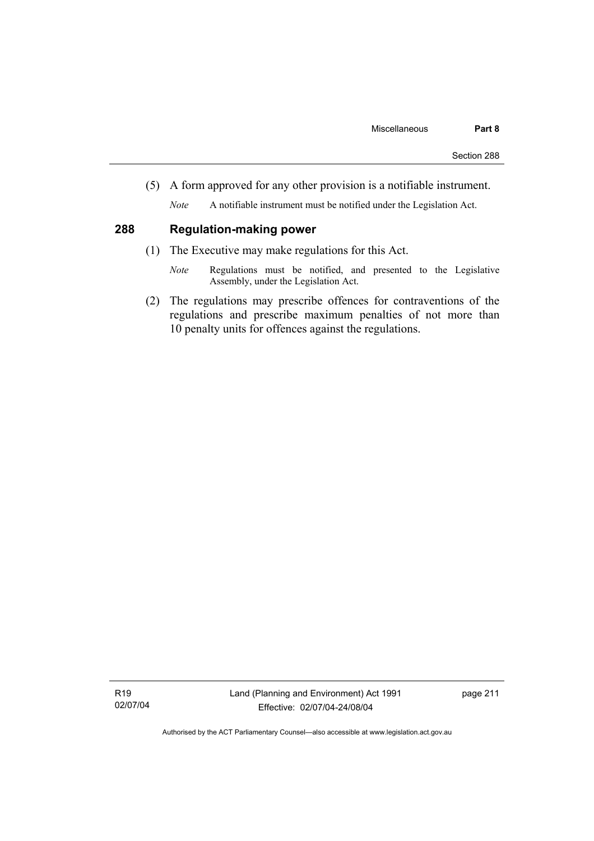(5) A form approved for any other provision is a notifiable instrument.

*Note* A notifiable instrument must be notified under the Legislation Act.

## **288 Regulation-making power**

- (1) The Executive may make regulations for this Act.
	- *Note* Regulations must be notified, and presented to the Legislative Assembly, under the Legislation Act.
- (2) The regulations may prescribe offences for contraventions of the regulations and prescribe maximum penalties of not more than 10 penalty units for offences against the regulations.

R19 02/07/04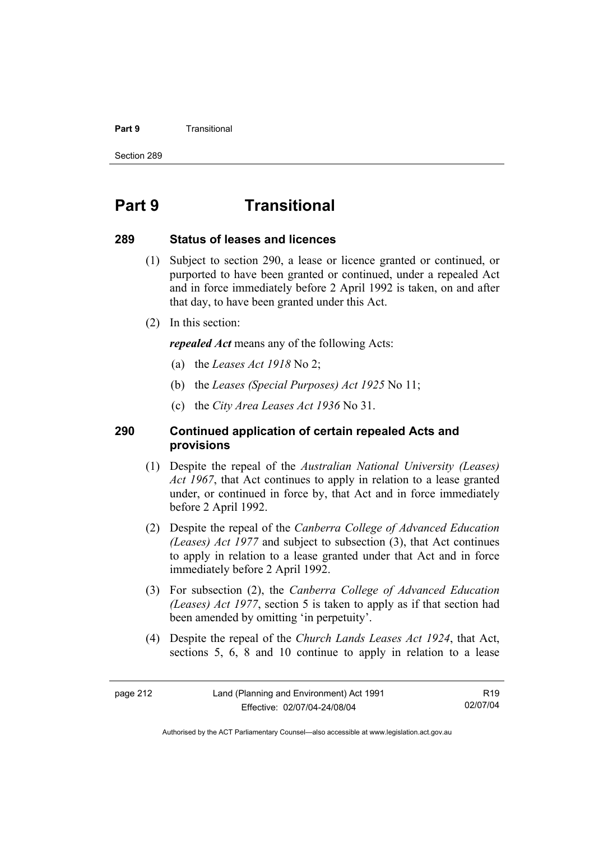#### **Part 9 Transitional**

Section 289

## **Part 9 Transitional**

#### **289 Status of leases and licences**

- (1) Subject to section 290, a lease or licence granted or continued, or purported to have been granted or continued, under a repealed Act and in force immediately before 2 April 1992 is taken, on and after that day, to have been granted under this Act.
- (2) In this section:

*repealed Act* means any of the following Acts:

- (a) the *Leases Act 1918* No 2;
- (b) the *Leases (Special Purposes) Act 1925* No 11;
- (c) the *City Area Leases Act 1936* No 31.

#### **290 Continued application of certain repealed Acts and provisions**

- (1) Despite the repeal of the *Australian National University (Leases) Act 1967*, that Act continues to apply in relation to a lease granted under, or continued in force by, that Act and in force immediately before 2 April 1992.
- (2) Despite the repeal of the *Canberra College of Advanced Education (Leases) Act 1977* and subject to subsection (3), that Act continues to apply in relation to a lease granted under that Act and in force immediately before 2 April 1992.
- (3) For subsection (2), the *Canberra College of Advanced Education (Leases) Act 1977*, section 5 is taken to apply as if that section had been amended by omitting 'in perpetuity'.
- (4) Despite the repeal of the *Church Lands Leases Act 1924*, that Act, sections 5, 6, 8 and 10 continue to apply in relation to a lease

R19 02/07/04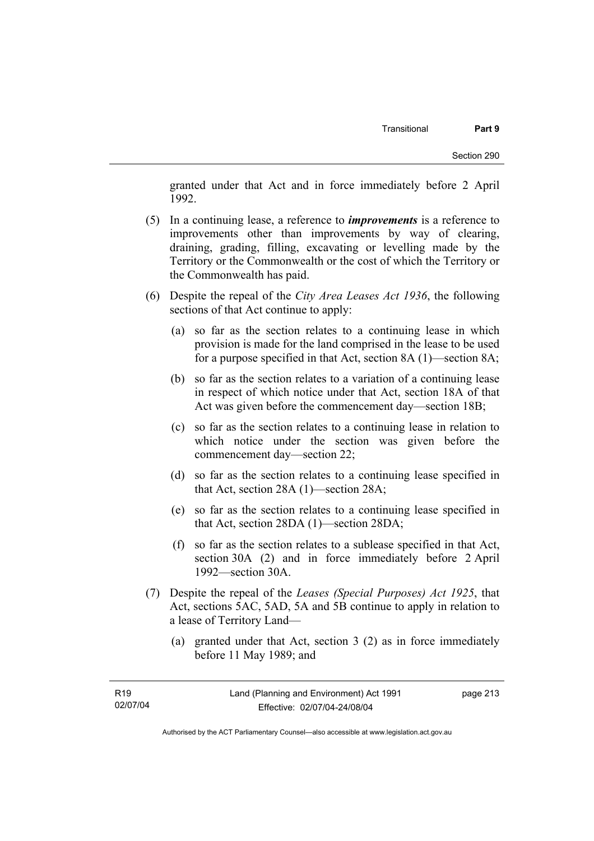granted under that Act and in force immediately before 2 April 1992.

- (5) In a continuing lease, a reference to *improvements* is a reference to improvements other than improvements by way of clearing, draining, grading, filling, excavating or levelling made by the Territory or the Commonwealth or the cost of which the Territory or the Commonwealth has paid.
- (6) Despite the repeal of the *City Area Leases Act 1936*, the following sections of that Act continue to apply:
	- (a) so far as the section relates to a continuing lease in which provision is made for the land comprised in the lease to be used for a purpose specified in that Act, section 8A (1)—section 8A;
	- (b) so far as the section relates to a variation of a continuing lease in respect of which notice under that Act, section 18A of that Act was given before the commencement day—section 18B;
	- (c) so far as the section relates to a continuing lease in relation to which notice under the section was given before the commencement day—section 22;
	- (d) so far as the section relates to a continuing lease specified in that Act, section 28A (1)—section 28A;
	- (e) so far as the section relates to a continuing lease specified in that Act, section 28DA (1)—section 28DA;
	- (f) so far as the section relates to a sublease specified in that Act, section 30A (2) and in force immediately before 2 April 1992—section 30A.
- (7) Despite the repeal of the *Leases (Special Purposes) Act 1925*, that Act, sections 5AC, 5AD, 5A and 5B continue to apply in relation to a lease of Territory Land—
	- (a) granted under that Act, section 3 (2) as in force immediately before 11 May 1989; and

page 213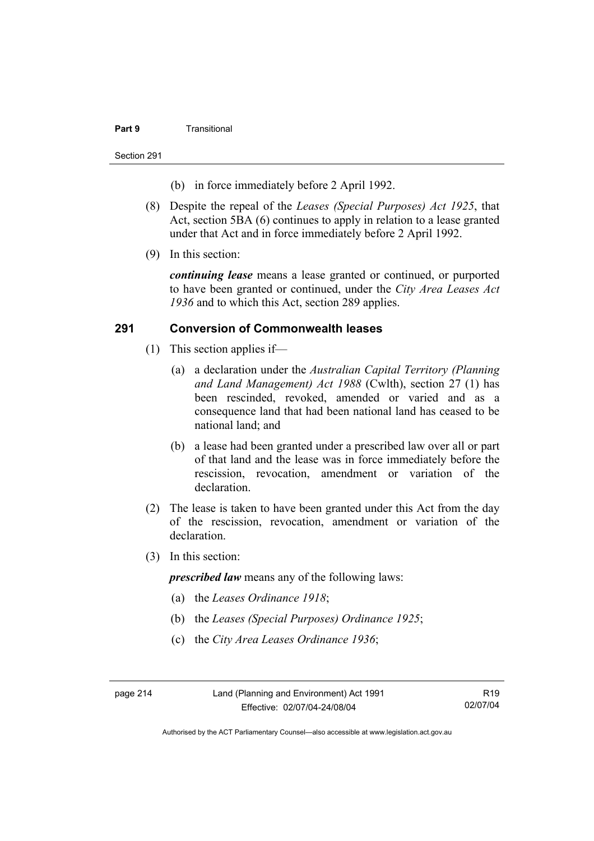#### **Part 9** Transitional

Section 291

- (b) in force immediately before 2 April 1992.
- (8) Despite the repeal of the *Leases (Special Purposes) Act 1925*, that Act, section 5BA (6) continues to apply in relation to a lease granted under that Act and in force immediately before 2 April 1992.
- (9) In this section:

*continuing lease* means a lease granted or continued, or purported to have been granted or continued, under the *City Area Leases Act 1936* and to which this Act, section 289 applies.

#### **291 Conversion of Commonwealth leases**

- (1) This section applies if—
	- (a) a declaration under the *Australian Capital Territory (Planning and Land Management) Act 1988* (Cwlth), section 27 (1) has been rescinded, revoked, amended or varied and as a consequence land that had been national land has ceased to be national land; and
	- (b) a lease had been granted under a prescribed law over all or part of that land and the lease was in force immediately before the rescission, revocation, amendment or variation of the declaration.
- (2) The lease is taken to have been granted under this Act from the day of the rescission, revocation, amendment or variation of the declaration.
- (3) In this section:

*prescribed law* means any of the following laws:

- (a) the *Leases Ordinance 1918*;
- (b) the *Leases (Special Purposes) Ordinance 1925*;
- (c) the *City Area Leases Ordinance 1936*;

page 214 Land (Planning and Environment) Act 1991 Effective: 02/07/04-24/08/04

R19 02/07/04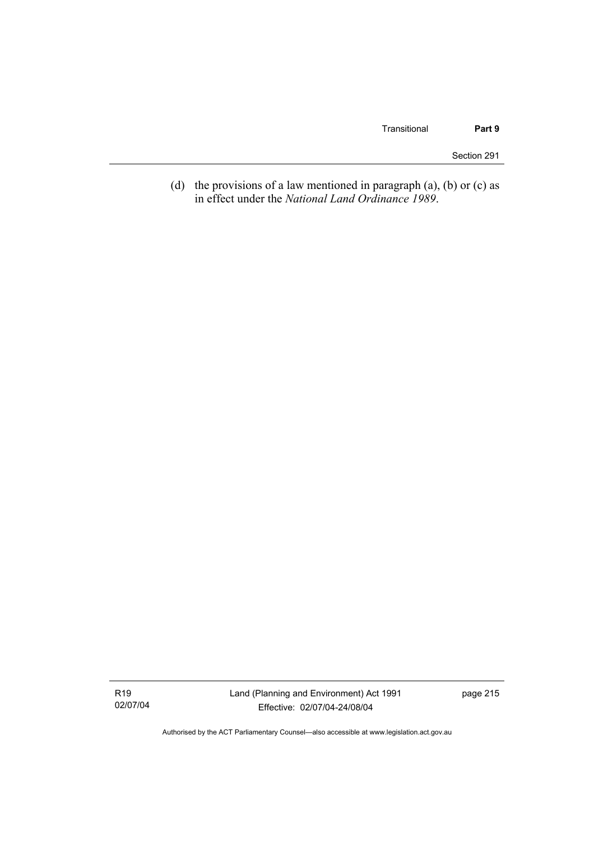(d) the provisions of a law mentioned in paragraph  $(a)$ ,  $(b)$  or  $(c)$  as in effect under the *National Land Ordinance 1989*.

R19 02/07/04 Land (Planning and Environment) Act 1991 Effective: 02/07/04-24/08/04

page 215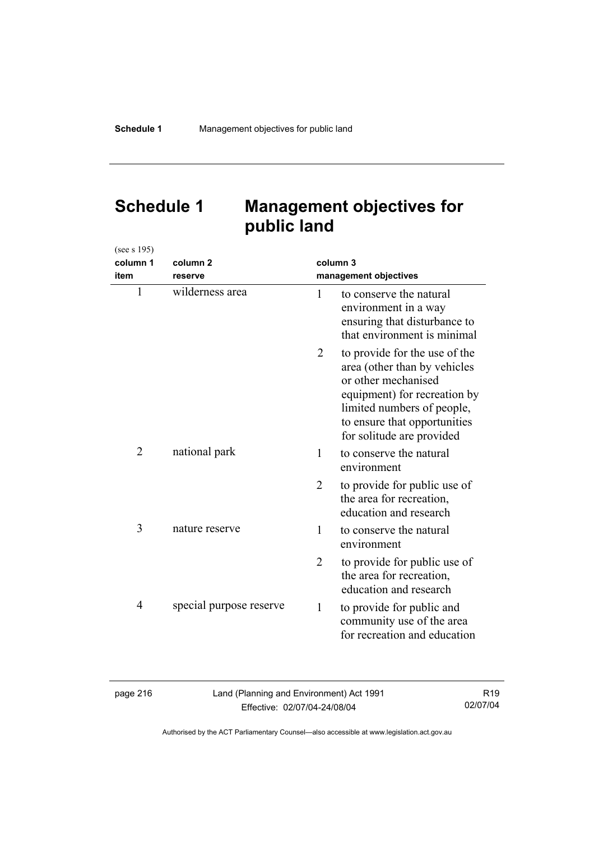## **Schedule 1 Management objectives for public land**

| (see s 195)    |                         |          |                                                                                                                                                                                                                 |
|----------------|-------------------------|----------|-----------------------------------------------------------------------------------------------------------------------------------------------------------------------------------------------------------------|
| column 1       | column <sub>2</sub>     | column 3 |                                                                                                                                                                                                                 |
| item           | reserve                 |          | management objectives                                                                                                                                                                                           |
| $\mathbf{1}$   | wilderness area         | 1        | to conserve the natural<br>environment in a way<br>ensuring that disturbance to<br>that environment is minimal                                                                                                  |
|                |                         | 2        | to provide for the use of the<br>area (other than by vehicles<br>or other mechanised<br>equipment) for recreation by<br>limited numbers of people,<br>to ensure that opportunities<br>for solitude are provided |
| 2              | national park           | 1        | to conserve the natural<br>environment                                                                                                                                                                          |
|                |                         | 2        | to provide for public use of<br>the area for recreation,<br>education and research                                                                                                                              |
| 3              | nature reserve          | 1        | to conserve the natural<br>environment                                                                                                                                                                          |
|                |                         | 2        | to provide for public use of<br>the area for recreation,<br>education and research                                                                                                                              |
| $\overline{4}$ | special purpose reserve | 1        | to provide for public and<br>community use of the area<br>for recreation and education                                                                                                                          |

| aae |  | ۰<br>n |
|-----|--|--------|
|-----|--|--------|

Land (Planning and Environment) Act 1991 Effective: 02/07/04-24/08/04

R19 02/07/04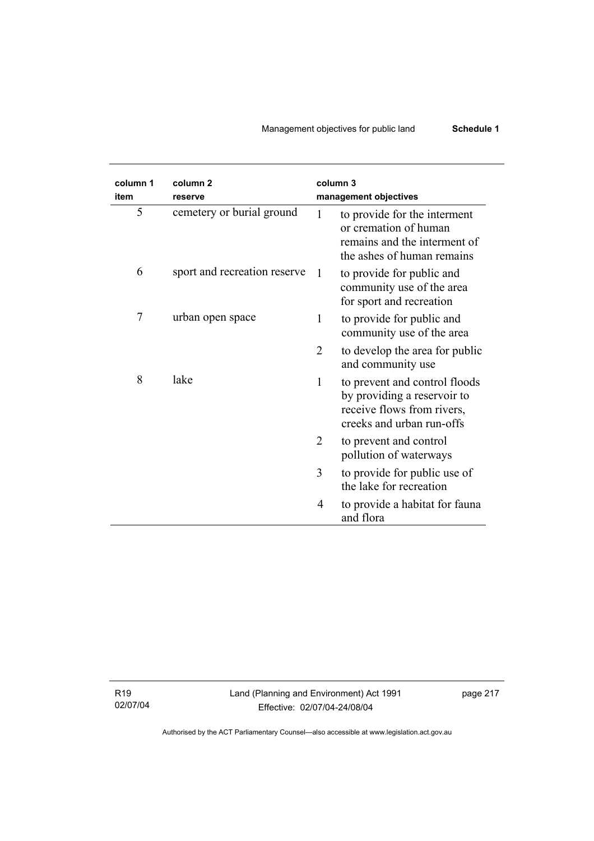## Management objectives for public land **Schedule 1**

| column 1<br>item | column <sub>2</sub><br>reserve | column 3<br>management objectives                                                                                            |
|------------------|--------------------------------|------------------------------------------------------------------------------------------------------------------------------|
| 5                | cemetery or burial ground      | to provide for the interment<br>1<br>or cremation of human<br>remains and the interment of<br>the ashes of human remains     |
| 6                | sport and recreation reserve   | to provide for public and<br>1<br>community use of the area<br>for sport and recreation                                      |
| 7                | urban open space               | to provide for public and<br>1<br>community use of the area                                                                  |
|                  |                                | 2<br>to develop the area for public<br>and community use                                                                     |
| 8                | lake                           | 1<br>to prevent and control floods<br>by providing a reservoir to<br>receive flows from rivers,<br>creeks and urban run-offs |
|                  |                                | 2<br>to prevent and control<br>pollution of waterways                                                                        |
|                  |                                | to provide for public use of<br>3<br>the lake for recreation                                                                 |
|                  |                                | to provide a habitat for fauna<br>4<br>and flora                                                                             |

R19 02/07/04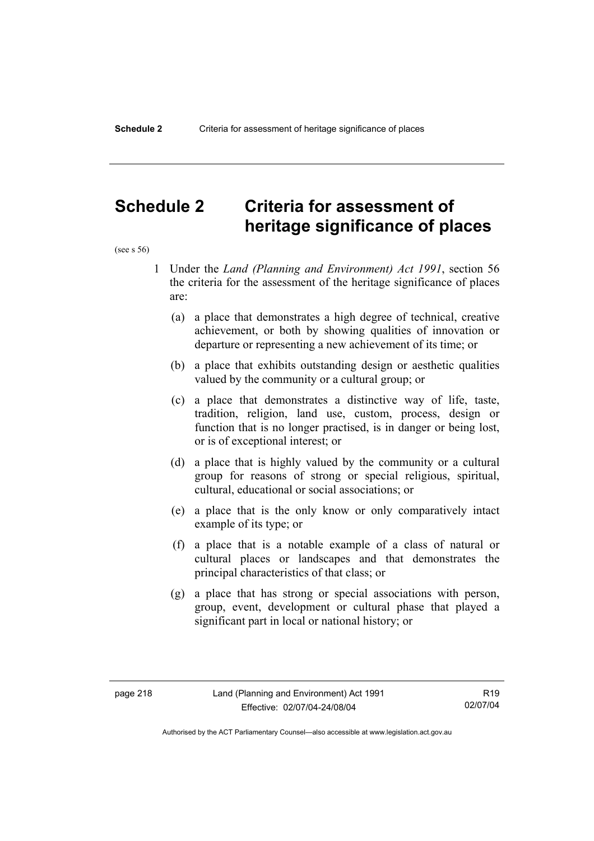## **Schedule 2 Criteria for assessment of heritage significance of places**

(see s 56)

- 1 Under the *Land (Planning and Environment) Act 1991*, section 56 the criteria for the assessment of the heritage significance of places are:
	- (a) a place that demonstrates a high degree of technical, creative achievement, or both by showing qualities of innovation or departure or representing a new achievement of its time; or
	- (b) a place that exhibits outstanding design or aesthetic qualities valued by the community or a cultural group; or
	- (c) a place that demonstrates a distinctive way of life, taste, tradition, religion, land use, custom, process, design or function that is no longer practised, is in danger or being lost, or is of exceptional interest; or
	- (d) a place that is highly valued by the community or a cultural group for reasons of strong or special religious, spiritual, cultural, educational or social associations; or
	- (e) a place that is the only know or only comparatively intact example of its type; or
	- (f) a place that is a notable example of a class of natural or cultural places or landscapes and that demonstrates the principal characteristics of that class; or
	- (g) a place that has strong or special associations with person, group, event, development or cultural phase that played a significant part in local or national history; or

R19 02/07/04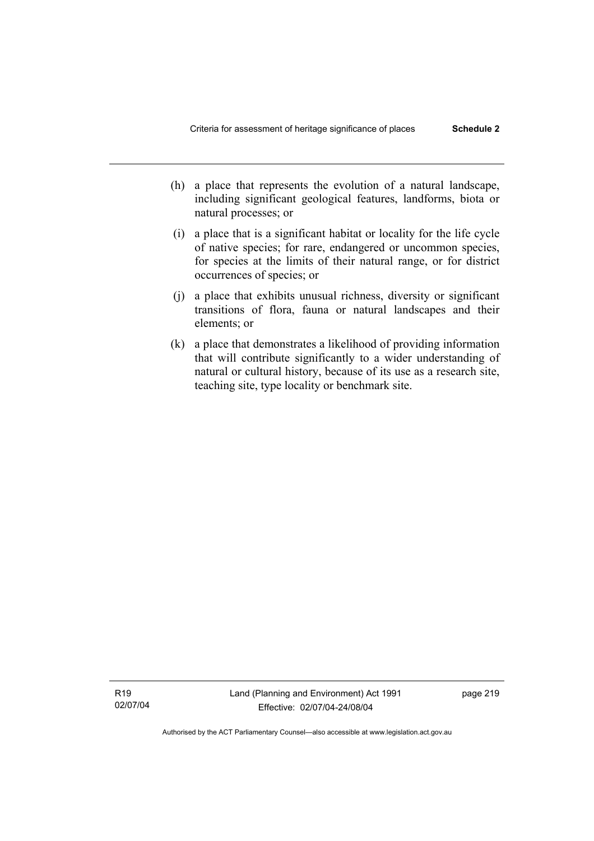- (h) a place that represents the evolution of a natural landscape, including significant geological features, landforms, biota or natural processes; or
- (i) a place that is a significant habitat or locality for the life cycle of native species; for rare, endangered or uncommon species, for species at the limits of their natural range, or for district occurrences of species; or
- (j) a place that exhibits unusual richness, diversity or significant transitions of flora, fauna or natural landscapes and their elements; or
- (k) a place that demonstrates a likelihood of providing information that will contribute significantly to a wider understanding of natural or cultural history, because of its use as a research site, teaching site, type locality or benchmark site.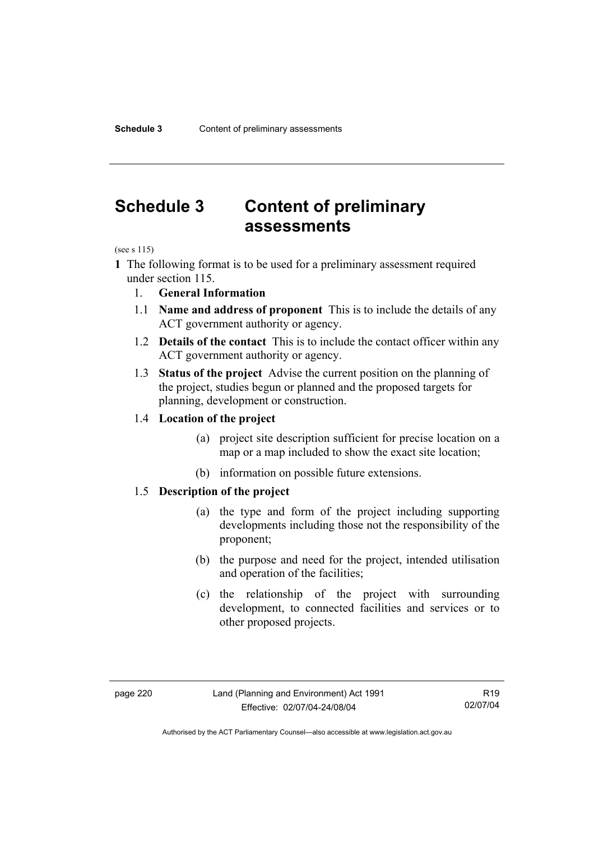## **Schedule 3 Content of preliminary assessments**

(see s 115)

- **1** The following format is to be used for a preliminary assessment required under section 115.
	- 1. **General Information**
	- 1.1 **Name and address of proponent** This is to include the details of any ACT government authority or agency.
	- 1.2 **Details of the contact** This is to include the contact officer within any ACT government authority or agency.
	- 1.3 **Status of the project** Advise the current position on the planning of the project, studies begun or planned and the proposed targets for planning, development or construction.

#### 1.4 **Location of the project**

- (a) project site description sufficient for precise location on a map or a map included to show the exact site location;
- (b) information on possible future extensions.

#### 1.5 **Description of the project**

- (a) the type and form of the project including supporting developments including those not the responsibility of the proponent;
- (b) the purpose and need for the project, intended utilisation and operation of the facilities;
- (c) the relationship of the project with surrounding development, to connected facilities and services or to other proposed projects.

R19 02/07/04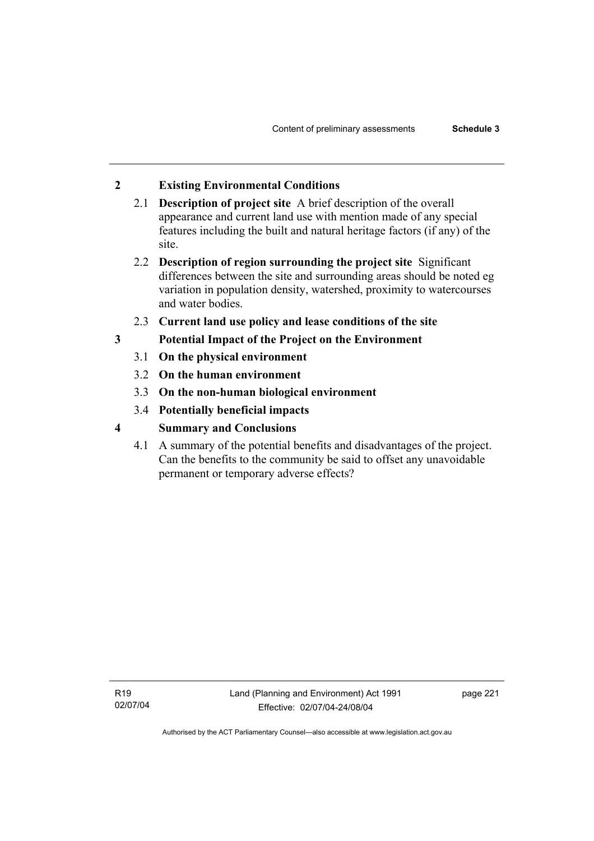## **2 Existing Environmental Conditions**

- 2.1 **Description of project site** A brief description of the overall appearance and current land use with mention made of any special features including the built and natural heritage factors (if any) of the site.
- 2.2 **Description of region surrounding the project site** Significant differences between the site and surrounding areas should be noted eg variation in population density, watershed, proximity to watercourses and water bodies.
- 2.3 **Current land use policy and lease conditions of the site**
- **3 Potential Impact of the Project on the Environment** 
	- 3.1 **On the physical environment**
	- 3.2 **On the human environment**
	- 3.3 **On the non-human biological environment**
	- 3.4 **Potentially beneficial impacts**
- **4 Summary and Conclusions** 
	- 4.1 A summary of the potential benefits and disadvantages of the project. Can the benefits to the community be said to offset any unavoidable permanent or temporary adverse effects?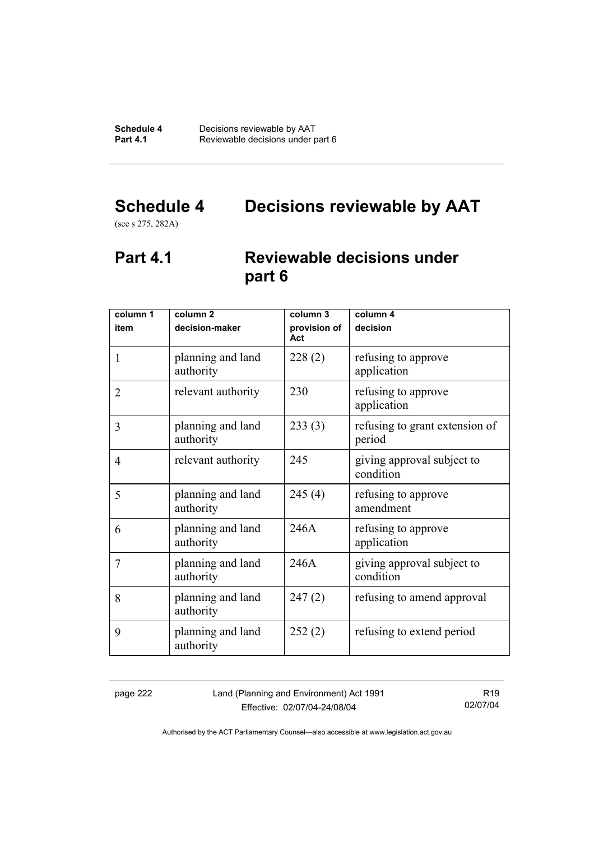# **Schedule 4 Decisions reviewable by AAT**

(see s 275, 282A)

## **Part 4.1 Reviewable decisions under part 6**

| column 1       | column <sub>2</sub>            | column 3            | column 4                                 |
|----------------|--------------------------------|---------------------|------------------------------------------|
| item           | decision-maker                 | provision of<br>Act | decision                                 |
| 1              | planning and land<br>authority | 228(2)              | refusing to approve<br>application       |
| $\overline{2}$ | relevant authority             | 230                 | refusing to approve<br>application       |
| 3              | planning and land<br>authority | 233(3)              | refusing to grant extension of<br>period |
| 4              | relevant authority             | 245                 | giving approval subject to<br>condition  |
| 5              | planning and land<br>authority | 245(4)              | refusing to approve<br>amendment         |
| 6              | planning and land<br>authority | 246A                | refusing to approve<br>application       |
| 7              | planning and land<br>authority | 246A                | giving approval subject to<br>condition  |
| 8              | planning and land<br>authority | 247(2)              | refusing to amend approval               |
| 9              | planning and land<br>authority | 252(2)              | refusing to extend period                |

page 222 Land (Planning and Environment) Act 1991 Effective: 02/07/04-24/08/04

R19 02/07/04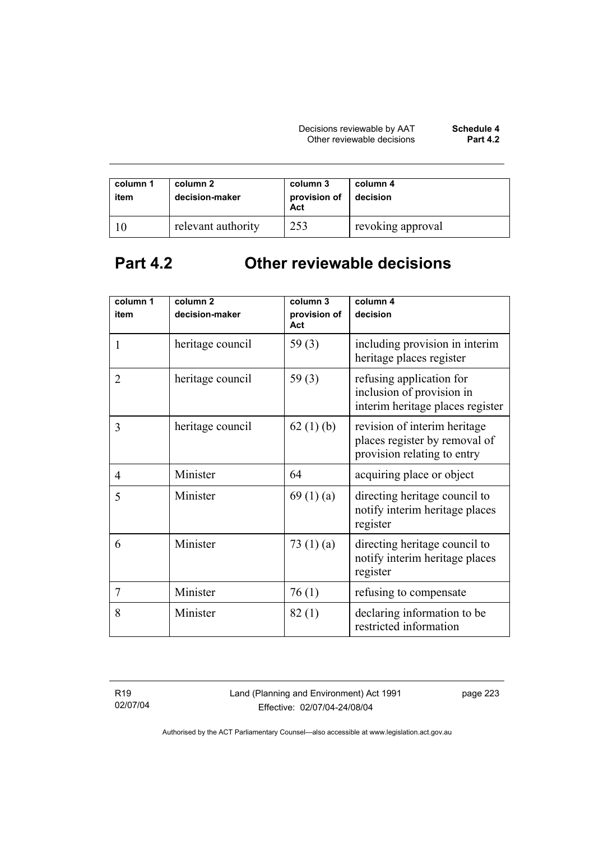| column 1<br>item | column 2<br>decision-maker | column 3<br>provision of<br>Act | column 4<br>decision |
|------------------|----------------------------|---------------------------------|----------------------|
|                  | relevant authority         | 253                             | revoking approval    |

# **Part 4.2 Other reviewable decisions**

| column 1       | column <sub>2</sub> | column 3            | column 4                                                                                     |
|----------------|---------------------|---------------------|----------------------------------------------------------------------------------------------|
| item           | decision-maker      | provision of<br>Act | decision                                                                                     |
| 1              | heritage council    | 59 $(3)$            | including provision in interim<br>heritage places register                                   |
| $\overline{2}$ | heritage council    | 59 $(3)$            | refusing application for<br>inclusion of provision in<br>interim heritage places register    |
| 3              | heritage council    | 62(1)(b)            | revision of interim heritage<br>places register by removal of<br>provision relating to entry |
| $\overline{4}$ | Minister            | 64                  | acquiring place or object                                                                    |
| 5              | Minister            | 69(1)(a)            | directing heritage council to<br>notify interim heritage places<br>register                  |
| 6              | Minister            | 73 $(1)(a)$         | directing heritage council to<br>notify interim heritage places<br>register                  |
| $\overline{7}$ | Minister            | 76(1)               | refusing to compensate                                                                       |
| 8              | Minister            | 82(1)               | declaring information to be<br>restricted information                                        |

R19 02/07/04 Land (Planning and Environment) Act 1991 Effective: 02/07/04-24/08/04

page 223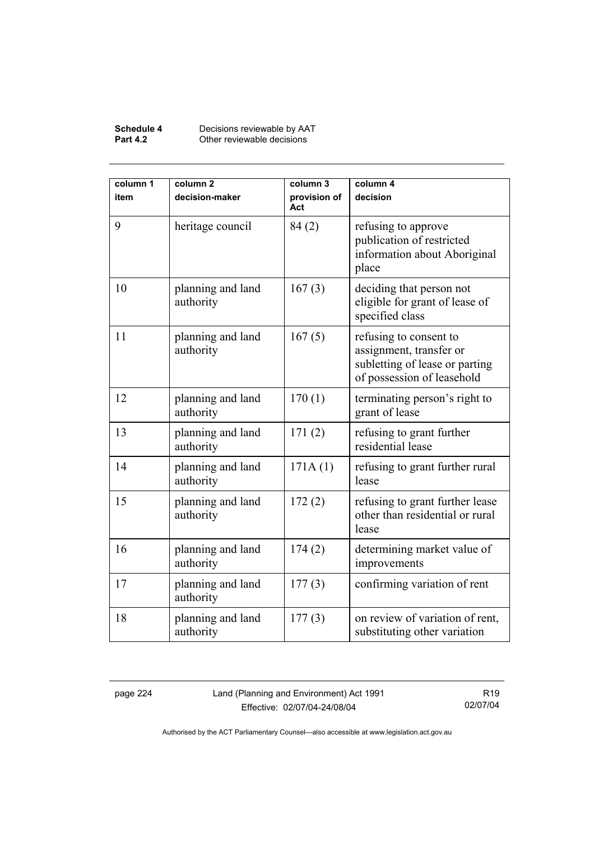#### **Schedule 4** Decisions reviewable by AAT **Part 4.2 Other reviewable decisions**

| column 1<br>item | column <sub>2</sub><br>decision-maker | column 3<br>provision of<br>Act | column 4<br>decision                                                                                              |
|------------------|---------------------------------------|---------------------------------|-------------------------------------------------------------------------------------------------------------------|
| 9                | heritage council                      | 84(2)                           | refusing to approve<br>publication of restricted<br>information about Aboriginal<br>place                         |
| 10               | planning and land<br>authority        | 167(3)                          | deciding that person not<br>eligible for grant of lease of<br>specified class                                     |
| 11               | planning and land<br>authority        | 167(5)                          | refusing to consent to<br>assignment, transfer or<br>subletting of lease or parting<br>of possession of leasehold |
| 12               | planning and land<br>authority        | 170(1)                          | terminating person's right to<br>grant of lease                                                                   |
| 13               | planning and land<br>authority        | 171(2)                          | refusing to grant further<br>residential lease                                                                    |
| 14               | planning and land<br>authority        | 171A(1)                         | refusing to grant further rural<br>lease                                                                          |
| 15               | planning and land<br>authority        | 172(2)                          | refusing to grant further lease<br>other than residential or rural<br>lease                                       |
| 16               | planning and land<br>authority        | 174(2)                          | determining market value of<br>improvements                                                                       |
| 17               | planning and land<br>authority        | 177(3)                          | confirming variation of rent                                                                                      |
| 18               | planning and land<br>authority        | 177(3)                          | on review of variation of rent,<br>substituting other variation                                                   |

page 224 Land (Planning and Environment) Act 1991 Effective: 02/07/04-24/08/04

R19 02/07/04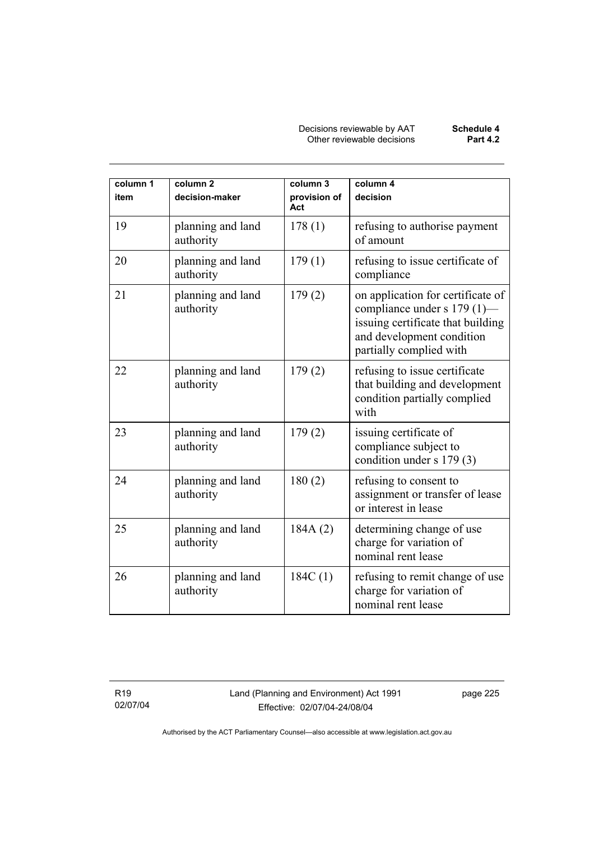Decisions reviewable by AAT **Schedule 4** Other reviewable decisions **Part 4.2** 

| column 1<br>item | column <sub>2</sub><br>decision-maker | column 3<br>provision of<br>Act | column 4<br>decision                                                                                                                                          |
|------------------|---------------------------------------|---------------------------------|---------------------------------------------------------------------------------------------------------------------------------------------------------------|
| 19               | planning and land<br>authority        | 178(1)                          | refusing to authorise payment<br>of amount                                                                                                                    |
| 20               | planning and land<br>authority        | 179(1)                          | refusing to issue certificate of<br>compliance                                                                                                                |
| 21               | planning and land<br>authority        | 179(2)                          | on application for certificate of<br>compliance under s 179 (1)-<br>issuing certificate that building<br>and development condition<br>partially complied with |
| 22               | planning and land<br>authority        | 179(2)                          | refusing to issue certificate<br>that building and development<br>condition partially complied<br>with                                                        |
| 23               | planning and land<br>authority        | 179(2)                          | issuing certificate of<br>compliance subject to<br>condition under s 179 (3)                                                                                  |
| 24               | planning and land<br>authority        | 180(2)                          | refusing to consent to<br>assignment or transfer of lease<br>or interest in lease                                                                             |
| 25               | planning and land<br>authority        | 184A(2)                         | determining change of use<br>charge for variation of<br>nominal rent lease                                                                                    |
| 26               | planning and land<br>authority        | 184C(1)                         | refusing to remit change of use<br>charge for variation of<br>nominal rent lease                                                                              |

R19 02/07/04 Land (Planning and Environment) Act 1991 Effective: 02/07/04-24/08/04

page 225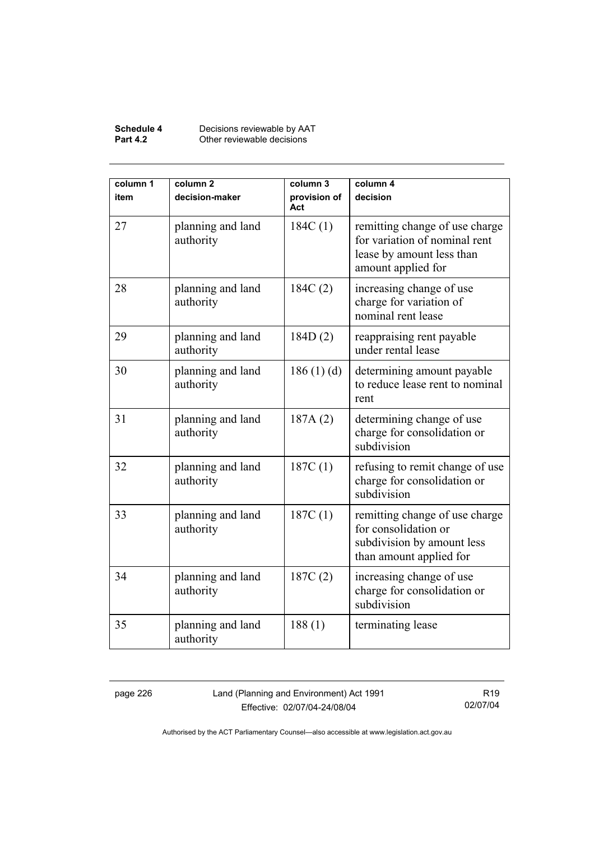#### **Schedule 4** Decisions reviewable by AAT **Part 4.2 Other reviewable decisions**

| column 1<br>item | column <sub>2</sub><br>decision-maker | column 3<br>provision of<br>Act | column 4<br>decision                                                                                               |
|------------------|---------------------------------------|---------------------------------|--------------------------------------------------------------------------------------------------------------------|
| 27               | planning and land<br>authority        | 184C(1)                         | remitting change of use charge<br>for variation of nominal rent<br>lease by amount less than<br>amount applied for |
| 28               | planning and land<br>authority        | 184C(2)                         | increasing change of use<br>charge for variation of<br>nominal rent lease                                          |
| 29               | planning and land<br>authority        | 184D(2)                         | reappraising rent payable<br>under rental lease                                                                    |
| 30               | planning and land<br>authority        | 186(1)(d)                       | determining amount payable<br>to reduce lease rent to nominal<br>rent                                              |
| 31               | planning and land<br>authority        | 187A(2)                         | determining change of use<br>charge for consolidation or<br>subdivision                                            |
| 32               | planning and land<br>authority        | 187C(1)                         | refusing to remit change of use<br>charge for consolidation or<br>subdivision                                      |
| 33               | planning and land<br>authority        | 187C(1)                         | remitting change of use charge<br>for consolidation or<br>subdivision by amount less<br>than amount applied for    |
| 34               | planning and land<br>authority        | 187C(2)                         | increasing change of use<br>charge for consolidation or<br>subdivision                                             |
| 35               | planning and land<br>authority        | 188(1)                          | terminating lease                                                                                                  |

page 226 Land (Planning and Environment) Act 1991 Effective: 02/07/04-24/08/04

R19 02/07/04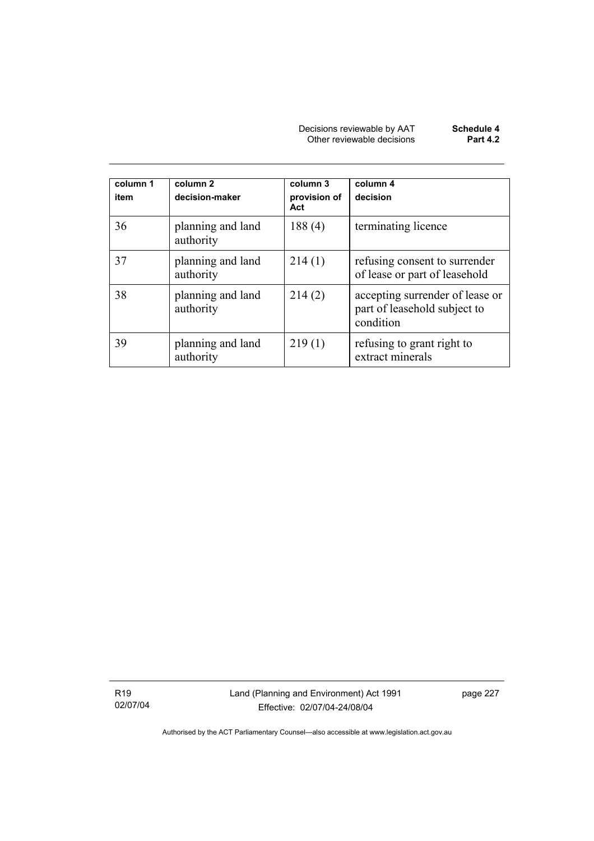| Decisions reviewable by AAT | Schedule 4      |
|-----------------------------|-----------------|
| Other reviewable decisions  | <b>Part 4.2</b> |

| column 1<br>item | column <sub>2</sub><br>decision-maker | column 3<br>provision of<br>Act | column 4<br>decision                                                         |
|------------------|---------------------------------------|---------------------------------|------------------------------------------------------------------------------|
| 36               | planning and land<br>authority        | 188(4)                          | terminating licence                                                          |
| 37               | planning and land<br>authority        | 214(1)                          | refusing consent to surrender<br>of lease or part of leasehold               |
| 38               | planning and land<br>authority        | 214(2)                          | accepting surrender of lease or<br>part of leasehold subject to<br>condition |
| 39               | planning and land<br>authority        | 219(1)                          | refusing to grant right to<br>extract minerals                               |

R19 02/07/04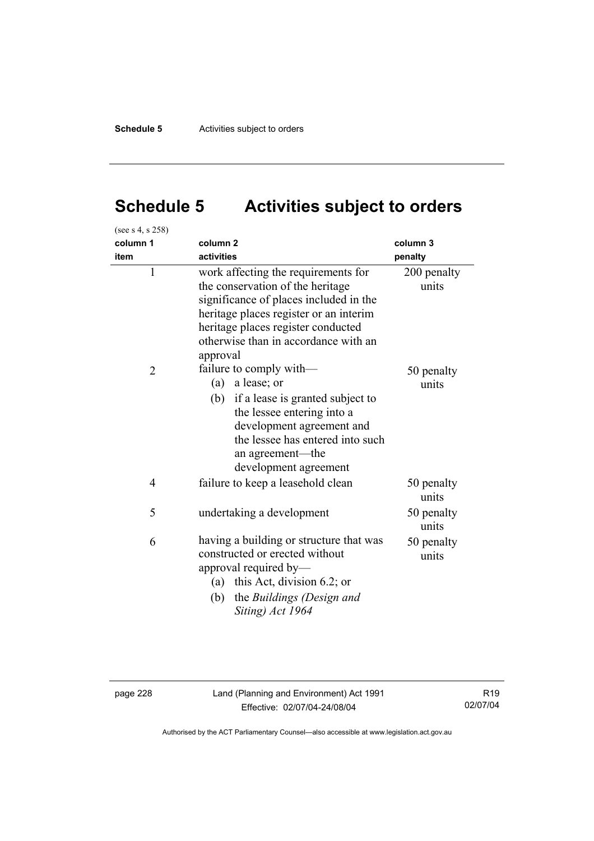# **Schedule 5 Activities subject to orders**

| (see s 4, s 258) |                                                                                                                                                                                                                                                       |                      |  |
|------------------|-------------------------------------------------------------------------------------------------------------------------------------------------------------------------------------------------------------------------------------------------------|----------------------|--|
| column 1         | column <sub>2</sub>                                                                                                                                                                                                                                   | column 3             |  |
| item             | activities                                                                                                                                                                                                                                            | penalty              |  |
| $\mathbf{1}$     | work affecting the requirements for<br>the conservation of the heritage<br>significance of places included in the<br>heritage places register or an interim<br>heritage places register conducted<br>otherwise than in accordance with an<br>approval | 200 penalty<br>units |  |
| $\overline{2}$   | failure to comply with—<br>(a)<br>a lease; or<br>(b) if a lease is granted subject to<br>the lessee entering into a<br>development agreement and<br>the lessee has entered into such<br>an agreement—the<br>development agreement                     | 50 penalty<br>units  |  |
| 4                | failure to keep a leasehold clean                                                                                                                                                                                                                     | 50 penalty<br>units  |  |
| 5                | undertaking a development                                                                                                                                                                                                                             | 50 penalty<br>units  |  |
| 6                | having a building or structure that was<br>constructed or erected without<br>approval required by-<br>this Act, division $6.2$ ; or<br>(a)<br>the Buildings (Design and<br>(b)<br>Siting) Act 1964                                                    | 50 penalty<br>units  |  |

page 228 Land (Planning and Environment) Act 1991 Effective: 02/07/04-24/08/04

R19 02/07/04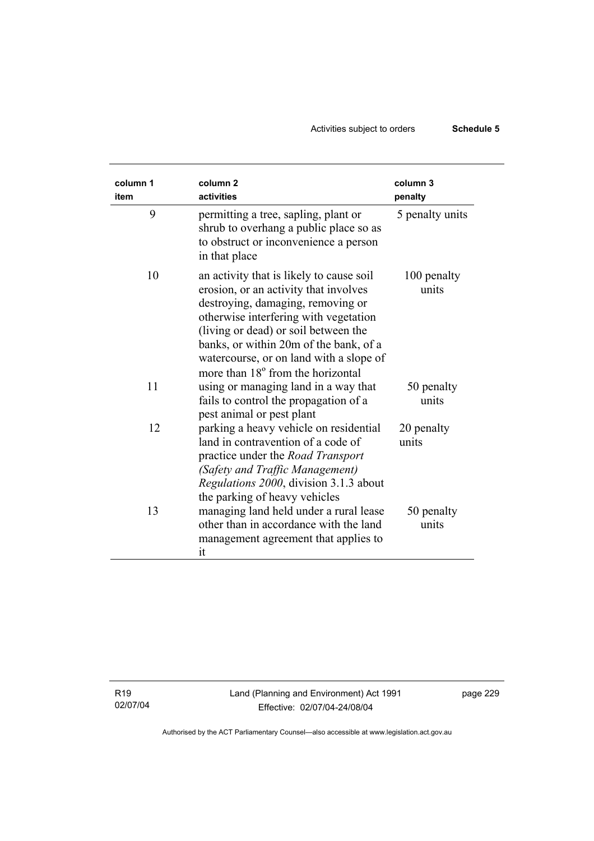## Activities subject to orders **Schedule 5**

| column 1<br>item | column <sub>2</sub><br>activities                                                                                                                                                                                                                                                                                                 | column 3<br>penalty  |
|------------------|-----------------------------------------------------------------------------------------------------------------------------------------------------------------------------------------------------------------------------------------------------------------------------------------------------------------------------------|----------------------|
| 9                | permitting a tree, sapling, plant or<br>shrub to overhang a public place so as<br>to obstruct or inconvenience a person<br>in that place                                                                                                                                                                                          | 5 penalty units      |
| 10               | an activity that is likely to cause soil<br>erosion, or an activity that involves<br>destroying, damaging, removing or<br>otherwise interfering with vegetation<br>(living or dead) or soil between the<br>banks, or within 20m of the bank, of a<br>watercourse, or on land with a slope of<br>more than 18° from the horizontal | 100 penalty<br>units |
| 11               | using or managing land in a way that<br>fails to control the propagation of a<br>pest animal or pest plant                                                                                                                                                                                                                        | 50 penalty<br>units  |
| 12               | parking a heavy vehicle on residential<br>land in contravention of a code of<br>practice under the <i>Road Transport</i><br>(Safety and Traffic Management)<br>Regulations 2000, division 3.1.3 about<br>the parking of heavy vehicles                                                                                            | 20 penalty<br>units  |
| 13               | managing land held under a rural lease<br>other than in accordance with the land<br>management agreement that applies to<br>it                                                                                                                                                                                                    | 50 penalty<br>units  |

R19 02/07/04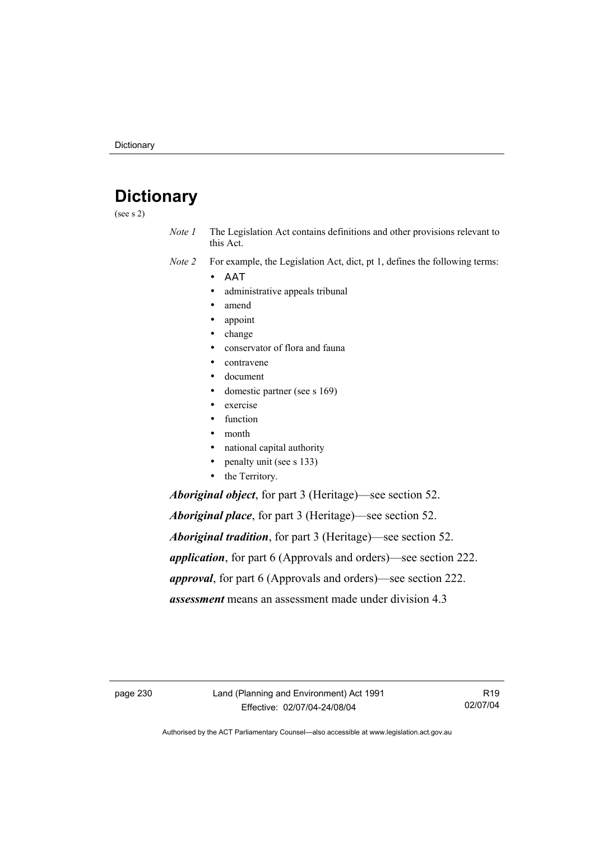## **Dictionary**

(see s 2)

*Note 1* The Legislation Act contains definitions and other provisions relevant to this Act.

*Note 2* For example, the Legislation Act, dict, pt 1, defines the following terms:

- ΑΑΤ
	- administrative appeals tribunal
	- amend
	- appoint
	- change
	- conservator of flora and fauna
	- contravene
	- document
	- domestic partner (see s 169)
	- exercise
	- function
	- month
	- national capital authority
	- penalty unit (see s 133)
	- the Territory.

*Aboriginal object*, for part 3 (Heritage)—see section 52.

*Aboriginal place*, for part 3 (Heritage)—see section 52. *Aboriginal tradition*, for part 3 (Heritage)—see section 52. *application*, for part 6 (Approvals and orders)—see section 222. *approval*, for part 6 (Approvals and orders)—see section 222. *assessment* means an assessment made under division 4.3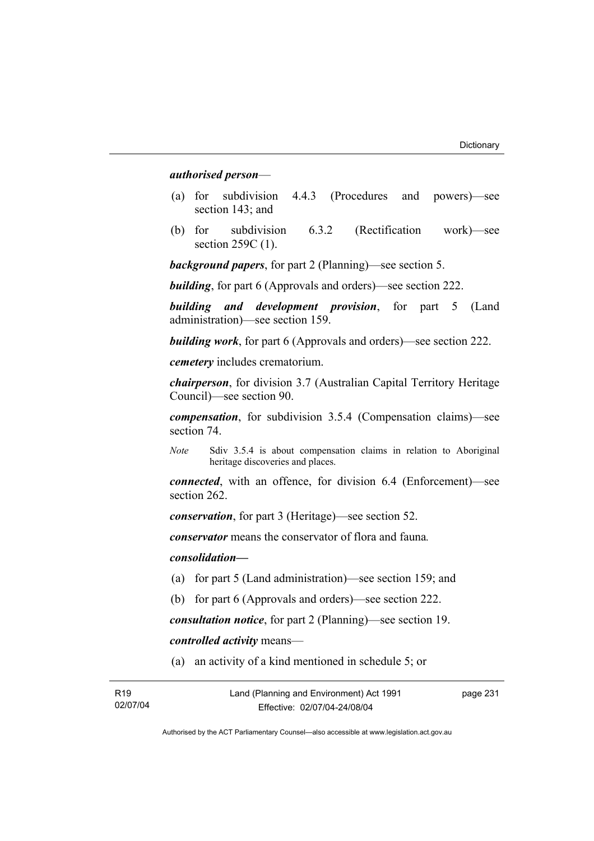#### *authorised person*—

- (a) for subdivision 4.4.3 (Procedures and powers)—see section 143; and
- (b) for subdivision 6.3.2 (Rectification work)—see section 259C (1).

*background papers*, for part 2 (Planning)—see section 5.

*building*, for part 6 (Approvals and orders)—see section 222.

*building and development provision*, for part 5 (Land administration)—see section 159.

*building work*, for part 6 (Approvals and orders)—see section 222.

*cemetery* includes crematorium.

*chairperson*, for division 3.7 (Australian Capital Territory Heritage Council)—see section 90.

*compensation*, for subdivision 3.5.4 (Compensation claims)—see section 74.

*Note* Sdiv 3.5.4 is about compensation claims in relation to Aboriginal heritage discoveries and places.

*connected*, with an offence, for division 6.4 (Enforcement)—see section 262.

*conservation*, for part 3 (Heritage)—see section 52.

*conservator* means the conservator of flora and fauna*.*

*consolidation—*

- (a) for part 5 (Land administration)—see section 159; and
- (b) for part 6 (Approvals and orders)—see section 222.

*consultation notice*, for part 2 (Planning)—see section 19.

*controlled activity* means—

(a) an activity of a kind mentioned in schedule 5; or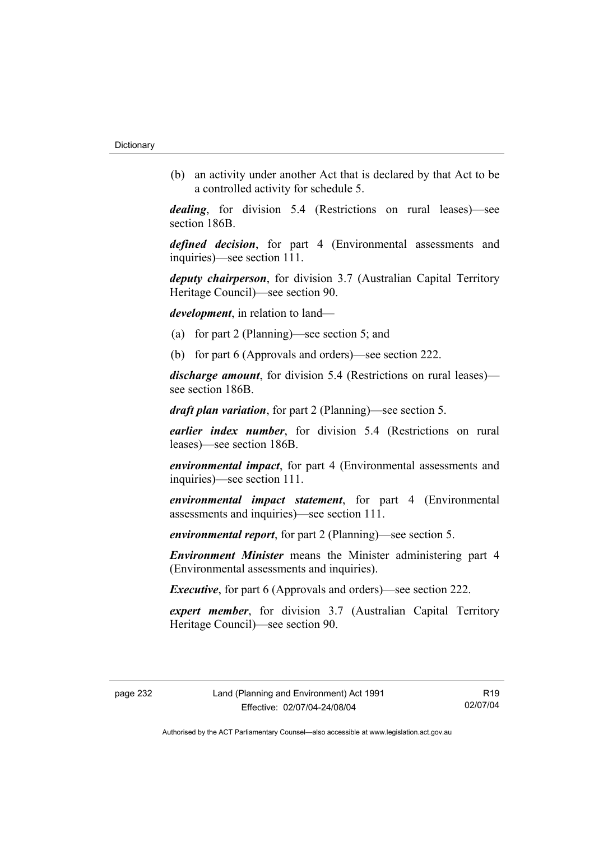(b) an activity under another Act that is declared by that Act to be a controlled activity for schedule 5.

*dealing*, for division 5.4 (Restrictions on rural leases)—see section 186B.

*defined decision*, for part 4 (Environmental assessments and inquiries)—see section 111.

*deputy chairperson*, for division 3.7 (Australian Capital Territory Heritage Council)—see section 90.

*development*, in relation to land—

- (a) for part 2 (Planning)—see section 5; and
- (b) for part 6 (Approvals and orders)—see section 222.

*discharge amount*, for division 5.4 (Restrictions on rural leases) see section 186B.

*draft plan variation*, for part 2 (Planning)—see section 5.

*earlier index number*, for division 5.4 (Restrictions on rural leases)—see section 186B.

*environmental impact*, for part 4 (Environmental assessments and inquiries)—see section 111.

*environmental impact statement*, for part 4 (Environmental assessments and inquiries)—see section 111.

*environmental report*, for part 2 (Planning)—see section 5.

*Environment Minister* means the Minister administering part 4 (Environmental assessments and inquiries).

*Executive*, for part 6 (Approvals and orders)—see section 222.

*expert member*, for division 3.7 (Australian Capital Territory Heritage Council)—see section 90.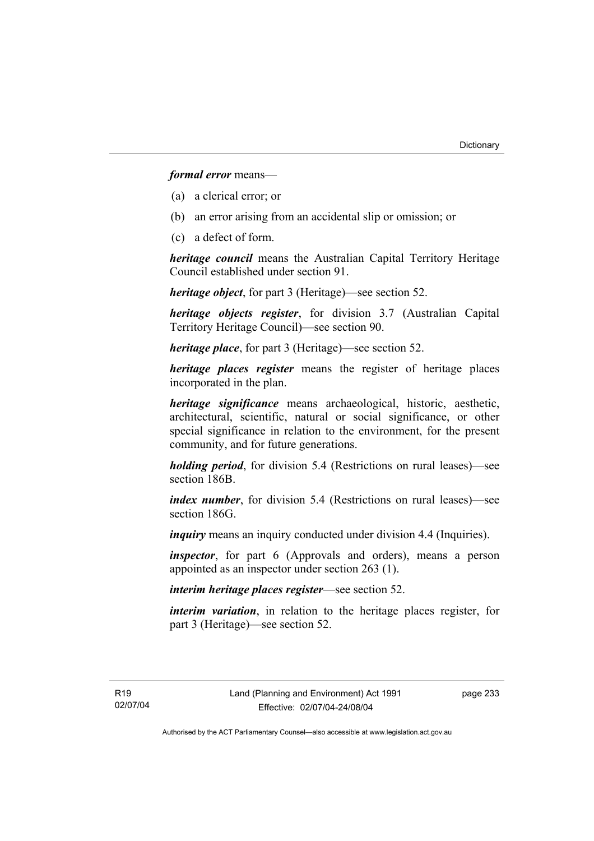*formal error* means—

- (a) a clerical error; or
- (b) an error arising from an accidental slip or omission; or
- (c) a defect of form.

*heritage council* means the Australian Capital Territory Heritage Council established under section 91.

*heritage object*, for part 3 (Heritage)—see section 52.

*heritage objects register*, for division 3.7 (Australian Capital Territory Heritage Council)—see section 90.

*heritage place*, for part 3 (Heritage)—see section 52.

*heritage places register* means the register of heritage places incorporated in the plan.

*heritage significance* means archaeological, historic, aesthetic, architectural, scientific, natural or social significance, or other special significance in relation to the environment, for the present community, and for future generations.

*holding period*, for division 5.4 (Restrictions on rural leases)—see section 186B.

*index number*, for division 5.4 (Restrictions on rural leases)—see section 186G

*inquiry* means an inquiry conducted under division 4.4 (Inquiries).

*inspector*, for part 6 (Approvals and orders), means a person appointed as an inspector under section 263 (1).

*interim heritage places register*—see section 52.

*interim variation*, in relation to the heritage places register, for part 3 (Heritage)—see section 52.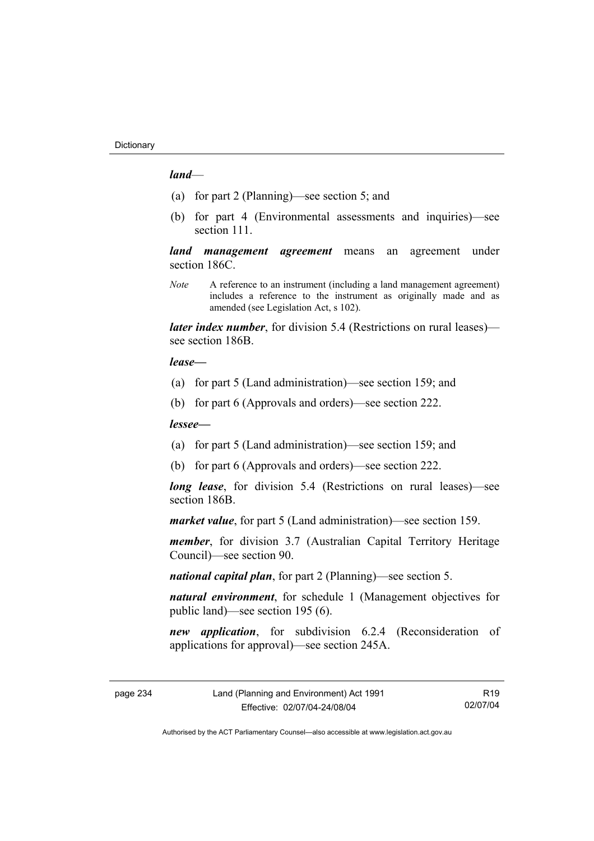#### *land*—

- (a) for part 2 (Planning)—see section 5; and
- (b) for part 4 (Environmental assessments and inquiries)—see section 111.

*land management agreement* means an agreement under section 186C.

*Note* A reference to an instrument (including a land management agreement) includes a reference to the instrument as originally made and as amended (see Legislation Act, s 102).

*later index number*, for division 5.4 (Restrictions on rural leases) see section 186B.

#### *lease—*

- (a) for part 5 (Land administration)—see section 159; and
- (b) for part 6 (Approvals and orders)—see section 222.

#### *lessee—*

- (a) for part 5 (Land administration)—see section 159; and
- (b) for part 6 (Approvals and orders)—see section 222.

*long lease*, for division 5.4 (Restrictions on rural leases)—see section 186B.

*market value*, for part 5 (Land administration)—see section 159.

*member*, for division 3.7 (Australian Capital Territory Heritage Council)—see section 90.

*national capital plan*, for part 2 (Planning)—see section 5.

*natural environment*, for schedule 1 (Management objectives for public land)—see section 195 (6).

*new application*, for subdivision 6.2.4 (Reconsideration of applications for approval)—see section 245A.

R19 02/07/04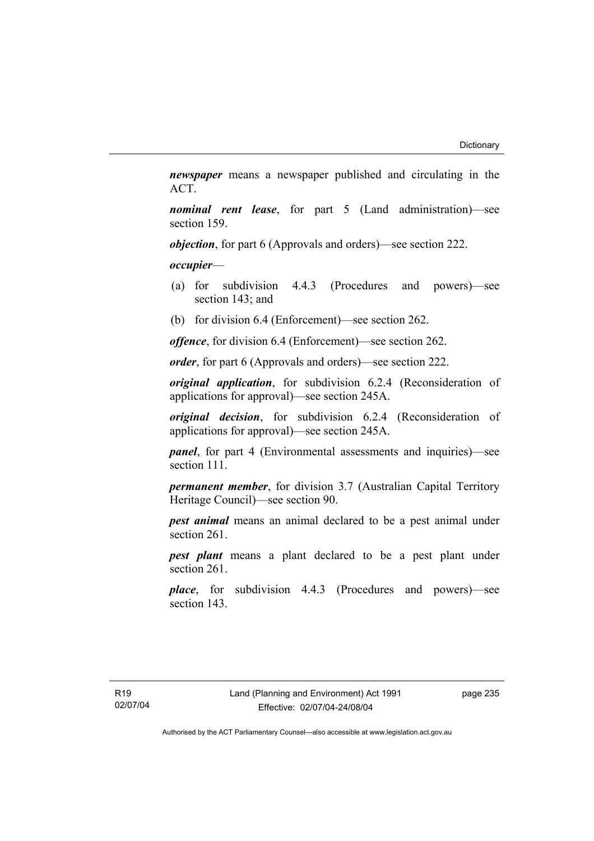*newspaper* means a newspaper published and circulating in the ACT.

*nominal rent lease*, for part 5 (Land administration)—see section 159.

*objection*, for part 6 (Approvals and orders)—see section 222.

*occupier*—

- (a) for subdivision 4.4.3 (Procedures and powers)—see section 143; and
- (b) for division 6.4 (Enforcement)—see section 262.

*offence*, for division 6.4 (Enforcement)—see section 262.

*order*, for part 6 (Approvals and orders)—see section 222.

*original application*, for subdivision 6.2.4 (Reconsideration of applications for approval)—see section 245A.

*original decision*, for subdivision 6.2.4 (Reconsideration of applications for approval)—see section 245A.

*panel*, for part 4 (Environmental assessments and inquiries)—see section 111.

*permanent member*, for division 3.7 (Australian Capital Territory Heritage Council)—see section 90.

*pest animal* means an animal declared to be a pest animal under section 261.

*pest plant* means a plant declared to be a pest plant under section 261.

*place*, for subdivision 4.4.3 (Procedures and powers)—see section 143.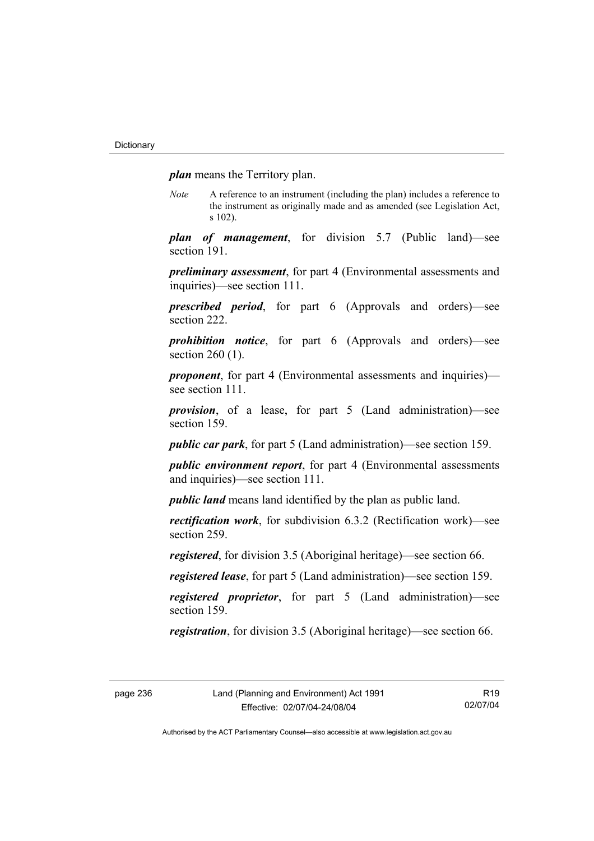*plan* means the Territory plan.

*Note* A reference to an instrument (including the plan) includes a reference to the instrument as originally made and as amended (see Legislation Act, s 102).

*plan of management*, for division 5.7 (Public land)—see section 191.

*preliminary assessment*, for part 4 (Environmental assessments and inquiries)—see section 111.

*prescribed period*, for part 6 (Approvals and orders)—see section 222.

*prohibition notice*, for part 6 (Approvals and orders)—see section 260 (1).

*proponent*, for part 4 (Environmental assessments and inquiries) see section 111.

*provision*, of a lease, for part 5 (Land administration)—see section 159.

*public car park*, for part 5 (Land administration)—see section 159.

*public environment report*, for part 4 (Environmental assessments and inquiries)—see section 111.

*public land* means land identified by the plan as public land.

*rectification work*, for subdivision 6.3.2 (Rectification work)—see section 259.

*registered*, for division 3.5 (Aboriginal heritage)—see section 66.

*registered lease*, for part 5 (Land administration)—see section 159.

*registered proprietor*, for part 5 (Land administration)—see section 159.

*registration*, for division 3.5 (Aboriginal heritage)—see section 66.

R19 02/07/04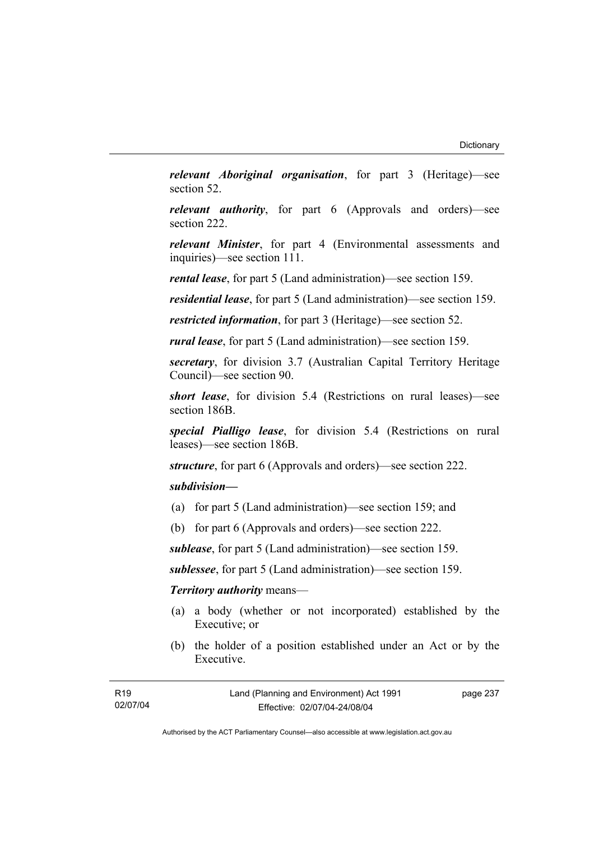*relevant Aboriginal organisation*, for part 3 (Heritage)—see section 52.

*relevant authority*, for part 6 (Approvals and orders)—see section 222.

*relevant Minister*, for part 4 (Environmental assessments and inquiries)—see section 111.

*rental lease*, for part 5 (Land administration)—see section 159.

*residential lease*, for part 5 (Land administration)—see section 159.

*restricted information*, for part 3 (Heritage)—see section 52.

*rural lease*, for part 5 (Land administration)—see section 159.

*secretary*, for division 3.7 (Australian Capital Territory Heritage Council)—see section 90.

*short lease*, for division 5.4 (Restrictions on rural leases)—see section 186B.

*special Pialligo lease*, for division 5.4 (Restrictions on rural leases)—see section 186B.

*structure*, for part 6 (Approvals and orders)—see section 222.

## *subdivision—*

- (a) for part 5 (Land administration)—see section 159; and
- (b) for part 6 (Approvals and orders)—see section 222.

*sublease*, for part 5 (Land administration)—see section 159.

*sublessee*, for part 5 (Land administration)—see section 159.

#### *Territory authority* means—

- (a) a body (whether or not incorporated) established by the Executive; or
- (b) the holder of a position established under an Act or by the Executive.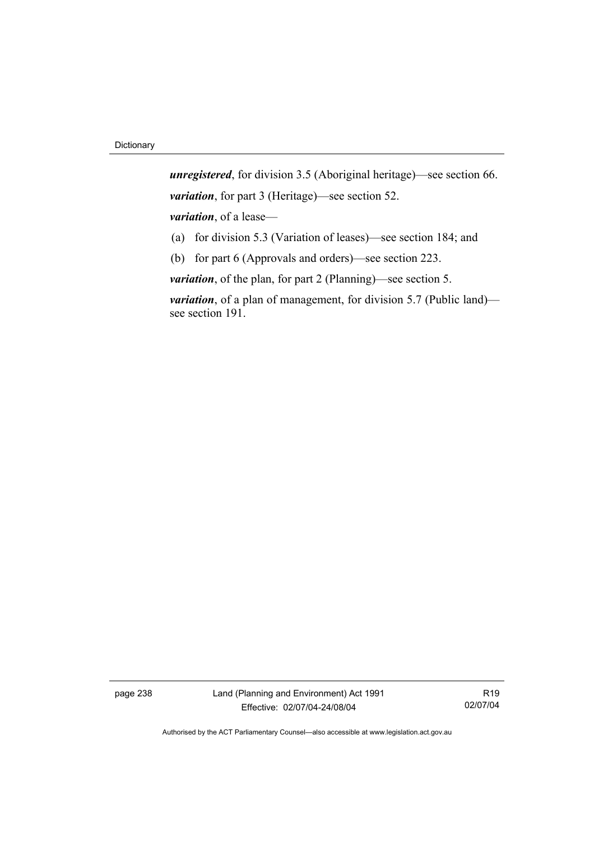*unregistered*, for division 3.5 (Aboriginal heritage)—see section 66. *variation*, for part 3 (Heritage)—see section 52. *variation*, of a lease— (a) for division 5.3 (Variation of leases)—see section 184; and

(b) for part 6 (Approvals and orders)—see section 223.

*variation*, of the plan, for part 2 (Planning)—see section 5.

*variation*, of a plan of management, for division 5.7 (Public land) see section 191.

page 238 Land (Planning and Environment) Act 1991 Effective: 02/07/04-24/08/04

R19 02/07/04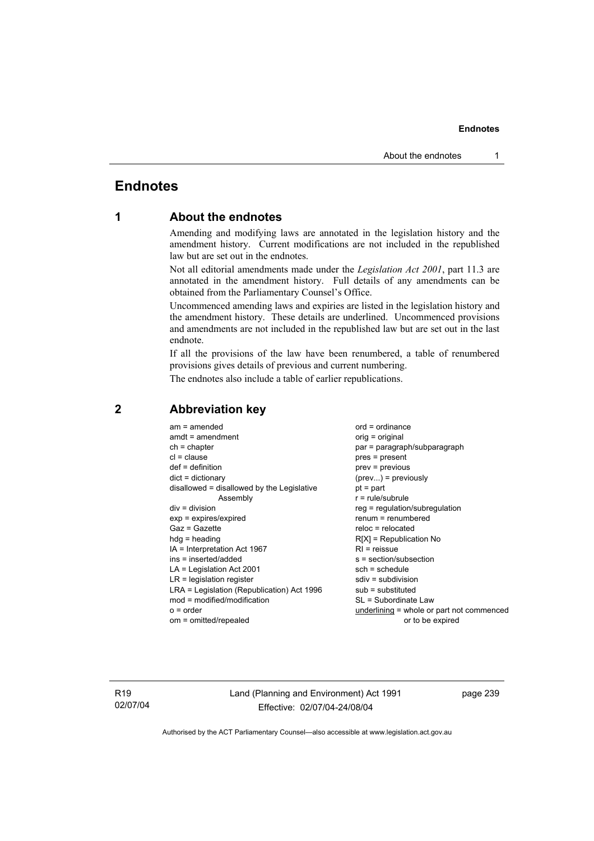# **Endnotes**

# **1 About the endnotes**

Amending and modifying laws are annotated in the legislation history and the amendment history. Current modifications are not included in the republished law but are set out in the endnotes.

Not all editorial amendments made under the *Legislation Act 2001*, part 11.3 are annotated in the amendment history. Full details of any amendments can be obtained from the Parliamentary Counsel's Office.

Uncommenced amending laws and expiries are listed in the legislation history and the amendment history. These details are underlined. Uncommenced provisions and amendments are not included in the republished law but are set out in the last endnote.

If all the provisions of the law have been renumbered, a table of renumbered provisions gives details of previous and current numbering.

The endnotes also include a table of earlier republications.

| $am = amended$<br>$amdt = amendment$<br>$ch = chapter$<br>$cl = clause$<br>$def = definition$<br>$dict = dictionary$<br>disallowed = disallowed by the Legislative<br>Assembly<br>$div = division$<br>$exp = expires/expired$<br>$Gaz = Gazette$<br>$hda =$ heading<br>$IA = Interpretation Act 1967$<br>ins = inserted/added<br>$LA =$ Legislation Act 2001<br>$LR =$ legislation register<br>LRA = Legislation (Republication) Act 1996<br>$mod = modified/modification$ | $ord = ordinance$<br>$orig = original$<br>par = paragraph/subparagraph<br>$pres = present$<br>$prev = previous$<br>$(\text{prev})$ = previously<br>$pt = part$<br>$r = rule/subrule$<br>reg = regulation/subregulation<br>$renum = renumbered$<br>$reloc = relocated$<br>$R[X]$ = Republication No<br>$RI = reissue$<br>s = section/subsection<br>$sch = schedule$<br>$sdiv = subdivision$<br>$sub =$ substituted<br>SL = Subordinate Law |
|----------------------------------------------------------------------------------------------------------------------------------------------------------------------------------------------------------------------------------------------------------------------------------------------------------------------------------------------------------------------------------------------------------------------------------------------------------------------------|-------------------------------------------------------------------------------------------------------------------------------------------------------------------------------------------------------------------------------------------------------------------------------------------------------------------------------------------------------------------------------------------------------------------------------------------|
| $o = order$                                                                                                                                                                                                                                                                                                                                                                                                                                                                | $underlining = whole or part not commenced$                                                                                                                                                                                                                                                                                                                                                                                               |
| om = omitted/repealed                                                                                                                                                                                                                                                                                                                                                                                                                                                      | or to be expired                                                                                                                                                                                                                                                                                                                                                                                                                          |
|                                                                                                                                                                                                                                                                                                                                                                                                                                                                            |                                                                                                                                                                                                                                                                                                                                                                                                                                           |

# **2 Abbreviation key**

R19 02/07/04 Land (Planning and Environment) Act 1991 Effective: 02/07/04-24/08/04

page 239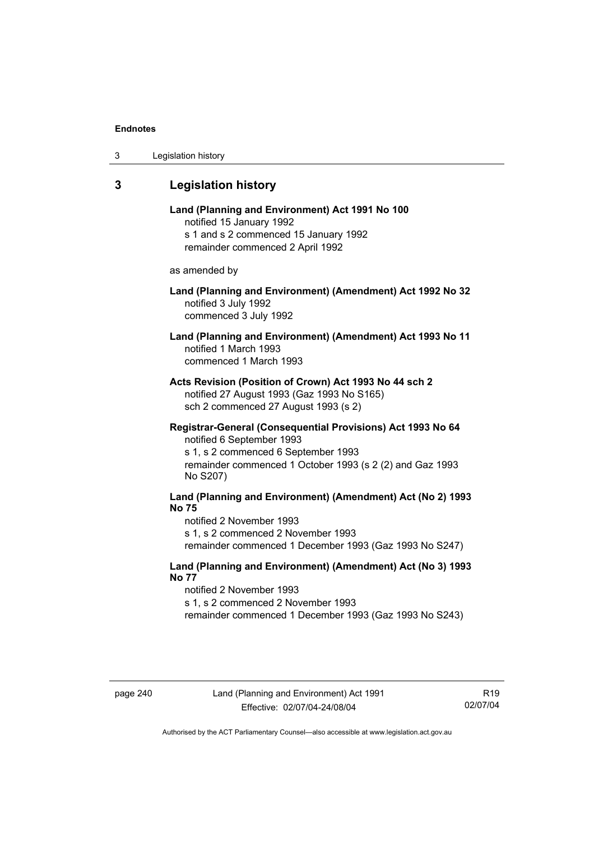| 3 | Legislation history |  |
|---|---------------------|--|
|---|---------------------|--|

# **3 Legislation history**

| Land (Planning and Environment) Act 1991 No 100 |
|-------------------------------------------------|
| notified 15 January 1992                        |
| s 1 and s 2 commenced 15 January 1992           |
| remainder commenced 2 April 1992                |

as amended by

## **Land (Planning and Environment) (Amendment) Act 1992 No 32**  notified 3 July 1992 commenced 3 July 1992

## **Land (Planning and Environment) (Amendment) Act 1993 No 11**  notified 1 March 1993 commenced 1 March 1993

**Acts Revision (Position of Crown) Act 1993 No 44 sch 2**  notified 27 August 1993 (Gaz 1993 No S165) sch 2 commenced 27 August 1993 (s 2)

#### **Registrar-General (Consequential Provisions) Act 1993 No 64**  notified 6 September 1993

s 1, s 2 commenced 6 September 1993 remainder commenced 1 October 1993 (s 2 (2) and Gaz 1993 No S207)

# **Land (Planning and Environment) (Amendment) Act (No 2) 1993 No 75**

notified 2 November 1993 s 1, s 2 commenced 2 November 1993 remainder commenced 1 December 1993 (Gaz 1993 No S247)

#### **Land (Planning and Environment) (Amendment) Act (No 3) 1993 No 77**

notified 2 November 1993 s 1, s 2 commenced 2 November 1993 remainder commenced 1 December 1993 (Gaz 1993 No S243)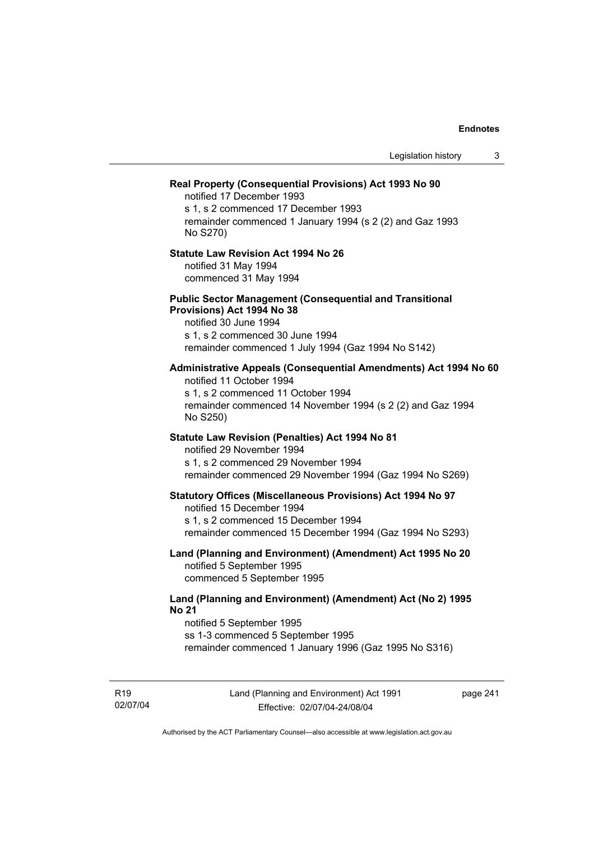|                                                                                                                                                                                                                 | Legislation history | 3 |
|-----------------------------------------------------------------------------------------------------------------------------------------------------------------------------------------------------------------|---------------------|---|
| Real Property (Consequential Provisions) Act 1993 No 90<br>notified 17 December 1993<br>s 1, s 2 commenced 17 December 1993<br>remainder commenced 1 January 1994 (s 2 (2) and Gaz 1993<br>No S270)             |                     |   |
| <b>Statute Law Revision Act 1994 No 26</b><br>notified 31 May 1994<br>commenced 31 May 1994                                                                                                                     |                     |   |
| <b>Public Sector Management (Consequential and Transitional</b><br>Provisions) Act 1994 No 38<br>notified 30 June 1994<br>s 1, s 2 commenced 30 June 1994<br>remainder commenced 1 July 1994 (Gaz 1994 No S142) |                     |   |
| Administrative Appeals (Consequential Amendments) Act 1994 No 60<br>notified 11 October 1994<br>s 1, s 2 commenced 11 October 1994<br>remainder commenced 14 November 1994 (s 2 (2) and Gaz 1994<br>No S250)    |                     |   |
| Statute Law Revision (Penalties) Act 1994 No 81<br>notified 29 November 1994<br>s 1, s 2 commenced 29 November 1994<br>remainder commenced 29 November 1994 (Gaz 1994 No S269)                                  |                     |   |
| <b>Statutory Offices (Miscellaneous Provisions) Act 1994 No 97</b><br>notified 15 December 1994<br>s 1, s 2 commenced 15 December 1994<br>remainder commenced 15 December 1994 (Gaz 1994 No S293)               |                     |   |
| Land (Planning and Environment) (Amendment) Act 1995 No 20<br>notified 5 September 1995<br>commenced 5 September 1995                                                                                           |                     |   |
| Land (Planning and Environment) (Amendment) Act (No 2) 1995<br><b>No 21</b><br>notified 5 September 1995<br>ss 1-3 commenced 5 September 1995<br>remainder commenced 1 January 1996 (Gaz 1995 No S316)          |                     |   |

R19 02/07/04 page 241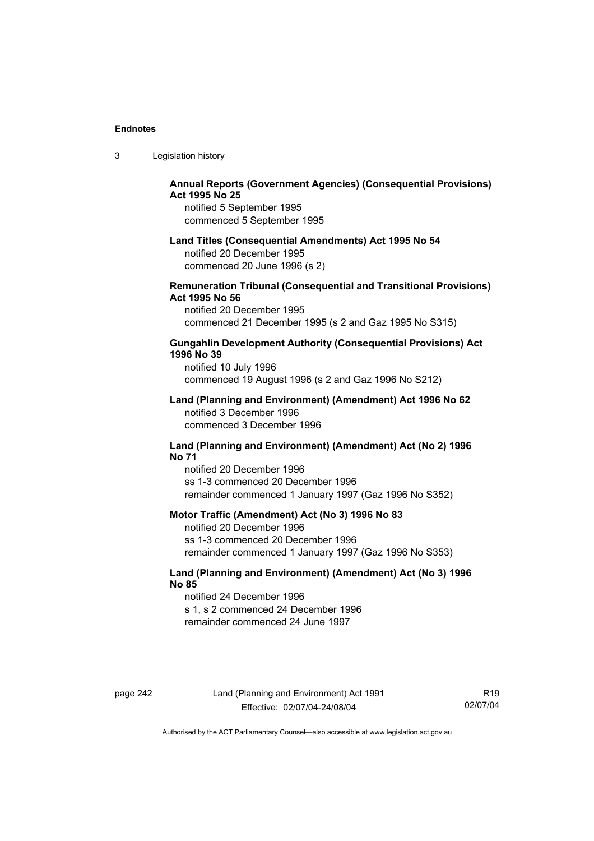| 3 | Legislation history |  |
|---|---------------------|--|
|---|---------------------|--|

## **Annual Reports (Government Agencies) (Consequential Provisions) Act 1995 No 25**

notified 5 September 1995 commenced 5 September 1995

#### **Land Titles (Consequential Amendments) Act 1995 No 54**

notified 20 December 1995 commenced 20 June 1996 (s 2)

#### **Remuneration Tribunal (Consequential and Transitional Provisions) Act 1995 No 56**

notified 20 December 1995 commenced 21 December 1995 (s 2 and Gaz 1995 No S315)

#### **Gungahlin Development Authority (Consequential Provisions) Act 1996 No 39**

notified 10 July 1996 commenced 19 August 1996 (s 2 and Gaz 1996 No S212)

#### **Land (Planning and Environment) (Amendment) Act 1996 No 62**  notified 3 December 1996 commenced 3 December 1996

#### **Land (Planning and Environment) (Amendment) Act (No 2) 1996 No 71**

notified 20 December 1996 ss 1-3 commenced 20 December 1996 remainder commenced 1 January 1997 (Gaz 1996 No S352)

#### **Motor Traffic (Amendment) Act (No 3) 1996 No 83**

notified 20 December 1996 ss 1-3 commenced 20 December 1996 remainder commenced 1 January 1997 (Gaz 1996 No S353)

## **Land (Planning and Environment) (Amendment) Act (No 3) 1996 No 85**

notified 24 December 1996 s 1, s 2 commenced 24 December 1996 remainder commenced 24 June 1997

R19 02/07/04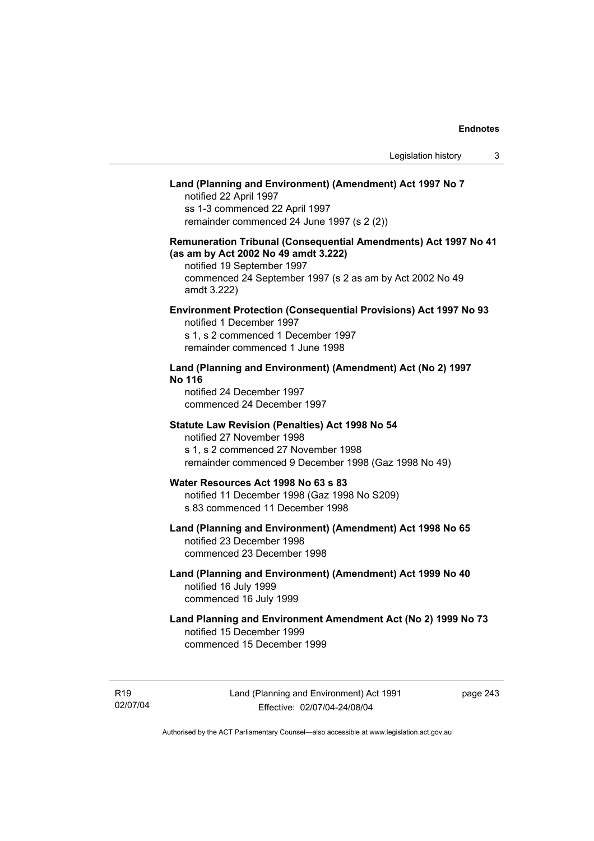# **Land (Planning and Environment) (Amendment) Act 1997 No 7**

notified 22 April 1997 ss 1-3 commenced 22 April 1997 remainder commenced 24 June 1997 (s 2 (2))

## **Remuneration Tribunal (Consequential Amendments) Act 1997 No 41 (as am by Act 2002 No 49 amdt 3.222)**

notified 19 September 1997 commenced 24 September 1997 (s 2 as am by Act 2002 No 49 amdt 3.222)

#### **Environment Protection (Consequential Provisions) Act 1997 No 93**

notified 1 December 1997 s 1, s 2 commenced 1 December 1997 remainder commenced 1 June 1998

#### **Land (Planning and Environment) (Amendment) Act (No 2) 1997 No 116**

notified 24 December 1997 commenced 24 December 1997

#### **Statute Law Revision (Penalties) Act 1998 No 54**

notified 27 November 1998 s 1, s 2 commenced 27 November 1998 remainder commenced 9 December 1998 (Gaz 1998 No 49)

# **Water Resources Act 1998 No 63 s 83**

notified 11 December 1998 (Gaz 1998 No S209) s 83 commenced 11 December 1998

# **Land (Planning and Environment) (Amendment) Act 1998 No 65**  notified 23 December 1998

commenced 23 December 1998

#### **Land (Planning and Environment) (Amendment) Act 1999 No 40**  notified 16 July 1999 commenced 16 July 1999

# **Land Planning and Environment Amendment Act (No 2) 1999 No 73**  notified 15 December 1999 commenced 15 December 1999

R19 02/07/04 page 243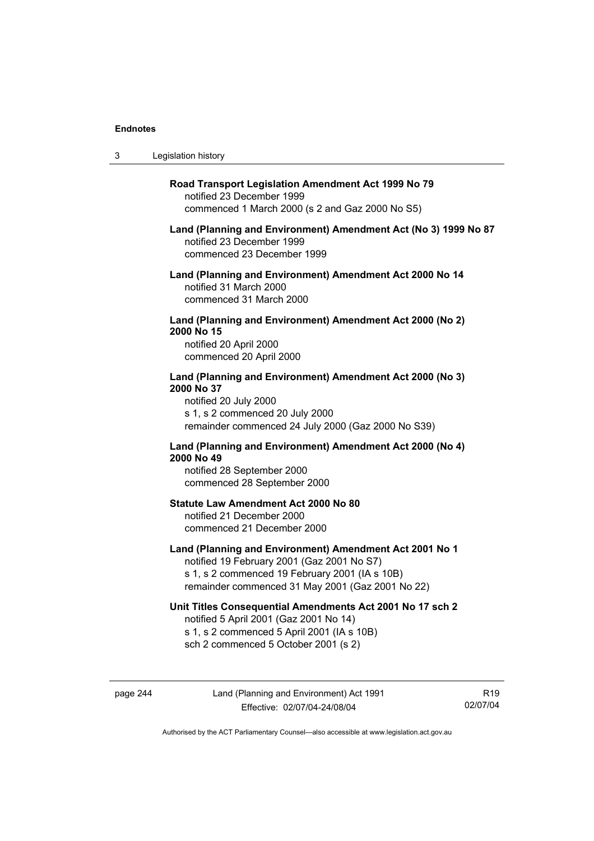$3<sub>l</sub>$ 

| Legislation history                                                                                                                                                                                         |
|-------------------------------------------------------------------------------------------------------------------------------------------------------------------------------------------------------------|
| Road Transport Legislation Amendment Act 1999 No 79<br>notified 23 December 1999<br>commenced 1 March 2000 (s 2 and Gaz 2000 No S5)                                                                         |
| Land (Planning and Environment) Amendment Act (No 3) 1999 No 87<br>notified 23 December 1999<br>commenced 23 December 1999                                                                                  |
| Land (Planning and Environment) Amendment Act 2000 No 14<br>notified 31 March 2000<br>commenced 31 March 2000                                                                                               |
| Land (Planning and Environment) Amendment Act 2000 (No 2)<br>2000 No 15<br>notified 20 April 2000<br>commenced 20 April 2000                                                                                |
| Land (Planning and Environment) Amendment Act 2000 (No 3)<br>2000 No 37<br>notified 20 July 2000<br>s 1, s 2 commenced 20 July 2000<br>remainder commenced 24 July 2000 (Gaz 2000 No S39)                   |
| Land (Planning and Environment) Amendment Act 2000 (No 4)<br>2000 No 49<br>notified 28 September 2000<br>commenced 28 September 2000                                                                        |
| <b>Statute Law Amendment Act 2000 No 80</b><br>notified 21 December 2000<br>commenced 21 December 2000                                                                                                      |
| Land (Planning and Environment) Amendment Act 2001 No 1<br>notified 19 February 2001 (Gaz 2001 No S7)<br>s 1, s 2 commenced 19 February 2001 (IA s 10B)<br>remainder commenced 31 May 2001 (Gaz 2001 No 22) |
| Unit Titles Consequential Amendments Act 2001 No 17 sch 2<br>notified 5 April 2001 (Gaz 2001 No 14)<br>s 1, s 2 commenced 5 April 2001 (IA s 10B)<br>sch 2 commenced 5 October 2001 (s 2)                   |

R19 02/07/04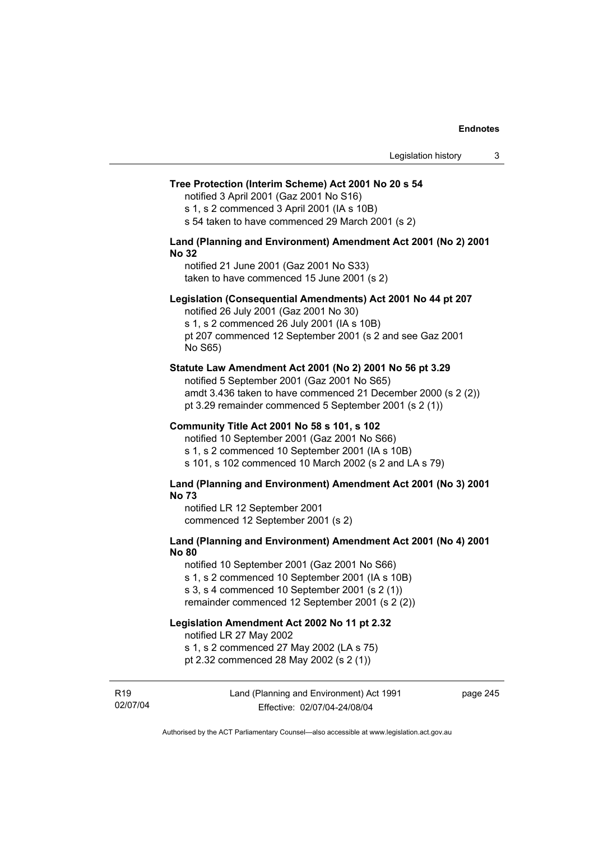#### **Tree Protection (Interim Scheme) Act 2001 No 20 s 54**

notified 3 April 2001 (Gaz 2001 No S16)

s 1, s 2 commenced 3 April 2001 (IA s 10B)

s 54 taken to have commenced 29 March 2001 (s 2)

#### **Land (Planning and Environment) Amendment Act 2001 (No 2) 2001 No 32**

notified 21 June 2001 (Gaz 2001 No S33) taken to have commenced 15 June 2001 (s 2)

#### **Legislation (Consequential Amendments) Act 2001 No 44 pt 207**

notified 26 July 2001 (Gaz 2001 No 30) s 1, s 2 commenced 26 July 2001 (IA s 10B) pt 207 commenced 12 September 2001 (s 2 and see Gaz 2001 No S65)

#### **Statute Law Amendment Act 2001 (No 2) 2001 No 56 pt 3.29**

notified 5 September 2001 (Gaz 2001 No S65) amdt 3.436 taken to have commenced 21 December 2000 (s 2 (2)) pt 3.29 remainder commenced 5 September 2001 (s 2 (1))

#### **Community Title Act 2001 No 58 s 101, s 102**

notified 10 September 2001 (Gaz 2001 No S66) s 1, s 2 commenced 10 September 2001 (IA s 10B) s 101, s 102 commenced 10 March 2002 (s 2 and LA s 79)

#### **Land (Planning and Environment) Amendment Act 2001 (No 3) 2001 No 73**

notified LR 12 September 2001 commenced 12 September 2001 (s 2)

## **Land (Planning and Environment) Amendment Act 2001 (No 4) 2001 No 80**

notified 10 September 2001 (Gaz 2001 No S66) s 1, s 2 commenced 10 September 2001 (IA s 10B) s 3, s 4 commenced 10 September 2001 (s 2 (1)) remainder commenced 12 September 2001 (s 2 (2))

# **Legislation Amendment Act 2002 No 11 pt 2.32**

notified LR 27 May 2002

s 1, s 2 commenced 27 May 2002 (LA s 75)

pt 2.32 commenced 28 May 2002 (s 2 (1))

R19 02/07/04 Land (Planning and Environment) Act 1991 Effective: 02/07/04-24/08/04

page 245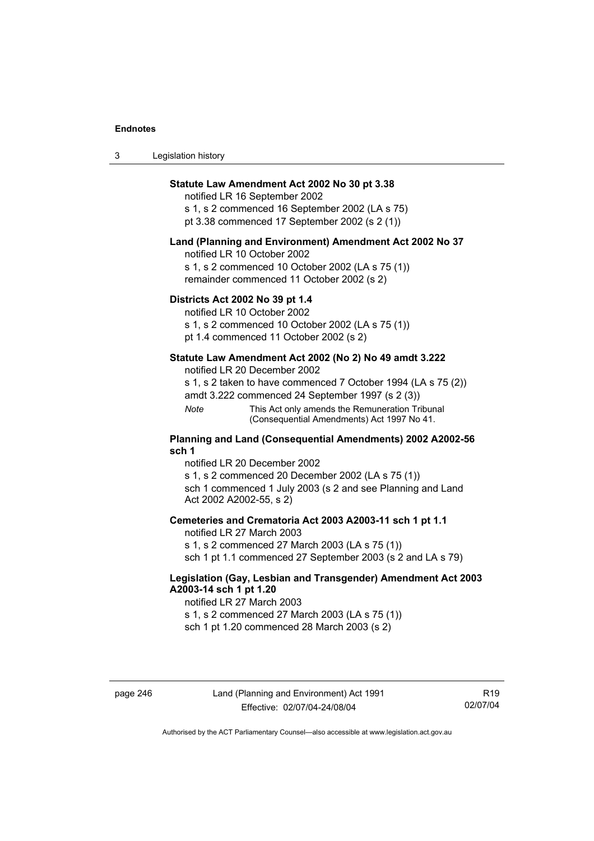| 3 | Legislation history |  |
|---|---------------------|--|
|---|---------------------|--|

## **Statute Law Amendment Act 2002 No 30 pt 3.38**

notified LR 16 September 2002 s 1, s 2 commenced 16 September 2002 (LA s 75) pt 3.38 commenced 17 September 2002 (s 2 (1))

#### **Land (Planning and Environment) Amendment Act 2002 No 37**

notified LR 10 October 2002

s 1, s 2 commenced 10 October 2002 (LA s 75 (1)) remainder commenced 11 October 2002 (s 2)

#### **Districts Act 2002 No 39 pt 1.4**

notified LR 10 October 2002

s 1, s 2 commenced 10 October 2002 (LA s 75 (1))

pt 1.4 commenced 11 October 2002 (s 2)

#### **Statute Law Amendment Act 2002 (No 2) No 49 amdt 3.222**

notified LR 20 December 2002

s 1, s 2 taken to have commenced 7 October 1994 (LA s 75 (2)) amdt 3.222 commenced 24 September 1997 (s 2 (3))

*Note* This Act only amends the Remuneration Tribunal (Consequential Amendments) Act 1997 No 41.

#### **Planning and Land (Consequential Amendments) 2002 A2002-56 sch 1**

notified LR 20 December 2002 s 1, s 2 commenced 20 December 2002 (LA s 75 (1)) sch 1 commenced 1 July 2003 (s 2 and see Planning and Land Act 2002 A2002-55, s 2)

#### **Cemeteries and Crematoria Act 2003 A2003-11 sch 1 pt 1.1**

notified LR 27 March 2003 s 1, s 2 commenced 27 March 2003 (LA s 75 (1)) sch 1 pt 1.1 commenced 27 September 2003 (s 2 and LA s 79)

## **Legislation (Gay, Lesbian and Transgender) Amendment Act 2003 A2003-14 sch 1 pt 1.20**

notified LR 27 March 2003 s 1, s 2 commenced 27 March 2003 (LA s 75 (1)) sch 1 pt 1.20 commenced 28 March 2003 (s 2)

R19 02/07/04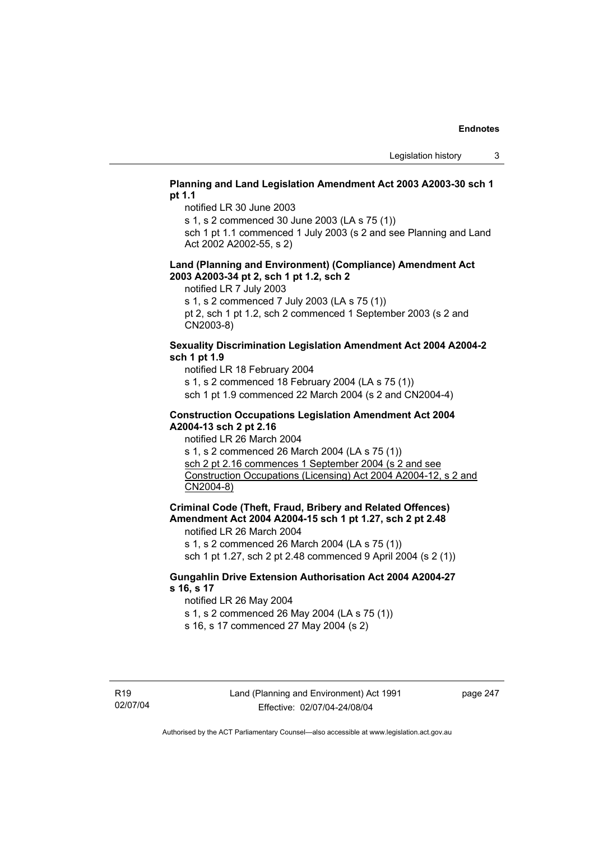## **Planning and Land Legislation Amendment Act 2003 A2003-30 sch 1 pt 1.1**

notified LR 30 June 2003

s 1, s 2 commenced 30 June 2003 (LA s 75 (1))

sch 1 pt 1.1 commenced 1 July 2003 (s 2 and see Planning and Land Act 2002 A2002-55, s 2)

#### **Land (Planning and Environment) (Compliance) Amendment Act 2003 A2003-34 pt 2, sch 1 pt 1.2, sch 2**

notified LR 7 July 2003

s 1, s 2 commenced 7 July 2003 (LA s 75 (1))

pt 2, sch 1 pt 1.2, sch 2 commenced 1 September 2003 (s 2 and CN2003-8)

#### **Sexuality Discrimination Legislation Amendment Act 2004 A2004-2 sch 1 pt 1.9**

notified LR 18 February 2004

s 1, s 2 commenced 18 February 2004 (LA s 75 (1))

sch 1 pt 1.9 commenced 22 March 2004 (s 2 and CN2004-4)

#### **Construction Occupations Legislation Amendment Act 2004 A2004-13 sch 2 pt 2.16**

notified LR 26 March 2004

s 1, s 2 commenced 26 March 2004 (LA s 75 (1)) sch 2 pt 2.16 commences 1 September 2004 (s 2 and see Construction Occupations (Licensing) Act 2004 A2004-12, s 2 and CN2004-8)

**Criminal Code (Theft, Fraud, Bribery and Related Offences) Amendment Act 2004 A2004-15 sch 1 pt 1.27, sch 2 pt 2.48** 

notified LR 26 March 2004

s 1, s 2 commenced 26 March 2004 (LA s 75 (1))

sch 1 pt 1.27, sch 2 pt 2.48 commenced 9 April 2004 (s 2 (1))

## **Gungahlin Drive Extension Authorisation Act 2004 A2004-27 s 16, s 17**

notified LR 26 May 2004

s 1, s 2 commenced 26 May 2004 (LA s 75 (1))

s 16, s 17 commenced 27 May 2004 (s 2)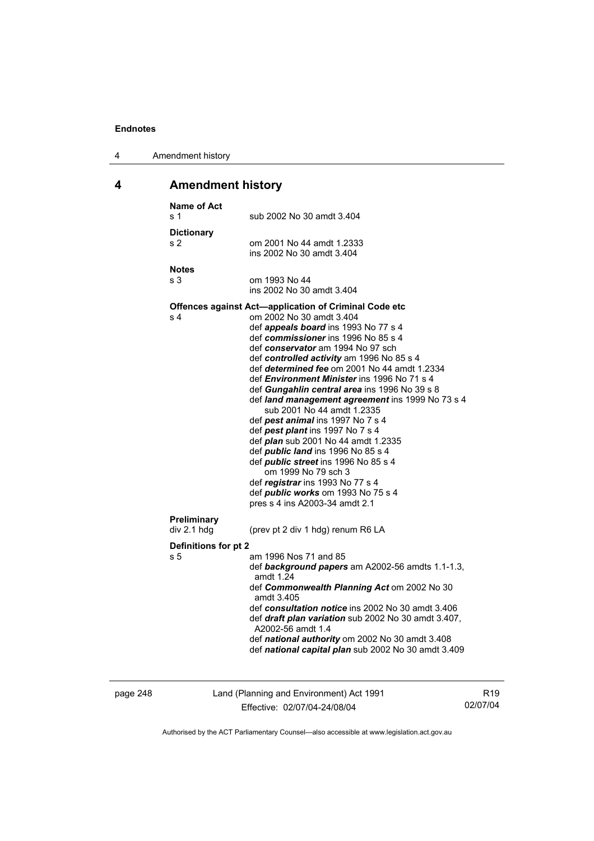| 4 | Amendment history |
|---|-------------------|
|---|-------------------|

# **4 Amendment history**

| <b>Name of Act</b><br>s 1   | sub 2002 No 30 amdt 3.404                                                                                                                                                                                                                                                                                                                                                                                                                                                                                                                                                                                                                                                                                                                                                                                                                                       |
|-----------------------------|-----------------------------------------------------------------------------------------------------------------------------------------------------------------------------------------------------------------------------------------------------------------------------------------------------------------------------------------------------------------------------------------------------------------------------------------------------------------------------------------------------------------------------------------------------------------------------------------------------------------------------------------------------------------------------------------------------------------------------------------------------------------------------------------------------------------------------------------------------------------|
| <b>Dictionary</b><br>s 2    | om 2001 No 44 amdt 1.2333<br>ins 2002 No 30 amdt 3.404                                                                                                                                                                                                                                                                                                                                                                                                                                                                                                                                                                                                                                                                                                                                                                                                          |
| <b>Notes</b><br>s 3         | om 1993 No 44<br>ins 2002 No 30 amdt 3.404                                                                                                                                                                                                                                                                                                                                                                                                                                                                                                                                                                                                                                                                                                                                                                                                                      |
| s 4                         | <b>Offences against Act-application of Criminal Code etc</b><br>om 2002 No 30 amdt 3.404<br>def appeals board ins 1993 No 77 s 4<br>def commissioner ins 1996 No 85 s 4<br>def conservator am 1994 No 97 sch<br>def controlled activity am 1996 No 85 s 4<br>def determined fee om 2001 No 44 amdt 1.2334<br>def <i>Environment Minister</i> ins 1996 No 71 s 4<br>def Gungahlin central area ins 1996 No 39 s 8<br>def land management agreement ins 1999 No 73 s 4<br>sub 2001 No 44 amdt 1.2335<br>def pest animal ins 1997 No 7 s 4<br>def pest plant ins 1997 No 7 s 4<br>def <i>plan</i> sub 2001 No 44 amdt 1.2335<br>def <i>public land</i> ins 1996 No 85 s 4<br>def <i>public</i> street ins 1996 No 85 s 4<br>om 1999 No 79 sch 3<br>def registrar ins 1993 No 77 s 4<br>def <i>public</i> works om 1993 No 75 s 4<br>pres s 4 ins A2003-34 amdt 2.1 |
| Preliminary<br>div 2.1 hdg  | (prev pt 2 div 1 hdg) renum R6 LA                                                                                                                                                                                                                                                                                                                                                                                                                                                                                                                                                                                                                                                                                                                                                                                                                               |
| Definitions for pt 2<br>s 5 | am 1996 Nos 71 and 85<br>def background papers am A2002-56 amdts 1.1-1.3,<br>amdt 1.24<br>def Commonwealth Planning Act om 2002 No 30<br>amdt 3.405<br>def consultation notice ins 2002 No 30 amdt 3.406<br>def draft plan variation sub 2002 No 30 amdt 3.407,<br>A2002-56 amdt 1.4<br>def national authority om 2002 No 30 amdt 3.408<br>def national capital plan sub 2002 No 30 amdt 3.409                                                                                                                                                                                                                                                                                                                                                                                                                                                                  |
|                             |                                                                                                                                                                                                                                                                                                                                                                                                                                                                                                                                                                                                                                                                                                                                                                                                                                                                 |

page 248 Land (Planning and Environment) Act 1991 Effective: 02/07/04-24/08/04

R19 02/07/04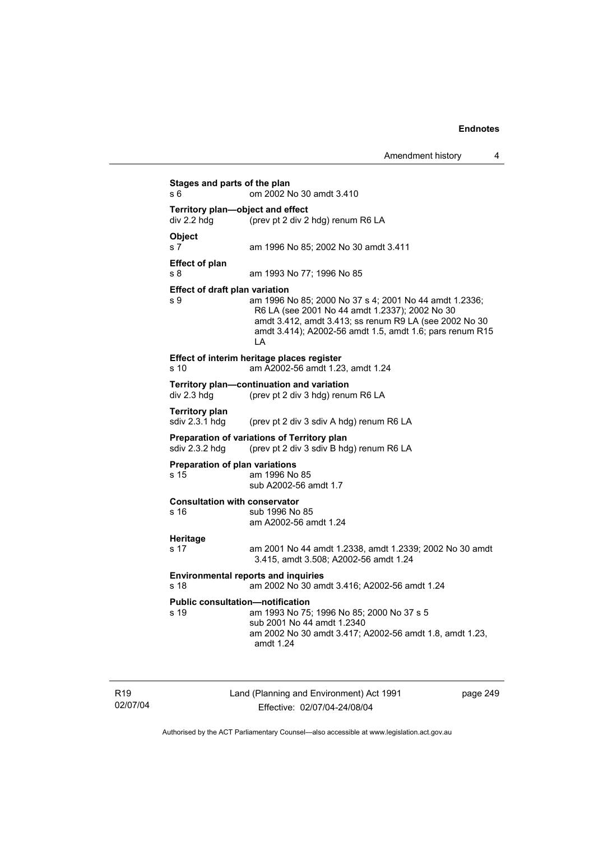| s 6                                           | om 2002 No 30 amdt 3.410                                                                                                                                                                                                             |
|-----------------------------------------------|--------------------------------------------------------------------------------------------------------------------------------------------------------------------------------------------------------------------------------------|
| div 2.2 hdg                                   | Territory plan-object and effect<br>(prev pt 2 div 2 hdg) renum R6 LA                                                                                                                                                                |
| <b>Object</b><br>s 7                          | am 1996 No 85; 2002 No 30 amdt 3.411                                                                                                                                                                                                 |
| <b>Effect of plan</b><br>s 8                  | am 1993 No 77; 1996 No 85                                                                                                                                                                                                            |
| Effect of draft plan variation<br>s 9         | am 1996 No 85; 2000 No 37 s 4; 2001 No 44 amdt 1.2336;<br>R6 LA (see 2001 No 44 amdt 1.2337); 2002 No 30<br>amdt 3.412, amdt 3.413; ss renum R9 LA (see 2002 No 30<br>amdt 3.414); A2002-56 amdt 1.5, amdt 1.6; pars renum R15<br>LA |
| s <sub>10</sub>                               | Effect of interim heritage places register<br>am A2002-56 amdt 1.23, amdt 1.24                                                                                                                                                       |
| div 2.3 hdg                                   | Territory plan-continuation and variation<br>(prev pt 2 div 3 hdg) renum R6 LA                                                                                                                                                       |
| <b>Territory plan</b><br>sdiv 2.3.1 hdg       | (prev pt 2 div 3 sdiv A hdg) renum R6 LA                                                                                                                                                                                             |
| sdiv 2.3.2 hdg                                | <b>Preparation of variations of Territory plan</b><br>(prev pt 2 div 3 sdiv B hdg) renum R6 LA                                                                                                                                       |
| <b>Preparation of plan variations</b><br>s 15 | am 1996 No 85<br>sub A2002-56 amdt 1.7                                                                                                                                                                                               |
| <b>Consultation with conservator</b><br>s 16  | sub 1996 No 85<br>am A2002-56 amdt 1.24                                                                                                                                                                                              |
| <b>Heritage</b><br>s <sub>17</sub>            | am 2001 No 44 amdt 1.2338, amdt 1.2339; 2002 No 30 amdt<br>3.415, amdt 3.508; A2002-56 amdt 1.24                                                                                                                                     |
| s <sub>18</sub>                               | <b>Environmental reports and inquiries</b><br>am 2002 No 30 amdt 3.416; A2002-56 amdt 1.24                                                                                                                                           |
| s 19                                          | <b>Public consultation-notification</b><br>am 1993 No 75; 1996 No 85; 2000 No 37 s 5<br>sub 2001 No 44 amdt 1.2340<br>am 2002 No 30 amdt 3.417; A2002-56 amdt 1.8, amdt 1.23,<br>amdt 1.24                                           |

R19 02/07/04 Land (Planning and Environment) Act 1991 Effective: 02/07/04-24/08/04

page 249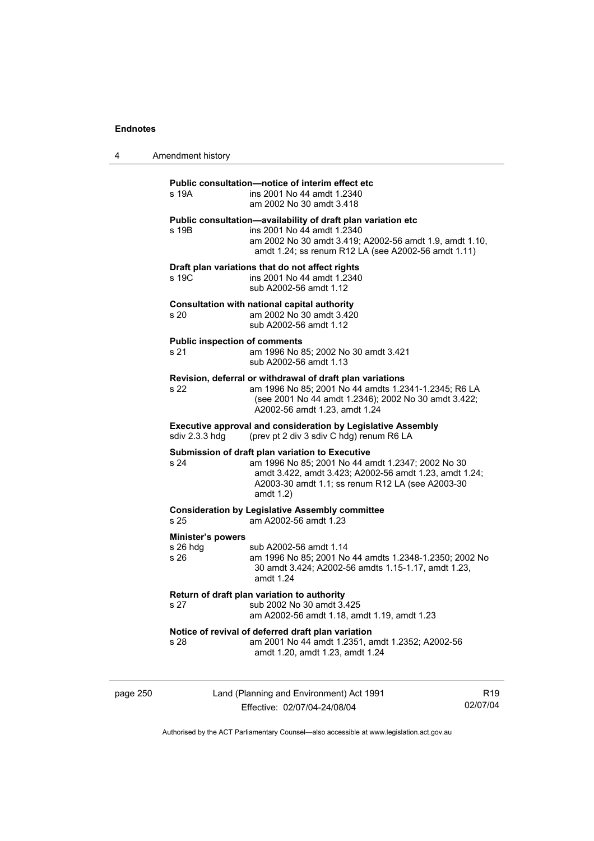| 4 | Amendment history |
|---|-------------------|
|---|-------------------|

## page 250 Land (Planning and Environment) Act 1991 Effective: 02/07/04-24/08/04 R19 02/07/04 **Public consultation—notice of interim effect etc**  s 19A ins 2001 No 44 amdt 1.2340 am 2002 No 30 amdt 3.418 **Public consultation—availability of draft plan variation etc**  s 19B ins 2001 No 44 amdt 1.2340 am 2002 No 30 amdt 3.419; A2002-56 amdt 1.9, amdt 1.10, amdt 1.24; ss renum R12 LA (see A2002-56 amdt 1.11) **Draft plan variations that do not affect rights**  s 19C ins 2001 No 44 amdt 1.2340 sub A2002-56 amdt 1.12 **Consultation with national capital authority**  s 20 am 2002 No 30 amdt 3.420 sub A2002-56 amdt 1.12 **Public inspection of comments**  s 21 am 1996 No 85; 2002 No 30 amdt 3.421 sub A2002-56 amdt 1.13 **Revision, deferral or withdrawal of draft plan variations**  s 22 am 1996 No 85; 2001 No 44 amdts 1.2341-1.2345; R6 LA (see 2001 No 44 amdt 1.2346); 2002 No 30 amdt 3.422; A2002-56 amdt 1.23, amdt 1.24 **Executive approval and consideration by Legislative Assembly**  sdiv 2.3.3 hdg (prev pt 2 div 3 sdiv C hdg) renum R6 LA **Submission of draft plan variation to Executive**  s 24 am 1996 No 85; 2001 No 44 amdt 1.2347; 2002 No 30 amdt 3.422, amdt 3.423; A2002-56 amdt 1.23, amdt 1.24; A2003-30 amdt 1.1; ss renum R12 LA (see A2003-30 amdt 1.2) **Consideration by Legislative Assembly committee**  s 25 am A2002-56 amdt 1.23 **Minister's powers**  s 26 hdg sub A2002-56 amdt 1.14 s 26 am 1996 No 85; 2001 No 44 amdts 1.2348-1.2350; 2002 No 30 amdt 3.424; A2002-56 amdts 1.15-1.17, amdt 1.23, amdt 1.24 **Return of draft plan variation to authority**  s 27 sub 2002 No 30 amdt 3.425 am A2002-56 amdt 1.18, amdt 1.19, amdt 1.23 **Notice of revival of deferred draft plan variation**  s 28 am 2001 No 44 amdt 1.2351, amdt 1.2352; A2002-56 amdt 1.20, amdt 1.23, amdt 1.24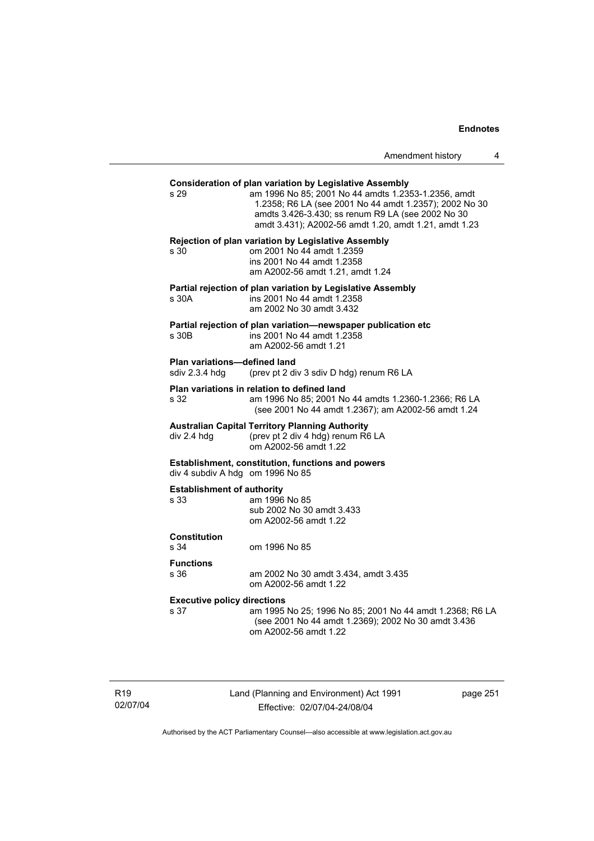| Amendment history |  |
|-------------------|--|
|-------------------|--|

# **Consideration of plan variation by Legislative Assembly**  s 29 am 1996 No 85; 2001 No 44 amdts 1.2353-1.2356, amdt 1.2358; R6 LA (see 2001 No 44 amdt 1.2357); 2002 No 30 amdts 3.426-3.430; ss renum R9 LA (see 2002 No 30 amdt 3.431); A2002-56 amdt 1.20, amdt 1.21, amdt 1.23 **Rejection of plan variation by Legislative Assembly**  s 30 om 2001 No 44 amdt 1.2359 ins 2001 No 44 amdt 1.2358 am A2002-56 amdt 1.21, amdt 1.24 **Partial rejection of plan variation by Legislative Assembly**  s 30A ins 2001 No 44 amdt 1.2358 am 2002 No 30 amdt 3.432 **Partial rejection of plan variation—newspaper publication etc**  s 30B ins 2001 No 44 amdt 1.2358 am A2002-56 amdt 1.21 **Plan variations—defined land**  sdiv 2.3.4 hdg (prev pt 2 div 3 sdiv D hdg) renum R6 LA **Plan variations in relation to defined land**  s 32 am 1996 No 85; 2001 No 44 amdts 1.2360-1.2366; R6 LA (see 2001 No 44 amdt 1.2367); am A2002-56 amdt 1.24 **Australian Capital Territory Planning Authority**  div 2.4 hdg (prev pt 2 div 4 hdg) renum R6 LA om A2002-56 amdt 1.22 **Establishment, constitution, functions and powers**  div 4 subdiv A hdg om 1996 No 85 **Establishment of authority**  s 33 am 1996 No 85 sub 2002 No 30 amdt 3.433 om A2002-56 amdt 1.22 **Constitution**  s 34 om 1996 No 85 **Functions**  s 36 am 2002 No 30 amdt 3.434, amdt 3.435 om A2002-56 amdt 1.22 **Executive policy directions**  s 37 am 1995 No 25; 1996 No 85; 2001 No 44 amdt 1.2368; R6 LA (see 2001 No 44 amdt 1.2369); 2002 No 30 amdt 3.436 om A2002-56 amdt 1.22

R19 02/07/04 Land (Planning and Environment) Act 1991 Effective: 02/07/04-24/08/04

page 251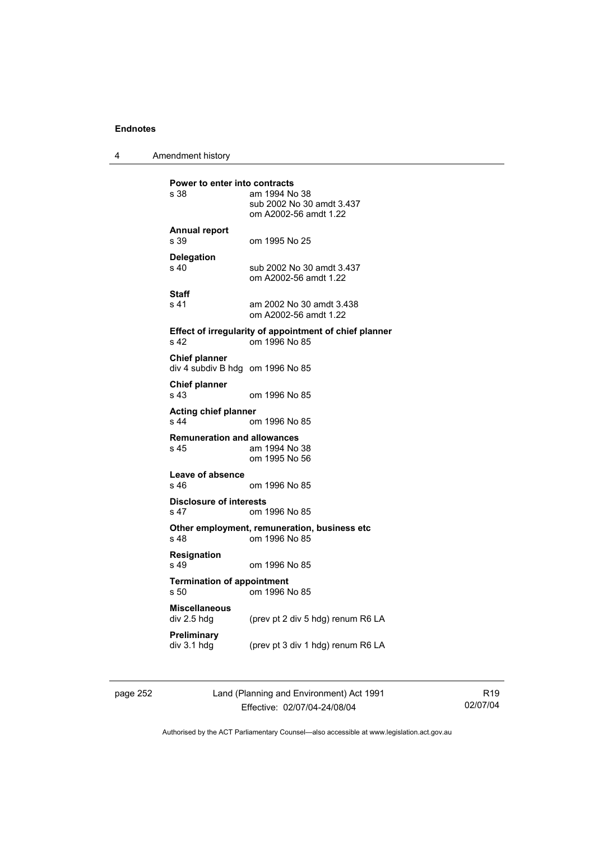4 Amendment history **Power to enter into contracts**<br>s 38 am 1994 No am 1994 No 38 sub 2002 No 30 amdt 3.437 om A2002-56 amdt 1.22 **Annual report**  s 39 om 1995 No 25 **Delegation**  sub 2002 No 30 amdt 3.437 om A2002-56 amdt 1.22 **Staff**  s 41 am 2002 No 30 amdt 3.438 om A2002-56 amdt 1.22 **Effect of irregularity of appointment of chief planner**  s 42 om 1996 No 85 **Chief planner**  div 4 subdiv B hdg om 1996 No 85 **Chief planner**  s 43 om 1996 No 85 **Acting chief planner**  om 1996 No 85 **Remuneration and allowances**  s 45 am 1994 No 38 om 1995 No 56 **Leave of absence**  om 1996 No 85 **Disclosure of interests**  s 47 om 1996 No 85 **Other employment, remuneration, business etc**  s 48 om 1996 No 85 **Resignation**  s 49 om 1996 No 85 **Termination of appointment**  s 50 om 1996 No 85 **Miscellaneous**  (prev pt 2 div 5 hdg) renum R6 LA **Preliminary**  (prev pt 3 div 1 hdg) renum R6 LA

page 252 Land (Planning and Environment) Act 1991 Effective: 02/07/04-24/08/04

R19 02/07/04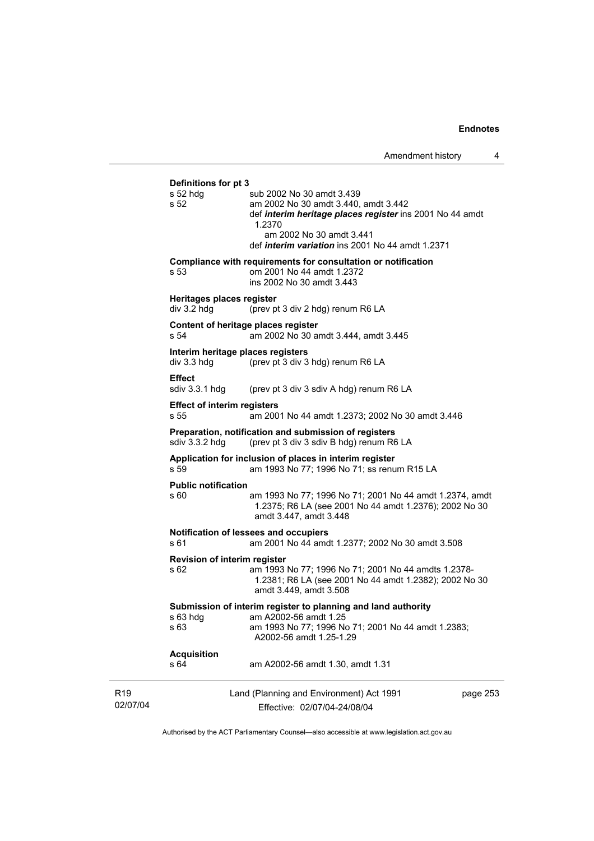|                             | Definitions for pt 3                             |                                                                                                                                                                                                                                |
|-----------------------------|--------------------------------------------------|--------------------------------------------------------------------------------------------------------------------------------------------------------------------------------------------------------------------------------|
|                             | $s52$ hdg<br>s 52                                | sub 2002 No 30 amdt 3.439<br>am 2002 No 30 amdt 3.440, amdt 3.442<br>def interim heritage places register ins 2001 No 44 amdt<br>1.2370<br>am 2002 No 30 amdt 3.441<br>def <i>interim variation</i> ins 2001 No 44 amdt 1.2371 |
|                             | s 53                                             | Compliance with requirements for consultation or notification<br>om 2001 No 44 amdt 1.2372<br>ins 2002 No 30 amdt 3.443                                                                                                        |
|                             | Heritages places register<br>div 3.2 hdg         | (prev pt 3 div 2 hdg) renum R6 LA                                                                                                                                                                                              |
|                             | s 54                                             | Content of heritage places register<br>am 2002 No 30 amdt 3.444, amdt 3.445                                                                                                                                                    |
|                             | Interim heritage places registers<br>div 3.3 hdg | (prev pt 3 div 3 hdg) renum R6 LA                                                                                                                                                                                              |
|                             | <b>Effect</b><br>sdiv 3.3.1 hdg                  | (prev pt 3 div 3 sdiv A hdg) renum R6 LA                                                                                                                                                                                       |
|                             | <b>Effect of interim registers</b><br>s 55       | am 2001 No 44 amdt 1.2373; 2002 No 30 amdt 3.446                                                                                                                                                                               |
|                             | sdiv 3.3.2 hdg                                   | Preparation, notification and submission of registers<br>(prev pt 3 div 3 sdiv B hdg) renum R6 LA                                                                                                                              |
|                             | s 59                                             | Application for inclusion of places in interim register<br>am 1993 No 77; 1996 No 71; ss renum R15 LA                                                                                                                          |
|                             | <b>Public notification</b><br>s 60               | am 1993 No 77; 1996 No 71; 2001 No 44 amdt 1.2374, amdt<br>1.2375; R6 LA (see 2001 No 44 amdt 1.2376); 2002 No 30<br>amdt 3.447, amdt 3.448                                                                                    |
|                             | s 61                                             | Notification of lessees and occupiers<br>am 2001 No 44 amdt 1.2377; 2002 No 30 amdt 3.508                                                                                                                                      |
|                             | Revision of interim register<br>s 62             | am 1993 No 77; 1996 No 71; 2001 No 44 amdts 1.2378-<br>1.2381; R6 LA (see 2001 No 44 amdt 1.2382); 2002 No 30<br>amdt 3.449, amdt 3.508                                                                                        |
|                             | $s$ 63 hdg<br>s 63                               | Submission of interim register to planning and land authority<br>am A2002-56 amdt 1.25<br>am 1993 No 77; 1996 No 71; 2001 No 44 amdt 1.2383;<br>A2002-56 amdt 1.25-1.29                                                        |
|                             | <b>Acquisition</b><br>s 64                       | am A2002-56 amdt 1.30, amdt 1.31                                                                                                                                                                                               |
| R <sub>19</sub><br>02/07/04 |                                                  | Land (Planning and Environment) Act 1991<br>page 253<br>Effective: 02/07/04-24/08/04                                                                                                                                           |

Authorised by the ACT Parliamentary Counsel—also accessible at www.legislation.act.gov.au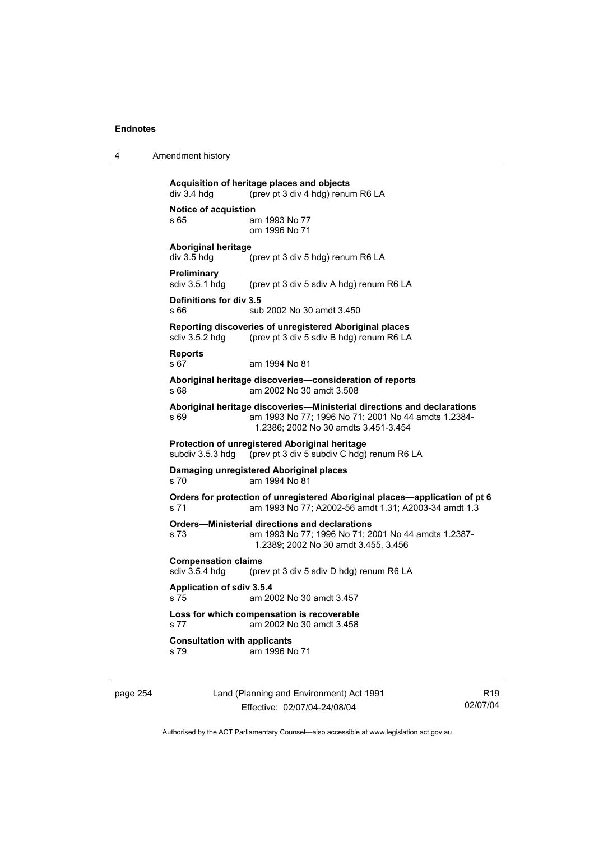|                      | Acquisition of heritage places and objects |
|----------------------|--------------------------------------------|
| div 3.4 hda          | (prev pt 3 div 4 hdg) renum R6 LA          |
| Notice of acquistion |                                            |

4 Amendment history

s 65 am 1993 No 77 om 1996 No 71

**Aboriginal heritage** 

div 3.5 hdg (prev pt 3 div 5 hdg) renum R6 LA

**Preliminary**<br>sdiv 3.5.1 hdg

(prev pt 3 div 5 sdiv A hdg) renum R6 LA

#### **Definitions for div 3.5**  s 66 sub 2002 No 30 amdt 3.450

**Reporting discoveries of unregistered Aboriginal places** 

sdiv 3.5.2 hdg (prev pt 3 div 5 sdiv B hdg) renum R6 LA

**Reports** 

s 67 am 1994 No 81

**Aboriginal heritage discoveries—consideration of reports**  s 68 am 2002 No 30 amdt 3.508

**Aboriginal heritage discoveries—Ministerial directions and declarations**  s 69 am 1993 No 77; 1996 No 71; 2001 No 44 amdts 1.2384- 1.2386; 2002 No 30 amdts 3.451-3.454

**Protection of unregistered Aboriginal heritage**  (prev pt  $3$  div  $5$  subdiv C hdg) renum R6 LA

**Damaging unregistered Aboriginal places**  s 70 am 1994 No 81

**Orders for protection of unregistered Aboriginal places—application of pt 6**  s 71 am 1993 No 77; A2002-56 amdt 1.31; A2003-34 amdt 1.3

**Orders—Ministerial directions and declarations** 

s 73 am 1993 No 77; 1996 No 71; 2001 No 44 amdts 1.2387- 1.2389; 2002 No 30 amdt 3.455, 3.456

**Compensation claims** 

sdiv 3.5.4 hdg (prev pt 3 div 5 sdiv D hdg) renum R6 LA

#### **Application of sdiv 3.5.4**

s 75 am 2002 No 30 amdt 3.457

#### **Loss for which compensation is recoverable**  s 77 am 2002 No 30 amdt 3.458

**Consultation with applicants** 

s 79 am 1996 No 71

page 254 Land (Planning and Environment) Act 1991 Effective: 02/07/04-24/08/04

R19 02/07/04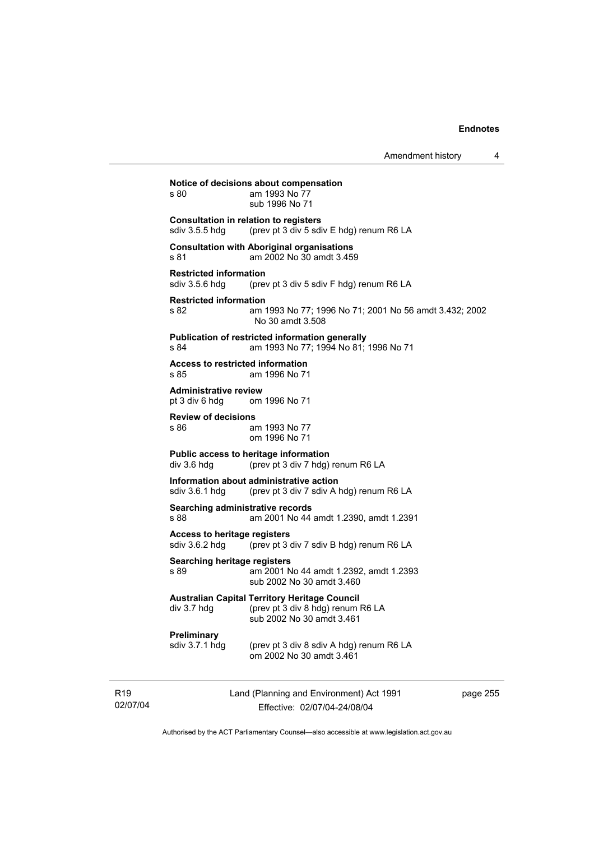|                                                              | AUTOHULIUM HIJUU Y                                                                                                     |
|--------------------------------------------------------------|------------------------------------------------------------------------------------------------------------------------|
| s 80                                                         | Notice of decisions about compensation<br>am 1993 No 77<br>sub 1996 No 71                                              |
| sdiv 3.5.5 hdg                                               | <b>Consultation in relation to registers</b><br>(prev pt 3 div 5 sdiv E hdg) renum R6 LA                               |
| s 81                                                         | <b>Consultation with Aboriginal organisations</b><br>am 2002 No 30 amdt 3.459                                          |
| <b>Restricted information</b><br>sdiv 3.5.6 hdg              | (prev pt 3 div 5 sdiv F hdg) renum R6 LA                                                                               |
| <b>Restricted information</b><br>s 82                        | am 1993 No 77; 1996 No 71; 2001 No 56 amdt 3.432; 2002<br>No 30 amdt 3.508                                             |
| s 84                                                         | Publication of restricted information generally<br>am 1993 No 77; 1994 No 81; 1996 No 71                               |
| <b>Access to restricted information</b><br>s 85              | am 1996 No 71                                                                                                          |
| <b>Administrative review</b><br>pt 3 div 6 hdg om 1996 No 71 |                                                                                                                        |
| <b>Review of decisions</b><br>s 86                           | am 1993 No 77<br>om 1996 No 71                                                                                         |
| div 3.6 hdg                                                  | Public access to heritage information<br>(prev pt 3 div 7 hdg) renum R6 LA                                             |
| sdiv 3.6.1 hdg                                               | Information about administrative action<br>(prev pt 3 div 7 sdiv A hdg) renum R6 LA                                    |
| Searching administrative records<br>s 88                     | am 2001 No 44 amdt 1.2390, amdt 1.2391                                                                                 |
| <b>Access to heritage registers</b><br>sdiv 3.6.2 hdg        | (prev pt 3 div 7 sdiv B hdg) renum R6 LA                                                                               |
| Searching heritage registers<br>s 89                         | am 2001 No 44 amdt 1.2392, amdt 1.2393<br>sub 2002 No 30 amdt 3.460                                                    |
| div 3.7 hdg                                                  | <b>Australian Capital Territory Heritage Council</b><br>(prev pt 3 div 8 hdg) renum R6 LA<br>sub 2002 No 30 amdt 3.461 |
| Preliminary<br>sdiv 3.7.1 hdg                                | (prev pt 3 div 8 sdiv A hdg) renum R6 LA<br>om 2002 No 30 amdt 3.461                                                   |

R19 02/07/04 Land (Planning and Environment) Act 1991 Effective: 02/07/04-24/08/04

page 255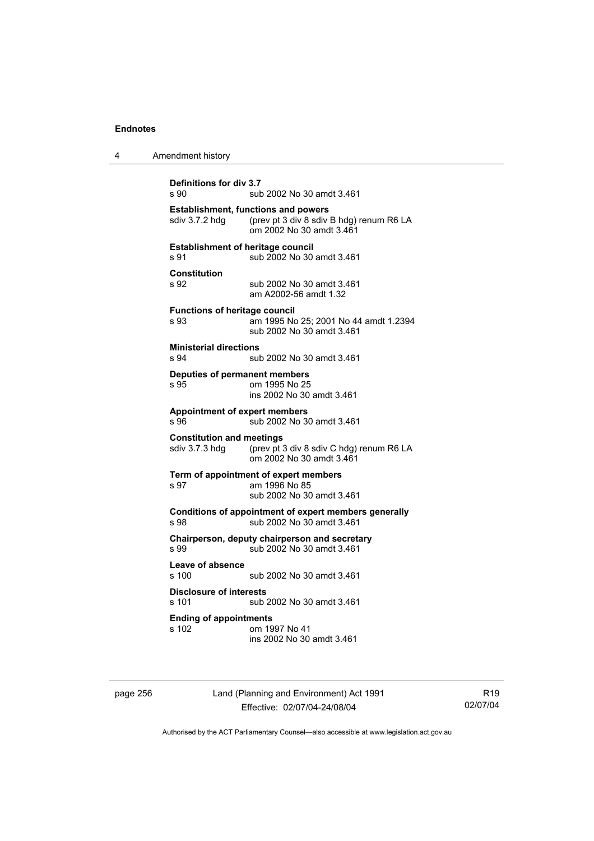| 4 | Amendment history                                                                                                                    |
|---|--------------------------------------------------------------------------------------------------------------------------------------|
|   | Definitions for div 3.7<br>sub 2002 No 30 amdt 3.461<br>s 90                                                                         |
|   | <b>Establishment, functions and powers</b><br>(prev pt 3 div 8 sdiv B hdg) renum R6 LA<br>sdiv 3.7.2 hdg<br>om 2002 No 30 amdt 3.461 |
|   | <b>Establishment of heritage council</b><br>sub 2002 No 30 amdt 3.461<br>s 91                                                        |
|   | <b>Constitution</b><br>s 92<br>sub 2002 No 30 amdt 3.461<br>am A2002-56 amdt 1.32                                                    |
|   | <b>Functions of heritage council</b><br>s 93<br>am 1995 No 25; 2001 No 44 amdt 1.2394<br>sub 2002 No 30 amdt 3.461                   |
|   | <b>Ministerial directions</b><br>s.94<br>sub 2002 No 30 amdt 3.461                                                                   |
|   | Deputies of permanent members<br>om 1995 No 25<br>s 95<br>ins 2002 No 30 amdt 3.461                                                  |
|   | <b>Appointment of expert members</b><br>sub 2002 No 30 amdt 3.461<br>s 96                                                            |
|   | <b>Constitution and meetings</b><br>sdiv 3.7.3 hdg<br>(prev pt 3 div 8 sdiv C hdg) renum R6 LA<br>om 2002 No 30 amdt 3.461           |
|   | Term of appointment of expert members<br>am 1996 No 85<br>s 97<br>sub 2002 No 30 amdt 3.461                                          |
|   | Conditions of appointment of expert members generally<br>s 98<br>sub 2002 No 30 amdt 3.461                                           |
|   | Chairperson, deputy chairperson and secretary<br>s 99<br>sub 2002 No 30 amdt 3.461                                                   |
|   | Leave of absence<br>s 100<br>sub 2002 No 30 amdt 3.461                                                                               |
|   | <b>Disclosure of interests</b><br>s 101<br>sub 2002 No 30 amdt 3.461                                                                 |
|   | <b>Ending of appointments</b><br>s 102<br>om 1997 No 41<br>ins 2002 No 30 amdt 3.461                                                 |

page 256 Land (Planning and Environment) Act 1991 Effective: 02/07/04-24/08/04

R19 02/07/04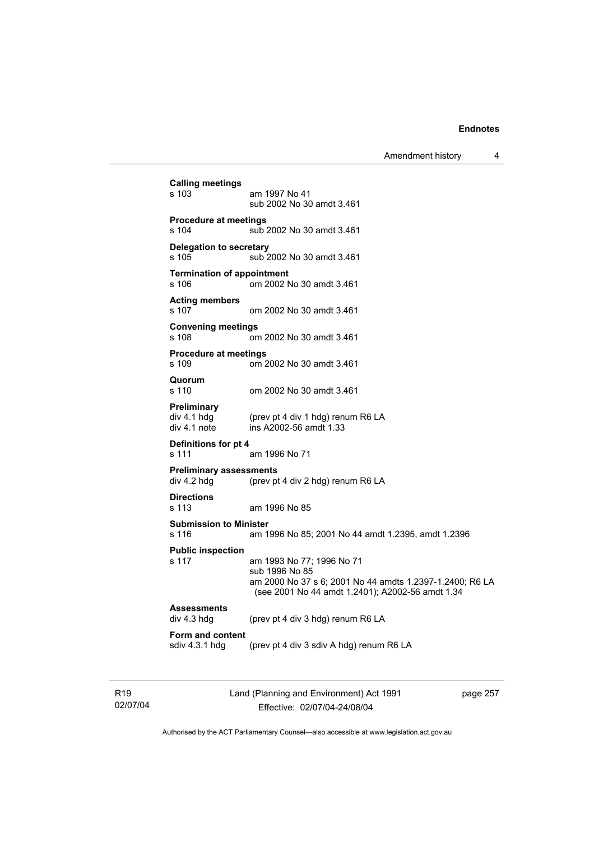Amendment history 4

| <b>Calling meetings</b>                           |                                                                                                                                                             |
|---------------------------------------------------|-------------------------------------------------------------------------------------------------------------------------------------------------------------|
| $s$ 103                                           | am 1997 No 41<br>sub 2002 No 30 amdt 3.461                                                                                                                  |
| <b>Procedure at meetings</b><br>s 104             | sub 2002 No 30 amdt 3.461                                                                                                                                   |
| <b>Delegation to secretary</b><br>$s$ 105         | sub 2002 No 30 amdt 3.461                                                                                                                                   |
| <b>Termination of appointment</b><br>s 106        | om 2002 No 30 amdt 3.461                                                                                                                                    |
| <b>Acting members</b><br>s 107                    | om 2002 No 30 amdt 3.461                                                                                                                                    |
| <b>Convening meetings</b><br>s 108                | om 2002 No 30 amdt 3.461                                                                                                                                    |
| <b>Procedure at meetings</b><br>s 109             | om 2002 No 30 amdt 3.461                                                                                                                                    |
| Quorum<br>s 110                                   | om 2002 No 30 amdt 3.461                                                                                                                                    |
| <b>Preliminary</b><br>div 4.1 hdg<br>div 4.1 note | (prev pt 4 div 1 hdg) renum R6 LA<br>ins A2002-56 amdt 1.33                                                                                                 |
| Definitions for pt 4<br>s 111                     | am 1996 No 71                                                                                                                                               |
| <b>Preliminary assessments</b><br>div 4.2 hdg     | (prev pt 4 div 2 hdg) renum R6 LA                                                                                                                           |
| <b>Directions</b><br>s 113                        | am 1996 No 85                                                                                                                                               |
| <b>Submission to Minister</b><br>s 116            | am 1996 No 85; 2001 No 44 amdt 1.2395, amdt 1.2396                                                                                                          |
| <b>Public inspection</b><br>s 117                 | am 1993 No 77; 1996 No 71<br>sub 1996 No 85<br>am 2000 No 37 s 6; 2001 No 44 amdts 1.2397-1.2400; R6 LA<br>(see 2001 No 44 amdt 1.2401); A2002-56 amdt 1.34 |
| <b>Assessments</b><br>div 4.3 hdg                 | (prev pt 4 div 3 hdg) renum R6 LA                                                                                                                           |
| Form and content<br>sdiv 4.3.1 hdg                | (prev pt 4 div 3 sdiv A hdg) renum R6 LA                                                                                                                    |
|                                                   |                                                                                                                                                             |

R19 02/07/04 Land (Planning and Environment) Act 1991 Effective: 02/07/04-24/08/04

page 257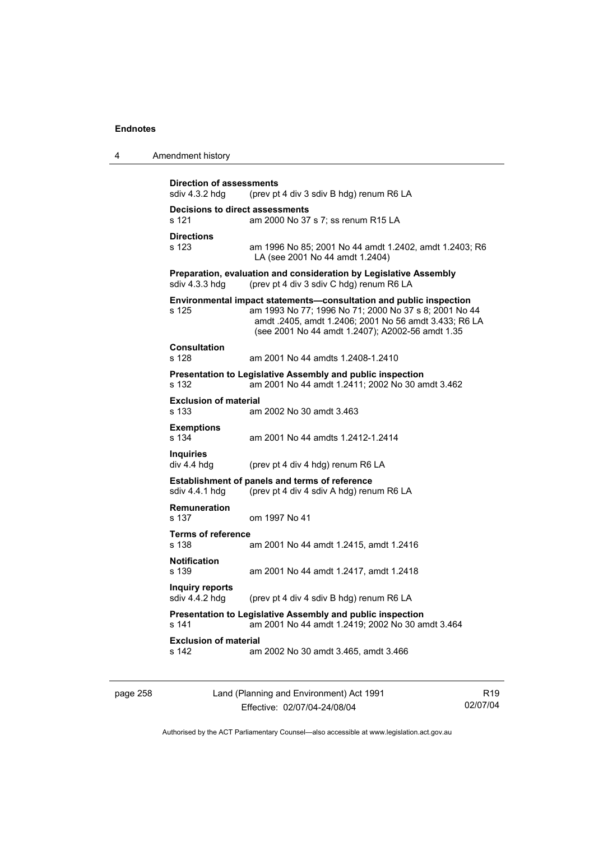4 Amendment history

| sdiv 4.3.2 hdg                           | (prev pt 4 div 3 sdiv B hdg) renum R6 LA                                                                                                                                                                                                 |
|------------------------------------------|------------------------------------------------------------------------------------------------------------------------------------------------------------------------------------------------------------------------------------------|
| s 121                                    | <b>Decisions to direct assessments</b><br>am 2000 No 37 s 7; ss renum R15 LA                                                                                                                                                             |
| <b>Directions</b><br>s 123               | am 1996 No 85; 2001 No 44 amdt 1.2402, amdt 1.2403; R6<br>LA (see 2001 No 44 amdt 1.2404)                                                                                                                                                |
| sdiv 4.3.3 hdg                           | Preparation, evaluation and consideration by Legislative Assembly<br>(prev pt 4 div 3 sdiv C hdg) renum R6 LA                                                                                                                            |
| s 125                                    | Environmental impact statements-consultation and public inspection<br>am 1993 No 77; 1996 No 71; 2000 No 37 s 8; 2001 No 44<br>amdt .2405, amdt 1.2406; 2001 No 56 amdt 3.433; R6 LA<br>(see 2001 No 44 amdt 1.2407); A2002-56 amdt 1.35 |
| <b>Consultation</b><br>s 128             | am 2001 No 44 amdts 1.2408-1.2410                                                                                                                                                                                                        |
| s 132                                    | Presentation to Legislative Assembly and public inspection<br>am 2001 No 44 amdt 1.2411; 2002 No 30 amdt 3.462                                                                                                                           |
| <b>Exclusion of material</b><br>$s$ 133  | am 2002 No 30 amdt 3.463                                                                                                                                                                                                                 |
| <b>Exemptions</b><br>s 134               | am 2001 No 44 amdts 1.2412-1.2414                                                                                                                                                                                                        |
| <b>Inquiries</b><br>div 4.4 hdg          | (prev pt 4 div 4 hdg) renum R6 LA                                                                                                                                                                                                        |
| sdiv 4.4.1 hdg                           | <b>Establishment of panels and terms of reference</b><br>(prev pt 4 div 4 sdiv A hdg) renum R6 LA                                                                                                                                        |
| <b>Remuneration</b><br>s 137             | om 1997 No 41                                                                                                                                                                                                                            |
| <b>Terms of reference</b><br>s 138       | am 2001 No 44 amdt 1.2415, amdt 1.2416                                                                                                                                                                                                   |
| <b>Notification</b><br>s 139             | am 2001 No 44 amdt 1.2417, amdt 1.2418                                                                                                                                                                                                   |
| <b>Inquiry reports</b><br>sdiv 4.4.2 hdg | (prev pt 4 div 4 sdiv B hdg) renum R6 LA                                                                                                                                                                                                 |
| s 141                                    | Presentation to Legislative Assembly and public inspection<br>am 2001 No 44 amdt 1.2419; 2002 No 30 amdt 3.464                                                                                                                           |
| <b>Exclusion of material</b><br>s 142    | am 2002 No 30 amdt 3.465, amdt 3.466                                                                                                                                                                                                     |

page 258 Land (Planning and Environment) Act 1991 Effective: 02/07/04-24/08/04

R19 02/07/04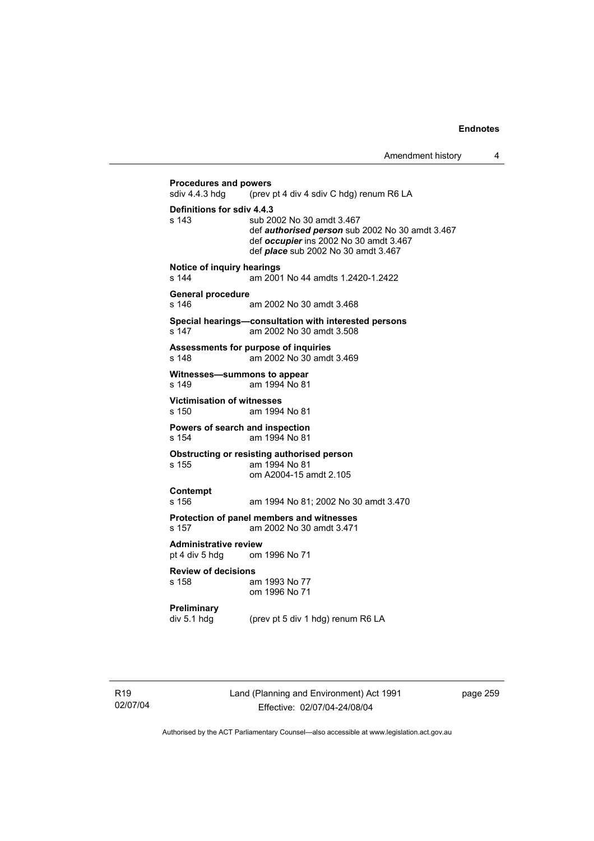# **Procedures and powers**<br>sdiv 4.4.3 hdg (prev (prev pt 4 div 4 sdiv C hdg) renum R6 LA **Definitions for sdiv 4.4.3**  s 143 sub 2002 No 30 amdt 3.467 def *authorised person* sub 2002 No 30 amdt 3.467 def *occupier* ins 2002 No 30 amdt 3.467 def *place* sub 2002 No 30 amdt 3.467 **Notice of inquiry hearings**<br>s 144 am 200 am 2001 No 44 amdts 1.2420-1.2422 **General procedure**  s 146 am 2002 No 30 amdt 3.468 **Special hearings—consultation with interested persons**  am 2002 No 30 amdt 3.508 **Assessments for purpose of inquiries**  s 148 am 2002 No 30 amdt 3.469 **Witnesses—summons to appear**  s 149 am 1994 No 81 **Victimisation of witnesses**  s 150 am 1994 No 81 **Powers of search and inspection**  s 154 am 1994 No 81 **Obstructing or resisting authorised person**  s 155 am 1994 No 81 om A2004-15 amdt 2.105 **Contempt**  s 156 am 1994 No 81; 2002 No 30 amdt 3.470 **Protection of panel members and witnesses**  s 157 am 2002 No 30 amdt 3.471 **Administrative review**  pt 4 div 5 hdg om 1996 No 71 **Review of decisions**  s 158 am 1993 No 77 om 1996 No 71 **Preliminary**  div 5.1 hdg (prev pt 5 div 1 hdg) renum R6 LA

Land (Planning and Environment) Act 1991 Effective: 02/07/04-24/08/04

page 259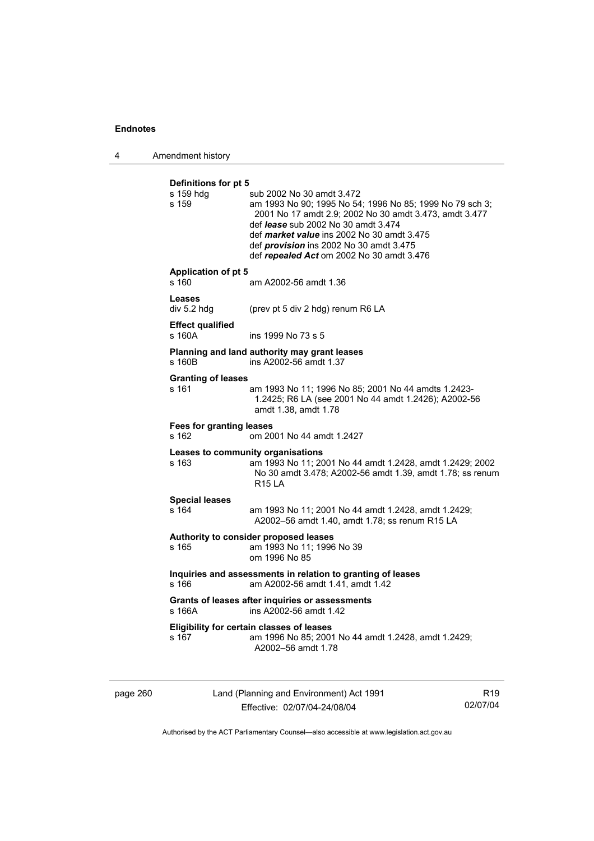4 Amendment history

| Definitions for pt 5<br>s 159 hdg<br>s 159 | sub 2002 No 30 amdt 3.472<br>am 1993 No 90; 1995 No 54; 1996 No 85; 1999 No 79 sch 3;<br>2001 No 17 amdt 2.9; 2002 No 30 amdt 3.473, amdt 3.477<br>def lease sub 2002 No 30 amdt 3.474<br>def market value ins 2002 No 30 amdt 3.475<br>def provision ins 2002 No 30 amdt 3.475<br>def repealed Act om 2002 No 30 amdt 3.476 |
|--------------------------------------------|------------------------------------------------------------------------------------------------------------------------------------------------------------------------------------------------------------------------------------------------------------------------------------------------------------------------------|
| <b>Application of pt 5</b><br>s 160        | am A2002-56 amdt 1.36                                                                                                                                                                                                                                                                                                        |
| Leases<br>div 5.2 hdg                      | (prev pt 5 div 2 hdg) renum R6 LA                                                                                                                                                                                                                                                                                            |
| <b>Effect qualified</b><br>s 160A          | ins 1999 No 73 s 5                                                                                                                                                                                                                                                                                                           |
| s 160B                                     | Planning and land authority may grant leases<br>ins A2002-56 amdt 1.37                                                                                                                                                                                                                                                       |
| <b>Granting of leases</b><br>s 161         | am 1993 No 11; 1996 No 85; 2001 No 44 amdts 1.2423-<br>1.2425; R6 LA (see 2001 No 44 amdt 1.2426); A2002-56<br>amdt 1.38, amdt 1.78                                                                                                                                                                                          |
| <b>Fees for granting leases</b><br>s 162   | om 2001 No 44 amdt 1.2427                                                                                                                                                                                                                                                                                                    |
| s 163                                      | Leases to community organisations<br>am 1993 No 11; 2001 No 44 amdt 1.2428, amdt 1.2429; 2002<br>No 30 amdt 3.478; A2002-56 amdt 1.39, amdt 1.78; ss renum<br><b>R15 LA</b>                                                                                                                                                  |
| <b>Special leases</b><br>s 164             | am 1993 No 11; 2001 No 44 amdt 1.2428, amdt 1.2429;<br>A2002-56 amdt 1.40, amdt 1.78; ss renum R15 LA                                                                                                                                                                                                                        |
| s 165                                      | Authority to consider proposed leases<br>am 1993 No 11; 1996 No 39<br>om 1996 No 85                                                                                                                                                                                                                                          |
| s 166                                      | Inquiries and assessments in relation to granting of leases<br>am A2002-56 amdt 1.41, amdt 1.42                                                                                                                                                                                                                              |
| s 166A                                     | Grants of leases after inquiries or assessments<br>ins A2002-56 amdt 1.42                                                                                                                                                                                                                                                    |
| s 167                                      | Eligibility for certain classes of leases<br>am 1996 No 85; 2001 No 44 amdt 1.2428, amdt 1.2429;<br>A2002-56 amdt 1.78                                                                                                                                                                                                       |
|                                            |                                                                                                                                                                                                                                                                                                                              |

page 260 Land (Planning and Environment) Act 1991 Effective: 02/07/04-24/08/04

R19 02/07/04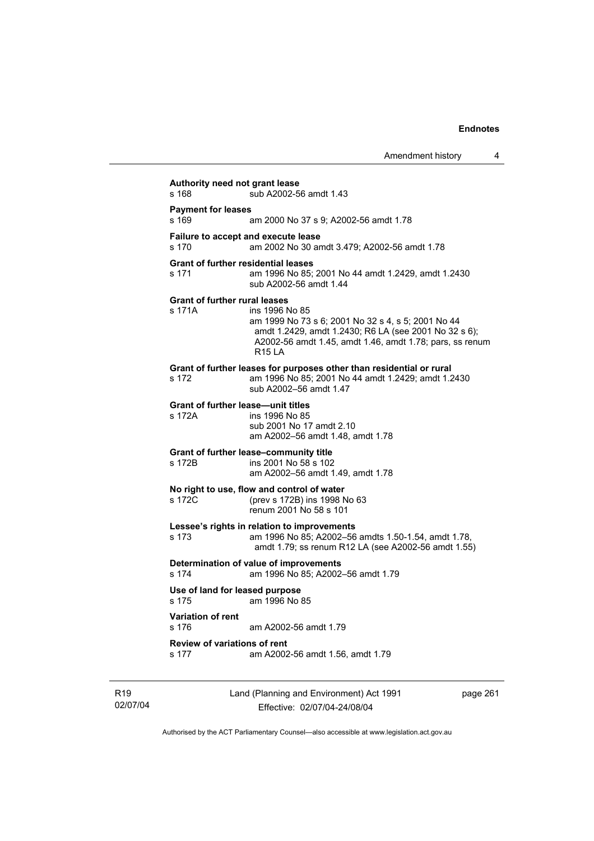|                 |                                                     |                                                                                                                                                                                                            | Amendment history | 4        |
|-----------------|-----------------------------------------------------|------------------------------------------------------------------------------------------------------------------------------------------------------------------------------------------------------------|-------------------|----------|
|                 | Authority need not grant lease<br>s 168             | sub A2002-56 amdt 1.43                                                                                                                                                                                     |                   |          |
|                 | <b>Payment for leases</b><br>s 169                  | am 2000 No 37 s 9; A2002-56 amdt 1.78                                                                                                                                                                      |                   |          |
|                 | s 170                                               | Failure to accept and execute lease<br>am 2002 No 30 amdt 3.479; A2002-56 amdt 1.78                                                                                                                        |                   |          |
|                 | <b>Grant of further residential leases</b><br>s 171 | am 1996 No 85; 2001 No 44 amdt 1.2429, amdt 1.2430<br>sub A2002-56 amdt 1.44                                                                                                                               |                   |          |
|                 | <b>Grant of further rural leases</b><br>s 171A      | ins 1996 No 85<br>am 1999 No 73 s 6; 2001 No 32 s 4, s 5; 2001 No 44<br>amdt 1.2429, amdt 1.2430; R6 LA (see 2001 No 32 s 6);<br>A2002-56 amdt 1.45, amdt 1.46, amdt 1.78; pars, ss renum<br><b>R15 LA</b> |                   |          |
|                 | s 172                                               | Grant of further leases for purposes other than residential or rural<br>am 1996 No 85; 2001 No 44 amdt 1.2429; amdt 1.2430<br>sub A2002-56 amdt 1.47                                                       |                   |          |
|                 | <b>Grant of further lease-unit titles</b><br>s 172A | ins 1996 No 85<br>sub 2001 No 17 amdt 2.10<br>am A2002-56 amdt 1.48, amdt 1.78                                                                                                                             |                   |          |
|                 | s 172B                                              | Grant of further lease-community title<br>ins 2001 No 58 s 102<br>am A2002-56 amdt 1.49, amdt 1.78                                                                                                         |                   |          |
|                 | s 172C                                              | No right to use, flow and control of water<br>(prev s 172B) ins 1998 No 63<br>renum 2001 No 58 s 101                                                                                                       |                   |          |
|                 | s 173                                               | Lessee's rights in relation to improvements<br>am 1996 No 85; A2002-56 amdts 1.50-1.54, amdt 1.78,<br>amdt 1.79; ss renum R12 LA (see A2002-56 amdt 1.55)                                                  |                   |          |
|                 | s 174                                               | Determination of value of improvements<br>am 1996 No 85; A2002-56 amdt 1.79                                                                                                                                |                   |          |
|                 | Use of land for leased purpose<br>s 175             | am 1996 No 85                                                                                                                                                                                              |                   |          |
|                 | <b>Variation of rent</b><br>s 176                   | am A2002-56 amdt 1.79                                                                                                                                                                                      |                   |          |
|                 | <b>Review of variations of rent</b><br>s 177        | am A2002-56 amdt 1.56, amdt 1.79                                                                                                                                                                           |                   |          |
| R <sub>19</sub> |                                                     | Land (Planning and Environment) Act 1991                                                                                                                                                                   |                   | page 261 |

Authorised by the ACT Parliamentary Counsel—also accessible at www.legislation.act.gov.au

Effective: 02/07/04-24/08/04

02/07/04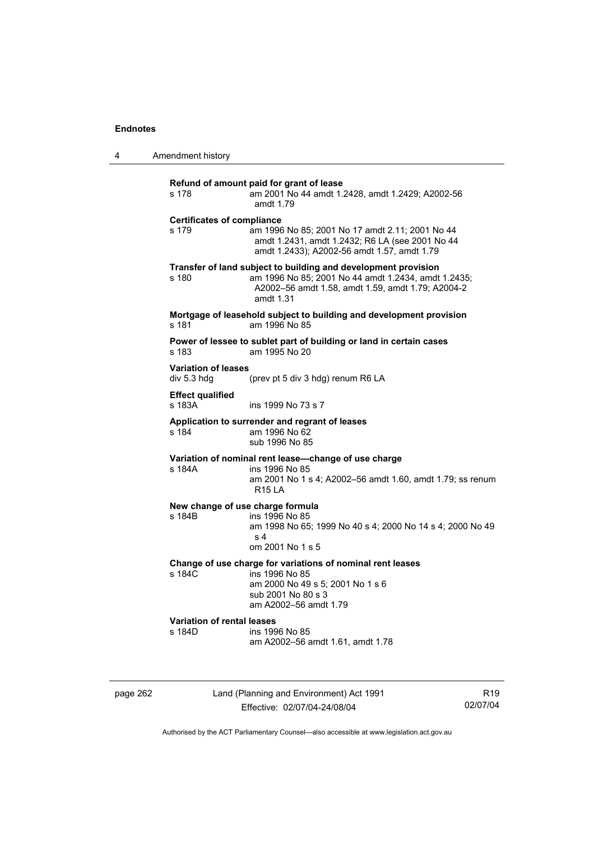4 Amendment history

| s 178                                       | Refund of amount paid for grant of lease<br>am 2001 No 44 amdt 1.2428, amdt 1.2429; A2002-56<br>amdt 1.79                                                                               |
|---------------------------------------------|-----------------------------------------------------------------------------------------------------------------------------------------------------------------------------------------|
| <b>Certificates of compliance</b><br>s 179  | am 1996 No 85; 2001 No 17 amdt 2.11; 2001 No 44<br>amdt 1.2431, amdt 1.2432; R6 LA (see 2001 No 44<br>amdt 1.2433); A2002-56 amdt 1.57, amdt 1.79                                       |
| s 180                                       | Transfer of land subject to building and development provision<br>am 1996 No 85; 2001 No 44 amdt 1.2434, amdt 1.2435;<br>A2002-56 amdt 1.58, amdt 1.59, amdt 1.79; A2004-2<br>amdt 1.31 |
| s 181                                       | Mortgage of leasehold subject to building and development provision<br>am 1996 No 85                                                                                                    |
| s 183                                       | Power of lessee to sublet part of building or land in certain cases<br>am 1995 No 20                                                                                                    |
| <b>Variation of leases</b><br>div 5.3 hdg   | (prev pt 5 div 3 hdg) renum R6 LA                                                                                                                                                       |
| <b>Effect qualified</b><br>s 183A           | ins 1999 No 73 s 7                                                                                                                                                                      |
| s 184                                       | Application to surrender and regrant of leases<br>am 1996 No 62<br>sub 1996 No 85                                                                                                       |
| s 184A                                      | Variation of nominal rent lease-change of use charge<br>ins 1996 No 85<br>am 2001 No 1 s 4; A2002-56 amdt 1.60, amdt 1.79; ss renum<br><b>R15 LA</b>                                    |
| s 184B                                      | New change of use charge formula<br>ins 1996 No 85<br>am 1998 No 65; 1999 No 40 s 4; 2000 No 14 s 4; 2000 No 49<br>s <sub>4</sub><br>om 2001 No 1 s 5                                   |
| s 184C                                      | Change of use charge for variations of nominal rent leases<br>ins 1996 No 85<br>am 2000 No 49 s 5; 2001 No 1 s 6<br>sub 2001 No 80 s 3<br>am A2002-56 amdt 1.79                         |
| <b>Variation of rental leases</b><br>s 184D | ins 1996 No 85<br>am A2002-56 amdt 1.61, amdt 1.78                                                                                                                                      |

page 262 Land (Planning and Environment) Act 1991 Effective: 02/07/04-24/08/04

R19 02/07/04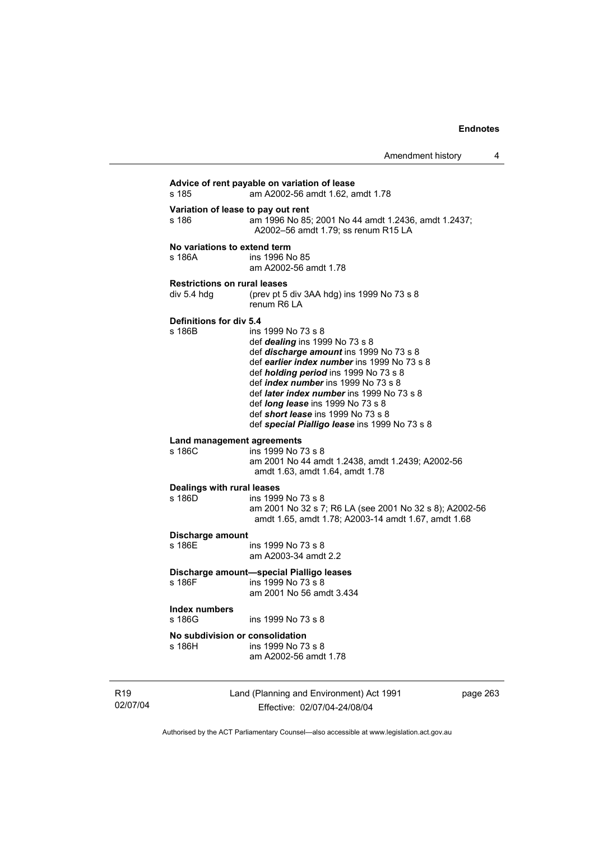**Advice of rent payable on variation of lease**  s 185 am A2002-56 amdt 1.62, amdt 1.78 **Variation of lease to pay out rent**  am 1996 No 85; 2001 No 44 amdt 1.2436, amdt 1.2437; A2002–56 amdt 1.79; ss renum R15 LA **No variations to extend term**  s 186A ins 1996 No 85 am A2002-56 amdt 1.78 **Restrictions on rural leases**  div 5.4 hdg (prev pt 5 div 3AA hdg) ins 1999 No 73 s 8 renum R6 LA **Definitions for div 5.4**  s 186B ins 1999 No 73 s 8 def *dealing* ins 1999 No 73 s 8 def *discharge amount* ins 1999 No 73 s 8 def *earlier index number* ins 1999 No 73 s 8 def *holding period* ins 1999 No 73 s 8 def *index number* ins 1999 No 73 s 8 def *later index number* ins 1999 No 73 s 8 def *long lease* ins 1999 No 73 s 8 def *short lease* ins 1999 No 73 s 8 def *special Pialligo lease* ins 1999 No 73 s 8 **Land management agreements**  s 186C ins 1999 No 73 s 8 am 2001 No 44 amdt 1.2438, amdt 1.2439; A2002-56 amdt 1.63, amdt 1.64, amdt 1.78 **Dealings with rural leases**  s 186D ins 1999 No 73 s 8 am 2001 No 32 s 7; R6 LA (see 2001 No 32 s 8); A2002-56 amdt 1.65, amdt 1.78; A2003-14 amdt 1.67, amdt 1.68 **Discharge amount**  s 186E ins 1999 No 73 s 8 am A2003-34 amdt 2.2 **Discharge amount—special Pialligo leases**  s 186F ins 1999 No 73 s 8 am 2001 No 56 amdt 3.434 **Index numbers**  ins 1999 No 73 s 8 **No subdivision or consolidation**  ins 1999 No 73 s 8 am A2002-56 amdt 1.78

R19 02/07/04 Land (Planning and Environment) Act 1991 Effective: 02/07/04-24/08/04

page 263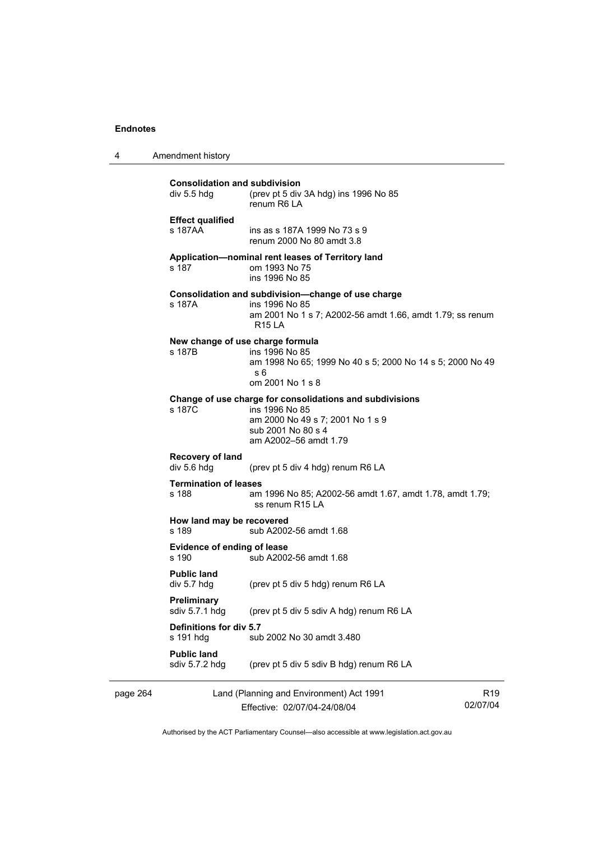4 Amendment history

| page 264 |                                                     | Land (Planning and Environment) Act 1991                                                                                                                      | R <sub>19</sub> |
|----------|-----------------------------------------------------|---------------------------------------------------------------------------------------------------------------------------------------------------------------|-----------------|
|          | <b>Public land</b><br>sdiv 5.7.2 hdg                | (prev pt 5 div 5 sdiv B hdg) renum R6 LA                                                                                                                      |                 |
|          | Definitions for div 5.7<br>s 191 hdg                | sub 2002 No 30 amdt 3.480                                                                                                                                     |                 |
|          | Preliminary<br>sdiv 5.7.1 hdg                       | (prev pt 5 div 5 sdiv A hdg) renum R6 LA                                                                                                                      |                 |
|          | <b>Public land</b><br>div 5.7 hdg                   | (prev pt 5 div 5 hdg) renum R6 LA                                                                                                                             |                 |
|          | Evidence of ending of lease<br>s 190                | sub A2002-56 amdt 1.68                                                                                                                                        |                 |
|          | How land may be recovered<br>s 189                  | sub A2002-56 amdt 1.68                                                                                                                                        |                 |
|          | <b>Termination of leases</b><br>s 188               | am 1996 No 85; A2002-56 amdt 1.67, amdt 1.78, amdt 1.79;<br>ss renum R15 LA                                                                                   |                 |
|          | Recovery of land<br>div 5.6 hdg                     | (prev pt 5 div 4 hdg) renum R6 LA                                                                                                                             |                 |
|          | s 187C                                              | Change of use charge for consolidations and subdivisions<br>ins 1996 No 85<br>am 2000 No 49 s 7; 2001 No 1 s 9<br>sub 2001 No 80 s 4<br>am A2002-56 amdt 1.79 |                 |
|          | s 187B                                              | New change of use charge formula<br>ins 1996 No 85<br>am 1998 No 65; 1999 No 40 s 5; 2000 No 14 s 5; 2000 No 49<br>s 6<br>om 2001 No 1 s 8                    |                 |
|          | s 187A                                              | Consolidation and subdivision-change of use charge<br>ins 1996 No 85<br>am 2001 No 1 s 7; A2002-56 amdt 1.66, amdt 1.79; ss renum<br>R15 LA                   |                 |
|          | s 187                                               | Application-nominal rent leases of Territory land<br>om 1993 No 75<br>ins 1996 No 85                                                                          |                 |
|          | <b>Effect qualified</b><br>s 187AA                  | ins as s 187A 1999 No 73 s 9<br>renum 2000 No 80 amdt 3.8                                                                                                     |                 |
|          | <b>Consolidation and subdivision</b><br>div 5.5 hdg | (prev pt 5 div 3A hdg) ins 1996 No 85<br>renum R6 LA                                                                                                          |                 |

Effective: 02/07/04-24/08/04

R19 02/07/04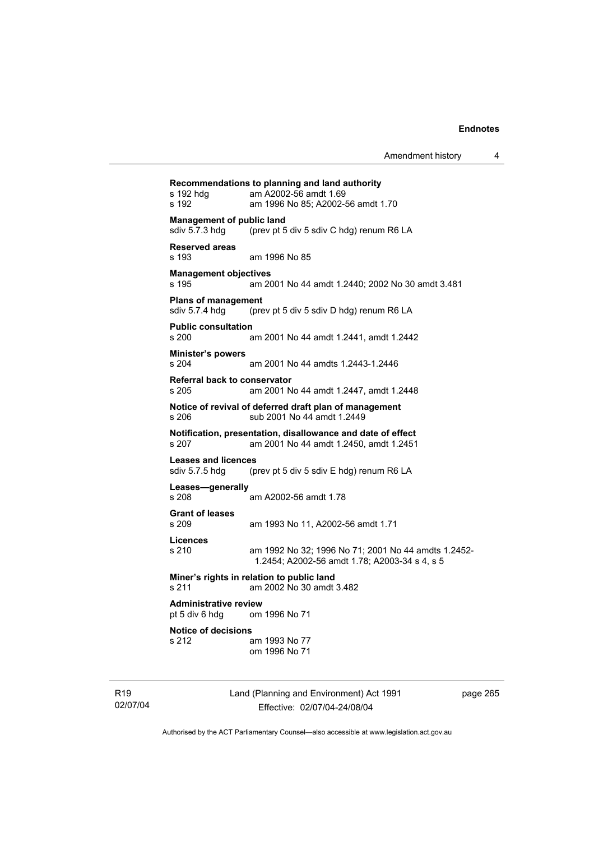| Recommendations to planning and land authority |                                                                                      |  |
|------------------------------------------------|--------------------------------------------------------------------------------------|--|
| s 192 hdg<br>s 192                             | am A2002-56 amdt 1.69<br>am 1996 No 85; A2002-56 amdt 1.70                           |  |
| <b>Management of public land</b>               |                                                                                      |  |
| sdiv 5.7.3 hdg                                 | (prev pt 5 div 5 sdiv C hdg) renum R6 LA                                             |  |
| <b>Reserved areas</b>                          |                                                                                      |  |
| s 193                                          | am 1996 No 85                                                                        |  |
| <b>Management objectives</b>                   |                                                                                      |  |
| s 195                                          | am 2001 No 44 amdt 1.2440; 2002 No 30 amdt 3.481                                     |  |
| <b>Plans of management</b>                     |                                                                                      |  |
| sdiv 5.7.4 hdg                                 | (prev pt 5 div 5 sdiv D hdg) renum R6 LA                                             |  |
| <b>Public consultation</b><br>s 200            | am 2001 No 44 amdt 1.2441, amdt 1.2442                                               |  |
|                                                |                                                                                      |  |
| <b>Minister's powers</b><br>s 204              | am 2001 No 44 amdts 1.2443-1.2446                                                    |  |
| <b>Referral back to conservator</b>            |                                                                                      |  |
| s 205                                          | am 2001 No 44 amdt 1.2447, amdt 1.2448                                               |  |
| s 206                                          | Notice of revival of deferred draft plan of management<br>sub 2001 No 44 amdt 1.2449 |  |
|                                                | Notification, presentation, disallowance and date of effect                          |  |
| s 207                                          | am 2001 No 44 amdt 1.2450, amdt 1.2451                                               |  |
| <b>Leases and licences</b>                     |                                                                                      |  |
| sdiv 5.7.5 hdg                                 | (prev pt 5 div 5 sdiv E hdg) renum R6 LA                                             |  |
| Leases-generally                               |                                                                                      |  |
| s 208                                          | am A2002-56 amdt 1.78                                                                |  |
| <b>Grant of leases</b><br>s 209                |                                                                                      |  |
|                                                | am 1993 No 11, A2002-56 amdt 1.71                                                    |  |
| Licences<br>s 210                              | am 1992 No 32; 1996 No 71; 2001 No 44 amdts 1.2452-                                  |  |
|                                                | 1.2454; A2002-56 amdt 1.78; A2003-34 s 4, s 5                                        |  |
| s 211                                          | Miner's rights in relation to public land<br>am 2002 No 30 amdt 3.482                |  |
| <b>Administrative review</b>                   |                                                                                      |  |
| pt 5 div 6 hdg                                 | om 1996 No 71                                                                        |  |
| <b>Notice of decisions</b>                     |                                                                                      |  |
| s 212                                          | am 1993 No 77<br>om 1996 No 71                                                       |  |
|                                                |                                                                                      |  |

R19 02/07/04 Land (Planning and Environment) Act 1991 Effective: 02/07/04-24/08/04

page 265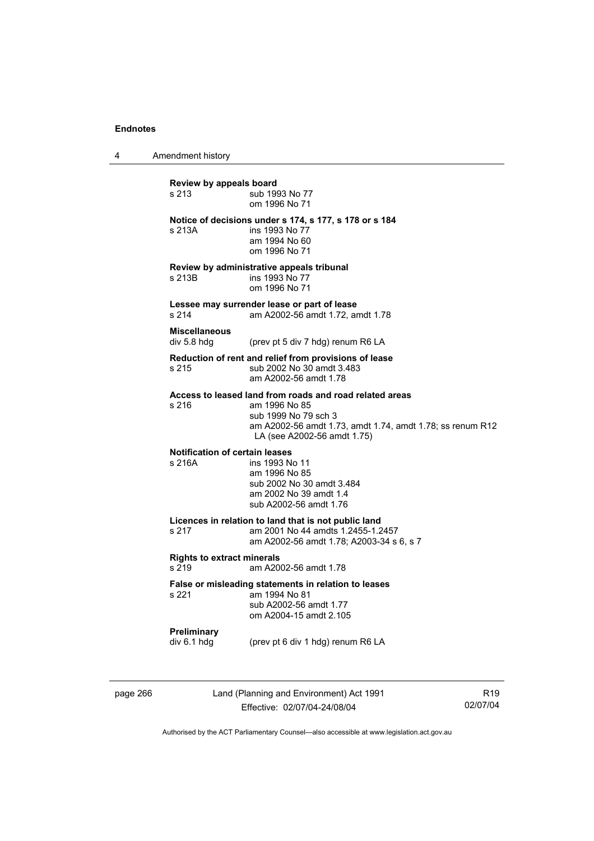4 Amendment history

**Review by appeals board**  s 213 **Sub 1993 No 77**  om 1996 No 71 **Notice of decisions under s 174, s 177, s 178 or s 184**  s 213A **ins 1993** No 77 am 1994 No 60 om 1996 No 71 **Review by administrative appeals tribunal**  ins 1993 No 77 om 1996 No 71 **Lessee may surrender lease or part of lease**  s 214 am A2002-56 amdt 1.72, amdt 1.78 **Miscellaneous**  div 5.8 hdg (prev pt 5 div 7 hdg) renum R6 LA **Reduction of rent and relief from provisions of lease**  s 215 sub 2002 No 30 amdt 3.483 am A2002-56 amdt 1.78 **Access to leased land from roads and road related areas**  s 216 am 1996 No 85 sub 1999 No 79 sch 3 am A2002-56 amdt 1.73, amdt 1.74, amdt 1.78; ss renum R12 LA (see A2002-56 amdt 1.75) **Notification of certain leases**  s 216A ins 1993 No 11 am 1996 No 85 sub 2002 No 30 amdt 3.484 am 2002 No 39 amdt 1.4 sub A2002-56 amdt 1.76 **Licences in relation to land that is not public land**  am 2001 No 44 amdts 1.2455-1.2457 am A2002-56 amdt 1.78; A2003-34 s 6, s 7 **Rights to extract minerals**  s 219 am A2002-56 amdt 1.78 **False or misleading statements in relation to leases**  am 1994 No 81 sub A2002-56 amdt 1.77 om A2004-15 amdt 2.105 **Preliminary**  div 6.1 hdg (prev pt 6 div 1 hdg) renum R6 LA

page 266 Land (Planning and Environment) Act 1991 Effective: 02/07/04-24/08/04

R19 02/07/04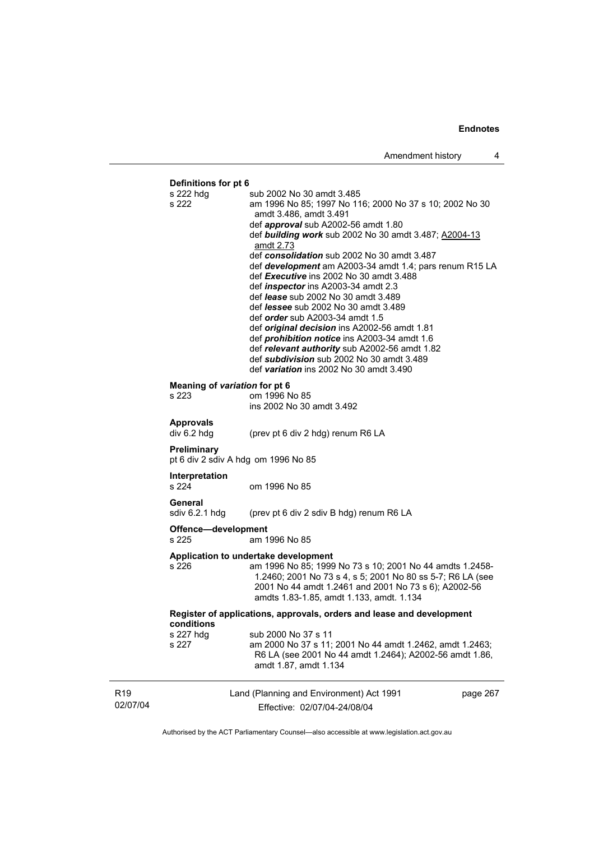# **Definitions for pt 6**

| <b>Definitions for pt 6</b>            |                                                                                                                                                                                                                                                                                                                                                                                                                                                                                                                                                                                                                                                                                                                                                                                                                                                   |          |
|----------------------------------------|---------------------------------------------------------------------------------------------------------------------------------------------------------------------------------------------------------------------------------------------------------------------------------------------------------------------------------------------------------------------------------------------------------------------------------------------------------------------------------------------------------------------------------------------------------------------------------------------------------------------------------------------------------------------------------------------------------------------------------------------------------------------------------------------------------------------------------------------------|----------|
| s 222 hdg<br>s 222                     | sub 2002 No 30 amdt 3.485<br>am 1996 No 85; 1997 No 116; 2000 No 37 s 10; 2002 No 30<br>amdt 3.486, amdt 3.491<br>def <i>approval</i> sub A2002-56 amdt 1.80<br>def <b>building work</b> sub 2002 No 30 amdt 3.487; A2004-13<br>amdt 2.73<br>def consolidation sub 2002 No 30 amdt 3.487<br>def <b>development</b> am A2003-34 amdt 1.4; pars renum R15 LA<br>def Executive ins 2002 No 30 amdt 3.488<br>def <i>inspector</i> ins A2003-34 amdt 2.3<br>def <i>lease</i> sub 2002 No 30 amdt 3.489<br>def <i>lessee</i> sub 2002 No 30 amdt 3.489<br>def <i>order</i> sub A2003-34 amdt 1.5<br>def <i>original decision</i> ins A2002-56 amdt 1.81<br>def <i>prohibition notice</i> ins A2003-34 amdt 1.6<br>def relevant authority sub A2002-56 amdt 1.82<br>def subdivision sub 2002 No 30 amdt 3.489<br>def variation ins 2002 No 30 amdt 3.490 |          |
| Meaning of variation for pt 6<br>s 223 | om 1996 No 85<br>ins 2002 No 30 amdt 3.492                                                                                                                                                                                                                                                                                                                                                                                                                                                                                                                                                                                                                                                                                                                                                                                                        |          |
| <b>Approvals</b><br>div 6.2 hdg        | (prev pt 6 div 2 hdg) renum R6 LA                                                                                                                                                                                                                                                                                                                                                                                                                                                                                                                                                                                                                                                                                                                                                                                                                 |          |
| Preliminary                            | pt 6 div 2 sdiv A hdg om 1996 No 85                                                                                                                                                                                                                                                                                                                                                                                                                                                                                                                                                                                                                                                                                                                                                                                                               |          |
| <b>Interpretation</b><br>s 224         | om 1996 No 85                                                                                                                                                                                                                                                                                                                                                                                                                                                                                                                                                                                                                                                                                                                                                                                                                                     |          |
| General<br>sdiv 6.2.1 hdg              | (prev pt 6 div 2 sdiv B hdg) renum R6 LA                                                                                                                                                                                                                                                                                                                                                                                                                                                                                                                                                                                                                                                                                                                                                                                                          |          |
| Offence-development<br>s 225           | am 1996 No 85                                                                                                                                                                                                                                                                                                                                                                                                                                                                                                                                                                                                                                                                                                                                                                                                                                     |          |
| s 226                                  | Application to undertake development<br>am 1996 No 85; 1999 No 73 s 10; 2001 No 44 amdts 1.2458-<br>1.2460; 2001 No 73 s 4, s 5; 2001 No 80 ss 5-7; R6 LA (see<br>2001 No 44 amdt 1.2461 and 2001 No 73 s 6); A2002-56<br>amdts 1.83-1.85, amdt 1.133, amdt. 1.134                                                                                                                                                                                                                                                                                                                                                                                                                                                                                                                                                                                |          |
| conditions                             | Register of applications, approvals, orders and lease and development                                                                                                                                                                                                                                                                                                                                                                                                                                                                                                                                                                                                                                                                                                                                                                             |          |
| s 227 hdg<br>s 227                     | sub 2000 No 37 s 11<br>am 2000 No 37 s 11; 2001 No 44 amdt 1.2462, amdt 1.2463;<br>R6 LA (see 2001 No 44 amdt 1.2464); A2002-56 amdt 1.86,<br>amdt 1.87, amdt 1.134                                                                                                                                                                                                                                                                                                                                                                                                                                                                                                                                                                                                                                                                               |          |
|                                        | Land (Planning and Environment) Act 1991                                                                                                                                                                                                                                                                                                                                                                                                                                                                                                                                                                                                                                                                                                                                                                                                          | page 267 |

R19 02/07/04

Land (Planning and Environment) Act 199 Effective: 02/07/04-24/08/04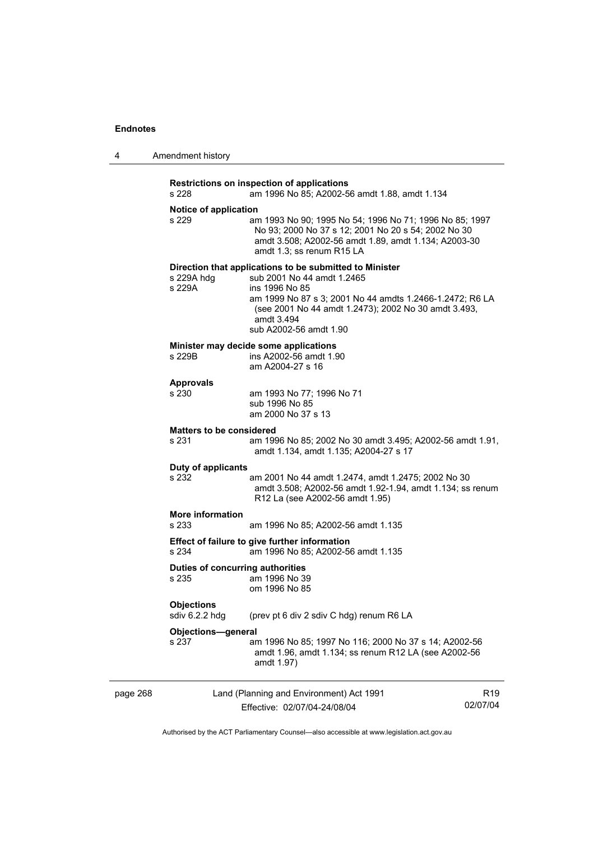page 268

| Amendment history |
|-------------------|
|                   |

| s 228                                     | Restrictions on inspection of applications<br>am 1996 No 85; A2002-56 amdt 1.88, amdt 1.134                                                                                                                                                                         |                 |
|-------------------------------------------|---------------------------------------------------------------------------------------------------------------------------------------------------------------------------------------------------------------------------------------------------------------------|-----------------|
|                                           |                                                                                                                                                                                                                                                                     |                 |
| Notice of application<br>s 229            | am 1993 No 90; 1995 No 54; 1996 No 71; 1996 No 85; 1997<br>No 93; 2000 No 37 s 12; 2001 No 20 s 54; 2002 No 30<br>amdt 3.508; A2002-56 amdt 1.89, amdt 1.134; A2003-30<br>amdt 1.3; ss renum R15 LA                                                                 |                 |
| s 229A hdg<br>s 229A                      | Direction that applications to be submitted to Minister<br>sub 2001 No 44 amdt 1.2465<br>ins 1996 No 85<br>am 1999 No 87 s 3; 2001 No 44 amdts 1.2466-1.2472; R6 LA<br>(see 2001 No 44 amdt 1.2473); 2002 No 30 amdt 3.493,<br>amdt 3.494<br>sub A2002-56 amdt 1.90 |                 |
| s 229B                                    | Minister may decide some applications<br>ins A2002-56 amdt 1.90<br>am A2004-27 s 16                                                                                                                                                                                 |                 |
| <b>Approvals</b><br>s 230                 | am 1993 No 77; 1996 No 71<br>sub 1996 No 85<br>am 2000 No 37 s 13                                                                                                                                                                                                   |                 |
| <b>Matters to be considered</b><br>s 231  | am 1996 No 85; 2002 No 30 amdt 3.495; A2002-56 amdt 1.91,<br>amdt 1.134, amdt 1.135; A2004-27 s 17                                                                                                                                                                  |                 |
| Duty of applicants<br>s 232               | am 2001 No 44 amdt 1.2474, amdt 1.2475; 2002 No 30<br>amdt 3.508; A2002-56 amdt 1.92-1.94, amdt 1.134; ss renum<br>R12 La (see A2002-56 amdt 1.95)                                                                                                                  |                 |
| <b>More information</b><br>s 233          | am 1996 No 85; A2002-56 amdt 1.135                                                                                                                                                                                                                                  |                 |
| s 234                                     | Effect of failure to give further information<br>am 1996 No 85; A2002-56 amdt 1.135                                                                                                                                                                                 |                 |
| Duties of concurring authorities<br>s 235 | am 1996 No 39<br>om 1996 No 85                                                                                                                                                                                                                                      |                 |
| <b>Objections</b><br>sdiv 6.2.2 hdg       | (prev pt 6 div 2 sdiv C hdg) renum R6 LA                                                                                                                                                                                                                            |                 |
| Objections-general                        |                                                                                                                                                                                                                                                                     |                 |
| s 237                                     | am 1996 No 85; 1997 No 116; 2000 No 37 s 14; A2002-56<br>amdt 1.96, amdt 1.134; ss renum R12 LA (see A2002-56<br>amdt 1.97)                                                                                                                                         |                 |
|                                           | Land (Planning and Environment) Act 1991                                                                                                                                                                                                                            | R <sub>19</sub> |
|                                           | Effective: 02/07/04-24/08/04                                                                                                                                                                                                                                        | 02/07/04        |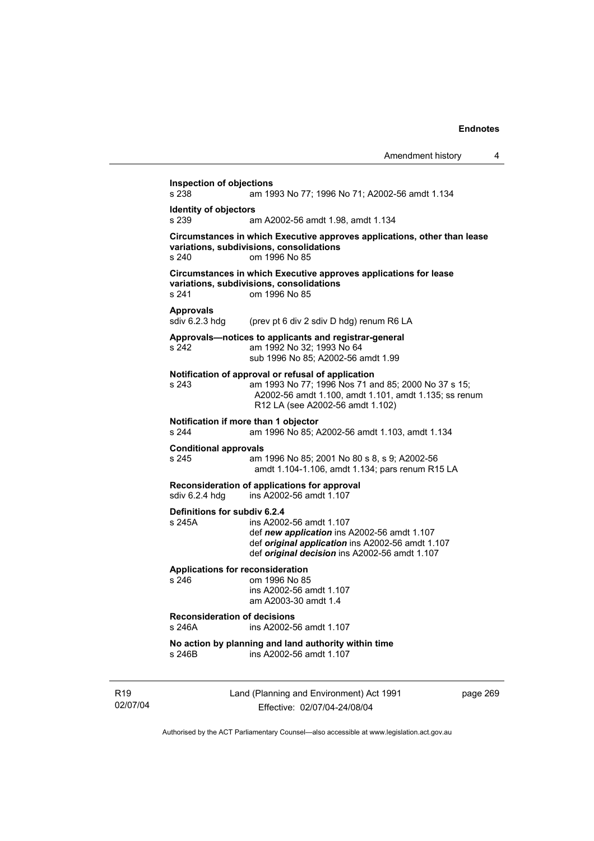—

|                             |                                                  |                                                                                                                                                                                                        | Amendment history | 4        |
|-----------------------------|--------------------------------------------------|--------------------------------------------------------------------------------------------------------------------------------------------------------------------------------------------------------|-------------------|----------|
|                             | <b>Inspection of objections</b><br>s 238         | am 1993 No 77; 1996 No 71; A2002-56 amdt 1.134                                                                                                                                                         |                   |          |
|                             | <b>Identity of objectors</b><br>s 239            | am A2002-56 amdt 1.98, amdt 1.134                                                                                                                                                                      |                   |          |
|                             | s 240                                            | Circumstances in which Executive approves applications, other than lease<br>variations, subdivisions, consolidations<br>om 1996 No 85                                                                  |                   |          |
|                             | s 241                                            | Circumstances in which Executive approves applications for lease<br>variations, subdivisions, consolidations<br>om 1996 No 85                                                                          |                   |          |
|                             | <b>Approvals</b><br>sdiv 6.2.3 hdg               | (prev pt 6 div 2 sdiv D hdg) renum R6 LA                                                                                                                                                               |                   |          |
|                             | s 242                                            | Approvals-notices to applicants and registrar-general<br>am 1992 No 32; 1993 No 64<br>sub 1996 No 85; A2002-56 amdt 1.99                                                                               |                   |          |
|                             | s 243                                            | Notification of approval or refusal of application<br>am 1993 No 77; 1996 Nos 71 and 85; 2000 No 37 s 15;<br>A2002-56 amdt 1.100, amdt 1.101, amdt 1.135; ss renum<br>R12 LA (see A2002-56 amdt 1.102) |                   |          |
|                             | s 244                                            | Notification if more than 1 objector<br>am 1996 No 85; A2002-56 amdt 1.103, amdt 1.134                                                                                                                 |                   |          |
|                             | <b>Conditional approvals</b><br>s 245            | am 1996 No 85; 2001 No 80 s 8, s 9; A2002-56<br>amdt 1.104-1.106, amdt 1.134; pars renum R15 LA                                                                                                        |                   |          |
|                             | sdiv 6.2.4 hdg                                   | Reconsideration of applications for approval<br>ins A2002-56 amdt 1.107                                                                                                                                |                   |          |
|                             | Definitions for subdiv 6.2.4<br>s 245A           | ins A2002-56 amdt 1.107<br>def new application ins A2002-56 amdt 1.107<br>def original application ins A2002-56 amdt 1.107<br>def <i>original decision</i> ins A2002-56 amdt 1.107                     |                   |          |
|                             | <b>Applications for reconsideration</b><br>s 246 | om 1996 No 85<br>ins A2002-56 amdt 1.107<br>am A2003-30 amdt 1.4                                                                                                                                       |                   |          |
|                             | <b>Reconsideration of decisions</b><br>s 246A    | ins A2002-56 amdt 1.107                                                                                                                                                                                |                   |          |
|                             | s 246B                                           | No action by planning and land authority within time<br>ins A2002-56 amdt 1.107                                                                                                                        |                   |          |
| R <sub>19</sub><br>02/07/04 |                                                  | Land (Planning and Environment) Act 1991<br>Effective: 02/07/04-24/08/04                                                                                                                               |                   | page 269 |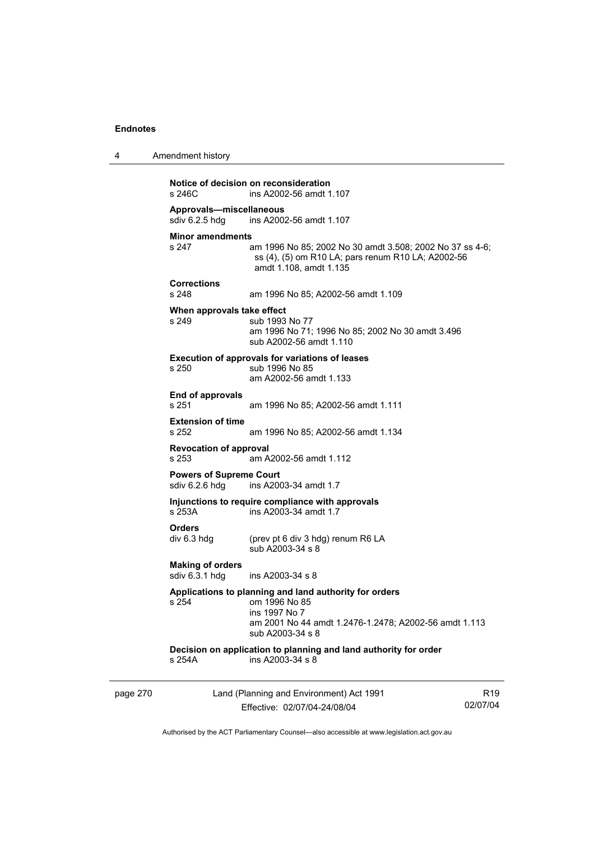| 4 | Amendment history |
|---|-------------------|
|   |                   |

```
Notice of decision on reconsideration 
                 ins A2002-56 amdt 1.107
Approvals—miscellaneous 
                 ins A2002-56 amdt 1.107
Minor amendments<br>s 247
                  am 1996 No 85; 2002 No 30 amdt 3.508; 2002 No 37 ss 4-6;
                   ss (4), (5) om R10 LA; pars renum R10 LA; A2002-56 
                   amdt 1.108, amdt 1.135 
Corrections 
s 248 am 1996 No 85; A2002-56 amdt 1.109 
When approvals take effect 
s 249 sub 1993 No 77
                   am 1996 No 71; 1996 No 85; 2002 No 30 amdt 3.496 
                  sub A2002-56 amdt 1.110 
Execution of approvals for variations of leases 
s 250 sub 1996 No 85 
                   am A2002-56 amdt 1.133 
End of approvals 
s 251 am 1996 No 85; A2002-56 amdt 1.111 
Extension of time 
                  am 1996 No 85; A2002-56 amdt 1.134
Revocation of approval 
s 253 am A2002-56 amdt 1.112 
Powers of Supreme Court<br>sdiv 6.2.6 hdg ins A200
                 ins A2003-34 amdt 1.7
Injunctions to require compliance with approvals 
s 253A ins A2003-34 amdt 1.7 
Orders 
div 6.3 hdg (prev pt 6 div 3 hdg) renum R6 LA 
                   sub A2003-34 s 8 
Making of orders 
                  ins A2003-34 s 8Applications to planning and land authority for orders 
s 254 om 1996 No 85 
                   ins 1997 No 7 
                   am 2001 No 44 amdt 1.2476-1.2478; A2002-56 amdt 1.113 
                   sub A2003-34 s 8 
Decision on application to planning and land authority for order 
s 254A ins A2003-34 s 8
```
page 270 Land (Planning and Environment) Act 1991 Effective: 02/07/04-24/08/04

R19 02/07/04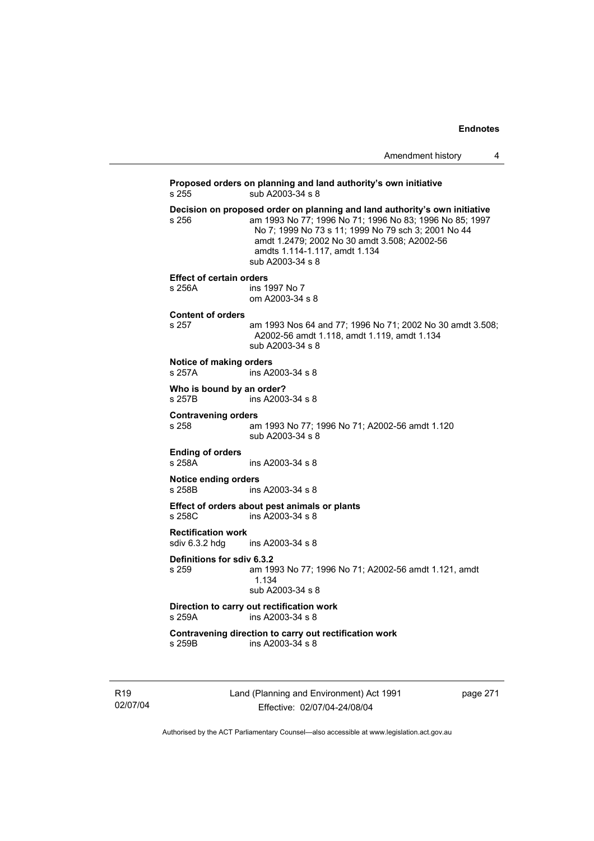| Amendment history |  |
|-------------------|--|
|-------------------|--|

**Proposed orders on planning and land authority's own initiative**  s 255 sub A2003-34 s 8 **Decision on proposed order on planning and land authority's own initiative**  s 256 am 1993 No 77; 1996 No 71; 1996 No 83; 1996 No 85; 1997 No 7; 1999 No 73 s 11; 1999 No 79 sch 3; 2001 No 44 amdt 1.2479; 2002 No 30 amdt 3.508; A2002-56 amdts 1.114-1.117, amdt 1.134 sub A2003-34 s 8 **Effect of certain orders**  s 256A ins 1997 No 7 om A2003-34 s 8 **Content of orders**  am 1993 Nos 64 and 77; 1996 No 71; 2002 No 30 amdt 3.508; A2002-56 amdt 1.118, amdt 1.119, amdt 1.134 sub A2003-34 s 8 **Notice of making orders**  s 257A ins A2003-34 s 8 **Who is bound by an order?**<br>s 257B ins A2003 ins A2003-34 s 8 **Contravening orders**  s 258 am 1993 No 77; 1996 No 71; A2002-56 amdt 1.120 sub A2003-34 s 8 **Ending of orders**  s 258A ins A2003-34 s 8 **Notice ending orders**  s 258B ins A2003-34 s 8 **Effect of orders about pest animals or plants**  s 258C ins A2003-34 s 8 **Rectification work**   $ins A2003-34 s 8$ **Definitions for sdiv 6.3.2**  s 259 am 1993 No 77; 1996 No 71; A2002-56 amdt 1.121, amdt 1.134 sub A2003-34 s 8 **Direction to carry out rectification work**  s 259A ins A2003-34 s 8 **Contravening direction to carry out rectification work**  s 259B ins A2003-34 s 8

R19 02/07/04 Land (Planning and Environment) Act 1991 Effective: 02/07/04-24/08/04

page 271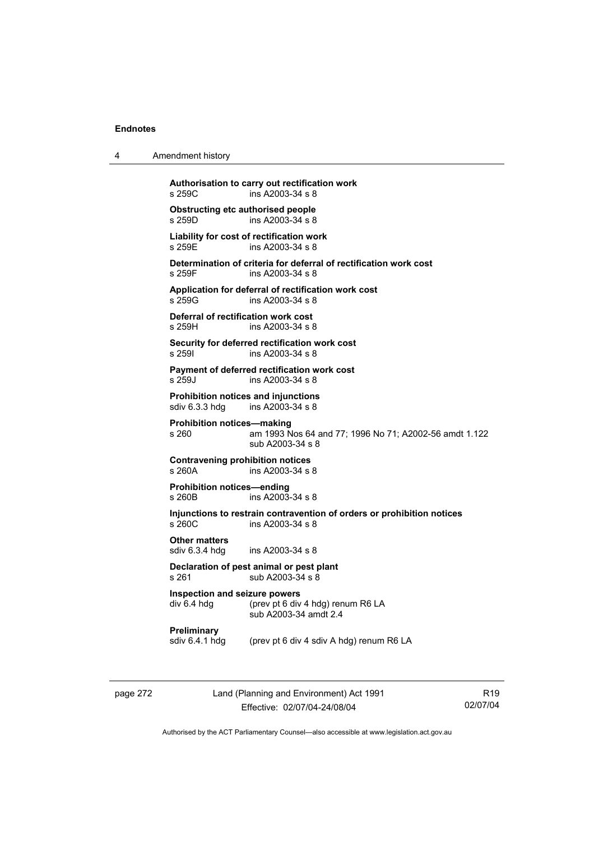| 4 | Amendment history                                                                                                        |  |
|---|--------------------------------------------------------------------------------------------------------------------------|--|
|   | Authorisation to carry out rectification work<br>s 259C<br>ins A2003-34 s 8                                              |  |
|   | <b>Obstructing etc authorised people</b><br>ins A2003-34 s 8<br>s 259D                                                   |  |
|   | Liability for cost of rectification work<br>ins A2003-34 s 8<br>s 259E                                                   |  |
|   | Determination of criteria for deferral of rectification work cost<br>ins A2003-34 s 8<br>s 259F                          |  |
|   | Application for deferral of rectification work cost<br>ins A2003-34 s 8<br>s 259G                                        |  |
|   | Deferral of rectification work cost<br>s 259H<br>ins A2003-34 s 8                                                        |  |
|   | Security for deferred rectification work cost<br>s 2591<br>ins A2003-34 s 8                                              |  |
|   | Payment of deferred rectification work cost<br>ins A2003-34 s 8<br>s 259J                                                |  |
|   | <b>Prohibition notices and injunctions</b><br>ins A2003-34 s 8<br>sdiv 6.3.3 hdg                                         |  |
|   | <b>Prohibition notices-making</b><br>s 260<br>am 1993 Nos 64 and 77; 1996 No 71; A2002-56 amdt 1.122<br>sub A2003-34 s 8 |  |
|   | <b>Contravening prohibition notices</b><br>s 260A<br>ins A2003-34 s 8                                                    |  |
|   | <b>Prohibition notices-ending</b><br>s 260B<br>ins A2003-34 s 8                                                          |  |
|   | Injunctions to restrain contravention of orders or prohibition notices<br>s 260C<br>ins A2003-34 s 8                     |  |
|   | <b>Other matters</b><br>sdiv 6.3.4 hdg<br>ins A2003-34 s 8                                                               |  |
|   | Declaration of pest animal or pest plant<br>sub A2003-34 s 8<br>s 261                                                    |  |
|   | Inspection and seizure powers<br>div 6.4 hdg<br>(prev pt 6 div 4 hdg) renum R6 LA<br>sub A2003-34 amdt 2.4               |  |
|   | Preliminary<br>sdiv 6.4.1 hdg<br>(prev pt 6 div 4 sdiv A hdg) renum R6 LA                                                |  |
|   |                                                                                                                          |  |

page 272 Land (Planning and Environment) Act 1991 Effective: 02/07/04-24/08/04

R19 02/07/04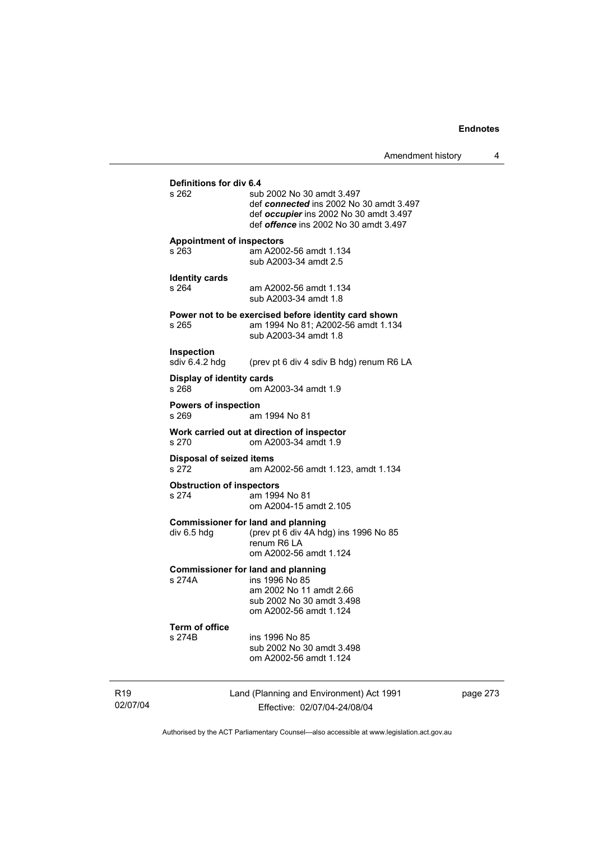| Definitions for div 6.4<br>s 262          | sub 2002 No 30 amdt 3.497<br>def connected ins 2002 No 30 amdt 3.497<br>def occupier ins 2002 No 30 amdt 3.497<br>def <i>offence</i> ins 2002 No 30 amdt 3.497 |
|-------------------------------------------|----------------------------------------------------------------------------------------------------------------------------------------------------------------|
| <b>Appointment of inspectors</b><br>s 263 | am A2002-56 amdt 1.134<br>sub A2003-34 amdt 2.5                                                                                                                |
| <b>Identity cards</b><br>s 264            | am A2002-56 amdt 1.134<br>sub A2003-34 amdt 1.8                                                                                                                |
| s 265                                     | Power not to be exercised before identity card shown<br>am 1994 No 81; A2002-56 amdt 1.134<br>sub A2003-34 amdt 1.8                                            |
| <b>Inspection</b><br>sdiv 6.4.2 hdg       | (prev pt 6 div 4 sdiv B hdg) renum R6 LA                                                                                                                       |
| Display of identity cards<br>s 268        | om A2003-34 amdt 1.9                                                                                                                                           |
| <b>Powers of inspection</b><br>s 269      | am 1994 No 81                                                                                                                                                  |
| s 270                                     | Work carried out at direction of inspector<br>om A2003-34 amdt 1.9                                                                                             |
| <b>Disposal of seized items</b><br>s 272  | am A2002-56 amdt 1.123, amdt 1.134                                                                                                                             |
| <b>Obstruction of inspectors</b><br>s 274 | am 1994 No 81<br>om A2004-15 amdt 2.105                                                                                                                        |
| div 6.5 hdg                               | <b>Commissioner for land and planning</b><br>(prev pt 6 div 4A hdg) ins 1996 No 85<br>renum R6 LA<br>om A2002-56 amdt 1.124                                    |
| s 274A                                    | <b>Commissioner for land and planning</b><br>ins 1996 No 85<br>am 2002 No 11 amdt 2.66<br>sub 2002 No 30 amdt 3.498<br>om A2002-56 amdt 1.124                  |
| Term of office<br>s 274B                  | ins 1996 No 85<br>sub 2002 No 30 amdt 3.498<br>om A2002-56 amdt 1.124                                                                                          |
|                                           |                                                                                                                                                                |

R19 02/07/04 Land (Planning and Environment) Act 1991 Effective: 02/07/04-24/08/04

page 273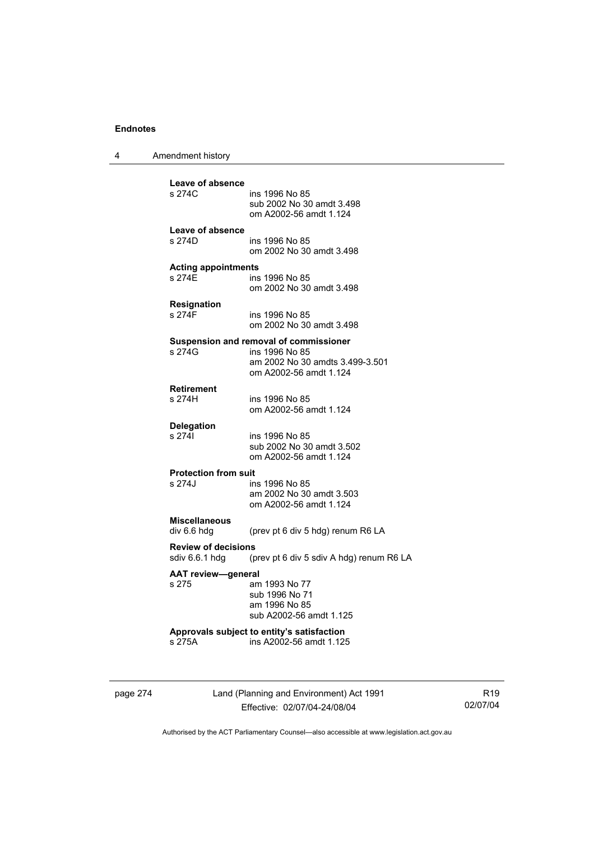4 Amendment history

page 274 Land (Planning and Environment) Act 1991 Effective: 02/07/04-24/08/04 **Leave of absence**  ins 1996 No 85 sub 2002 No 30 amdt 3.498 om A2002-56 amdt 1.124 **Leave of absence**  s 274D ins 1996 No 85 om 2002 No 30 amdt 3.498 **Acting appointments**  ins 1996 No 85 om 2002 No 30 amdt 3.498 **Resignation**  ins 1996 No 85 om 2002 No 30 amdt 3.498 **Suspension and removal of commissioner**  s 274G ins 1996 No 85 am 2002 No 30 amdts 3.499-3.501 om A2002-56 amdt 1.124 **Retirement**  ins 1996 No 85 om A2002-56 amdt 1.124 **Delegation**  s 274I ins 1996 No 85 sub 2002 No 30 amdt 3.502 om A2002-56 amdt 1.124 **Protection from suit**  s 274J ins 1996 No 85 am 2002 No 30 amdt 3.503 om A2002-56 amdt 1.124 **Miscellaneous**  (prev pt 6 div 5 hdg) renum R6 LA **Review of decisions**  sdiv 6.6.1 hdg (prev pt 6 div 5 sdiv A hdg) renum R6 LA **AAT review—general**  s 275 am 1993 No 77 sub 1996 No 71 am 1996 No 85 sub A2002-56 amdt 1.125 **Approvals subject to entity's satisfaction**  s 275A ins A2002-56 amdt 1.125

R19 02/07/04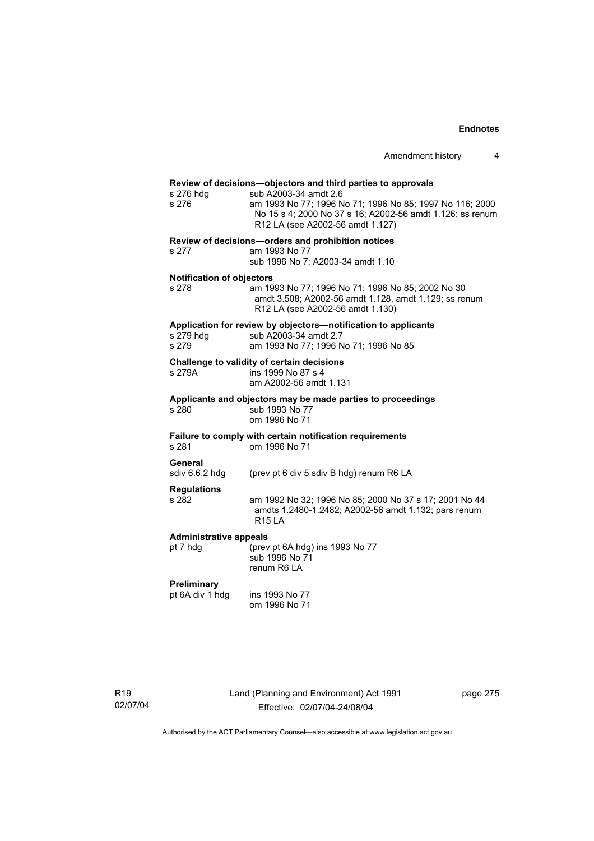| Amendment history |  |
|-------------------|--|
|-------------------|--|

| Review of decisions-objectors and third parties to approvals   |                                                                                                                                                |  |  |  |
|----------------------------------------------------------------|------------------------------------------------------------------------------------------------------------------------------------------------|--|--|--|
| s 276 hdg<br>s 276                                             | sub A2003-34 amdt 2.6<br>am 1993 No 77; 1996 No 71; 1996 No 85; 1997 No 116; 2000                                                              |  |  |  |
|                                                                | No 15 s 4; 2000 No 37 s 16; A2002-56 amdt 1.126; ss renum<br>R12 LA (see A2002-56 amdt 1.127)                                                  |  |  |  |
|                                                                | Review of decisions-orders and prohibition notices                                                                                             |  |  |  |
| s 277                                                          | am 1993 No 77<br>sub 1996 No 7; A2003-34 amdt 1.10                                                                                             |  |  |  |
| <b>Notification of objectors</b>                               |                                                                                                                                                |  |  |  |
| s 278                                                          | am 1993 No 77; 1996 No 71; 1996 No 85; 2002 No 30<br>amdt 3.508; A2002-56 amdt 1.128, amdt 1.129; ss renum<br>R12 LA (see A2002-56 amdt 1.130) |  |  |  |
| Application for review by objectors-notification to applicants |                                                                                                                                                |  |  |  |
| s 279 hdg<br>s 279                                             | sub A2003-34 amdt 2.7                                                                                                                          |  |  |  |
|                                                                | am 1993 No 77; 1996 No 71; 1996 No 85                                                                                                          |  |  |  |
| s 279A                                                         | Challenge to validity of certain decisions<br>ins 1999 No 87 s 4                                                                               |  |  |  |
|                                                                | am A2002-56 amdt 1.131                                                                                                                         |  |  |  |
| Applicants and objectors may be made parties to proceedings    |                                                                                                                                                |  |  |  |
| s 280                                                          | sub 1993 No 77<br>om 1996 No 71                                                                                                                |  |  |  |
|                                                                | Failure to comply with certain notification requirements                                                                                       |  |  |  |
| s 281                                                          | om 1996 No 71                                                                                                                                  |  |  |  |
| General                                                        |                                                                                                                                                |  |  |  |
| sdiv 6.6.2 hdg                                                 | (prev pt 6 div 5 sdiv B hdg) renum R6 LA                                                                                                       |  |  |  |
| <b>Regulations</b>                                             |                                                                                                                                                |  |  |  |
| s 282                                                          | am 1992 No 32; 1996 No 85; 2000 No 37 s 17; 2001 No 44<br>amdts 1.2480-1.2482; A2002-56 amdt 1.132; pars renum<br><b>R15 LA</b>                |  |  |  |
| <b>Administrative appeals</b>                                  |                                                                                                                                                |  |  |  |
| pt 7 hdg                                                       | (prev pt 6A hdg) ins 1993 No 77<br>sub 1996 No 71<br>renum R6 LA                                                                               |  |  |  |
| Preliminary                                                    |                                                                                                                                                |  |  |  |
| pt 6A div 1 hdg                                                | ins 1993 No 77                                                                                                                                 |  |  |  |
|                                                                | om 1996 No 71                                                                                                                                  |  |  |  |
|                                                                |                                                                                                                                                |  |  |  |
|                                                                |                                                                                                                                                |  |  |  |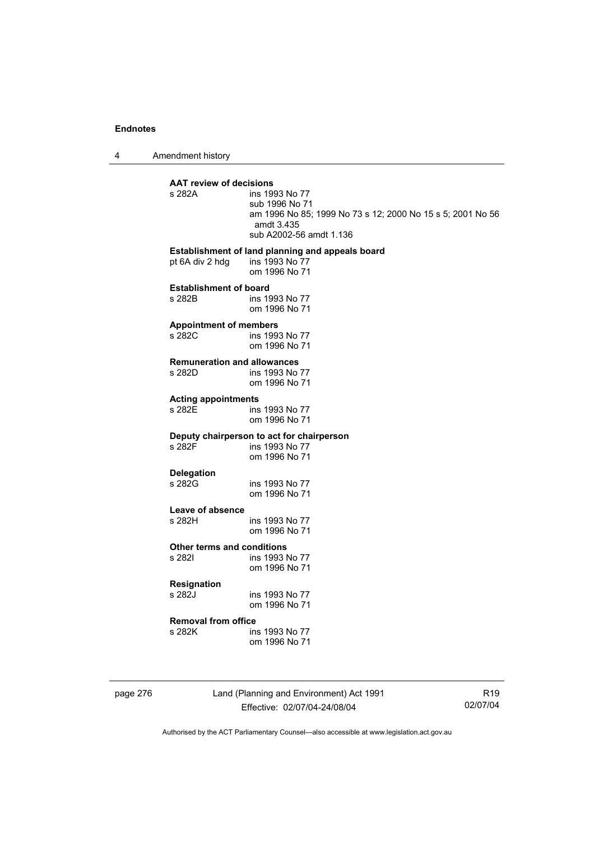4 Amendment history

| s 282A                                       | ins 1993 No 77<br>sub 1996 No 71<br>am 1996 No 85; 1999 No 73 s 12; 2000 No 15 s 5; 2001 No 56<br>amdt 3.435<br>sub A2002-56 amdt 1.136 |
|----------------------------------------------|-----------------------------------------------------------------------------------------------------------------------------------------|
| pt 6A div 2 hdg                              | Establishment of land planning and appeals board<br>ins 1993 No 77<br>om 1996 No 71                                                     |
| <b>Establishment of board</b><br>s 282B      | ins 1993 No 77<br>om 1996 No 71                                                                                                         |
| <b>Appointment of members</b><br>s 282C      | ins 1993 No 77<br>om 1996 No 71                                                                                                         |
| <b>Remuneration and allowances</b><br>s 282D | ins 1993 No 77<br>om 1996 No 71                                                                                                         |
| <b>Acting appointments</b>                   |                                                                                                                                         |
| s 282E                                       | ins 1993 No 77<br>om 1996 No 71                                                                                                         |
|                                              | Deputy chairperson to act for chairperson                                                                                               |
| s 282F                                       | ins 1993 No 77<br>om 1996 No 71                                                                                                         |
| <b>Delegation</b>                            |                                                                                                                                         |
| s 282G                                       | ins 1993 No 77<br>om 1996 No 71                                                                                                         |
| Leave of absence                             |                                                                                                                                         |
| s 282H                                       | ins 1993 No 77<br>om 1996 No 71                                                                                                         |
| <b>Other terms and conditions</b>            |                                                                                                                                         |
| s 2821                                       | ins 1993 No 77<br>om 1996 No 71                                                                                                         |
| <b>Resignation</b>                           |                                                                                                                                         |
| s 282J                                       | ins 1993 No 77<br>om 1996 No 71                                                                                                         |
| <b>Removal from office</b>                   |                                                                                                                                         |
| s 282K                                       | ins 1993 No 77<br>om 1996 No 71                                                                                                         |

page 276 Land (Planning and Environment) Act 1991 Effective: 02/07/04-24/08/04

R19 02/07/04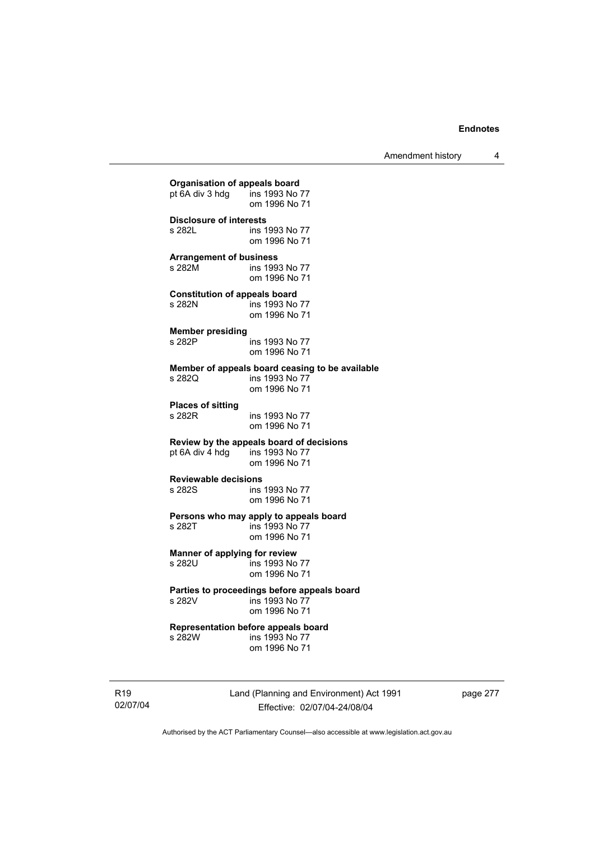Amendment history 4

|                                      | pt 6A div 3 hdg ins 1993 No 77<br>om 1996 No 71                                             |
|--------------------------------------|---------------------------------------------------------------------------------------------|
| <b>Disclosure of interests</b>       | ins 1993 No 77                                                                              |
| s 282L                               | om 1996 No 71                                                                               |
| <b>Arrangement of business</b>       | ins 1993 No 77                                                                              |
| s 282M                               | om 1996 No 71                                                                               |
| <b>Constitution of appeals board</b> | ins 1993 No 77                                                                              |
| s 282N                               | om 1996 No 71                                                                               |
| <b>Member presiding</b>              | ins 1993 No 77                                                                              |
| s 282P                               | om 1996 No 71                                                                               |
| s 282Q                               | Member of appeals board ceasing to be available<br>ins 1993 No 77<br>om 1996 No 71          |
| <b>Places of sitting</b>             | ins 1993 No 77                                                                              |
| s 282R                               | om 1996 No 71                                                                               |
|                                      | Review by the appeals board of decisions<br>pt 6A div 4 hdg ins 1993 No 77<br>om 1996 No 71 |
| <b>Reviewable decisions</b>          | ins 1993 No 77                                                                              |
| s 282S                               | om 1996 No 71                                                                               |
| s 282T                               | Persons who may apply to appeals board<br>ins 1993 No 77<br>om 1996 No 71                   |
| Manner of applying for review        | ins 1993 No 77                                                                              |
| s 282U                               | om 1996 No 71                                                                               |
| s 282V                               | Parties to proceedings before appeals board<br>ins 1993 No 77<br>om 1996 No 71              |
| s 282W                               | Representation before appeals board<br>ins 1993 No 77<br>om 1996 No 71                      |

R19 02/07/04 Land (Planning and Environment) Act 1991 Effective: 02/07/04-24/08/04

page 277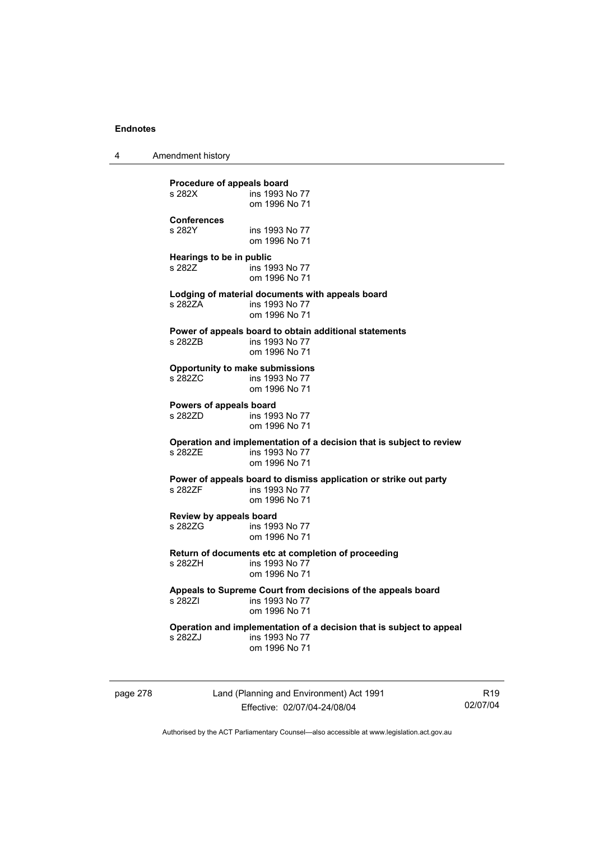4 Amendment history

**Procedure of appeals board**<br>s 282X **ins 1993** N ins 1993 No 77 om 1996 No 71 **Conferences**  ins 1993 No 77 om 1996 No 71 **Hearings to be in public**  s 282Z **ins 1993** No 77 om 1996 No 71 **Lodging of material documents with appeals board**  ins 1993 No 77 om 1996 No 71 **Power of appeals board to obtain additional statements**  s 282ZB ins 1993 No 77 om 1996 No 71 **Opportunity to make submissions**  ins 1993 No 77 om 1996 No 71 **Powers of appeals board**  s 282ZD ins 1993 No 77 om 1996 No 71 **Operation and implementation of a decision that is subject to review**  ins 1993 No 77 om 1996 No 71 **Power of appeals board to dismiss application or strike out party**  ins 1993 No 77 om 1996 No 71 **Review by appeals board**  s 282ZG ins 1993 No 77 om 1996 No 71 **Return of documents etc at completion of proceeding**  ins 1993 No 77 om 1996 No 71 **Appeals to Supreme Court from decisions of the appeals board**  ins 1993 No 77 om 1996 No 71 **Operation and implementation of a decision that is subject to appeal**  ins 1993 No 77 om 1996 No 71

page 278 Land (Planning and Environment) Act 1991 Effective: 02/07/04-24/08/04

R19 02/07/04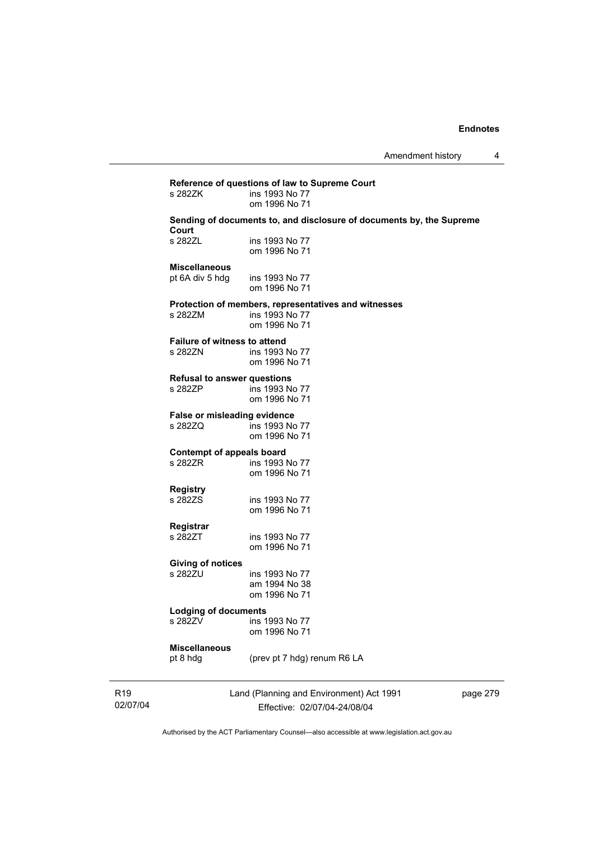# **Reference of questions of law to Supreme Court**  ins 1993 No 77 om 1996 No 71 **Sending of documents to, and disclosure of documents by, the Supreme Court**  s 282ZL ins 1993 No 77 om 1996 No 71 **Miscellaneous**  pt 6A div 5 hdg ins 1993 No 77 om 1996 No 71 **Protection of members, representatives and witnesses**  ins 1993 No 77 om 1996 No 71 **Failure of witness to attend<br>s 282ZN** ins 1993 ins 1993 No 77 om 1996 No 71 **Refusal to answer questions**  s 282ZP ins 1993 No 77 om 1996 No 71 **False or misleading evidence**  s 282ZQ ins 1993 No 77 om 1996 No 71 **Contempt of appeals board**  s 282ZR ins 1993 No 77 om 1996 No 71 **Registry**  ins 1993 No 77 om 1996 No 71 **Registrar**  ins 1993 No 77 om 1996 No 71 **Giving of notices**  ins 1993 No 77 am 1994 No 38 om 1996 No 71 **Lodging of documents**  s 282ZV ins 1993 No 77 om 1996 No 71 **Miscellaneous**  pt 8 hdg (prev pt 7 hdg) renum R6 LA

R19 02/07/04 Land (Planning and Environment) Act 1991 Effective: 02/07/04-24/08/04

page 279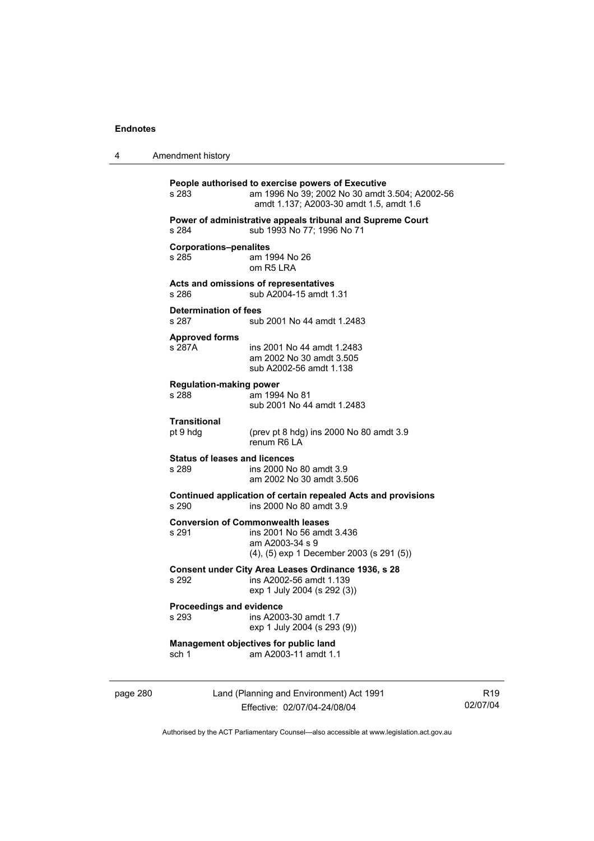| 4        | Amendment history                                                                                 |                                                                                                                                                |                             |  |  |
|----------|---------------------------------------------------------------------------------------------------|------------------------------------------------------------------------------------------------------------------------------------------------|-----------------------------|--|--|
|          | s 283                                                                                             | People authorised to exercise powers of Executive<br>am 1996 No 39; 2002 No 30 amdt 3.504; A2002-56<br>amdt 1.137; A2003-30 amdt 1.5, amdt 1.6 |                             |  |  |
|          | Power of administrative appeals tribunal and Supreme Court<br>sub 1993 No 77; 1996 No 71<br>s 284 |                                                                                                                                                |                             |  |  |
|          | <b>Corporations-penalites</b><br>s 285                                                            | am 1994 No 26<br>om R <sub>5</sub> LRA                                                                                                         |                             |  |  |
|          | s 286                                                                                             | Acts and omissions of representatives<br>sub A2004-15 amdt 1.31                                                                                |                             |  |  |
|          | Determination of fees<br>s 287                                                                    | sub 2001 No 44 amdt 1.2483                                                                                                                     |                             |  |  |
|          | <b>Approved forms</b><br>s 287A                                                                   | ins 2001 No 44 amdt 1.2483<br>am 2002 No 30 amdt 3.505<br>sub A2002-56 amdt 1.138                                                              |                             |  |  |
|          | <b>Regulation-making power</b><br>s 288                                                           | am 1994 No 81<br>sub 2001 No 44 amdt 1.2483                                                                                                    |                             |  |  |
|          | Transitional<br>pt 9 hdg                                                                          | (prev pt 8 hdg) ins 2000 No 80 amdt 3.9<br>renum R6 LA                                                                                         |                             |  |  |
|          | <b>Status of leases and licences</b><br>s 289                                                     | ins 2000 No 80 amdt 3.9<br>am 2002 No 30 amdt 3.506                                                                                            |                             |  |  |
|          | s 290                                                                                             | Continued application of certain repealed Acts and provisions<br>ins 2000 No 80 amdt 3.9                                                       |                             |  |  |
|          | s 291                                                                                             | <b>Conversion of Commonwealth leases</b><br>ins 2001 No 56 amdt 3.436<br>am A2003-34 s 9<br>$(4)$ , $(5)$ exp 1 December 2003 (s 291 $(5)$ )   |                             |  |  |
|          | s 292                                                                                             | Consent under City Area Leases Ordinance 1936, s 28<br>ins A2002-56 amdt 1.139<br>exp 1 July 2004 (s 292 (3))                                  |                             |  |  |
|          | Proceedings and evidence<br>s 293                                                                 | ins A2003-30 amdt 1.7<br>exp 1 July 2004 (s 293 (9))                                                                                           |                             |  |  |
|          | sch 1                                                                                             | Management objectives for public land<br>am A2003-11 amdt 1.1                                                                                  |                             |  |  |
| page 280 |                                                                                                   | Land (Planning and Environment) Act 1991<br>Effective: 02/07/04-24/08/04                                                                       | R <sub>19</sub><br>02/07/04 |  |  |

Authorised by the ACT Parliamentary Counsel—also accessible at www.legislation.act.gov.au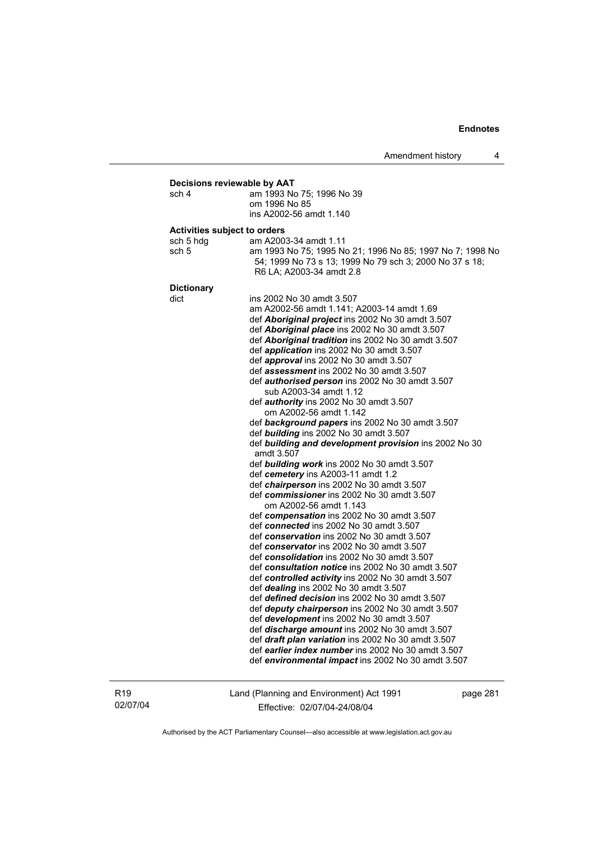### **Decisions reviewable by AAT**  sch 4 am 1993 No 75; 1996 No 39 om 1996 No 85 ins A2002-56 amdt 1.140 **Activities subject to orders**  sch 5 hdg am A2003-34 amdt 1.11 sch 5 am 1993 No 75; 1995 No 21; 1996 No 85; 1997 No 7; 1998 No 54; 1999 No 73 s 13; 1999 No 79 sch 3; 2000 No 37 s 18; R6 LA; A2003-34 amdt 2.8 **Dictionary**  dict ins 2002 No 30 amdt 3.507 am A2002-56 amdt 1.141; A2003-14 amdt 1.69 def *Aboriginal project* ins 2002 No 30 amdt 3.507 def *Aboriginal place* ins 2002 No 30 amdt 3.507 def *Aboriginal tradition* ins 2002 No 30 amdt 3.507 def *application* ins 2002 No 30 amdt 3.507 def *approval* ins 2002 No 30 amdt 3.507 def *assessment* ins 2002 No 30 amdt 3.507 def *authorised person* ins 2002 No 30 amdt 3.507 sub A2003-34 amdt 1.12 def *authority* ins 2002 No 30 amdt 3.507 om A2002-56 amdt 1.142 def *background papers* ins 2002 No 30 amdt 3.507 def *building* ins 2002 No 30 amdt 3.507 def *building and development provision* ins 2002 No 30 amdt 3.507 def *building work* ins 2002 No 30 amdt 3.507 def *cemetery* ins A2003-11 amdt 1.2 def *chairperson* ins 2002 No 30 amdt 3.507 def *commissioner* ins 2002 No 30 amdt 3.507 om A2002-56 amdt 1.143 def *compensation* ins 2002 No 30 amdt 3.507 def *connected* ins 2002 No 30 amdt 3.507 def *conservation* ins 2002 No 30 amdt 3.507 def *conservator* ins 2002 No 30 amdt 3.507 def *consolidation* ins 2002 No 30 amdt 3.507 def *consultation notice* ins 2002 No 30 amdt 3.507 def *controlled activity* ins 2002 No 30 amdt 3.507 def *dealing* ins 2002 No 30 amdt 3.507 def *defined decision* ins 2002 No 30 amdt 3.507 def *deputy chairperson* ins 2002 No 30 amdt 3.507 def *development* ins 2002 No 30 amdt 3.507 def *discharge amount* ins 2002 No 30 amdt 3.507 def *draft plan variation* ins 2002 No 30 amdt 3.507 def *earlier index number* ins 2002 No 30 amdt 3.507 def *environmental impact* ins 2002 No 30 amdt 3.507

R19 02/07/04 Land (Planning and Environment) Act 1991 Effective: 02/07/04-24/08/04

page 281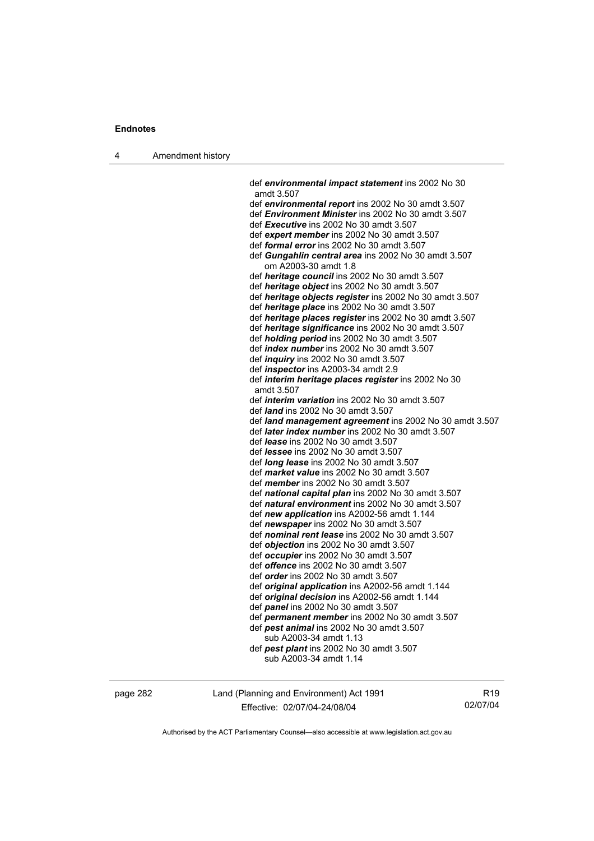4 Amendment history

 def *environmental impact statement* ins 2002 No 30 amdt 3.507 def *environmental report* ins 2002 No 30 amdt 3.507 def *Environment Minister* ins 2002 No 30 amdt 3.507 def *Executive* ins 2002 No 30 amdt 3.507 def *expert member* ins 2002 No 30 amdt 3.507 def *formal error* ins 2002 No 30 amdt 3.507 def *Gungahlin central area* ins 2002 No 30 amdt 3.507 om A2003-30 amdt 1.8 def *heritage council* ins 2002 No 30 amdt 3.507 def *heritage object* ins 2002 No 30 amdt 3.507 def *heritage objects register* ins 2002 No 30 amdt 3.507 def *heritage place* ins 2002 No 30 amdt 3.507 def *heritage places register* ins 2002 No 30 amdt 3.507 def *heritage significance* ins 2002 No 30 amdt 3.507 def *holding period* ins 2002 No 30 amdt 3.507 def *index number* ins 2002 No 30 amdt 3.507 def *inquiry* ins 2002 No 30 amdt 3.507 def *inspector* ins A2003-34 amdt 2.9 def *interim heritage places register* ins 2002 No 30 amdt 3.507 def *interim variation* ins 2002 No 30 amdt 3.507 def *land* ins 2002 No 30 amdt 3.507 def *land management agreement* ins 2002 No 30 amdt 3.507 def *later index number* ins 2002 No 30 amdt 3.507 def *lease* ins 2002 No 30 amdt 3.507 def *lessee* ins 2002 No 30 amdt 3.507 def *long lease* ins 2002 No 30 amdt 3.507 def *market value* ins 2002 No 30 amdt 3.507 def *member* ins 2002 No 30 amdt 3.507 def *national capital plan* ins 2002 No 30 amdt 3.507 def *natural environment* ins 2002 No 30 amdt 3.507 def *new application* ins A2002-56 amdt 1.144 def *newspaper* ins 2002 No 30 amdt 3.507 def *nominal rent lease* ins 2002 No 30 amdt 3.507 def *objection* ins 2002 No 30 amdt 3.507 def *occupier* ins 2002 No 30 amdt 3.507 def *offence* ins 2002 No 30 amdt 3.507 def *order* ins 2002 No 30 amdt 3.507 def *original application* ins A2002-56 amdt 1.144 def *original decision* ins A2002-56 amdt 1.144 def *panel* ins 2002 No 30 amdt 3.507 def *permanent member* ins 2002 No 30 amdt 3.507 def *pest animal* ins 2002 No 30 amdt 3.507 sub A2003-34 amdt 1.13 def *pest plant* ins 2002 No 30 amdt 3.507 sub A2003-34 amdt 1.14

page 282 Land (Planning and Environment) Act 1991 Effective: 02/07/04-24/08/04

R19 02/07/04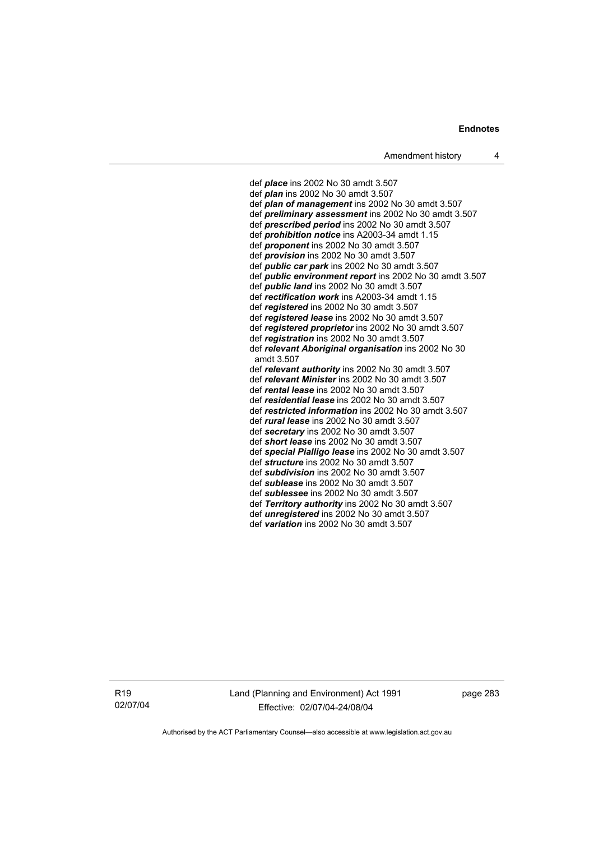def *place* ins 2002 No 30 amdt 3.507 def *plan* ins 2002 No 30 amdt 3.507 def *plan of management* ins 2002 No 30 amdt 3.507 def *preliminary assessment* ins 2002 No 30 amdt 3.507 def *prescribed period* ins 2002 No 30 amdt 3.507 def *prohibition notice* ins A2003-34 amdt 1.15 def *proponent* ins 2002 No 30 amdt 3.507 def *provision* ins 2002 No 30 amdt 3.507 def *public car park* ins 2002 No 30 amdt 3.507 def *public environment report* ins 2002 No 30 amdt 3.507 def *public land* ins 2002 No 30 amdt 3.507 def *rectification work* ins A2003-34 amdt 1.15 def *registered* ins 2002 No 30 amdt 3.507 def *registered lease* ins 2002 No 30 amdt 3.507 def *registered proprietor* ins 2002 No 30 amdt 3.507 def *registration* ins 2002 No 30 amdt 3.507 def *relevant Aboriginal organisation* ins 2002 No 30 amdt 3.507 def *relevant authority* ins 2002 No 30 amdt 3.507 def *relevant Minister* ins 2002 No 30 amdt 3.507 def *rental lease* ins 2002 No 30 amdt 3.507 def *residential lease* ins 2002 No 30 amdt 3.507 def *restricted information* ins 2002 No 30 amdt 3.507 def *rural lease* ins 2002 No 30 amdt 3.507 def *secretary* ins 2002 No 30 amdt 3.507 def *short lease* ins 2002 No 30 amdt 3.507 def *special Pialligo lease* ins 2002 No 30 amdt 3.507 def *structure* ins 2002 No 30 amdt 3.507 def *subdivision* ins 2002 No 30 amdt 3.507 def *sublease* ins 2002 No 30 amdt 3.507 def *sublessee* ins 2002 No 30 amdt 3.507 def *Territory authority* ins 2002 No 30 amdt 3.507 def *unregistered* ins 2002 No 30 amdt 3.507 def *variation* ins 2002 No 30 amdt 3.507

R19 02/07/04 Land (Planning and Environment) Act 1991 Effective: 02/07/04-24/08/04

page 283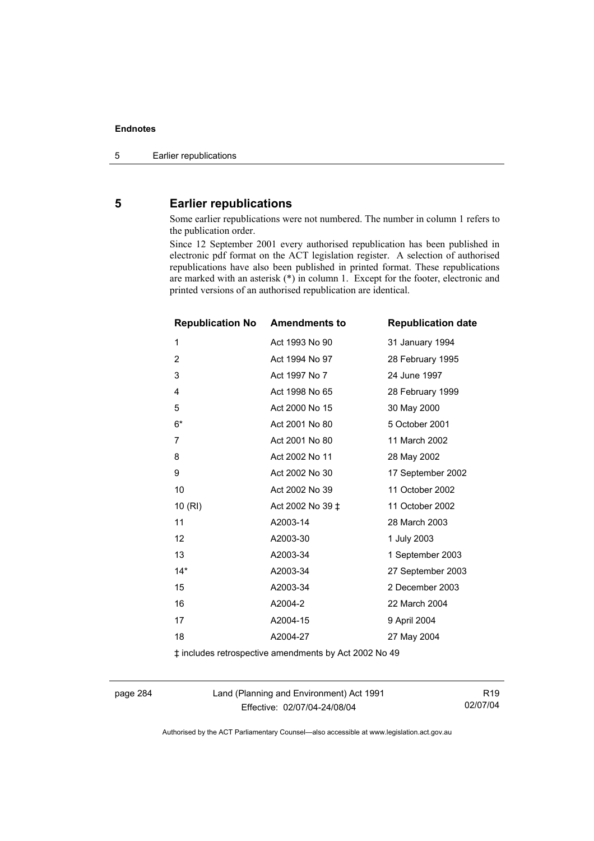# **5 Earlier republications**

Some earlier republications were not numbered. The number in column 1 refers to the publication order.

Since 12 September 2001 every authorised republication has been published in electronic pdf format on the ACT legislation register. A selection of authorised republications have also been published in printed format. These republications are marked with an asterisk (\*) in column 1. Except for the footer, electronic and printed versions of an authorised republication are identical.

| <b>Republication No</b> | <b>Amendments to</b> | <b>Republication date</b> |
|-------------------------|----------------------|---------------------------|
| 1                       | Act 1993 No 90       | 31 January 1994           |
| $\overline{2}$          | Act 1994 No 97       | 28 February 1995          |
| 3                       | Act 1997 No 7        | 24 June 1997              |
| 4                       | Act 1998 No 65       | 28 February 1999          |
| 5                       | Act 2000 No 15       | 30 May 2000               |
| $6^{\star}$             | Act 2001 No 80       | 5 October 2001            |
| 7                       | Act 2001 No 80       | 11 March 2002             |
| 8                       | Act 2002 No 11       | 28 May 2002               |
| 9                       | Act 2002 No 30       | 17 September 2002         |
| 10                      | Act 2002 No 39       | 11 October 2002           |
| 10(RI)                  | Act 2002 No 39 ‡     | 11 October 2002           |
| 11                      | A2003-14             | 28 March 2003             |
| 12                      | A2003-30             | 1 July 2003               |
| 13                      | A2003-34             | 1 September 2003          |
| $14*$                   | A2003-34             | 27 September 2003         |
| 15                      | A2003-34             | 2 December 2003           |
| 16                      | A2004-2              | 22 March 2004             |
| 17                      | A2004-15             | 9 April 2004              |
| 18                      | A2004-27             | 27 May 2004               |

‡ includes retrospective amendments by Act 2002 No 49

page 284 Land (Planning and Environment) Act 1991 Effective: 02/07/04-24/08/04

R19 02/07/04